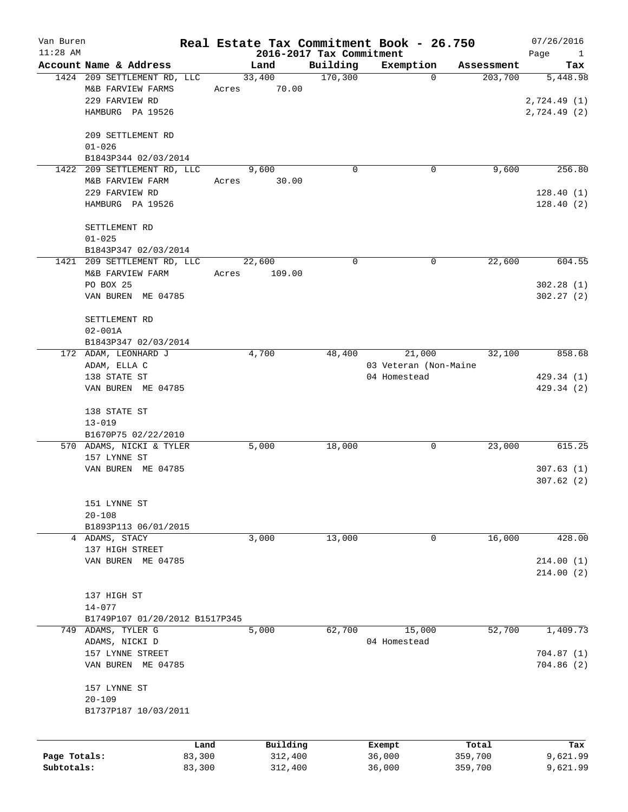| Van Buren<br>$11:28$ AM |                                                     |       |          | 2016-2017 Tax Commitment | Real Estate Tax Commitment Book - 26.750 |            | 07/26/2016<br>Page<br>$\mathbf{1}$ |
|-------------------------|-----------------------------------------------------|-------|----------|--------------------------|------------------------------------------|------------|------------------------------------|
|                         | Account Name & Address                              |       | Land     | Building                 | Exemption                                | Assessment | Tax                                |
|                         | 1424 209 SETTLEMENT RD, LLC                         |       | 33,400   | 170,300                  | 0                                        | 203,700    | 5,448.98                           |
|                         | M&B FARVIEW FARMS                                   | Acres | 70.00    |                          |                                          |            |                                    |
|                         | 229 FARVIEW RD                                      |       |          |                          |                                          |            | 2,724.49(1)                        |
|                         | HAMBURG PA 19526                                    |       |          |                          |                                          |            | 2,724.49 (2)                       |
|                         |                                                     |       |          |                          |                                          |            |                                    |
|                         | 209 SETTLEMENT RD                                   |       |          |                          |                                          |            |                                    |
|                         | $01 - 026$                                          |       |          |                          |                                          |            |                                    |
|                         | B1843P344 02/03/2014                                |       |          |                          |                                          |            |                                    |
| 1422                    | 209 SETTLEMENT RD, LLC                              |       | 9,600    | $\Omega$                 | 0                                        | 9,600      | 256.80                             |
|                         |                                                     |       |          |                          |                                          |            |                                    |
|                         | M&B FARVIEW FARM                                    | Acres | 30.00    |                          |                                          |            |                                    |
|                         | 229 FARVIEW RD                                      |       |          |                          |                                          |            | 128.40(1)                          |
|                         | HAMBURG PA 19526                                    |       |          |                          |                                          |            | 128.40(2)                          |
|                         | SETTLEMENT RD                                       |       |          |                          |                                          |            |                                    |
|                         | $01 - 025$                                          |       |          |                          |                                          |            |                                    |
|                         |                                                     |       |          |                          |                                          |            |                                    |
|                         | B1843P347 02/03/2014<br>1421 209 SETTLEMENT RD, LLC |       | 22,600   | 0                        | 0                                        | 22,600     | 604.55                             |
|                         | M&B FARVIEW FARM                                    | Acres | 109.00   |                          |                                          |            |                                    |
|                         |                                                     |       |          |                          |                                          |            |                                    |
|                         | PO BOX 25                                           |       |          |                          |                                          |            | 302.28(1)                          |
|                         | VAN BUREN ME 04785                                  |       |          |                          |                                          |            | 302.27(2)                          |
|                         |                                                     |       |          |                          |                                          |            |                                    |
|                         | SETTLEMENT RD                                       |       |          |                          |                                          |            |                                    |
|                         | $02 - 001A$                                         |       |          |                          |                                          |            |                                    |
|                         | B1843P347 02/03/2014                                |       |          |                          |                                          |            |                                    |
|                         | 172 ADAM, LEONHARD J                                |       | 4,700    | 48,400                   | 21,000                                   | 32,100     | 858.68                             |
|                         | ADAM, ELLA C                                        |       |          |                          | 03 Veteran (Non-Maine                    |            |                                    |
|                         | 138 STATE ST                                        |       |          |                          | 04 Homestead                             |            | 429.34 (1)                         |
|                         | VAN BUREN ME 04785                                  |       |          |                          |                                          |            | 429.34 (2)                         |
|                         |                                                     |       |          |                          |                                          |            |                                    |
|                         | 138 STATE ST                                        |       |          |                          |                                          |            |                                    |
|                         | $13 - 019$                                          |       |          |                          |                                          |            |                                    |
|                         | B1670P75 02/22/2010                                 |       |          |                          |                                          |            |                                    |
|                         | 570 ADAMS, NICKI & TYLER                            |       | 5,000    | 18,000                   | 0                                        | 23,000     | 615.25                             |
|                         | 157 LYNNE ST                                        |       |          |                          |                                          |            |                                    |
|                         | VAN BUREN ME 04785                                  |       |          |                          |                                          |            | 307.63(1)<br>307.62(2)             |
|                         |                                                     |       |          |                          |                                          |            |                                    |
|                         |                                                     |       |          |                          |                                          |            |                                    |
|                         | 151 LYNNE ST                                        |       |          |                          |                                          |            |                                    |
|                         | $20 - 108$                                          |       |          |                          |                                          |            |                                    |
|                         | B1893P113 06/01/2015                                |       |          |                          |                                          |            |                                    |
|                         | 4 ADAMS, STACY                                      |       | 3,000    | 13,000                   | 0                                        | 16,000     | 428.00                             |
|                         | 137 HIGH STREET                                     |       |          |                          |                                          |            |                                    |
|                         | VAN BUREN ME 04785                                  |       |          |                          |                                          |            | 214.00(1)                          |
|                         |                                                     |       |          |                          |                                          |            | 214.00(2)                          |
|                         |                                                     |       |          |                          |                                          |            |                                    |
|                         | 137 HIGH ST                                         |       |          |                          |                                          |            |                                    |
|                         | $14 - 077$                                          |       |          |                          |                                          |            |                                    |
|                         | B1749P107 01/20/2012 B1517P345                      |       |          | 62,700                   |                                          |            |                                    |
| 749                     | ADAMS, TYLER G                                      |       | 5,000    |                          | 15,000                                   | 52,700     | 1,409.73                           |
|                         | ADAMS, NICKI D                                      |       |          |                          | 04 Homestead                             |            |                                    |
|                         | 157 LYNNE STREET                                    |       |          |                          |                                          |            | 704.87(1)                          |
|                         | VAN BUREN ME 04785                                  |       |          |                          |                                          |            | 704.86(2)                          |
|                         |                                                     |       |          |                          |                                          |            |                                    |
|                         | 157 LYNNE ST<br>$20 - 109$                          |       |          |                          |                                          |            |                                    |
|                         |                                                     |       |          |                          |                                          |            |                                    |
|                         | B1737P187 10/03/2011                                |       |          |                          |                                          |            |                                    |
|                         |                                                     |       |          |                          |                                          |            |                                    |
|                         | Land                                                |       | Building |                          | Exempt                                   | Total      | Tax                                |
| Page Totals:            | 83,300                                              |       | 312,400  |                          | 36,000                                   | 359,700    | 9,621.99                           |
| Subtotals:              | 83,300                                              |       | 312,400  |                          | 36,000                                   | 359,700    | 9,621.99                           |
|                         |                                                     |       |          |                          |                                          |            |                                    |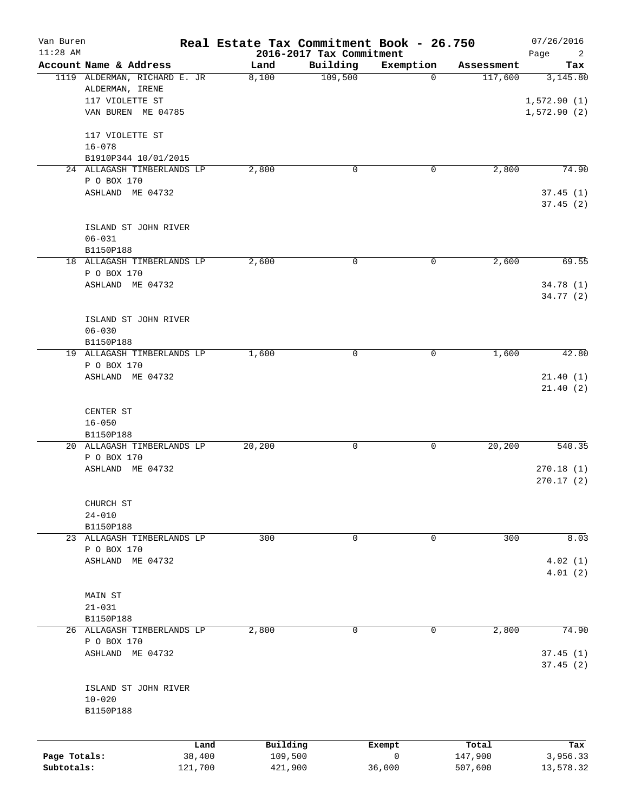| Van Buren<br>$11:28$ AM                                            |                            | Real Estate Tax Commitment Book - 26.750 | 2016-2017 Tax Commitment |                       |                             | 07/26/2016<br>Page<br>$\overline{2}$   |
|--------------------------------------------------------------------|----------------------------|------------------------------------------|--------------------------|-----------------------|-----------------------------|----------------------------------------|
| Account Name & Address                                             |                            | Land                                     | Building                 | Exemption             | Assessment                  | Tax                                    |
| 1119 ALDERMAN, RICHARD E. JR<br>ALDERMAN, IRENE<br>117 VIOLETTE ST | VAN BUREN ME 04785         | 8,100                                    | 109,500                  | $\Omega$              | 117,600                     | 3,145.80<br>1,572.90(1)<br>1,572.90(2) |
| 117 VIOLETTE ST                                                    |                            |                                          |                          |                       |                             |                                        |
| $16 - 078$                                                         |                            |                                          |                          |                       |                             |                                        |
|                                                                    | B1910P344 10/01/2015       | 2,800                                    | $\mathbf 0$              |                       |                             |                                        |
| P O BOX 170                                                        | 24 ALLAGASH TIMBERLANDS LP |                                          |                          | 0                     | 2,800                       | 74.90                                  |
| ASHLAND ME 04732                                                   |                            |                                          |                          |                       |                             | 37.45(1)<br>37.45(2)                   |
| $06 - 031$                                                         | ISLAND ST JOHN RIVER       |                                          |                          |                       |                             |                                        |
| B1150P188                                                          | 18 ALLAGASH TIMBERLANDS LP | 2,600                                    | 0                        | 0                     | 2,600                       | 69.55                                  |
| P O BOX 170<br>ASHLAND ME 04732                                    |                            |                                          |                          |                       |                             | 34.78 (1)                              |
|                                                                    |                            |                                          |                          |                       |                             | 34.77 (2)                              |
|                                                                    | ISLAND ST JOHN RIVER       |                                          |                          |                       |                             |                                        |
| $06 - 030$<br>B1150P188                                            |                            |                                          |                          |                       |                             |                                        |
|                                                                    | 19 ALLAGASH TIMBERLANDS LP | 1,600                                    | 0                        | 0                     | 1,600                       | 42.80                                  |
| P O BOX 170<br>ASHLAND ME 04732                                    |                            |                                          |                          |                       |                             | 21.40(1)<br>21.40(2)                   |
| CENTER ST<br>$16 - 050$<br>B1150P188                               |                            |                                          |                          |                       |                             |                                        |
|                                                                    | 20 ALLAGASH TIMBERLANDS LP | 20,200                                   | 0                        | 0                     | 20,200                      | 540.35                                 |
| P O BOX 170<br>ASHLAND ME 04732                                    |                            |                                          |                          |                       |                             | 270.18(1)<br>270.17(2)                 |
| CHURCH ST<br>$24 - 010$                                            |                            |                                          |                          |                       |                             |                                        |
| B1150P188                                                          |                            |                                          |                          |                       |                             |                                        |
| P O BOX 170                                                        | 23 ALLAGASH TIMBERLANDS LP | 300                                      | 0                        | 0                     | 300                         | 8.03                                   |
| ASHLAND ME 04732                                                   |                            |                                          |                          |                       |                             | 4.02(1)<br>4.01(2)                     |
| MAIN ST<br>$21 - 031$                                              |                            |                                          |                          |                       |                             |                                        |
| B1150P188                                                          |                            |                                          |                          |                       |                             |                                        |
| P O BOX 170<br>ASHLAND ME 04732                                    | 26 ALLAGASH TIMBERLANDS LP | 2,800                                    | 0                        | 0                     | 2,800                       | 74.90<br>37.45(1)                      |
|                                                                    |                            |                                          |                          |                       |                             | 37.45 (2)                              |
| $10 - 020$<br>B1150P188                                            | ISLAND ST JOHN RIVER       |                                          |                          |                       |                             |                                        |
|                                                                    |                            |                                          |                          |                       |                             |                                        |
| Page Totals:<br>Subtotals:                                         | Land<br>38,400<br>121,700  | Building<br>109,500<br>421,900           |                          | Exempt<br>0<br>36,000 | Total<br>147,900<br>507,600 | Tax<br>3,956.33<br>13,578.32           |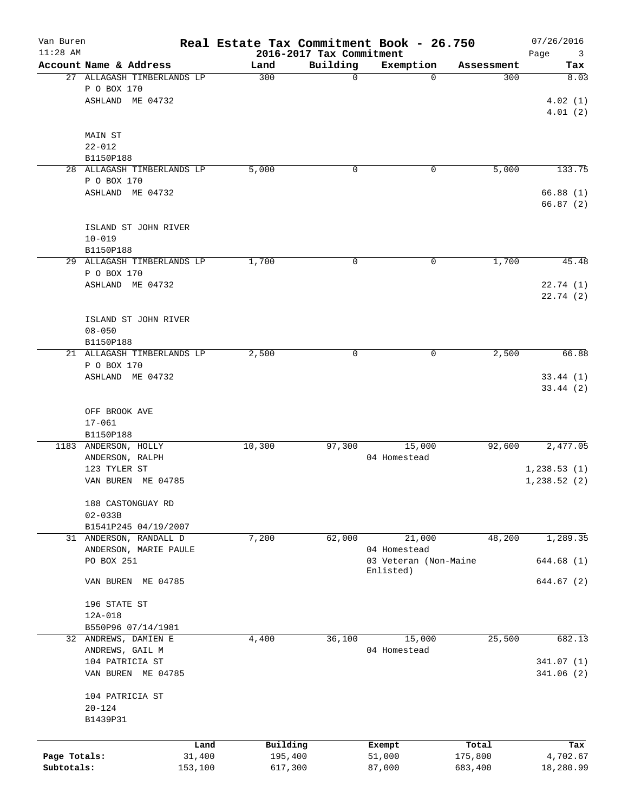| Van Buren<br>$11:28$ AM    |                                                 |                            | Real Estate Tax Commitment Book - 26.750 | 2016-2017 Tax Commitment |                                                    |                    | 07/26/2016<br>Page<br>3 |
|----------------------------|-------------------------------------------------|----------------------------|------------------------------------------|--------------------------|----------------------------------------------------|--------------------|-------------------------|
|                            | Account Name & Address                          |                            | Land                                     | Building                 | Exemption                                          | Assessment         | Tax                     |
|                            | P O BOX 170<br>ASHLAND ME 04732                 | 27 ALLAGASH TIMBERLANDS LP | 300                                      | 0                        | $\Omega$                                           | 300                | 8.03<br>4.02(1)         |
|                            | MAIN ST                                         |                            |                                          |                          |                                                    |                    | 4.01(2)                 |
|                            | $22 - 012$<br>B1150P188                         |                            |                                          |                          |                                                    |                    |                         |
|                            |                                                 | 28 ALLAGASH TIMBERLANDS LP | 5,000                                    | 0                        | 0                                                  | 5,000              | 133.75                  |
|                            | P O BOX 170<br>ASHLAND ME 04732                 |                            |                                          |                          |                                                    |                    | 66.88(1)<br>66.87(2)    |
|                            | ISLAND ST JOHN RIVER<br>$10 - 019$              |                            |                                          |                          |                                                    |                    |                         |
|                            | B1150P188                                       | 29 ALLAGASH TIMBERLANDS LP | 1,700                                    | 0                        | 0                                                  | 1,700              | 45.48                   |
|                            | P O BOX 170<br>ASHLAND ME 04732                 |                            |                                          |                          |                                                    |                    | 22.74(1)<br>22.74(2)    |
|                            | ISLAND ST JOHN RIVER<br>$08 - 050$<br>B1150P188 |                            |                                          |                          |                                                    |                    |                         |
|                            |                                                 | 21 ALLAGASH TIMBERLANDS LP | 2,500                                    | 0                        | 0                                                  | 2,500              | 66.88                   |
|                            | P O BOX 170<br>ASHLAND ME 04732                 |                            |                                          |                          |                                                    |                    | 33.44(1)<br>33.44(2)    |
|                            | OFF BROOK AVE<br>$17 - 061$                     |                            |                                          |                          |                                                    |                    |                         |
|                            | B1150P188<br>1183 ANDERSON, HOLLY               |                            | 10,300                                   | 97,300                   | 15,000                                             | 92,600             | 2,477.05                |
|                            | ANDERSON, RALPH<br>123 TYLER ST                 |                            |                                          |                          | 04 Homestead                                       |                    | 1, 238.53(1)            |
|                            | VAN BUREN ME 04785<br>188 CASTONGUAY RD         |                            |                                          |                          |                                                    |                    | 1,238.52(2)             |
|                            | $02 - 033B$<br>B1541P245 04/19/2007             |                            |                                          |                          |                                                    |                    |                         |
|                            | 31 ANDERSON, RANDALL D                          |                            | 7,200                                    | 62,000                   | 21,000                                             | 48,200             | 1,289.35                |
|                            | PO BOX 251                                      | ANDERSON, MARIE PAULE      |                                          |                          | 04 Homestead<br>03 Veteran (Non-Maine<br>Enlisted) |                    | 644.68 (1)              |
|                            | VAN BUREN ME 04785                              |                            |                                          |                          |                                                    |                    | 644.67 (2)              |
|                            | 196 STATE ST<br>$12A-018$                       |                            |                                          |                          |                                                    |                    |                         |
|                            | B550P96 07/14/1981<br>32 ANDREWS, DAMIEN E      |                            | 4,400                                    | 36,100                   | 15,000                                             | 25,500             | 682.13                  |
|                            | ANDREWS, GAIL M                                 |                            |                                          |                          | 04 Homestead                                       |                    |                         |
|                            | 104 PATRICIA ST<br>VAN BUREN ME 04785           |                            |                                          |                          |                                                    |                    | 341.07(1)<br>341.06(2)  |
|                            | 104 PATRICIA ST<br>$20 - 124$<br>B1439P31       |                            |                                          |                          |                                                    |                    |                         |
|                            |                                                 | Land                       | Building                                 |                          | Exempt                                             | Total              | Tax                     |
| Page Totals:<br>Subtotals: |                                                 | 31,400<br>153,100          | 195,400<br>617,300                       |                          | 51,000<br>87,000                                   | 175,800<br>683,400 | 4,702.67<br>18,280.99   |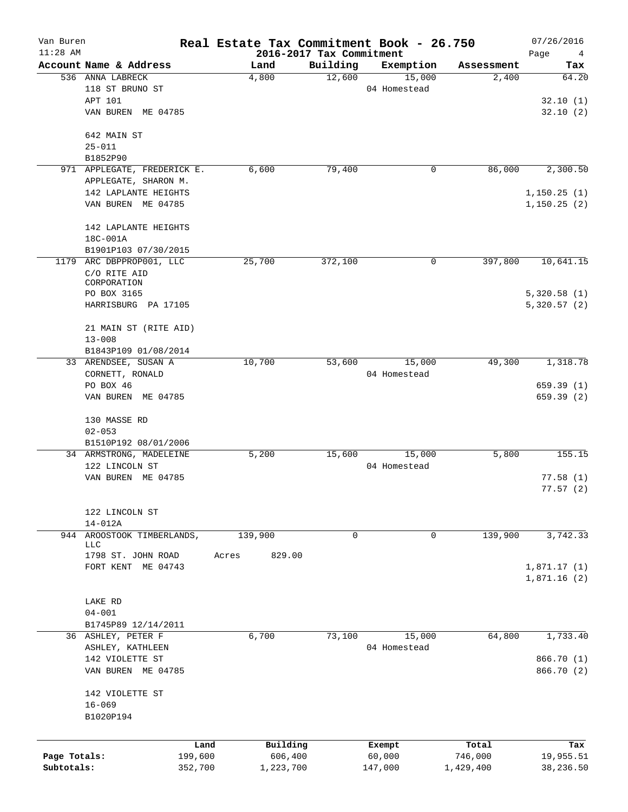| Van Buren<br>$11:28$ AM |                               | Real Estate Tax Commitment Book - 26.750 | 2016-2017 Tax Commitment |              |            | 07/26/2016<br>Page<br>4 |
|-------------------------|-------------------------------|------------------------------------------|--------------------------|--------------|------------|-------------------------|
|                         | Account Name & Address        | Land                                     | Building                 | Exemption    | Assessment | Tax                     |
|                         | 536 ANNA LABRECK              | 4,800                                    | 12,600                   | 15,000       | 2,400      | 64.20                   |
|                         | 118 ST BRUNO ST               |                                          |                          | 04 Homestead |            |                         |
|                         | APT 101                       |                                          |                          |              |            | 32.10(1)                |
|                         | VAN BUREN ME 04785            |                                          |                          |              |            | 32.10(2)                |
|                         | 642 MAIN ST                   |                                          |                          |              |            |                         |
|                         | $25 - 011$                    |                                          |                          |              |            |                         |
|                         | B1852P90                      |                                          |                          |              |            |                         |
|                         | 971 APPLEGATE, FREDERICK E.   | 6,600                                    | 79,400                   | 0            | 86,000     | 2,300.50                |
|                         | APPLEGATE, SHARON M.          |                                          |                          |              |            |                         |
|                         | 142 LAPLANTE HEIGHTS          |                                          |                          |              |            | 1, 150.25(1)            |
|                         | VAN BUREN ME 04785            |                                          |                          |              |            | 1,150.25(2)             |
|                         | 142 LAPLANTE HEIGHTS          |                                          |                          |              |            |                         |
|                         | 18C-001A                      |                                          |                          |              |            |                         |
|                         | B1901P103 07/30/2015          |                                          |                          |              |            |                         |
|                         | 1179 ARC DBPPROP001, LLC      | 25,700                                   | 372,100                  | 0            | 397,800    | 10,641.15               |
|                         | C/O RITE AID                  |                                          |                          |              |            |                         |
|                         | CORPORATION                   |                                          |                          |              |            |                         |
|                         | PO BOX 3165                   |                                          |                          |              |            | 5,320.58(1)             |
|                         | HARRISBURG PA 17105           |                                          |                          |              |            | 5,320.57(2)             |
|                         | 21 MAIN ST (RITE AID)         |                                          |                          |              |            |                         |
|                         | $13 - 008$                    |                                          |                          |              |            |                         |
|                         | B1843P109 01/08/2014          |                                          |                          |              |            |                         |
|                         | 33 ARENDSEE, SUSAN A          | 10,700                                   | 53,600                   | 15,000       | 49,300     | 1,318.78                |
|                         | CORNETT, RONALD               |                                          |                          | 04 Homestead |            |                         |
|                         | PO BOX 46                     |                                          |                          |              |            | 659.39(1)               |
|                         | VAN BUREN ME 04785            |                                          |                          |              |            | 659.39(2)               |
|                         | 130 MASSE RD                  |                                          |                          |              |            |                         |
|                         | $02 - 053$                    |                                          |                          |              |            |                         |
|                         | B1510P192 08/01/2006          |                                          |                          |              |            |                         |
|                         | 34 ARMSTRONG, MADELEINE       | 5,200                                    | 15,600                   | 15,000       | 5,800      | 155.15                  |
|                         | 122 LINCOLN ST                |                                          |                          | 04 Homestead |            |                         |
|                         | VAN BUREN ME 04785            |                                          |                          |              |            | 77.58(1)                |
|                         |                               |                                          |                          |              |            | 77.57(2)                |
|                         | 122 LINCOLN ST                |                                          |                          |              |            |                         |
|                         | 14-012A                       |                                          |                          |              |            |                         |
| 944                     | AROOSTOOK TIMBERLANDS,<br>LLC | 139,900                                  | 0                        | 0            | 139,900    | 3,742.33                |
|                         | 1798 ST. JOHN ROAD            | 829.00<br>Acres                          |                          |              |            |                         |
|                         | FORT KENT ME 04743            |                                          |                          |              |            | 1,871.17(1)             |
|                         |                               |                                          |                          |              |            | 1,871.16(2)             |
|                         |                               |                                          |                          |              |            |                         |
|                         | LAKE RD                       |                                          |                          |              |            |                         |
|                         | $04 - 001$                    |                                          |                          |              |            |                         |
|                         | B1745P89 12/14/2011           |                                          |                          |              |            |                         |
|                         | 36 ASHLEY, PETER F            | 6,700                                    | 73,100                   | 15,000       | 64,800     | 1,733.40                |
|                         | ASHLEY, KATHLEEN              |                                          |                          | 04 Homestead |            |                         |
|                         | 142 VIOLETTE ST               |                                          |                          |              |            | 866.70 (1)              |
|                         | VAN BUREN ME 04785            |                                          |                          |              |            | 866.70 (2)              |
|                         | 142 VIOLETTE ST               |                                          |                          |              |            |                         |
|                         | $16 - 069$                    |                                          |                          |              |            |                         |
|                         | B1020P194                     |                                          |                          |              |            |                         |
|                         |                               |                                          |                          |              |            |                         |
|                         | Land                          | Building                                 |                          | Exempt       | Total      | Tax                     |
| Page Totals:            | 199,600                       | 606,400                                  |                          | 60,000       | 746,000    | 19,955.51               |
| Subtotals:              | 352,700                       | 1,223,700                                |                          | 147,000      | 1,429,400  | 38,236.50               |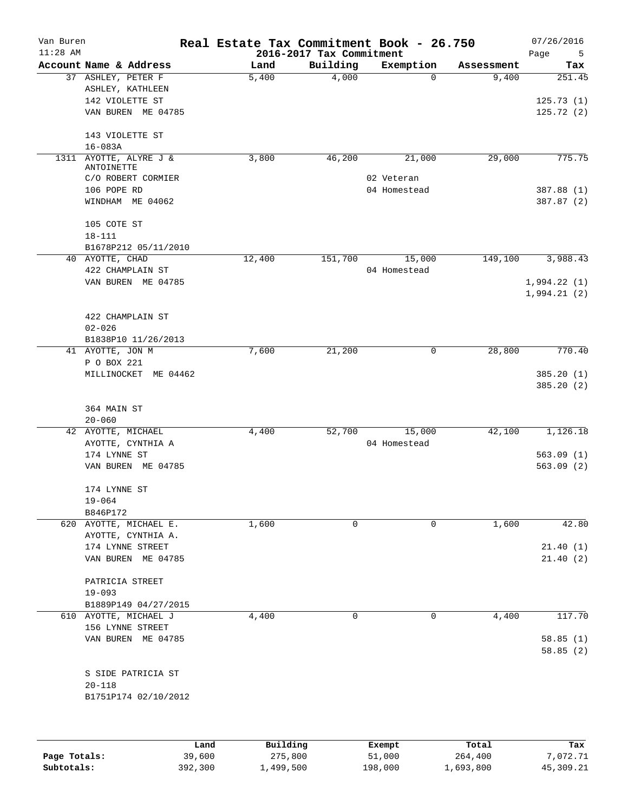| Van Buren<br>$11:28$ AM |                        | Real Estate Tax Commitment Book - 26.750 | 2016-2017 Tax Commitment |              |            | 07/26/2016<br>Page<br>5    |
|-------------------------|------------------------|------------------------------------------|--------------------------|--------------|------------|----------------------------|
|                         | Account Name & Address | Land                                     | Building                 | Exemption    | Assessment | Tax                        |
|                         | 37 ASHLEY, PETER F     | 5,400                                    | 4,000                    | $\mathbf 0$  | 9,400      | 251.45                     |
|                         | ASHLEY, KATHLEEN       |                                          |                          |              |            |                            |
|                         | 142 VIOLETTE ST        |                                          |                          |              |            | 125.73(1)                  |
|                         | VAN BUREN ME 04785     |                                          |                          |              |            | 125.72(2)                  |
|                         | 143 VIOLETTE ST        |                                          |                          |              |            |                            |
|                         | $16 - 083A$            |                                          |                          |              |            |                            |
| 1311                    | AYOTTE, ALYRE J &      | 3,800                                    | 46,200                   | 21,000       | 29,000     | 775.75                     |
|                         | ANTOINETTE             |                                          |                          |              |            |                            |
|                         | C/O ROBERT CORMIER     |                                          |                          | 02 Veteran   |            |                            |
|                         | 106 POPE RD            |                                          |                          | 04 Homestead |            | 387.88 (1)                 |
|                         | WINDHAM ME 04062       |                                          |                          |              |            | 387.87 (2)                 |
|                         | 105 COTE ST            |                                          |                          |              |            |                            |
|                         | $18 - 111$             |                                          |                          |              |            |                            |
|                         | B1678P212 05/11/2010   |                                          |                          |              |            |                            |
|                         | 40 AYOTTE, CHAD        | 12,400                                   | 151,700                  | 15,000       | 149,100    | 3,988.43                   |
|                         | 422 CHAMPLAIN ST       |                                          |                          | 04 Homestead |            |                            |
|                         | VAN BUREN ME 04785     |                                          |                          |              |            | 1,994.22(1)<br>1,994.21(2) |
|                         | 422 CHAMPLAIN ST       |                                          |                          |              |            |                            |
|                         | $02 - 026$             |                                          |                          |              |            |                            |
|                         | B1838P10 11/26/2013    |                                          |                          |              |            |                            |
|                         | 41 AYOTTE, JON M       | 7,600                                    | 21,200                   | 0            | 28,800     | 770.40                     |
|                         | P O BOX 221            |                                          |                          |              |            |                            |
|                         | MILLINOCKET ME 04462   |                                          |                          |              |            | 385.20(1)                  |
|                         |                        |                                          |                          |              |            | 385.20(2)                  |
|                         | 364 MAIN ST            |                                          |                          |              |            |                            |
|                         | $20 - 060$             |                                          |                          |              |            |                            |
|                         | 42 AYOTTE, MICHAEL     | 4,400                                    | 52,700                   | 15,000       | 42,100     | 1,126.18                   |
|                         | AYOTTE, CYNTHIA A      |                                          |                          | 04 Homestead |            |                            |
|                         | 174 LYNNE ST           |                                          |                          |              |            | 563.09(1)                  |
|                         | VAN BUREN ME 04785     |                                          |                          |              |            | 563.09(2)                  |
|                         | 174 LYNNE ST           |                                          |                          |              |            |                            |
|                         | $19 - 064$             |                                          |                          |              |            |                            |
|                         | B846P172               |                                          |                          |              |            |                            |
|                         | 620 AYOTTE, MICHAEL E. | 1,600                                    | 0                        | 0            | 1,600      | 42.80                      |
|                         | AYOTTE, CYNTHIA A.     |                                          |                          |              |            |                            |
|                         | 174 LYNNE STREET       |                                          |                          |              |            | 21.40(1)                   |
|                         | VAN BUREN ME 04785     |                                          |                          |              |            | 21.40(2)                   |
|                         | PATRICIA STREET        |                                          |                          |              |            |                            |
|                         | $19 - 093$             |                                          |                          |              |            |                            |
|                         | B1889P149 04/27/2015   |                                          |                          |              |            |                            |
|                         | 610 AYOTTE, MICHAEL J  | 4,400                                    | 0                        | 0            | 4,400      | 117.70                     |
|                         | 156 LYNNE STREET       |                                          |                          |              |            |                            |
|                         | VAN BUREN ME 04785     |                                          |                          |              |            | 58.85(1)<br>58.85(2)       |
|                         | S SIDE PATRICIA ST     |                                          |                          |              |            |                            |
|                         | $20 - 118$             |                                          |                          |              |            |                            |
|                         | B1751P174 02/10/2012   |                                          |                          |              |            |                            |
|                         |                        |                                          |                          |              |            |                            |
|                         |                        |                                          |                          |              |            |                            |

|              | Land    | Building  | Exempt  | Total     | Tax       |
|--------------|---------|-----------|---------|-----------|-----------|
| Page Totals: | 39,600  | 275,800   | 51,000  | 264,400   | 7,072.71  |
| Subtotals:   | 392,300 | 1,499,500 | 198,000 | 1,693,800 | 45,309.21 |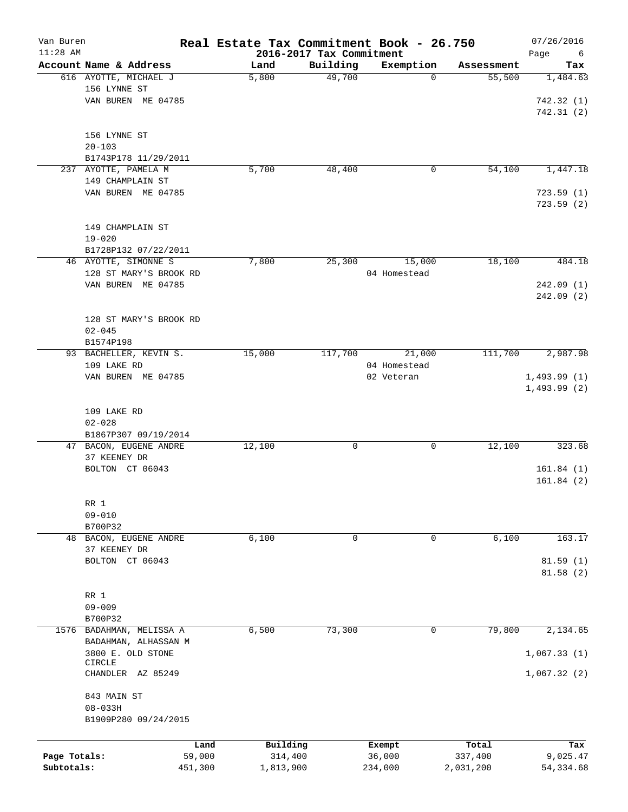| Van Buren<br>$11:28$ AM |                        | Real Estate Tax Commitment Book - 26.750 |                                      |              |                      | 07/26/2016       |
|-------------------------|------------------------|------------------------------------------|--------------------------------------|--------------|----------------------|------------------|
|                         | Account Name & Address |                                          | 2016-2017 Tax Commitment<br>Building | Exemption    |                      | Page<br>6<br>Tax |
|                         | 616 AYOTTE, MICHAEL J  | Land<br>5,800                            | 49,700                               | $\mathbf 0$  | Assessment<br>55,500 | 1,484.63         |
|                         | 156 LYNNE ST           |                                          |                                      |              |                      |                  |
|                         |                        |                                          |                                      |              |                      |                  |
|                         | VAN BUREN ME 04785     |                                          |                                      |              |                      | 742.32(1)        |
|                         |                        |                                          |                                      |              |                      | 742.31(2)        |
|                         |                        |                                          |                                      |              |                      |                  |
|                         | 156 LYNNE ST           |                                          |                                      |              |                      |                  |
|                         | $20 - 103$             |                                          |                                      |              |                      |                  |
|                         | B1743P178 11/29/2011   |                                          |                                      |              |                      |                  |
|                         | 237 AYOTTE, PAMELA M   | 5,700                                    | 48,400                               | 0            | 54,100               | 1,447.18         |
|                         | 149 CHAMPLAIN ST       |                                          |                                      |              |                      |                  |
|                         | VAN BUREN ME 04785     |                                          |                                      |              |                      | 723.59(1)        |
|                         |                        |                                          |                                      |              |                      | 723.59(2)        |
|                         |                        |                                          |                                      |              |                      |                  |
|                         | 149 CHAMPLAIN ST       |                                          |                                      |              |                      |                  |
|                         | $19 - 020$             |                                          |                                      |              |                      |                  |
|                         | B1728P132 07/22/2011   |                                          |                                      |              |                      |                  |
|                         | 46 AYOTTE, SIMONNE S   | 7,800                                    | 25,300                               | 15,000       | 18,100               | 484.18           |
|                         | 128 ST MARY'S BROOK RD |                                          |                                      | 04 Homestead |                      |                  |
|                         | VAN BUREN ME 04785     |                                          |                                      |              |                      | 242.09 (1)       |
|                         |                        |                                          |                                      |              |                      | 242.09 (2)       |
|                         |                        |                                          |                                      |              |                      |                  |
|                         | 128 ST MARY'S BROOK RD |                                          |                                      |              |                      |                  |
|                         | $02 - 045$             |                                          |                                      |              |                      |                  |
|                         | B1574P198              |                                          |                                      |              |                      |                  |
|                         | 93 BACHELLER, KEVIN S. | 15,000                                   | 117,700                              | 21,000       | 111,700              | 2,987.98         |
|                         | 109 LAKE RD            |                                          |                                      | 04 Homestead |                      |                  |
|                         | VAN BUREN ME 04785     |                                          |                                      | 02 Veteran   |                      | 1,493.99(1)      |
|                         |                        |                                          |                                      |              |                      | 1,493.99(2)      |
|                         |                        |                                          |                                      |              |                      |                  |
|                         | 109 LAKE RD            |                                          |                                      |              |                      |                  |
|                         | $02 - 028$             |                                          |                                      |              |                      |                  |
|                         | B1867P307 09/19/2014   |                                          |                                      |              |                      |                  |
|                         | 47 BACON, EUGENE ANDRE | 12,100                                   | 0                                    | 0            | 12,100               | 323.68           |
|                         | 37 KEENEY DR           |                                          |                                      |              |                      |                  |
|                         | BOLTON CT 06043        |                                          |                                      |              |                      | 161.84(1)        |
|                         |                        |                                          |                                      |              |                      | 161.84(2)        |
|                         |                        |                                          |                                      |              |                      |                  |
|                         | RR 1                   |                                          |                                      |              |                      |                  |
|                         | $09 - 010$             |                                          |                                      |              |                      |                  |
|                         | B700P32                |                                          |                                      |              |                      |                  |
|                         | 48 BACON, EUGENE ANDRE | 6,100                                    | 0                                    | 0            | 6,100                | 163.17           |
|                         | 37 KEENEY DR           |                                          |                                      |              |                      |                  |
|                         | BOLTON CT 06043        |                                          |                                      |              |                      | 81.59(1)         |
|                         |                        |                                          |                                      |              |                      | 81.58(2)         |
|                         |                        |                                          |                                      |              |                      |                  |
|                         | RR 1                   |                                          |                                      |              |                      |                  |
|                         | $09 - 009$             |                                          |                                      |              |                      |                  |
|                         | B700P32                |                                          |                                      |              |                      |                  |
| 1576                    | BADAHMAN, MELISSA A    | 6,500                                    | 73,300                               | 0            | 79,800               | 2,134.65         |
|                         | BADAHMAN, ALHASSAN M   |                                          |                                      |              |                      |                  |
|                         | 3800 E. OLD STONE      |                                          |                                      |              |                      | 1,067.33(1)      |
|                         | <b>CIRCLE</b>          |                                          |                                      |              |                      |                  |
|                         | CHANDLER AZ 85249      |                                          |                                      |              |                      | 1,067.32(2)      |
|                         |                        |                                          |                                      |              |                      |                  |
|                         | 843 MAIN ST            |                                          |                                      |              |                      |                  |
|                         | $08 - 033H$            |                                          |                                      |              |                      |                  |
|                         | B1909P280 09/24/2015   |                                          |                                      |              |                      |                  |
|                         |                        |                                          |                                      |              |                      |                  |
|                         |                        | Building<br>Land                         |                                      | Exempt       | Total                | Tax              |
| Page Totals:            | 59,000                 | 314,400                                  |                                      | 36,000       | 337,400              | 9,025.47         |
| Subtotals:              | 451,300                | 1,813,900                                |                                      | 234,000      | 2,031,200            | 54, 334.68       |
|                         |                        |                                          |                                      |              |                      |                  |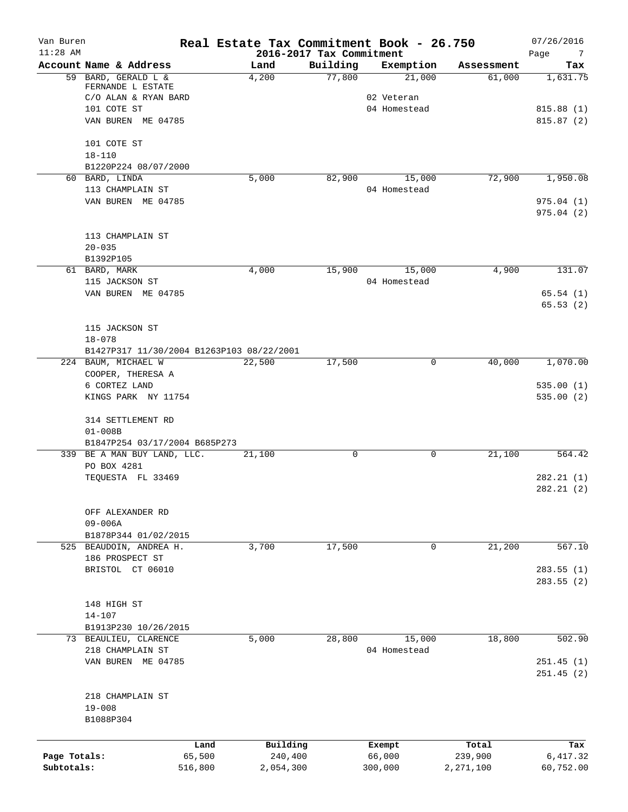| Van Buren<br>$11:28$ AM |                                                                  | Real Estate Tax Commitment Book - 26.750<br>2016-2017 Tax Commitment |          |                        |             | 07/26/2016<br>Page<br>$\overline{7}$ |
|-------------------------|------------------------------------------------------------------|----------------------------------------------------------------------|----------|------------------------|-------------|--------------------------------------|
|                         | Account Name & Address                                           | Land                                                                 | Building | Exemption              | Assessment  | Tax                                  |
|                         | 59 BARD, GERALD L &<br>FERNANDE L ESTATE<br>C/O ALAN & RYAN BARD | 4,200                                                                | 77,800   | 21,000<br>02 Veteran   | 61,000      | 1,631.75                             |
|                         | 101 COTE ST<br>VAN BUREN ME 04785                                |                                                                      |          | 04 Homestead           |             | 815.88(1)<br>815.87(2)               |
|                         | 101 COTE ST                                                      |                                                                      |          |                        |             |                                      |
|                         | $18 - 110$<br>B1220P224 08/07/2000                               |                                                                      |          |                        |             |                                      |
|                         | 60 BARD, LINDA                                                   | 5,000                                                                | 82,900   | 15,000                 | 72,900      | 1,950.08                             |
|                         | 113 CHAMPLAIN ST                                                 |                                                                      |          | 04 Homestead           |             |                                      |
|                         | VAN BUREN ME 04785                                               |                                                                      |          |                        |             | 975.04(1)<br>975.04(2)               |
|                         | 113 CHAMPLAIN ST                                                 |                                                                      |          |                        |             |                                      |
|                         | $20 - 035$                                                       |                                                                      |          |                        |             |                                      |
|                         | B1392P105                                                        |                                                                      |          |                        |             |                                      |
|                         | 61 BARD, MARK<br>115 JACKSON ST                                  | 4,000                                                                | 15,900   | 15,000<br>04 Homestead | 4,900       | 131.07                               |
|                         | VAN BUREN ME 04785                                               |                                                                      |          |                        |             | 65.54(1)                             |
|                         |                                                                  |                                                                      |          |                        |             | 65.53(2)                             |
|                         | 115 JACKSON ST                                                   |                                                                      |          |                        |             |                                      |
|                         | $18 - 078$                                                       |                                                                      |          |                        |             |                                      |
|                         | B1427P317 11/30/2004 B1263P103 08/22/2001                        |                                                                      |          |                        |             |                                      |
|                         | 224 BAUM, MICHAEL W<br>COOPER, THERESA A                         | 22,500                                                               | 17,500   | 0                      | 40,000      | 1,070.00                             |
|                         | 6 CORTEZ LAND                                                    |                                                                      |          |                        |             | 535.00(1)                            |
|                         | KINGS PARK NY 11754                                              |                                                                      |          |                        |             | 535.00(2)                            |
|                         | 314 SETTLEMENT RD<br>$01 - 008B$                                 |                                                                      |          |                        |             |                                      |
|                         | B1847P254 03/17/2004 B685P273                                    |                                                                      |          |                        |             |                                      |
|                         | 339 BE A MAN BUY LAND, LLC.<br>PO BOX 4281                       | 21,100                                                               | 0        | 0                      | 21,100      | 564.42                               |
|                         | TEQUESTA FL 33469                                                |                                                                      |          |                        |             | 282.21(1)<br>282.21(2)               |
|                         | OFF ALEXANDER RD                                                 |                                                                      |          |                        |             |                                      |
|                         | $09 - 006A$<br>B1878P344 01/02/2015                              |                                                                      |          |                        |             |                                      |
|                         | 525 BEAUDOIN, ANDREA H.                                          | 3,700                                                                | 17,500   | 0                      | 21,200      | 567.10                               |
|                         | 186 PROSPECT ST                                                  |                                                                      |          |                        |             |                                      |
|                         | BRISTOL CT 06010                                                 |                                                                      |          |                        |             | 283.55(1)                            |
|                         |                                                                  |                                                                      |          |                        |             | 283.55 (2)                           |
|                         | 148 HIGH ST                                                      |                                                                      |          |                        |             |                                      |
|                         | $14 - 107$                                                       |                                                                      |          |                        |             |                                      |
|                         | B1913P230 10/26/2015                                             |                                                                      |          |                        |             |                                      |
|                         | 73 BEAULIEU, CLARENCE                                            | 5,000                                                                | 28,800   | 15,000                 | 18,800      | 502.90                               |
|                         | 218 CHAMPLAIN ST                                                 |                                                                      |          | 04 Homestead           |             |                                      |
|                         | VAN BUREN ME 04785                                               |                                                                      |          |                        |             | 251.45(1)<br>251.45(2)               |
|                         | 218 CHAMPLAIN ST                                                 |                                                                      |          |                        |             |                                      |
|                         | $19 - 008$<br>B1088P304                                          |                                                                      |          |                        |             |                                      |
|                         | Land                                                             | Building                                                             |          | Exempt                 | Total       | Tax                                  |
| Page Totals:            | 65,500                                                           | 240,400                                                              |          | 66,000                 | 239,900     | 6,417.32                             |
| Subtotals:              | 516,800                                                          | 2,054,300                                                            |          | 300,000                | 2, 271, 100 | 60,752.00                            |
|                         |                                                                  |                                                                      |          |                        |             |                                      |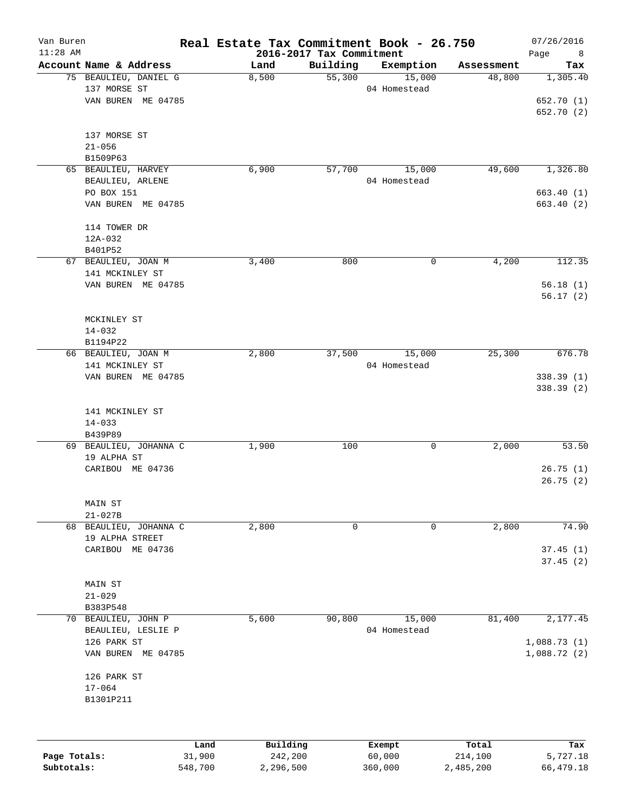| Van Buren<br>$11:28$ AM |                        | Real Estate Tax Commitment Book - 26.750 | 2016-2017 Tax Commitment |              |            | 07/26/2016<br>Page<br>8 |
|-------------------------|------------------------|------------------------------------------|--------------------------|--------------|------------|-------------------------|
|                         | Account Name & Address | Land                                     | Building                 | Exemption    | Assessment | Tax                     |
|                         | 75 BEAULIEU, DANIEL G  | 8,500                                    | 55,300                   | 15,000       | 48,800     | 1,305.40                |
|                         | 137 MORSE ST           |                                          |                          | 04 Homestead |            |                         |
|                         | VAN BUREN ME 04785     |                                          |                          |              |            | 652.70 (1)              |
|                         |                        |                                          |                          |              |            | 652.70 (2)              |
|                         | 137 MORSE ST           |                                          |                          |              |            |                         |
|                         | $21 - 056$             |                                          |                          |              |            |                         |
|                         | B1509P63               |                                          |                          |              |            |                         |
|                         | 65 BEAULIEU, HARVEY    | 6,900                                    | 57,700                   | 15,000       | 49,600     | 1,326.80                |
|                         | BEAULIEU, ARLENE       |                                          |                          | 04 Homestead |            |                         |
|                         | PO BOX 151             |                                          |                          |              |            | 663.40(1)               |
|                         | VAN BUREN ME 04785     |                                          |                          |              |            | 663.40 (2)              |
|                         | 114 TOWER DR           |                                          |                          |              |            |                         |
|                         | 12A-032                |                                          |                          |              |            |                         |
|                         | B401P52                |                                          |                          |              |            |                         |
|                         | 67 BEAULIEU, JOAN M    | 3,400                                    | 800                      | 0            | 4,200      | 112.35                  |
|                         | 141 MCKINLEY ST        |                                          |                          |              |            |                         |
|                         | VAN BUREN ME 04785     |                                          |                          |              |            | 56.18(1)                |
|                         |                        |                                          |                          |              |            | 56.17(2)                |
|                         | MCKINLEY ST            |                                          |                          |              |            |                         |
|                         | $14 - 032$             |                                          |                          |              |            |                         |
|                         | B1194P22               |                                          |                          |              |            |                         |
|                         | 66 BEAULIEU, JOAN M    | 2,800                                    | 37,500                   | 15,000       | 25,300     | 676.78                  |
|                         | 141 MCKINLEY ST        |                                          |                          | 04 Homestead |            |                         |
|                         | VAN BUREN ME 04785     |                                          |                          |              |            | 338.39(1)               |
|                         |                        |                                          |                          |              |            | 338.39 (2)              |
|                         | 141 MCKINLEY ST        |                                          |                          |              |            |                         |
|                         | $14 - 033$             |                                          |                          |              |            |                         |
|                         | B439P89                |                                          |                          |              |            |                         |
|                         | 69 BEAULIEU, JOHANNA C | 1,900                                    | 100                      | 0            | 2,000      | 53.50                   |
|                         | 19 ALPHA ST            |                                          |                          |              |            |                         |
|                         | CARIBOU ME 04736       |                                          |                          |              |            | 26.75(1)                |
|                         |                        |                                          |                          |              |            | 26.75(2)                |
|                         | MAIN ST                |                                          |                          |              |            |                         |
|                         | $21 - 027B$            |                                          |                          |              |            |                         |
|                         | 68 BEAULIEU, JOHANNA C | 2,800                                    | 0                        | 0            | 2,800      | 74.90                   |
|                         | 19 ALPHA STREET        |                                          |                          |              |            |                         |
|                         | CARIBOU ME 04736       |                                          |                          |              |            | 37.45(1)                |
|                         |                        |                                          |                          |              |            | 37.45(2)                |
|                         | MAIN ST                |                                          |                          |              |            |                         |
|                         | $21 - 029$             |                                          |                          |              |            |                         |
|                         | B383P548               |                                          |                          |              |            |                         |
| 70                      | BEAULIEU, JOHN P       | 5,600                                    | 90,800                   | 15,000       | 81,400     | 2,177.45                |
|                         | BEAULIEU, LESLIE P     |                                          |                          | 04 Homestead |            |                         |
|                         | 126 PARK ST            |                                          |                          |              |            | 1,088.73(1)             |
|                         | VAN BUREN ME 04785     |                                          |                          |              |            | 1,088.72(2)             |
|                         | 126 PARK ST            |                                          |                          |              |            |                         |
|                         | $17 - 064$             |                                          |                          |              |            |                         |
|                         | B1301P211              |                                          |                          |              |            |                         |
|                         |                        |                                          |                          |              |            |                         |
|                         |                        |                                          |                          |              |            |                         |
|                         |                        | Building<br>Land                         |                          | Exempt       | Total      | Tax                     |
| Page Totals:            | 31,900                 | 242,200                                  |                          | 60,000       | 214,100    | 5,727.18                |

**Subtotals:** 548,700 2,296,500 360,000 2,485,200 66,479.18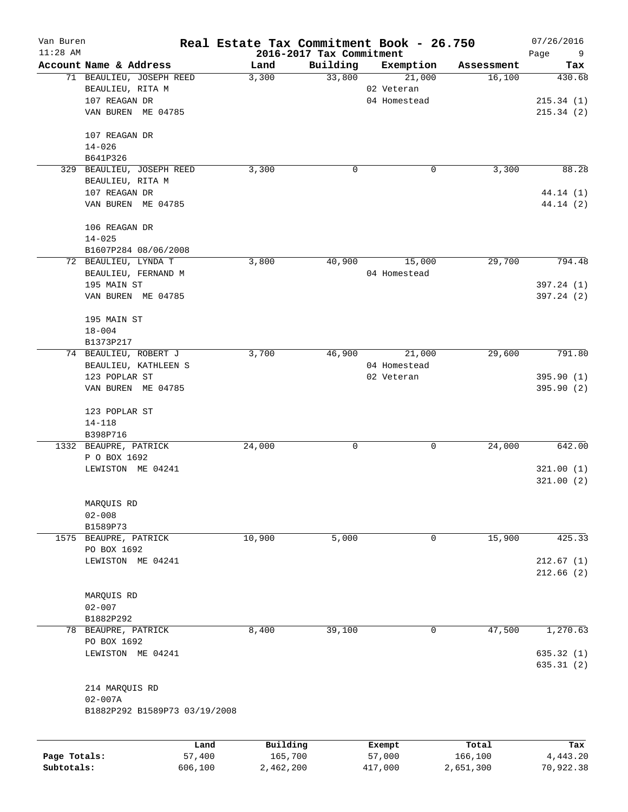| Van Buren    |                               | Real Estate Tax Commitment Book - 26.750 |                          |              |            | 07/26/2016              |
|--------------|-------------------------------|------------------------------------------|--------------------------|--------------|------------|-------------------------|
| $11:28$ AM   |                               |                                          | 2016-2017 Tax Commitment |              |            | Page<br>9               |
|              | Account Name & Address        | Land                                     | Building                 | Exemption    | Assessment | Tax                     |
|              | 71 BEAULIEU, JOSEPH REED      | 3,300                                    | 33,800                   | 21,000       | 16,100     | 430.68                  |
|              | BEAULIEU, RITA M              |                                          |                          | 02 Veteran   |            |                         |
|              | 107 REAGAN DR                 |                                          |                          | 04 Homestead |            | 215.34(1)               |
|              | VAN BUREN ME 04785            |                                          |                          |              |            | 215.34(2)               |
|              |                               |                                          |                          |              |            |                         |
|              | 107 REAGAN DR                 |                                          |                          |              |            |                         |
|              | $14 - 026$                    |                                          |                          |              |            |                         |
|              | B641P326                      |                                          |                          |              |            |                         |
| 329          | BEAULIEU, JOSEPH REED         | 3,300                                    | 0                        | 0            | 3,300      | 88.28                   |
|              | BEAULIEU, RITA M              |                                          |                          |              |            |                         |
|              | 107 REAGAN DR                 |                                          |                          |              |            | 44.14 (1)               |
|              | VAN BUREN ME 04785            |                                          |                          |              |            | 44.14 (2)               |
|              |                               |                                          |                          |              |            |                         |
|              | 106 REAGAN DR                 |                                          |                          |              |            |                         |
|              | $14 - 025$                    |                                          |                          |              |            |                         |
|              | B1607P284 08/06/2008          |                                          |                          |              |            |                         |
|              | 72 BEAULIEU, LYNDA T          | 3,800                                    | 40,900                   | 15,000       | 29,700     | 794.48                  |
|              | BEAULIEU, FERNAND M           |                                          |                          | 04 Homestead |            |                         |
|              | 195 MAIN ST                   |                                          |                          |              |            | 397.24(1)               |
|              | VAN BUREN ME 04785            |                                          |                          |              |            | 397.24(2)               |
|              |                               |                                          |                          |              |            |                         |
|              | 195 MAIN ST                   |                                          |                          |              |            |                         |
|              | $18 - 004$                    |                                          |                          |              |            |                         |
|              | B1373P217                     |                                          |                          |              |            |                         |
|              | 74 BEAULIEU, ROBERT J         | 3,700                                    | 46,900                   | 21,000       | 29,600     | 791.80                  |
|              | BEAULIEU, KATHLEEN S          |                                          |                          | 04 Homestead |            |                         |
|              | 123 POPLAR ST                 |                                          |                          | 02 Veteran   |            | 395.90(1)               |
|              | VAN BUREN ME 04785            |                                          |                          |              |            | 395.90(2)               |
|              |                               |                                          |                          |              |            |                         |
|              | 123 POPLAR ST                 |                                          |                          |              |            |                         |
|              | $14 - 118$                    |                                          |                          |              |            |                         |
|              | B398P716                      |                                          |                          |              |            |                         |
|              | 1332 BEAUPRE, PATRICK         | 24,000                                   | 0                        | 0            | 24,000     | 642.00                  |
|              | P O BOX 1692                  |                                          |                          |              |            |                         |
|              | LEWISTON ME 04241             |                                          |                          |              |            | 321.00(1)               |
|              |                               |                                          |                          |              |            | 321.00(2)               |
|              |                               |                                          |                          |              |            |                         |
|              | MARQUIS RD                    |                                          |                          |              |            |                         |
|              | $02 - 008$                    |                                          |                          |              |            |                         |
|              | B1589P73                      |                                          |                          |              |            |                         |
| 1575         | BEAUPRE, PATRICK              | 10,900                                   | 5,000                    | $\mathsf{O}$ | 15,900     | 425.33                  |
|              | PO BOX 1692                   |                                          |                          |              |            |                         |
|              | LEWISTON ME 04241             |                                          |                          |              |            | 212.67(1)               |
|              |                               |                                          |                          |              |            | 212.66(2)               |
|              |                               |                                          |                          |              |            |                         |
|              | MARQUIS RD                    |                                          |                          |              |            |                         |
|              | $02 - 007$                    |                                          |                          |              |            |                         |
|              | B1882P292                     |                                          |                          |              |            |                         |
|              | 78 BEAUPRE, PATRICK           | 8,400                                    | 39,100                   | $\mathbf 0$  | 47,500     | 1,270.63                |
|              |                               |                                          |                          |              |            |                         |
|              | PO BOX 1692                   |                                          |                          |              |            |                         |
|              | LEWISTON ME 04241             |                                          |                          |              |            | 635.32 (1)<br>635.31(2) |
|              |                               |                                          |                          |              |            |                         |
|              | 214 MARQUIS RD                |                                          |                          |              |            |                         |
|              | $02 - 007A$                   |                                          |                          |              |            |                         |
|              | B1882P292 B1589P73 03/19/2008 |                                          |                          |              |            |                         |
|              |                               |                                          |                          |              |            |                         |
|              | Land                          | Building                                 |                          | Exempt       | Total      | Tax                     |
| Page Totals: | 57,400                        | 165,700                                  |                          | 57,000       | 166,100    | 4,443.20                |
| Subtotals:   | 606,100                       | 2,462,200                                |                          | 417,000      | 2,651,300  | 70,922.38               |
|              |                               |                                          |                          |              |            |                         |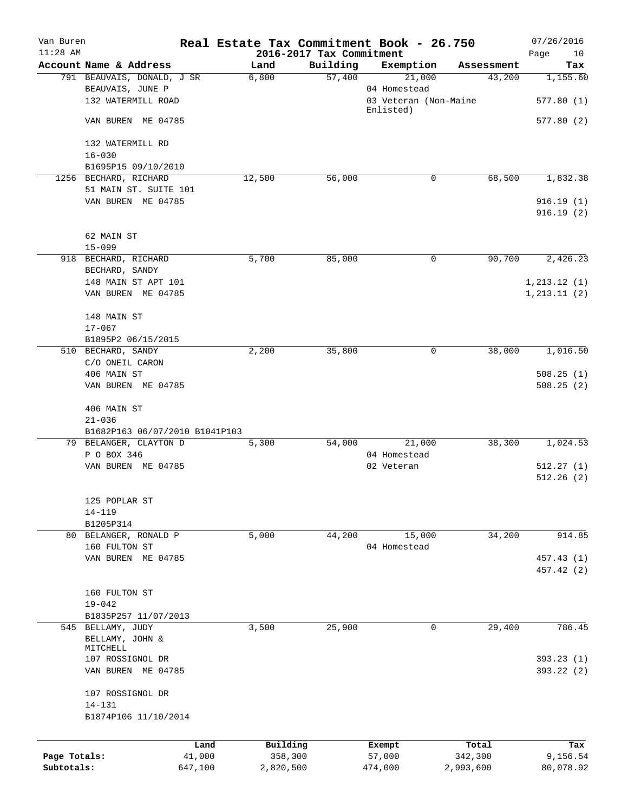| Van Buren<br>$11:28$ AM |                                                                      | Real Estate Tax Commitment Book - 26.750 | 2016-2017 Tax Commitment |                                                 |            | 07/26/2016<br>10<br>Page |
|-------------------------|----------------------------------------------------------------------|------------------------------------------|--------------------------|-------------------------------------------------|------------|--------------------------|
|                         | Account Name & Address                                               | Land                                     | Building                 | Exemption                                       | Assessment | Tax                      |
|                         | 791 BEAUVAIS, DONALD, J SR<br>BEAUVAIS, JUNE P<br>132 WATERMILL ROAD | 6,800                                    | 57,400                   | 21,000<br>04 Homestead<br>03 Veteran (Non-Maine | 43,200     | 1,155.60<br>577.80(1)    |
|                         |                                                                      |                                          |                          | Enlisted)                                       |            |                          |
|                         | VAN BUREN ME 04785                                                   |                                          |                          |                                                 |            | 577.80(2)                |
|                         | 132 WATERMILL RD                                                     |                                          |                          |                                                 |            |                          |
|                         | $16 - 030$<br>B1695P15 09/10/2010                                    |                                          |                          |                                                 |            |                          |
|                         | 1256 BECHARD, RICHARD                                                | 12,500                                   | 56,000                   | 0                                               | 68,500     | 1,832.38                 |
|                         | 51 MAIN ST. SUITE 101                                                |                                          |                          |                                                 |            |                          |
|                         | VAN BUREN ME 04785                                                   |                                          |                          |                                                 |            | 916.19(1)<br>916.19(2)   |
|                         | 62 MAIN ST                                                           |                                          |                          |                                                 |            |                          |
|                         | $15 - 099$                                                           |                                          |                          |                                                 |            |                          |
|                         | 918 BECHARD, RICHARD                                                 | 5,700                                    | 85,000                   | 0                                               | 90,700     | 2,426.23                 |
|                         | BECHARD, SANDY<br>148 MAIN ST APT 101                                |                                          |                          |                                                 |            | 1, 213.12(1)             |
|                         | VAN BUREN ME 04785                                                   |                                          |                          |                                                 |            | 1, 213.11(2)             |
|                         | 148 MAIN ST                                                          |                                          |                          |                                                 |            |                          |
|                         | $17 - 067$                                                           |                                          |                          |                                                 |            |                          |
|                         | B1895P2 06/15/2015                                                   |                                          |                          |                                                 |            |                          |
|                         | 510 BECHARD, SANDY                                                   | 2,200                                    | 35,800                   | 0                                               | 38,000     | 1,016.50                 |
|                         | C/O ONEIL CARON                                                      |                                          |                          |                                                 |            |                          |
|                         | 406 MAIN ST                                                          |                                          |                          |                                                 |            | 508.25(1)                |
|                         | VAN BUREN ME 04785                                                   |                                          |                          |                                                 |            | 508.25(2)                |
|                         | 406 MAIN ST                                                          |                                          |                          |                                                 |            |                          |
|                         | $21 - 036$                                                           |                                          |                          |                                                 |            |                          |
|                         | B1682P163 06/07/2010 B1041P103<br>79 BELANGER, CLAYTON D             | 5,300                                    | 54,000                   | 21,000                                          | 38,300     | 1,024.53                 |
|                         | P O BOX 346                                                          |                                          |                          | 04 Homestead                                    |            |                          |
|                         | VAN BUREN ME 04785                                                   |                                          |                          | 02 Veteran                                      |            | 512.27(1)                |
|                         |                                                                      |                                          |                          |                                                 |            | 512.26(2)                |
|                         | 125 POPLAR ST                                                        |                                          |                          |                                                 |            |                          |
|                         | $14 - 119$                                                           |                                          |                          |                                                 |            |                          |
|                         | B1205P314                                                            |                                          |                          |                                                 |            |                          |
|                         | 80 BELANGER, RONALD P                                                | 5,000                                    | 44,200                   | 15,000                                          | 34,200     | 914.85                   |
|                         | 160 FULTON ST<br>VAN BUREN ME 04785                                  |                                          |                          | 04 Homestead                                    |            |                          |
|                         |                                                                      |                                          |                          |                                                 |            | 457.43 (1)<br>457.42 (2) |
|                         | 160 FULTON ST                                                        |                                          |                          |                                                 |            |                          |
|                         | $19 - 042$                                                           |                                          |                          |                                                 |            |                          |
|                         | B1835P257 11/07/2013                                                 |                                          |                          |                                                 |            |                          |
|                         | 545 BELLAMY, JUDY                                                    | 3,500                                    | 25,900                   | 0                                               | 29,400     | 786.45                   |
|                         | BELLAMY, JOHN &                                                      |                                          |                          |                                                 |            |                          |
|                         | MITCHELL<br>107 ROSSIGNOL DR                                         |                                          |                          |                                                 |            | 393.23(1)                |
|                         | VAN BUREN ME 04785                                                   |                                          |                          |                                                 |            | 393.22 (2)               |
|                         | 107 ROSSIGNOL DR                                                     |                                          |                          |                                                 |            |                          |
|                         | $14 - 131$                                                           |                                          |                          |                                                 |            |                          |
|                         | B1874P106 11/10/2014                                                 |                                          |                          |                                                 |            |                          |
|                         |                                                                      | Building<br>Land                         |                          | Exempt                                          | Total      | Tax                      |
| Page Totals:            |                                                                      | 41,000<br>358,300                        |                          | 57,000                                          | 342,300    | 9,156.54                 |
| Subtotals:              | 647,100                                                              | 2,820,500                                |                          | 474,000                                         | 2,993,600  | 80,078.92                |
|                         |                                                                      |                                          |                          |                                                 |            |                          |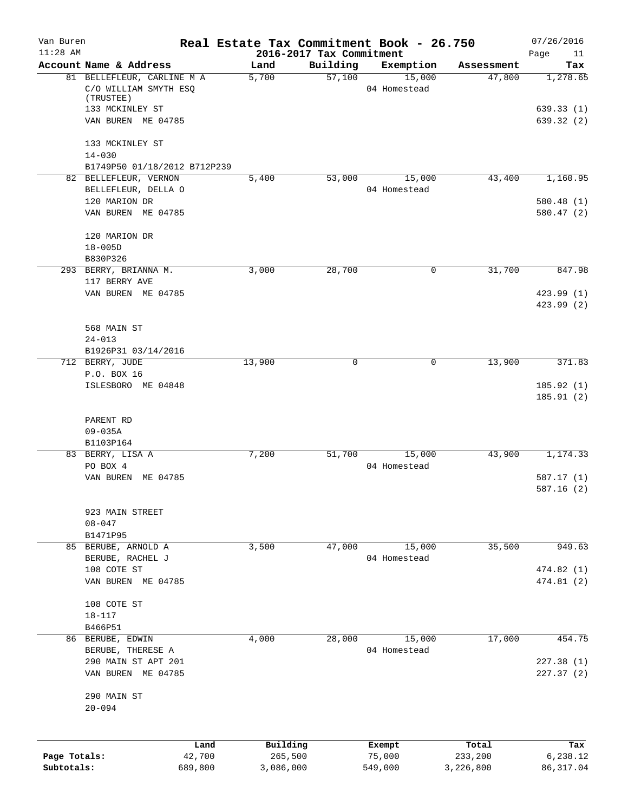| Van Buren<br>$11:28$ AM |                                                                  |         | Real Estate Tax Commitment Book - 26.750<br>2016-2017 Tax Commitment |                     |                        |            | 07/26/2016<br>Page<br>11 |
|-------------------------|------------------------------------------------------------------|---------|----------------------------------------------------------------------|---------------------|------------------------|------------|--------------------------|
|                         | Account Name & Address                                           |         | Land                                                                 | Building            | Exemption              | Assessment | Tax                      |
|                         | 81 BELLEFLEUR, CARLINE M A<br>C/O WILLIAM SMYTH ESQ<br>(TRUSTEE) |         | 5,700                                                                | $\overline{57,100}$ | 15,000<br>04 Homestead | 47,800     | 1,278.65                 |
|                         | 133 MCKINLEY ST<br>VAN BUREN ME 04785                            |         |                                                                      |                     |                        |            | 639.33(1)<br>639.32(2)   |
|                         | 133 MCKINLEY ST                                                  |         |                                                                      |                     |                        |            |                          |
|                         | $14 - 030$<br>B1749P50 01/18/2012 B712P239                       |         |                                                                      |                     |                        |            |                          |
|                         | 82 BELLEFLEUR, VERNON                                            |         | 5,400                                                                | 53,000              | 15,000                 | 43,400     | 1,160.95                 |
|                         | BELLEFLEUR, DELLA O                                              |         |                                                                      |                     | 04 Homestead           |            |                          |
|                         | 120 MARION DR                                                    |         |                                                                      |                     |                        |            | 580.48 (1)               |
|                         | VAN BUREN ME 04785                                               |         |                                                                      |                     |                        |            | 580.47 (2)               |
|                         | 120 MARION DR                                                    |         |                                                                      |                     |                        |            |                          |
|                         | $18 - 005D$                                                      |         |                                                                      |                     |                        |            |                          |
|                         | B830P326                                                         |         |                                                                      |                     |                        |            |                          |
|                         | 293 BERRY, BRIANNA M.<br>117 BERRY AVE                           |         | 3,000                                                                | 28,700              | 0                      | 31,700     | 847.98                   |
|                         | VAN BUREN ME 04785                                               |         |                                                                      |                     |                        |            | 423.99 (1)               |
|                         |                                                                  |         |                                                                      |                     |                        |            | 423.99 (2)               |
|                         | 568 MAIN ST                                                      |         |                                                                      |                     |                        |            |                          |
|                         | $24 - 013$                                                       |         |                                                                      |                     |                        |            |                          |
|                         | B1926P31 03/14/2016                                              |         |                                                                      |                     |                        |            |                          |
|                         | 712 BERRY, JUDE                                                  |         | 13,900                                                               | 0                   | $\mathbf 0$            | 13,900     | 371.83                   |
|                         | P.O. BOX 16                                                      |         |                                                                      |                     |                        |            |                          |
|                         | ISLESBORO ME 04848                                               |         |                                                                      |                     |                        |            | 185.92(1)<br>185.91(2)   |
|                         | PARENT RD                                                        |         |                                                                      |                     |                        |            |                          |
|                         | $09 - 035A$                                                      |         |                                                                      |                     |                        |            |                          |
|                         | B1103P164<br>83 BERRY, LISA A                                    |         | 7,200                                                                | 51,700              | 15,000                 | 43,900     | 1,174.33                 |
|                         | PO BOX 4                                                         |         |                                                                      |                     | 04 Homestead           |            |                          |
|                         | VAN BUREN ME 04785                                               |         |                                                                      |                     |                        |            | 587.17 (1)               |
|                         |                                                                  |         |                                                                      |                     |                        |            | 587.16 (2)               |
|                         | 923 MAIN STREET                                                  |         |                                                                      |                     |                        |            |                          |
|                         | $08 - 047$                                                       |         |                                                                      |                     |                        |            |                          |
|                         | B1471P95                                                         |         |                                                                      |                     |                        |            |                          |
|                         | 85 BERUBE, ARNOLD A<br>BERUBE, RACHEL J                          |         | 3,500                                                                | 47,000              | 15,000<br>04 Homestead | 35,500     | 949.63                   |
|                         | 108 COTE ST                                                      |         |                                                                      |                     |                        |            | 474.82(1)                |
|                         | VAN BUREN ME 04785                                               |         |                                                                      |                     |                        |            | 474.81 (2)               |
|                         |                                                                  |         |                                                                      |                     |                        |            |                          |
|                         | 108 COTE ST<br>$18 - 117$                                        |         |                                                                      |                     |                        |            |                          |
|                         | B466P51                                                          |         |                                                                      |                     |                        |            |                          |
|                         | 86 BERUBE, EDWIN                                                 |         | 4,000                                                                | 28,000              | 15,000                 | 17,000     | 454.75                   |
|                         | BERUBE, THERESE A                                                |         |                                                                      |                     | 04 Homestead           |            |                          |
|                         | 290 MAIN ST APT 201                                              |         |                                                                      |                     |                        |            | 227.38 (1)               |
|                         | VAN BUREN ME 04785                                               |         |                                                                      |                     |                        |            | 227.37(2)                |
|                         | 290 MAIN ST                                                      |         |                                                                      |                     |                        |            |                          |
|                         | $20 - 094$                                                       |         |                                                                      |                     |                        |            |                          |
|                         |                                                                  | Land    | Building                                                             |                     |                        | Total      | Tax                      |
| Page Totals:            |                                                                  | 42,700  | 265,500                                                              |                     | Exempt<br>75,000       | 233,200    | 6,238.12                 |
| Subtotals:              |                                                                  | 689,800 | 3,086,000                                                            |                     | 549,000                | 3,226,800  | 86, 317.04               |
|                         |                                                                  |         |                                                                      |                     |                        |            |                          |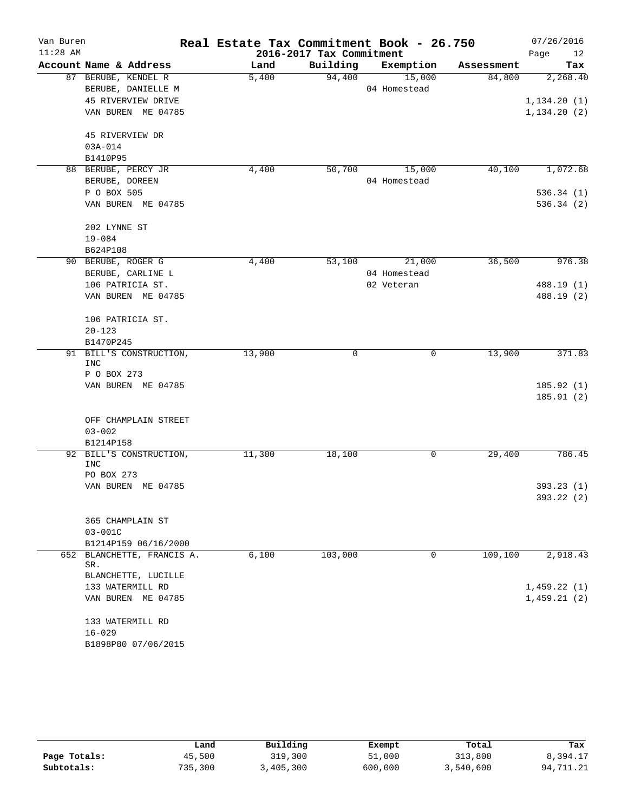| Van Buren  |                                   | Real Estate Tax Commitment Book - 26.750 |                          |              |            | 07/26/2016   |
|------------|-----------------------------------|------------------------------------------|--------------------------|--------------|------------|--------------|
| $11:28$ AM |                                   |                                          | 2016-2017 Tax Commitment |              |            | Page<br>12   |
|            | Account Name & Address            | Land                                     | Building                 | Exemption    | Assessment | Tax          |
|            | 87 BERUBE, KENDEL R               | 5,400                                    | 94,400                   | 15,000       | 84,800     | 2,268.40     |
|            | BERUBE, DANIELLE M                |                                          |                          | 04 Homestead |            |              |
|            | 45 RIVERVIEW DRIVE                |                                          |                          |              |            | 1,134.20(1)  |
|            | VAN BUREN ME 04785                |                                          |                          |              |            | 1, 134.20(2) |
|            | 45 RIVERVIEW DR                   |                                          |                          |              |            |              |
|            | $03A - 014$                       |                                          |                          |              |            |              |
|            | B1410P95                          |                                          |                          |              |            |              |
|            | 88 BERUBE, PERCY JR               | 4,400                                    | 50,700                   | 15,000       | 40,100     | 1,072.68     |
|            | BERUBE, DOREEN                    |                                          |                          | 04 Homestead |            |              |
|            | P O BOX 505                       |                                          |                          |              |            | 536.34 (1)   |
|            | VAN BUREN ME 04785                |                                          |                          |              |            | 536.34(2)    |
|            | 202 LYNNE ST                      |                                          |                          |              |            |              |
|            | $19 - 084$                        |                                          |                          |              |            |              |
|            | B624P108                          |                                          |                          |              |            |              |
|            | 90 BERUBE, ROGER G                | 4,400                                    | 53,100                   | 21,000       | 36,500     | 976.38       |
|            | BERUBE, CARLINE L                 |                                          |                          | 04 Homestead |            |              |
|            | 106 PATRICIA ST.                  |                                          |                          | 02 Veteran   |            | 488.19 (1)   |
|            | VAN BUREN ME 04785                |                                          |                          |              |            | 488.19 (2)   |
|            | 106 PATRICIA ST.                  |                                          |                          |              |            |              |
|            | $20 - 123$                        |                                          |                          |              |            |              |
|            | B1470P245                         |                                          |                          |              |            |              |
| 91         | BILL'S CONSTRUCTION,<br>INC       | 13,900                                   | 0                        | 0            | 13,900     | 371.83       |
|            | P O BOX 273                       |                                          |                          |              |            |              |
|            | VAN BUREN ME 04785                |                                          |                          |              |            | 185.92 (1)   |
|            |                                   |                                          |                          |              |            | 185.91(2)    |
|            | OFF CHAMPLAIN STREET              |                                          |                          |              |            |              |
|            | $03 - 002$                        |                                          |                          |              |            |              |
|            | B1214P158                         |                                          |                          |              |            |              |
|            | 92 BILL'S CONSTRUCTION,<br>INC    | 11,300                                   | 18,100                   | 0            | 29,400     | 786.45       |
|            | PO BOX 273                        |                                          |                          |              |            |              |
|            | VAN BUREN ME 04785                |                                          |                          |              |            | 393.23(1)    |
|            |                                   |                                          |                          |              |            | 393.22 (2)   |
|            | 365 CHAMPLAIN ST                  |                                          |                          |              |            |              |
|            | $03 - 001C$                       |                                          |                          |              |            |              |
|            | B1214P159 06/16/2000              |                                          |                          |              |            |              |
|            | 652 BLANCHETTE, FRANCIS A.<br>SR. | 6,100                                    | 103,000                  | 0            | 109,100    | 2,918.43     |
|            | BLANCHETTE, LUCILLE               |                                          |                          |              |            |              |
|            | 133 WATERMILL RD                  |                                          |                          |              |            | 1,459.22(1)  |
|            | VAN BUREN ME 04785                |                                          |                          |              |            | 1,459.21(2)  |
|            | 133 WATERMILL RD                  |                                          |                          |              |            |              |
|            | $16 - 029$                        |                                          |                          |              |            |              |
|            | B1898P80 07/06/2015               |                                          |                          |              |            |              |

|              | Land    | Building  |         | Total     | Tax       |
|--------------|---------|-----------|---------|-----------|-----------|
|              |         |           | Exempt  |           |           |
| Page Totals: | 45,500  | 319,300   | 51,000  | 313,800   | 8,394.17  |
| Subtotals:   | 735,300 | 3,405,300 | 600,000 | 3,540,600 | 94,711.21 |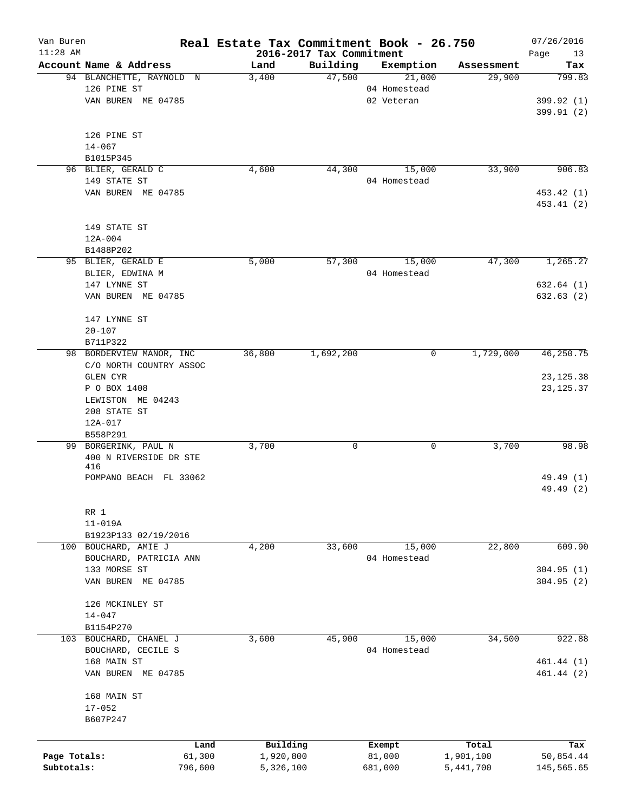| Van Buren<br>$11:28$ AM |                          |         | Real Estate Tax Commitment Book - 26.750 | 2016-2017 Tax Commitment |              |                | 07/26/2016        |
|-------------------------|--------------------------|---------|------------------------------------------|--------------------------|--------------|----------------|-------------------|
|                         | Account Name & Address   |         | Land                                     | Building                 | Exemption    | Assessment     | Page<br>13<br>Tax |
|                         | 94 BLANCHETTE, RAYNOLD N |         | 3,400                                    | 47,500                   | 21,000       | 29,900         | 799.83            |
|                         | 126 PINE ST              |         |                                          |                          | 04 Homestead |                |                   |
|                         | VAN BUREN ME 04785       |         |                                          |                          | 02 Veteran   |                | 399.92 (1)        |
|                         |                          |         |                                          |                          |              |                | 399.91 (2)        |
|                         |                          |         |                                          |                          |              |                |                   |
|                         | 126 PINE ST              |         |                                          |                          |              |                |                   |
|                         | $14 - 067$               |         |                                          |                          |              |                |                   |
|                         | B1015P345                |         |                                          |                          |              |                |                   |
|                         | 96 BLIER, GERALD C       |         | 4,600                                    | 44,300                   | 15,000       | 33,900         | 906.83            |
|                         | 149 STATE ST             |         |                                          |                          | 04 Homestead |                |                   |
|                         | VAN BUREN ME 04785       |         |                                          |                          |              |                | 453.42 (1)        |
|                         |                          |         |                                          |                          |              |                | 453.41 (2)        |
|                         |                          |         |                                          |                          |              |                |                   |
|                         | 149 STATE ST             |         |                                          |                          |              |                |                   |
|                         | $12A - 004$              |         |                                          |                          |              |                |                   |
|                         | B1488P202                |         |                                          |                          |              |                |                   |
|                         | 95 BLIER, GERALD E       |         | 5,000                                    | 57,300                   | 15,000       | 47,300         | 1,265.27          |
|                         | BLIER, EDWINA M          |         |                                          |                          | 04 Homestead |                |                   |
|                         |                          |         |                                          |                          |              |                |                   |
|                         | 147 LYNNE ST             |         |                                          |                          |              |                | 632.64(1)         |
|                         | VAN BUREN ME 04785       |         |                                          |                          |              |                | 632.63(2)         |
|                         |                          |         |                                          |                          |              |                |                   |
|                         | 147 LYNNE ST             |         |                                          |                          |              |                |                   |
|                         | $20 - 107$               |         |                                          |                          |              |                |                   |
|                         | B711P322                 |         |                                          |                          |              |                |                   |
|                         | 98 BORDERVIEW MANOR, INC |         | 36,800                                   | 1,692,200                |              | 1,729,000<br>0 | 46, 250.75        |
|                         | C/O NORTH COUNTRY ASSOC  |         |                                          |                          |              |                |                   |
|                         | GLEN CYR                 |         |                                          |                          |              |                | 23, 125.38        |
|                         | P O BOX 1408             |         |                                          |                          |              |                | 23, 125.37        |
|                         | LEWISTON ME 04243        |         |                                          |                          |              |                |                   |
|                         | 208 STATE ST             |         |                                          |                          |              |                |                   |
|                         | 12A-017                  |         |                                          |                          |              |                |                   |
|                         | B558P291                 |         |                                          |                          |              |                |                   |
|                         | 99 BORGERINK, PAUL N     |         | 3,700                                    | 0                        |              | 3,700<br>0     | 98.98             |
|                         | 400 N RIVERSIDE DR STE   |         |                                          |                          |              |                |                   |
|                         | 416                      |         |                                          |                          |              |                |                   |
|                         | POMPANO BEACH FL 33062   |         |                                          |                          |              |                | 49.49 (1)         |
|                         |                          |         |                                          |                          |              |                | 49.49 (2)         |
|                         |                          |         |                                          |                          |              |                |                   |
|                         | RR 1                     |         |                                          |                          |              |                |                   |
|                         | $11 - 019A$              |         |                                          |                          |              |                |                   |
|                         | B1923P133 02/19/2016     |         |                                          |                          |              |                |                   |
|                         | 100 BOUCHARD, AMIE J     |         | 4,200                                    | 33,600                   | 15,000       | 22,800         | 609.90            |
|                         | BOUCHARD, PATRICIA ANN   |         |                                          |                          | 04 Homestead |                |                   |
|                         | 133 MORSE ST             |         |                                          |                          |              |                | 304.95(1)         |
|                         | VAN BUREN ME 04785       |         |                                          |                          |              |                | 304.95(2)         |
|                         |                          |         |                                          |                          |              |                |                   |
|                         | 126 MCKINLEY ST          |         |                                          |                          |              |                |                   |
|                         | $14 - 047$               |         |                                          |                          |              |                |                   |
|                         | B1154P270                |         |                                          |                          |              |                |                   |
|                         | 103 BOUCHARD, CHANEL J   |         | 3,600                                    | 45,900                   | 15,000       | 34,500         | 922.88            |
|                         | BOUCHARD, CECILE S       |         |                                          |                          | 04 Homestead |                |                   |
|                         | 168 MAIN ST              |         |                                          |                          |              |                | 461.44 (1)        |
|                         | VAN BUREN ME 04785       |         |                                          |                          |              |                | 461.44 (2)        |
|                         |                          |         |                                          |                          |              |                |                   |
|                         | 168 MAIN ST              |         |                                          |                          |              |                |                   |
|                         | $17 - 052$               |         |                                          |                          |              |                |                   |
|                         | B607P247                 |         |                                          |                          |              |                |                   |
|                         |                          |         |                                          |                          |              |                |                   |
|                         |                          | Land    | Building                                 |                          | Exempt       | Total          | Tax               |
| Page Totals:            |                          | 61,300  | 1,920,800                                |                          | 81,000       | 1,901,100      | 50,854.44         |
| Subtotals:              |                          | 796,600 | 5,326,100                                |                          | 681,000      | 5,441,700      | 145,565.65        |
|                         |                          |         |                                          |                          |              |                |                   |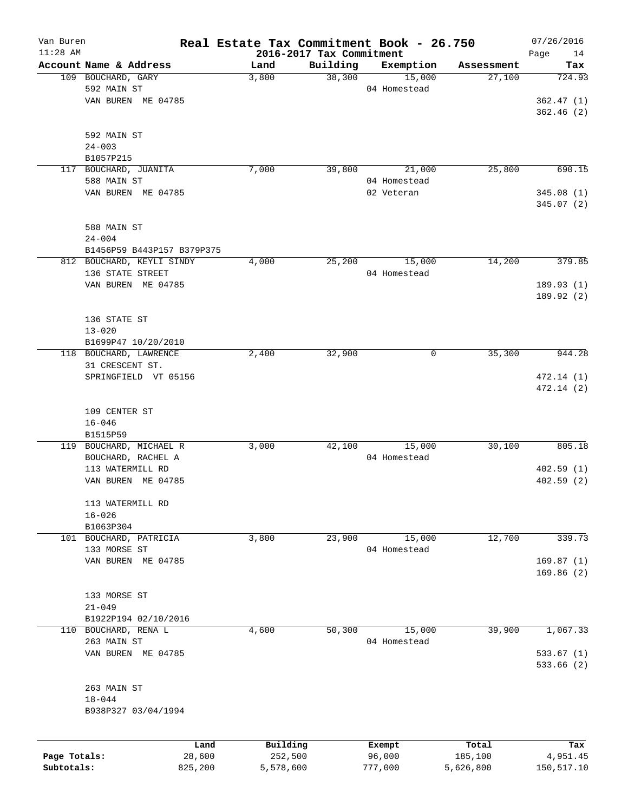| Van Buren    |                            | Real Estate Tax Commitment Book - 26.750 |                          |              |            | 07/26/2016 |
|--------------|----------------------------|------------------------------------------|--------------------------|--------------|------------|------------|
| $11:28$ AM   |                            |                                          | 2016-2017 Tax Commitment |              |            | 14<br>Page |
|              | Account Name & Address     | Land                                     | Building                 | Exemption    | Assessment | Tax        |
|              | 109 BOUCHARD, GARY         | 3,800                                    | 38,300                   | 15,000       | 27,100     | 724.93     |
|              | 592 MAIN ST                |                                          |                          | 04 Homestead |            |            |
|              | VAN BUREN ME 04785         |                                          |                          |              |            | 362.47(1)  |
|              |                            |                                          |                          |              |            | 362.46(2)  |
|              |                            |                                          |                          |              |            |            |
|              | 592 MAIN ST                |                                          |                          |              |            |            |
|              | $24 - 003$                 |                                          |                          |              |            |            |
|              | B1057P215                  |                                          |                          |              |            |            |
| 117          | BOUCHARD, JUANITA          | 7,000                                    | 39,800                   | 21,000       | 25,800     | 690.15     |
|              | 588 MAIN ST                |                                          |                          | 04 Homestead |            |            |
|              | VAN BUREN ME 04785         |                                          |                          | 02 Veteran   |            | 345.08(1)  |
|              |                            |                                          |                          |              |            | 345.07 (2) |
|              |                            |                                          |                          |              |            |            |
|              | 588 MAIN ST                |                                          |                          |              |            |            |
|              | $24 - 004$                 |                                          |                          |              |            |            |
|              |                            |                                          |                          |              |            |            |
|              | B1456P59 B443P157 B379P375 |                                          |                          |              |            |            |
|              | 812 BOUCHARD, KEYLI SINDY  | 4,000                                    | 25,200                   | 15,000       | 14,200     | 379.85     |
|              | 136 STATE STREET           |                                          |                          | 04 Homestead |            |            |
|              | VAN BUREN ME 04785         |                                          |                          |              |            | 189.93(1)  |
|              |                            |                                          |                          |              |            | 189.92(2)  |
|              |                            |                                          |                          |              |            |            |
|              | 136 STATE ST               |                                          |                          |              |            |            |
|              | $13 - 020$                 |                                          |                          |              |            |            |
|              | B1699P47 10/20/2010        |                                          |                          |              |            |            |
|              | 118 BOUCHARD, LAWRENCE     | 2,400                                    | 32,900                   | 0            | 35,300     | 944.28     |
|              | 31 CRESCENT ST.            |                                          |                          |              |            |            |
|              | SPRINGFIELD VT 05156       |                                          |                          |              |            | 472.14(1)  |
|              |                            |                                          |                          |              |            | 472.14(2)  |
|              |                            |                                          |                          |              |            |            |
|              | 109 CENTER ST              |                                          |                          |              |            |            |
|              |                            |                                          |                          |              |            |            |
|              | $16 - 046$                 |                                          |                          |              |            |            |
|              | B1515P59                   |                                          |                          |              |            |            |
|              | 119 BOUCHARD, MICHAEL R    | 3,000                                    | 42,100                   | 15,000       | 30,100     | 805.18     |
|              | BOUCHARD, RACHEL A         |                                          |                          | 04 Homestead |            |            |
|              | 113 WATERMILL RD           |                                          |                          |              |            | 402.59(1)  |
|              | VAN BUREN<br>ME 04785      |                                          |                          |              |            | 402.59(2)  |
|              |                            |                                          |                          |              |            |            |
|              | 113 WATERMILL RD           |                                          |                          |              |            |            |
|              | $16 - 026$                 |                                          |                          |              |            |            |
|              | B1063P304                  |                                          |                          |              |            |            |
| 101          | BOUCHARD, PATRICIA         | 3,800                                    | 23,900                   | 15,000       | 12,700     | 339.73     |
|              | 133 MORSE ST               |                                          |                          | 04 Homestead |            |            |
|              | VAN BUREN ME 04785         |                                          |                          |              |            | 169.87(1)  |
|              |                            |                                          |                          |              |            | 169.86(2)  |
|              |                            |                                          |                          |              |            |            |
|              | 133 MORSE ST               |                                          |                          |              |            |            |
|              |                            |                                          |                          |              |            |            |
|              | $21 - 049$                 |                                          |                          |              |            |            |
|              | B1922P194 02/10/2016       |                                          |                          |              |            |            |
| 110          | BOUCHARD, RENA L           | 4,600                                    | 50,300                   | 15,000       | 39,900     | 1,067.33   |
|              | 263 MAIN ST                |                                          |                          | 04 Homestead |            |            |
|              | VAN BUREN ME 04785         |                                          |                          |              |            | 533.67(1)  |
|              |                            |                                          |                          |              |            | 533.66(2)  |
|              |                            |                                          |                          |              |            |            |
|              | 263 MAIN ST                |                                          |                          |              |            |            |
|              | $18 - 044$                 |                                          |                          |              |            |            |
|              | B938P327 03/04/1994        |                                          |                          |              |            |            |
|              |                            |                                          |                          |              |            |            |
|              |                            |                                          |                          |              |            |            |
|              | Land                       | Building                                 |                          | Exempt       | Total      | Tax        |
| Page Totals: | 28,600                     | 252,500                                  |                          | 96,000       | 185,100    | 4,951.45   |
| Subtotals:   | 825,200                    | 5,578,600                                |                          | 777,000      | 5,626,800  | 150,517.10 |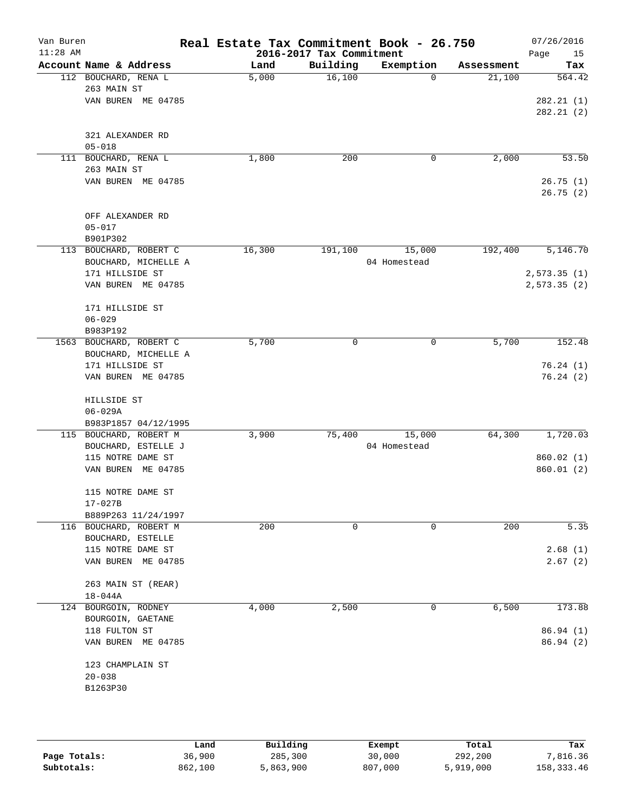| Van Buren<br>$11:28$ AM |                                               | Real Estate Tax Commitment Book - 26.750 | 2016-2017 Tax Commitment |                        |            | 07/26/2016<br>Page<br>15 |
|-------------------------|-----------------------------------------------|------------------------------------------|--------------------------|------------------------|------------|--------------------------|
|                         | Account Name & Address                        | Land                                     | Building                 | Exemption              | Assessment | Tax                      |
|                         | 112 BOUCHARD, RENA L                          | 5,000                                    | 16,100                   | $\Omega$               | 21,100     | 564.42                   |
|                         | 263 MAIN ST                                   |                                          |                          |                        |            |                          |
|                         | VAN BUREN ME 04785                            |                                          |                          |                        |            | 282.21 (1)               |
|                         |                                               |                                          |                          |                        |            | 282.21(2)                |
|                         | 321 ALEXANDER RD                              |                                          |                          |                        |            |                          |
|                         | $05 - 018$                                    |                                          |                          |                        |            |                          |
|                         | 111 BOUCHARD, RENA L                          | 1,800                                    | 200                      | 0                      | 2,000      | 53.50                    |
|                         | 263 MAIN ST                                   |                                          |                          |                        |            |                          |
|                         | VAN BUREN ME 04785                            |                                          |                          |                        |            | 26.75(1)                 |
|                         |                                               |                                          |                          |                        |            | 26.75(2)                 |
|                         | OFF ALEXANDER RD                              |                                          |                          |                        |            |                          |
|                         | $05 - 017$                                    |                                          |                          |                        |            |                          |
|                         | B901P302                                      |                                          |                          |                        |            |                          |
|                         | 113 BOUCHARD, ROBERT C                        | 16,300                                   | 191,100                  | 15,000                 | 192,400    | 5,146.70                 |
|                         | BOUCHARD, MICHELLE A                          |                                          |                          | 04 Homestead           |            |                          |
|                         | 171 HILLSIDE ST                               |                                          |                          |                        |            | 2,573.35(1)              |
|                         | VAN BUREN ME 04785                            |                                          |                          |                        |            | 2,573.35(2)              |
|                         |                                               |                                          |                          |                        |            |                          |
|                         | 171 HILLSIDE ST                               |                                          |                          |                        |            |                          |
|                         | $06 - 029$<br>B983P192                        |                                          |                          |                        |            |                          |
|                         | 1563 BOUCHARD, ROBERT C                       | 5,700                                    | 0                        | 0                      | 5,700      | 152.48                   |
|                         | BOUCHARD, MICHELLE A                          |                                          |                          |                        |            |                          |
|                         | 171 HILLSIDE ST                               |                                          |                          |                        |            | 76.24(1)                 |
|                         | VAN BUREN ME 04785                            |                                          |                          |                        |            | 76.24(2)                 |
|                         |                                               |                                          |                          |                        |            |                          |
|                         | HILLSIDE ST                                   |                                          |                          |                        |            |                          |
|                         | $06 - 029A$                                   |                                          |                          |                        |            |                          |
|                         | B983P1857 04/12/1995                          |                                          |                          |                        |            |                          |
|                         | 115 BOUCHARD, ROBERT M<br>BOUCHARD, ESTELLE J | 3,900                                    | 75,400                   | 15,000<br>04 Homestead | 64,300     | 1,720.03                 |
|                         | 115 NOTRE DAME ST                             |                                          |                          |                        |            | 860.02(1)                |
|                         | VAN BUREN ME 04785                            |                                          |                          |                        |            | 860.01(2)                |
|                         |                                               |                                          |                          |                        |            |                          |
|                         | 115 NOTRE DAME ST                             |                                          |                          |                        |            |                          |
|                         | $17 - 027B$                                   |                                          |                          |                        |            |                          |
|                         | B889P263 11/24/1997                           |                                          |                          |                        |            |                          |
|                         | 116 BOUCHARD, ROBERT M                        | 200                                      | 0                        | 0                      | 200        | 5.35                     |
|                         | BOUCHARD, ESTELLE                             |                                          |                          |                        |            |                          |
|                         | 115 NOTRE DAME ST                             |                                          |                          |                        |            | 2.68(1)                  |
|                         | VAN BUREN ME 04785                            |                                          |                          |                        |            | 2.67(2)                  |
|                         | 263 MAIN ST (REAR)                            |                                          |                          |                        |            |                          |
|                         | 18-044A                                       |                                          |                          |                        |            |                          |
|                         | 124 BOURGOIN, RODNEY                          | 4,000                                    | 2,500                    | 0                      | 6,500      | 173.88                   |
|                         | BOURGOIN, GAETANE                             |                                          |                          |                        |            |                          |
|                         | 118 FULTON ST                                 |                                          |                          |                        |            | 86.94(1)                 |
|                         | VAN BUREN ME 04785                            |                                          |                          |                        |            | 86.94(2)                 |
|                         | 123 CHAMPLAIN ST                              |                                          |                          |                        |            |                          |
|                         | $20 - 038$                                    |                                          |                          |                        |            |                          |
|                         | B1263P30                                      |                                          |                          |                        |            |                          |
|                         |                                               |                                          |                          |                        |            |                          |
|                         |                                               |                                          |                          |                        |            |                          |

|              | Land    | Building  | Exempt  | Total     | Tax          |
|--------------|---------|-----------|---------|-----------|--------------|
| Page Totals: | 36,900  | 285,300   | 30,000  | 292,200   | 7,816.36     |
| Subtotals:   | 862,100 | 5,863,900 | 807,000 | 5,919,000 | 158, 333, 46 |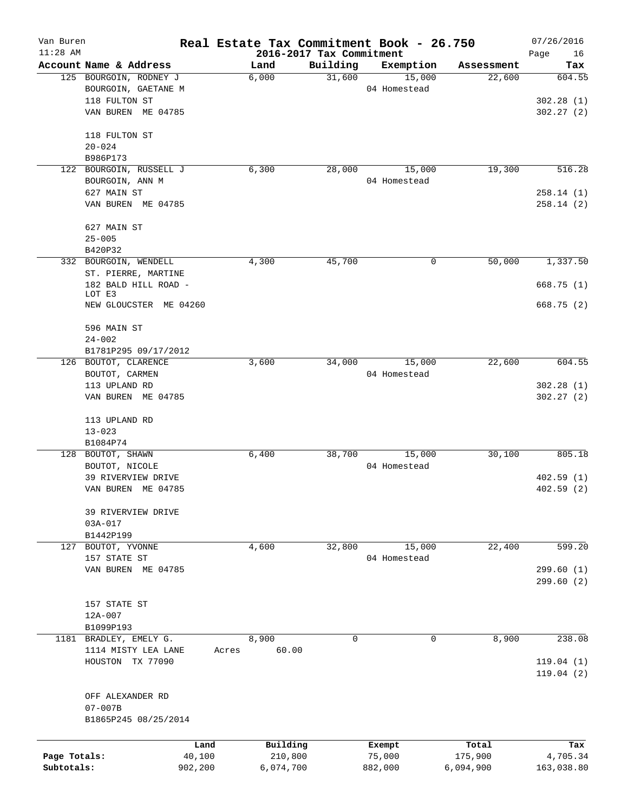| Van Buren<br>$11:28$ AM |                        | Real Estate Tax Commitment Book - 26.750 | 2016-2017 Tax Commitment |              |            | 07/26/2016<br>Page<br>16 |
|-------------------------|------------------------|------------------------------------------|--------------------------|--------------|------------|--------------------------|
|                         | Account Name & Address | Land                                     | Building                 | Exemption    | Assessment | Tax                      |
|                         | 125 BOURGOIN, RODNEY J | 6,000                                    | 31,600                   | 15,000       | 22,600     | 604.55                   |
|                         | BOURGOIN, GAETANE M    |                                          |                          | 04 Homestead |            |                          |
|                         | 118 FULTON ST          |                                          |                          |              |            | 302.28(1)                |
|                         | VAN BUREN ME 04785     |                                          |                          |              |            | 302.27(2)                |
|                         | 118 FULTON ST          |                                          |                          |              |            |                          |
|                         | $20 - 024$             |                                          |                          |              |            |                          |
|                         | B986P173               |                                          |                          |              |            |                          |
| 122                     | BOURGOIN, RUSSELL J    | 6,300                                    | 28,000                   | 15,000       | 19,300     | 516.28                   |
|                         | BOURGOIN, ANN M        |                                          |                          | 04 Homestead |            |                          |
|                         | 627 MAIN ST            |                                          |                          |              |            | 258.14(1)                |
|                         | VAN BUREN ME 04785     |                                          |                          |              |            | 258.14(2)                |
|                         | 627 MAIN ST            |                                          |                          |              |            |                          |
|                         | $25 - 005$<br>B420P32  |                                          |                          |              |            |                          |
|                         | 332 BOURGOIN, WENDELL  | 4,300                                    | 45,700                   | 0            | 50,000     | 1,337.50                 |
|                         | ST. PIERRE, MARTINE    |                                          |                          |              |            |                          |
|                         | 182 BALD HILL ROAD -   |                                          |                          |              |            | 668.75 (1)               |
|                         | LOT E3                 |                                          |                          |              |            |                          |
|                         | NEW GLOUCSTER ME 04260 |                                          |                          |              |            | 668.75(2)                |
|                         | 596 MAIN ST            |                                          |                          |              |            |                          |
|                         | $24 - 002$             |                                          |                          |              |            |                          |
|                         | B1781P295 09/17/2012   |                                          |                          |              |            |                          |
|                         | 126 BOUTOT, CLARENCE   | 3,600                                    | 34,000                   | 15,000       | 22,600     | 604.55                   |
|                         | BOUTOT, CARMEN         |                                          |                          | 04 Homestead |            |                          |
|                         | 113 UPLAND RD          |                                          |                          |              |            | 302.28(1)                |
|                         | VAN BUREN ME 04785     |                                          |                          |              |            | 302.27(2)                |
|                         | 113 UPLAND RD          |                                          |                          |              |            |                          |
|                         | $13 - 023$             |                                          |                          |              |            |                          |
|                         | B1084P74               |                                          |                          |              |            |                          |
|                         | 128 BOUTOT, SHAWN      | 6,400                                    | 38,700                   | 15,000       | 30,100     | 805.18                   |
|                         | BOUTOT, NICOLE         |                                          |                          | 04 Homestead |            |                          |
|                         | 39 RIVERVIEW DRIVE     |                                          |                          |              |            | 402.59(1)                |
|                         | VAN BUREN ME 04785     |                                          |                          |              |            | 402.59(2)                |
|                         | 39 RIVERVIEW DRIVE     |                                          |                          |              |            |                          |
|                         | 03A-017                |                                          |                          |              |            |                          |
|                         | B1442P199              |                                          |                          |              |            |                          |
|                         | 127 BOUTOT, YVONNE     | 4,600                                    | 32,800                   | 15,000       | 22,400     | 599.20                   |
|                         | 157 STATE ST           |                                          |                          | 04 Homestead |            |                          |
|                         | VAN BUREN ME 04785     |                                          |                          |              |            | 299.60(1)<br>299.60 (2)  |
|                         |                        |                                          |                          |              |            |                          |
|                         | 157 STATE ST           |                                          |                          |              |            |                          |
|                         | 12A-007                |                                          |                          |              |            |                          |
|                         | B1099P193              |                                          |                          |              |            |                          |
|                         | 1181 BRADLEY, EMELY G. | 8,900                                    | $\Omega$                 | $\Omega$     | 8,900      | 238.08                   |
|                         | 1114 MISTY LEA LANE    | 60.00<br>Acres                           |                          |              |            |                          |
|                         | HOUSTON TX 77090       |                                          |                          |              |            | 119.04(1)                |
|                         |                        |                                          |                          |              |            | 119.04(2)                |
|                         | OFF ALEXANDER RD       |                                          |                          |              |            |                          |
|                         | $07 - 007B$            |                                          |                          |              |            |                          |
|                         | B1865P245 08/25/2014   |                                          |                          |              |            |                          |
|                         |                        |                                          |                          |              |            |                          |
|                         | Land                   | Building                                 |                          | Exempt       | Total      | Tax                      |
| Page Totals:            | 40,100                 | 210,800                                  |                          | 75,000       | 175,900    | 4,705.34                 |
| Subtotals:              | 902,200                | 6,074,700                                |                          | 882,000      | 6,094,900  | 163,038.80               |
|                         |                        |                                          |                          |              |            |                          |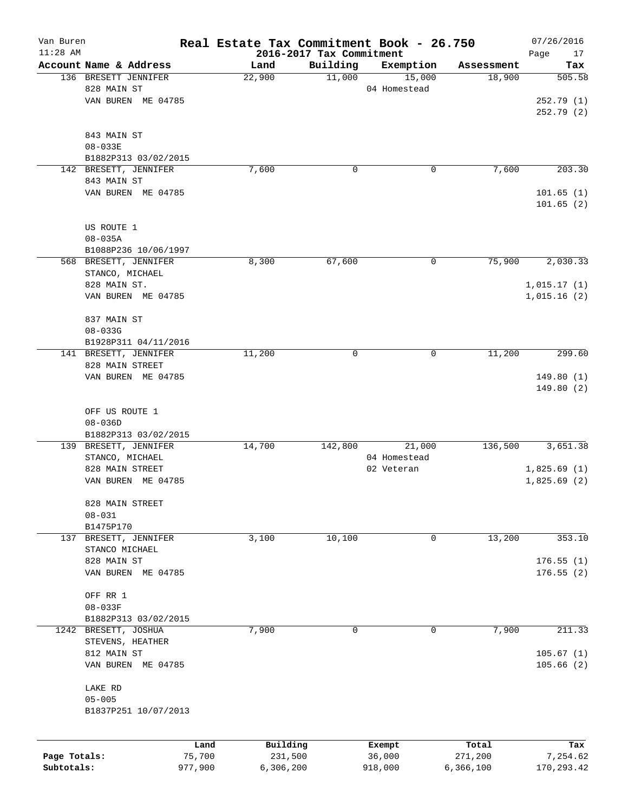| Van Buren    |                                    | Real Estate Tax Commitment Book - 26.750 |                                      |              |            | 07/26/2016                 |
|--------------|------------------------------------|------------------------------------------|--------------------------------------|--------------|------------|----------------------------|
| $11:28$ AM   | Account Name & Address             | Land                                     | 2016-2017 Tax Commitment<br>Building | Exemption    | Assessment | Page<br>17<br>Tax          |
|              | 136 BRESETT JENNIFER               | 22,900                                   | 11,000                               | 15,000       | 18,900     | 505.58                     |
|              | 828 MAIN ST                        |                                          |                                      | 04 Homestead |            |                            |
|              | VAN BUREN ME 04785                 |                                          |                                      |              |            | 252.79(1)                  |
|              |                                    |                                          |                                      |              |            | 252.79 (2)                 |
|              | 843 MAIN ST                        |                                          |                                      |              |            |                            |
|              | $08 - 033E$                        |                                          |                                      |              |            |                            |
|              | B1882P313 03/02/2015               |                                          |                                      |              |            |                            |
|              | 142 BRESETT, JENNIFER              | 7,600                                    | 0                                    | 0            | 7,600      | 203.30                     |
|              | 843 MAIN ST                        |                                          |                                      |              |            |                            |
|              | VAN BUREN ME 04785                 |                                          |                                      |              |            | 101.65(1)<br>101.65(2)     |
|              |                                    |                                          |                                      |              |            |                            |
|              | US ROUTE 1                         |                                          |                                      |              |            |                            |
|              | $08 - 035A$                        |                                          |                                      |              |            |                            |
|              | B1088P236 10/06/1997               |                                          |                                      |              |            |                            |
|              | 568 BRESETT, JENNIFER              | 8,300                                    | 67,600                               | 0            | 75,900     | 2,030.33                   |
|              | STANCO, MICHAEL                    |                                          |                                      |              |            |                            |
|              | 828 MAIN ST.<br>VAN BUREN ME 04785 |                                          |                                      |              |            | 1,015.17(1)<br>1,015.16(2) |
|              |                                    |                                          |                                      |              |            |                            |
|              | 837 MAIN ST                        |                                          |                                      |              |            |                            |
|              | $08 - 033G$                        |                                          |                                      |              |            |                            |
|              | B1928P311 04/11/2016               |                                          |                                      |              |            |                            |
|              | 141 BRESETT, JENNIFER              | 11,200                                   | $\mathbf 0$                          | 0            | 11,200     | 299.60                     |
|              | 828 MAIN STREET                    |                                          |                                      |              |            |                            |
|              | VAN BUREN ME 04785                 |                                          |                                      |              |            | 149.80(1)                  |
|              |                                    |                                          |                                      |              |            | 149.80(2)                  |
|              | OFF US ROUTE 1                     |                                          |                                      |              |            |                            |
|              | $08 - 036D$                        |                                          |                                      |              |            |                            |
|              | B1882P313 03/02/2015               |                                          |                                      |              |            |                            |
|              | 139 BRESETT, JENNIFER              | 14,700                                   | 142,800                              | 21,000       | 136,500    | 3,651.38                   |
|              | STANCO, MICHAEL                    |                                          |                                      | 04 Homestead |            |                            |
|              | 828 MAIN STREET                    |                                          |                                      | 02 Veteran   |            | 1,825.69(1)                |
|              | VAN BUREN ME 04785                 |                                          |                                      |              |            | 1,825.69(2)                |
|              | 828 MAIN STREET                    |                                          |                                      |              |            |                            |
|              | $08 - 031$                         |                                          |                                      |              |            |                            |
|              | B1475P170                          |                                          |                                      |              |            |                            |
| 137          | BRESETT, JENNIFER                  | 3,100                                    | 10,100                               | 0            | 13,200     | 353.10                     |
|              | STANCO MICHAEL                     |                                          |                                      |              |            |                            |
|              | 828 MAIN ST                        |                                          |                                      |              |            | 176.55(1)                  |
|              | VAN BUREN ME 04785                 |                                          |                                      |              |            | 176.55(2)                  |
|              | OFF RR 1                           |                                          |                                      |              |            |                            |
|              | $08 - 033F$                        |                                          |                                      |              |            |                            |
|              | B1882P313 03/02/2015               |                                          |                                      |              |            |                            |
|              | 1242 BRESETT, JOSHUA               | 7,900                                    | 0                                    | 0            | 7,900      | 211.33                     |
|              | STEVENS, HEATHER                   |                                          |                                      |              |            |                            |
|              | 812 MAIN ST                        |                                          |                                      |              |            | 105.67(1)                  |
|              | VAN BUREN ME 04785                 |                                          |                                      |              |            | 105.66(2)                  |
|              | LAKE RD                            |                                          |                                      |              |            |                            |
|              | $05 - 005$                         |                                          |                                      |              |            |                            |
|              | B1837P251 10/07/2013               |                                          |                                      |              |            |                            |
|              |                                    |                                          |                                      |              |            |                            |
|              |                                    | Building<br>Land                         |                                      | Exempt       | Total      | Tax                        |
| Page Totals: |                                    | 75,700                                   | 231,500                              | 36,000       | 271,200    | 7,254.62                   |
| Subtotals:   | 977,900                            | 6,306,200                                |                                      | 918,000      | 6,366,100  | 170,293.42                 |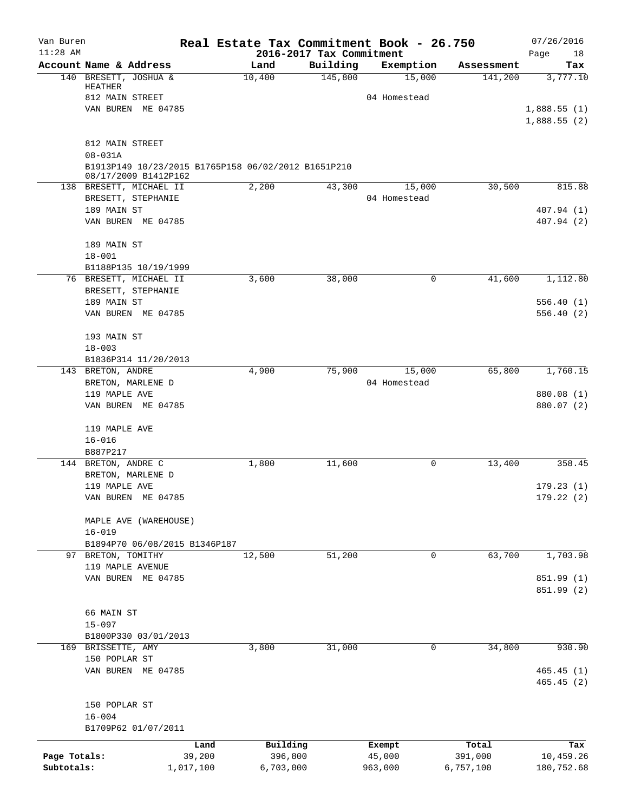| Van Buren<br>$11:28$ AM |                                                                                            | Real Estate Tax Commitment Book - 26.750<br>2016-2017 Tax Commitment |          |              |            | 07/26/2016<br>Page<br>18   |
|-------------------------|--------------------------------------------------------------------------------------------|----------------------------------------------------------------------|----------|--------------|------------|----------------------------|
|                         | Account Name & Address                                                                     | Land                                                                 | Building | Exemption    | Assessment | Tax                        |
|                         | 140 BRESETT, JOSHUA &<br>HEATHER                                                           | 10,400                                                               | 145,800  | 15,000       | 141,200    | 3,777.10                   |
|                         | 812 MAIN STREET                                                                            |                                                                      |          | 04 Homestead |            |                            |
|                         | VAN BUREN ME 04785                                                                         |                                                                      |          |              |            | 1,888.55(1)<br>1,888.55(2) |
|                         | 812 MAIN STREET                                                                            |                                                                      |          |              |            |                            |
|                         | $08 - 031A$<br>B1913P149 10/23/2015 B1765P158 06/02/2012 B1651P210<br>08/17/2009 B1412P162 |                                                                      |          |              |            |                            |
|                         | 138 BRESETT, MICHAEL II                                                                    | 2,200                                                                | 43,300   | 15,000       | 30,500     | 815.88                     |
|                         | BRESETT, STEPHANIE                                                                         |                                                                      |          | 04 Homestead |            |                            |
|                         | 189 MAIN ST                                                                                |                                                                      |          |              |            | 407.94 (1)                 |
|                         | VAN BUREN ME 04785                                                                         |                                                                      |          |              |            | 407.94 (2)                 |
|                         | 189 MAIN ST<br>$18 - 001$                                                                  |                                                                      |          |              |            |                            |
|                         | B1188P135 10/19/1999                                                                       |                                                                      |          |              |            |                            |
|                         | 76 BRESETT, MICHAEL II                                                                     | 3,600                                                                | 38,000   | 0            | 41,600     | 1,112.80                   |
|                         | BRESETT, STEPHANIE<br>189 MAIN ST                                                          |                                                                      |          |              |            | 556.40(1)                  |
|                         | VAN BUREN ME 04785                                                                         |                                                                      |          |              |            | 556.40(2)                  |
|                         | 193 MAIN ST                                                                                |                                                                      |          |              |            |                            |
|                         | $18 - 003$                                                                                 |                                                                      |          |              |            |                            |
|                         | B1836P314 11/20/2013                                                                       | 4,900                                                                | 75,900   | 15,000       | 65,800     | 1,760.15                   |
|                         | 143 BRETON, ANDRE<br>BRETON, MARLENE D                                                     |                                                                      |          | 04 Homestead |            |                            |
|                         | 119 MAPLE AVE                                                                              |                                                                      |          |              |            | 880.08 (1)                 |
|                         | VAN BUREN ME 04785                                                                         |                                                                      |          |              |            | 880.07 (2)                 |
|                         | 119 MAPLE AVE                                                                              |                                                                      |          |              |            |                            |
|                         | $16 - 016$                                                                                 |                                                                      |          |              |            |                            |
|                         | B887P217                                                                                   |                                                                      |          |              |            |                            |
|                         | 144 BRETON, ANDRE C<br>BRETON, MARLENE D                                                   | 1,800                                                                | 11,600   | 0            | 13,400     | 358.45                     |
|                         | 119 MAPLE AVE                                                                              |                                                                      |          |              |            | 179.23(1)                  |
|                         | VAN BUREN ME 04785                                                                         |                                                                      |          |              |            | 179.22 (2)                 |
|                         | MAPLE AVE (WAREHOUSE)                                                                      |                                                                      |          |              |            |                            |
|                         | $16 - 019$                                                                                 |                                                                      |          |              |            |                            |
|                         | B1894P70 06/08/2015 B1346P187<br>97 BRETON, TOMITHY                                        | 12,500                                                               | 51,200   | 0            | 63,700     | 1,703.98                   |
|                         | 119 MAPLE AVENUE                                                                           |                                                                      |          |              |            |                            |
|                         | VAN BUREN ME 04785                                                                         |                                                                      |          |              |            | 851.99 (1)                 |
|                         |                                                                                            |                                                                      |          |              |            | 851.99 (2)                 |
|                         | 66 MAIN ST                                                                                 |                                                                      |          |              |            |                            |
|                         | $15 - 097$                                                                                 |                                                                      |          |              |            |                            |
|                         | B1800P330 03/01/2013                                                                       |                                                                      |          |              |            |                            |
|                         | 169 BRISSETTE, AMY                                                                         | 3,800                                                                | 31,000   | 0            | 34,800     | 930.90                     |
|                         | 150 POPLAR ST                                                                              |                                                                      |          |              |            | 465.45(1)                  |
|                         | VAN BUREN ME 04785                                                                         |                                                                      |          |              |            | 465.45(2)                  |
|                         | 150 POPLAR ST                                                                              |                                                                      |          |              |            |                            |
|                         | $16 - 004$                                                                                 |                                                                      |          |              |            |                            |
|                         | B1709P62 01/07/2011                                                                        |                                                                      |          |              |            |                            |
|                         | Land                                                                                       | Building                                                             |          | Exempt       | Total      | Tax                        |
| Page Totals:            | 39,200                                                                                     | 396,800                                                              |          | 45,000       | 391,000    | 10,459.26                  |
| Subtotals:              | 1,017,100                                                                                  | 6,703,000                                                            |          | 963,000      | 6,757,100  | 180,752.68                 |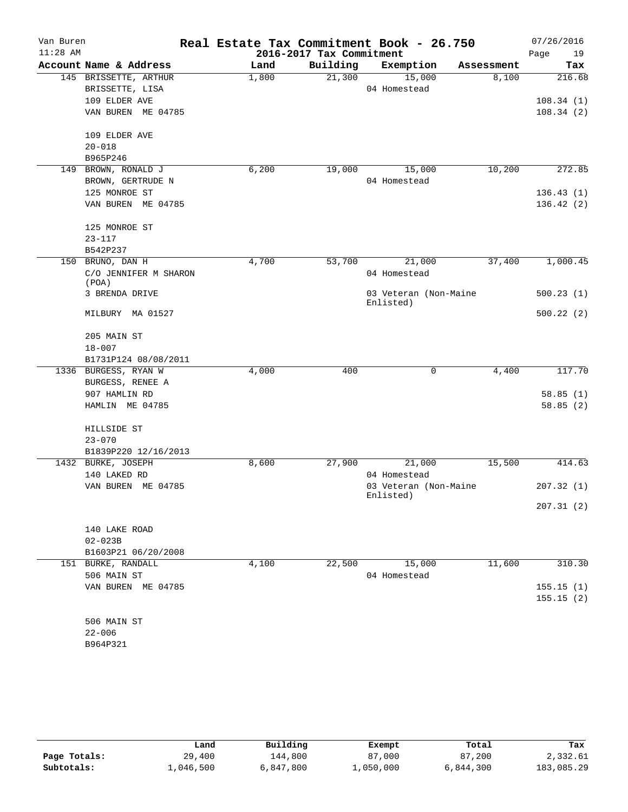| Van Buren  |                                |       |                          | Real Estate Tax Commitment Book - 26.750 |            | 07/26/2016 |
|------------|--------------------------------|-------|--------------------------|------------------------------------------|------------|------------|
| $11:28$ AM |                                |       | 2016-2017 Tax Commitment |                                          |            | Page<br>19 |
|            | Account Name & Address         | Land  | Building                 | Exemption                                | Assessment | Tax        |
|            | 145 BRISSETTE, ARTHUR          | 1,800 | 21,300                   | 15,000                                   | 8,100      | 216.68     |
|            | BRISSETTE, LISA                |       |                          | 04 Homestead                             |            |            |
|            | 109 ELDER AVE                  |       |                          |                                          |            | 108.34(1)  |
|            | VAN BUREN ME 04785             |       |                          |                                          |            | 108.34(2)  |
|            | 109 ELDER AVE                  |       |                          |                                          |            |            |
|            | $20 - 018$                     |       |                          |                                          |            |            |
|            | B965P246                       |       |                          |                                          |            |            |
| 149        | BROWN, RONALD J                | 6,200 | 19,000                   | 15,000                                   | 10,200     | 272.85     |
|            | BROWN, GERTRUDE N              |       |                          | 04 Homestead                             |            |            |
|            | 125 MONROE ST                  |       |                          |                                          |            | 136.43(1)  |
|            | VAN BUREN ME 04785             |       |                          |                                          |            | 136.42(2)  |
|            | 125 MONROE ST                  |       |                          |                                          |            |            |
|            | $23 - 117$                     |       |                          |                                          |            |            |
|            | B542P237                       |       |                          |                                          |            |            |
| 150        | BRUNO, DAN H                   | 4,700 | 53,700                   | 21,000                                   | 37,400     | 1,000.45   |
|            | C/O JENNIFER M SHARON<br>(POA) |       |                          | 04 Homestead                             |            |            |
|            | 3 BRENDA DRIVE                 |       |                          | 03 Veteran (Non-Maine<br>Enlisted)       |            | 500.23(1)  |
|            | MILBURY MA 01527               |       |                          |                                          |            | 500.22(2)  |
|            | 205 MAIN ST                    |       |                          |                                          |            |            |
|            | $18 - 007$                     |       |                          |                                          |            |            |
|            | B1731P124 08/08/2011           |       |                          |                                          |            |            |
|            | 1336 BURGESS, RYAN W           | 4,000 | 400                      | 0                                        | 4,400      | 117.70     |
|            | BURGESS, RENEE A               |       |                          |                                          |            |            |
|            | 907 HAMLIN RD                  |       |                          |                                          |            | 58.85(1)   |
|            | HAMLIN ME 04785                |       |                          |                                          |            | 58.85(2)   |
|            | HILLSIDE ST                    |       |                          |                                          |            |            |
|            | $23 - 070$                     |       |                          |                                          |            |            |
|            | B1839P220 12/16/2013           |       |                          |                                          |            |            |
|            | 1432 BURKE, JOSEPH             | 8,600 | 27,900                   | 21,000                                   | 15,500     | 414.63     |
|            | 140 LAKED RD                   |       |                          | 04 Homestead                             |            |            |
|            | VAN BUREN ME 04785             |       |                          | 03 Veteran (Non-Maine                    |            | 207.32(1)  |
|            |                                |       |                          | Enlisted)                                |            | 207.31(2)  |
|            | 140 LAKE ROAD                  |       |                          |                                          |            |            |
|            | $02 - 023B$                    |       |                          |                                          |            |            |
|            | B1603P21 06/20/2008            |       |                          |                                          |            |            |
|            | 151 BURKE, RANDALL             | 4,100 | 22,500                   | 15,000                                   | 11,600     | 310.30     |
|            | 506 MAIN ST                    |       |                          | 04 Homestead                             |            |            |
|            | VAN BUREN ME 04785             |       |                          |                                          |            | 155.15(1)  |
|            |                                |       |                          |                                          |            | 155.15(2)  |
|            | 506 MAIN ST                    |       |                          |                                          |            |            |
|            | $22 - 006$                     |       |                          |                                          |            |            |
|            | B964P321                       |       |                          |                                          |            |            |

|              | Land      | Building  | Exempt    | Total     | Tax        |
|--------------|-----------|-----------|-----------|-----------|------------|
| Page Totals: | 29,400    | 144,800   | 87,000    | 87,200    | 2,332.61   |
| Subtotals:   | 1,046,500 | 6,847,800 | ⊥,050,000 | 6,844,300 | 183,085.29 |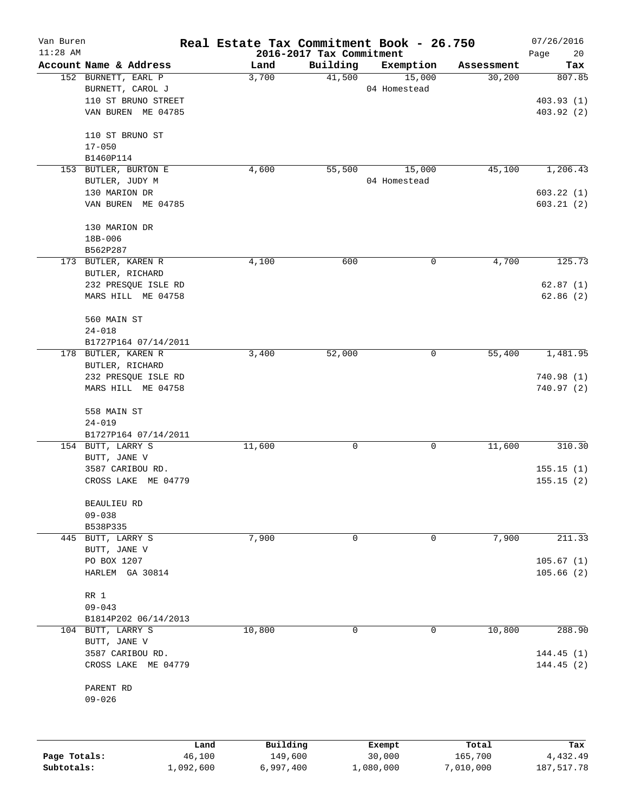| Van Buren<br>$11:28$ AM |                                           | Real Estate Tax Commitment Book - 26.750 | 2016-2017 Tax Commitment |                        |            | 07/26/2016<br>Page<br>20 |
|-------------------------|-------------------------------------------|------------------------------------------|--------------------------|------------------------|------------|--------------------------|
|                         | Account Name & Address                    | Land                                     | Building                 | Exemption              | Assessment | Tax                      |
|                         | 152 BURNETT, EARL P<br>BURNETT, CAROL J   | 3,700                                    | 41,500                   | 15,000<br>04 Homestead | 30,200     | 807.85                   |
|                         | 110 ST BRUNO STREET                       |                                          |                          |                        |            | 403.93(1)                |
|                         | VAN BUREN ME 04785                        |                                          |                          |                        |            | 403.92 (2)               |
|                         | 110 ST BRUNO ST                           |                                          |                          |                        |            |                          |
|                         | $17 - 050$<br>B1460P114                   |                                          |                          |                        |            |                          |
|                         | 153 BUTLER, BURTON E                      | 4,600                                    | 55,500                   | 15,000                 | 45,100     | 1,206.43                 |
|                         | BUTLER, JUDY M                            |                                          |                          | 04 Homestead           |            |                          |
|                         | 130 MARION DR                             |                                          |                          |                        |            | 603.22(1)                |
|                         | VAN BUREN ME 04785                        |                                          |                          |                        |            | 603.21(2)                |
|                         | 130 MARION DR                             |                                          |                          |                        |            |                          |
|                         | 18B-006                                   |                                          |                          |                        |            |                          |
|                         | B562P287<br>173 BUTLER, KAREN R           | 4,100                                    | 600                      | 0                      | 4,700      | 125.73                   |
|                         | BUTLER, RICHARD                           |                                          |                          |                        |            |                          |
|                         | 232 PRESQUE ISLE RD                       |                                          |                          |                        |            | 62.87(1)                 |
|                         | MARS HILL ME 04758                        |                                          |                          |                        |            | 62.86(2)                 |
|                         | 560 MAIN ST                               |                                          |                          |                        |            |                          |
|                         | $24 - 018$                                |                                          |                          |                        |            |                          |
|                         | B1727P164 07/14/2011                      |                                          |                          |                        |            |                          |
|                         | 178 BUTLER, KAREN R                       | 3,400                                    | 52,000                   | 0                      | 55,400     | 1,481.95                 |
|                         | BUTLER, RICHARD                           |                                          |                          |                        |            |                          |
|                         | 232 PRESQUE ISLE RD<br>MARS HILL ME 04758 |                                          |                          |                        |            | 740.98(1)<br>740.97 (2)  |
|                         | 558 MAIN ST                               |                                          |                          |                        |            |                          |
|                         | $24 - 019$                                |                                          |                          |                        |            |                          |
|                         | B1727P164 07/14/2011                      |                                          |                          |                        |            |                          |
|                         | 154 BUTT, LARRY S                         | 11,600                                   | 0                        | 0                      | 11,600     | 310.30                   |
|                         | BUTT, JANE V<br>3587 CARIBOU RD.          |                                          |                          |                        |            | 155.15(1)                |
|                         | CROSS LAKE ME 04779                       |                                          |                          |                        |            | 155.15(2)                |
|                         |                                           |                                          |                          |                        |            |                          |
|                         | BEAULIEU RD                               |                                          |                          |                        |            |                          |
|                         | $09 - 038$<br>B538P335                    |                                          |                          |                        |            |                          |
|                         | 445 BUTT, LARRY S                         | 7,900                                    | 0                        | 0                      | 7,900      | 211.33                   |
|                         | BUTT, JANE V                              |                                          |                          |                        |            |                          |
|                         | PO BOX 1207                               |                                          |                          |                        |            | 105.67(1)                |
|                         | HARLEM GA 30814                           |                                          |                          |                        |            | 105.66(2)                |
|                         | RR 1                                      |                                          |                          |                        |            |                          |
|                         | $09 - 043$                                |                                          |                          |                        |            |                          |
|                         | B1814P202 06/14/2013                      | 10,800                                   | 0                        | 0                      |            | 288.90                   |
|                         | 104 BUTT, LARRY S<br>BUTT, JANE V         |                                          |                          |                        | 10,800     |                          |
|                         | 3587 CARIBOU RD.                          |                                          |                          |                        |            | 144.45(1)                |
|                         | CROSS LAKE ME 04779                       |                                          |                          |                        |            | 144.45(2)                |
|                         | PARENT RD                                 |                                          |                          |                        |            |                          |
|                         | $09 - 026$                                |                                          |                          |                        |            |                          |
|                         |                                           |                                          |                          |                        |            |                          |
|                         |                                           |                                          |                          |                        |            |                          |

|              | Land      | Building  | Exempt    | Total     | Tax        |
|--------------|-----------|-----------|-----------|-----------|------------|
| Page Totals: | 46,100    | 149,600   | 30,000    | 165,700   | 4,432.49   |
| Subtotals:   | 1,092,600 | 6,997,400 | 1,080,000 | 7,010,000 | 187,517.78 |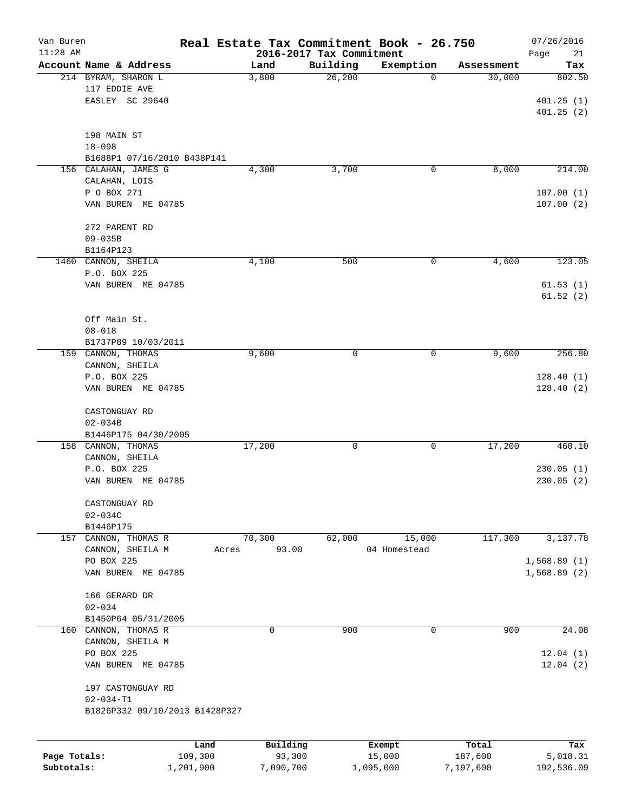| Van Buren    |                                |           | Real Estate Tax Commitment Book - 26.750 |                          |              |                      | 07/26/2016  |
|--------------|--------------------------------|-----------|------------------------------------------|--------------------------|--------------|----------------------|-------------|
| $11:28$ AM   |                                |           |                                          | 2016-2017 Tax Commitment |              |                      | Page<br>21  |
|              | Account Name & Address         |           | Land                                     | Building                 | Exemption    | Assessment<br>30,000 | Tax         |
|              | 214 BYRAM, SHARON L            |           | 3,800                                    | 26, 200                  | 0            |                      | 802.50      |
|              | 117 EDDIE AVE                  |           |                                          |                          |              |                      |             |
|              | EASLEY SC 29640                |           |                                          |                          |              |                      | 401.25(1)   |
|              |                                |           |                                          |                          |              |                      | 401.25(2)   |
|              | 198 MAIN ST                    |           |                                          |                          |              |                      |             |
|              | $18 - 098$                     |           |                                          |                          |              |                      |             |
|              | B1688P1 07/16/2010 B438P141    |           |                                          |                          |              |                      |             |
|              | 156 CALAHAN, JAMES G           |           | 4,300                                    | 3,700                    | 0            | 8,000                | 214.00      |
|              | CALAHAN, LOIS                  |           |                                          |                          |              |                      |             |
|              | P O BOX 271                    |           |                                          |                          |              |                      | 107.00(1)   |
|              | VAN BUREN ME 04785             |           |                                          |                          |              |                      | 107.00(2)   |
|              |                                |           |                                          |                          |              |                      |             |
|              | 272 PARENT RD                  |           |                                          |                          |              |                      |             |
|              | $09 - 035B$                    |           |                                          |                          |              |                      |             |
|              | B1164P123                      |           |                                          |                          |              |                      |             |
|              | 1460 CANNON, SHEILA            |           | 4,100                                    | 500                      | 0            | 4,600                | 123.05      |
|              | P.O. BOX 225                   |           |                                          |                          |              |                      |             |
|              | VAN BUREN ME 04785             |           |                                          |                          |              |                      | 61.53(1)    |
|              |                                |           |                                          |                          |              |                      | 61.52(2)    |
|              |                                |           |                                          |                          |              |                      |             |
|              | Off Main St.                   |           |                                          |                          |              |                      |             |
|              | $08 - 018$                     |           |                                          |                          |              |                      |             |
|              | B1737P89 10/03/2011            |           |                                          |                          |              |                      |             |
|              | 159 CANNON, THOMAS             |           | 9,600                                    | 0                        | 0            | 9,600                | 256.80      |
|              | CANNON, SHEILA                 |           |                                          |                          |              |                      |             |
|              | P.O. BOX 225                   |           |                                          |                          |              |                      | 128.40(1)   |
|              | VAN BUREN ME 04785             |           |                                          |                          |              |                      | 128.40(2)   |
|              | CASTONGUAY RD                  |           |                                          |                          |              |                      |             |
|              | $02 - 034B$                    |           |                                          |                          |              |                      |             |
|              | B1446P175 04/30/2005           |           |                                          |                          |              |                      |             |
|              | 158 CANNON, THOMAS             |           | 17,200                                   | 0                        | 0            | 17,200               | 460.10      |
|              | CANNON, SHEILA                 |           |                                          |                          |              |                      |             |
|              | P.O. BOX 225                   |           |                                          |                          |              |                      | 230.05(1)   |
|              | VAN BUREN ME 04785             |           |                                          |                          |              |                      | 230.05(2)   |
|              | CASTONGUAY RD                  |           |                                          |                          |              |                      |             |
|              | $02 - 034C$                    |           |                                          |                          |              |                      |             |
|              | B1446P175                      |           |                                          |                          |              |                      |             |
|              | 157 CANNON, THOMAS R           |           | 70,300                                   | 62,000                   | 15,000       | 117,300              | 3,137.78    |
|              | CANNON, SHEILA M               | Acres     | 93.00                                    |                          | 04 Homestead |                      |             |
|              | PO BOX 225                     |           |                                          |                          |              |                      | 1,568.89(1) |
|              | VAN BUREN ME 04785             |           |                                          |                          |              |                      | 1,568.89(2) |
|              |                                |           |                                          |                          |              |                      |             |
|              | 166 GERARD DR                  |           |                                          |                          |              |                      |             |
|              | $02 - 034$                     |           |                                          |                          |              |                      |             |
|              | B1450P64 05/31/2005            |           |                                          |                          |              |                      |             |
|              | 160 CANNON, THOMAS R           |           | 0                                        | 900                      | $\mathbf 0$  | 900                  | 24.08       |
|              | CANNON, SHEILA M               |           |                                          |                          |              |                      |             |
|              | PO BOX 225                     |           |                                          |                          |              |                      | 12.04(1)    |
|              | VAN BUREN ME 04785             |           |                                          |                          |              |                      | 12.04(2)    |
|              | 197 CASTONGUAY RD              |           |                                          |                          |              |                      |             |
|              | $02 - 034 - T1$                |           |                                          |                          |              |                      |             |
|              | B1826P332 09/10/2013 B1428P327 |           |                                          |                          |              |                      |             |
|              |                                |           |                                          |                          |              |                      |             |
|              |                                | Land      | Building                                 |                          | Exempt       | Total                | Tax         |
| Page Totals: |                                | 109,300   | 93,300                                   |                          | 15,000       | 187,600              | 5,018.31    |
| Subtotals:   |                                | 1,201,900 | 7,090,700                                |                          | 1,095,000    | 7,197,600            | 192,536.09  |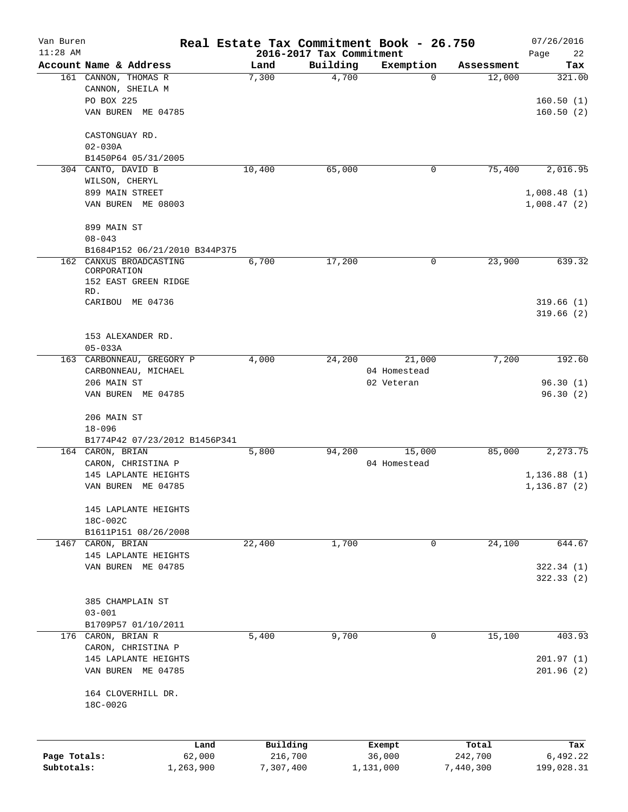| Van Buren<br>$11:28$ AM |                                             | Real Estate Tax Commitment Book - 26.750 | 2016-2017 Tax Commitment |                        |                  | 07/26/2016<br>Page<br>22 |
|-------------------------|---------------------------------------------|------------------------------------------|--------------------------|------------------------|------------------|--------------------------|
|                         | Account Name & Address                      | Land                                     | Building                 | Exemption              | Assessment       | Tax                      |
|                         | 161 CANNON, THOMAS R                        | 7,300                                    | 4,700                    | 0                      | 12,000           | 321.00                   |
|                         | CANNON, SHEILA M                            |                                          |                          |                        |                  |                          |
|                         | PO BOX 225                                  |                                          |                          |                        |                  | 160.50(1)                |
|                         | VAN BUREN ME 04785                          |                                          |                          |                        |                  | 160.50(2)                |
|                         |                                             |                                          |                          |                        |                  |                          |
|                         | CASTONGUAY RD.                              |                                          |                          |                        |                  |                          |
|                         | $02 - 030A$                                 |                                          |                          |                        |                  |                          |
|                         | B1450P64 05/31/2005                         |                                          |                          |                        |                  |                          |
|                         | 304 CANTO, DAVID B                          | 10,400                                   | 65,000                   | 0                      | 75,400           | 2,016.95                 |
|                         | WILSON, CHERYL                              |                                          |                          |                        |                  |                          |
|                         | 899 MAIN STREET                             |                                          |                          |                        |                  | 1,008.48(1)              |
|                         | VAN BUREN ME 08003                          |                                          |                          |                        |                  | 1,008.47(2)              |
|                         |                                             |                                          |                          |                        |                  |                          |
|                         | 899 MAIN ST                                 |                                          |                          |                        |                  |                          |
|                         | $08 - 043$                                  |                                          |                          |                        |                  |                          |
|                         | B1684P152 06/21/2010 B344P375               |                                          |                          |                        |                  |                          |
| 162                     | CANXUS BROADCASTING                         | 6,700                                    | 17,200                   | 0                      | 23,900           | 639.32                   |
|                         | CORPORATION                                 |                                          |                          |                        |                  |                          |
|                         | 152 EAST GREEN RIDGE                        |                                          |                          |                        |                  |                          |
|                         | RD.                                         |                                          |                          |                        |                  |                          |
|                         | CARIBOU ME 04736                            |                                          |                          |                        |                  | 319.66(1)                |
|                         |                                             |                                          |                          |                        |                  | 319.66(2)                |
|                         |                                             |                                          |                          |                        |                  |                          |
|                         | 153 ALEXANDER RD.                           |                                          |                          |                        |                  |                          |
|                         | $05 - 033A$                                 |                                          |                          |                        | 7,200            | 192.60                   |
|                         | 163 CARBONNEAU, GREGORY P                   | 4,000                                    | 24,200                   | 21,000<br>04 Homestead |                  |                          |
|                         | CARBONNEAU, MICHAEL                         |                                          |                          |                        |                  | 96.30(1)                 |
|                         | 206 MAIN ST                                 |                                          |                          | 02 Veteran             |                  | 96.30(2)                 |
|                         | VAN BUREN ME 04785                          |                                          |                          |                        |                  |                          |
|                         | 206 MAIN ST                                 |                                          |                          |                        |                  |                          |
|                         |                                             |                                          |                          |                        |                  |                          |
|                         | $18 - 096$<br>B1774P42 07/23/2012 B1456P341 |                                          |                          |                        |                  |                          |
|                         | 164 CARON, BRIAN                            | 5,800                                    | 94,200                   | 15,000                 | 85,000           | 2,273.75                 |
|                         |                                             |                                          |                          | 04 Homestead           |                  |                          |
|                         | CARON, CHRISTINA P<br>145 LAPLANTE HEIGHTS  |                                          |                          |                        |                  | 1, 136.88(1)             |
|                         | VAN BUREN ME 04785                          |                                          |                          |                        |                  | 1, 136.87(2)             |
|                         |                                             |                                          |                          |                        |                  |                          |
|                         | 145 LAPLANTE HEIGHTS                        |                                          |                          |                        |                  |                          |
|                         | 18C-002C                                    |                                          |                          |                        |                  |                          |
|                         | B1611P151 08/26/2008                        |                                          |                          |                        |                  |                          |
| 1467                    | CARON, BRIAN                                | 22,400                                   | 1,700                    | 0                      | 24,100           | 644.67                   |
|                         | 145 LAPLANTE HEIGHTS                        |                                          |                          |                        |                  |                          |
|                         | VAN BUREN ME 04785                          |                                          |                          |                        |                  | 322.34 (1)               |
|                         |                                             |                                          |                          |                        |                  | 322.33(2)                |
|                         |                                             |                                          |                          |                        |                  |                          |
|                         | 385 CHAMPLAIN ST                            |                                          |                          |                        |                  |                          |
|                         | $03 - 001$                                  |                                          |                          |                        |                  |                          |
|                         | B1709P57 01/10/2011                         |                                          |                          |                        |                  |                          |
|                         | 176 CARON, BRIAN R                          | 5,400                                    | 9,700                    | 0                      | 15,100           | 403.93                   |
|                         | CARON, CHRISTINA P                          |                                          |                          |                        |                  |                          |
|                         | 145 LAPLANTE HEIGHTS                        |                                          |                          |                        |                  | 201.97(1)                |
|                         | VAN BUREN ME 04785                          |                                          |                          |                        |                  | 201.96(2)                |
|                         |                                             |                                          |                          |                        |                  |                          |
|                         | 164 CLOVERHILL DR.                          |                                          |                          |                        |                  |                          |
|                         | 18C-002G                                    |                                          |                          |                        |                  |                          |
|                         |                                             |                                          |                          |                        |                  |                          |
|                         |                                             |                                          |                          |                        |                  |                          |
|                         |                                             |                                          |                          |                        |                  |                          |
| Page Totals:            | Land<br>62,000                              | Building<br>216,700                      |                          | Exempt<br>36,000       | Total<br>242,700 | Tax<br>6,492.22          |
| Subtotals:              | 1,263,900                                   | 7,307,400                                |                          | 1,131,000              | 7,440,300        | 199,028.31               |
|                         |                                             |                                          |                          |                        |                  |                          |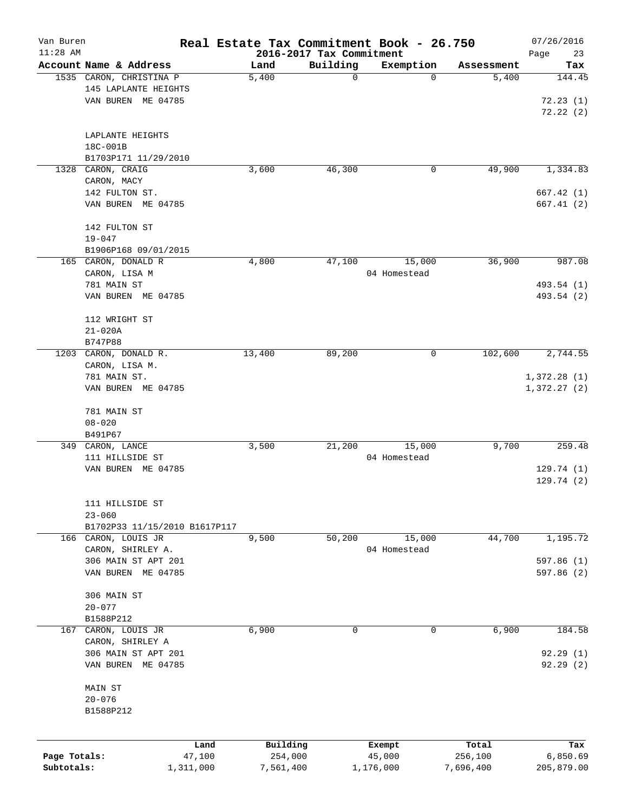| Van Buren<br>$11:28$ AM |                               | Real Estate Tax Commitment Book - 26.750 | 2016-2017 Tax Commitment |                  |                  | 07/26/2016<br>Page<br>23 |
|-------------------------|-------------------------------|------------------------------------------|--------------------------|------------------|------------------|--------------------------|
|                         | Account Name & Address        | Land                                     | Building                 | Exemption        | Assessment       | Tax                      |
|                         | 1535 CARON, CHRISTINA P       | 5,400                                    | 0                        | 0                | 5,400            | 144.45                   |
|                         | 145 LAPLANTE HEIGHTS          |                                          |                          |                  |                  |                          |
|                         | VAN BUREN ME 04785            |                                          |                          |                  |                  | 72.23(1)                 |
|                         |                               |                                          |                          |                  |                  | 72.22(2)                 |
|                         |                               |                                          |                          |                  |                  |                          |
|                         | LAPLANTE HEIGHTS              |                                          |                          |                  |                  |                          |
|                         | 18C-001B                      |                                          |                          |                  |                  |                          |
|                         | B1703P171 11/29/2010          |                                          |                          |                  |                  |                          |
| 1328                    | CARON, CRAIG                  | 3,600                                    | 46,300                   | 0                | 49,900           | 1,334.83                 |
|                         | CARON, MACY                   |                                          |                          |                  |                  |                          |
|                         | 142 FULTON ST.                |                                          |                          |                  |                  | 667.42(1)                |
|                         | VAN BUREN ME 04785            |                                          |                          |                  |                  | 667.41(2)                |
|                         |                               |                                          |                          |                  |                  |                          |
|                         | 142 FULTON ST                 |                                          |                          |                  |                  |                          |
|                         | $19 - 047$                    |                                          |                          |                  |                  |                          |
|                         | B1906P168 09/01/2015          |                                          |                          |                  |                  |                          |
|                         | 165 CARON, DONALD R           | 4,800                                    | 47,100                   | 15,000           | 36,900           | 987.08                   |
|                         | CARON, LISA M                 |                                          |                          | 04 Homestead     |                  |                          |
|                         | 781 MAIN ST                   |                                          |                          |                  |                  | 493.54 (1)               |
|                         | VAN BUREN ME 04785            |                                          |                          |                  |                  | 493.54 (2)               |
|                         |                               |                                          |                          |                  |                  |                          |
|                         | 112 WRIGHT ST                 |                                          |                          |                  |                  |                          |
|                         | $21 - 020A$                   |                                          |                          |                  |                  |                          |
|                         | B747P88                       |                                          |                          |                  |                  |                          |
|                         | 1203 CARON, DONALD R.         | 13,400                                   | 89,200                   | 0                | 102,600          | 2,744.55                 |
|                         | CARON, LISA M.                |                                          |                          |                  |                  |                          |
|                         | 781 MAIN ST.                  |                                          |                          |                  |                  | 1,372.28(1)              |
|                         | VAN BUREN ME 04785            |                                          |                          |                  |                  | 1,372.27(2)              |
|                         |                               |                                          |                          |                  |                  |                          |
|                         | 781 MAIN ST                   |                                          |                          |                  |                  |                          |
|                         | $08 - 020$                    |                                          |                          |                  |                  |                          |
|                         | B491P67                       |                                          |                          |                  |                  |                          |
|                         | 349 CARON, LANCE              | 3,500                                    | 21,200                   | 15,000           | 9,700            | 259.48                   |
|                         | 111 HILLSIDE ST               |                                          |                          | 04 Homestead     |                  |                          |
|                         | VAN BUREN ME 04785            |                                          |                          |                  |                  | 129.74(1)                |
|                         |                               |                                          |                          |                  |                  | 129.74(2)                |
|                         |                               |                                          |                          |                  |                  |                          |
|                         | 111 HILLSIDE ST               |                                          |                          |                  |                  |                          |
|                         | $23 - 060$                    |                                          |                          |                  |                  |                          |
|                         | B1702P33 11/15/2010 B1617P117 |                                          |                          |                  |                  |                          |
|                         | 166 CARON, LOUIS JR           | 9,500                                    | 50,200                   | 15,000           | 44,700           | 1,195.72                 |
|                         | CARON, SHIRLEY A.             |                                          |                          | 04 Homestead     |                  |                          |
|                         | 306 MAIN ST APT 201           |                                          |                          |                  |                  | 597.86 (1)               |
|                         | VAN BUREN ME 04785            |                                          |                          |                  |                  | 597.86 (2)               |
|                         |                               |                                          |                          |                  |                  |                          |
|                         | 306 MAIN ST                   |                                          |                          |                  |                  |                          |
|                         | $20 - 077$                    |                                          |                          |                  |                  |                          |
|                         | B1588P212                     |                                          |                          |                  |                  |                          |
| 167                     | CARON, LOUIS JR               | 6,900                                    | $\mathbf 0$              | 0                | 6,900            | 184.58                   |
|                         | CARON, SHIRLEY A              |                                          |                          |                  |                  |                          |
|                         | 306 MAIN ST APT 201           |                                          |                          |                  |                  | 92.29(1)                 |
|                         | VAN BUREN ME 04785            |                                          |                          |                  |                  | 92.29(2)                 |
|                         |                               |                                          |                          |                  |                  |                          |
|                         | MAIN ST                       |                                          |                          |                  |                  |                          |
|                         | $20 - 076$                    |                                          |                          |                  |                  |                          |
|                         | B1588P212                     |                                          |                          |                  |                  |                          |
|                         |                               |                                          |                          |                  |                  |                          |
|                         |                               |                                          |                          |                  |                  |                          |
| Page Totals:            | Land<br>47,100                | Building<br>254,000                      |                          | Exempt<br>45,000 | Total<br>256,100 | Tax<br>6,850.69          |
| Subtotals:              | 1,311,000                     | 7,561,400                                | 1,176,000                |                  | 7,696,400        | 205,879.00               |
|                         |                               |                                          |                          |                  |                  |                          |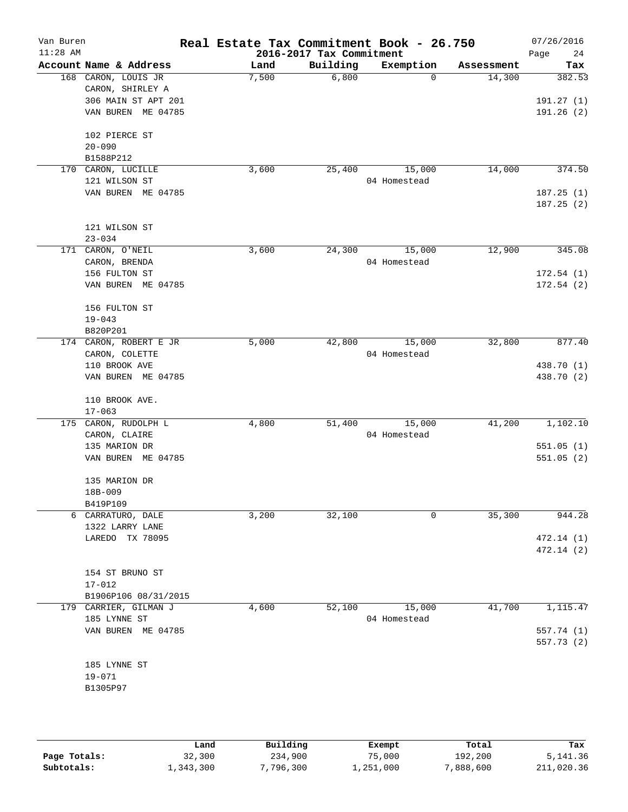| Van Buren<br>$11:28$ AM |                                           | Real Estate Tax Commitment Book - 26.750 | 2016-2017 Tax Commitment |                        |            | 07/26/2016<br>Page<br>24 |
|-------------------------|-------------------------------------------|------------------------------------------|--------------------------|------------------------|------------|--------------------------|
|                         | Account Name & Address                    | Land                                     | Building                 | Exemption              | Assessment | Tax                      |
|                         | 168 CARON, LOUIS JR<br>CARON, SHIRLEY A   | 7,500                                    | 6,800                    | $\mathbf 0$            | 14,300     | 382.53                   |
|                         | 306 MAIN ST APT 201<br>VAN BUREN ME 04785 |                                          |                          |                        |            | 191.27(1)<br>191.26(2)   |
|                         | 102 PIERCE ST<br>$20 - 090$<br>B1588P212  |                                          |                          |                        |            |                          |
| 170                     | CARON, LUCILLE                            | 3,600                                    | 25,400                   | 15,000                 | 14,000     | 374.50                   |
|                         | 121 WILSON ST                             |                                          |                          | 04 Homestead           |            |                          |
|                         | VAN BUREN ME 04785                        |                                          |                          |                        |            | 187.25(1)<br>187.25(2)   |
|                         | 121 WILSON ST<br>$23 - 034$               |                                          |                          |                        |            |                          |
|                         | 171 CARON, O'NEIL                         | 3,600                                    | 24,300                   | 15,000                 | 12,900     | 345.08                   |
|                         | CARON, BRENDA                             |                                          |                          | 04 Homestead           |            |                          |
|                         | 156 FULTON ST                             |                                          |                          |                        |            | 172.54(1)                |
|                         | VAN BUREN ME 04785                        |                                          |                          |                        |            | 172.54(2)                |
|                         | 156 FULTON ST                             |                                          |                          |                        |            |                          |
|                         | $19 - 043$                                |                                          |                          |                        |            |                          |
|                         | B820P201                                  |                                          |                          |                        |            |                          |
|                         | 174 CARON, ROBERT E JR                    | 5,000                                    | 42,800                   | 15,000                 | 32,800     | 877.40                   |
|                         | CARON, COLETTE<br>110 BROOK AVE           |                                          |                          | 04 Homestead           |            | 438.70 (1)               |
|                         | VAN BUREN ME 04785                        |                                          |                          |                        |            | 438.70 (2)               |
|                         | 110 BROOK AVE.<br>$17 - 063$              |                                          |                          |                        |            |                          |
| 175                     | CARON, RUDOLPH L                          | 4,800                                    | 51,400                   | 15,000                 | 41,200     | 1,102.10                 |
|                         | CARON, CLAIRE                             |                                          |                          | 04 Homestead           |            |                          |
|                         | 135 MARION DR<br>VAN BUREN ME 04785       |                                          |                          |                        |            | 551.05(1)<br>551.05(2)   |
|                         | 135 MARION DR                             |                                          |                          |                        |            |                          |
|                         | 18B-009                                   |                                          |                          |                        |            |                          |
|                         | B419P109                                  |                                          |                          | $\mathbf 0$            |            |                          |
|                         | 6 CARRATURO, DALE<br>1322 LARRY LANE      | 3,200                                    | 32,100                   |                        | 35,300     | 944.28                   |
|                         | LAREDO TX 78095                           |                                          |                          |                        |            | 472.14(1)                |
|                         |                                           |                                          |                          |                        |            | 472.14(2)                |
|                         | 154 ST BRUNO ST                           |                                          |                          |                        |            |                          |
|                         | $17 - 012$                                |                                          |                          |                        |            |                          |
|                         | B1906P106 08/31/2015                      |                                          |                          |                        |            |                          |
|                         | 179 CARRIER, GILMAN J<br>185 LYNNE ST     | 4,600                                    | 52,100                   | 15,000<br>04 Homestead | 41,700     | 1,115.47                 |
|                         | VAN BUREN ME 04785                        |                                          |                          |                        |            | 557.74 (1)               |
|                         |                                           |                                          |                          |                        |            | 557.73(2)                |
|                         | 185 LYNNE ST                              |                                          |                          |                        |            |                          |
|                         | $19 - 071$                                |                                          |                          |                        |            |                          |
|                         | B1305P97                                  |                                          |                          |                        |            |                          |
|                         |                                           |                                          |                          |                        |            |                          |
|                         |                                           |                                          |                          |                        |            |                          |

|              | Land      | Building  | Exempt    | Total     | Tax        |
|--------------|-----------|-----------|-----------|-----------|------------|
| Page Totals: | 32,300    | 234,900   | 75,000    | 192,200   | 5,141.36   |
| Subtotals:   | ⊥,343,300 | 7,796,300 | 1,251,000 | 7,888,600 | 211,020.36 |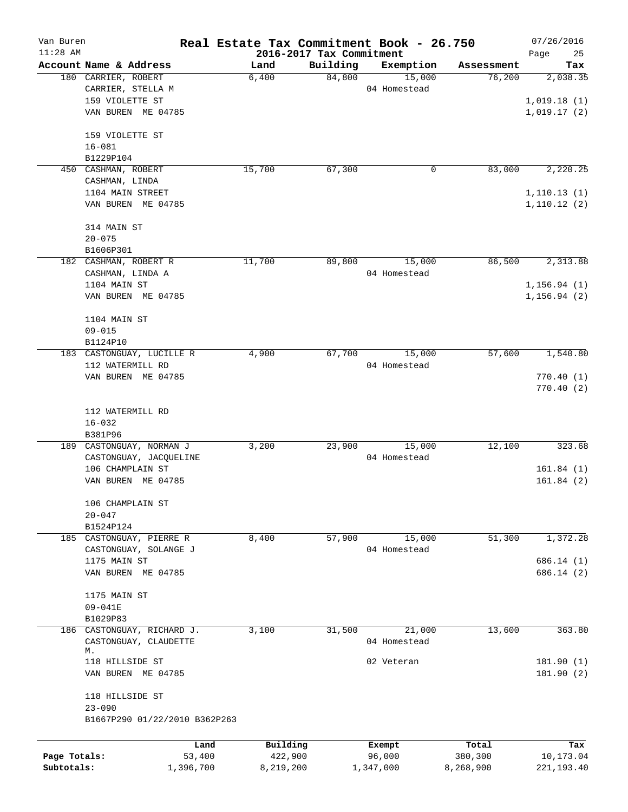| Van Buren<br>$11:28$ AM |                               | Real Estate Tax Commitment Book - 26.750 | 2016-2017 Tax Commitment |              |            | 07/26/2016<br>25 |
|-------------------------|-------------------------------|------------------------------------------|--------------------------|--------------|------------|------------------|
|                         | Account Name & Address        | Land                                     | Building                 | Exemption    | Assessment | Page<br>Tax      |
|                         | 180 CARRIER, ROBERT           | 6,400                                    | 84,800                   | 15,000       | 76,200     | 2,038.35         |
|                         | CARRIER, STELLA M             |                                          |                          | 04 Homestead |            |                  |
|                         | 159 VIOLETTE ST               |                                          |                          |              |            | 1,019.18(1)      |
|                         | VAN BUREN ME 04785            |                                          |                          |              |            | 1,019.17(2)      |
|                         | 159 VIOLETTE ST               |                                          |                          |              |            |                  |
|                         | $16 - 081$                    |                                          |                          |              |            |                  |
|                         | B1229P104                     |                                          |                          |              |            |                  |
| 450                     | CASHMAN, ROBERT               | 15,700                                   | 67,300                   | 0            | 83,000     | 2,220.25         |
|                         | CASHMAN, LINDA                |                                          |                          |              |            |                  |
|                         | 1104 MAIN STREET              |                                          |                          |              |            | 1, 110.13(1)     |
|                         | VAN BUREN ME 04785            |                                          |                          |              |            | 1,110.12(2)      |
|                         | 314 MAIN ST                   |                                          |                          |              |            |                  |
|                         | $20 - 075$                    |                                          |                          |              |            |                  |
|                         | B1606P301                     |                                          |                          |              |            |                  |
|                         | 182 CASHMAN, ROBERT R         | 11,700                                   | 89,800                   | 15,000       | 86,500     | 2,313.88         |
|                         | CASHMAN, LINDA A              |                                          |                          | 04 Homestead |            |                  |
|                         | 1104 MAIN ST                  |                                          |                          |              |            | 1, 156.94(1)     |
|                         | VAN BUREN ME 04785            |                                          |                          |              |            | 1, 156.94(2)     |
|                         | 1104 MAIN ST                  |                                          |                          |              |            |                  |
|                         | $09 - 015$                    |                                          |                          |              |            |                  |
|                         | B1124P10                      |                                          |                          |              |            |                  |
|                         | 183 CASTONGUAY, LUCILLE R     | 4,900                                    | 67,700                   | 15,000       | 57,600     | 1,540.80         |
|                         | 112 WATERMILL RD              |                                          |                          | 04 Homestead |            |                  |
|                         | VAN BUREN ME 04785            |                                          |                          |              |            | 770.40(1)        |
|                         |                               |                                          |                          |              |            | 770.40(2)        |
|                         | 112 WATERMILL RD              |                                          |                          |              |            |                  |
|                         | $16 - 032$                    |                                          |                          |              |            |                  |
|                         | B381P96                       |                                          |                          |              |            |                  |
|                         | 189 CASTONGUAY, NORMAN J      | 3,200                                    | 23,900                   | 15,000       | 12,100     | 323.68           |
|                         | CASTONGUAY, JACQUELINE        |                                          |                          | 04 Homestead |            |                  |
|                         | 106 CHAMPLAIN ST              |                                          |                          |              |            | 161.84(1)        |
|                         | VAN BUREN ME 04785            |                                          |                          |              |            | 161.84(2)        |
|                         | 106 CHAMPLAIN ST              |                                          |                          |              |            |                  |
|                         | $20 - 047$                    |                                          |                          |              |            |                  |
|                         | B1524P124                     |                                          |                          |              |            |                  |
|                         | 185 CASTONGUAY, PIERRE R      | 8,400                                    | 57,900                   | 15,000       | 51,300     | 1,372.28         |
|                         | CASTONGUAY, SOLANGE J         |                                          |                          | 04 Homestead |            |                  |
|                         | 1175 MAIN ST                  |                                          |                          |              |            | 686.14 (1)       |
|                         | VAN BUREN ME 04785            |                                          |                          |              |            | 686.14 (2)       |
|                         | 1175 MAIN ST                  |                                          |                          |              |            |                  |
|                         | $09 - 041E$                   |                                          |                          |              |            |                  |
|                         | B1029P83                      |                                          |                          |              |            |                  |
|                         | 186 CASTONGUAY, RICHARD J.    | 3,100                                    | 31,500                   | 21,000       | 13,600     | 363.80           |
|                         | CASTONGUAY, CLAUDETTE<br>М.   |                                          |                          | 04 Homestead |            |                  |
|                         | 118 HILLSIDE ST               |                                          |                          | 02 Veteran   |            | 181.90(1)        |
|                         | VAN BUREN ME 04785            |                                          |                          |              |            | 181.90(2)        |
|                         | 118 HILLSIDE ST               |                                          |                          |              |            |                  |
|                         | $23 - 090$                    |                                          |                          |              |            |                  |
|                         | B1667P290 01/22/2010 B362P263 |                                          |                          |              |            |                  |
|                         | Land                          | Building                                 |                          | Exempt       | Total      | Tax              |
| Page Totals:            | 53,400                        | 422,900                                  |                          | 96,000       | 380,300    | 10,173.04        |
| Subtotals:              | 1,396,700                     | 8,219,200                                |                          | 1,347,000    | 8,268,900  | 221, 193.40      |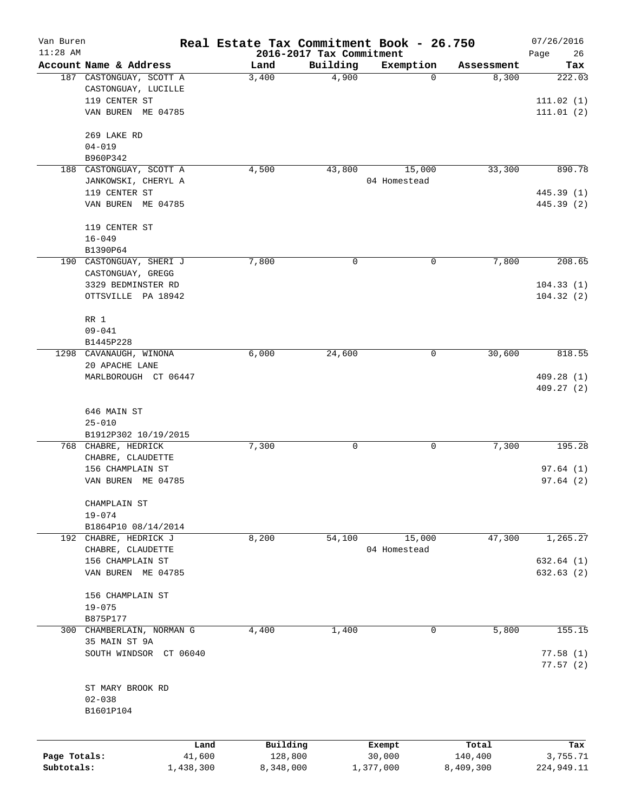| Van Buren    |                         | Real Estate Tax Commitment Book - 26.750 |                          |              |            | 07/26/2016 |
|--------------|-------------------------|------------------------------------------|--------------------------|--------------|------------|------------|
| $11:28$ AM   |                         |                                          | 2016-2017 Tax Commitment |              |            | Page<br>26 |
|              | Account Name & Address  | Land                                     | Building                 | Exemption    | Assessment | Tax        |
|              | 187 CASTONGUAY, SCOTT A | 3,400                                    | 4,900                    | 0            | 8,300      | 222.03     |
|              | CASTONGUAY, LUCILLE     |                                          |                          |              |            |            |
|              | 119 CENTER ST           |                                          |                          |              |            | 111.02(1)  |
|              | VAN BUREN ME 04785      |                                          |                          |              |            | 111.01(2)  |
|              | 269 LAKE RD             |                                          |                          |              |            |            |
|              | $04 - 019$              |                                          |                          |              |            |            |
|              | B960P342                |                                          |                          |              |            |            |
|              | 188 CASTONGUAY, SCOTT A | 4,500                                    | 43,800                   | 15,000       | 33,300     | 890.78     |
|              | JANKOWSKI, CHERYL A     |                                          |                          | 04 Homestead |            |            |
|              | 119 CENTER ST           |                                          |                          |              |            | 445.39 (1) |
|              | VAN BUREN ME 04785      |                                          |                          |              |            | 445.39 (2) |
|              | 119 CENTER ST           |                                          |                          |              |            |            |
|              | $16 - 049$              |                                          |                          |              |            |            |
|              | B1390P64                |                                          |                          |              |            |            |
|              | 190 CASTONGUAY, SHERI J | 7,800                                    | 0                        | 0            | 7,800      | 208.65     |
|              | CASTONGUAY, GREGG       |                                          |                          |              |            |            |
|              | 3329 BEDMINSTER RD      |                                          |                          |              |            | 104.33(1)  |
|              | OTTSVILLE PA 18942      |                                          |                          |              |            | 104.32(2)  |
|              | RR 1                    |                                          |                          |              |            |            |
|              | $09 - 041$              |                                          |                          |              |            |            |
|              | B1445P228               |                                          |                          |              |            |            |
|              | 1298 CAVANAUGH, WINONA  | 6,000                                    | 24,600                   | 0            | 30,600     | 818.55     |
|              | 20 APACHE LANE          |                                          |                          |              |            |            |
|              | MARLBOROUGH CT 06447    |                                          |                          |              |            | 409.28 (1) |
|              |                         |                                          |                          |              |            | 409.27(2)  |
|              | 646 MAIN ST             |                                          |                          |              |            |            |
|              | $25 - 010$              |                                          |                          |              |            |            |
|              | B1912P302 10/19/2015    |                                          |                          |              |            |            |
|              | 768 CHABRE, HEDRICK     | 7,300                                    | 0                        | 0            | 7,300      | 195.28     |
|              | CHABRE, CLAUDETTE       |                                          |                          |              |            |            |
|              | 156 CHAMPLAIN ST        |                                          |                          |              |            | 97.64(1)   |
|              | VAN BUREN ME 04785      |                                          |                          |              |            | 97.64(2)   |
|              | CHAMPLAIN ST            |                                          |                          |              |            |            |
|              | $19 - 074$              |                                          |                          |              |            |            |
|              | B1864P10 08/14/2014     |                                          |                          |              |            |            |
|              | 192 CHABRE, HEDRICK J   | 8,200                                    | 54,100                   | 15,000       | 47,300     | 1,265.27   |
|              | CHABRE, CLAUDETTE       |                                          |                          | 04 Homestead |            |            |
|              | 156 CHAMPLAIN ST        |                                          |                          |              |            | 632.64 (1) |
|              | VAN BUREN ME 04785      |                                          |                          |              |            | 632.63(2)  |
|              | 156 CHAMPLAIN ST        |                                          |                          |              |            |            |
|              | $19 - 075$              |                                          |                          |              |            |            |
|              | B875P177                |                                          |                          |              |            |            |
| 300          | CHAMBERLAIN, NORMAN G   | 4,400                                    | 1,400                    | 0            | 5,800      | 155.15     |
|              | 35 MAIN ST 9A           |                                          |                          |              |            |            |
|              | SOUTH WINDSOR CT 06040  |                                          |                          |              |            | 77.58(1)   |
|              |                         |                                          |                          |              |            | 77.57(2)   |
|              | ST MARY BROOK RD        |                                          |                          |              |            |            |
|              | $02 - 038$              |                                          |                          |              |            |            |
|              | B1601P104               |                                          |                          |              |            |            |
|              |                         |                                          |                          |              |            |            |
|              | Land                    | Building                                 |                          | Exempt       | Total      | Tax        |
| Page Totals: | 41,600                  | 128,800                                  |                          | 30,000       | 140,400    | 3,755.71   |
| Subtotals:   | 1,438,300               | 8,348,000                                |                          | 1,377,000    | 8,409,300  | 224,949.11 |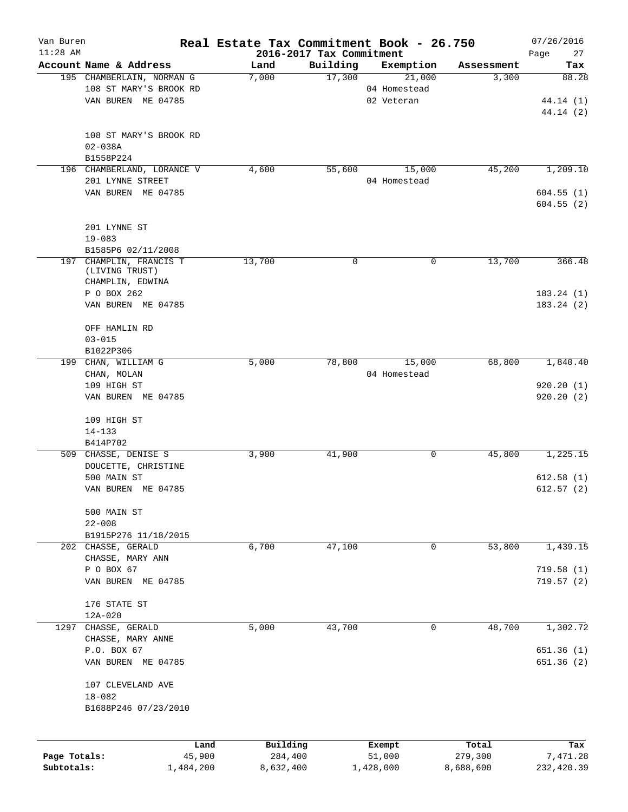| Van Buren<br>$11:28$ AM |                                           | Real Estate Tax Commitment Book - 26.750 | 2016-2017 Tax Commitment |              |            | 07/26/2016<br>Page<br>27 |
|-------------------------|-------------------------------------------|------------------------------------------|--------------------------|--------------|------------|--------------------------|
|                         | Account Name & Address                    | Land                                     | Building                 | Exemption    | Assessment | Tax                      |
|                         | 195 CHAMBERLAIN, NORMAN G                 | 7,000                                    | 17,300                   | 21,000       | 3,300      | 88.28                    |
|                         | 108 ST MARY'S BROOK RD                    |                                          |                          | 04 Homestead |            |                          |
|                         | VAN BUREN ME 04785                        |                                          |                          | 02 Veteran   |            | 44.14 (1)                |
|                         |                                           |                                          |                          |              |            | 44.14(2)                 |
|                         |                                           |                                          |                          |              |            |                          |
|                         | 108 ST MARY'S BROOK RD                    |                                          |                          |              |            |                          |
|                         | $02 - 038A$                               |                                          |                          |              |            |                          |
|                         | B1558P224                                 |                                          |                          |              |            |                          |
|                         | 196 CHAMBERLAND, LORANCE V                | 4,600                                    | 55,600                   | 15,000       | 45,200     | 1,209.10                 |
|                         | 201 LYNNE STREET                          |                                          |                          | 04 Homestead |            |                          |
|                         | VAN BUREN ME 04785                        |                                          |                          |              |            | 604.55(1)                |
|                         |                                           |                                          |                          |              |            | 604.55(2)                |
|                         |                                           |                                          |                          |              |            |                          |
|                         | 201 LYNNE ST                              |                                          |                          |              |            |                          |
|                         | $19 - 083$                                |                                          |                          |              |            |                          |
|                         |                                           |                                          |                          |              |            |                          |
|                         | B1585P6 02/11/2008                        |                                          |                          |              |            |                          |
|                         | 197 CHAMPLIN, FRANCIS T<br>(LIVING TRUST) | 13,700                                   | 0                        | 0            | 13,700     | 366.48                   |
|                         | CHAMPLIN, EDWINA                          |                                          |                          |              |            |                          |
|                         | P O BOX 262                               |                                          |                          |              |            | 183.24(1)                |
|                         |                                           |                                          |                          |              |            |                          |
|                         | VAN BUREN ME 04785                        |                                          |                          |              |            | 183.24(2)                |
|                         |                                           |                                          |                          |              |            |                          |
|                         | OFF HAMLIN RD                             |                                          |                          |              |            |                          |
|                         | $03 - 015$                                |                                          |                          |              |            |                          |
|                         | B1022P306                                 |                                          |                          |              |            |                          |
|                         | 199 CHAN, WILLIAM G                       | 5,000                                    | 78,800                   | 15,000       | 68,800     | 1,840.40                 |
|                         | CHAN, MOLAN                               |                                          |                          | 04 Homestead |            |                          |
|                         | 109 HIGH ST                               |                                          |                          |              |            | 920.20(1)                |
|                         | VAN BUREN ME 04785                        |                                          |                          |              |            | 920.20(2)                |
|                         |                                           |                                          |                          |              |            |                          |
|                         | 109 HIGH ST                               |                                          |                          |              |            |                          |
|                         | $14 - 133$                                |                                          |                          |              |            |                          |
|                         | B414P702                                  |                                          |                          |              |            |                          |
|                         | 509 CHASSE, DENISE S                      | 3,900                                    | 41,900                   | 0            | 45,800     | 1,225.15                 |
|                         | DOUCETTE, CHRISTINE                       |                                          |                          |              |            |                          |
|                         | 500 MAIN ST                               |                                          |                          |              |            | 612.58(1)                |
|                         | VAN BUREN ME 04785                        |                                          |                          |              |            | 612.57(2)                |
|                         |                                           |                                          |                          |              |            |                          |
|                         | 500 MAIN ST                               |                                          |                          |              |            |                          |
|                         | $22 - 008$                                |                                          |                          |              |            |                          |
|                         | B1915P276 11/18/2015                      |                                          |                          |              |            |                          |
|                         | 202 CHASSE, GERALD                        | 6,700                                    | 47,100                   | 0            | 53,800     | 1,439.15                 |
|                         | CHASSE, MARY ANN                          |                                          |                          |              |            |                          |
|                         | P O BOX 67                                |                                          |                          |              |            | 719.58(1)                |
|                         | VAN BUREN ME 04785                        |                                          |                          |              |            | 719.57(2)                |
|                         |                                           |                                          |                          |              |            |                          |
|                         | 176 STATE ST                              |                                          |                          |              |            |                          |
|                         | $12A - 020$                               |                                          |                          |              |            |                          |
|                         | 1297 CHASSE, GERALD                       | 5,000                                    | 43,700                   | $\mathbf 0$  | 48,700     | 1,302.72                 |
|                         | CHASSE, MARY ANNE                         |                                          |                          |              |            |                          |
|                         | P.O. BOX 67                               |                                          |                          |              |            | 651.36 (1)               |
|                         | VAN BUREN ME 04785                        |                                          |                          |              |            | 651.36 (2)               |
|                         |                                           |                                          |                          |              |            |                          |
|                         | 107 CLEVELAND AVE                         |                                          |                          |              |            |                          |
|                         | $18 - 082$                                |                                          |                          |              |            |                          |
|                         | B1688P246 07/23/2010                      |                                          |                          |              |            |                          |
|                         |                                           |                                          |                          |              |            |                          |
|                         |                                           |                                          |                          |              |            |                          |
|                         | Land                                      | Building                                 |                          | Exempt       | Total      | Tax                      |
| Page Totals:            | 45,900                                    | 284,400                                  |                          | 51,000       | 279,300    | 7,471.28                 |
| Subtotals:              | 1,484,200                                 | 8,632,400                                |                          | 1,428,000    | 8,688,600  | 232,420.39               |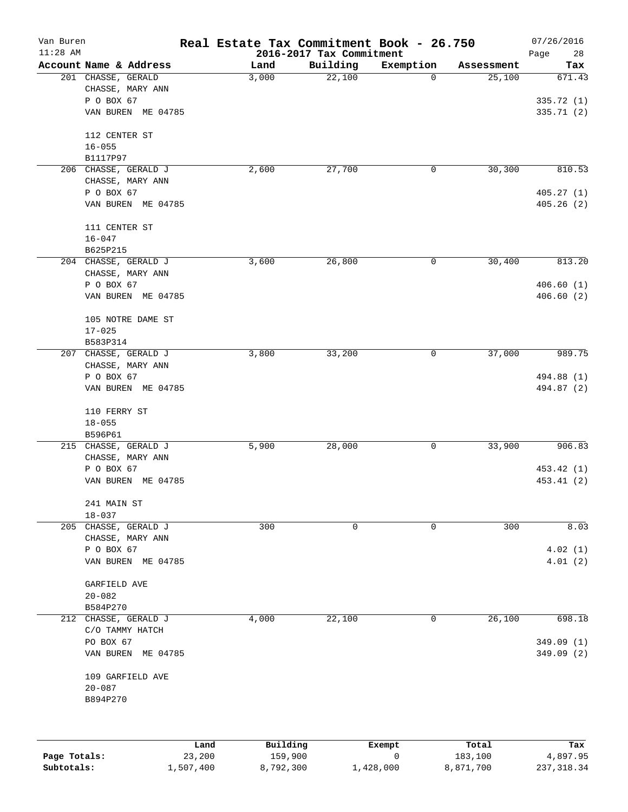| Van Buren    |                                  | Real Estate Tax Commitment Book - 26.750 |                                      |             |            | 07/26/2016         |
|--------------|----------------------------------|------------------------------------------|--------------------------------------|-------------|------------|--------------------|
| $11:28$ AM   | Account Name & Address           | Land                                     | 2016-2017 Tax Commitment<br>Building | Exemption   | Assessment | Page<br>28<br>Tax  |
|              | 201 CHASSE, GERALD               | 3,000                                    | 22,100                               | $\mathbf 0$ | 25,100     | 671.43             |
|              | CHASSE, MARY ANN                 |                                          |                                      |             |            |                    |
|              | P O BOX 67                       |                                          |                                      |             |            | 335.72 (1)         |
|              | VAN BUREN ME 04785               |                                          |                                      |             |            | 335.71 (2)         |
|              | 112 CENTER ST                    |                                          |                                      |             |            |                    |
|              | $16 - 055$                       |                                          |                                      |             |            |                    |
|              | B1117P97                         |                                          |                                      |             |            |                    |
|              | 206 CHASSE, GERALD J             | 2,600                                    | 27,700                               | 0           | 30, 300    | 810.53             |
|              | CHASSE, MARY ANN                 |                                          |                                      |             |            |                    |
|              | P O BOX 67                       |                                          |                                      |             |            | 405.27(1)          |
|              | VAN BUREN ME 04785               |                                          |                                      |             |            | 405.26(2)          |
|              | 111 CENTER ST                    |                                          |                                      |             |            |                    |
|              | $16 - 047$                       |                                          |                                      |             |            |                    |
|              | B625P215                         |                                          |                                      |             |            |                    |
|              | 204 CHASSE, GERALD J             | 3,600                                    | 26,800                               | 0           | 30,400     | 813.20             |
|              | CHASSE, MARY ANN                 |                                          |                                      |             |            |                    |
|              | P O BOX 67                       |                                          |                                      |             |            | 406.60(1)          |
|              | VAN BUREN ME 04785               |                                          |                                      |             |            | 406.60(2)          |
|              | 105 NOTRE DAME ST                |                                          |                                      |             |            |                    |
|              | $17 - 025$                       |                                          |                                      |             |            |                    |
|              | B583P314                         |                                          |                                      |             |            |                    |
|              | 207 CHASSE, GERALD J             | 3,800                                    | 33,200                               | 0           | 37,000     | 989.75             |
|              | CHASSE, MARY ANN                 |                                          |                                      |             |            |                    |
|              | P O BOX 67                       |                                          |                                      |             |            | 494.88 (1)         |
|              | VAN BUREN ME 04785               |                                          |                                      |             |            | 494.87 (2)         |
|              | 110 FERRY ST                     |                                          |                                      |             |            |                    |
|              | $18 - 055$                       |                                          |                                      |             |            |                    |
|              | B596P61                          |                                          |                                      |             |            |                    |
|              | 215 CHASSE, GERALD J             | 5,900                                    | 28,000                               | 0           | 33,900     | 906.83             |
|              | CHASSE, MARY ANN                 |                                          |                                      |             |            |                    |
|              | P O BOX 67                       |                                          |                                      |             |            | 453.42 (1)         |
|              | VAN BUREN ME 04785               |                                          |                                      |             |            | 453.41 (2)         |
|              | 241 MAIN ST                      |                                          |                                      |             |            |                    |
|              | $18 - 037$                       |                                          |                                      |             |            |                    |
|              | 205 CHASSE, GERALD J             | 300                                      | 0                                    | 0           | 300        | 8.03               |
|              | CHASSE, MARY ANN                 |                                          |                                      |             |            |                    |
|              | P O BOX 67<br>VAN BUREN ME 04785 |                                          |                                      |             |            | 4.02(1)<br>4.01(2) |
|              |                                  |                                          |                                      |             |            |                    |
|              | GARFIELD AVE                     |                                          |                                      |             |            |                    |
|              | $20 - 082$                       |                                          |                                      |             |            |                    |
|              | B584P270                         |                                          |                                      |             |            |                    |
| 212          | CHASSE, GERALD J                 | 4,000                                    | 22,100                               | 0           | 26,100     | 698.18             |
|              | C/O TAMMY HATCH                  |                                          |                                      |             |            |                    |
|              | PO BOX 67                        |                                          |                                      |             |            | 349.09 (1)         |
|              | VAN BUREN ME 04785               |                                          |                                      |             |            | 349.09 (2)         |
|              | 109 GARFIELD AVE                 |                                          |                                      |             |            |                    |
|              | $20 - 087$                       |                                          |                                      |             |            |                    |
|              | B894P270                         |                                          |                                      |             |            |                    |
|              |                                  |                                          |                                      |             |            |                    |
|              |                                  | Building<br>Land                         |                                      | Exempt      | Total      | Tax                |
| Page Totals: | 23,200                           | 159,900                                  |                                      | 0           | 183,100    | 4,897.95           |

**Subtotals:** 1,507,400 8,792,300 1,428,000 8,871,700 237,318.34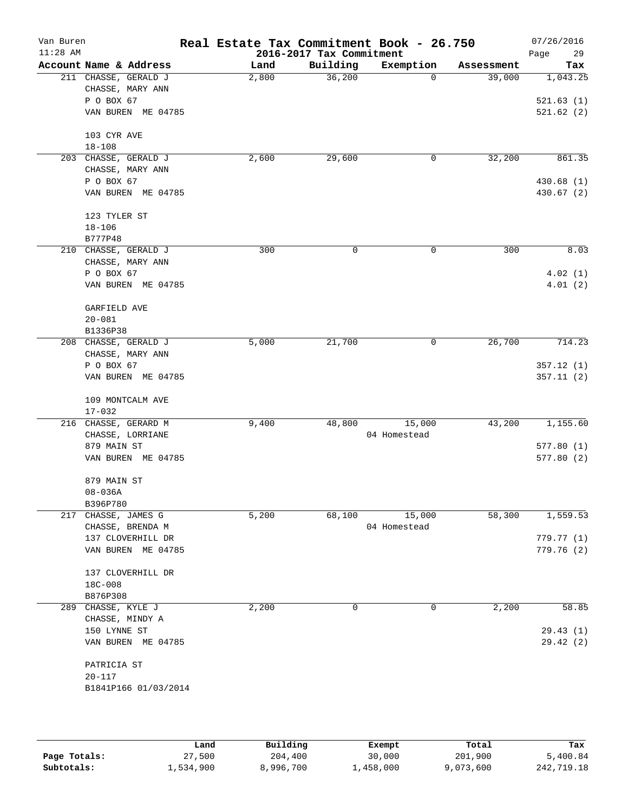| Van Buren<br>$11:28$ AM |                        | Real Estate Tax Commitment Book - 26.750 | 2016-2017 Tax Commitment |              |            | 07/26/2016<br>29<br>Page |
|-------------------------|------------------------|------------------------------------------|--------------------------|--------------|------------|--------------------------|
|                         | Account Name & Address | Land                                     | Building                 | Exemption    | Assessment | Tax                      |
|                         | 211 CHASSE, GERALD J   | 2,800                                    | 36,200                   | $\mathbf 0$  | 39,000     | 1,043.25                 |
|                         | CHASSE, MARY ANN       |                                          |                          |              |            |                          |
|                         | P O BOX 67             |                                          |                          |              |            | 521.63(1)                |
|                         | VAN BUREN ME 04785     |                                          |                          |              |            | 521.62(2)                |
|                         | 103 CYR AVE            |                                          |                          |              |            |                          |
|                         | $18 - 108$             |                                          |                          |              |            |                          |
|                         | 203 CHASSE, GERALD J   | 2,600                                    | 29,600                   | 0            | 32,200     | 861.35                   |
|                         | CHASSE, MARY ANN       |                                          |                          |              |            |                          |
|                         | P O BOX 67             |                                          |                          |              |            | 430.68 (1)               |
|                         | VAN BUREN ME 04785     |                                          |                          |              |            | 430.67 (2)               |
|                         | 123 TYLER ST           |                                          |                          |              |            |                          |
|                         | $18 - 106$             |                                          |                          |              |            |                          |
|                         | B777P48                |                                          |                          |              |            |                          |
|                         | 210 CHASSE, GERALD J   | 300                                      | 0                        | 0            | 300        | 8.03                     |
|                         | CHASSE, MARY ANN       |                                          |                          |              |            |                          |
|                         | P O BOX 67             |                                          |                          |              |            | 4.02(1)                  |
|                         | VAN BUREN ME 04785     |                                          |                          |              |            | 4.01(2)                  |
|                         | GARFIELD AVE           |                                          |                          |              |            |                          |
|                         | $20 - 081$             |                                          |                          |              |            |                          |
|                         | B1336P38               |                                          |                          |              |            |                          |
|                         | 208 CHASSE, GERALD J   | 5,000                                    | 21,700                   | 0            | 26,700     | 714.23                   |
|                         | CHASSE, MARY ANN       |                                          |                          |              |            |                          |
|                         | P O BOX 67             |                                          |                          |              |            | 357.12(1)                |
|                         | VAN BUREN ME 04785     |                                          |                          |              |            | 357.11(2)                |
|                         | 109 MONTCALM AVE       |                                          |                          |              |            |                          |
|                         | $17 - 032$             |                                          |                          |              |            |                          |
|                         | 216 CHASSE, GERARD M   | 9,400                                    | 48,800                   | 15,000       | 43,200     | 1,155.60                 |
|                         | CHASSE, LORRIANE       |                                          |                          | 04 Homestead |            |                          |
|                         | 879 MAIN ST            |                                          |                          |              |            | 577.80(1)                |
|                         | VAN BUREN ME 04785     |                                          |                          |              |            | 577.80(2)                |
|                         |                        |                                          |                          |              |            |                          |
|                         | 879 MAIN ST            |                                          |                          |              |            |                          |
|                         | $08 - 036A$            |                                          |                          |              |            |                          |
|                         | B396P780               |                                          |                          |              |            |                          |
|                         | 217 CHASSE, JAMES G    | 5,200                                    | 68,100                   | 15,000       | 58,300     | 1,559.53                 |
|                         | CHASSE, BRENDA M       |                                          |                          | 04 Homestead |            |                          |
|                         | 137 CLOVERHILL DR      |                                          |                          |              |            | 779.77 (1)<br>779.76(2)  |
|                         | VAN BUREN ME 04785     |                                          |                          |              |            |                          |
|                         | 137 CLOVERHILL DR      |                                          |                          |              |            |                          |
|                         | 18C-008                |                                          |                          |              |            |                          |
|                         | B876P308               |                                          |                          |              |            |                          |
|                         | 289 CHASSE, KYLE J     | 2,200                                    | 0                        | 0            | 2,200      | 58.85                    |
|                         | CHASSE, MINDY A        |                                          |                          |              |            |                          |
|                         | 150 LYNNE ST           |                                          |                          |              |            | 29.43(1)                 |
|                         | VAN BUREN ME 04785     |                                          |                          |              |            | 29.42(2)                 |
|                         | PATRICIA ST            |                                          |                          |              |            |                          |
|                         | $20 - 117$             |                                          |                          |              |            |                          |
|                         | B1841P166 01/03/2014   |                                          |                          |              |            |                          |
|                         |                        |                                          |                          |              |            |                          |
|                         |                        |                                          |                          |              |            |                          |

|              | Land      | Building  | Exempt    | Total     | Tax        |
|--------------|-----------|-----------|-----------|-----------|------------|
| Page Totals: | 27,500    | 204,400   | 30,000    | 201,900   | 5,400.84   |
| Subtotals:   | 1,534,900 | 8,996,700 | .,458,000 | 9,073,600 | 242,719.18 |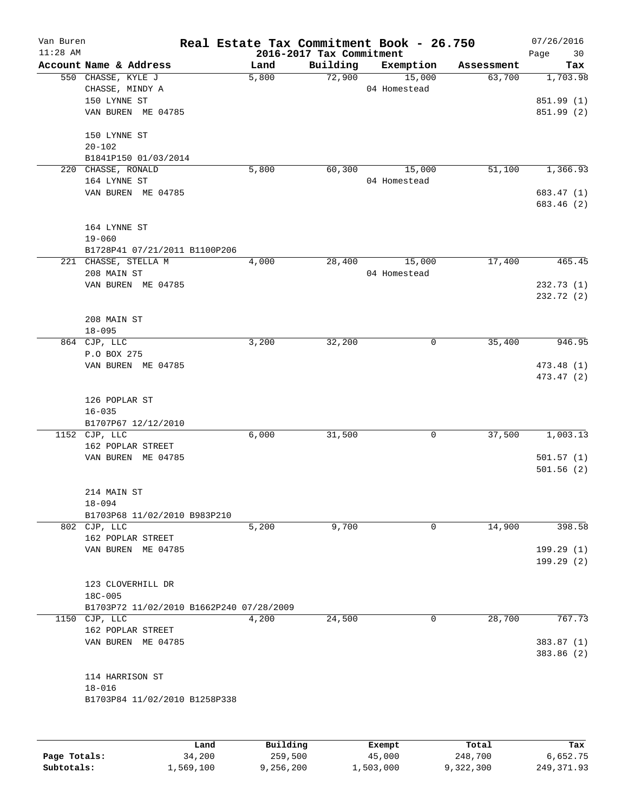| Van Buren    |                                          |          |                          | Real Estate Tax Commitment Book - 26.750 |            | 07/26/2016               |
|--------------|------------------------------------------|----------|--------------------------|------------------------------------------|------------|--------------------------|
| $11:28$ AM   |                                          |          | 2016-2017 Tax Commitment |                                          |            | Page<br>30               |
|              | Account Name & Address                   | Land     | Building                 | Exemption                                | Assessment | Tax                      |
|              | 550 CHASSE, KYLE J                       | 5,800    | 72,900                   | 15,000                                   | 63,700     | 1,703.98                 |
|              | CHASSE, MINDY A                          |          |                          | 04 Homestead                             |            |                          |
|              | 150 LYNNE ST                             |          |                          |                                          |            | 851.99 (1)               |
|              | VAN BUREN ME 04785                       |          |                          |                                          |            | 851.99 (2)               |
|              | 150 LYNNE ST                             |          |                          |                                          |            |                          |
|              | $20 - 102$                               |          |                          |                                          |            |                          |
|              | B1841P150 01/03/2014                     |          |                          |                                          |            |                          |
| 220          | CHASSE, RONALD                           | 5,800    | 60, 300                  | 15,000                                   | 51,100     | 1,366.93                 |
|              | 164 LYNNE ST                             |          |                          | 04 Homestead                             |            |                          |
|              | VAN BUREN ME 04785                       |          |                          |                                          |            | 683.47 (1)               |
|              |                                          |          |                          |                                          |            | 683.46 (2)               |
|              | 164 LYNNE ST                             |          |                          |                                          |            |                          |
|              | $19 - 060$                               |          |                          |                                          |            |                          |
|              | B1728P41 07/21/2011 B1100P206            |          |                          |                                          |            |                          |
|              | 221 CHASSE, STELLA M                     | 4,000    | 28,400                   | 15,000                                   | 17,400     | 465.45                   |
|              | 208 MAIN ST                              |          |                          | 04 Homestead                             |            |                          |
|              | VAN BUREN ME 04785                       |          |                          |                                          |            | 232.73(1)                |
|              |                                          |          |                          |                                          |            | 232.72(2)                |
|              | 208 MAIN ST                              |          |                          |                                          |            |                          |
|              |                                          |          |                          |                                          |            |                          |
|              | $18 - 095$                               |          |                          |                                          |            |                          |
|              | 864 CJP, LLC                             | 3,200    | 32,200                   | 0                                        | 35,400     | 946.95                   |
|              | P.O BOX 275                              |          |                          |                                          |            |                          |
|              | VAN BUREN ME 04785                       |          |                          |                                          |            | 473.48 (1)<br>473.47 (2) |
|              |                                          |          |                          |                                          |            |                          |
|              | 126 POPLAR ST                            |          |                          |                                          |            |                          |
|              | $16 - 035$                               |          |                          |                                          |            |                          |
|              | B1707P67 12/12/2010                      |          |                          |                                          |            |                          |
|              | 1152 CJP, LLC                            | 6,000    | 31,500                   | 0                                        | 37,500     | 1,003.13                 |
|              | 162 POPLAR STREET                        |          |                          |                                          |            |                          |
|              | VAN BUREN ME 04785                       |          |                          |                                          |            | 501.57(1)                |
|              |                                          |          |                          |                                          |            | 501.56(2)                |
|              | 214 MAIN ST                              |          |                          |                                          |            |                          |
|              | $18 - 094$                               |          |                          |                                          |            |                          |
|              | B1703P68 11/02/2010 B983P210             |          |                          |                                          |            |                          |
|              | 802 CJP, LLC                             | 5,200    | 9,700                    | $\mathbf 0$                              | 14,900     | 398.58                   |
|              | 162 POPLAR STREET                        |          |                          |                                          |            |                          |
|              | VAN BUREN ME 04785                       |          |                          |                                          |            | 199.29 (1)               |
|              |                                          |          |                          |                                          |            | 199.29(2)                |
|              | 123 CLOVERHILL DR                        |          |                          |                                          |            |                          |
|              | 18C-005                                  |          |                          |                                          |            |                          |
|              |                                          |          |                          |                                          |            |                          |
|              | B1703P72 11/02/2010 B1662P240 07/28/2009 |          |                          |                                          |            |                          |
| 1150         | CJP, LLC                                 | 4,200    | 24,500                   | 0                                        | 28,700     | 767.73                   |
|              | 162 POPLAR STREET                        |          |                          |                                          |            |                          |
|              | VAN BUREN ME 04785                       |          |                          |                                          |            | 383.87 (1)               |
|              |                                          |          |                          |                                          |            | 383.86 (2)               |
|              | 114 HARRISON ST                          |          |                          |                                          |            |                          |
|              | $18 - 016$                               |          |                          |                                          |            |                          |
|              | B1703P84 11/02/2010 B1258P338            |          |                          |                                          |            |                          |
|              |                                          |          |                          |                                          |            |                          |
|              | Land                                     | Building |                          | Exempt                                   | Total      | Tax                      |
| Page Totals: | 34,200                                   | 259,500  |                          | 45,000                                   | 248,700    | 6,652.75                 |

**Subtotals:** 1,569,100 9,256,200 1,503,000 9,322,300 249,371.93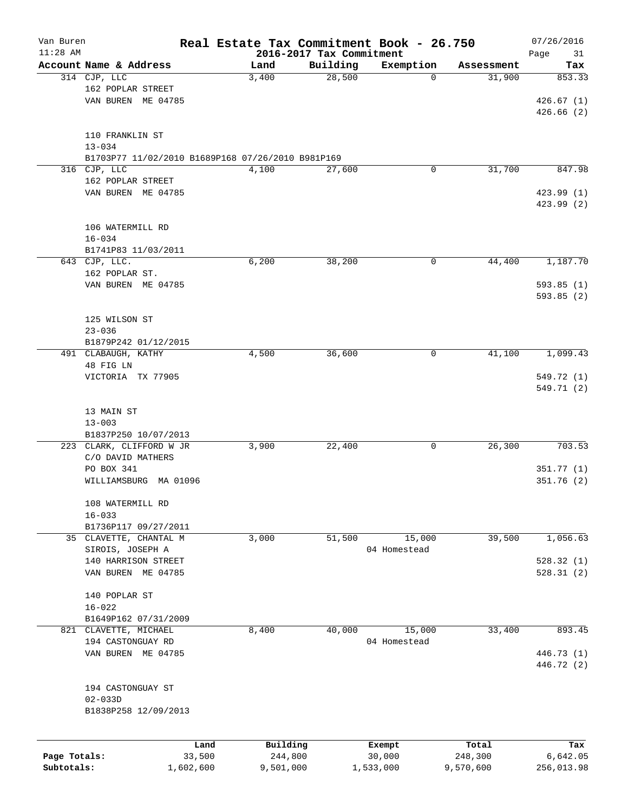| Van Buren    |                                                   |                | Real Estate Tax Commitment Book - 26.750 |          |                  |                  | 07/26/2016      |
|--------------|---------------------------------------------------|----------------|------------------------------------------|----------|------------------|------------------|-----------------|
| $11:28$ AM   |                                                   |                | 2016-2017 Tax Commitment                 |          |                  |                  | Page<br>31      |
|              | Account Name & Address                            |                | Land<br>3,400                            | Building | Exemption        | Assessment       | Tax             |
|              | 314 CJP, LLC                                      |                |                                          | 28,500   | 0                | 31,900           | 853.33          |
|              | 162 POPLAR STREET                                 |                |                                          |          |                  |                  |                 |
|              | VAN BUREN ME 04785                                |                |                                          |          |                  |                  | 426.67(1)       |
|              |                                                   |                |                                          |          |                  |                  | 426.66(2)       |
|              |                                                   |                |                                          |          |                  |                  |                 |
|              | 110 FRANKLIN ST                                   |                |                                          |          |                  |                  |                 |
|              | $13 - 034$                                        |                |                                          |          |                  |                  |                 |
|              | B1703P77 11/02/2010 B1689P168 07/26/2010 B981P169 |                |                                          |          |                  |                  |                 |
| 316          | CJP, LLC                                          |                | 4,100                                    | 27,600   | 0                | 31,700           | 847.98          |
|              | 162 POPLAR STREET                                 |                |                                          |          |                  |                  |                 |
|              | VAN BUREN ME 04785                                |                |                                          |          |                  |                  | 423.99 (1)      |
|              |                                                   |                |                                          |          |                  |                  | 423.99 (2)      |
|              |                                                   |                |                                          |          |                  |                  |                 |
|              | 106 WATERMILL RD                                  |                |                                          |          |                  |                  |                 |
|              | $16 - 034$                                        |                |                                          |          |                  |                  |                 |
|              | B1741P83 11/03/2011                               |                |                                          |          |                  |                  |                 |
|              | 643 CJP, LLC.                                     |                | 6,200                                    | 38,200   | 0                | 44,400           | 1,187.70        |
|              | 162 POPLAR ST.                                    |                |                                          |          |                  |                  |                 |
|              | VAN BUREN ME 04785                                |                |                                          |          |                  |                  | 593.85(1)       |
|              |                                                   |                |                                          |          |                  |                  | 593.85(2)       |
|              |                                                   |                |                                          |          |                  |                  |                 |
|              | 125 WILSON ST                                     |                |                                          |          |                  |                  |                 |
|              | $23 - 036$                                        |                |                                          |          |                  |                  |                 |
|              | B1879P242 01/12/2015                              |                |                                          |          |                  |                  |                 |
|              | 491 CLABAUGH, KATHY                               |                | 4,500                                    | 36,600   | 0                | 41,100           | 1,099.43        |
|              | 48 FIG LN                                         |                |                                          |          |                  |                  |                 |
|              | VICTORIA TX 77905                                 |                |                                          |          |                  |                  | 549.72 (1)      |
|              |                                                   |                |                                          |          |                  |                  | 549.71 (2)      |
|              |                                                   |                |                                          |          |                  |                  |                 |
|              | 13 MAIN ST                                        |                |                                          |          |                  |                  |                 |
|              | $13 - 003$                                        |                |                                          |          |                  |                  |                 |
|              | B1837P250 10/07/2013                              |                |                                          |          |                  |                  |                 |
|              | 223 CLARK, CLIFFORD W JR                          |                | 3,900                                    | 22,400   | 0                | 26, 300          | 703.53          |
|              | C/O DAVID MATHERS                                 |                |                                          |          |                  |                  |                 |
|              | PO BOX 341                                        |                |                                          |          |                  |                  | 351.77(1)       |
|              | WILLIAMSBURG<br>MA 01096                          |                |                                          |          |                  |                  | 351.76(2)       |
|              |                                                   |                |                                          |          |                  |                  |                 |
|              | 108 WATERMILL RD                                  |                |                                          |          |                  |                  |                 |
|              | $16 - 033$                                        |                |                                          |          |                  |                  |                 |
|              | B1736P117 09/27/2011                              |                |                                          |          |                  |                  |                 |
|              | 35 CLAVETTE, CHANTAL M                            |                | 3,000                                    | 51,500   | 15,000           | 39,500           | 1,056.63        |
|              | SIROIS, JOSEPH A                                  |                |                                          |          | 04 Homestead     |                  |                 |
|              | 140 HARRISON STREET                               |                |                                          |          |                  |                  | 528.32(1)       |
|              | VAN BUREN ME 04785                                |                |                                          |          |                  |                  | 528.31(2)       |
|              |                                                   |                |                                          |          |                  |                  |                 |
|              | 140 POPLAR ST                                     |                |                                          |          |                  |                  |                 |
|              | $16 - 022$                                        |                |                                          |          |                  |                  |                 |
|              | B1649P162 07/31/2009                              |                |                                          |          |                  |                  |                 |
|              | 821 CLAVETTE, MICHAEL                             |                | 8,400                                    | 40,000   | 15,000           | 33,400           | 893.45          |
|              | 194 CASTONGUAY RD                                 |                |                                          |          | 04 Homestead     |                  |                 |
|              | VAN BUREN ME 04785                                |                |                                          |          |                  |                  | 446.73 (1)      |
|              |                                                   |                |                                          |          |                  |                  | 446.72 (2)      |
|              |                                                   |                |                                          |          |                  |                  |                 |
|              | 194 CASTONGUAY ST                                 |                |                                          |          |                  |                  |                 |
|              | $02 - 033D$                                       |                |                                          |          |                  |                  |                 |
|              | B1838P258 12/09/2013                              |                |                                          |          |                  |                  |                 |
|              |                                                   |                |                                          |          |                  |                  |                 |
|              |                                                   |                |                                          |          |                  |                  |                 |
| Page Totals: |                                                   | Land<br>33,500 | Building<br>244,800                      |          | Exempt<br>30,000 | Total<br>248,300 | Tax<br>6,642.05 |
| Subtotals:   |                                                   | 1,602,600      | 9,501,000                                |          | 1,533,000        | 9,570,600        | 256,013.98      |
|              |                                                   |                |                                          |          |                  |                  |                 |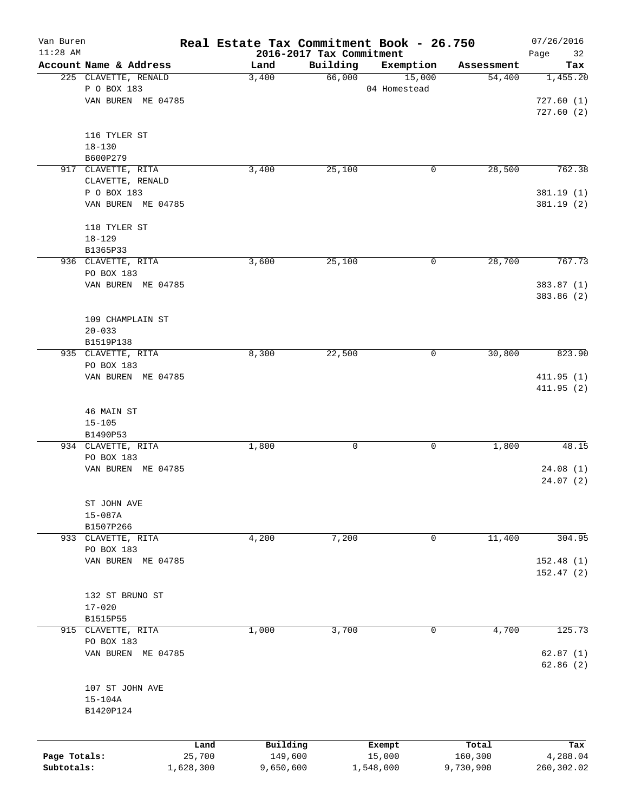| Van Buren<br>$11:28$ AM |                          |        | Real Estate Tax Commitment Book - 26.750 |              |            | 07/26/2016        |
|-------------------------|--------------------------|--------|------------------------------------------|--------------|------------|-------------------|
|                         | Account Name & Address   | Land   | 2016-2017 Tax Commitment<br>Building     | Exemption    | Assessment | Page<br>32<br>Tax |
|                         | 225 CLAVETTE, RENALD     | 3,400  | 66,000                                   | 15,000       | 54,400     | 1,455.20          |
|                         | P O BOX 183              |        |                                          | 04 Homestead |            |                   |
|                         | VAN BUREN ME 04785       |        |                                          |              |            | 727.60(1)         |
|                         |                          |        |                                          |              |            | 727.60(2)         |
|                         |                          |        |                                          |              |            |                   |
|                         | 116 TYLER ST             |        |                                          |              |            |                   |
|                         | $18 - 130$               |        |                                          |              |            |                   |
|                         | B600P279                 |        |                                          |              |            |                   |
|                         | 917 CLAVETTE, RITA       | 3,400  | 25,100                                   | 0            | 28,500     | 762.38            |
|                         | CLAVETTE, RENALD         |        |                                          |              |            |                   |
|                         | P O BOX 183              |        |                                          |              |            | 381.19 (1)        |
|                         | VAN BUREN ME 04785       |        |                                          |              |            | 381.19(2)         |
|                         | 118 TYLER ST             |        |                                          |              |            |                   |
|                         | $18 - 129$               |        |                                          |              |            |                   |
|                         | B1365P33                 |        |                                          |              |            |                   |
|                         | 936 CLAVETTE, RITA       | 3,600  | 25,100                                   | 0            | 28,700     | 767.73            |
|                         | PO BOX 183               |        |                                          |              |            |                   |
|                         | VAN BUREN ME 04785       |        |                                          |              |            | 383.87 (1)        |
|                         |                          |        |                                          |              |            | 383.86 (2)        |
|                         |                          |        |                                          |              |            |                   |
|                         | 109 CHAMPLAIN ST         |        |                                          |              |            |                   |
|                         | $20 - 033$               |        |                                          |              |            |                   |
|                         | B1519P138                |        |                                          |              |            |                   |
|                         | 935 CLAVETTE, RITA       | 8,300  | 22,500                                   | 0            | 30,800     | 823.90            |
|                         | PO BOX 183               |        |                                          |              |            |                   |
|                         | VAN BUREN ME 04785       |        |                                          |              |            | 411.95(1)         |
|                         |                          |        |                                          |              |            | 411.95 (2)        |
|                         |                          |        |                                          |              |            |                   |
|                         | 46 MAIN ST<br>$15 - 105$ |        |                                          |              |            |                   |
|                         | B1490P53                 |        |                                          |              |            |                   |
|                         | 934 CLAVETTE, RITA       | 1,800  | 0                                        | 0            | 1,800      | 48.15             |
|                         | PO BOX 183               |        |                                          |              |            |                   |
|                         | VAN BUREN ME 04785       |        |                                          |              |            | 24.08(1)          |
|                         |                          |        |                                          |              |            | 24.07(2)          |
|                         |                          |        |                                          |              |            |                   |
|                         | ST JOHN AVE              |        |                                          |              |            |                   |
|                         | $15 - 087A$              |        |                                          |              |            |                   |
|                         | B1507P266                |        |                                          |              |            |                   |
|                         | 933 CLAVETTE, RITA       | 4,200  | 7,200                                    | 0            | 11,400     | 304.95            |
|                         | PO BOX 183               |        |                                          |              |            |                   |
|                         | VAN BUREN ME 04785       |        |                                          |              |            | 152.48 (1)        |
|                         |                          |        |                                          |              |            | 152.47(2)         |
|                         | 132 ST BRUNO ST          |        |                                          |              |            |                   |
|                         | $17 - 020$               |        |                                          |              |            |                   |
|                         | B1515P55                 |        |                                          |              |            |                   |
|                         | 915 CLAVETTE, RITA       | 1,000  | 3,700                                    | 0            | 4,700      | 125.73            |
|                         | PO BOX 183               |        |                                          |              |            |                   |
|                         | VAN BUREN ME 04785       |        |                                          |              |            | 62.87(1)          |
|                         |                          |        |                                          |              |            | 62.86(2)          |
|                         |                          |        |                                          |              |            |                   |
|                         | 107 ST JOHN AVE          |        |                                          |              |            |                   |
|                         | $15 - 104A$              |        |                                          |              |            |                   |
|                         | B1420P124                |        |                                          |              |            |                   |
|                         |                          |        |                                          |              |            |                   |
|                         |                          | Land   | Building                                 | Exempt       | Total      | Tax               |
| Page Totals:            |                          | 25,700 | 149,600                                  | 15,000       | 160,300    | 4,288.04          |
| Subtotals:              | 1,628,300                |        | 9,650,600                                | 1,548,000    | 9,730,900  | 260,302.02        |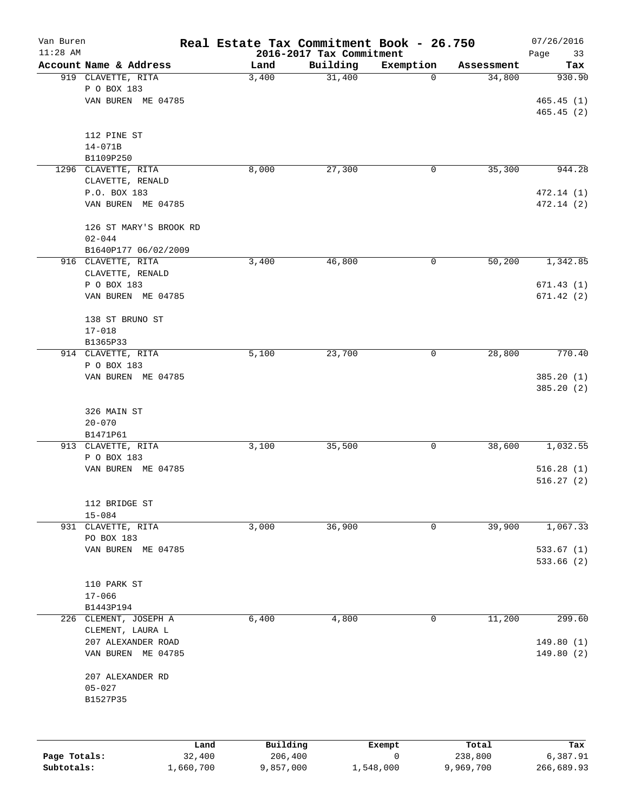| Van Buren<br>$11:28$ AM |                        | Real Estate Tax Commitment Book - 26.750 | 2016-2017 Tax Commitment |             |                  | 07/26/2016<br>Page<br>33 |
|-------------------------|------------------------|------------------------------------------|--------------------------|-------------|------------------|--------------------------|
|                         | Account Name & Address | Land                                     | Building                 | Exemption   | Assessment       | Tax                      |
|                         | 919 CLAVETTE, RITA     | 3,400                                    | 31,400                   | 0           | 34,800           | 930.90                   |
|                         | P O BOX 183            |                                          |                          |             |                  |                          |
|                         | VAN BUREN ME 04785     |                                          |                          |             |                  | 465.45(1)                |
|                         |                        |                                          |                          |             |                  | 465.45(2)                |
|                         | 112 PINE ST            |                                          |                          |             |                  |                          |
|                         | $14 - 071B$            |                                          |                          |             |                  |                          |
|                         | B1109P250              |                                          |                          |             |                  |                          |
|                         | 1296 CLAVETTE, RITA    | 8,000                                    | 27,300                   | 0           | 35, 300          | 944.28                   |
|                         | CLAVETTE, RENALD       |                                          |                          |             |                  |                          |
|                         | P.O. BOX 183           |                                          |                          |             |                  | 472.14 (1)               |
|                         | VAN BUREN ME 04785     |                                          |                          |             |                  | 472.14 (2)               |
|                         | 126 ST MARY'S BROOK RD |                                          |                          |             |                  |                          |
|                         | $02 - 044$             |                                          |                          |             |                  |                          |
|                         | B1640P177 06/02/2009   |                                          |                          |             |                  |                          |
|                         | 916 CLAVETTE, RITA     | 3,400                                    | 46,800                   | 0           | 50,200           | 1,342.85                 |
|                         | CLAVETTE, RENALD       |                                          |                          |             |                  |                          |
|                         | P O BOX 183            |                                          |                          |             |                  | 671.43(1)                |
|                         | VAN BUREN ME 04785     |                                          |                          |             |                  | 671.42(2)                |
|                         | 138 ST BRUNO ST        |                                          |                          |             |                  |                          |
|                         | $17 - 018$             |                                          |                          |             |                  |                          |
|                         | B1365P33               |                                          |                          |             |                  |                          |
|                         | 914 CLAVETTE, RITA     | 5,100                                    | 23,700                   | 0           | 28,800           | 770.40                   |
|                         | P O BOX 183            |                                          |                          |             |                  |                          |
|                         | VAN BUREN ME 04785     |                                          |                          |             |                  | 385.20(1)                |
|                         |                        |                                          |                          |             |                  | 385.20(2)                |
|                         | 326 MAIN ST            |                                          |                          |             |                  |                          |
|                         | $20 - 070$             |                                          |                          |             |                  |                          |
|                         | B1471P61               |                                          |                          |             |                  |                          |
|                         | 913 CLAVETTE, RITA     | 3,100                                    | 35,500                   | 0           | 38,600           | 1,032.55                 |
|                         | P O BOX 183            |                                          |                          |             |                  |                          |
|                         | VAN BUREN ME 04785     |                                          |                          |             |                  | 516.28(1)                |
|                         |                        |                                          |                          |             |                  | 516.27(2)                |
|                         | 112 BRIDGE ST          |                                          |                          |             |                  |                          |
|                         | $15 - 084$             |                                          |                          |             |                  |                          |
|                         | 931 CLAVETTE, RITA     | 3,000                                    | 36,900                   | 0           | 39,900           | 1,067.33                 |
|                         | PO BOX 183             |                                          |                          |             |                  |                          |
|                         | VAN BUREN ME 04785     |                                          |                          |             |                  | 533.67(1)                |
|                         |                        |                                          |                          |             |                  | 533.66(2)                |
|                         | 110 PARK ST            |                                          |                          |             |                  |                          |
|                         | $17 - 066$             |                                          |                          |             |                  |                          |
|                         | B1443P194              |                                          |                          |             |                  |                          |
| 226                     | CLEMENT, JOSEPH A      | 6,400                                    | 4,800                    | 0           | 11,200           | 299.60                   |
|                         | CLEMENT, LAURA L       |                                          |                          |             |                  |                          |
|                         | 207 ALEXANDER ROAD     |                                          |                          |             |                  | 149.80(1)                |
|                         | VAN BUREN ME 04785     |                                          |                          |             |                  | 149.80(2)                |
|                         | 207 ALEXANDER RD       |                                          |                          |             |                  |                          |
|                         | $05 - 027$             |                                          |                          |             |                  |                          |
|                         | B1527P35               |                                          |                          |             |                  |                          |
|                         |                        |                                          |                          |             |                  |                          |
|                         |                        |                                          |                          |             |                  |                          |
| Page Totals:            | Land<br>32,400         | Building<br>206,400                      |                          | Exempt<br>0 | Total<br>238,800 | Tax<br>6,387.91          |

**Subtotals:** 1,660,700 9,857,000 1,548,000 9,969,700 266,689.93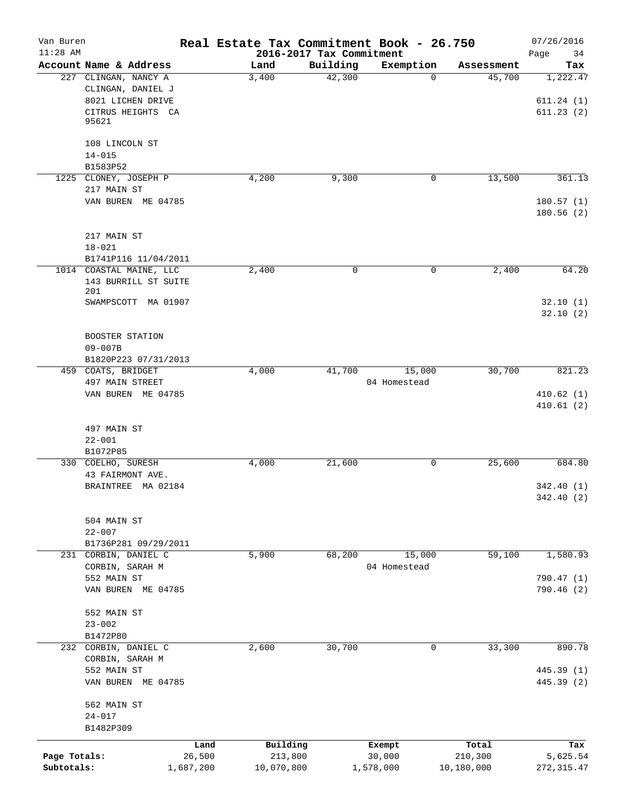| Van Buren<br>$11:28$ AM |                                                                                              |            | Real Estate Tax Commitment Book - 26.750<br>2016-2017 Tax Commitment |              |            | 07/26/2016<br>Page<br>34           |
|-------------------------|----------------------------------------------------------------------------------------------|------------|----------------------------------------------------------------------|--------------|------------|------------------------------------|
|                         | Account Name & Address                                                                       | Land       | Building                                                             | Exemption    | Assessment | Tax                                |
|                         | 227 CLINGAN, NANCY A<br>CLINGAN, DANIEL J<br>8021 LICHEN DRIVE<br>CITRUS HEIGHTS CA<br>95621 | 3,400      | 42,300                                                               | $\Omega$     | 45,700     | 1,222.47<br>611.24(1)<br>611.23(2) |
|                         | 108 LINCOLN ST<br>$14 - 015$<br>B1583P52                                                     |            |                                                                      |              |            |                                    |
|                         | 1225 CLONEY, JOSEPH P<br>217 MAIN ST                                                         | 4,200      | 9,300                                                                | 0            | 13,500     | 361.13                             |
|                         | VAN BUREN ME 04785                                                                           |            |                                                                      |              |            | 180.57(1)<br>180.56(2)             |
|                         | 217 MAIN ST<br>$18 - 021$                                                                    |            |                                                                      |              |            |                                    |
|                         | B1741P116 11/04/2011                                                                         |            |                                                                      |              |            |                                    |
|                         | 1014 COASTAL MAINE, LLC                                                                      | 2,400      | $\mathsf{O}$                                                         | 0            | 2,400      | 64.20                              |
|                         | 143 BURRILL ST SUITE<br>201                                                                  |            |                                                                      |              |            |                                    |
|                         | SWAMPSCOTT MA 01907                                                                          |            |                                                                      |              |            | 32.10(1)<br>32.10(2)               |
|                         | BOOSTER STATION<br>$09 - 007B$                                                               |            |                                                                      |              |            |                                    |
|                         | B1820P223 07/31/2013                                                                         |            |                                                                      |              |            |                                    |
|                         | 459 COATS, BRIDGET                                                                           | 4,000      | 41,700                                                               | 15,000       | 30,700     | 821.23                             |
|                         | 497 MAIN STREET<br>VAN BUREN ME 04785                                                        |            |                                                                      | 04 Homestead |            | 410.62(1)                          |
|                         | 497 MAIN ST                                                                                  |            |                                                                      |              |            | 410.61(2)                          |
|                         | $22 - 001$                                                                                   |            |                                                                      |              |            |                                    |
|                         | B1072P85                                                                                     |            |                                                                      |              |            |                                    |
|                         | 330 COELHO, SURESH                                                                           | 4,000      | 21,600                                                               | 0            | 25,600     | 684.80                             |
|                         | 43 FAIRMONT AVE.                                                                             |            |                                                                      |              |            |                                    |
|                         | BRAINTREE MA 02184                                                                           |            |                                                                      |              |            | 342.40 (1)<br>342.40 (2)           |
|                         | 504 MAIN ST                                                                                  |            |                                                                      |              |            |                                    |
|                         | $22 - 007$<br>B1736P281 09/29/2011                                                           |            |                                                                      |              |            |                                    |
| 231                     | CORBIN, DANIEL C                                                                             | 5,900      | 68,200                                                               | 15,000       | 59,100     | 1,580.93                           |
|                         | CORBIN, SARAH M                                                                              |            |                                                                      | 04 Homestead |            |                                    |
|                         | 552 MAIN ST                                                                                  |            |                                                                      |              |            | 790.47 (1)                         |
|                         | VAN BUREN ME 04785                                                                           |            |                                                                      |              |            | 790.46 (2)                         |
|                         | 552 MAIN ST                                                                                  |            |                                                                      |              |            |                                    |
|                         | $23 - 002$                                                                                   |            |                                                                      |              |            |                                    |
|                         | B1472P80                                                                                     |            |                                                                      |              |            |                                    |
| 232                     | CORBIN, DANIEL C<br>CORBIN, SARAH M                                                          | 2,600      | 30,700                                                               | 0            | 33,300     | 890.78                             |
|                         | 552 MAIN ST<br>VAN BUREN ME 04785                                                            |            |                                                                      |              |            | 445.39 (1)<br>445.39 (2)           |
|                         | 562 MAIN ST<br>$24 - 017$                                                                    |            |                                                                      |              |            |                                    |
|                         | B1482P309                                                                                    |            |                                                                      |              |            |                                    |
|                         | Land                                                                                         | Building   | Exempt                                                               |              | Total      | Tax                                |
| Page Totals:            | 26,500                                                                                       | 213,800    | 30,000                                                               |              | 210,300    | 5,625.54                           |
| Subtotals:              | 1,687,200                                                                                    | 10,070,800 | 1,578,000                                                            |              | 10,180,000 | 272, 315.47                        |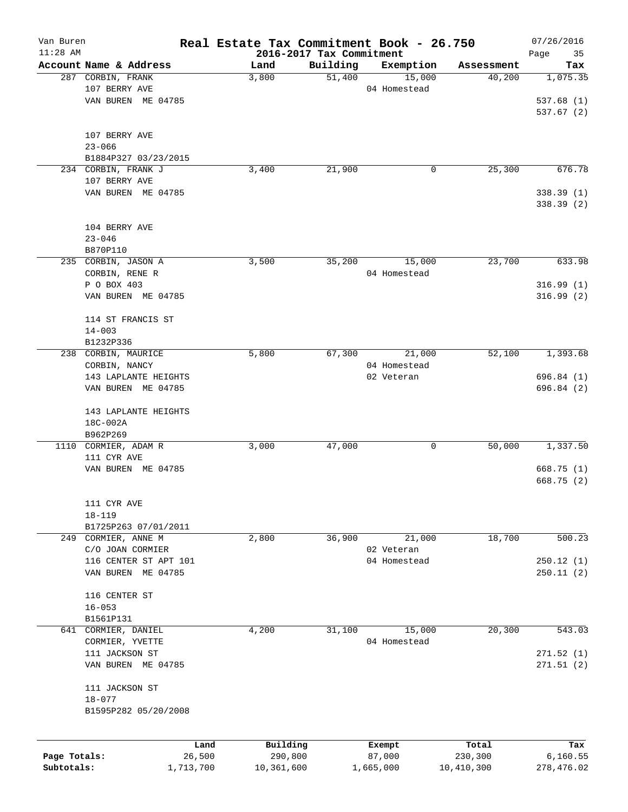| Van Buren<br>$11:28$ AM |                        | Real Estate Tax Commitment Book - 26.750 | 2016-2017 Tax Commitment |                  |                  | 07/26/2016<br>Page<br>35 |
|-------------------------|------------------------|------------------------------------------|--------------------------|------------------|------------------|--------------------------|
|                         | Account Name & Address | Land                                     | Building                 | Exemption        | Assessment       | Tax                      |
|                         | 287 CORBIN, FRANK      | 3,800                                    | 51,400                   | 15,000           | 40,200           | 1,075.35                 |
|                         | 107 BERRY AVE          |                                          |                          | 04 Homestead     |                  |                          |
|                         | VAN BUREN ME 04785     |                                          |                          |                  |                  | 537.68(1)                |
|                         |                        |                                          |                          |                  |                  | 537.67(2)                |
|                         |                        |                                          |                          |                  |                  |                          |
|                         | 107 BERRY AVE          |                                          |                          |                  |                  |                          |
|                         | $23 - 066$             |                                          |                          |                  |                  |                          |
|                         | B1884P327 03/23/2015   |                                          |                          |                  |                  |                          |
|                         | 234 CORBIN, FRANK J    | 3,400                                    | 21,900                   | 0                | 25,300           | 676.78                   |
|                         | 107 BERRY AVE          |                                          |                          |                  |                  |                          |
|                         | VAN BUREN ME 04785     |                                          |                          |                  |                  | 338.39(1)                |
|                         |                        |                                          |                          |                  |                  | 338.39 (2)               |
|                         |                        |                                          |                          |                  |                  |                          |
|                         | 104 BERRY AVE          |                                          |                          |                  |                  |                          |
|                         | $23 - 046$             |                                          |                          |                  |                  |                          |
|                         | B870P110               |                                          |                          |                  |                  |                          |
|                         | 235 CORBIN, JASON A    | 3,500                                    | 35,200                   | 15,000           | 23,700           | 633.98                   |
|                         | CORBIN, RENE R         |                                          |                          | 04 Homestead     |                  |                          |
|                         | P O BOX 403            |                                          |                          |                  |                  | 316.99(1)                |
|                         | VAN BUREN ME 04785     |                                          |                          |                  |                  | 316.99(2)                |
|                         |                        |                                          |                          |                  |                  |                          |
|                         | 114 ST FRANCIS ST      |                                          |                          |                  |                  |                          |
|                         | $14 - 003$             |                                          |                          |                  |                  |                          |
|                         | B1232P336              |                                          |                          |                  |                  |                          |
|                         | 238 CORBIN, MAURICE    | 5,800                                    | 67,300                   | 21,000           | 52,100           | 1,393.68                 |
|                         | CORBIN, NANCY          |                                          |                          | 04 Homestead     |                  |                          |
|                         | 143 LAPLANTE HEIGHTS   |                                          |                          | 02 Veteran       |                  | 696.84(1)                |
|                         | VAN BUREN ME 04785     |                                          |                          |                  |                  | 696.84 (2)               |
|                         |                        |                                          |                          |                  |                  |                          |
|                         | 143 LAPLANTE HEIGHTS   |                                          |                          |                  |                  |                          |
|                         | 18C-002A               |                                          |                          |                  |                  |                          |
|                         | B962P269               |                                          |                          |                  |                  |                          |
|                         | 1110 CORMIER, ADAM R   | 3,000                                    | 47,000                   | 0                | 50,000           | 1,337.50                 |
|                         | 111 CYR AVE            |                                          |                          |                  |                  |                          |
|                         | VAN BUREN ME 04785     |                                          |                          |                  |                  | 668.75(1)                |
|                         |                        |                                          |                          |                  |                  | 668.75(2)                |
|                         |                        |                                          |                          |                  |                  |                          |
|                         | 111 CYR AVE            |                                          |                          |                  |                  |                          |
|                         | $18 - 119$             |                                          |                          |                  |                  |                          |
|                         | B1725P263 07/01/2011   |                                          |                          |                  |                  |                          |
|                         | 249 CORMIER, ANNE M    | 2,800                                    | 36,900                   | 21,000           | 18,700           | 500.23                   |
|                         | C/O JOAN CORMIER       |                                          |                          | 02 Veteran       |                  |                          |
|                         | 116 CENTER ST APT 101  |                                          |                          | 04 Homestead     |                  | 250.12(1)                |
|                         | VAN BUREN ME 04785     |                                          |                          |                  |                  | 250.11(2)                |
|                         |                        |                                          |                          |                  |                  |                          |
|                         | 116 CENTER ST          |                                          |                          |                  |                  |                          |
|                         | $16 - 053$             |                                          |                          |                  |                  |                          |
|                         | B1561P131              |                                          |                          |                  |                  |                          |
|                         | 641 CORMIER, DANIEL    | 4,200                                    | 31,100                   | 15,000           | 20,300           | 543.03                   |
|                         | CORMIER, YVETTE        |                                          |                          | 04 Homestead     |                  |                          |
|                         | 111 JACKSON ST         |                                          |                          |                  |                  | 271.52(1)                |
|                         | VAN BUREN ME 04785     |                                          |                          |                  |                  | 271.51(2)                |
|                         |                        |                                          |                          |                  |                  |                          |
|                         | 111 JACKSON ST         |                                          |                          |                  |                  |                          |
|                         | $18 - 077$             |                                          |                          |                  |                  |                          |
|                         | B1595P282 05/20/2008   |                                          |                          |                  |                  |                          |
|                         |                        |                                          |                          |                  |                  |                          |
|                         |                        |                                          |                          |                  |                  |                          |
| Page Totals:            | Land<br>26,500         | Building<br>290,800                      |                          | Exempt<br>87,000 | Total<br>230,300 | Tax<br>6, 160.55         |
| Subtotals:              | 1,713,700              | 10,361,600                               |                          | 1,665,000        | 10,410,300       | 278,476.02               |
|                         |                        |                                          |                          |                  |                  |                          |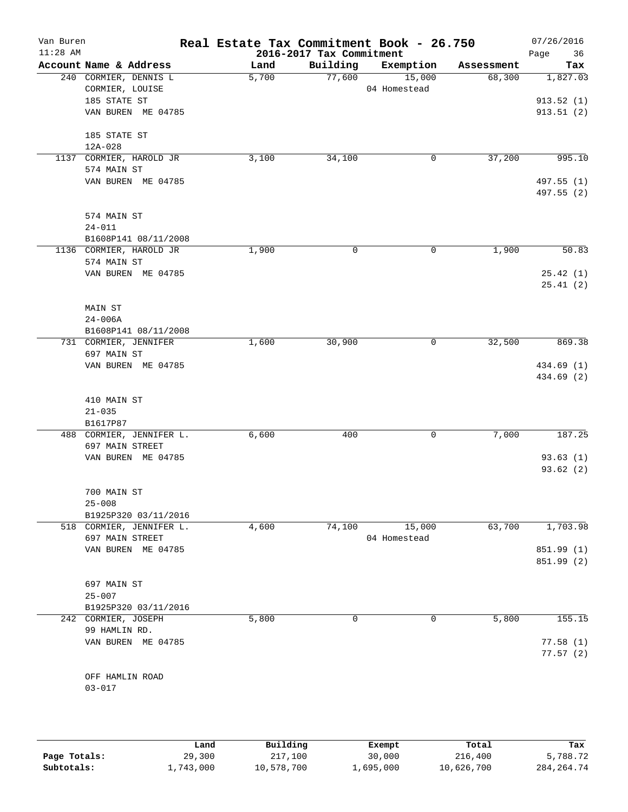| Van Buren<br>$11:28$ AM |                                             | Real Estate Tax Commitment Book - 26.750 | 2016-2017 Tax Commitment |                        |            | 07/26/2016<br>Page<br>36 |
|-------------------------|---------------------------------------------|------------------------------------------|--------------------------|------------------------|------------|--------------------------|
|                         | Account Name & Address                      | Land                                     | Building                 | Exemption              | Assessment | Tax                      |
|                         | 240 CORMIER, DENNIS L                       | 5,700                                    | 77,600                   | 15,000                 | 68,300     | 1,827.03                 |
|                         | CORMIER, LOUISE                             |                                          |                          | 04 Homestead           |            |                          |
|                         | 185 STATE ST                                |                                          |                          |                        |            | 913.52(1)                |
|                         | VAN BUREN ME 04785                          |                                          |                          |                        |            | 913.51(2)                |
|                         | 185 STATE ST                                |                                          |                          |                        |            |                          |
|                         | 12A-028                                     |                                          |                          |                        |            |                          |
|                         | 1137 CORMIER, HAROLD JR                     | 3,100                                    | 34,100                   | 0                      | 37,200     | 995.10                   |
|                         | 574 MAIN ST<br>VAN BUREN ME 04785           |                                          |                          |                        |            | 497.55 (1)               |
|                         |                                             |                                          |                          |                        |            | 497.55 (2)               |
|                         | 574 MAIN ST                                 |                                          |                          |                        |            |                          |
|                         | $24 - 011$                                  |                                          |                          |                        |            |                          |
|                         | B1608P141 08/11/2008                        |                                          |                          |                        |            |                          |
|                         | 1136 CORMIER, HAROLD JR                     | 1,900                                    | 0                        | 0                      | 1,900      | 50.83                    |
|                         | 574 MAIN ST                                 |                                          |                          |                        |            |                          |
|                         | VAN BUREN ME 04785                          |                                          |                          |                        |            | 25.42(1)<br>25.41(2)     |
|                         | MAIN ST                                     |                                          |                          |                        |            |                          |
|                         | $24 - 006A$                                 |                                          |                          |                        |            |                          |
|                         | B1608P141 08/11/2008                        |                                          |                          |                        |            |                          |
|                         | 731 CORMIER, JENNIFER                       | 1,600                                    | 30,900                   | 0                      | 32,500     | 869.38                   |
|                         | 697 MAIN ST                                 |                                          |                          |                        |            |                          |
|                         | VAN BUREN ME 04785                          |                                          |                          |                        |            | 434.69 (1)<br>434.69 (2) |
|                         | 410 MAIN ST                                 |                                          |                          |                        |            |                          |
|                         | $21 - 035$                                  |                                          |                          |                        |            |                          |
|                         | B1617P87                                    |                                          |                          |                        |            |                          |
|                         | 488 CORMIER, JENNIFER L.                    | 6,600                                    | 400                      | 0                      | 7,000      | 187.25                   |
|                         | 697 MAIN STREET                             |                                          |                          |                        |            |                          |
|                         | VAN BUREN ME 04785                          |                                          |                          |                        |            | 93.63(1)<br>93.62 (2)    |
|                         |                                             |                                          |                          |                        |            |                          |
|                         | 700 MAIN ST                                 |                                          |                          |                        |            |                          |
|                         | $25 - 008$                                  |                                          |                          |                        |            |                          |
|                         | B1925P320 03/11/2016                        |                                          |                          |                        |            |                          |
|                         | 518 CORMIER, JENNIFER L.<br>697 MAIN STREET | 4,600                                    | 74,100                   | 15,000<br>04 Homestead | 63,700     | 1,703.98                 |
|                         | VAN BUREN ME 04785                          |                                          |                          |                        |            | 851.99 (1)               |
|                         |                                             |                                          |                          |                        |            | 851.99 (2)               |
|                         | 697 MAIN ST                                 |                                          |                          |                        |            |                          |
|                         | $25 - 007$                                  |                                          |                          |                        |            |                          |
|                         | B1925P320 03/11/2016                        |                                          |                          |                        |            |                          |
|                         | 242 CORMIER, JOSEPH                         | 5,800                                    | 0                        | 0                      | 5,800      | 155.15                   |
|                         | 99 HAMLIN RD.                               |                                          |                          |                        |            |                          |
|                         | VAN BUREN ME 04785                          |                                          |                          |                        |            | 77.58(1)<br>77.57(2)     |
|                         |                                             |                                          |                          |                        |            |                          |
|                         | OFF HAMLIN ROAD                             |                                          |                          |                        |            |                          |
|                         | $03 - 017$                                  |                                          |                          |                        |            |                          |
|                         |                                             |                                          |                          |                        |            |                          |
|                         |                                             |                                          |                          |                        |            |                          |
|                         |                                             |                                          |                          |                        |            |                          |

|              | Land      | Building   | Exempt    | Total      | Tax          |
|--------------|-----------|------------|-----------|------------|--------------|
| Page Totals: | 29,300    | 217,100    | 30,000    | 216,400    | 5,788.72     |
| Subtotals:   | L,743,000 | 10,578,700 | ⊥,695,000 | 10,626,700 | 284, 264, 74 |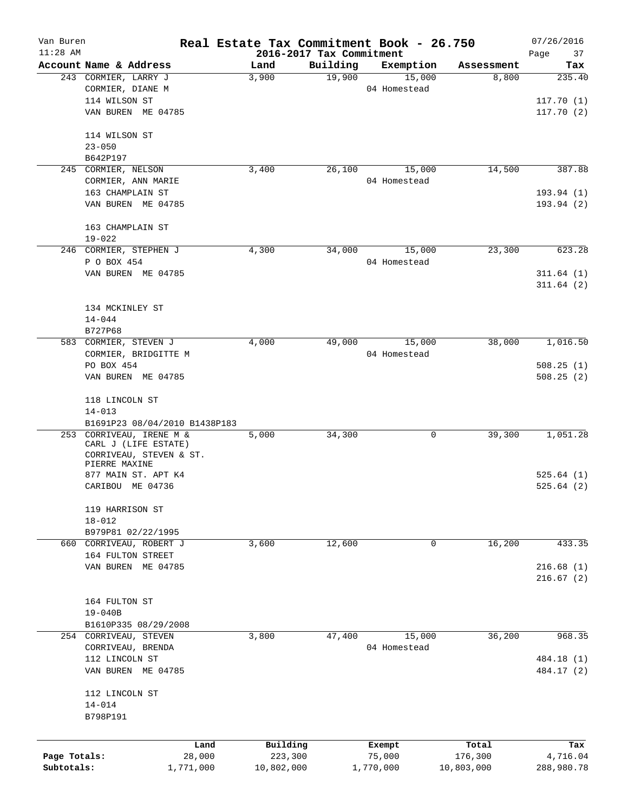| Van Buren<br>$11:28$ AM |                                          | Real Estate Tax Commitment Book - 26.750<br>2016-2017 Tax Commitment |          |              |            | 07/26/2016<br>Page<br>37 |
|-------------------------|------------------------------------------|----------------------------------------------------------------------|----------|--------------|------------|--------------------------|
|                         | Account Name & Address                   | Land                                                                 | Building | Exemption    | Assessment | Tax                      |
|                         | 243 CORMIER, LARRY J                     | 3,900                                                                | 19,900   | 15,000       | 8,800      | 235.40                   |
|                         | CORMIER, DIANE M                         |                                                                      |          | 04 Homestead |            |                          |
|                         | 114 WILSON ST                            |                                                                      |          |              |            | 117.70(1)                |
|                         | VAN BUREN ME 04785                       |                                                                      |          |              |            | 117.70(2)                |
|                         |                                          |                                                                      |          |              |            |                          |
|                         | 114 WILSON ST                            |                                                                      |          |              |            |                          |
|                         | $23 - 050$                               |                                                                      |          |              |            |                          |
|                         | B642P197                                 |                                                                      |          |              |            |                          |
| 245                     | CORMIER, NELSON                          | 3,400                                                                | 26,100   | 15,000       | 14,500     | 387.88                   |
|                         | CORMIER, ANN MARIE                       |                                                                      |          | 04 Homestead |            |                          |
|                         | 163 CHAMPLAIN ST                         |                                                                      |          |              |            | 193.94 (1)               |
|                         | VAN BUREN ME 04785                       |                                                                      |          |              |            | 193.94 (2)               |
|                         |                                          |                                                                      |          |              |            |                          |
|                         | 163 CHAMPLAIN ST                         |                                                                      |          |              |            |                          |
|                         | $19 - 022$                               |                                                                      |          |              |            |                          |
|                         | 246 CORMIER, STEPHEN J                   | 4,300                                                                | 34,000   | 15,000       | 23,300     | 623.28                   |
|                         | P O BOX 454                              |                                                                      |          | 04 Homestead |            |                          |
|                         | VAN BUREN ME 04785                       |                                                                      |          |              |            | 311.64(1)                |
|                         |                                          |                                                                      |          |              |            | 311.64(2)                |
|                         |                                          |                                                                      |          |              |            |                          |
|                         |                                          |                                                                      |          |              |            |                          |
|                         | 134 MCKINLEY ST                          |                                                                      |          |              |            |                          |
|                         | $14 - 044$                               |                                                                      |          |              |            |                          |
|                         | B727P68                                  |                                                                      |          |              |            |                          |
|                         | 583 CORMIER, STEVEN J                    | 4,000                                                                | 49,000   | 15,000       | 38,000     | 1,016.50                 |
|                         | CORMIER, BRIDGITTE M                     |                                                                      |          | 04 Homestead |            |                          |
|                         | PO BOX 454                               |                                                                      |          |              |            | 508.25(1)                |
|                         | VAN BUREN ME 04785                       |                                                                      |          |              |            | 508.25(2)                |
|                         |                                          |                                                                      |          |              |            |                          |
|                         | 118 LINCOLN ST                           |                                                                      |          |              |            |                          |
|                         | $14 - 013$                               |                                                                      |          |              |            |                          |
|                         | B1691P23 08/04/2010 B1438P183            |                                                                      |          |              |            |                          |
| 253                     | CORRIVEAU, IRENE M &                     | 5,000                                                                | 34,300   | 0            | 39,300     | 1,051.28                 |
|                         | CARL J (LIFE ESTATE)                     |                                                                      |          |              |            |                          |
|                         | CORRIVEAU, STEVEN & ST.<br>PIERRE MAXINE |                                                                      |          |              |            |                          |
|                         | 877 MAIN ST. APT K4                      |                                                                      |          |              |            | 525.64(1)                |
|                         | CARIBOU ME 04736                         |                                                                      |          |              |            | 525.64(2)                |
|                         |                                          |                                                                      |          |              |            |                          |
|                         | 119 HARRISON ST                          |                                                                      |          |              |            |                          |
|                         | $18 - 012$                               |                                                                      |          |              |            |                          |
|                         | B979P81 02/22/1995                       |                                                                      |          |              |            |                          |
|                         | 660 CORRIVEAU, ROBERT J                  | 3,600                                                                | 12,600   | 0            | 16,200     | 433.35                   |
|                         |                                          |                                                                      |          |              |            |                          |
|                         | 164 FULTON STREET                        |                                                                      |          |              |            |                          |
|                         | VAN BUREN ME 04785                       |                                                                      |          |              |            | 216.68(1)                |
|                         |                                          |                                                                      |          |              |            | 216.67(2)                |
|                         |                                          |                                                                      |          |              |            |                          |
|                         | 164 FULTON ST                            |                                                                      |          |              |            |                          |
|                         | $19 - 040B$                              |                                                                      |          |              |            |                          |
|                         | B1610P335 08/29/2008                     |                                                                      |          |              |            |                          |
|                         | 254 CORRIVEAU, STEVEN                    | 3,800                                                                | 47,400   | 15,000       | 36,200     | 968.35                   |
|                         | CORRIVEAU, BRENDA                        |                                                                      |          | 04 Homestead |            |                          |
|                         | 112 LINCOLN ST                           |                                                                      |          |              |            | 484.18 (1)               |
|                         | VAN BUREN ME 04785                       |                                                                      |          |              |            | 484.17 (2)               |
|                         |                                          |                                                                      |          |              |            |                          |
|                         | 112 LINCOLN ST                           |                                                                      |          |              |            |                          |
|                         | $14 - 014$                               |                                                                      |          |              |            |                          |
|                         | B798P191                                 |                                                                      |          |              |            |                          |
|                         |                                          |                                                                      |          |              |            |                          |
|                         | Land                                     | Building                                                             |          | Exempt       | Total      | Tax                      |
| Page Totals:            | 28,000                                   | 223,300                                                              |          | 75,000       | 176,300    | 4,716.04                 |
| Subtotals:              | 1,771,000                                | 10,802,000                                                           |          | 1,770,000    | 10,803,000 | 288,980.78               |
|                         |                                          |                                                                      |          |              |            |                          |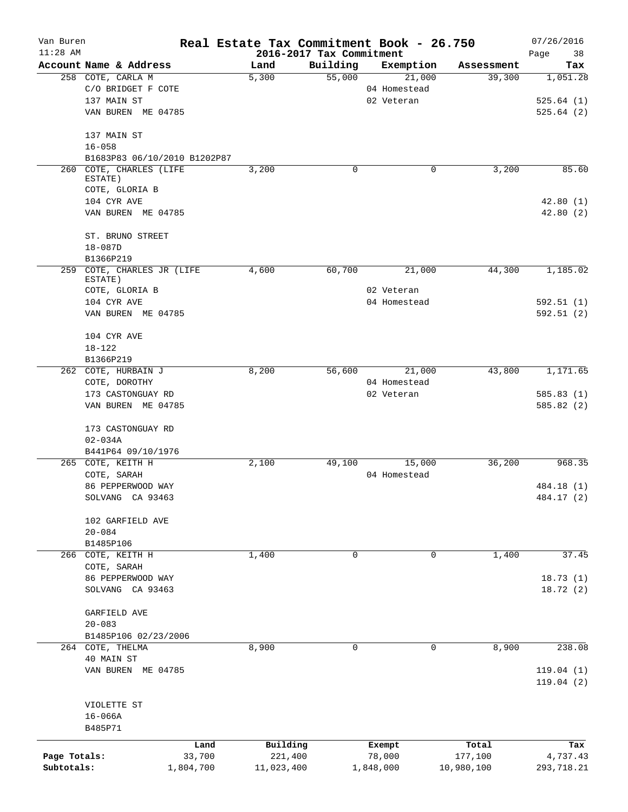| Van Buren<br>$11:28$ AM |                                       | Real Estate Tax Commitment Book - 26.750 |                                      |              |            | 07/26/2016             |
|-------------------------|---------------------------------------|------------------------------------------|--------------------------------------|--------------|------------|------------------------|
|                         | Account Name & Address                | Land                                     | 2016-2017 Tax Commitment<br>Building | Exemption    | Assessment | Page<br>38<br>Tax      |
|                         | 258 COTE, CARLA M                     | 5,300                                    | 55,000                               | 21,000       | 39,300     | 1,051.28               |
|                         | C/O BRIDGET F COTE                    |                                          |                                      | 04 Homestead |            |                        |
|                         | 137 MAIN ST                           |                                          |                                      | 02 Veteran   |            | 525.64(1)              |
|                         | VAN BUREN ME 04785                    |                                          |                                      |              |            | 525.64(2)              |
|                         | 137 MAIN ST                           |                                          |                                      |              |            |                        |
|                         | $16 - 058$                            |                                          |                                      |              |            |                        |
|                         | B1683P83 06/10/2010 B1202P87          |                                          |                                      |              |            |                        |
|                         | 260 COTE, CHARLES (LIFE               | 3,200                                    | 0                                    | 0            | 3,200      | 85.60                  |
|                         | ESTATE)                               |                                          |                                      |              |            |                        |
|                         | COTE, GLORIA B                        |                                          |                                      |              |            |                        |
|                         | 104 CYR AVE                           |                                          |                                      |              |            | 42.80(1)               |
|                         | VAN BUREN ME 04785                    |                                          |                                      |              |            | 42.80(2)               |
|                         | ST. BRUNO STREET                      |                                          |                                      |              |            |                        |
|                         | $18 - 087D$                           |                                          |                                      |              |            |                        |
|                         | B1366P219                             |                                          |                                      |              |            |                        |
|                         | 259 COTE, CHARLES JR (LIFE<br>ESTATE) | 4,600                                    | 60,700                               | 21,000       | 44,300     | 1,185.02               |
|                         | COTE, GLORIA B                        |                                          |                                      | 02 Veteran   |            |                        |
|                         | 104 CYR AVE                           |                                          |                                      | 04 Homestead |            | 592.51(1)              |
|                         | VAN BUREN ME 04785                    |                                          |                                      |              |            | 592.51(2)              |
|                         | 104 CYR AVE                           |                                          |                                      |              |            |                        |
|                         | $18 - 122$                            |                                          |                                      |              |            |                        |
|                         | B1366P219                             |                                          |                                      |              |            |                        |
|                         | 262 COTE, HURBAIN J                   | 8,200                                    | 56,600                               | 21,000       | 43,800     | 1,171.65               |
|                         | COTE, DOROTHY                         |                                          |                                      | 04 Homestead |            |                        |
|                         | 173 CASTONGUAY RD                     |                                          |                                      | 02 Veteran   |            | 585.83(1)              |
|                         | VAN BUREN ME 04785                    |                                          |                                      |              |            | 585.82 (2)             |
|                         | 173 CASTONGUAY RD                     |                                          |                                      |              |            |                        |
|                         | $02 - 034A$                           |                                          |                                      |              |            |                        |
|                         | B441P64 09/10/1976                    |                                          |                                      |              |            |                        |
|                         | 265 COTE, KEITH H                     | 2,100                                    | 49,100                               | 15,000       | 36,200     | 968.35                 |
|                         | COTE, SARAH                           |                                          |                                      | 04 Homestead |            |                        |
|                         | 86 PEPPERWOOD WAY                     |                                          |                                      |              |            | 484.18 (1)             |
|                         | SOLVANG CA 93463                      |                                          |                                      |              |            | 484.17 (2)             |
|                         | 102 GARFIELD AVE                      |                                          |                                      |              |            |                        |
|                         | $20 - 084$                            |                                          |                                      |              |            |                        |
|                         | B1485P106                             |                                          |                                      |              |            |                        |
|                         | 266 COTE, KEITH H                     | 1,400                                    | $\mathbf 0$                          | $\mathbf 0$  | 1,400      | 37.45                  |
|                         | COTE, SARAH                           |                                          |                                      |              |            |                        |
|                         | 86 PEPPERWOOD WAY                     |                                          |                                      |              |            | 18.73(1)               |
|                         | SOLVANG CA 93463                      |                                          |                                      |              |            | 18.72(2)               |
|                         | GARFIELD AVE                          |                                          |                                      |              |            |                        |
|                         | $20 - 083$                            |                                          |                                      |              |            |                        |
|                         | B1485P106 02/23/2006                  |                                          |                                      |              |            |                        |
|                         | 264 COTE, THELMA                      | 8,900                                    | 0                                    | 0            | 8,900      | 238.08                 |
|                         | 40 MAIN ST                            |                                          |                                      |              |            |                        |
|                         | VAN BUREN ME 04785                    |                                          |                                      |              |            | 119.04(1)<br>119.04(2) |
|                         |                                       |                                          |                                      |              |            |                        |
|                         | VIOLETTE ST                           |                                          |                                      |              |            |                        |
|                         | $16 - 066A$<br>B485P71                |                                          |                                      |              |            |                        |
|                         | Land                                  | Building                                 |                                      | Exempt       | Total      | Tax                    |
| Page Totals:            | 33,700                                | 221,400                                  |                                      | 78,000       | 177,100    | 4,737.43               |
| Subtotals:              | 1,804,700                             | 11,023,400                               |                                      | 1,848,000    | 10,980,100 | 293,718.21             |
|                         |                                       |                                          |                                      |              |            |                        |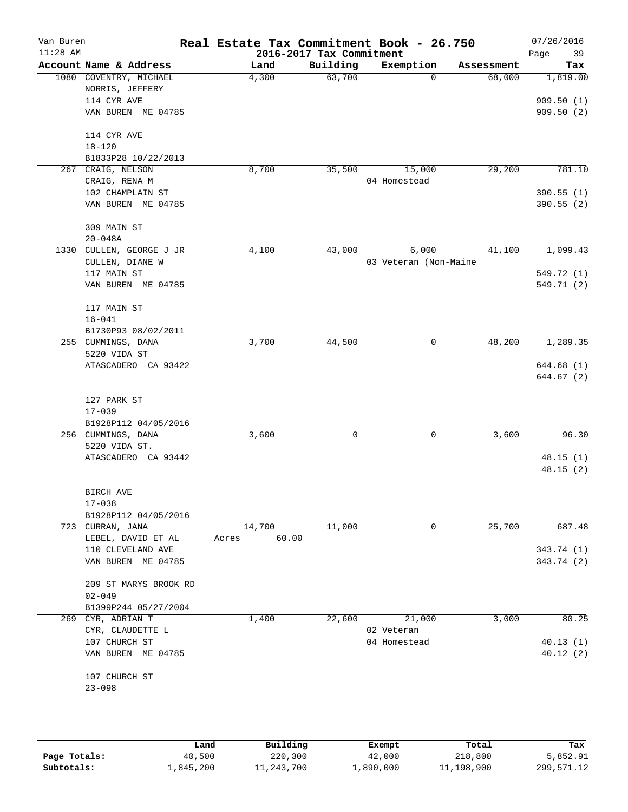| Van Buren  |                                           | Real Estate Tax Commitment Book - 26.750 |                          |                       |            | 07/26/2016             |
|------------|-------------------------------------------|------------------------------------------|--------------------------|-----------------------|------------|------------------------|
| $11:28$ AM |                                           |                                          | 2016-2017 Tax Commitment |                       |            | 39<br>Page             |
|            | Account Name & Address                    | Land                                     | Building                 | Exemption             | Assessment | Tax                    |
|            | 1080 COVENTRY, MICHAEL                    | 4,300                                    | 63,700                   | $\Omega$              | 68,000     | 1,819.00               |
|            | NORRIS, JEFFERY                           |                                          |                          |                       |            |                        |
|            | 114 CYR AVE<br>VAN BUREN ME 04785         |                                          |                          |                       |            | 909.50(1)<br>909.50(2) |
|            |                                           |                                          |                          |                       |            |                        |
|            | 114 CYR AVE                               |                                          |                          |                       |            |                        |
|            | $18 - 120$                                |                                          |                          |                       |            |                        |
|            | B1833P28 10/22/2013                       |                                          |                          |                       |            |                        |
|            | 267 CRAIG, NELSON                         | 8,700                                    | 35,500                   | 15,000                | 29,200     | 781.10                 |
|            | CRAIG, RENA M                             |                                          |                          | 04 Homestead          |            |                        |
|            | 102 CHAMPLAIN ST                          |                                          |                          |                       |            | 390.55(1)              |
|            | VAN BUREN ME 04785                        |                                          |                          |                       |            | 390.55(2)              |
|            |                                           |                                          |                          |                       |            |                        |
|            | 309 MAIN ST<br>$20 - 048A$                |                                          |                          |                       |            |                        |
|            | 1330 CULLEN, GEORGE J JR                  | 4,100                                    | 43,000                   | 6,000                 | 41,100     | 1,099.43               |
|            | CULLEN, DIANE W                           |                                          |                          | 03 Veteran (Non-Maine |            |                        |
|            | 117 MAIN ST                               |                                          |                          |                       |            | 549.72 (1)             |
|            | VAN BUREN ME 04785                        |                                          |                          |                       |            | 549.71 (2)             |
|            |                                           |                                          |                          |                       |            |                        |
|            | 117 MAIN ST                               |                                          |                          |                       |            |                        |
|            | $16 - 041$                                |                                          |                          |                       |            |                        |
|            | B1730P93 08/02/2011<br>255 CUMMINGS, DANA | 3,700                                    | 44,500                   | 0                     | 48,200     | 1,289.35               |
|            | 5220 VIDA ST                              |                                          |                          |                       |            |                        |
|            | ATASCADERO CA 93422                       |                                          |                          |                       |            | 644.68 (1)             |
|            |                                           |                                          |                          |                       |            | 644.67 (2)             |
|            | 127 PARK ST                               |                                          |                          |                       |            |                        |
|            | $17 - 039$                                |                                          |                          |                       |            |                        |
|            | B1928P112 04/05/2016                      |                                          |                          |                       |            |                        |
|            | 256 CUMMINGS, DANA                        | 3,600                                    | 0                        | 0                     | 3,600      | 96.30                  |
|            | 5220 VIDA ST.                             |                                          |                          |                       |            |                        |
|            | ATASCADERO CA 93442                       |                                          |                          |                       |            | 48.15(1)               |
|            |                                           |                                          |                          |                       |            | 48.15(2)               |
|            |                                           |                                          |                          |                       |            |                        |
|            | BIRCH AVE<br>$17 - 038$                   |                                          |                          |                       |            |                        |
|            | B1928P112 04/05/2016                      |                                          |                          |                       |            |                        |
|            | 723 CURRAN, JANA                          | 14,700                                   | 11,000                   | 0                     | 25,700     | 687.48                 |
|            | LEBEL, DAVID ET AL                        | 60.00<br>Acres                           |                          |                       |            |                        |
|            | 110 CLEVELAND AVE                         |                                          |                          |                       |            | 343.74 (1)             |
|            | VAN BUREN ME 04785                        |                                          |                          |                       |            | 343.74 (2)             |
|            | 209 ST MARYS BROOK RD                     |                                          |                          |                       |            |                        |
|            | $02 - 049$                                |                                          |                          |                       |            |                        |
|            | B1399P244 05/27/2004                      |                                          |                          |                       |            |                        |
| 269        | CYR, ADRIAN T                             | 1,400                                    | 22,600                   | 21,000                | 3,000      | 80.25                  |
|            | CYR, CLAUDETTE L                          |                                          |                          | 02 Veteran            |            |                        |
|            | 107 CHURCH ST                             |                                          |                          | 04 Homestead          |            | 40.13(1)               |
|            | VAN BUREN ME 04785                        |                                          |                          |                       |            | 40.12(2)               |
|            | 107 CHURCH ST                             |                                          |                          |                       |            |                        |
|            | $23 - 098$                                |                                          |                          |                       |            |                        |
|            |                                           |                                          |                          |                       |            |                        |
|            |                                           |                                          |                          |                       |            |                        |

|              | Land      | Building   | Exempt    | Total      | Tax        |
|--------------|-----------|------------|-----------|------------|------------|
| Page Totals: | 40,500    | 220,300    | 42,000    | 218,800    | 5,852.91   |
| Subtotals:   | 1,845,200 | 11,243,700 | 1,890,000 | 11,198,900 | 299,571.12 |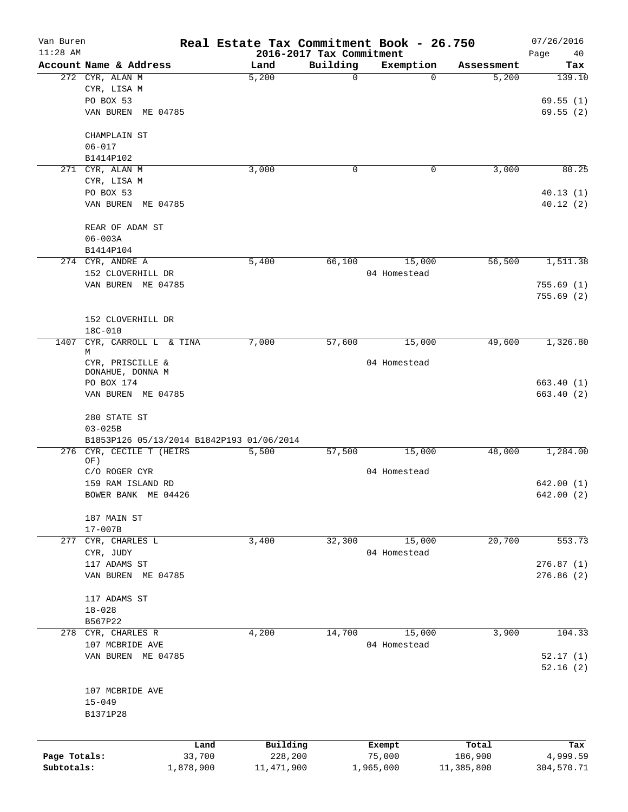| Van Buren    |                                           | Real Estate Tax Commitment Book - 26.750 |             |              |            | 07/26/2016        |
|--------------|-------------------------------------------|------------------------------------------|-------------|--------------|------------|-------------------|
| $11:28$ AM   | Account Name & Address                    | 2016-2017 Tax Commitment<br>Land         | Building    | Exemption    | Assessment | Page<br>40<br>Tax |
|              | 272 CYR, ALAN M                           | 5,200                                    | $\mathbf 0$ | 0            | 5,200      | 139.10            |
|              | CYR, LISA M                               |                                          |             |              |            |                   |
|              | PO BOX 53                                 |                                          |             |              |            |                   |
|              |                                           |                                          |             |              |            | 69.55(1)          |
|              | VAN BUREN ME 04785                        |                                          |             |              |            | 69.55(2)          |
|              | CHAMPLAIN ST                              |                                          |             |              |            |                   |
|              | $06 - 017$                                |                                          |             |              |            |                   |
|              | B1414P102                                 |                                          |             |              |            |                   |
|              | 271 CYR, ALAN M                           | 3,000                                    | 0           | 0            | 3,000      | 80.25             |
|              | CYR, LISA M                               |                                          |             |              |            |                   |
|              | PO BOX 53                                 |                                          |             |              |            | 40.13(1)          |
|              | VAN BUREN ME 04785                        |                                          |             |              |            | 40.12(2)          |
|              | REAR OF ADAM ST                           |                                          |             |              |            |                   |
|              | $06 - 003A$                               |                                          |             |              |            |                   |
|              | B1414P104                                 |                                          |             |              |            |                   |
|              | 274 CYR, ANDRE A                          | 5,400                                    | 66,100      | 15,000       | 56,500     | 1,511.38          |
|              | 152 CLOVERHILL DR                         |                                          |             | 04 Homestead |            |                   |
|              | VAN BUREN ME 04785                        |                                          |             |              |            | 755.69(1)         |
|              |                                           |                                          |             |              |            | 755.69(2)         |
|              |                                           |                                          |             |              |            |                   |
|              | 152 CLOVERHILL DR                         |                                          |             |              |            |                   |
|              | $18C - 010$                               |                                          |             |              |            |                   |
| 1407         | CYR, CARROLL L & TINA                     | 7,000                                    | 57,600      | 15,000       | 49,600     | 1,326.80          |
|              | М                                         |                                          |             |              |            |                   |
|              | CYR, PRISCILLE &<br>DONAHUE, DONNA M      |                                          |             | 04 Homestead |            |                   |
|              | PO BOX 174                                |                                          |             |              |            | 663.40(1)         |
|              | VAN BUREN ME 04785                        |                                          |             |              |            | 663.40 (2)        |
|              |                                           |                                          |             |              |            |                   |
|              | 280 STATE ST                              |                                          |             |              |            |                   |
|              | $03 - 025B$                               |                                          |             |              |            |                   |
|              | B1853P126 05/13/2014 B1842P193 01/06/2014 |                                          |             |              |            |                   |
|              | 276 CYR, CECILE T (HEIRS                  | 5,500                                    | 57,500      | 15,000       | 48,000     | 1,284.00          |
|              | OF)<br>C/O ROGER CYR                      |                                          |             | 04 Homestead |            |                   |
|              | 159 RAM ISLAND RD                         |                                          |             |              |            | 642.00 (1)        |
|              | BOWER BANK ME 04426                       |                                          |             |              |            | 642.00(2)         |
|              |                                           |                                          |             |              |            |                   |
|              | 187 MAIN ST                               |                                          |             |              |            |                   |
|              | $17 - 007B$                               |                                          |             |              |            |                   |
|              | 277 CYR, CHARLES L                        | 3,400                                    | 32,300      | 15,000       | 20,700     | 553.73            |
|              | CYR, JUDY                                 |                                          |             | 04 Homestead |            |                   |
|              | 117 ADAMS ST                              |                                          |             |              |            | 276.87(1)         |
|              | VAN BUREN ME 04785                        |                                          |             |              |            | 276.86(2)         |
|              | 117 ADAMS ST                              |                                          |             |              |            |                   |
|              | $18 - 028$                                |                                          |             |              |            |                   |
|              | B567P22                                   |                                          |             |              |            |                   |
|              | 278 CYR, CHARLES R                        | 4,200                                    | 14,700      | 15,000       | 3,900      | 104.33            |
|              | 107 MCBRIDE AVE                           |                                          |             | 04 Homestead |            |                   |
|              | VAN BUREN ME 04785                        |                                          |             |              |            | 52.17(1)          |
|              |                                           |                                          |             |              |            | 52.16(2)          |
|              |                                           |                                          |             |              |            |                   |
|              | 107 MCBRIDE AVE                           |                                          |             |              |            |                   |
|              | $15 - 049$                                |                                          |             |              |            |                   |
|              | B1371P28                                  |                                          |             |              |            |                   |
|              |                                           |                                          |             |              |            |                   |
|              | Land                                      | Building                                 |             | Exempt       | Total      | Tax               |
| Page Totals: | 33,700                                    | 228,200                                  |             | 75,000       | 186,900    | 4,999.59          |
| Subtotals:   | 1,878,900                                 | 11,471,900                               |             | 1,965,000    | 11,385,800 | 304,570.71        |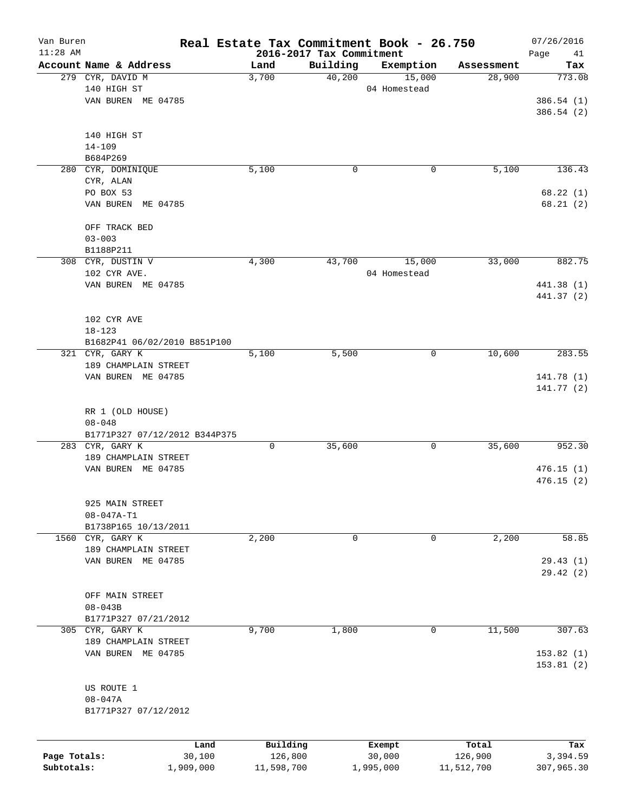| Van Buren    |                               | Real Estate Tax Commitment Book - 26.750 |          |              |            | 07/26/2016    |
|--------------|-------------------------------|------------------------------------------|----------|--------------|------------|---------------|
| $11:28$ AM   | Account Name & Address        | 2016-2017 Tax Commitment<br>Land         | Building | Exemption    | Assessment | Page<br>41    |
|              | 279 CYR, DAVID M              | 3,700                                    | 40,200   | 15,000       | 28,900     | Tax<br>773.08 |
|              | 140 HIGH ST                   |                                          |          | 04 Homestead |            |               |
|              | VAN BUREN ME 04785            |                                          |          |              |            | 386.54(1)     |
|              |                               |                                          |          |              |            | 386.54 (2)    |
|              |                               |                                          |          |              |            |               |
|              | 140 HIGH ST                   |                                          |          |              |            |               |
|              | $14 - 109$                    |                                          |          |              |            |               |
|              | B684P269                      |                                          |          |              |            |               |
|              | 280 CYR, DOMINIQUE            | 5,100                                    | 0        | $\mathbf 0$  | 5,100      | 136.43        |
|              | CYR, ALAN                     |                                          |          |              |            |               |
|              | PO BOX 53                     |                                          |          |              |            | 68.22(1)      |
|              | ME 04785<br>VAN BUREN         |                                          |          |              |            | 68.21(2)      |
|              |                               |                                          |          |              |            |               |
|              | OFF TRACK BED                 |                                          |          |              |            |               |
|              | $03 - 003$                    |                                          |          |              |            |               |
|              | B1188P211                     |                                          |          |              |            |               |
|              | 308 CYR, DUSTIN V             | 4,300                                    | 43,700   | 15,000       | 33,000     | 882.75        |
|              | 102 CYR AVE.                  |                                          |          | 04 Homestead |            |               |
|              | VAN BUREN ME 04785            |                                          |          |              |            | 441.38 (1)    |
|              |                               |                                          |          |              |            | 441.37 (2)    |
|              |                               |                                          |          |              |            |               |
|              | 102 CYR AVE                   |                                          |          |              |            |               |
|              | $18 - 123$                    |                                          |          |              |            |               |
|              | B1682P41 06/02/2010 B851P100  |                                          |          |              |            |               |
|              | 321 CYR, GARY K               | 5,100                                    | 5,500    | 0            | 10,600     | 283.55        |
|              | 189 CHAMPLAIN STREET          |                                          |          |              |            |               |
|              | VAN BUREN ME 04785            |                                          |          |              |            | 141.78(1)     |
|              |                               |                                          |          |              |            | 141.77 (2)    |
|              |                               |                                          |          |              |            |               |
|              | RR 1 (OLD HOUSE)              |                                          |          |              |            |               |
|              | $08 - 048$                    |                                          |          |              |            |               |
|              | B1771P327 07/12/2012 B344P375 |                                          |          |              |            |               |
|              | 283 CYR, GARY K               | 0                                        | 35,600   | 0            | 35,600     | 952.30        |
|              | 189 CHAMPLAIN STREET          |                                          |          |              |            |               |
|              | VAN BUREN ME 04785            |                                          |          |              |            | 476.15(1)     |
|              |                               |                                          |          |              |            | 476.15(2)     |
|              |                               |                                          |          |              |            |               |
|              | 925 MAIN STREET               |                                          |          |              |            |               |
|              | $08 - 047A - T1$              |                                          |          |              |            |               |
|              | B1738P165 10/13/2011          |                                          |          |              |            |               |
|              | 1560 CYR, GARY K              | 2,200                                    | 0        | 0            | 2,200      | 58.85         |
|              | 189 CHAMPLAIN STREET          |                                          |          |              |            |               |
|              | VAN BUREN ME 04785            |                                          |          |              |            | 29.43(1)      |
|              |                               |                                          |          |              |            | 29.42 (2)     |
|              |                               |                                          |          |              |            |               |
|              | OFF MAIN STREET               |                                          |          |              |            |               |
|              | $08 - 043B$                   |                                          |          |              |            |               |
|              | B1771P327 07/21/2012          |                                          |          |              |            |               |
|              | 305 CYR, GARY K               | 9,700                                    | 1,800    | 0            | 11,500     | 307.63        |
|              | 189 CHAMPLAIN STREET          |                                          |          |              |            |               |
|              | VAN BUREN ME 04785            |                                          |          |              |            | 153.82(1)     |
|              |                               |                                          |          |              |            | 153.81(2)     |
|              |                               |                                          |          |              |            |               |
|              | US ROUTE 1                    |                                          |          |              |            |               |
|              | $08 - 047A$                   |                                          |          |              |            |               |
|              | B1771P327 07/12/2012          |                                          |          |              |            |               |
|              |                               |                                          |          |              |            |               |
|              |                               |                                          |          |              |            |               |
|              | Land                          | Building                                 |          | Exempt       | Total      | Tax           |
| Page Totals: | 30,100                        | 126,800                                  |          | 30,000       | 126,900    | 3,394.59      |
| Subtotals:   | 1,909,000                     | 11,598,700                               |          | 1,995,000    | 11,512,700 | 307,965.30    |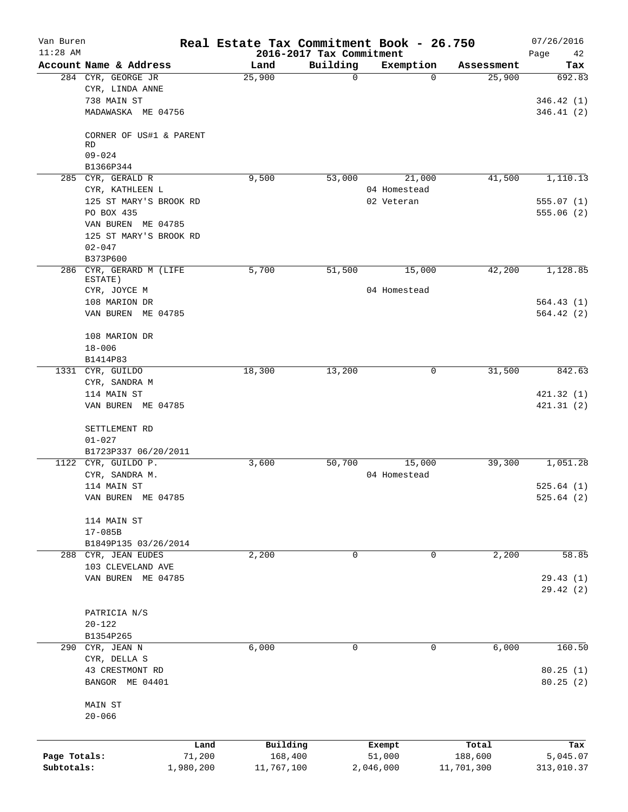| Van Buren<br>$11:28$ AM |                                             | Real Estate Tax Commitment Book - 26.750 | 2016-2017 Tax Commitment |              |            | 07/26/2016<br>Page<br>42 |
|-------------------------|---------------------------------------------|------------------------------------------|--------------------------|--------------|------------|--------------------------|
|                         | Account Name & Address                      | Land                                     | Building                 | Exemption    | Assessment | Tax                      |
|                         | 284 CYR, GEORGE JR<br>CYR, LINDA ANNE       | 25,900                                   | $\mathbf 0$              | $\Omega$     | 25,900     | 692.83                   |
|                         | 738 MAIN ST<br>MADAWASKA ME 04756           |                                          |                          |              |            | 346.42 (1)<br>346.41(2)  |
|                         | CORNER OF US#1 & PARENT<br><b>RD</b>        |                                          |                          |              |            |                          |
|                         | $09 - 024$<br>B1366P344                     |                                          |                          |              |            |                          |
|                         | 285 CYR, GERALD R                           | 9,500                                    | 53,000                   | 21,000       | 41,500     | 1,110.13                 |
|                         | CYR, KATHLEEN L                             |                                          |                          | 04 Homestead |            |                          |
|                         | 125 ST MARY'S BROOK RD                      |                                          |                          | 02 Veteran   |            | 555.07(1)                |
|                         | PO BOX 435                                  |                                          |                          |              |            | 555.06(2)                |
|                         | VAN BUREN ME 04785                          |                                          |                          |              |            |                          |
|                         | 125 ST MARY'S BROOK RD                      |                                          |                          |              |            |                          |
|                         | $02 - 047$<br>B373P600                      |                                          |                          |              |            |                          |
|                         | 286 CYR, GERARD M (LIFE                     | 5,700                                    | 51,500                   | 15,000       | 42,200     | 1,128.85                 |
|                         | ESTATE)<br>CYR, JOYCE M                     |                                          |                          | 04 Homestead |            |                          |
|                         | 108 MARION DR                               |                                          |                          |              |            | 564.43 (1)               |
|                         | VAN BUREN ME 04785                          |                                          |                          |              |            | 564.42(2)                |
|                         | 108 MARION DR                               |                                          |                          |              |            |                          |
|                         | $18 - 006$                                  |                                          |                          |              |            |                          |
|                         | B1414P83                                    |                                          |                          |              |            |                          |
|                         | 1331 CYR, GUILDO                            | 18,300                                   | 13,200                   | 0            | 31,500     | 842.63                   |
|                         | CYR, SANDRA M<br>114 MAIN ST                |                                          |                          |              |            | 421.32 (1)               |
|                         | VAN BUREN ME 04785                          |                                          |                          |              |            | 421.31(2)                |
|                         | SETTLEMENT RD                               |                                          |                          |              |            |                          |
|                         | $01 - 027$                                  |                                          |                          |              |            |                          |
|                         | B1723P337 06/20/2011                        |                                          |                          |              |            |                          |
|                         | 1122 CYR, GUILDO P.                         | 3,600                                    | 50,700                   | 15,000       | 39,300     | 1,051.28                 |
|                         | CYR, SANDRA M.<br>114 MAIN ST               |                                          |                          | 04 Homestead |            | 525.64(1)                |
|                         | VAN BUREN ME 04785                          |                                          |                          |              |            | 525.64(2)                |
|                         |                                             |                                          |                          |              |            |                          |
|                         | 114 MAIN ST                                 |                                          |                          |              |            |                          |
|                         | $17 - 085B$                                 |                                          |                          |              |            |                          |
|                         | B1849P135 03/26/2014<br>288 CYR, JEAN EUDES | 2,200                                    | $\mathbf 0$              | $\mathbf 0$  | 2,200      | 58.85                    |
|                         | 103 CLEVELAND AVE                           |                                          |                          |              |            |                          |
|                         | VAN BUREN ME 04785                          |                                          |                          |              |            | 29.43(1)                 |
|                         |                                             |                                          |                          |              |            | 29.42 (2)                |
|                         | PATRICIA N/S                                |                                          |                          |              |            |                          |
|                         | $20 - 122$                                  |                                          |                          |              |            |                          |
|                         | B1354P265                                   |                                          |                          |              |            |                          |
|                         | 290 CYR, JEAN N                             | 6,000                                    | 0                        | 0            | 6,000      | 160.50                   |
|                         | CYR, DELLA S<br>43 CRESTMONT RD             |                                          |                          |              |            | 80.25(1)                 |
|                         | BANGOR ME 04401                             |                                          |                          |              |            | 80.25(2)                 |
|                         | MAIN ST                                     |                                          |                          |              |            |                          |
|                         | $20 - 066$                                  |                                          |                          |              |            |                          |
|                         | Land                                        | Building                                 |                          | Exempt       | Total      | Tax                      |
| Page Totals:            | 71,200                                      | 168,400                                  |                          | 51,000       | 188,600    | 5,045.07                 |
| Subtotals:              | 1,980,200                                   | 11,767,100                               |                          | 2,046,000    | 11,701,300 | 313,010.37               |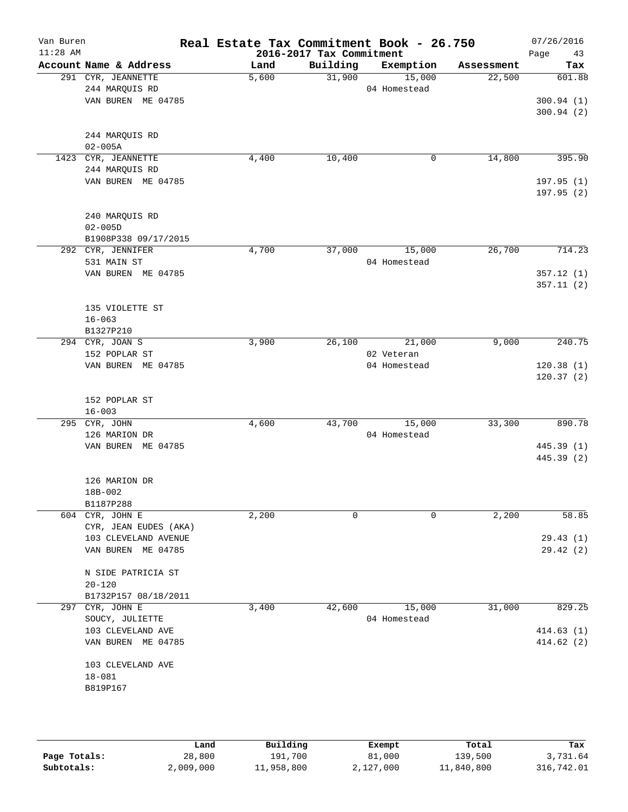| Van Buren<br>$11:28$ AM |                                         | Real Estate Tax Commitment Book - 26.750 | 2016-2017 Tax Commitment |              |            | 07/26/2016<br>Page<br>43 |
|-------------------------|-----------------------------------------|------------------------------------------|--------------------------|--------------|------------|--------------------------|
|                         | Account Name & Address                  | Land                                     | Building                 | Exemption    | Assessment | Tax                      |
|                         | 291 CYR, JEANNETTE                      | 5,600                                    | 31,900                   | 15,000       | 22,500     | 601.88                   |
|                         | 244 MARQUIS RD                          |                                          |                          | 04 Homestead |            |                          |
|                         | VAN BUREN ME 04785                      |                                          |                          |              |            | 300.94(1)                |
|                         |                                         |                                          |                          |              |            | 300.94(2)                |
|                         | 244 MARQUIS RD                          |                                          |                          |              |            |                          |
|                         | $02 - 005A$                             |                                          |                          |              |            |                          |
|                         | 1423 CYR, JEANNETTE                     | 4,400                                    | 10,400                   | 0            | 14,800     | 395.90                   |
|                         | 244 MARQUIS RD                          |                                          |                          |              |            |                          |
|                         | VAN BUREN ME 04785                      |                                          |                          |              |            | 197.95(1)                |
|                         |                                         |                                          |                          |              |            | 197.95 (2)               |
|                         |                                         |                                          |                          |              |            |                          |
|                         | 240 MARQUIS RD                          |                                          |                          |              |            |                          |
|                         | $02 - 005D$                             |                                          |                          |              |            |                          |
|                         | B1908P338 09/17/2015                    |                                          |                          |              |            |                          |
|                         | 292 CYR, JENNIFER                       | 4,700                                    | 37,000                   | 15,000       | 26,700     | 714.23                   |
|                         | 531 MAIN ST                             |                                          |                          | 04 Homestead |            |                          |
|                         | VAN BUREN ME 04785                      |                                          |                          |              |            | 357.12(1)                |
|                         |                                         |                                          |                          |              |            | 357.11(2)                |
|                         | 135 VIOLETTE ST                         |                                          |                          |              |            |                          |
|                         | $16 - 063$                              |                                          |                          |              |            |                          |
|                         | B1327P210                               |                                          |                          |              |            |                          |
|                         | 294 CYR, JOAN S                         | 3,900                                    | 26,100                   | 21,000       | 9,000      | 240.75                   |
|                         | 152 POPLAR ST                           |                                          |                          | 02 Veteran   |            |                          |
|                         | VAN BUREN ME 04785                      |                                          |                          | 04 Homestead |            | 120.38(1)                |
|                         |                                         |                                          |                          |              |            | 120.37(2)                |
|                         |                                         |                                          |                          |              |            |                          |
|                         | 152 POPLAR ST                           |                                          |                          |              |            |                          |
|                         | $16 - 003$                              |                                          |                          |              |            |                          |
|                         | 295 CYR, JOHN                           | 4,600                                    | 43,700                   | 15,000       | 33,300     | 890.78                   |
|                         | 126 MARION DR                           |                                          |                          | 04 Homestead |            |                          |
|                         | VAN BUREN ME 04785                      |                                          |                          |              |            | 445.39 (1)<br>445.39 (2) |
|                         |                                         |                                          |                          |              |            |                          |
|                         | 126 MARION DR                           |                                          |                          |              |            |                          |
|                         | 18B-002                                 |                                          |                          |              |            |                          |
|                         | B1187P288                               |                                          |                          |              |            |                          |
|                         | 604 CYR, JOHN E                         | 2,200                                    | 0                        | 0            | 2,200      | 58.85                    |
|                         | CYR, JEAN EUDES (AKA)                   |                                          |                          |              |            |                          |
|                         | 103 CLEVELAND AVENUE                    |                                          |                          |              |            | 29.43(1)                 |
|                         | VAN BUREN ME 04785                      |                                          |                          |              |            | 29.42(2)                 |
|                         |                                         |                                          |                          |              |            |                          |
|                         | N SIDE PATRICIA ST                      |                                          |                          |              |            |                          |
|                         | $20 - 120$                              |                                          |                          |              |            |                          |
|                         | B1732P157 08/18/2011<br>297 CYR, JOHN E | 3,400                                    | 42,600                   | 15,000       | 31,000     | 829.25                   |
|                         | SOUCY, JULIETTE                         |                                          |                          | 04 Homestead |            |                          |
|                         | 103 CLEVELAND AVE                       |                                          |                          |              |            | 414.63(1)                |
|                         | VAN BUREN ME 04785                      |                                          |                          |              |            | 414.62(2)                |
|                         |                                         |                                          |                          |              |            |                          |
|                         | 103 CLEVELAND AVE                       |                                          |                          |              |            |                          |
|                         | $18 - 081$                              |                                          |                          |              |            |                          |
|                         | B819P167                                |                                          |                          |              |            |                          |
|                         |                                         |                                          |                          |              |            |                          |
|                         |                                         |                                          |                          |              |            |                          |
|                         |                                         |                                          |                          |              |            |                          |
|                         |                                         |                                          |                          |              |            |                          |

|              | Land      | Building   | Exempt    | Total      | Tax        |
|--------------|-----------|------------|-----------|------------|------------|
| Page Totals: | 28,800    | 191,700    | 81,000    | 139,500    | 3,731.64   |
| Subtotals:   | 2,009,000 | 11,958,800 | 2,127,000 | 11,840,800 | 316,742.01 |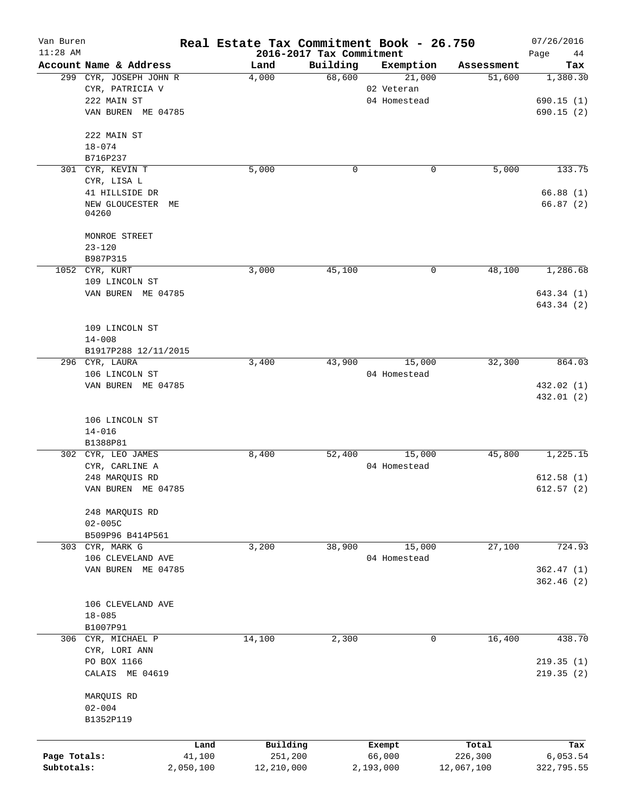| Van Buren<br>$11:28$ AM |                               |           | Real Estate Tax Commitment Book - 26.750 | 2016-2017 Tax Commitment |              |            | 07/26/2016<br>Page<br>44 |
|-------------------------|-------------------------------|-----------|------------------------------------------|--------------------------|--------------|------------|--------------------------|
|                         | Account Name & Address        |           | Land                                     | Building                 | Exemption    | Assessment | Tax                      |
|                         | 299 CYR, JOSEPH JOHN R        |           | 4,000                                    | 68,600                   | 21,000       | 51,600     | 1,380.30                 |
|                         | CYR, PATRICIA V               |           |                                          |                          | 02 Veteran   |            |                          |
|                         | 222 MAIN ST                   |           |                                          |                          | 04 Homestead |            | 690.15(1)                |
|                         | VAN BUREN ME 04785            |           |                                          |                          |              |            | 690.15(2)                |
|                         | 222 MAIN ST                   |           |                                          |                          |              |            |                          |
|                         | $18 - 074$                    |           |                                          |                          |              |            |                          |
|                         | B716P237                      |           |                                          |                          |              |            |                          |
|                         | 301 CYR, KEVIN T              |           | 5,000                                    | 0                        | 0            | 5,000      | 133.75                   |
|                         | CYR, LISA L                   |           |                                          |                          |              |            |                          |
|                         | 41 HILLSIDE DR                |           |                                          |                          |              |            | 66.88(1)                 |
|                         | NEW GLOUCESTER<br>MЕ<br>04260 |           |                                          |                          |              |            | 66.87(2)                 |
|                         | MONROE STREET                 |           |                                          |                          |              |            |                          |
|                         | $23 - 120$                    |           |                                          |                          |              |            |                          |
|                         | B987P315                      |           |                                          |                          |              |            |                          |
|                         | 1052 CYR, KURT                |           | 3,000                                    | 45,100                   | 0            | 48,100     | 1,286.68                 |
|                         | 109 LINCOLN ST                |           |                                          |                          |              |            |                          |
|                         | VAN BUREN ME 04785            |           |                                          |                          |              |            | 643.34 (1)               |
|                         |                               |           |                                          |                          |              |            | 643.34 (2)               |
|                         | 109 LINCOLN ST                |           |                                          |                          |              |            |                          |
|                         | $14 - 008$                    |           |                                          |                          |              |            |                          |
|                         | B1917P288 12/11/2015          |           |                                          |                          |              |            |                          |
|                         | 296 CYR, LAURA                |           | 3,400                                    | 43,900                   | 15,000       | 32,300     | 864.03                   |
|                         | 106 LINCOLN ST                |           |                                          |                          | 04 Homestead |            |                          |
|                         | VAN BUREN ME 04785            |           |                                          |                          |              |            | 432.02 (1)               |
|                         |                               |           |                                          |                          |              |            | 432.01 (2)               |
|                         |                               |           |                                          |                          |              |            |                          |
|                         | 106 LINCOLN ST                |           |                                          |                          |              |            |                          |
|                         | $14 - 016$<br>B1388P81        |           |                                          |                          |              |            |                          |
|                         | 302 CYR, LEO JAMES            |           | 8,400                                    | 52,400                   | 15,000       | 45,800     | 1,225.15                 |
|                         | CYR, CARLINE A                |           |                                          |                          | 04 Homestead |            |                          |
|                         | 248 MARQUIS RD                |           |                                          |                          |              |            | 612.58(1)                |
|                         | VAN BUREN ME 04785            |           |                                          |                          |              |            | 612.57(2)                |
|                         |                               |           |                                          |                          |              |            |                          |
|                         | 248 MARQUIS RD                |           |                                          |                          |              |            |                          |
|                         | $02 - 005C$                   |           |                                          |                          |              |            |                          |
|                         | B509P96 B414P561              |           |                                          |                          |              |            |                          |
|                         | 303 CYR, MARK G               |           | 3,200                                    | 38,900                   | 15,000       | 27,100     | 724.93                   |
|                         | 106 CLEVELAND AVE             |           |                                          |                          | 04 Homestead |            |                          |
|                         | VAN BUREN ME 04785            |           |                                          |                          |              |            | 362.47(1)                |
|                         |                               |           |                                          |                          |              |            | 362.46(2)                |
|                         |                               |           |                                          |                          |              |            |                          |
|                         | 106 CLEVELAND AVE             |           |                                          |                          |              |            |                          |
|                         | $18 - 085$                    |           |                                          |                          |              |            |                          |
|                         | B1007P91                      |           |                                          |                          |              |            |                          |
|                         | 306 CYR, MICHAEL P            |           | 14,100                                   | 2,300                    | 0            | 16,400     | 438.70                   |
|                         | CYR, LORI ANN                 |           |                                          |                          |              |            |                          |
|                         | PO BOX 1166                   |           |                                          |                          |              |            | 219.35(1)                |
|                         | CALAIS ME 04619               |           |                                          |                          |              |            | 219.35(2)                |
|                         | MARQUIS RD                    |           |                                          |                          |              |            |                          |
|                         | $02 - 004$                    |           |                                          |                          |              |            |                          |
|                         | B1352P119                     |           |                                          |                          |              |            |                          |
|                         |                               |           |                                          |                          |              |            |                          |
|                         |                               | Land      | Building                                 |                          | Exempt       | Total      | Tax                      |
| Page Totals:            |                               | 41,100    | 251,200                                  |                          | 66,000       | 226,300    | 6,053.54                 |
| Subtotals:              |                               | 2,050,100 | 12,210,000                               |                          | 2,193,000    | 12,067,100 | 322,795.55               |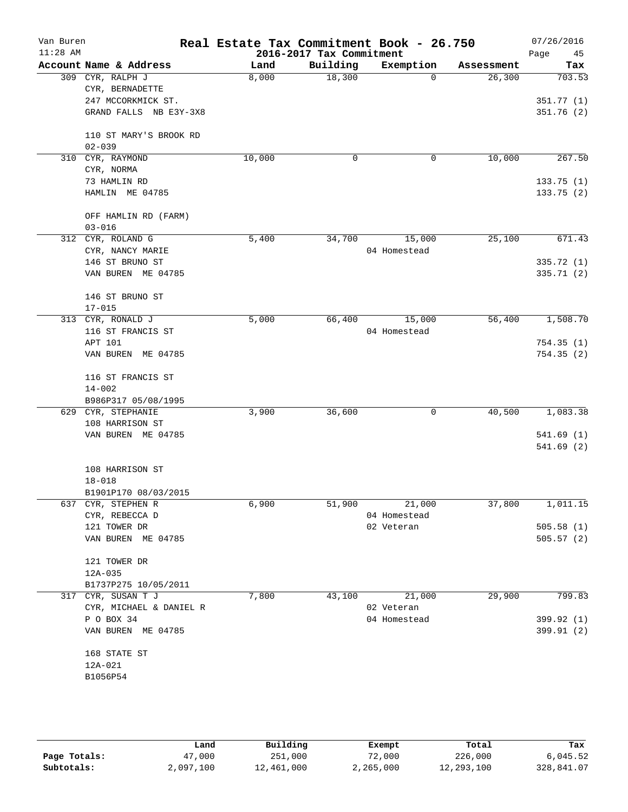| Van Buren<br>$11:28$ AM |                         |        | 2016-2017 Tax Commitment | Real Estate Tax Commitment Book - 26.750 |            | 07/26/2016<br>Page<br>45 |
|-------------------------|-------------------------|--------|--------------------------|------------------------------------------|------------|--------------------------|
|                         | Account Name & Address  | Land   | Building                 | Exemption                                | Assessment | Tax                      |
|                         | 309 CYR, RALPH J        | 8,000  | 18,300                   | $\Omega$                                 | 26,300     | 703.53                   |
|                         | CYR, BERNADETTE         |        |                          |                                          |            |                          |
|                         | 247 MCCORKMICK ST.      |        |                          |                                          |            | 351.77(1)                |
|                         | GRAND FALLS NB E3Y-3X8  |        |                          |                                          |            | 351.76(2)                |
|                         | 110 ST MARY'S BROOK RD  |        |                          |                                          |            |                          |
|                         | $02 - 039$              |        |                          |                                          |            |                          |
|                         | 310 CYR, RAYMOND        | 10,000 | 0                        | 0                                        | 10,000     | 267.50                   |
|                         | CYR, NORMA              |        |                          |                                          |            |                          |
|                         | 73 HAMLIN RD            |        |                          |                                          |            | 133.75(1)                |
|                         | HAMLIN ME 04785         |        |                          |                                          |            | 133.75(2)                |
|                         | OFF HAMLIN RD (FARM)    |        |                          |                                          |            |                          |
|                         | $03 - 016$              |        |                          |                                          |            |                          |
|                         | 312 CYR, ROLAND G       | 5,400  | 34,700                   | 15,000                                   | 25,100     | 671.43                   |
|                         | CYR, NANCY MARIE        |        |                          | 04 Homestead                             |            |                          |
|                         | 146 ST BRUNO ST         |        |                          |                                          |            | 335.72 (1)               |
|                         | VAN BUREN ME 04785      |        |                          |                                          |            | 335.71(2)                |
|                         | 146 ST BRUNO ST         |        |                          |                                          |            |                          |
|                         | $17 - 015$              |        |                          |                                          |            |                          |
|                         | 313 CYR, RONALD J       | 5,000  | 66,400                   | 15,000                                   | 56,400     | 1,508.70                 |
|                         | 116 ST FRANCIS ST       |        |                          | 04 Homestead                             |            |                          |
|                         | APT 101                 |        |                          |                                          |            | 754.35(1)                |
|                         | VAN BUREN ME 04785      |        |                          |                                          |            | 754.35(2)                |
|                         | 116 ST FRANCIS ST       |        |                          |                                          |            |                          |
|                         | $14 - 002$              |        |                          |                                          |            |                          |
|                         | B986P317 05/08/1995     |        |                          |                                          |            |                          |
|                         | 629 CYR, STEPHANIE      | 3,900  | 36,600                   | 0                                        | 40,500     | 1,083.38                 |
|                         | 108 HARRISON ST         |        |                          |                                          |            |                          |
|                         | VAN BUREN ME 04785      |        |                          |                                          |            | 541.69(1)                |
|                         |                         |        |                          |                                          |            | 541.69 (2)               |
|                         | 108 HARRISON ST         |        |                          |                                          |            |                          |
|                         | $18 - 018$              |        |                          |                                          |            |                          |
|                         | B1901P170 08/03/2015    |        |                          |                                          |            |                          |
|                         | 637 CYR, STEPHEN R      | 6,900  | 51,900                   | 21,000                                   | 37,800     | 1,011.15                 |
|                         | CYR, REBECCA D          |        |                          | 04 Homestead                             |            |                          |
|                         | 121 TOWER DR            |        |                          | 02 Veteran                               |            | 505.58(1)                |
|                         | VAN BUREN ME 04785      |        |                          |                                          |            | 505.57(2)                |
|                         | 121 TOWER DR            |        |                          |                                          |            |                          |
|                         | 12A-035                 |        |                          |                                          |            |                          |
|                         | B1737P275 10/05/2011    |        |                          |                                          |            |                          |
|                         | 317 CYR, SUSAN T J      | 7,800  | 43,100                   | 21,000                                   | 29,900     | 799.83                   |
|                         | CYR, MICHAEL & DANIEL R |        |                          | 02 Veteran                               |            |                          |
|                         | P O BOX 34              |        |                          | 04 Homestead                             |            | 399.92 (1)               |
|                         | VAN BUREN ME 04785      |        |                          |                                          |            | 399.91 (2)               |
|                         | 168 STATE ST            |        |                          |                                          |            |                          |
|                         | 12A-021                 |        |                          |                                          |            |                          |
|                         | B1056P54                |        |                          |                                          |            |                          |
|                         |                         |        |                          |                                          |            |                          |
|                         |                         |        |                          |                                          |            |                          |

|              | Land      | Building   | Exempt    | Total      | Tax        |
|--------------|-----------|------------|-----------|------------|------------|
| Page Totals: | 47,000    | 251,000    | 72,000    | 226,000    | 6,045.52   |
| Subtotals:   | 2,097,100 | 12,461,000 | 2,265,000 | 12,293,100 | 328,841.07 |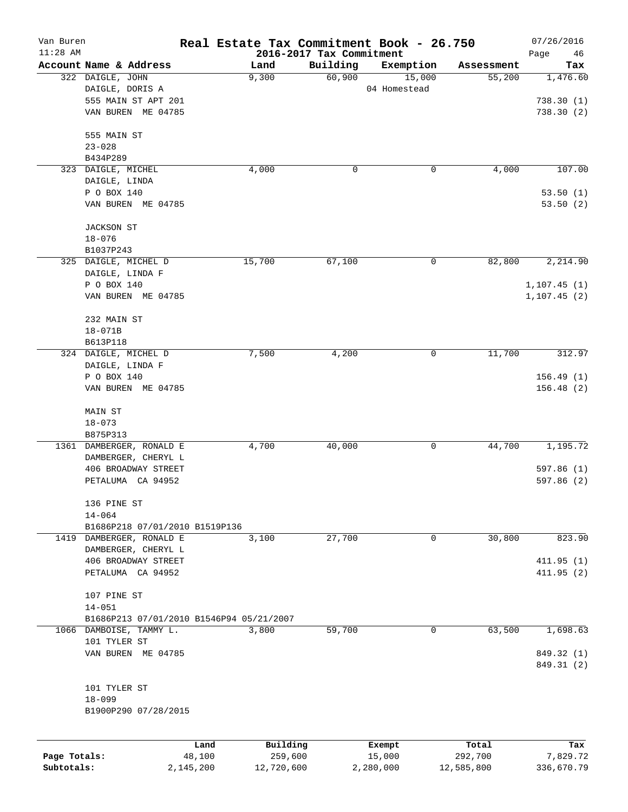| Van Buren    |                                            |                | Real Estate Tax Commitment Book - 26.750 |                    |                        |                      | 07/26/2016               |
|--------------|--------------------------------------------|----------------|------------------------------------------|--------------------|------------------------|----------------------|--------------------------|
| $11:28$ AM   |                                            |                | 2016-2017 Tax Commitment                 |                    |                        |                      | Page<br>46               |
|              | Account Name & Address<br>322 DAIGLE, JOHN |                | Land                                     | Building<br>60,900 | Exemption              | Assessment<br>55,200 | Tax<br>1,476.60          |
|              | DAIGLE, DORIS A                            |                | 9,300                                    |                    | 15,000<br>04 Homestead |                      |                          |
|              | 555 MAIN ST APT 201                        |                |                                          |                    |                        |                      | 738.30(1)                |
|              | VAN BUREN ME 04785                         |                |                                          |                    |                        |                      | 738.30(2)                |
|              |                                            |                |                                          |                    |                        |                      |                          |
|              | 555 MAIN ST                                |                |                                          |                    |                        |                      |                          |
|              | $23 - 028$                                 |                |                                          |                    |                        |                      |                          |
|              | B434P289                                   |                |                                          |                    |                        |                      |                          |
|              | 323 DAIGLE, MICHEL                         |                | 4,000                                    | 0                  | 0                      | 4,000                | 107.00                   |
|              | DAIGLE, LINDA                              |                |                                          |                    |                        |                      |                          |
|              | P O BOX 140                                |                |                                          |                    |                        |                      | 53.50(1)                 |
|              | VAN BUREN ME 04785                         |                |                                          |                    |                        |                      | 53.50(2)                 |
|              | <b>JACKSON ST</b>                          |                |                                          |                    |                        |                      |                          |
|              | $18 - 076$                                 |                |                                          |                    |                        |                      |                          |
|              | B1037P243                                  |                |                                          |                    |                        |                      |                          |
|              | 325 DAIGLE, MICHEL D                       |                | 15,700                                   | 67,100             | 0                      | 82,800               | 2,214.90                 |
|              | DAIGLE, LINDA F                            |                |                                          |                    |                        |                      |                          |
|              | P O BOX 140                                |                |                                          |                    |                        |                      | 1, 107.45(1)             |
|              | VAN BUREN ME 04785                         |                |                                          |                    |                        |                      | 1,107.45(2)              |
|              | 232 MAIN ST                                |                |                                          |                    |                        |                      |                          |
|              | $18 - 071B$                                |                |                                          |                    |                        |                      |                          |
|              | B613P118                                   |                |                                          |                    |                        |                      |                          |
|              | 324 DAIGLE, MICHEL D                       |                | 7,500                                    | 4,200              | 0                      | 11,700               | 312.97                   |
|              | DAIGLE, LINDA F                            |                |                                          |                    |                        |                      |                          |
|              | P O BOX 140                                |                |                                          |                    |                        |                      | 156.49(1)                |
|              | VAN BUREN ME 04785                         |                |                                          |                    |                        |                      | 156.48(2)                |
|              | MAIN ST                                    |                |                                          |                    |                        |                      |                          |
|              | $18 - 073$                                 |                |                                          |                    |                        |                      |                          |
|              | B875P313                                   |                |                                          |                    |                        |                      |                          |
|              | 1361 DAMBERGER, RONALD E                   |                | 4,700                                    | 40,000             | 0                      | 44,700               | 1,195.72                 |
|              | DAMBERGER, CHERYL L                        |                |                                          |                    |                        |                      |                          |
|              | 406 BROADWAY STREET                        |                |                                          |                    |                        |                      | 597.86(1)                |
|              | PETALUMA CA 94952                          |                |                                          |                    |                        |                      | 597.86 (2)               |
|              | 136 PINE ST                                |                |                                          |                    |                        |                      |                          |
|              | $14 - 064$                                 |                |                                          |                    |                        |                      |                          |
|              | B1686P218 07/01/2010 B1519P136             |                |                                          |                    |                        |                      |                          |
|              | 1419 DAMBERGER, RONALD E                   |                | 3,100                                    | 27,700             | 0                      | 30,800               | 823.90                   |
|              | DAMBERGER, CHERYL L                        |                |                                          |                    |                        |                      |                          |
|              | 406 BROADWAY STREET                        |                |                                          |                    |                        |                      | 411.95(1)                |
|              | PETALUMA CA 94952                          |                |                                          |                    |                        |                      | 411.95(2)                |
|              |                                            |                |                                          |                    |                        |                      |                          |
|              | 107 PINE ST                                |                |                                          |                    |                        |                      |                          |
|              | $14 - 051$                                 |                |                                          |                    |                        |                      |                          |
|              | B1686P213 07/01/2010 B1546P94 05/21/2007   |                |                                          |                    |                        |                      |                          |
|              | 1066 DAMBOISE, TAMMY L.                    |                | 3,800                                    | 59,700             | 0                      | 63,500               | 1,698.63                 |
|              | 101 TYLER ST                               |                |                                          |                    |                        |                      |                          |
|              | VAN BUREN ME 04785                         |                |                                          |                    |                        |                      | 849.32 (1)<br>849.31 (2) |
|              |                                            |                |                                          |                    |                        |                      |                          |
|              | 101 TYLER ST                               |                |                                          |                    |                        |                      |                          |
|              | $18 - 099$                                 |                |                                          |                    |                        |                      |                          |
|              | B1900P290 07/28/2015                       |                |                                          |                    |                        |                      |                          |
|              |                                            |                |                                          |                    |                        |                      |                          |
| Page Totals: |                                            | Land<br>48,100 | Building<br>259,600                      |                    | Exempt<br>15,000       | Total<br>292,700     | Tax<br>7,829.72          |
| Subtotals:   |                                            | 2,145,200      | 12,720,600                               |                    | 2,280,000              | 12,585,800           | 336,670.79               |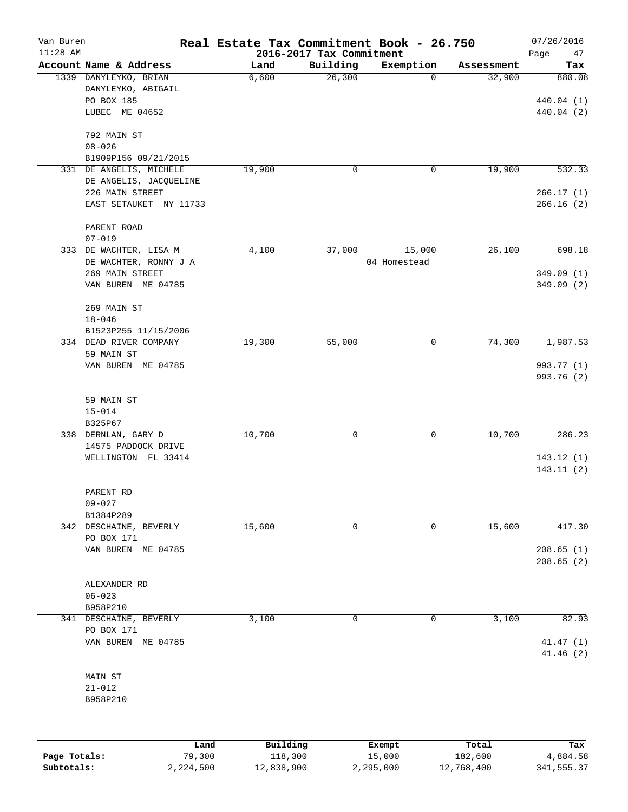| Van Buren<br>$11:28$ AM |                        | Real Estate Tax Commitment Book - 26.750 | 2016-2017 Tax Commitment |              |            | 07/26/2016<br>Page<br>47 |
|-------------------------|------------------------|------------------------------------------|--------------------------|--------------|------------|--------------------------|
|                         | Account Name & Address | Land                                     | Building                 | Exemption    | Assessment | Tax                      |
|                         | 1339 DANYLEYKO, BRIAN  | 6,600                                    | 26,300                   | 0            | 32,900     | 880.08                   |
|                         | DANYLEYKO, ABIGAIL     |                                          |                          |              |            |                          |
|                         | PO BOX 185             |                                          |                          |              |            | 440.04 (1)               |
|                         | LUBEC ME 04652         |                                          |                          |              |            | 440.04 (2)               |
|                         | 792 MAIN ST            |                                          |                          |              |            |                          |
|                         | $08 - 026$             |                                          |                          |              |            |                          |
|                         | B1909P156 09/21/2015   |                                          |                          |              |            |                          |
| 331                     | DE ANGELIS, MICHELE    | 19,900                                   | 0                        | 0            | 19,900     | 532.33                   |
|                         | DE ANGELIS, JACQUELINE |                                          |                          |              |            |                          |
|                         | 226 MAIN STREET        |                                          |                          |              |            | 266.17(1)                |
|                         | EAST SETAUKET NY 11733 |                                          |                          |              |            | 266.16(2)                |
|                         | PARENT ROAD            |                                          |                          |              |            |                          |
|                         | $07 - 019$             |                                          |                          |              |            |                          |
|                         | 333 DE WACHTER, LISA M | 4,100                                    | 37,000                   | 15,000       | 26,100     | 698.18                   |
|                         | DE WACHTER, RONNY J A  |                                          |                          | 04 Homestead |            |                          |
|                         | 269 MAIN STREET        |                                          |                          |              |            | 349.09(1)                |
|                         | VAN BUREN ME 04785     |                                          |                          |              |            | 349.09(2)                |
|                         | 269 MAIN ST            |                                          |                          |              |            |                          |
|                         | $18 - 046$             |                                          |                          |              |            |                          |
|                         | B1523P255 11/15/2006   |                                          |                          |              |            |                          |
|                         | 334 DEAD RIVER COMPANY | 19,300                                   | 55,000                   | 0            | 74,300     | 1,987.53                 |
|                         | 59 MAIN ST             |                                          |                          |              |            |                          |
|                         | VAN BUREN ME 04785     |                                          |                          |              |            | 993.77 (1)<br>993.76 (2) |
|                         |                        |                                          |                          |              |            |                          |
|                         | 59 MAIN ST             |                                          |                          |              |            |                          |
|                         | $15 - 014$             |                                          |                          |              |            |                          |
|                         | B325P67                |                                          |                          |              |            |                          |
|                         | 338 DERNLAN, GARY D    | 10,700                                   | 0                        | 0            | 10,700     | 286.23                   |
|                         | 14575 PADDOCK DRIVE    |                                          |                          |              |            |                          |
|                         | WELLINGTON FL 33414    |                                          |                          |              |            | 143.12(1)                |
|                         |                        |                                          |                          |              |            | 143.11(2)                |
|                         | PARENT RD              |                                          |                          |              |            |                          |
|                         | $09 - 027$             |                                          |                          |              |            |                          |
|                         | B1384P289              |                                          |                          |              |            |                          |
|                         | 342 DESCHAINE, BEVERLY | 15,600                                   | 0                        | 0            | 15,600     | 417.30                   |
|                         | PO BOX 171             |                                          |                          |              |            |                          |
|                         | VAN BUREN ME 04785     |                                          |                          |              |            | 208.65(1)                |
|                         |                        |                                          |                          |              |            | 208.65(2)                |
|                         | ALEXANDER RD           |                                          |                          |              |            |                          |
|                         | $06 - 023$             |                                          |                          |              |            |                          |
|                         | B958P210               |                                          |                          |              |            |                          |
| 341                     | DESCHAINE, BEVERLY     | 3,100                                    | 0                        | 0            | 3,100      | 82.93                    |
|                         | PO BOX 171             |                                          |                          |              |            |                          |
|                         | VAN BUREN ME 04785     |                                          |                          |              |            | 41.47(1)<br>41.46(2)     |
|                         |                        |                                          |                          |              |            |                          |
|                         | MAIN ST                |                                          |                          |              |            |                          |
|                         | $21 - 012$             |                                          |                          |              |            |                          |
|                         | B958P210               |                                          |                          |              |            |                          |
|                         |                        |                                          |                          |              |            |                          |
|                         | Land                   | Building                                 |                          | Exempt       | Total      | Tax                      |
| Page Totals:            | 79,300                 | 118,300                                  |                          | 15,000       | 182,600    | 4,884.58                 |

**Subtotals:** 2,224,500 12,838,900 2,295,000 12,768,400 341,555.37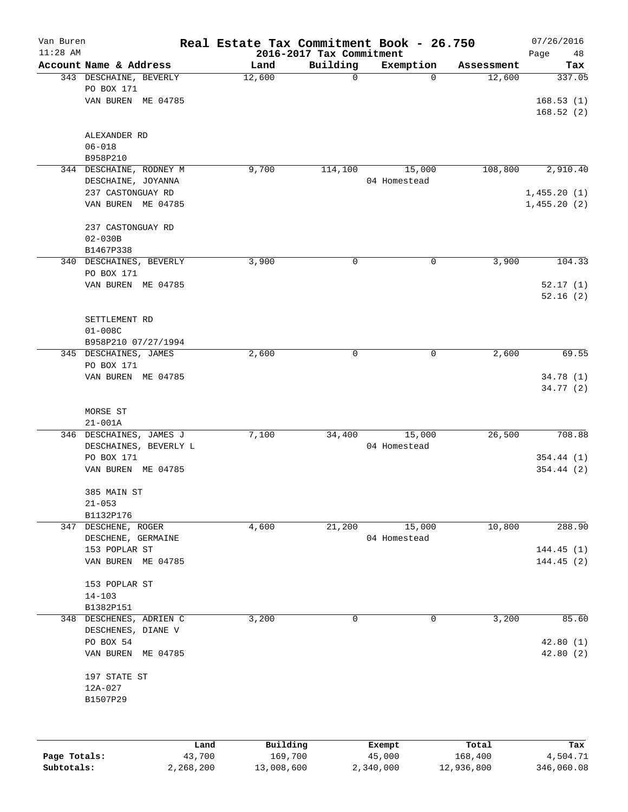| Van Buren<br>$11:28$ AM |                           | Real Estate Tax Commitment Book - 26.750 | 2016-2017 Tax Commitment |              |            | 07/26/2016<br>48<br>Page |
|-------------------------|---------------------------|------------------------------------------|--------------------------|--------------|------------|--------------------------|
|                         | Account Name & Address    | Land                                     | Building                 | Exemption    | Assessment | Tax                      |
|                         | 343 DESCHAINE, BEVERLY    | 12,600                                   | $\mathbf 0$              | $\Omega$     | 12,600     | 337.05                   |
|                         | PO BOX 171                |                                          |                          |              |            |                          |
|                         | VAN BUREN ME 04785        |                                          |                          |              |            | 168.53(1)                |
|                         |                           |                                          |                          |              |            | 168.52(2)                |
|                         | ALEXANDER RD              |                                          |                          |              |            |                          |
|                         | $06 - 018$                |                                          |                          |              |            |                          |
|                         | B958P210                  |                                          |                          |              |            |                          |
|                         | 344 DESCHAINE, RODNEY M   | 9,700                                    | 114,100                  | 15,000       | 108,800    | 2,910.40                 |
|                         | DESCHAINE, JOYANNA        |                                          |                          | 04 Homestead |            |                          |
|                         | 237 CASTONGUAY RD         |                                          |                          |              |            | 1,455.20(1)              |
|                         | VAN BUREN ME 04785        |                                          |                          |              |            | 1,455.20(2)              |
|                         | 237 CASTONGUAY RD         |                                          |                          |              |            |                          |
|                         | $02 - 030B$               |                                          |                          |              |            |                          |
|                         | B1467P338                 |                                          |                          |              |            |                          |
|                         | 340 DESCHAINES, BEVERLY   | 3,900                                    | $\mathbf 0$              | 0            | 3,900      | 104.33                   |
|                         | PO BOX 171                |                                          |                          |              |            |                          |
|                         | VAN BUREN ME 04785        |                                          |                          |              |            | 52.17(1)                 |
|                         |                           |                                          |                          |              |            | 52.16(2)                 |
|                         |                           |                                          |                          |              |            |                          |
|                         | SETTLEMENT RD             |                                          |                          |              |            |                          |
|                         | $01 - 008C$               |                                          |                          |              |            |                          |
|                         | B958P210 07/27/1994       |                                          |                          |              |            |                          |
|                         | 345 DESCHAINES, JAMES     | 2,600                                    | $\mathbf 0$              | 0            | 2,600      | 69.55                    |
|                         | PO BOX 171                |                                          |                          |              |            |                          |
|                         | VAN BUREN ME 04785        |                                          |                          |              |            | 34.78 (1)                |
|                         |                           |                                          |                          |              |            | 34.77 (2)                |
|                         | MORSE ST                  |                                          |                          |              |            |                          |
|                         | $21 - 001A$               |                                          |                          |              |            |                          |
|                         | 346 DESCHAINES, JAMES J   | 7,100                                    | 34,400                   | 15,000       | 26,500     | 708.88                   |
|                         | DESCHAINES, BEVERLY L     |                                          |                          | 04 Homestead |            |                          |
|                         | PO BOX 171                |                                          |                          |              |            | 354.44 (1)               |
|                         | VAN BUREN ME 04785        |                                          |                          |              |            | 354.44(2)                |
|                         |                           |                                          |                          |              |            |                          |
|                         | 385 MAIN ST<br>$21 - 053$ |                                          |                          |              |            |                          |
|                         | B1132P176                 |                                          |                          |              |            |                          |
|                         | 347 DESCHENE, ROGER       | 4,600                                    | 21,200                   | 15,000       | 10,800     | 288.90                   |
|                         | DESCHENE, GERMAINE        |                                          |                          | 04 Homestead |            |                          |
|                         | 153 POPLAR ST             |                                          |                          |              |            | 144.45(1)                |
|                         | VAN BUREN ME 04785        |                                          |                          |              |            | 144.45(2)                |
|                         |                           |                                          |                          |              |            |                          |
|                         | 153 POPLAR ST             |                                          |                          |              |            |                          |
|                         | $14 - 103$                |                                          |                          |              |            |                          |
|                         | B1382P151                 |                                          |                          |              |            |                          |
|                         | 348 DESCHENES, ADRIEN C   | 3,200                                    | 0                        | 0            | 3,200      | 85.60                    |
|                         | DESCHENES, DIANE V        |                                          |                          |              |            |                          |
|                         | PO BOX 54                 |                                          |                          |              |            | 42.80(1)                 |
|                         | VAN BUREN ME 04785        |                                          |                          |              |            | 42.80(2)                 |
|                         | 197 STATE ST              |                                          |                          |              |            |                          |
|                         | 12A-027                   |                                          |                          |              |            |                          |
|                         | B1507P29                  |                                          |                          |              |            |                          |
|                         |                           |                                          |                          |              |            |                          |
|                         |                           |                                          |                          |              |            |                          |
|                         | Land                      | Building                                 |                          | Exempt       | Total      | Tax                      |
| Page Totals:            | 43,700                    | 169,700                                  |                          | 45,000       | 168,400    | 4,504.71                 |

**Subtotals:** 2,268,200 13,008,600 2,340,000 12,936,800 346,060.08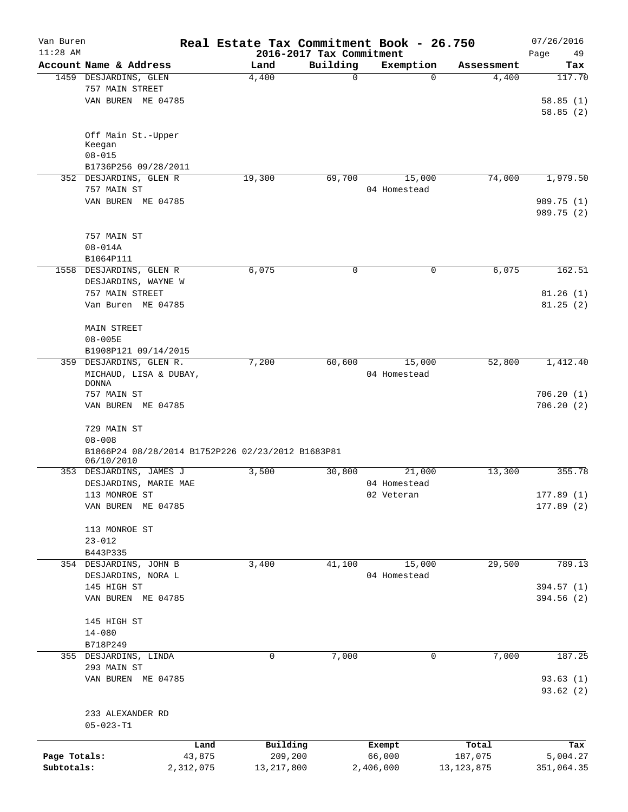| Van Buren    |                                                   | Real Estate Tax Commitment Book - 26.750 |                                      |                  |                  | 07/26/2016        |
|--------------|---------------------------------------------------|------------------------------------------|--------------------------------------|------------------|------------------|-------------------|
| $11:28$ AM   | Account Name & Address                            | Land                                     | 2016-2017 Tax Commitment<br>Building | Exemption        | Assessment       | 49<br>Page<br>Tax |
|              | 1459 DESJARDINS, GLEN                             | 4,400                                    | $\mathbf 0$                          | $\Omega$         | 4,400            | 117.70            |
|              | 757 MAIN STREET                                   |                                          |                                      |                  |                  |                   |
|              | VAN BUREN ME 04785                                |                                          |                                      |                  |                  | 58.85(1)          |
|              |                                                   |                                          |                                      |                  |                  | 58.85(2)          |
|              |                                                   |                                          |                                      |                  |                  |                   |
|              | Off Main St.-Upper<br>Keegan                      |                                          |                                      |                  |                  |                   |
|              | $08 - 015$                                        |                                          |                                      |                  |                  |                   |
|              | B1736P256 09/28/2011                              |                                          |                                      |                  |                  |                   |
|              | 352 DESJARDINS, GLEN R                            | 19,300                                   | 69,700                               | 15,000           | 74,000           | 1,979.50          |
|              | 757 MAIN ST                                       |                                          |                                      | 04 Homestead     |                  |                   |
|              | VAN BUREN ME 04785                                |                                          |                                      |                  |                  | 989.75 (1)        |
|              |                                                   |                                          |                                      |                  |                  | 989.75 (2)        |
|              | 757 MAIN ST                                       |                                          |                                      |                  |                  |                   |
|              | $08 - 014A$                                       |                                          |                                      |                  |                  |                   |
|              | B1064P111                                         |                                          |                                      |                  |                  |                   |
|              | 1558 DESJARDINS, GLEN R                           | 6,075                                    | $\mathbf 0$                          | 0                | 6,075            | 162.51            |
|              | DESJARDINS, WAYNE W                               |                                          |                                      |                  |                  |                   |
|              | 757 MAIN STREET                                   |                                          |                                      |                  |                  | 81.26(1)          |
|              | Van Buren ME 04785                                |                                          |                                      |                  |                  | 81.25(2)          |
|              |                                                   |                                          |                                      |                  |                  |                   |
|              | <b>MAIN STREET</b>                                |                                          |                                      |                  |                  |                   |
|              | $08 - 005E$                                       |                                          |                                      |                  |                  |                   |
|              | B1908P121 09/14/2015                              |                                          |                                      |                  |                  |                   |
|              | 359 DESJARDINS, GLEN R.                           | 7,200                                    | 60,600                               | 15,000           | 52,800           | 1,412.40          |
|              | MICHAUD, LISA & DUBAY,                            |                                          |                                      | 04 Homestead     |                  |                   |
|              | <b>DONNA</b>                                      |                                          |                                      |                  |                  |                   |
|              | 757 MAIN ST                                       |                                          |                                      |                  |                  | 706.20(1)         |
|              | VAN BUREN ME 04785                                |                                          |                                      |                  |                  | 706.20(2)         |
|              | 729 MAIN ST                                       |                                          |                                      |                  |                  |                   |
|              | $08 - 008$                                        |                                          |                                      |                  |                  |                   |
|              | B1866P24 08/28/2014 B1752P226 02/23/2012 B1683P81 |                                          |                                      |                  |                  |                   |
|              | 06/10/2010                                        |                                          |                                      |                  |                  |                   |
|              | 353 DESJARDINS, JAMES J                           | 3,500                                    | 30,800                               | 21,000           | 13,300           | 355.78            |
|              | DESJARDINS, MARIE MAE                             |                                          |                                      | 04 Homestead     |                  |                   |
|              | 113 MONROE ST                                     |                                          |                                      | 02 Veteran       |                  | 177.89 (1)        |
|              | VAN BUREN ME 04785                                |                                          |                                      |                  |                  | 177.89(2)         |
|              | 113 MONROE ST                                     |                                          |                                      |                  |                  |                   |
|              | $23 - 012$                                        |                                          |                                      |                  |                  |                   |
|              | B443P335                                          |                                          |                                      |                  |                  |                   |
|              | 354 DESJARDINS, JOHN B                            | 3,400                                    | 41,100                               | 15,000           | 29,500           | 789.13            |
|              | DESJARDINS, NORA L                                |                                          |                                      | 04 Homestead     |                  |                   |
|              | 145 HIGH ST                                       |                                          |                                      |                  |                  | 394.57(1)         |
|              | VAN BUREN ME 04785                                |                                          |                                      |                  |                  | 394.56(2)         |
|              | 145 HIGH ST                                       |                                          |                                      |                  |                  |                   |
|              | $14 - 080$                                        |                                          |                                      |                  |                  |                   |
|              | B718P249                                          |                                          |                                      |                  |                  |                   |
|              | 355 DESJARDINS, LINDA                             | 0                                        | 7,000                                | 0                | 7,000            | 187.25            |
|              | 293 MAIN ST                                       |                                          |                                      |                  |                  |                   |
|              | VAN BUREN ME 04785                                |                                          |                                      |                  |                  | 93.63(1)          |
|              |                                                   |                                          |                                      |                  |                  | 93.62(2)          |
|              | 233 ALEXANDER RD                                  |                                          |                                      |                  |                  |                   |
|              | $05 - 023 - T1$                                   |                                          |                                      |                  |                  |                   |
|              |                                                   |                                          |                                      |                  |                  |                   |
| Page Totals: | Land<br>43,875                                    | Building<br>209,200                      |                                      | Exempt<br>66,000 | Total<br>187,075 | Tax<br>5,004.27   |
| Subtotals:   | 2,312,075                                         | 13,217,800                               |                                      | 2,406,000        | 13, 123, 875     | 351,064.35        |
|              |                                                   |                                          |                                      |                  |                  |                   |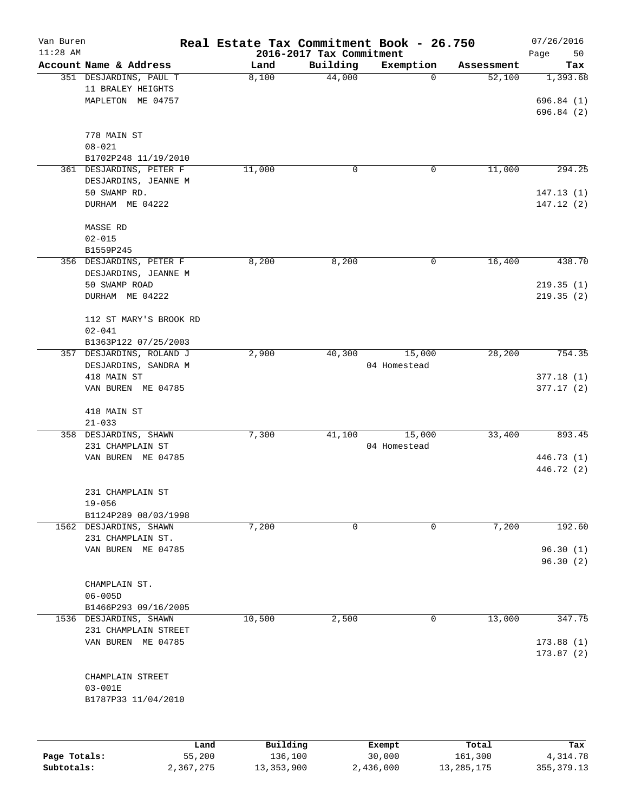| Van Buren<br>$11:28$ AM |                                 | Real Estate Tax Commitment Book - 26.750 |                                      |              |            | 07/26/2016        |
|-------------------------|---------------------------------|------------------------------------------|--------------------------------------|--------------|------------|-------------------|
|                         | Account Name & Address          | Land                                     | 2016-2017 Tax Commitment<br>Building | Exemption    | Assessment | Page<br>50<br>Tax |
|                         | 351 DESJARDINS, PAUL T          | 8,100                                    | 44,000                               | 0            | 52,100     | 1,393.68          |
|                         | 11 BRALEY HEIGHTS               |                                          |                                      |              |            |                   |
|                         | MAPLETON ME 04757               |                                          |                                      |              |            | 696.84(1)         |
|                         |                                 |                                          |                                      |              |            | 696.84 (2)        |
|                         |                                 |                                          |                                      |              |            |                   |
|                         | 778 MAIN ST                     |                                          |                                      |              |            |                   |
|                         | $08 - 021$                      |                                          |                                      |              |            |                   |
|                         | B1702P248 11/19/2010            |                                          |                                      |              |            |                   |
|                         | 361 DESJARDINS, PETER F         | 11,000                                   | 0                                    | 0            | 11,000     | 294.25            |
|                         | DESJARDINS, JEANNE M            |                                          |                                      |              |            |                   |
|                         | 50 SWAMP RD.                    |                                          |                                      |              |            | 147.13(1)         |
|                         | DURHAM ME 04222                 |                                          |                                      |              |            | 147.12(2)         |
|                         | MASSE RD                        |                                          |                                      |              |            |                   |
|                         | $02 - 015$                      |                                          |                                      |              |            |                   |
|                         | B1559P245                       |                                          |                                      |              |            |                   |
|                         | 356 DESJARDINS, PETER F         | 8,200                                    | 8,200                                | 0            | 16,400     | 438.70            |
|                         | DESJARDINS, JEANNE M            |                                          |                                      |              |            |                   |
|                         | 50 SWAMP ROAD                   |                                          |                                      |              |            | 219.35(1)         |
|                         | DURHAM ME 04222                 |                                          |                                      |              |            | 219.35(2)         |
|                         |                                 |                                          |                                      |              |            |                   |
|                         | 112 ST MARY'S BROOK RD          |                                          |                                      |              |            |                   |
|                         | $02 - 041$                      |                                          |                                      |              |            |                   |
|                         | B1363P122 07/25/2003            |                                          |                                      |              |            |                   |
| 357                     | DESJARDINS, ROLAND J            | 2,900                                    | 40,300                               | 15,000       | 28,200     | 754.35            |
|                         | DESJARDINS, SANDRA M            |                                          |                                      | 04 Homestead |            |                   |
|                         | 418 MAIN ST                     |                                          |                                      |              |            | 377.18(1)         |
|                         | VAN BUREN ME 04785              |                                          |                                      |              |            | 377.17(2)         |
|                         | 418 MAIN ST                     |                                          |                                      |              |            |                   |
|                         | $21 - 033$                      |                                          |                                      |              |            |                   |
|                         | 358 DESJARDINS, SHAWN           | 7,300                                    | 41,100                               | 15,000       | 33,400     | 893.45            |
|                         | 231 CHAMPLAIN ST                |                                          |                                      | 04 Homestead |            |                   |
|                         | VAN BUREN ME 04785              |                                          |                                      |              |            | 446.73 (1)        |
|                         |                                 |                                          |                                      |              |            | 446.72 (2)        |
|                         |                                 |                                          |                                      |              |            |                   |
|                         | 231 CHAMPLAIN ST<br>$19 - 056$  |                                          |                                      |              |            |                   |
|                         | B1124P289 08/03/1998            |                                          |                                      |              |            |                   |
|                         | 1562 DESJARDINS, SHAWN          | 7,200                                    | 0                                    | 0            | 7,200      | 192.60            |
|                         | 231 CHAMPLAIN ST.               |                                          |                                      |              |            |                   |
|                         | VAN BUREN ME 04785              |                                          |                                      |              |            | 96.30(1)          |
|                         |                                 |                                          |                                      |              |            | 96.30(2)          |
|                         |                                 |                                          |                                      |              |            |                   |
|                         | CHAMPLAIN ST.                   |                                          |                                      |              |            |                   |
|                         | $06 - 005D$                     |                                          |                                      |              |            |                   |
|                         | B1466P293 09/16/2005            |                                          |                                      |              |            |                   |
| 1536                    | DESJARDINS, SHAWN               | 10,500                                   | 2,500                                | 0            | 13,000     | 347.75            |
|                         | 231 CHAMPLAIN STREET            |                                          |                                      |              |            |                   |
|                         | VAN BUREN ME 04785              |                                          |                                      |              |            | 173.88(1)         |
|                         |                                 |                                          |                                      |              |            | 173.87(2)         |
|                         |                                 |                                          |                                      |              |            |                   |
|                         | CHAMPLAIN STREET<br>$03 - 001E$ |                                          |                                      |              |            |                   |
|                         |                                 |                                          |                                      |              |            |                   |
|                         | B1787P33 11/04/2010             |                                          |                                      |              |            |                   |
|                         |                                 |                                          |                                      |              |            |                   |
|                         | Land                            | Building                                 |                                      | Exempt       | Total      | Tax               |
| Page Totals:            | 55,200                          | 136,100                                  |                                      | 30,000       | 161,300    | 4,314.78          |

**Subtotals:** 2,367,275 13,353,900 2,436,000 13,285,175 355,379.13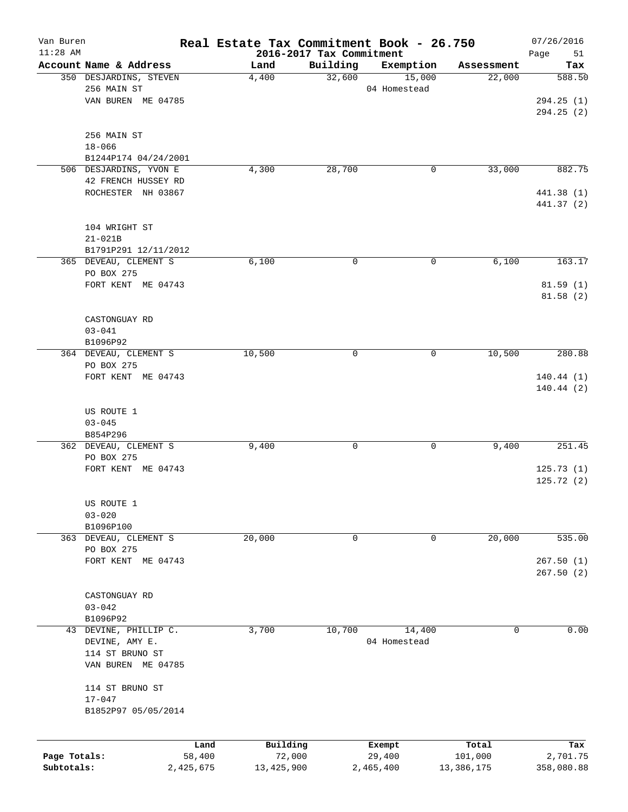| Van Buren<br>$11:28$ AM |                                  | Real Estate Tax Commitment Book - 26.750 | 2016-2017 Tax Commitment |              |            | 07/26/2016               |
|-------------------------|----------------------------------|------------------------------------------|--------------------------|--------------|------------|--------------------------|
|                         | Account Name & Address           | Land                                     | Building                 | Exemption    | Assessment | Page<br>51<br>Tax        |
|                         | 350 DESJARDINS, STEVEN           | 4,400                                    | 32,600                   | 15,000       | 22,000     | 588.50                   |
|                         | 256 MAIN ST                      |                                          |                          | 04 Homestead |            |                          |
|                         | VAN BUREN ME 04785               |                                          |                          |              |            | 294.25(1)<br>294.25(2)   |
|                         |                                  |                                          |                          |              |            |                          |
|                         | 256 MAIN ST                      |                                          |                          |              |            |                          |
|                         | $18 - 066$                       |                                          |                          |              |            |                          |
|                         | B1244P174 04/24/2001             |                                          |                          |              |            |                          |
|                         | 506 DESJARDINS, YVON E           | 4,300                                    | 28,700                   | 0            | 33,000     | 882.75                   |
|                         | 42 FRENCH HUSSEY RD              |                                          |                          |              |            |                          |
|                         | ROCHESTER NH 03867               |                                          |                          |              |            | 441.38 (1)<br>441.37 (2) |
|                         | 104 WRIGHT ST                    |                                          |                          |              |            |                          |
|                         | $21 - 021B$                      |                                          |                          |              |            |                          |
|                         | B1791P291 12/11/2012             |                                          |                          |              |            |                          |
|                         | 365 DEVEAU, CLEMENT S            | 6,100                                    | 0                        | 0            | 6,100      | 163.17                   |
|                         | PO BOX 275                       |                                          |                          |              |            |                          |
|                         | FORT KENT ME 04743               |                                          |                          |              |            | 81.59(1)                 |
|                         |                                  |                                          |                          |              |            | 81.58 (2)                |
|                         | CASTONGUAY RD                    |                                          |                          |              |            |                          |
|                         | $03 - 041$                       |                                          |                          |              |            |                          |
|                         | B1096P92                         |                                          |                          |              |            |                          |
|                         | 364 DEVEAU, CLEMENT S            | 10,500                                   | 0                        | 0            | 10,500     | 280.88                   |
|                         | PO BOX 275                       |                                          |                          |              |            |                          |
|                         | FORT KENT ME 04743               |                                          |                          |              |            | 140.44(1)                |
|                         |                                  |                                          |                          |              |            | 140.44 (2)               |
|                         |                                  |                                          |                          |              |            |                          |
|                         | US ROUTE 1                       |                                          |                          |              |            |                          |
|                         | $03 - 045$<br>B854P296           |                                          |                          |              |            |                          |
|                         | 362 DEVEAU, CLEMENT S            | 9,400                                    | 0                        | 0            | 9,400      | 251.45                   |
|                         | PO BOX 275                       |                                          |                          |              |            |                          |
|                         | FORT KENT ME 04743               |                                          |                          |              |            | 125.73(1)                |
|                         |                                  |                                          |                          |              |            | 125.72(2)                |
|                         | US ROUTE 1                       |                                          |                          |              |            |                          |
|                         | $03 - 020$                       |                                          |                          |              |            |                          |
|                         | B1096P100                        |                                          |                          |              |            |                          |
|                         |                                  |                                          | 0                        | 0            |            |                          |
|                         | 363 DEVEAU, CLEMENT S            | 20,000                                   |                          |              | 20,000     | 535.00                   |
|                         | PO BOX 275<br>FORT KENT ME 04743 |                                          |                          |              |            |                          |
|                         |                                  |                                          |                          |              |            | 267.50(1)<br>267.50(2)   |
|                         |                                  |                                          |                          |              |            |                          |
|                         | CASTONGUAY RD                    |                                          |                          |              |            |                          |
|                         | $03 - 042$                       |                                          |                          |              |            |                          |
|                         | B1096P92                         |                                          |                          |              |            |                          |
|                         | 43 DEVINE, PHILLIP C.            | 3,700                                    | 10,700                   | 14,400       | 0          | 0.00                     |
|                         | DEVINE, AMY E.                   |                                          |                          | 04 Homestead |            |                          |
|                         | 114 ST BRUNO ST                  |                                          |                          |              |            |                          |
|                         | VAN BUREN ME 04785               |                                          |                          |              |            |                          |
|                         | 114 ST BRUNO ST                  |                                          |                          |              |            |                          |
|                         | $17 - 047$                       |                                          |                          |              |            |                          |
|                         | B1852P97 05/05/2014              |                                          |                          |              |            |                          |
|                         |                                  |                                          |                          |              |            |                          |
|                         |                                  | Building<br>Land                         |                          | Exempt       | Total      | Tax                      |
| Page Totals:            | 58,400                           | 72,000                                   |                          | 29,400       | 101,000    | 2,701.75                 |
| Subtotals:              | 2,425,675                        | 13, 425, 900                             |                          | 2,465,400    | 13,386,175 | 358,080.88               |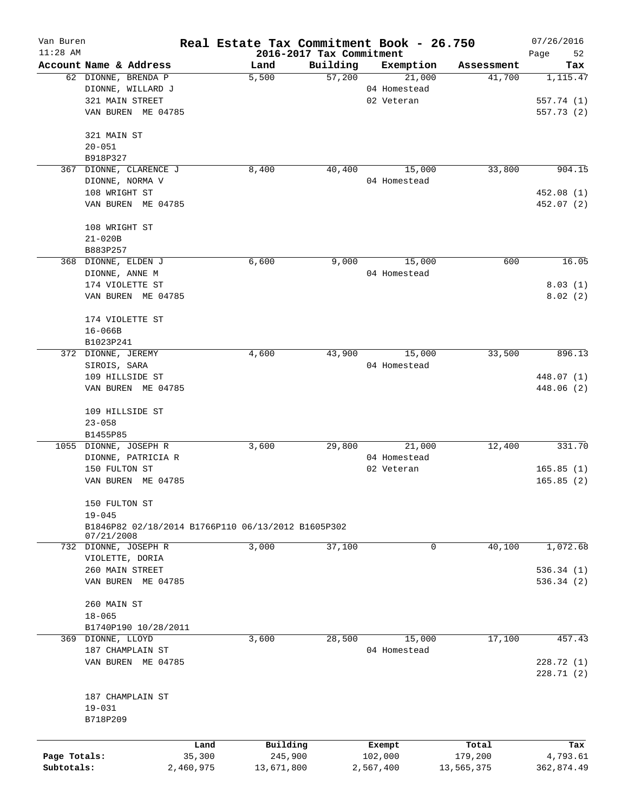| Van Buren<br>$11:28$ AM |                                                    |           | Real Estate Tax Commitment Book - 26.750 |          |              |            | 07/26/2016        |
|-------------------------|----------------------------------------------------|-----------|------------------------------------------|----------|--------------|------------|-------------------|
|                         | Account Name & Address                             |           | 2016-2017 Tax Commitment<br>Land         | Building | Exemption    | Assessment | Page<br>52<br>Tax |
|                         | 62 DIONNE, BRENDA P                                |           | 5,500                                    | 57,200   | 21,000       | 41,700     | 1,115.47          |
|                         | DIONNE, WILLARD J                                  |           |                                          |          | 04 Homestead |            |                   |
|                         | 321 MAIN STREET                                    |           |                                          |          | 02 Veteran   |            | 557.74 (1)        |
|                         | VAN BUREN ME 04785                                 |           |                                          |          |              |            | 557.73(2)         |
|                         |                                                    |           |                                          |          |              |            |                   |
|                         | 321 MAIN ST                                        |           |                                          |          |              |            |                   |
|                         | $20 - 051$                                         |           |                                          |          |              |            |                   |
|                         | B918P327                                           |           |                                          |          |              |            |                   |
| 367                     | DIONNE, CLARENCE J                                 |           | 8,400                                    | 40,400   | 15,000       | 33,800     | 904.15            |
|                         | DIONNE, NORMA V                                    |           |                                          |          | 04 Homestead |            |                   |
|                         | 108 WRIGHT ST                                      |           |                                          |          |              |            | 452.08 (1)        |
|                         | VAN BUREN ME 04785                                 |           |                                          |          |              |            | 452.07 (2)        |
|                         | 108 WRIGHT ST                                      |           |                                          |          |              |            |                   |
|                         | $21 - 020B$                                        |           |                                          |          |              |            |                   |
|                         | B883P257                                           |           |                                          |          |              |            |                   |
|                         | 368 DIONNE, ELDEN J                                |           | 6,600                                    | 9,000    | 15,000       | 600        | 16.05             |
|                         | DIONNE, ANNE M                                     |           |                                          |          | 04 Homestead |            |                   |
|                         | 174 VIOLETTE ST                                    |           |                                          |          |              |            | 8.03(1)           |
|                         | VAN BUREN ME 04785                                 |           |                                          |          |              |            | 8.02(2)           |
|                         | 174 VIOLETTE ST                                    |           |                                          |          |              |            |                   |
|                         | $16 - 066B$                                        |           |                                          |          |              |            |                   |
|                         | B1023P241                                          |           |                                          |          |              |            |                   |
|                         | 372 DIONNE, JEREMY                                 |           | 4,600                                    | 43,900   | 15,000       | 33,500     | 896.13            |
|                         | SIROIS, SARA                                       |           |                                          |          | 04 Homestead |            |                   |
|                         | 109 HILLSIDE ST                                    |           |                                          |          |              |            | 448.07 (1)        |
|                         | VAN BUREN ME 04785                                 |           |                                          |          |              |            | 448.06 (2)        |
|                         |                                                    |           |                                          |          |              |            |                   |
|                         | 109 HILLSIDE ST                                    |           |                                          |          |              |            |                   |
|                         | $23 - 058$                                         |           |                                          |          |              |            |                   |
|                         | B1455P85                                           |           |                                          |          |              |            |                   |
|                         | 1055 DIONNE, JOSEPH R                              |           | 3,600                                    | 29,800   | 21,000       | 12,400     | 331.70            |
|                         | DIONNE, PATRICIA R                                 |           |                                          |          | 04 Homestead |            |                   |
|                         | 150 FULTON ST                                      |           |                                          |          | 02 Veteran   |            | 165.85(1)         |
|                         | VAN BUREN ME 04785                                 |           |                                          |          |              |            | 165.85(2)         |
|                         | 150 FULTON ST                                      |           |                                          |          |              |            |                   |
|                         | $19 - 045$                                         |           |                                          |          |              |            |                   |
|                         | B1846P82 02/18/2014 B1766P110 06/13/2012 B1605P302 |           |                                          |          |              |            |                   |
|                         | 07/21/2008                                         |           |                                          |          |              |            |                   |
|                         | 732 DIONNE, JOSEPH R                               |           | 3,000                                    | 37,100   | 0            | 40,100     | 1,072.68          |
|                         | VIOLETTE, DORIA                                    |           |                                          |          |              |            |                   |
|                         | 260 MAIN STREET                                    |           |                                          |          |              |            | 536.34(1)         |
|                         | VAN BUREN ME 04785                                 |           |                                          |          |              |            | 536.34(2)         |
|                         | 260 MAIN ST                                        |           |                                          |          |              |            |                   |
|                         | $18 - 065$                                         |           |                                          |          |              |            |                   |
|                         | B1740P190 10/28/2011                               |           |                                          |          |              |            |                   |
|                         | 369 DIONNE, LLOYD                                  |           | 3,600                                    | 28,500   | 15,000       | 17,100     | 457.43            |
|                         | 187 CHAMPLAIN ST                                   |           |                                          |          | 04 Homestead |            |                   |
|                         | VAN BUREN ME 04785                                 |           |                                          |          |              |            | 228.72(1)         |
|                         |                                                    |           |                                          |          |              |            | 228.71 (2)        |
|                         | 187 CHAMPLAIN ST                                   |           |                                          |          |              |            |                   |
|                         | $19 - 031$                                         |           |                                          |          |              |            |                   |
|                         | B718P209                                           |           |                                          |          |              |            |                   |
|                         |                                                    |           |                                          |          |              |            |                   |
|                         |                                                    | Land      | Building                                 |          | Exempt       | Total      | Tax               |
| Page Totals:            |                                                    | 35,300    | 245,900                                  |          | 102,000      | 179,200    | 4,793.61          |
| Subtotals:              |                                                    | 2,460,975 | 13,671,800                               |          | 2,567,400    | 13,565,375 | 362,874.49        |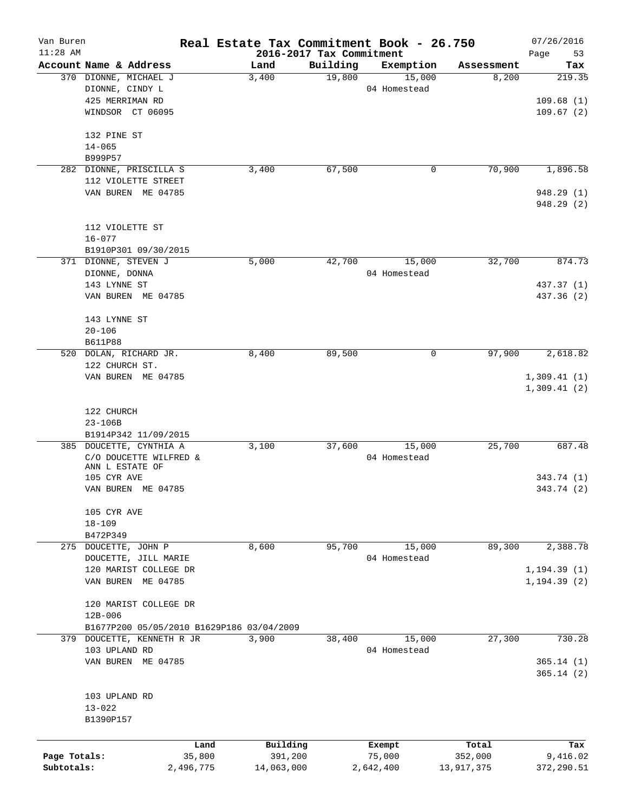| Van Buren    |                                           | Real Estate Tax Commitment Book - 26.750 |                          |              |            | 07/26/2016   |
|--------------|-------------------------------------------|------------------------------------------|--------------------------|--------------|------------|--------------|
| $11:28$ AM   |                                           |                                          | 2016-2017 Tax Commitment |              |            | Page<br>53   |
|              | Account Name & Address                    | Land                                     | Building                 | Exemption    | Assessment | Tax          |
|              | 370 DIONNE, MICHAEL J                     | 3,400                                    | 19,800                   | 15,000       | 8,200      | 219.35       |
|              | DIONNE, CINDY L                           |                                          |                          | 04 Homestead |            |              |
|              | 425 MERRIMAN RD                           |                                          |                          |              |            | 109.68(1)    |
|              | WINDSOR CT 06095                          |                                          |                          |              |            | 109.67(2)    |
|              | 132 PINE ST                               |                                          |                          |              |            |              |
|              | $14 - 065$                                |                                          |                          |              |            |              |
|              | B999P57                                   |                                          |                          |              |            |              |
| 282          | DIONNE, PRISCILLA S                       | 3,400                                    | 67,500                   | 0            | 70,900     | 1,896.58     |
|              | 112 VIOLETTE STREET                       |                                          |                          |              |            |              |
|              | VAN BUREN ME 04785                        |                                          |                          |              |            | 948.29(1)    |
|              |                                           |                                          |                          |              |            | 948.29 (2)   |
|              | 112 VIOLETTE ST                           |                                          |                          |              |            |              |
|              | $16 - 077$                                |                                          |                          |              |            |              |
|              | B1910P301 09/30/2015                      |                                          |                          |              |            |              |
|              |                                           |                                          |                          |              |            |              |
|              | 371 DIONNE, STEVEN J                      | 5,000                                    | 42,700                   | 15,000       | 32,700     | 874.73       |
|              | DIONNE, DONNA                             |                                          |                          | 04 Homestead |            |              |
|              | 143 LYNNE ST                              |                                          |                          |              |            | 437.37 (1)   |
|              | VAN BUREN ME 04785                        |                                          |                          |              |            | 437.36 (2)   |
|              | 143 LYNNE ST                              |                                          |                          |              |            |              |
|              | $20 - 106$                                |                                          |                          |              |            |              |
|              | <b>B611P88</b>                            |                                          |                          |              |            |              |
| 520          | DOLAN, RICHARD JR.                        | 8,400                                    | 89,500                   | 0            | 97,900     | 2,618.82     |
|              | 122 CHURCH ST.                            |                                          |                          |              |            |              |
|              | VAN BUREN ME 04785                        |                                          |                          |              |            | 1,309.41(1)  |
|              |                                           |                                          |                          |              |            | 1,309.41(2)  |
|              |                                           |                                          |                          |              |            |              |
|              | 122 CHURCH                                |                                          |                          |              |            |              |
|              |                                           |                                          |                          |              |            |              |
|              | $23 - 106B$                               |                                          |                          |              |            |              |
|              | B1914P342 11/09/2015                      |                                          |                          |              | 25,700     | 687.48       |
|              | 385 DOUCETTE, CYNTHIA A                   | 3,100                                    | 37,600                   | 15,000       |            |              |
|              | C/O DOUCETTE WILFRED &<br>ANN L ESTATE OF |                                          |                          | 04 Homestead |            |              |
|              | 105 CYR AVE                               |                                          |                          |              |            | 343.74(1)    |
|              | VAN BUREN ME 04785                        |                                          |                          |              |            | 343.74 (2)   |
|              |                                           |                                          |                          |              |            |              |
|              | 105 CYR AVE                               |                                          |                          |              |            |              |
|              | $18 - 109$                                |                                          |                          |              |            |              |
|              | B472P349                                  |                                          |                          |              |            |              |
|              | 275 DOUCETTE, JOHN P                      | 8,600                                    | 95,700                   | 15,000       | 89,300     | 2,388.78     |
|              | DOUCETTE, JILL MARIE                      |                                          |                          | 04 Homestead |            |              |
|              | 120 MARIST COLLEGE DR                     |                                          |                          |              |            | 1, 194.39(1) |
|              | VAN BUREN ME 04785                        |                                          |                          |              |            | 1, 194.39(2) |
|              | 120 MARIST COLLEGE DR                     |                                          |                          |              |            |              |
|              |                                           |                                          |                          |              |            |              |
|              | $12B - 006$                               |                                          |                          |              |            |              |
|              | B1677P200 05/05/2010 B1629P186 03/04/2009 |                                          |                          |              |            |              |
|              | 379 DOUCETTE, KENNETH R JR                | 3,900                                    | 38,400                   | 15,000       | 27,300     | 730.28       |
|              | 103 UPLAND RD                             |                                          |                          | 04 Homestead |            |              |
|              | VAN BUREN ME 04785                        |                                          |                          |              |            | 365.14(1)    |
|              |                                           |                                          |                          |              |            | 365.14(2)    |
|              | 103 UPLAND RD                             |                                          |                          |              |            |              |
|              | $13 - 022$                                |                                          |                          |              |            |              |
|              |                                           |                                          |                          |              |            |              |
|              | B1390P157                                 |                                          |                          |              |            |              |
|              | Land                                      | Building                                 |                          | Exempt       | Total      | Tax          |
| Page Totals: | 35,800                                    | 391,200                                  |                          | 75,000       | 352,000    | 9,416.02     |
| Subtotals:   | 2,496,775                                 | 14,063,000                               |                          | 2,642,400    | 13,917,375 | 372,290.51   |
|              |                                           |                                          |                          |              |            |              |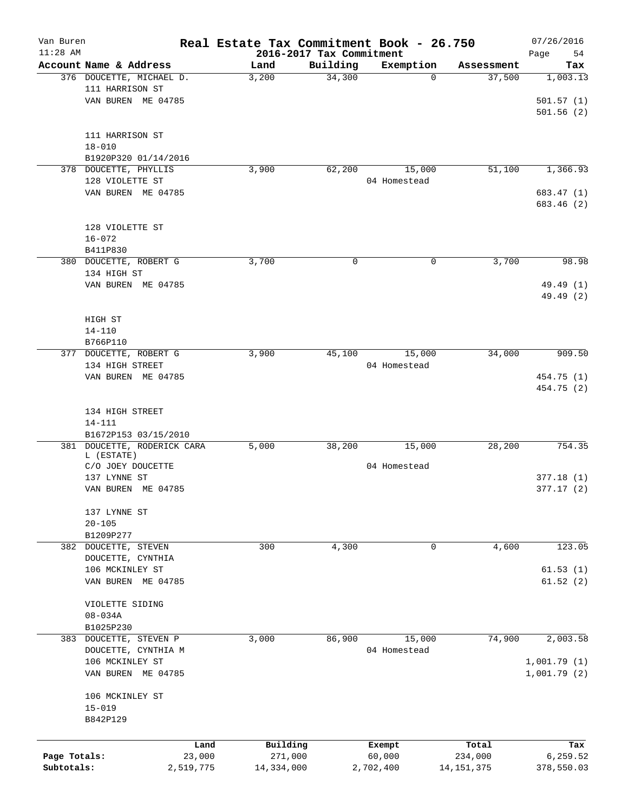| Van Buren<br>$11:28$ AM |                          | Real Estate Tax Commitment Book - 26.750 | 2016-2017 Tax Commitment |              |              | 07/26/2016        |
|-------------------------|--------------------------|------------------------------------------|--------------------------|--------------|--------------|-------------------|
|                         | Account Name & Address   | Land                                     | Building                 | Exemption    | Assessment   | Page<br>54<br>Tax |
|                         | 376 DOUCETTE, MICHAEL D. | 3,200                                    | 34,300                   | $\Omega$     | 37,500       | 1,003.13          |
|                         | 111 HARRISON ST          |                                          |                          |              |              |                   |
|                         | VAN BUREN ME 04785       |                                          |                          |              |              | 501.57(1)         |
|                         |                          |                                          |                          |              |              |                   |
|                         |                          |                                          |                          |              |              | 501.56(2)         |
|                         |                          |                                          |                          |              |              |                   |
|                         | 111 HARRISON ST          |                                          |                          |              |              |                   |
|                         | $18 - 010$               |                                          |                          |              |              |                   |
|                         | B1920P320 01/14/2016     |                                          |                          |              |              |                   |
|                         | 378 DOUCETTE, PHYLLIS    | 3,900                                    | 62,200                   | 15,000       | 51,100       | 1,366.93          |
|                         | 128 VIOLETTE ST          |                                          |                          | 04 Homestead |              |                   |
|                         | VAN BUREN ME 04785       |                                          |                          |              |              | 683.47 (1)        |
|                         |                          |                                          |                          |              |              | 683.46 (2)        |
|                         |                          |                                          |                          |              |              |                   |
|                         | 128 VIOLETTE ST          |                                          |                          |              |              |                   |
|                         | $16 - 072$               |                                          |                          |              |              |                   |
|                         | B411P830                 |                                          |                          |              |              |                   |
|                         | 380 DOUCETTE, ROBERT G   | 3,700                                    | 0                        | 0            | 3,700        | 98.98             |
|                         | 134 HIGH ST              |                                          |                          |              |              |                   |
|                         | VAN BUREN ME 04785       |                                          |                          |              |              | 49.49 (1)         |
|                         |                          |                                          |                          |              |              | 49.49 (2)         |
|                         |                          |                                          |                          |              |              |                   |
|                         | HIGH ST                  |                                          |                          |              |              |                   |
|                         | $14 - 110$               |                                          |                          |              |              |                   |
|                         | B766P110                 |                                          |                          |              |              |                   |
| 377                     | DOUCETTE, ROBERT G       | 3,900                                    | 45,100                   | 15,000       | 34,000       | 909.50            |
|                         | 134 HIGH STREET          |                                          |                          | 04 Homestead |              |                   |
|                         | VAN BUREN ME 04785       |                                          |                          |              |              | 454.75 (1)        |
|                         |                          |                                          |                          |              |              | 454.75 (2)        |
|                         |                          |                                          |                          |              |              |                   |
|                         | 134 HIGH STREET          |                                          |                          |              |              |                   |
|                         | $14 - 111$               |                                          |                          |              |              |                   |
|                         | B1672P153 03/15/2010     |                                          |                          |              |              |                   |
| 381                     | DOUCETTE, RODERICK CARA  | 5,000                                    | 38,200                   | 15,000       | 28,200       | 754.35            |
|                         | L (ESTATE)               |                                          |                          |              |              |                   |
|                         | C/O JOEY DOUCETTE        |                                          |                          | 04 Homestead |              |                   |
|                         | 137 LYNNE ST             |                                          |                          |              |              | 377.18(1)         |
|                         | VAN BUREN ME 04785       |                                          |                          |              |              | 377.17(2)         |
|                         |                          |                                          |                          |              |              |                   |
|                         | 137 LYNNE ST             |                                          |                          |              |              |                   |
|                         | $20 - 105$               |                                          |                          |              |              |                   |
|                         | B1209P277                |                                          |                          |              |              |                   |
|                         | 382 DOUCETTE, STEVEN     | 300                                      | 4,300                    | 0            | 4,600        | 123.05            |
|                         | DOUCETTE, CYNTHIA        |                                          |                          |              |              |                   |
|                         | 106 MCKINLEY ST          |                                          |                          |              |              | 61.53(1)          |
|                         | VAN BUREN ME 04785       |                                          |                          |              |              | 61.52(2)          |
|                         |                          |                                          |                          |              |              |                   |
|                         | VIOLETTE SIDING          |                                          |                          |              |              |                   |
|                         | $08 - 034A$              |                                          |                          |              |              |                   |
|                         | B1025P230                |                                          |                          |              |              |                   |
|                         | 383 DOUCETTE, STEVEN P   | 3,000                                    | 86,900                   | 15,000       | 74,900       | 2,003.58          |
|                         | DOUCETTE, CYNTHIA M      |                                          |                          | 04 Homestead |              |                   |
|                         | 106 MCKINLEY ST          |                                          |                          |              |              | 1,001.79(1)       |
|                         |                          |                                          |                          |              |              |                   |
|                         | VAN BUREN ME 04785       |                                          |                          |              |              | 1,001.79(2)       |
|                         |                          |                                          |                          |              |              |                   |
|                         | 106 MCKINLEY ST          |                                          |                          |              |              |                   |
|                         | $15 - 019$               |                                          |                          |              |              |                   |
|                         | B842P129                 |                                          |                          |              |              |                   |
|                         |                          |                                          |                          |              |              |                   |
|                         |                          | Building<br>Land                         |                          | Exempt       | Total        | Tax               |
| Page Totals:            |                          | 271,000<br>23,000                        |                          | 60,000       | 234,000      | 6,259.52          |
| Subtotals:              | 2,519,775                | 14,334,000                               |                          | 2,702,400    | 14, 151, 375 | 378,550.03        |
|                         |                          |                                          |                          |              |              |                   |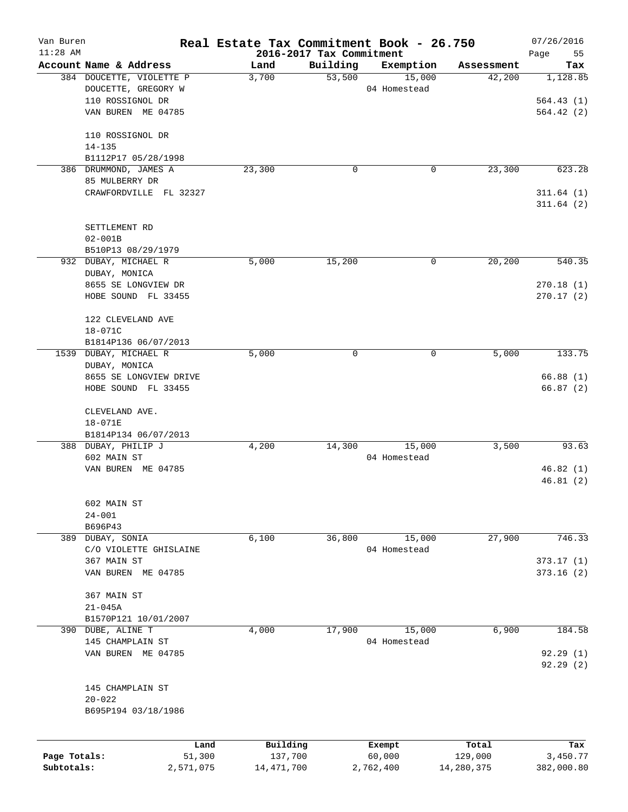| Van Buren                  |                                   | Real Estate Tax Commitment Book - 26.750 | 07/26/2016  |                     |                       |                        |
|----------------------------|-----------------------------------|------------------------------------------|-------------|---------------------|-----------------------|------------------------|
| $11:28$ AM                 | Account Name & Address            | 2016-2017 Tax Commitment                 | Building    |                     |                       | Page<br>55             |
|                            | 384 DOUCETTE, VIOLETTE P          | Land<br>3,700                            | 53,500      | Exemption<br>15,000 | Assessment<br>42,200  | Tax<br>1,128.85        |
|                            | DOUCETTE, GREGORY W               |                                          |             | 04 Homestead        |                       |                        |
|                            | 110 ROSSIGNOL DR                  |                                          |             |                     |                       | 564.43(1)              |
|                            | VAN BUREN ME 04785                |                                          |             |                     |                       | 564.42(2)              |
|                            |                                   |                                          |             |                     |                       |                        |
|                            | 110 ROSSIGNOL DR                  |                                          |             |                     |                       |                        |
|                            | $14 - 135$                        |                                          |             |                     |                       |                        |
|                            | B1112P17 05/28/1998               |                                          |             |                     |                       |                        |
|                            | 386 DRUMMOND, JAMES A             | 23,300                                   | $\mathbf 0$ | 0                   | 23,300                | 623.28                 |
|                            | 85 MULBERRY DR                    |                                          |             |                     |                       |                        |
|                            | CRAWFORDVILLE FL 32327            |                                          |             |                     |                       | 311.64(1)<br>311.64(2) |
|                            |                                   |                                          |             |                     |                       |                        |
|                            | SETTLEMENT RD                     |                                          |             |                     |                       |                        |
|                            | $02 - 001B$                       |                                          |             |                     |                       |                        |
|                            | B510P13 08/29/1979                |                                          |             |                     |                       |                        |
|                            | 932 DUBAY, MICHAEL R              | 5,000                                    | 15,200      | 0                   | 20, 200               | 540.35                 |
|                            | DUBAY, MONICA                     |                                          |             |                     |                       |                        |
|                            | 8655 SE LONGVIEW DR               |                                          |             |                     |                       | 270.18(1)              |
|                            | HOBE SOUND FL 33455               |                                          |             |                     |                       | 270.17(2)              |
|                            | 122 CLEVELAND AVE                 |                                          |             |                     |                       |                        |
|                            | 18-071C                           |                                          |             |                     |                       |                        |
|                            | B1814P136 06/07/2013              |                                          |             |                     |                       |                        |
|                            | 1539 DUBAY, MICHAEL R             | 5,000                                    | $\mathbf 0$ | 0                   | 5,000                 | 133.75                 |
|                            | DUBAY, MONICA                     |                                          |             |                     |                       |                        |
|                            | 8655 SE LONGVIEW DRIVE            |                                          |             |                     |                       | 66.88(1)               |
|                            | HOBE SOUND FL 33455               |                                          |             |                     |                       | 66.87(2)               |
|                            |                                   |                                          |             |                     |                       |                        |
|                            | CLEVELAND AVE.                    |                                          |             |                     |                       |                        |
|                            | 18-071E                           |                                          |             |                     |                       |                        |
|                            | B1814P134 06/07/2013              |                                          | 14,300      | 15,000              |                       |                        |
|                            | 388 DUBAY, PHILIP J               | 4,200                                    |             | 04 Homestead        | 3,500                 | 93.63                  |
|                            | 602 MAIN ST<br>VAN BUREN ME 04785 |                                          |             |                     |                       | 46.82(1)               |
|                            |                                   |                                          |             |                     |                       | 46.81(2)               |
|                            |                                   |                                          |             |                     |                       |                        |
|                            | 602 MAIN ST                       |                                          |             |                     |                       |                        |
|                            | $24 - 001$                        |                                          |             |                     |                       |                        |
|                            | B696P43                           |                                          |             |                     |                       |                        |
|                            | 389 DUBAY, SONIA                  | 6,100                                    | 36,800      | 15,000              | 27,900                | 746.33                 |
|                            | C/O VIOLETTE GHISLAINE            |                                          |             | 04 Homestead        |                       |                        |
|                            | 367 MAIN ST                       |                                          |             |                     |                       | 373.17(1)              |
|                            | VAN BUREN ME 04785                |                                          |             |                     |                       | 373.16(2)              |
|                            | 367 MAIN ST                       |                                          |             |                     |                       |                        |
|                            | $21 - 045A$                       |                                          |             |                     |                       |                        |
|                            | B1570P121 10/01/2007              |                                          |             |                     |                       |                        |
|                            | 390 DUBE, ALINE T                 | 4,000                                    | 17,900      | 15,000              | 6,900                 | 184.58                 |
|                            | 145 CHAMPLAIN ST                  |                                          |             | 04 Homestead        |                       |                        |
|                            | VAN BUREN ME 04785                |                                          |             |                     |                       | 92.29(1)               |
|                            |                                   |                                          |             |                     |                       | 92.29 (2)              |
|                            |                                   |                                          |             |                     |                       |                        |
|                            | 145 CHAMPLAIN ST                  |                                          |             |                     |                       |                        |
|                            | $20 - 022$                        |                                          |             |                     |                       |                        |
|                            | B695P194 03/18/1986               |                                          |             |                     |                       |                        |
|                            |                                   |                                          |             |                     |                       |                        |
|                            | Land                              | Building                                 |             | Exempt              | Total                 | Tax                    |
| Page Totals:<br>Subtotals: | 51,300<br>2,571,075               | 137,700<br>14, 471, 700                  |             | 60,000<br>2,762,400 | 129,000<br>14,280,375 | 3,450.77<br>382,000.80 |
|                            |                                   |                                          |             |                     |                       |                        |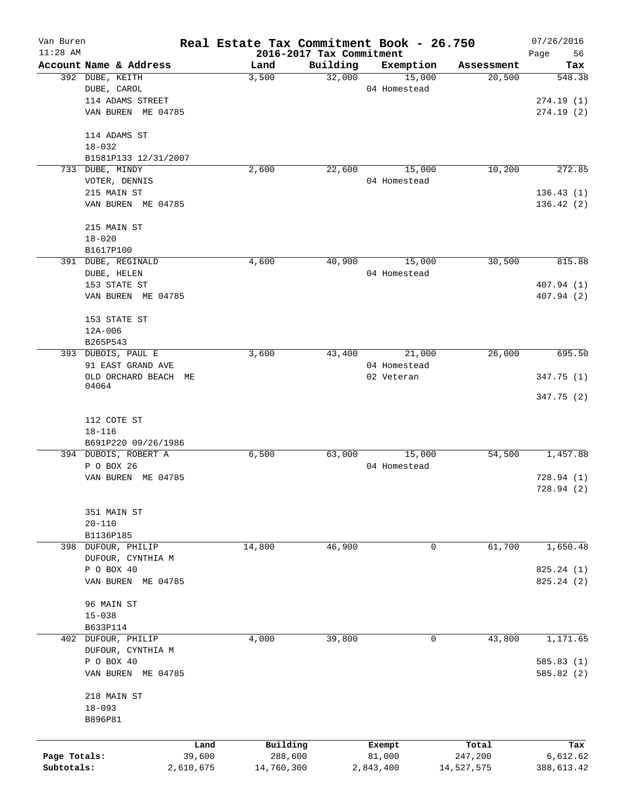| Van Buren    |                                   |           | Real Estate Tax Commitment Book - 26.750 |                                      |              |            | 07/26/2016             |
|--------------|-----------------------------------|-----------|------------------------------------------|--------------------------------------|--------------|------------|------------------------|
| $11:28$ AM   | Account Name & Address            |           | Land                                     | 2016-2017 Tax Commitment<br>Building | Exemption    | Assessment | Page<br>56<br>Tax      |
|              | 392 DUBE, KEITH                   |           | 3,500                                    | 32,000                               | 15,000       | 20,500     | 548.38                 |
|              | DUBE, CAROL                       |           |                                          |                                      | 04 Homestead |            |                        |
|              | 114 ADAMS STREET                  |           |                                          |                                      |              |            | 274.19(1)              |
|              | VAN BUREN ME 04785                |           |                                          |                                      |              |            | 274.19(2)              |
|              |                                   |           |                                          |                                      |              |            |                        |
|              | 114 ADAMS ST                      |           |                                          |                                      |              |            |                        |
|              | $18 - 032$                        |           |                                          |                                      |              |            |                        |
|              | B1581P133 12/31/2007              |           |                                          |                                      |              |            |                        |
|              | 733 DUBE, MINDY                   |           | 2,600                                    | 22,600                               | 15,000       | 10,200     | 272.85                 |
|              | VOTER, DENNIS                     |           |                                          |                                      | 04 Homestead |            |                        |
|              | 215 MAIN ST                       |           |                                          |                                      |              |            | 136.43(1)              |
|              | VAN BUREN ME 04785                |           |                                          |                                      |              |            | 136.42(2)              |
|              |                                   |           |                                          |                                      |              |            |                        |
|              | 215 MAIN ST                       |           |                                          |                                      |              |            |                        |
|              | $18 - 020$                        |           |                                          |                                      |              |            |                        |
|              | B1617P100                         |           |                                          |                                      |              |            |                        |
|              | 391 DUBE, REGINALD                |           | 4,600                                    | 40,900                               | 15,000       | 30,500     | 815.88                 |
|              | DUBE, HELEN<br>153 STATE ST       |           |                                          |                                      | 04 Homestead |            | 407.94 (1)             |
|              | VAN BUREN ME 04785                |           |                                          |                                      |              |            | 407.94 (2)             |
|              |                                   |           |                                          |                                      |              |            |                        |
|              | 153 STATE ST                      |           |                                          |                                      |              |            |                        |
|              | 12A-006                           |           |                                          |                                      |              |            |                        |
|              | B265P543                          |           |                                          |                                      |              |            |                        |
|              | 393 DUBOIS, PAUL E                |           | 3,600                                    | 43,400                               | 21,000       | 26,000     | 695.50                 |
|              | 91 EAST GRAND AVE                 |           |                                          |                                      | 04 Homestead |            |                        |
|              | OLD ORCHARD BEACH ME              |           |                                          |                                      | 02 Veteran   |            | 347.75 (1)             |
|              | 04064                             |           |                                          |                                      |              |            |                        |
|              |                                   |           |                                          |                                      |              |            | 347.75(2)              |
|              |                                   |           |                                          |                                      |              |            |                        |
|              | 112 COTE ST                       |           |                                          |                                      |              |            |                        |
|              | $18 - 116$<br>B691P220 09/26/1986 |           |                                          |                                      |              |            |                        |
|              | 394 DUBOIS, ROBERT A              |           | 6,500                                    | 63,000                               | 15,000       | 54,500     | 1,457.88               |
|              | P O BOX 26                        |           |                                          |                                      | 04 Homestead |            |                        |
|              | VAN BUREN ME 04785                |           |                                          |                                      |              |            | 728.94(1)              |
|              |                                   |           |                                          |                                      |              |            | 728.94(2)              |
|              |                                   |           |                                          |                                      |              |            |                        |
|              | 351 MAIN ST                       |           |                                          |                                      |              |            |                        |
|              | $20 - 110$                        |           |                                          |                                      |              |            |                        |
|              | B1136P185                         |           |                                          |                                      |              |            |                        |
|              | 398 DUFOUR, PHILIP                |           | 14,800                                   | 46,900                               | 0            | 61,700     | 1,650.48               |
|              | DUFOUR, CYNTHIA M                 |           |                                          |                                      |              |            |                        |
|              | P O BOX 40                        |           |                                          |                                      |              |            | 825.24 (1)             |
|              | VAN BUREN ME 04785                |           |                                          |                                      |              |            | 825.24 (2)             |
|              |                                   |           |                                          |                                      |              |            |                        |
|              | 96 MAIN ST                        |           |                                          |                                      |              |            |                        |
|              | $15 - 038$                        |           |                                          |                                      |              |            |                        |
|              | B633P114                          |           |                                          |                                      |              |            |                        |
|              | 402 DUFOUR, PHILIP                |           | 4,000                                    | 39,800                               | 0            | 43,800     | 1,171.65               |
|              | DUFOUR, CYNTHIA M                 |           |                                          |                                      |              |            |                        |
|              | P O BOX 40<br>VAN BUREN ME 04785  |           |                                          |                                      |              |            | 585.83(1)<br>585.82(2) |
|              |                                   |           |                                          |                                      |              |            |                        |
|              | 218 MAIN ST                       |           |                                          |                                      |              |            |                        |
|              | $18 - 093$                        |           |                                          |                                      |              |            |                        |
|              | B896P81                           |           |                                          |                                      |              |            |                        |
|              |                                   |           |                                          |                                      |              |            |                        |
|              |                                   | Land      | Building                                 |                                      | Exempt       | Total      | Tax                    |
| Page Totals: |                                   | 39,600    | 288,600                                  |                                      | 81,000       | 247,200    | 6,612.62               |
| Subtotals:   |                                   | 2,610,675 | 14,760,300                               |                                      | 2,843,400    | 14,527,575 | 388,613.42             |
|              |                                   |           |                                          |                                      |              |            |                        |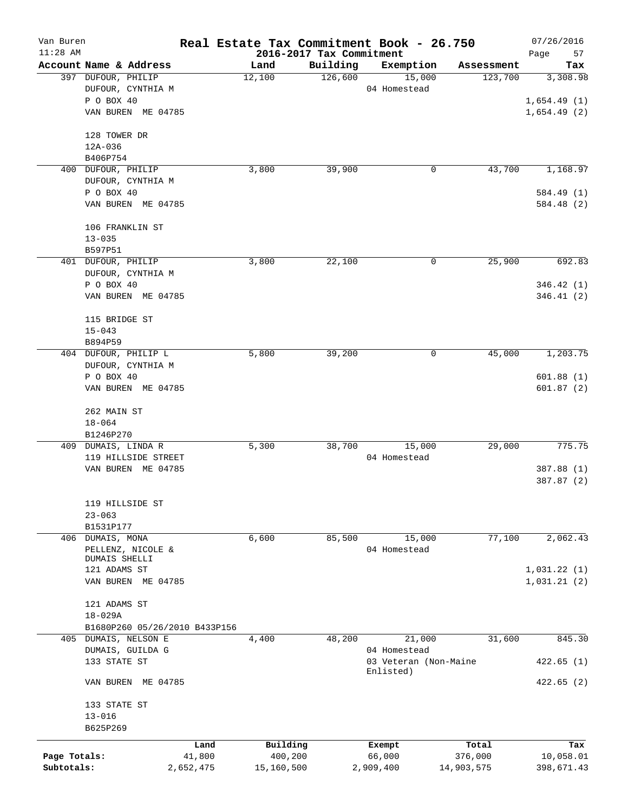| Van Buren<br>$11:28$ AM |                                  |           |            | 2016-2017 Tax Commitment | Real Estate Tax Commitment Book - 26.750 |            | 07/26/2016               |
|-------------------------|----------------------------------|-----------|------------|--------------------------|------------------------------------------|------------|--------------------------|
|                         | Account Name & Address           |           | Land       | Building                 | Exemption                                | Assessment | Page<br>57<br>Tax        |
|                         | 397 DUFOUR, PHILIP               |           | 12,100     | 126,600                  | 15,000                                   | 123,700    | 3,308.98                 |
|                         | DUFOUR, CYNTHIA M                |           |            |                          | 04 Homestead                             |            |                          |
|                         | P O BOX 40                       |           |            |                          |                                          |            | 1,654.49(1)              |
|                         | VAN BUREN ME 04785               |           |            |                          |                                          |            | 1,654.49(2)              |
|                         | 128 TOWER DR                     |           |            |                          |                                          |            |                          |
|                         | 12A-036                          |           |            |                          |                                          |            |                          |
|                         | B406P754                         |           |            |                          |                                          |            |                          |
| 400                     | DUFOUR, PHILIP                   |           | 3,800      | 39,900                   | 0                                        | 43,700     | 1,168.97                 |
|                         | DUFOUR, CYNTHIA M                |           |            |                          |                                          |            |                          |
|                         | P O BOX 40                       |           |            |                          |                                          |            | 584.49 (1)               |
|                         | VAN BUREN ME 04785               |           |            |                          |                                          |            | 584.48 (2)               |
|                         | 106 FRANKLIN ST                  |           |            |                          |                                          |            |                          |
|                         | $13 - 035$                       |           |            |                          |                                          |            |                          |
|                         | B597P51                          |           |            |                          |                                          |            |                          |
|                         | 401 DUFOUR, PHILIP               |           | 3,800      | 22,100                   | 0                                        | 25,900     | 692.83                   |
|                         | DUFOUR, CYNTHIA M                |           |            |                          |                                          |            |                          |
|                         | P O BOX 40<br>VAN BUREN ME 04785 |           |            |                          |                                          |            | 346.42(1)<br>346.41(2)   |
|                         |                                  |           |            |                          |                                          |            |                          |
|                         | 115 BRIDGE ST                    |           |            |                          |                                          |            |                          |
|                         | $15 - 043$                       |           |            |                          |                                          |            |                          |
|                         | B894P59                          |           |            |                          |                                          |            |                          |
|                         | 404 DUFOUR, PHILIP L             |           | 5,800      | 39,200                   | 0                                        | 45,000     | 1,203.75                 |
|                         | DUFOUR, CYNTHIA M                |           |            |                          |                                          |            |                          |
|                         | P O BOX 40                       |           |            |                          |                                          |            | 601.88(1)                |
|                         | VAN BUREN ME 04785               |           |            |                          |                                          |            | 601.87(2)                |
|                         | 262 MAIN ST                      |           |            |                          |                                          |            |                          |
|                         | $18 - 064$                       |           |            |                          |                                          |            |                          |
|                         | B1246P270                        |           |            |                          |                                          |            |                          |
|                         | 409 DUMAIS, LINDA R              |           | 5,300      | 38,700                   | 15,000                                   | 29,000     | 775.75                   |
|                         | 119 HILLSIDE STREET              |           |            |                          | 04 Homestead                             |            |                          |
|                         | VAN BUREN ME 04785               |           |            |                          |                                          |            | 387.88 (1)<br>387.87 (2) |
|                         | 119 HILLSIDE ST                  |           |            |                          |                                          |            |                          |
|                         | $23 - 063$                       |           |            |                          |                                          |            |                          |
|                         | B1531P177                        |           |            |                          |                                          |            |                          |
| 406                     | DUMAIS, MONA                     |           | 6,600      | 85,500                   | 15,000                                   | 77,100     | 2,062.43                 |
|                         | PELLENZ, NICOLE &                |           |            |                          | 04 Homestead                             |            |                          |
|                         | DUMAIS SHELLI                    |           |            |                          |                                          |            |                          |
|                         | 121 ADAMS ST                     |           |            |                          |                                          |            | 1,031.22(1)              |
|                         | VAN BUREN ME 04785               |           |            |                          |                                          |            | 1,031.21(2)              |
|                         | 121 ADAMS ST                     |           |            |                          |                                          |            |                          |
|                         | $18 - 029A$                      |           |            |                          |                                          |            |                          |
|                         | B1680P260 05/26/2010 B433P156    |           |            |                          |                                          |            |                          |
| 405                     | DUMAIS, NELSON E                 |           | 4,400      | 48,200                   | 21,000                                   | 31,600     | 845.30                   |
|                         | DUMAIS, GUILDA G                 |           |            |                          | 04 Homestead                             |            |                          |
|                         | 133 STATE ST                     |           |            |                          | 03 Veteran (Non-Maine                    |            | 422.65(1)                |
|                         | VAN BUREN<br>ME 04785            |           |            |                          | Enlisted)                                |            | 422.65(2)                |
|                         | 133 STATE ST                     |           |            |                          |                                          |            |                          |
|                         | $13 - 016$                       |           |            |                          |                                          |            |                          |
|                         | B625P269                         |           |            |                          |                                          |            |                          |
|                         |                                  | Land      | Building   |                          | Exempt                                   | Total      | Tax                      |
| Page Totals:            |                                  | 41,800    | 400,200    |                          | 66,000                                   | 376,000    | 10,058.01                |
| Subtotals:              |                                  | 2,652,475 | 15,160,500 |                          | 2,909,400                                | 14,903,575 | 398,671.43               |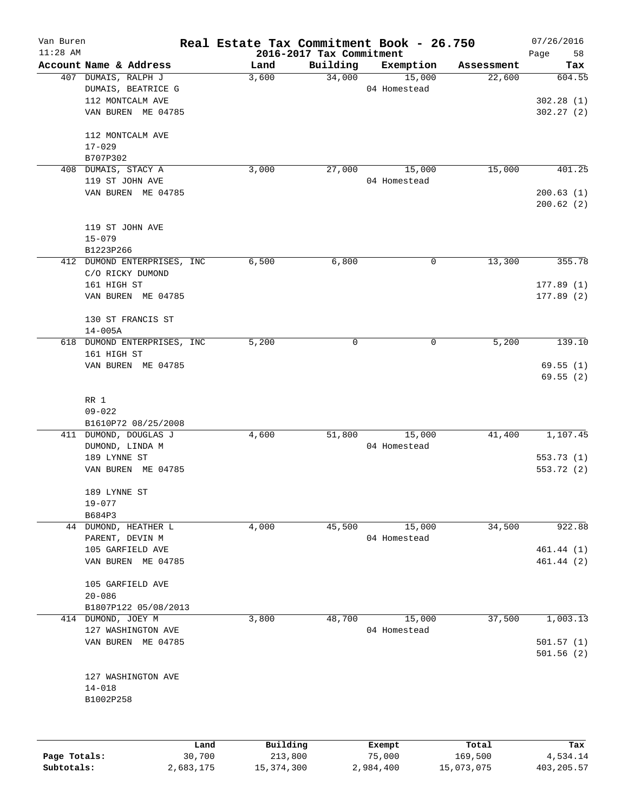| Van Buren<br>$11:28$ AM |                             | Real Estate Tax Commitment Book - 26.750 | 2016-2017 Tax Commitment |              |            | 07/26/2016<br>Page<br>58 |
|-------------------------|-----------------------------|------------------------------------------|--------------------------|--------------|------------|--------------------------|
|                         | Account Name & Address      | Land                                     | Building                 | Exemption    | Assessment | Tax                      |
|                         | 407 DUMAIS, RALPH J         | 3,600                                    | 34,000                   | 15,000       | 22,600     | 604.55                   |
|                         | DUMAIS, BEATRICE G          |                                          |                          | 04 Homestead |            |                          |
|                         | 112 MONTCALM AVE            |                                          |                          |              |            | 302.28(1)                |
|                         | VAN BUREN ME 04785          |                                          |                          |              |            | 302.27(2)                |
|                         | 112 MONTCALM AVE            |                                          |                          |              |            |                          |
|                         | $17 - 029$                  |                                          |                          |              |            |                          |
|                         | B707P302                    |                                          |                          |              |            |                          |
| 408                     | DUMAIS, STACY A             | 3,000                                    | 27,000                   | 15,000       | 15,000     | 401.25                   |
|                         | 119 ST JOHN AVE             |                                          |                          | 04 Homestead |            |                          |
|                         | VAN BUREN ME 04785          |                                          |                          |              |            | 200.63(1)                |
|                         |                             |                                          |                          |              |            | 200.62(2)                |
|                         | 119 ST JOHN AVE             |                                          |                          |              |            |                          |
|                         | $15 - 079$                  |                                          |                          |              |            |                          |
|                         | B1223P266                   |                                          |                          |              |            |                          |
|                         | 412 DUMOND ENTERPRISES, INC | 6,500                                    | 6,800                    | 0            | 13,300     | 355.78                   |
|                         | C/O RICKY DUMOND            |                                          |                          |              |            |                          |
|                         | 161 HIGH ST                 |                                          |                          |              |            | 177.89(1)                |
|                         | VAN BUREN ME 04785          |                                          |                          |              |            | 177.89(2)                |
|                         | 130 ST FRANCIS ST           |                                          |                          |              |            |                          |
|                         | $14 - 005A$                 |                                          |                          |              |            |                          |
| 618                     | DUMOND ENTERPRISES, INC     | 5,200                                    | 0                        | 0            | 5,200      | 139.10                   |
|                         | 161 HIGH ST                 |                                          |                          |              |            |                          |
|                         | VAN BUREN ME 04785          |                                          |                          |              |            | 69.55(1)                 |
|                         |                             |                                          |                          |              |            | 69.55(2)                 |
|                         | RR 1                        |                                          |                          |              |            |                          |
|                         | $09 - 022$                  |                                          |                          |              |            |                          |
|                         | B1610P72 08/25/2008         |                                          |                          |              |            |                          |
| 411                     | DUMOND, DOUGLAS J           | 4,600                                    | 51,800                   | 15,000       | 41,400     | 1,107.45                 |
|                         | DUMOND, LINDA M             |                                          |                          | 04 Homestead |            |                          |
|                         | 189 LYNNE ST                |                                          |                          |              |            | 553.73(1)                |
|                         | VAN BUREN ME 04785          |                                          |                          |              |            | 553.72 (2)               |
|                         | 189 LYNNE ST                |                                          |                          |              |            |                          |
|                         | $19 - 077$                  |                                          |                          |              |            |                          |
|                         | B684P3                      |                                          |                          |              |            |                          |
|                         | 44 DUMOND, HEATHER L        | 4,000                                    | 45,500                   | 15,000       | 34,500     | 922.88                   |
|                         | PARENT, DEVIN M             |                                          |                          | 04 Homestead |            |                          |
|                         | 105 GARFIELD AVE            |                                          |                          |              |            | 461.44 (1)               |
|                         | VAN BUREN ME 04785          |                                          |                          |              |            | 461.44 (2)               |
|                         | 105 GARFIELD AVE            |                                          |                          |              |            |                          |
|                         | $20 - 086$                  |                                          |                          |              |            |                          |
|                         | B1807P122 05/08/2013        |                                          |                          |              |            |                          |
| 414                     | DUMOND, JOEY M              | 3,800                                    | 48,700                   | 15,000       | 37,500     | 1,003.13                 |
|                         | 127 WASHINGTON AVE          |                                          |                          | 04 Homestead |            |                          |
|                         | VAN BUREN ME 04785          |                                          |                          |              |            | 501.57(1)                |
|                         |                             |                                          |                          |              |            | 501.56(2)                |
|                         | 127 WASHINGTON AVE          |                                          |                          |              |            |                          |
|                         | $14 - 018$                  |                                          |                          |              |            |                          |
|                         | B1002P258                   |                                          |                          |              |            |                          |
|                         |                             |                                          |                          |              |            |                          |
|                         | Land                        | Building                                 |                          | Exempt       | Total      | Tax                      |
|                         |                             |                                          |                          |              |            |                          |

|              | Lanu      | <b>BUILQING</b> | LXCMDL    | TOLAT      | 1ax.       |
|--------------|-----------|-----------------|-----------|------------|------------|
| Page Totals: | 30,700    | 213,800         | 75,000    | 169,500    | 4,534.14   |
| Subtotals:   | 2,683,175 | 15,374,300      | 2,984,400 | 15,073,075 | 403,205.57 |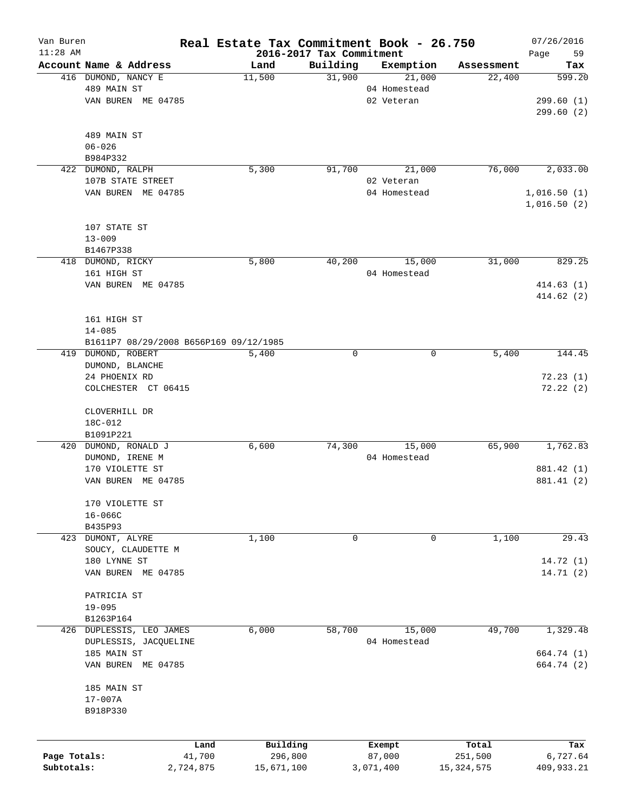| Van Buren    |                                        |           |                                  |          | Real Estate Tax Commitment Book - 26.750 |              | 07/26/2016        |
|--------------|----------------------------------------|-----------|----------------------------------|----------|------------------------------------------|--------------|-------------------|
| $11:28$ AM   | Account Name & Address                 |           | 2016-2017 Tax Commitment<br>Land | Building | Exemption                                | Assessment   | 59<br>Page<br>Tax |
|              | 416 DUMOND, NANCY E                    |           | 11,500                           | 31,900   | 21,000                                   | 22,400       | 599.20            |
|              | 489 MAIN ST                            |           |                                  |          | 04 Homestead                             |              |                   |
|              | VAN BUREN ME 04785                     |           |                                  |          | 02 Veteran                               |              | 299.60(1)         |
|              |                                        |           |                                  |          |                                          |              | 299.60(2)         |
|              |                                        |           |                                  |          |                                          |              |                   |
|              | 489 MAIN ST                            |           |                                  |          |                                          |              |                   |
|              | $06 - 026$                             |           |                                  |          |                                          |              |                   |
|              | B984P332                               |           |                                  |          |                                          |              |                   |
|              | 422 DUMOND, RALPH                      |           | 5,300                            | 91,700   | 21,000                                   | 76,000       | 2,033.00          |
|              | 107B STATE STREET                      |           |                                  |          | 02 Veteran                               |              |                   |
|              | VAN BUREN ME 04785                     |           |                                  |          | 04 Homestead                             |              | 1,016.50(1)       |
|              |                                        |           |                                  |          |                                          |              | 1,016.50(2)       |
|              |                                        |           |                                  |          |                                          |              |                   |
|              | 107 STATE ST                           |           |                                  |          |                                          |              |                   |
|              | $13 - 009$                             |           |                                  |          |                                          |              |                   |
|              | B1467P338                              |           |                                  |          |                                          |              |                   |
|              | 418 DUMOND, RICKY                      |           | 5,800                            | 40,200   | 15,000                                   | 31,000       | 829.25            |
|              | 161 HIGH ST                            |           |                                  |          | 04 Homestead                             |              |                   |
|              | VAN BUREN ME 04785                     |           |                                  |          |                                          |              | 414.63(1)         |
|              |                                        |           |                                  |          |                                          |              | 414.62(2)         |
|              |                                        |           |                                  |          |                                          |              |                   |
|              | 161 HIGH ST                            |           |                                  |          |                                          |              |                   |
|              | $14 - 085$                             |           |                                  |          |                                          |              |                   |
|              | B1611P7 08/29/2008 B656P169 09/12/1985 |           |                                  |          |                                          |              |                   |
|              | 419 DUMOND, ROBERT                     |           | 5,400                            | 0        | 0                                        | 5,400        | 144.45            |
|              | DUMOND, BLANCHE                        |           |                                  |          |                                          |              |                   |
|              | 24 PHOENIX RD                          |           |                                  |          |                                          |              | 72.23(1)          |
|              | COLCHESTER CT 06415                    |           |                                  |          |                                          |              | 72.22(2)          |
|              |                                        |           |                                  |          |                                          |              |                   |
|              | CLOVERHILL DR<br>18C-012               |           |                                  |          |                                          |              |                   |
|              | B1091P221                              |           |                                  |          |                                          |              |                   |
|              | 420 DUMOND, RONALD J                   |           | 6,600                            | 74,300   | 15,000                                   | 65,900       | 1,762.83          |
|              | DUMOND, IRENE M                        |           |                                  |          | 04 Homestead                             |              |                   |
|              | 170 VIOLETTE ST                        |           |                                  |          |                                          |              | 881.42 (1)        |
|              | VAN BUREN ME 04785                     |           |                                  |          |                                          |              | 881.41 (2)        |
|              |                                        |           |                                  |          |                                          |              |                   |
|              | 170 VIOLETTE ST                        |           |                                  |          |                                          |              |                   |
|              | $16 - 066C$                            |           |                                  |          |                                          |              |                   |
|              | B435P93                                |           |                                  |          |                                          |              |                   |
|              | 423 DUMONT, ALYRE                      |           | 1,100                            | 0        | 0                                        | 1,100        | 29.43             |
|              | SOUCY, CLAUDETTE M                     |           |                                  |          |                                          |              |                   |
|              | 180 LYNNE ST                           |           |                                  |          |                                          |              | 14.72 (1)         |
|              | VAN BUREN ME 04785                     |           |                                  |          |                                          |              | 14.71(2)          |
|              |                                        |           |                                  |          |                                          |              |                   |
|              | PATRICIA ST                            |           |                                  |          |                                          |              |                   |
|              | $19 - 095$                             |           |                                  |          |                                          |              |                   |
|              | B1263P164                              |           |                                  |          |                                          |              |                   |
|              | 426 DUPLESSIS, LEO JAMES               |           | 6,000                            | 58,700   | 15,000                                   | 49,700       | 1,329.48          |
|              | DUPLESSIS, JACQUELINE                  |           |                                  |          | 04 Homestead                             |              |                   |
|              | 185 MAIN ST                            |           |                                  |          |                                          |              | 664.74 (1)        |
|              | VAN BUREN ME 04785                     |           |                                  |          |                                          |              | 664.74 (2)        |
|              |                                        |           |                                  |          |                                          |              |                   |
|              | 185 MAIN ST                            |           |                                  |          |                                          |              |                   |
|              | 17-007A                                |           |                                  |          |                                          |              |                   |
|              | B918P330                               |           |                                  |          |                                          |              |                   |
|              |                                        |           |                                  |          |                                          |              |                   |
|              |                                        | Land      | Building                         |          | Exempt                                   | Total        | Tax               |
| Page Totals: |                                        | 41,700    | 296,800                          |          | 87,000                                   | 251,500      | 6,727.64          |
| Subtotals:   |                                        | 2,724,875 | 15,671,100                       |          | 3,071,400                                | 15, 324, 575 | 409,933.21        |
|              |                                        |           |                                  |          |                                          |              |                   |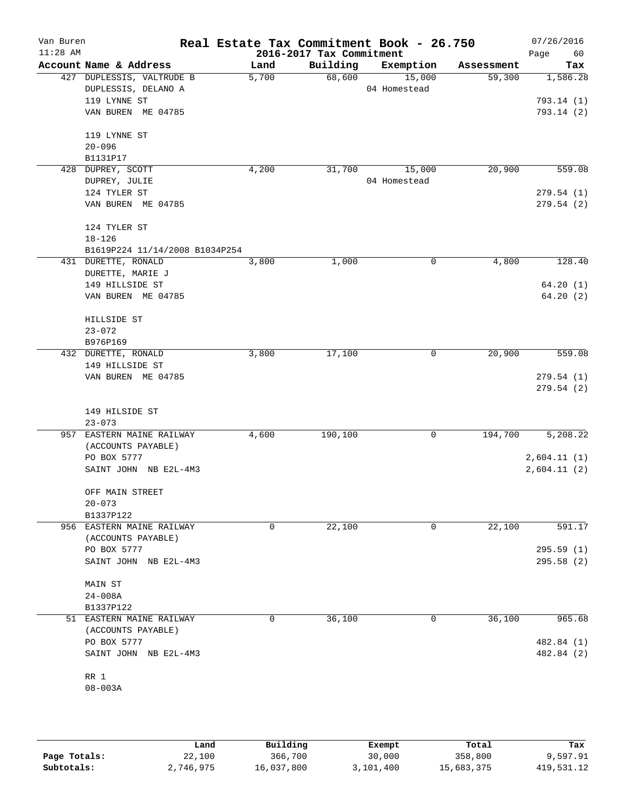| Van Buren<br>$11:28$ AM |                                |       | 2016-2017 Tax Commitment | Real Estate Tax Commitment Book - 26.750 |            | 07/26/2016<br>Page<br>60 |
|-------------------------|--------------------------------|-------|--------------------------|------------------------------------------|------------|--------------------------|
|                         | Account Name & Address         | Land  | Building                 | Exemption                                | Assessment | Tax                      |
|                         | 427 DUPLESSIS, VALTRUDE B      | 5,700 | 68,600                   | 15,000                                   | 59,300     | 1,586.28                 |
|                         | DUPLESSIS, DELANO A            |       |                          | 04 Homestead                             |            |                          |
|                         | 119 LYNNE ST                   |       |                          |                                          |            | 793.14 (1)               |
|                         | VAN BUREN ME 04785             |       |                          |                                          |            | 793.14(2)                |
|                         | 119 LYNNE ST                   |       |                          |                                          |            |                          |
|                         | $20 - 096$                     |       |                          |                                          |            |                          |
|                         | B1131P17                       |       |                          |                                          |            |                          |
|                         | 428 DUPREY, SCOTT              | 4,200 | 31,700                   | 15,000                                   | 20,900     | 559.08                   |
|                         | DUPREY, JULIE                  |       |                          | 04 Homestead                             |            |                          |
|                         | 124 TYLER ST                   |       |                          |                                          |            | 279.54(1)                |
|                         | VAN BUREN ME 04785             |       |                          |                                          |            | 279.54(2)                |
|                         | 124 TYLER ST                   |       |                          |                                          |            |                          |
|                         | $18 - 126$                     |       |                          |                                          |            |                          |
|                         | B1619P224 11/14/2008 B1034P254 |       |                          |                                          |            |                          |
|                         | 431 DURETTE, RONALD            | 3,800 | 1,000                    | 0                                        | 4,800      | 128.40                   |
|                         | DURETTE, MARIE J               |       |                          |                                          |            |                          |
|                         | 149 HILLSIDE ST                |       |                          |                                          |            | 64.20(1)                 |
|                         | VAN BUREN ME 04785             |       |                          |                                          |            | 64.20(2)                 |
|                         | HILLSIDE ST                    |       |                          |                                          |            |                          |
|                         | $23 - 072$                     |       |                          |                                          |            |                          |
|                         | B976P169                       |       |                          |                                          |            |                          |
|                         | 432 DURETTE, RONALD            | 3,800 | 17,100                   | 0                                        | 20,900     | 559.08                   |
|                         | 149 HILLSIDE ST                |       |                          |                                          |            |                          |
|                         | VAN BUREN ME 04785             |       |                          |                                          |            | 279.54(1)                |
|                         |                                |       |                          |                                          |            | 279.54(2)                |
|                         | 149 HILSIDE ST                 |       |                          |                                          |            |                          |
|                         | $23 - 073$                     |       |                          |                                          |            |                          |
|                         | 957 EASTERN MAINE RAILWAY      | 4,600 | 190,100                  | 0                                        | 194,700    | 5,208.22                 |
|                         | (ACCOUNTS PAYABLE)             |       |                          |                                          |            |                          |
|                         | PO BOX 5777                    |       |                          |                                          |            | 2,604.11(1)              |
|                         | SAINT JOHN NB E2L-4M3          |       |                          |                                          |            | 2,604.11(2)              |
|                         |                                |       |                          |                                          |            |                          |
|                         | OFF MAIN STREET<br>$20 - 073$  |       |                          |                                          |            |                          |
|                         | B1337P122                      |       |                          |                                          |            |                          |
|                         | 956 EASTERN MAINE RAILWAY      | 0     | 22,100                   | 0                                        | 22,100     | 591.17                   |
|                         | (ACCOUNTS PAYABLE)             |       |                          |                                          |            |                          |
|                         | PO BOX 5777                    |       |                          |                                          |            | 295.59(1)                |
|                         | SAINT JOHN NB E2L-4M3          |       |                          |                                          |            | 295.58(2)                |
|                         | MAIN ST                        |       |                          |                                          |            |                          |
|                         | $24 - 008A$                    |       |                          |                                          |            |                          |
|                         | B1337P122                      |       |                          |                                          |            |                          |
|                         | 51 EASTERN MAINE RAILWAY       | 0     | 36,100                   | 0                                        | 36,100     | 965.68                   |
|                         | (ACCOUNTS PAYABLE)             |       |                          |                                          |            |                          |
|                         | PO BOX 5777                    |       |                          |                                          |            | 482.84 (1)               |
|                         | SAINT JOHN NB E2L-4M3          |       |                          |                                          |            | 482.84 (2)               |
|                         |                                |       |                          |                                          |            |                          |
|                         | RR 1                           |       |                          |                                          |            |                          |
|                         | $08 - 003A$                    |       |                          |                                          |            |                          |
|                         |                                |       |                          |                                          |            |                          |
|                         |                                |       |                          |                                          |            |                          |

|              | Land      | Building   | Exempt    | Total      | Tax        |
|--------------|-----------|------------|-----------|------------|------------|
| Page Totals: | 22,100    | 366,700    | 30,000    | 358,800    | 9,597.91   |
| Subtotals:   | 2,746,975 | 16,037,800 | 3,101,400 | 15,683,375 | 419,531.12 |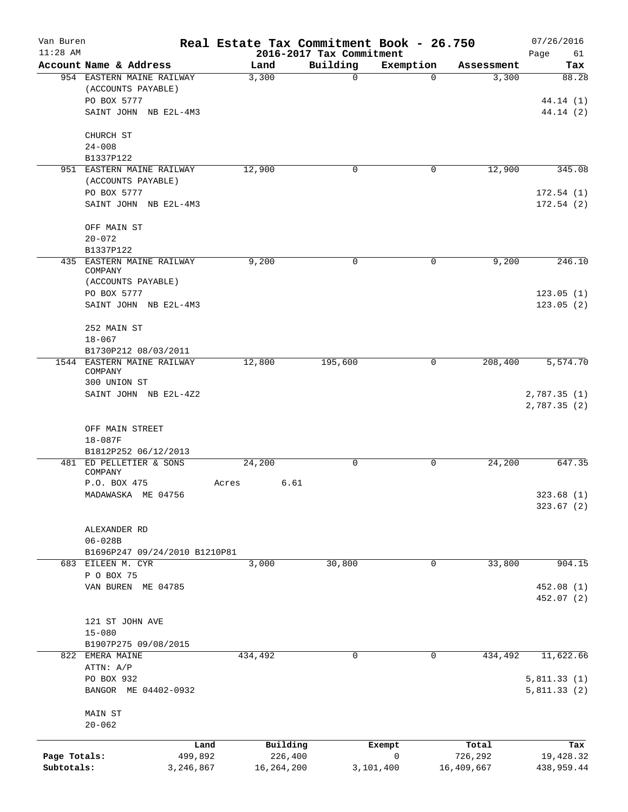| Van Buren<br>$11:28$ AM |                                      |                 |              |                     | 2016-2017 Tax Commitment | Real Estate Tax Commitment Book - 26.750 |                  | 07/26/2016                 |
|-------------------------|--------------------------------------|-----------------|--------------|---------------------|--------------------------|------------------------------------------|------------------|----------------------------|
|                         | Account Name & Address               |                 | Land         |                     | Building                 | Exemption                                | Assessment       | Page<br>61<br>Tax          |
|                         | 954 EASTERN MAINE RAILWAY            |                 | 3,300        |                     | $\mathbf 0$              |                                          | $\Omega$         | 3,300<br>88.28             |
|                         | (ACCOUNTS PAYABLE)                   |                 |              |                     |                          |                                          |                  |                            |
|                         | PO BOX 5777                          |                 |              |                     |                          |                                          |                  | 44.14 (1)                  |
|                         | SAINT JOHN NB E2L-4M3                |                 |              |                     |                          |                                          |                  | 44.14(2)                   |
|                         |                                      |                 |              |                     |                          |                                          |                  |                            |
|                         | CHURCH ST                            |                 |              |                     |                          |                                          |                  |                            |
|                         | $24 - 008$                           |                 |              |                     |                          |                                          |                  |                            |
|                         | B1337P122                            |                 |              |                     |                          |                                          |                  |                            |
|                         | 951 EASTERN MAINE RAILWAY            |                 | 12,900       |                     | 0                        |                                          | 12,900<br>0      | 345.08                     |
|                         | (ACCOUNTS PAYABLE)                   |                 |              |                     |                          |                                          |                  |                            |
|                         | PO BOX 5777                          |                 |              |                     |                          |                                          |                  | 172.54(1)                  |
|                         | SAINT JOHN NB E2L-4M3                |                 |              |                     |                          |                                          |                  | 172.54(2)                  |
|                         |                                      |                 |              |                     |                          |                                          |                  |                            |
|                         | OFF MAIN ST                          |                 |              |                     |                          |                                          |                  |                            |
|                         | $20 - 072$                           |                 |              |                     |                          |                                          |                  |                            |
|                         | B1337P122                            |                 |              |                     |                          |                                          |                  |                            |
|                         | 435 EASTERN MAINE RAILWAY<br>COMPANY |                 | 9,200        |                     | 0                        |                                          | 0                | 9,200<br>246.10            |
|                         | (ACCOUNTS PAYABLE)                   |                 |              |                     |                          |                                          |                  |                            |
|                         | PO BOX 5777                          |                 |              |                     |                          |                                          |                  | 123.05(1)                  |
|                         | SAINT JOHN NB E2L-4M3                |                 |              |                     |                          |                                          |                  | 123.05(2)                  |
|                         |                                      |                 |              |                     |                          |                                          |                  |                            |
|                         | 252 MAIN ST                          |                 |              |                     |                          |                                          |                  |                            |
|                         | $18 - 067$                           |                 |              |                     |                          |                                          |                  |                            |
|                         | B1730P212 08/03/2011                 |                 |              |                     |                          |                                          |                  |                            |
|                         | 1544 EASTERN MAINE RAILWAY           |                 | 12,800       |                     | 195,600                  |                                          | 208,400<br>0     | 5,574.70                   |
|                         | COMPANY                              |                 |              |                     |                          |                                          |                  |                            |
|                         | 300 UNION ST                         |                 |              |                     |                          |                                          |                  |                            |
|                         | SAINT JOHN NB E2L-4Z2                |                 |              |                     |                          |                                          |                  | 2,787.35(1)<br>2,787.35(2) |
|                         |                                      |                 |              |                     |                          |                                          |                  |                            |
|                         | OFF MAIN STREET                      |                 |              |                     |                          |                                          |                  |                            |
|                         | $18 - 087F$                          |                 |              |                     |                          |                                          |                  |                            |
|                         | B1812P252 06/12/2013                 |                 |              |                     |                          |                                          |                  |                            |
|                         | 481 ED PELLETIER & SONS              |                 | 24,200       |                     | 0                        |                                          | 24,200<br>0      | 647.35                     |
|                         | COMPANY                              |                 |              |                     |                          |                                          |                  |                            |
|                         | P.O. BOX 475                         | Acres           |              | 6.61                |                          |                                          |                  |                            |
|                         | MADAWASKA ME 04756                   |                 |              |                     |                          |                                          |                  | 323.68 (1)                 |
|                         |                                      |                 |              |                     |                          |                                          |                  | 323.67(2)                  |
|                         |                                      |                 |              |                     |                          |                                          |                  |                            |
|                         | ALEXANDER RD                         |                 |              |                     |                          |                                          |                  |                            |
|                         | $06 - 028B$                          |                 |              |                     |                          |                                          |                  |                            |
|                         | B1696P247 09/24/2010 B1210P81        |                 |              |                     |                          |                                          |                  |                            |
|                         | 683 EILEEN M. CYR<br>P O BOX 75      |                 | 3,000        |                     | 30,800                   |                                          | 33,800<br>0      | 904.15                     |
|                         | VAN BUREN ME 04785                   |                 |              |                     |                          |                                          |                  | 452.08 (1)                 |
|                         |                                      |                 |              |                     |                          |                                          |                  | 452.07 (2)                 |
|                         |                                      |                 |              |                     |                          |                                          |                  |                            |
|                         | 121 ST JOHN AVE                      |                 |              |                     |                          |                                          |                  |                            |
|                         | $15 - 080$                           |                 |              |                     |                          |                                          |                  |                            |
|                         | B1907P275 09/08/2015                 |                 |              |                     |                          |                                          |                  |                            |
|                         | 822 EMERA MAINE                      |                 | 434,492      |                     | 0                        |                                          | 434,492<br>0     | 11,622.66                  |
|                         | ATTN: A/P                            |                 |              |                     |                          |                                          |                  |                            |
|                         | PO BOX 932                           |                 |              |                     |                          |                                          |                  | 5,811.33(1)                |
|                         | BANGOR ME 04402-0932                 |                 |              |                     |                          |                                          |                  | 5,811.33(2)                |
|                         |                                      |                 |              |                     |                          |                                          |                  |                            |
|                         | MAIN ST                              |                 |              |                     |                          |                                          |                  |                            |
|                         | $20 - 062$                           |                 |              |                     |                          |                                          |                  |                            |
|                         |                                      |                 |              |                     |                          |                                          |                  |                            |
| Page Totals:            |                                      | Land<br>499,892 |              | Building<br>226,400 |                          | Exempt<br>0                              | Total<br>726,292 | Tax<br>19,428.32           |
| Subtotals:              | 3,246,867                            |                 | 16, 264, 200 |                     |                          | 3,101,400                                | 16,409,667       | 438,959.44                 |
|                         |                                      |                 |              |                     |                          |                                          |                  |                            |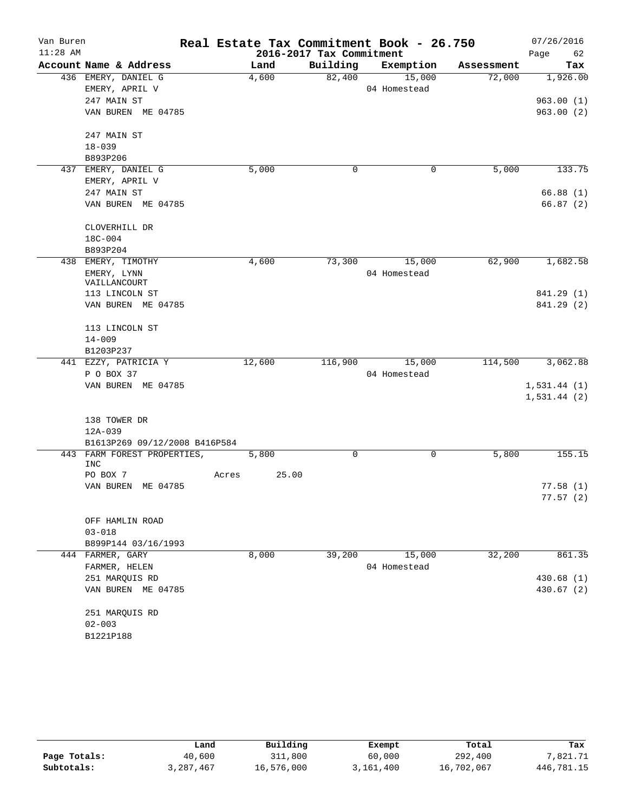| Van Buren<br>$11:28$ AM |                                    |       |        | 2016-2017 Tax Commitment | Real Estate Tax Commitment Book - 26.750 |            | 07/26/2016<br>Page<br>62 |
|-------------------------|------------------------------------|-------|--------|--------------------------|------------------------------------------|------------|--------------------------|
|                         | Account Name & Address             |       | Land   | Building                 | Exemption                                | Assessment | Tax                      |
|                         | 436 EMERY, DANIEL G                |       | 4,600  | 82,400                   | 15,000                                   | 72,000     | 1,926.00                 |
|                         | EMERY, APRIL V                     |       |        |                          | 04 Homestead                             |            |                          |
|                         | 247 MAIN ST                        |       |        |                          |                                          |            | 963.00(1)                |
|                         | VAN BUREN ME 04785                 |       |        |                          |                                          |            | 963.00(2)                |
|                         | 247 MAIN ST                        |       |        |                          |                                          |            |                          |
|                         | $18 - 039$                         |       |        |                          |                                          |            |                          |
|                         | B893P206                           |       |        |                          |                                          |            |                          |
|                         | 437 EMERY, DANIEL G                |       | 5,000  | 0                        | 0                                        | 5,000      | 133.75                   |
|                         | EMERY, APRIL V                     |       |        |                          |                                          |            |                          |
|                         | 247 MAIN ST                        |       |        |                          |                                          |            | 66.88(1)                 |
|                         | VAN BUREN ME 04785                 |       |        |                          |                                          |            | 66.87(2)                 |
|                         | CLOVERHILL DR                      |       |        |                          |                                          |            |                          |
|                         | 18C-004                            |       |        |                          |                                          |            |                          |
|                         | B893P204                           |       |        |                          |                                          |            |                          |
| 438                     | EMERY, TIMOTHY                     |       | 4,600  | 73,300                   | 15,000                                   | 62,900     | 1,682.58                 |
|                         | EMERY, LYNN                        |       |        |                          | 04 Homestead                             |            |                          |
|                         | VAILLANCOURT                       |       |        |                          |                                          |            |                          |
|                         | 113 LINCOLN ST                     |       |        |                          |                                          |            | 841.29 (1)               |
|                         | VAN BUREN ME 04785                 |       |        |                          |                                          |            | 841.29 (2)               |
|                         | 113 LINCOLN ST                     |       |        |                          |                                          |            |                          |
|                         | $14 - 009$                         |       |        |                          |                                          |            |                          |
|                         | B1203P237                          |       |        |                          |                                          |            |                          |
|                         | 441 EZZY, PATRICIA Y               |       | 12,600 | 116,900                  | 15,000                                   | 114,500    | 3,062.88                 |
|                         | P O BOX 37                         |       |        |                          | 04 Homestead                             |            |                          |
|                         | VAN BUREN ME 04785                 |       |        |                          |                                          |            | 1,531.44(1)              |
|                         |                                    |       |        |                          |                                          |            | 1,531.44(2)              |
|                         | 138 TOWER DR                       |       |        |                          |                                          |            |                          |
|                         | 12A-039                            |       |        |                          |                                          |            |                          |
|                         | B1613P269 09/12/2008 B416P584      |       |        |                          |                                          |            |                          |
|                         | 443 FARM FOREST PROPERTIES,<br>INC |       | 5,800  | 0                        | 0                                        | 5,800      | 155.15                   |
|                         | PO BOX 7                           | Acres | 25.00  |                          |                                          |            |                          |
|                         | VAN BUREN ME 04785                 |       |        |                          |                                          |            | 77.58(1)                 |
|                         |                                    |       |        |                          |                                          |            | 77.57(2)                 |
|                         | OFF HAMLIN ROAD                    |       |        |                          |                                          |            |                          |
|                         | $03 - 018$                         |       |        |                          |                                          |            |                          |
|                         | B899P144 03/16/1993                |       |        |                          |                                          |            |                          |
|                         | 444 FARMER, GARY                   |       | 8,000  | 39,200                   | 15,000                                   | 32,200     | 861.35                   |
|                         | FARMER, HELEN                      |       |        |                          | 04 Homestead                             |            |                          |
|                         | 251 MARQUIS RD                     |       |        |                          |                                          |            | 430.68 (1)               |
|                         | VAN BUREN ME 04785                 |       |        |                          |                                          |            | 430.67 (2)               |
|                         | 251 MARQUIS RD                     |       |        |                          |                                          |            |                          |
|                         | $02 - 003$                         |       |        |                          |                                          |            |                          |
|                         | B1221P188                          |       |        |                          |                                          |            |                          |

|              | Land      | Building   | Exempt    | Total      | Tax        |
|--------------|-----------|------------|-----------|------------|------------|
| Page Totals: | 40,600    | 311,800    | 60,000    | 292,400    | 7,821.71   |
| Subtotals:   | 3,287,467 | 16,576,000 | 3,161,400 | 16,702,067 | 446,781.15 |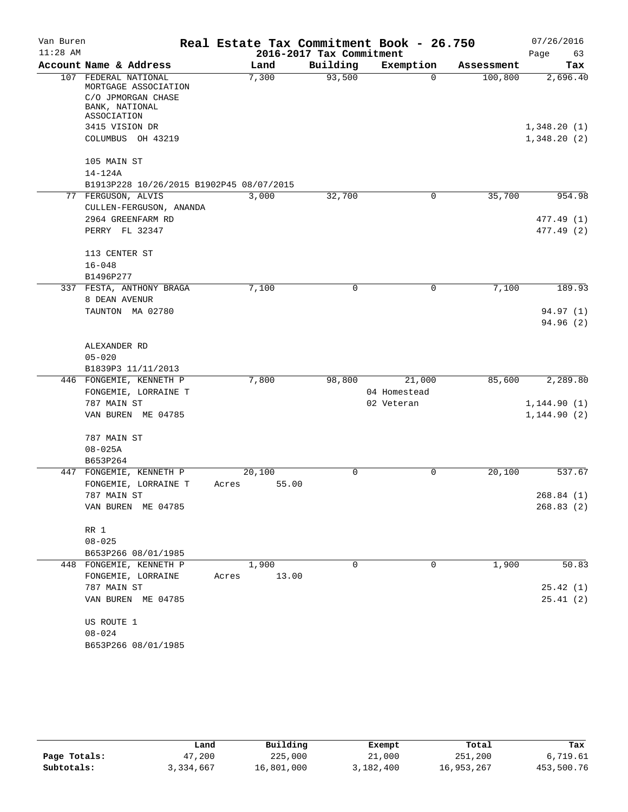| Van Buren  |                                                                                  | Real Estate Tax Commitment Book - 26.750 |                          |              |            |              |
|------------|----------------------------------------------------------------------------------|------------------------------------------|--------------------------|--------------|------------|--------------|
| $11:28$ AM |                                                                                  |                                          | 2016-2017 Tax Commitment |              |            | Page<br>63   |
|            | Account Name & Address                                                           | Land                                     | Building                 | Exemption    | Assessment | Tax          |
| 107        | FEDERAL NATIONAL<br>MORTGAGE ASSOCIATION<br>C/O JPMORGAN CHASE<br>BANK, NATIONAL | 7,300                                    | 93,500                   | $\Omega$     | 100,800    | 2,696.40     |
|            | ASSOCIATION<br>3415 VISION DR                                                    |                                          |                          |              |            | 1,348.20(1)  |
|            | COLUMBUS OH 43219                                                                |                                          |                          |              |            | 1,348.20(2)  |
|            | 105 MAIN ST                                                                      |                                          |                          |              |            |              |
|            | 14-124A                                                                          |                                          |                          |              |            |              |
|            | B1913P228 10/26/2015 B1902P45 08/07/2015                                         |                                          |                          |              |            |              |
|            | 77 FERGUSON, ALVIS                                                               | 3,000                                    | 32,700                   | $\mathbf 0$  | 35,700     | 954.98       |
|            | CULLEN-FERGUSON, ANANDA                                                          |                                          |                          |              |            |              |
|            | 2964 GREENFARM RD                                                                |                                          |                          |              |            | 477.49 (1)   |
|            | PERRY FL 32347                                                                   |                                          |                          |              |            | 477.49 (2)   |
|            | 113 CENTER ST                                                                    |                                          |                          |              |            |              |
|            | $16 - 048$                                                                       |                                          |                          |              |            |              |
|            | B1496P277                                                                        |                                          |                          |              |            |              |
|            | 337 FESTA, ANTHONY BRAGA                                                         | 7,100                                    | $\Omega$                 | $\mathbf 0$  | 7,100      | 189.93       |
|            | 8 DEAN AVENUR                                                                    |                                          |                          |              |            |              |
|            | TAUNTON MA 02780                                                                 |                                          |                          |              |            | 94.97 (1)    |
|            |                                                                                  |                                          |                          |              |            | 94.96(2)     |
|            | ALEXANDER RD                                                                     |                                          |                          |              |            |              |
|            | $05 - 020$                                                                       |                                          |                          |              |            |              |
|            | B1839P3 11/11/2013                                                               |                                          |                          |              |            |              |
|            | 446 FONGEMIE, KENNETH P                                                          | 7,800                                    | 98,800                   | 21,000       | 85,600     | 2,289.80     |
|            | FONGEMIE, LORRAINE T                                                             |                                          |                          | 04 Homestead |            |              |
|            | 787 MAIN ST                                                                      |                                          |                          | 02 Veteran   |            | 1, 144.90(1) |
|            | VAN BUREN ME 04785                                                               |                                          |                          |              |            | 1, 144.90(2) |
|            | 787 MAIN ST                                                                      |                                          |                          |              |            |              |
|            | $08 - 025A$                                                                      |                                          |                          |              |            |              |
|            | B653P264<br>447 FONGEMIE, KENNETH P                                              | 20,100                                   | $\Omega$                 | 0            |            | 537.67       |
|            | FONGEMIE, LORRAINE T                                                             | 55.00<br>Acres                           |                          |              | 20,100     |              |
|            | 787 MAIN ST                                                                      |                                          |                          |              |            | 268.84 (1)   |
|            | VAN BUREN ME 04785                                                               |                                          |                          |              |            | 268.83(2)    |
|            |                                                                                  |                                          |                          |              |            |              |
|            | RR 1                                                                             |                                          |                          |              |            |              |
|            | $08 - 025$                                                                       |                                          |                          |              |            |              |
|            | B653P266 08/01/1985                                                              |                                          |                          |              |            |              |
|            | 448 FONGEMIE, KENNETH P                                                          | 1,900                                    | $\Omega$                 | 0            | 1,900      | 50.83        |
|            | FONGEMIE, LORRAINE<br>787 MAIN ST                                                | Acres 13.00                              |                          |              |            | 25.42(1)     |
|            | VAN BUREN ME 04785                                                               |                                          |                          |              |            | 25.41(2)     |
|            |                                                                                  |                                          |                          |              |            |              |
|            | US ROUTE 1                                                                       |                                          |                          |              |            |              |
|            | $08 - 024$                                                                       |                                          |                          |              |            |              |
|            | B653P266 08/01/1985                                                              |                                          |                          |              |            |              |

|              | Land      | Building   | Exempt    | Total      | Tax        |
|--------------|-----------|------------|-----------|------------|------------|
| Page Totals: | 47,200    | 225,000    | 21,000    | 251,200    | 6,719.61   |
| Subtotals:   | 3,334,667 | 16,801,000 | 3,182,400 | 16,953,267 | 453,500.76 |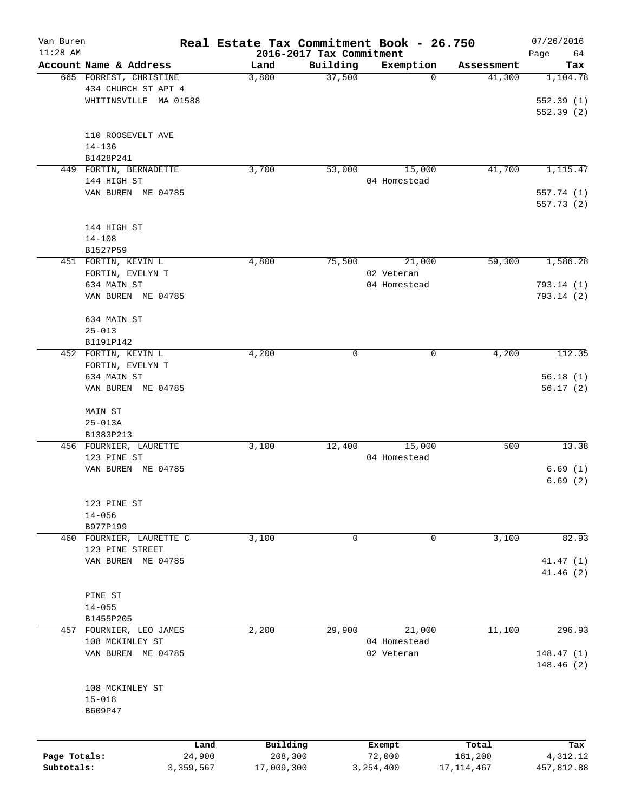| Van Buren    |                          | Real Estate Tax Commitment Book - 26.750 |                                      |                          |                      | 07/26/2016             |
|--------------|--------------------------|------------------------------------------|--------------------------------------|--------------------------|----------------------|------------------------|
| $11:28$ AM   | Account Name & Address   |                                          | 2016-2017 Tax Commitment<br>Building |                          |                      | Page<br>64             |
|              | 665 FORREST, CHRISTINE   | Land<br>3,800                            | 37,500                               | Exemption<br>$\mathbf 0$ | Assessment<br>41,300 | Tax<br>1,104.78        |
|              | 434 CHURCH ST APT 4      |                                          |                                      |                          |                      |                        |
|              |                          |                                          |                                      |                          |                      |                        |
|              | WHITINSVILLE MA 01588    |                                          |                                      |                          |                      | 552.39(1)<br>552.39(2) |
|              |                          |                                          |                                      |                          |                      |                        |
|              | 110 ROOSEVELT AVE        |                                          |                                      |                          |                      |                        |
|              | $14 - 136$               |                                          |                                      |                          |                      |                        |
|              | B1428P241                |                                          |                                      |                          |                      |                        |
|              | 449 FORTIN, BERNADETTE   | 3,700                                    | 53,000                               | 15,000                   | 41,700               | 1,115.47               |
|              | 144 HIGH ST              |                                          |                                      | 04 Homestead             |                      |                        |
|              | VAN BUREN ME 04785       |                                          |                                      |                          |                      | 557.74 (1)             |
|              |                          |                                          |                                      |                          |                      | 557.73 (2)             |
|              |                          |                                          |                                      |                          |                      |                        |
|              | 144 HIGH ST              |                                          |                                      |                          |                      |                        |
|              | $14 - 108$               |                                          |                                      |                          |                      |                        |
|              | B1527P59                 |                                          |                                      |                          |                      |                        |
|              | 451 FORTIN, KEVIN L      | 4,800                                    | 75,500                               | 21,000                   | 59,300               | 1,586.28               |
|              | FORTIN, EVELYN T         |                                          |                                      | 02 Veteran               |                      |                        |
|              | 634 MAIN ST              |                                          |                                      | 04 Homestead             |                      | 793.14 (1)             |
|              | VAN BUREN ME 04785       |                                          |                                      |                          |                      | 793.14(2)              |
|              |                          |                                          |                                      |                          |                      |                        |
|              | 634 MAIN ST              |                                          |                                      |                          |                      |                        |
|              | $25 - 013$               |                                          |                                      |                          |                      |                        |
|              | B1191P142                |                                          |                                      |                          |                      |                        |
|              | 452 FORTIN, KEVIN L      | 4,200                                    | 0                                    | 0                        | 4,200                | 112.35                 |
|              | FORTIN, EVELYN T         |                                          |                                      |                          |                      |                        |
|              | 634 MAIN ST              |                                          |                                      |                          |                      | 56.18(1)               |
|              | VAN BUREN ME 04785       |                                          |                                      |                          |                      | 56.17(2)               |
|              | MAIN ST                  |                                          |                                      |                          |                      |                        |
|              | $25 - 013A$              |                                          |                                      |                          |                      |                        |
|              | B1383P213                |                                          |                                      |                          |                      |                        |
|              | 456 FOURNIER, LAURETTE   | 3,100                                    | 12,400                               | 15,000                   | 500                  | 13.38                  |
|              | 123 PINE ST              |                                          |                                      | 04 Homestead             |                      |                        |
|              | VAN BUREN ME 04785       |                                          |                                      |                          |                      | 6.69(1)                |
|              |                          |                                          |                                      |                          |                      | 6.69(2)                |
|              |                          |                                          |                                      |                          |                      |                        |
|              | 123 PINE ST              |                                          |                                      |                          |                      |                        |
|              | $14 - 056$               |                                          |                                      |                          |                      |                        |
|              | B977P199                 |                                          |                                      |                          |                      |                        |
|              | 460 FOURNIER, LAURETTE C | 3,100                                    | 0                                    | 0                        | 3,100                | 82.93                  |
|              | 123 PINE STREET          |                                          |                                      |                          |                      |                        |
|              | VAN BUREN ME 04785       |                                          |                                      |                          |                      | 41.47(1)               |
|              |                          |                                          |                                      |                          |                      | 41.46(2)               |
|              |                          |                                          |                                      |                          |                      |                        |
|              | PINE ST                  |                                          |                                      |                          |                      |                        |
|              | $14 - 055$               |                                          |                                      |                          |                      |                        |
|              | B1455P205                |                                          |                                      |                          |                      |                        |
|              | 457 FOURNIER, LEO JAMES  | 2,200                                    | 29,900                               | 21,000                   | 11,100               | 296.93                 |
|              | 108 MCKINLEY ST          |                                          |                                      | 04 Homestead             |                      |                        |
|              | VAN BUREN ME 04785       |                                          |                                      | 02 Veteran               |                      | 148.47(1)              |
|              |                          |                                          |                                      |                          |                      | 148.46 (2)             |
|              |                          |                                          |                                      |                          |                      |                        |
|              | 108 MCKINLEY ST          |                                          |                                      |                          |                      |                        |
|              | $15 - 018$               |                                          |                                      |                          |                      |                        |
|              | B609P47                  |                                          |                                      |                          |                      |                        |
|              |                          |                                          |                                      |                          |                      |                        |
|              | Land                     | Building                                 |                                      | Exempt                   | Total                | Tax                    |
| Page Totals: | 24,900                   | 208,300                                  |                                      | 72,000                   | 161,200              | 4,312.12               |
| Subtotals:   | 3,359,567                | 17,009,300                               |                                      | 3, 254, 400              | 17, 114, 467         | 457,812.88             |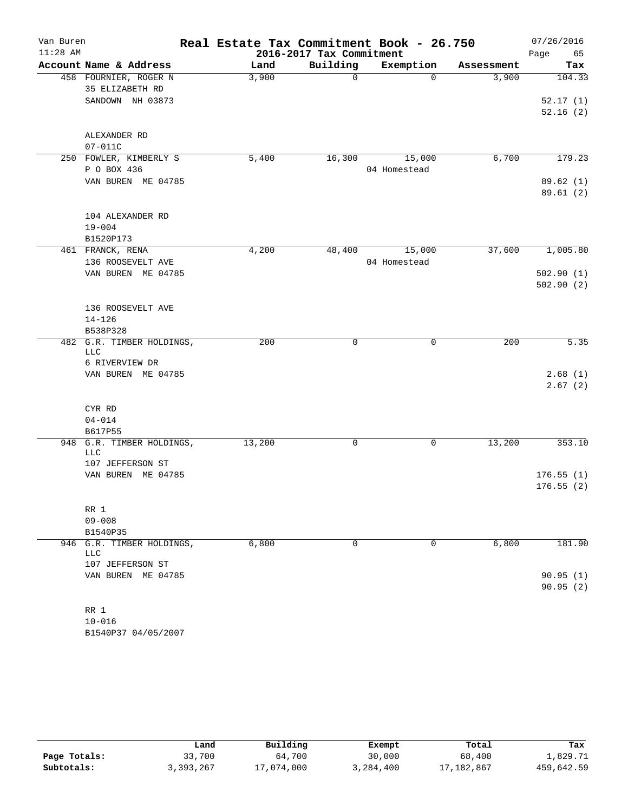| Van Buren  |                                          | Real Estate Tax Commitment Book - 26.750 |                          |              |            | 07/26/2016         |
|------------|------------------------------------------|------------------------------------------|--------------------------|--------------|------------|--------------------|
| $11:28$ AM |                                          |                                          | 2016-2017 Tax Commitment |              |            | 65<br>Page         |
|            | Account Name & Address                   | Land                                     | Building                 | Exemption    | Assessment | Tax                |
|            | 458 FOURNIER, ROGER N<br>35 ELIZABETH RD | 3,900                                    | $\mathbf 0$              | $\Omega$     | 3,900      | 104.33             |
|            | SANDOWN NH 03873                         |                                          |                          |              |            | 52.17(1)           |
|            |                                          |                                          |                          |              |            | 52.16(2)           |
|            | ALEXANDER RD                             |                                          |                          |              |            |                    |
|            | $07 - 011C$                              |                                          |                          |              |            |                    |
|            | 250 FOWLER, KIMBERLY S                   | 5,400                                    | 16,300                   | 15,000       | 6,700      | 179.23             |
|            | P O BOX 436                              |                                          |                          | 04 Homestead |            |                    |
|            | VAN BUREN ME 04785                       |                                          |                          |              |            | 89.62(1)           |
|            |                                          |                                          |                          |              |            | 89.61(2)           |
|            | 104 ALEXANDER RD                         |                                          |                          |              |            |                    |
|            | $19 - 004$                               |                                          |                          |              |            |                    |
|            | B1520P173                                |                                          |                          |              |            |                    |
|            | 461 FRANCK, RENA                         | 4,200                                    | 48,400                   | 15,000       | 37,600     | 1,005.80           |
|            | 136 ROOSEVELT AVE                        |                                          |                          | 04 Homestead |            |                    |
|            | VAN BUREN ME 04785                       |                                          |                          |              |            | 502.90(1)          |
|            |                                          |                                          |                          |              |            | 502.90(2)          |
|            | 136 ROOSEVELT AVE                        |                                          |                          |              |            |                    |
|            | $14 - 126$                               |                                          |                          |              |            |                    |
|            | B538P328                                 |                                          |                          |              |            |                    |
|            | 482 G.R. TIMBER HOLDINGS,                | 200                                      | 0                        | 0            | 200        | 5.35               |
|            | <b>LLC</b>                               |                                          |                          |              |            |                    |
|            | 6 RIVERVIEW DR                           |                                          |                          |              |            |                    |
|            | VAN BUREN ME 04785                       |                                          |                          |              |            | 2.68(1)<br>2.67(2) |
|            |                                          |                                          |                          |              |            |                    |
|            | CYR RD                                   |                                          |                          |              |            |                    |
|            | $04 - 014$                               |                                          |                          |              |            |                    |
|            | B617P55                                  |                                          |                          |              |            |                    |
|            | 948 G.R. TIMBER HOLDINGS,<br><b>LLC</b>  | 13,200                                   | 0                        | 0            | 13,200     | 353.10             |
|            | 107 JEFFERSON ST                         |                                          |                          |              |            |                    |
|            | VAN BUREN ME 04785                       |                                          |                          |              |            | 176.55(1)          |
|            |                                          |                                          |                          |              |            | 176.55(2)          |
|            | RR 1                                     |                                          |                          |              |            |                    |
|            | $09 - 008$                               |                                          |                          |              |            |                    |
|            | B1540P35                                 |                                          |                          |              |            |                    |
|            | 946 G.R. TIMBER HOLDINGS,                | 6,800                                    | $\mathbf 0$              | 0            | 6,800      | 181.90             |
|            | <b>LLC</b>                               |                                          |                          |              |            |                    |
|            | 107 JEFFERSON ST                         |                                          |                          |              |            |                    |
|            | VAN BUREN ME 04785                       |                                          |                          |              |            | 90.95(1)           |
|            |                                          |                                          |                          |              |            | 90.95(2)           |
|            | RR 1                                     |                                          |                          |              |            |                    |
|            | $10 - 016$                               |                                          |                          |              |            |                    |
|            | B1540P37 04/05/2007                      |                                          |                          |              |            |                    |

|              | Land      | Building   | Exempt    | Total      | Tax        |
|--------------|-----------|------------|-----------|------------|------------|
| Page Totals: | 33,700    | 64,700     | 30,000    | 68,400     | 1,829.71   |
| Subtotals:   | 3,393,267 | 17,074,000 | 3,284,400 | 17,182,867 | 459,642.59 |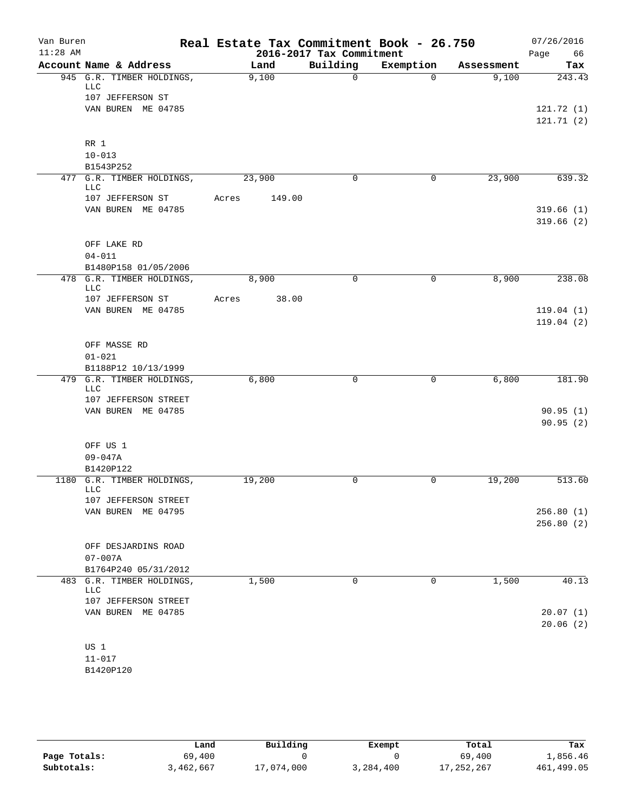| Van Buren<br>$11:28$ AM |                                                  |       |               |                                      | Real Estate Tax Commitment Book - 26.750 |                     | 07/26/2016    |
|-------------------------|--------------------------------------------------|-------|---------------|--------------------------------------|------------------------------------------|---------------------|---------------|
|                         | Account Name & Address                           |       |               | 2016-2017 Tax Commitment<br>Building |                                          |                     | 66<br>Page    |
|                         | 945 G.R. TIMBER HOLDINGS,                        |       | Land<br>9,100 | $\Omega$                             | Exemption<br>$\Omega$                    | Assessment<br>9,100 | Tax<br>243.43 |
|                         | LLC                                              |       |               |                                      |                                          |                     |               |
|                         | 107 JEFFERSON ST                                 |       |               |                                      |                                          |                     |               |
|                         | VAN BUREN ME 04785                               |       |               |                                      |                                          |                     | 121.72(1)     |
|                         |                                                  |       |               |                                      |                                          |                     | 121.71(2)     |
|                         | RR 1                                             |       |               |                                      |                                          |                     |               |
|                         | $10 - 013$                                       |       |               |                                      |                                          |                     |               |
|                         | B1543P252                                        |       |               |                                      |                                          |                     |               |
|                         | 477 G.R. TIMBER HOLDINGS,<br>LLC                 |       | 23,900        | 0                                    | 0                                        | 23,900              | 639.32        |
|                         | 107 JEFFERSON ST                                 | Acres | 149.00        |                                      |                                          |                     |               |
|                         | VAN BUREN ME 04785                               |       |               |                                      |                                          |                     | 319.66(1)     |
|                         |                                                  |       |               |                                      |                                          |                     | 319.66(2)     |
|                         |                                                  |       |               |                                      |                                          |                     |               |
|                         | OFF LAKE RD                                      |       |               |                                      |                                          |                     |               |
|                         | $04 - 011$                                       |       |               |                                      |                                          |                     |               |
|                         | B1480P158 01/05/2006                             |       |               |                                      |                                          |                     |               |
|                         | 478 G.R. TIMBER HOLDINGS,<br>LLC                 |       | 8,900         | $\mathbf 0$                          | 0                                        | 8,900               | 238.08        |
|                         | 107 JEFFERSON ST                                 | Acres | 38.00         |                                      |                                          |                     |               |
|                         | VAN BUREN ME 04785                               |       |               |                                      |                                          |                     | 119.04(1)     |
|                         |                                                  |       |               |                                      |                                          |                     | 119.04(2)     |
|                         |                                                  |       |               |                                      |                                          |                     |               |
|                         | OFF MASSE RD                                     |       |               |                                      |                                          |                     |               |
|                         | $01 - 021$                                       |       |               |                                      |                                          |                     |               |
|                         | B1188P12 10/13/1999<br>479 G.R. TIMBER HOLDINGS, |       | 6,800         | $\mathbf 0$                          | 0                                        | 6,800               | 181.90        |
|                         | LLC                                              |       |               |                                      |                                          |                     |               |
|                         | 107 JEFFERSON STREET                             |       |               |                                      |                                          |                     |               |
|                         | VAN BUREN ME 04785                               |       |               |                                      |                                          |                     | 90.95(1)      |
|                         |                                                  |       |               |                                      |                                          |                     | 90.95(2)      |
|                         | OFF US 1                                         |       |               |                                      |                                          |                     |               |
|                         | $09 - 047A$                                      |       |               |                                      |                                          |                     |               |
|                         | B1420P122                                        |       |               |                                      |                                          |                     |               |
|                         | 1180 G.R. TIMBER HOLDINGS,                       |       | 19,200        | 0                                    | 0                                        | 19,200              | 513.60        |
|                         | LLC                                              |       |               |                                      |                                          |                     |               |
|                         | 107 JEFFERSON STREET                             |       |               |                                      |                                          |                     |               |
|                         | VAN BUREN ME 04795                               |       |               |                                      |                                          |                     | 256.80(1)     |
|                         |                                                  |       |               |                                      |                                          |                     | 256.80(2)     |
|                         | OFF DESJARDINS ROAD                              |       |               |                                      |                                          |                     |               |
|                         | $07 - 007A$                                      |       |               |                                      |                                          |                     |               |
|                         | B1764P240 05/31/2012                             |       |               |                                      |                                          |                     |               |
| 483                     | G.R. TIMBER HOLDINGS,<br>LLC                     |       | 1,500         | 0                                    | 0                                        | 1,500               | 40.13         |
|                         | 107 JEFFERSON STREET                             |       |               |                                      |                                          |                     |               |
|                         | VAN BUREN ME 04785                               |       |               |                                      |                                          |                     | 20.07(1)      |
|                         |                                                  |       |               |                                      |                                          |                     | 20.06(2)      |
|                         |                                                  |       |               |                                      |                                          |                     |               |
|                         | US 1                                             |       |               |                                      |                                          |                     |               |
|                         | $11 - 017$                                       |       |               |                                      |                                          |                     |               |

B1420P120

|              | Land      | Building   | Exempt    | Total      | Tax        |
|--------------|-----------|------------|-----------|------------|------------|
| Page Totals: | 69,400    |            |           | 69,400     | 1,856.46   |
| Subtotals:   | 3,462,667 | 17,074,000 | 3,284,400 | 17,252,267 | 461,499.05 |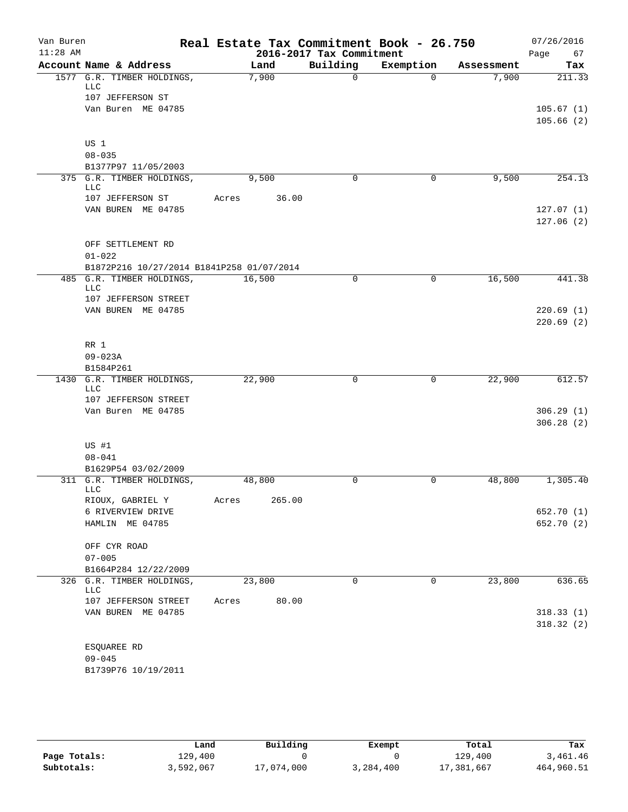| Van Buren<br>$11:28$ AM |                                                         | Real Estate Tax Commitment Book - 26.750 | 2016-2017 Tax Commitment |           |            | 07/26/2016<br>Page<br>67 |
|-------------------------|---------------------------------------------------------|------------------------------------------|--------------------------|-----------|------------|--------------------------|
|                         | Account Name & Address                                  | Land                                     | Building                 | Exemption | Assessment | Tax                      |
|                         | 1577 G.R. TIMBER HOLDINGS,<br>LLC                       | 7,900                                    | $\Omega$                 | $\Omega$  | 7,900      | 211.33                   |
|                         | 107 JEFFERSON ST                                        |                                          |                          |           |            |                          |
|                         | Van Buren ME 04785                                      |                                          |                          |           |            | 105.67(1)<br>105.66(2)   |
|                         | US 1                                                    |                                          |                          |           |            |                          |
|                         | $08 - 035$                                              |                                          |                          |           |            |                          |
|                         | B1377P97 11/05/2003                                     |                                          |                          |           |            |                          |
|                         | 375 G.R. TIMBER HOLDINGS,<br>LLC                        | 9,500                                    | 0                        | 0         | 9,500      | 254.13                   |
|                         | 107 JEFFERSON ST                                        | Acres<br>36.00                           |                          |           |            |                          |
|                         | VAN BUREN ME 04785                                      |                                          |                          |           |            | 127.07(1)<br>127.06(2)   |
|                         | OFF SETTLEMENT RD                                       |                                          |                          |           |            |                          |
|                         | $01 - 022$<br>B1872P216 10/27/2014 B1841P258 01/07/2014 |                                          |                          |           |            |                          |
| 485                     | G.R. TIMBER HOLDINGS,                                   | 16,500                                   | $\mathbf 0$              | 0         | 16,500     | 441.38                   |
|                         | LLC<br>107 JEFFERSON STREET                             |                                          |                          |           |            |                          |
|                         | VAN BUREN ME 04785                                      |                                          |                          |           |            | 220.69(1)                |
|                         |                                                         |                                          |                          |           |            | 220.69(2)                |
|                         | RR 1                                                    |                                          |                          |           |            |                          |
|                         | $09 - 023A$                                             |                                          |                          |           |            |                          |
|                         | B1584P261                                               |                                          |                          |           |            |                          |
|                         | 1430 G.R. TIMBER HOLDINGS,<br>LLC                       | 22,900                                   | 0                        | 0         | 22,900     | 612.57                   |
|                         | 107 JEFFERSON STREET                                    |                                          |                          |           |            |                          |
|                         | Van Buren ME 04785                                      |                                          |                          |           |            | 306.29(1)<br>306.28(2)   |
|                         |                                                         |                                          |                          |           |            |                          |
|                         | US #1                                                   |                                          |                          |           |            |                          |
|                         | $08 - 041$                                              |                                          |                          |           |            |                          |
|                         | B1629P54 03/02/2009                                     |                                          |                          |           |            |                          |
|                         | 311 G.R. TIMBER HOLDINGS,<br>LLC                        | 48,800                                   | 0                        | 0         | 48,800     | 1,305.40                 |
|                         | RIOUX, GABRIEL Y<br>6 RIVERVIEW DRIVE                   | 265.00<br>Acres                          |                          |           |            | 652.70 (1)               |
|                         | HAMLIN ME 04785                                         |                                          |                          |           |            | 652.70 (2)               |
|                         |                                                         |                                          |                          |           |            |                          |
|                         | OFF CYR ROAD<br>$07 - 005$                              |                                          |                          |           |            |                          |
|                         | B1664P284 12/22/2009                                    |                                          |                          |           |            |                          |
|                         | 326 G.R. TIMBER HOLDINGS,                               | 23,800                                   | $\mathbf 0$              | 0         | 23,800     | 636.65                   |
|                         | LLC                                                     |                                          |                          |           |            |                          |
|                         | 107 JEFFERSON STREET<br>VAN BUREN ME 04785              | Acres<br>80.00                           |                          |           |            |                          |
|                         |                                                         |                                          |                          |           |            | 318.33(1)<br>318.32(2)   |
|                         |                                                         |                                          |                          |           |            |                          |
|                         | ESQUAREE RD                                             |                                          |                          |           |            |                          |
|                         | $09 - 045$                                              |                                          |                          |           |            |                          |
|                         | B1739P76 10/19/2011                                     |                                          |                          |           |            |                          |

|              | Land      | Building   | Exempt    | Total      | Tax        |
|--------------|-----------|------------|-----------|------------|------------|
| Page Totals: | 129,400   |            |           | 129,400    | 3,461.46   |
| Subtotals:   | 3,592,067 | 17,074,000 | 3,284,400 | 17,381,667 | 464,960.51 |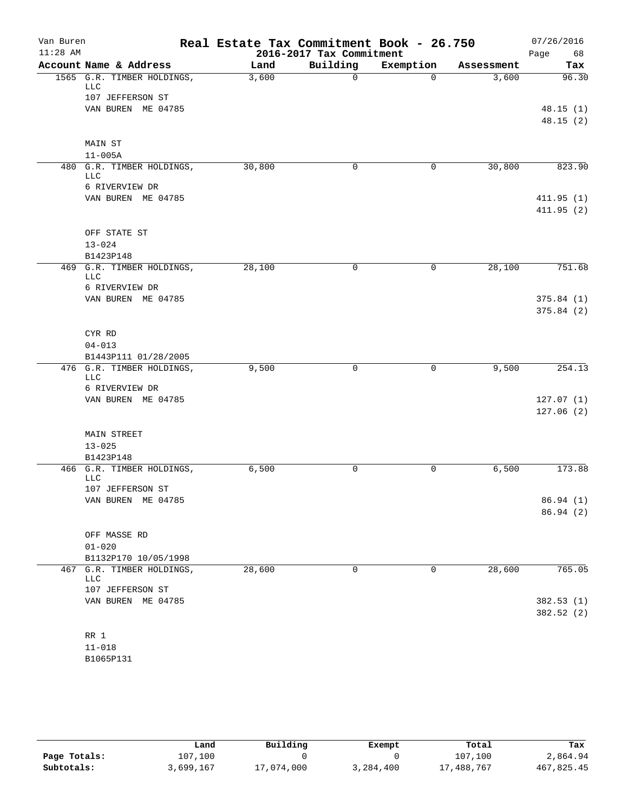| Van Buren<br>$11:28$ AM |                                      | Real Estate Tax Commitment Book - 26.750 | 2016-2017 Tax Commitment |           |            | 07/26/2016<br>68       |
|-------------------------|--------------------------------------|------------------------------------------|--------------------------|-----------|------------|------------------------|
|                         | Account Name & Address               | Land                                     | Building                 | Exemption | Assessment | Page<br>Tax            |
|                         | 1565 G.R. TIMBER HOLDINGS,           | 3,600                                    | $\mathbf 0$              | $\Omega$  | 3,600      | 96.30                  |
|                         | LLC                                  |                                          |                          |           |            |                        |
|                         | 107 JEFFERSON ST                     |                                          |                          |           |            |                        |
|                         | VAN BUREN ME 04785                   |                                          |                          |           |            | 48.15(1)               |
|                         |                                      |                                          |                          |           |            | 48.15(2)               |
|                         | MAIN ST                              |                                          |                          |           |            |                        |
|                         | $11 - 005A$                          |                                          |                          |           |            |                        |
|                         | 480 G.R. TIMBER HOLDINGS,<br>LLC     | 30,800                                   | 0                        | 0         | 30,800     | 823.90                 |
|                         | 6 RIVERVIEW DR                       |                                          |                          |           |            |                        |
|                         | VAN BUREN ME 04785                   |                                          |                          |           |            | 411.95(1)              |
|                         |                                      |                                          |                          |           |            | 411.95(2)              |
|                         | OFF STATE ST                         |                                          |                          |           |            |                        |
|                         | $13 - 024$                           |                                          |                          |           |            |                        |
|                         | B1423P148                            |                                          |                          |           |            |                        |
| 469                     | G.R. TIMBER HOLDINGS,                | 28,100                                   | 0                        | 0         | 28,100     | 751.68                 |
|                         | <b>LLC</b>                           |                                          |                          |           |            |                        |
|                         | 6 RIVERVIEW DR<br>VAN BUREN ME 04785 |                                          |                          |           |            | 375.84(1)              |
|                         |                                      |                                          |                          |           |            | 375.84 (2)             |
|                         |                                      |                                          |                          |           |            |                        |
|                         | CYR RD                               |                                          |                          |           |            |                        |
|                         | $04 - 013$                           |                                          |                          |           |            |                        |
|                         | B1443P111 01/28/2005                 |                                          |                          |           |            |                        |
|                         | 476 G.R. TIMBER HOLDINGS,<br>LLC     | 9,500                                    | 0                        | 0         | 9,500      | 254.13                 |
|                         | 6 RIVERVIEW DR                       |                                          |                          |           |            |                        |
|                         | VAN BUREN ME 04785                   |                                          |                          |           |            | 127.07(1)              |
|                         |                                      |                                          |                          |           |            | 127.06(2)              |
|                         |                                      |                                          |                          |           |            |                        |
|                         | <b>MAIN STREET</b><br>$13 - 025$     |                                          |                          |           |            |                        |
|                         | B1423P148                            |                                          |                          |           |            |                        |
|                         | 466 G.R. TIMBER HOLDINGS,            | 6,500                                    | 0                        | 0         | 6,500      | 173.88                 |
|                         | <b>LLC</b>                           |                                          |                          |           |            |                        |
|                         | 107 JEFFERSON ST                     |                                          |                          |           |            |                        |
|                         | VAN BUREN ME 04785                   |                                          |                          |           |            | 86.94 (1)<br>86.94 (2) |
|                         |                                      |                                          |                          |           |            |                        |
|                         | OFF MASSE RD                         |                                          |                          |           |            |                        |
|                         | $01 - 020$                           |                                          |                          |           |            |                        |
|                         | B1132P170 10/05/1998                 |                                          |                          |           |            |                        |
|                         | 467 G.R. TIMBER HOLDINGS,<br>LLC     | 28,600                                   | 0                        | 0         | 28,600     | 765.05                 |
|                         | 107 JEFFERSON ST                     |                                          |                          |           |            |                        |
|                         | VAN BUREN ME 04785                   |                                          |                          |           |            | 382.53 (1)             |
|                         |                                      |                                          |                          |           |            | 382.52 (2)             |
|                         |                                      |                                          |                          |           |            |                        |
|                         | $RR$ 1                               |                                          |                          |           |            |                        |
|                         | $11 - 018$<br>B1065P131              |                                          |                          |           |            |                        |
|                         |                                      |                                          |                          |           |            |                        |

|              | Land      | Building   | Exempt    | Total      | Tax        |
|--------------|-----------|------------|-----------|------------|------------|
| Page Totals: | 107.100   |            |           | 107,100    | 2,864.94   |
| Subtotals:   | 3,699,167 | 17,074,000 | 3,284,400 | 17,488,767 | 467,825.45 |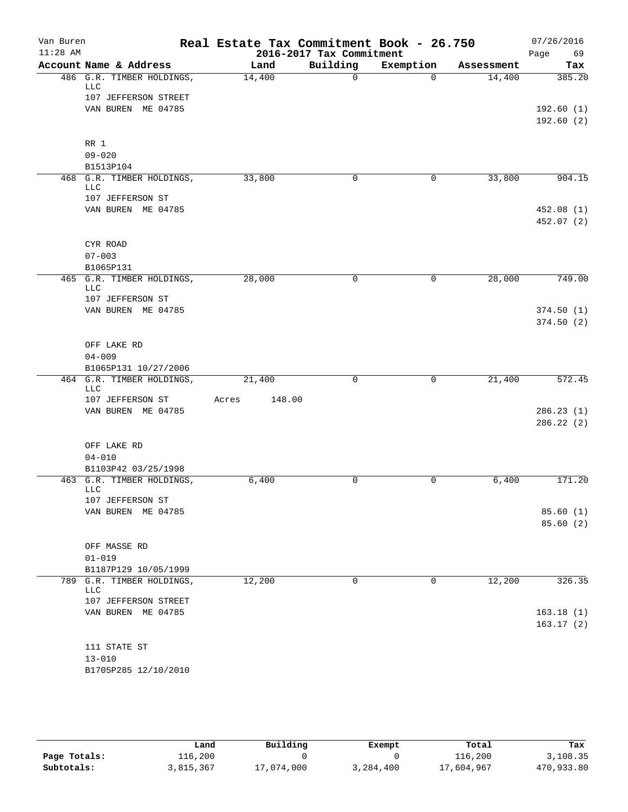| Van Buren<br>$11:28$ AM |                                                  | Real Estate Tax Commitment Book - 26.750 | 2016-2017 Tax Commitment |           |            | 07/26/2016<br>Page<br>69 |
|-------------------------|--------------------------------------------------|------------------------------------------|--------------------------|-----------|------------|--------------------------|
|                         | Account Name & Address                           | Land                                     | Building                 | Exemption | Assessment | Tax                      |
|                         | 486 G.R. TIMBER HOLDINGS,                        | 14,400                                   | $\mathbf 0$              | $\Omega$  | 14,400     | 385.20                   |
|                         | <b>LLC</b>                                       |                                          |                          |           |            |                          |
|                         | 107 JEFFERSON STREET                             |                                          |                          |           |            |                          |
|                         | VAN BUREN ME 04785                               |                                          |                          |           |            | 192.60(1)<br>192.60(2)   |
|                         |                                                  |                                          |                          |           |            |                          |
|                         | RR 1                                             |                                          |                          |           |            |                          |
|                         | $09 - 020$                                       |                                          |                          |           |            |                          |
|                         | B1513P104                                        |                                          |                          |           |            |                          |
|                         | 468 G.R. TIMBER HOLDINGS,<br><b>LLC</b>          | 33,800                                   | 0                        | 0         | 33,800     | 904.15                   |
|                         | 107 JEFFERSON ST                                 |                                          |                          |           |            |                          |
|                         | VAN BUREN ME 04785                               |                                          |                          |           |            | 452.08(1)                |
|                         |                                                  |                                          |                          |           |            | 452.07 (2)               |
|                         |                                                  |                                          |                          |           |            |                          |
|                         | CYR ROAD                                         |                                          |                          |           |            |                          |
|                         | $07 - 003$<br>B1065P131                          |                                          |                          |           |            |                          |
|                         | 465 G.R. TIMBER HOLDINGS,                        | 28,000                                   | $\mathbf 0$              | 0         | 28,000     | 749.00                   |
|                         | LLC                                              |                                          |                          |           |            |                          |
|                         | 107 JEFFERSON ST                                 |                                          |                          |           |            |                          |
|                         | VAN BUREN ME 04785                               |                                          |                          |           |            | 374.50(1)                |
|                         |                                                  |                                          |                          |           |            | 374.50(2)                |
|                         | OFF LAKE RD                                      |                                          |                          |           |            |                          |
|                         | $04 - 009$                                       |                                          |                          |           |            |                          |
|                         | B1065P131 10/27/2006                             |                                          |                          |           |            |                          |
|                         | 464 G.R. TIMBER HOLDINGS,                        | 21,400                                   | 0                        | 0         | 21,400     | 572.45                   |
|                         | <b>LLC</b><br>107 JEFFERSON ST                   | 148.00<br>Acres                          |                          |           |            |                          |
|                         | VAN BUREN ME 04785                               |                                          |                          |           |            | 286.23(1)                |
|                         |                                                  |                                          |                          |           |            | 286.22(2)                |
|                         |                                                  |                                          |                          |           |            |                          |
|                         | OFF LAKE RD                                      |                                          |                          |           |            |                          |
|                         | $04 - 010$                                       |                                          |                          |           |            |                          |
|                         | B1103P42 03/25/1998<br>463 G.R. TIMBER HOLDINGS, | 6,400                                    | 0                        | 0         | 6,400      | 171.20                   |
|                         | <b>LLC</b>                                       |                                          |                          |           |            |                          |
|                         | 107 JEFFERSON ST                                 |                                          |                          |           |            |                          |
|                         | VAN BUREN ME 04785                               |                                          |                          |           |            | 85.60(1)                 |
|                         |                                                  |                                          |                          |           |            | 85.60(2)                 |
|                         | OFF MASSE RD                                     |                                          |                          |           |            |                          |
|                         | $01 - 019$                                       |                                          |                          |           |            |                          |
|                         | B1187P129 10/05/1999                             |                                          |                          |           |            |                          |
|                         | 789 G.R. TIMBER HOLDINGS,                        | 12,200                                   | $\mathbf 0$              | 0         | 12,200     | 326.35                   |
|                         | <b>LLC</b>                                       |                                          |                          |           |            |                          |
|                         | 107 JEFFERSON STREET<br>VAN BUREN ME 04785       |                                          |                          |           |            | 163.18(1)                |
|                         |                                                  |                                          |                          |           |            | 163.17(2)                |
|                         |                                                  |                                          |                          |           |            |                          |
|                         | 111 STATE ST                                     |                                          |                          |           |            |                          |
|                         | $13 - 010$                                       |                                          |                          |           |            |                          |
|                         | B1705P285 12/10/2010                             |                                          |                          |           |            |                          |

|              | Land      | Building   | Exempt    | Total      | Tax        |
|--------------|-----------|------------|-----------|------------|------------|
| Page Totals: | 116,200   |            |           | 116,200    | 3,108.35   |
| Subtotals:   | 3,815,367 | 17,074,000 | 3,284,400 | 17,604,967 | 470,933.80 |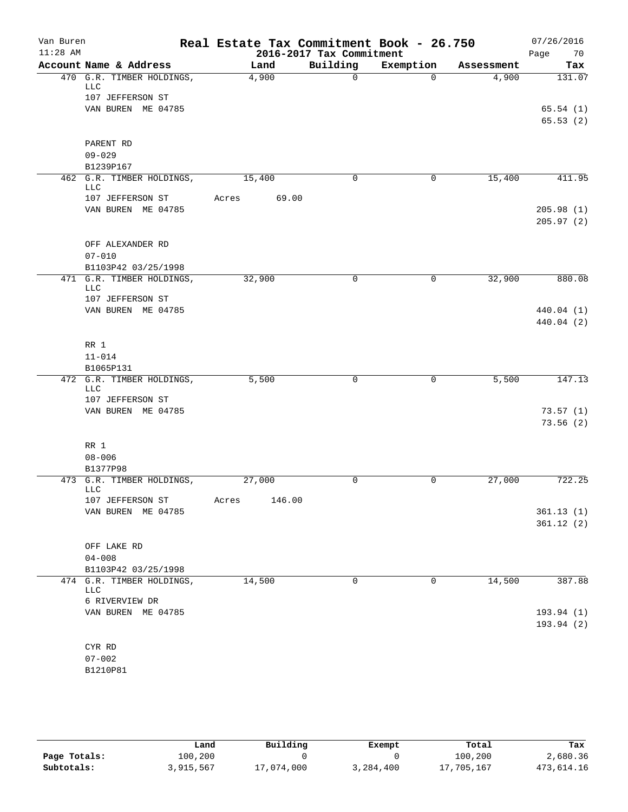| Van Buren<br>$11:28$ AM |                                        | Real Estate Tax Commitment Book - 26.750 | 2016-2017 Tax Commitment |             |            | 07/26/2016<br>Page<br>70 |
|-------------------------|----------------------------------------|------------------------------------------|--------------------------|-------------|------------|--------------------------|
|                         | Account Name & Address                 | Land                                     | Building                 | Exemption   | Assessment | Tax                      |
|                         | 470 G.R. TIMBER HOLDINGS,<br>LLC       | 4,900                                    | $\Omega$                 | $\Omega$    | 4,900      | 131.07                   |
|                         | 107 JEFFERSON ST<br>VAN BUREN ME 04785 |                                          |                          |             |            | 65.54(1)                 |
|                         |                                        |                                          |                          |             |            | 65.53(2)                 |
|                         | PARENT RD<br>$09 - 029$                |                                          |                          |             |            |                          |
|                         | B1239P167<br>462 G.R. TIMBER HOLDINGS, |                                          | 0                        | 0           | 15,400     |                          |
|                         | LLC                                    | 15,400                                   |                          |             |            | 411.95                   |
|                         | 107 JEFFERSON ST<br>VAN BUREN ME 04785 | 69.00<br>Acres                           |                          |             |            | 205.98(1)<br>205.97(2)   |
|                         | OFF ALEXANDER RD<br>$07 - 010$         |                                          |                          |             |            |                          |
|                         | B1103P42 03/25/1998                    |                                          |                          |             |            |                          |
|                         | 471 G.R. TIMBER HOLDINGS,<br>LLC       | 32,900                                   | $\mathbf 0$              | 0           | 32,900     | 880.08                   |
|                         | 107 JEFFERSON ST<br>VAN BUREN ME 04785 |                                          |                          |             |            | 440.04 (1)               |
|                         |                                        |                                          |                          |             |            | 440.04 (2)               |
|                         | RR 1                                   |                                          |                          |             |            |                          |
|                         | $11 - 014$                             |                                          |                          |             |            |                          |
|                         | B1065P131                              |                                          |                          |             |            |                          |
|                         | 472 G.R. TIMBER HOLDINGS,<br>LLC       | 5,500                                    | 0                        | 0           | 5,500      | 147.13                   |
|                         | 107 JEFFERSON ST                       |                                          |                          |             |            |                          |
|                         | VAN BUREN ME 04785                     |                                          |                          |             |            | 73.57(1)<br>73.56(2)     |
|                         | RR 1<br>$08 - 006$                     |                                          |                          |             |            |                          |
|                         | B1377P98                               |                                          |                          |             |            |                          |
|                         | 473 G.R. TIMBER HOLDINGS,<br>LLC       | 27,000                                   | 0                        | 0           | 27,000     | 722.25                   |
|                         | 107 JEFFERSON ST                       | 146.00<br>Acres                          |                          |             |            |                          |
|                         | VAN BUREN ME 04785                     |                                          |                          |             |            | 361.13(1)                |
|                         |                                        |                                          |                          |             |            | 361.12(2)                |
|                         | OFF LAKE RD                            |                                          |                          |             |            |                          |
|                         | $04 - 008$                             |                                          |                          |             |            |                          |
|                         | B1103P42 03/25/1998                    |                                          |                          |             |            |                          |
|                         | 474 G.R. TIMBER HOLDINGS,<br>LLC       | 14,500                                   | $\mathbf 0$              | $\mathbf 0$ | 14,500     | 387.88                   |
|                         | 6 RIVERVIEW DR                         |                                          |                          |             |            |                          |
|                         | VAN BUREN ME 04785                     |                                          |                          |             |            | 193.94 (1)<br>193.94(2)  |
|                         | CYR RD                                 |                                          |                          |             |            |                          |
|                         | $07 - 002$                             |                                          |                          |             |            |                          |
|                         | B1210P81                               |                                          |                          |             |            |                          |

|              | Land      | Building   | Exempt    | Total      | Tax        |
|--------------|-----------|------------|-----------|------------|------------|
| Page Totals: | 100,200   |            |           | 100,200    | 2,680.36   |
| Subtotals:   | 3,915,567 | 17,074,000 | 3,284,400 | 17,705,167 | 473,614.16 |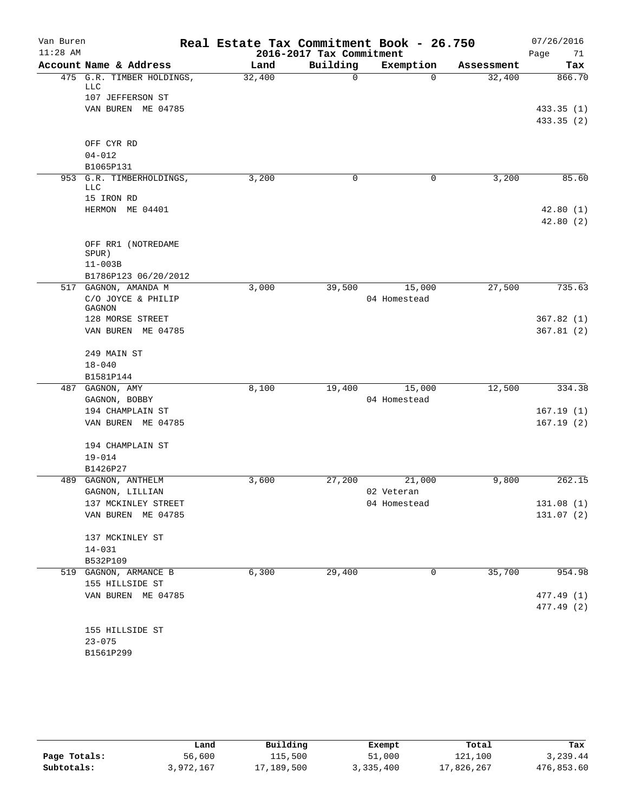| Van Buren<br>$11:28$ AM |                                           | Real Estate Tax Commitment Book - 26.750 | 2016-2017 Tax Commitment |                        |            | 07/26/2016<br>Page<br>71 |
|-------------------------|-------------------------------------------|------------------------------------------|--------------------------|------------------------|------------|--------------------------|
|                         | Account Name & Address                    | Land                                     | Building                 | Exemption              | Assessment | Tax                      |
|                         | 475 G.R. TIMBER HOLDINGS,<br>LLC          | 32,400                                   | 0                        | $\Omega$               | 32,400     | 866.70                   |
|                         | 107 JEFFERSON ST                          |                                          |                          |                        |            |                          |
|                         | VAN BUREN ME 04785                        |                                          |                          |                        |            | 433.35 (1)               |
|                         |                                           |                                          |                          |                        |            | 433.35 (2)               |
|                         | OFF CYR RD                                |                                          |                          |                        |            |                          |
|                         | $04 - 012$                                |                                          |                          |                        |            |                          |
|                         | B1065P131                                 |                                          |                          |                        |            |                          |
|                         | 953 G.R. TIMBERHOLDINGS,<br><b>LLC</b>    | 3,200                                    | 0                        | 0                      | 3,200      | 85.60                    |
|                         | 15 IRON RD                                |                                          |                          |                        |            |                          |
|                         | HERMON ME 04401                           |                                          |                          |                        |            | 42.80(1)<br>42.80(2)     |
|                         | OFF RR1 (NOTREDAME<br>SPUR)               |                                          |                          |                        |            |                          |
|                         | $11 - 003B$                               |                                          |                          |                        |            |                          |
|                         | B1786P123 06/20/2012                      |                                          |                          |                        |            |                          |
|                         | 517 GAGNON, AMANDA M                      | 3,000                                    | 39,500                   | 15,000                 | 27,500     | 735.63                   |
|                         | C/O JOYCE & PHILIP                        |                                          |                          | 04 Homestead           |            |                          |
|                         | GAGNON                                    |                                          |                          |                        |            |                          |
|                         | 128 MORSE STREET                          |                                          |                          |                        |            | 367.82(1)                |
|                         | VAN BUREN ME 04785                        |                                          |                          |                        |            | 367.81(2)                |
|                         | 249 MAIN ST                               |                                          |                          |                        |            |                          |
|                         | $18 - 040$                                |                                          |                          |                        |            |                          |
|                         | B1581P144                                 |                                          |                          |                        |            |                          |
|                         | 487 GAGNON, AMY<br>GAGNON, BOBBY          | 8,100                                    | 19,400                   | 15,000<br>04 Homestead | 12,500     | 334.38                   |
|                         | 194 CHAMPLAIN ST                          |                                          |                          |                        |            | 167.19(1)                |
|                         | VAN BUREN ME 04785                        |                                          |                          |                        |            | 167.19(2)                |
|                         |                                           |                                          |                          |                        |            |                          |
|                         | 194 CHAMPLAIN ST                          |                                          |                          |                        |            |                          |
|                         | $19 - 014$                                |                                          |                          |                        |            |                          |
|                         | B1426P27                                  |                                          |                          |                        |            |                          |
|                         | 489 GAGNON, ANTHELM                       | 3,600                                    | 27,200                   | 21,000                 | 9,800      | 262.15                   |
|                         | GAGNON, LILLIAN                           |                                          |                          | 02 Veteran             |            |                          |
|                         | 137 MCKINLEY STREET<br>VAN BUREN ME 04785 |                                          |                          | 04 Homestead           |            | 131.08(1)<br>131.07(2)   |
|                         |                                           |                                          |                          |                        |            |                          |
|                         | 137 MCKINLEY ST                           |                                          |                          |                        |            |                          |
|                         | $14 - 031$                                |                                          |                          |                        |            |                          |
|                         | B532P109                                  |                                          |                          |                        |            |                          |
|                         | 519 GAGNON, ARMANCE B                     | 6,300                                    | 29,400                   | 0                      | 35,700     | 954.98                   |
|                         | 155 HILLSIDE ST                           |                                          |                          |                        |            |                          |
|                         | VAN BUREN ME 04785                        |                                          |                          |                        |            | 477.49 (1)<br>477.49 (2) |
|                         | 155 HILLSIDE ST                           |                                          |                          |                        |            |                          |
|                         | $23 - 075$                                |                                          |                          |                        |            |                          |
|                         | B1561P299                                 |                                          |                          |                        |            |                          |
|                         |                                           |                                          |                          |                        |            |                          |

|              | Land      | Building   | Exempt    | Total      | Tax        |
|--------------|-----------|------------|-----------|------------|------------|
| Page Totals: | 56,600    | 115,500    | 51,000    | 121,100    | 3,239.44   |
| Subtotals:   | 3,972,167 | 17,189,500 | 3,335,400 | 17,826,267 | 476,853.60 |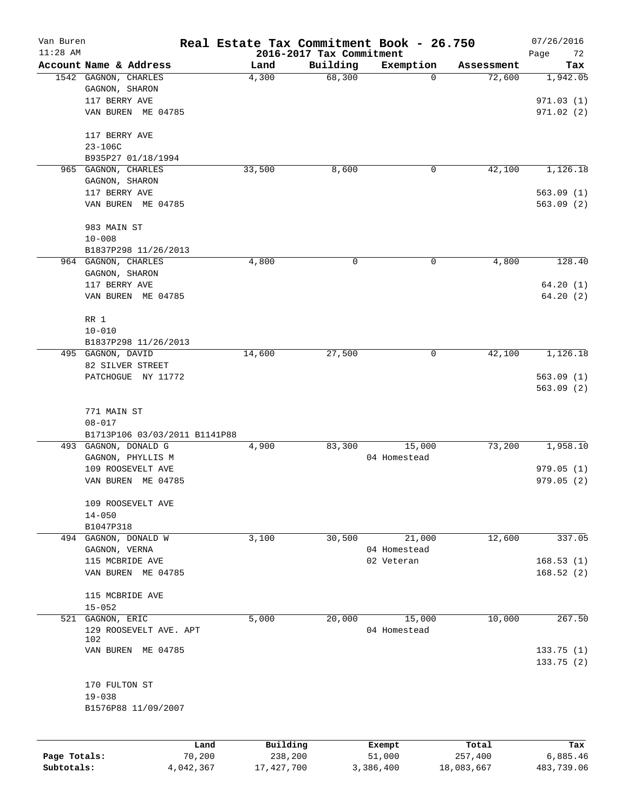| Van Buren    |                                                |                               | Real Estate Tax Commitment Book - 26.750 |                    |                        |                      | 07/26/2016             |
|--------------|------------------------------------------------|-------------------------------|------------------------------------------|--------------------|------------------------|----------------------|------------------------|
| $11:28$ AM   |                                                |                               | 2016-2017 Tax Commitment                 |                    |                        |                      | Page<br>72             |
|              | Account Name & Address<br>1542 GAGNON, CHARLES |                               | Land<br>4,300                            | Building<br>68,300 | Exemption<br>0         | Assessment<br>72,600 | Tax<br>1,942.05        |
|              | GAGNON, SHARON                                 |                               |                                          |                    |                        |                      |                        |
|              | 117 BERRY AVE                                  |                               |                                          |                    |                        |                      | 971.03(1)              |
|              | VAN BUREN ME 04785                             |                               |                                          |                    |                        |                      | 971.02(2)              |
|              |                                                |                               |                                          |                    |                        |                      |                        |
|              | 117 BERRY AVE                                  |                               |                                          |                    |                        |                      |                        |
|              | $23 - 106C$                                    |                               |                                          |                    |                        |                      |                        |
|              | B935P27 01/18/1994                             |                               |                                          |                    |                        |                      |                        |
|              | 965 GAGNON, CHARLES                            |                               | 33,500                                   | 8,600              | 0                      | 42,100               | 1,126.18               |
|              | GAGNON, SHARON                                 |                               |                                          |                    |                        |                      |                        |
|              | 117 BERRY AVE                                  |                               |                                          |                    |                        |                      | 563.09(1)              |
|              | VAN BUREN ME 04785                             |                               |                                          |                    |                        |                      | 563.09(2)              |
|              |                                                |                               |                                          |                    |                        |                      |                        |
|              | 983 MAIN ST<br>$10 - 008$                      |                               |                                          |                    |                        |                      |                        |
|              | B1837P298 11/26/2013                           |                               |                                          |                    |                        |                      |                        |
|              | 964 GAGNON, CHARLES                            |                               | 4,800                                    | 0                  | 0                      | 4,800                | 128.40                 |
|              | GAGNON, SHARON                                 |                               |                                          |                    |                        |                      |                        |
|              | 117 BERRY AVE                                  |                               |                                          |                    |                        |                      | 64.20(1)               |
|              | VAN BUREN ME 04785                             |                               |                                          |                    |                        |                      | 64.20(2)               |
|              |                                                |                               |                                          |                    |                        |                      |                        |
|              | RR 1                                           |                               |                                          |                    |                        |                      |                        |
|              | $10 - 010$                                     |                               |                                          |                    |                        |                      |                        |
|              | B1837P298 11/26/2013                           |                               |                                          |                    |                        |                      |                        |
|              | 495 GAGNON, DAVID                              |                               | 14,600                                   | 27,500             | 0                      | 42,100               | 1,126.18               |
|              | 82 SILVER STREET                               |                               |                                          |                    |                        |                      |                        |
|              | PATCHOGUE NY 11772                             |                               |                                          |                    |                        |                      | 563.09(1)              |
|              |                                                |                               |                                          |                    |                        |                      | 563.09(2)              |
|              | 771 MAIN ST                                    |                               |                                          |                    |                        |                      |                        |
|              | $08 - 017$                                     |                               |                                          |                    |                        |                      |                        |
|              |                                                | B1713P106 03/03/2011 B1141P88 |                                          |                    |                        |                      |                        |
|              | 493 GAGNON, DONALD G                           |                               | 4,900                                    | 83,300             | 15,000                 | 73,200               | 1,958.10               |
|              | GAGNON, PHYLLIS M                              |                               |                                          |                    | 04 Homestead           |                      |                        |
|              | 109 ROOSEVELT AVE                              |                               |                                          |                    |                        |                      | 979.05(1)              |
|              | VAN BUREN                                      | ME 04785                      |                                          |                    |                        |                      | 979.05(2)              |
|              |                                                |                               |                                          |                    |                        |                      |                        |
|              | 109 ROOSEVELT AVE                              |                               |                                          |                    |                        |                      |                        |
|              | $14 - 050$                                     |                               |                                          |                    |                        |                      |                        |
|              | B1047P318                                      |                               |                                          |                    |                        |                      | 337.05                 |
|              | 494 GAGNON, DONALD W                           |                               | 3,100                                    | 30,500             | 21,000<br>04 Homestead | 12,600               |                        |
|              | GAGNON, VERNA                                  |                               |                                          |                    |                        |                      |                        |
|              | 115 MCBRIDE AVE<br>VAN BUREN ME 04785          |                               |                                          |                    | 02 Veteran             |                      | 168.53(1)<br>168.52(2) |
|              |                                                |                               |                                          |                    |                        |                      |                        |
|              | 115 MCBRIDE AVE                                |                               |                                          |                    |                        |                      |                        |
|              | $15 - 052$                                     |                               |                                          |                    |                        |                      |                        |
|              | 521 GAGNON, ERIC                               |                               | 5,000                                    | 20,000             | 15,000                 | 10,000               | 267.50                 |
|              | 129 ROOSEVELT AVE. APT                         |                               |                                          |                    | 04 Homestead           |                      |                        |
|              | 102                                            |                               |                                          |                    |                        |                      |                        |
|              | VAN BUREN ME 04785                             |                               |                                          |                    |                        |                      | 133.75(1)              |
|              |                                                |                               |                                          |                    |                        |                      | 133.75(2)              |
|              | 170 FULTON ST                                  |                               |                                          |                    |                        |                      |                        |
|              | $19 - 038$                                     |                               |                                          |                    |                        |                      |                        |
|              | B1576P88 11/09/2007                            |                               |                                          |                    |                        |                      |                        |
|              |                                                |                               |                                          |                    |                        |                      |                        |
|              |                                                | Land                          | Building                                 |                    | Exempt                 | Total                | Tax                    |
| Page Totals: |                                                | 70,200                        | 238,200                                  |                    | 51,000                 | 257,400              | 6,885.46               |
| Subtotals:   |                                                | 4,042,367                     | 17, 427, 700                             |                    | 3,386,400              | 18,083,667           | 483,739.06             |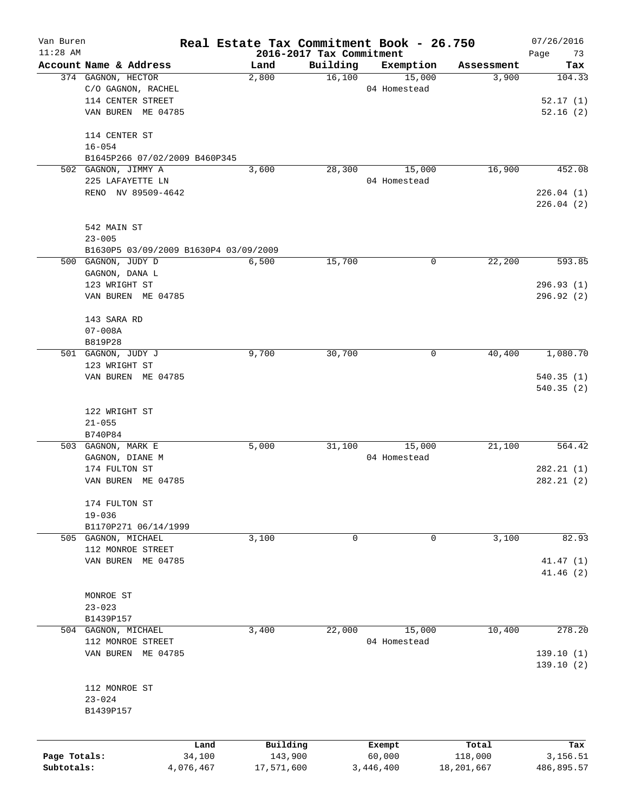| Van Buren    |                                         | Real Estate Tax Commitment Book - 26.750 |          |                        |                     | 07/26/2016    |
|--------------|-----------------------------------------|------------------------------------------|----------|------------------------|---------------------|---------------|
| $11:28$ AM   | Account Name & Address                  | 2016-2017 Tax Commitment<br>Land         | Building |                        |                     | Page<br>73    |
|              | 374 GAGNON, HECTOR                      | 2,800                                    | 16,100   | Exemption<br>15,000    | Assessment<br>3,900 | Tax<br>104.33 |
|              | C/O GAGNON, RACHEL                      |                                          |          | 04 Homestead           |                     |               |
|              | 114 CENTER STREET                       |                                          |          |                        |                     | 52.17(1)      |
|              | VAN BUREN ME 04785                      |                                          |          |                        |                     | 52.16(2)      |
|              |                                         |                                          |          |                        |                     |               |
|              | 114 CENTER ST                           |                                          |          |                        |                     |               |
|              | $16 - 054$                              |                                          |          |                        |                     |               |
|              | B1645P266 07/02/2009 B460P345           |                                          |          |                        |                     |               |
|              | 502 GAGNON, JIMMY A<br>225 LAFAYETTE LN | 3,600                                    | 28,300   | 15,000<br>04 Homestead | 16,900              | 452.08        |
|              | RENO NV 89509-4642                      |                                          |          |                        |                     | 226.04(1)     |
|              |                                         |                                          |          |                        |                     | 226.04(2)     |
|              |                                         |                                          |          |                        |                     |               |
|              | 542 MAIN ST<br>$23 - 005$               |                                          |          |                        |                     |               |
|              | B1630P5 03/09/2009 B1630P4 03/09/2009   |                                          |          |                        |                     |               |
|              | 500 GAGNON, JUDY D                      | 6,500                                    | 15,700   | 0                      | 22,200              | 593.85        |
|              | GAGNON, DANA L                          |                                          |          |                        |                     |               |
|              | 123 WRIGHT ST                           |                                          |          |                        |                     | 296.93(1)     |
|              | VAN BUREN ME 04785                      |                                          |          |                        |                     | 296.92(2)     |
|              |                                         |                                          |          |                        |                     |               |
|              | 143 SARA RD                             |                                          |          |                        |                     |               |
|              | $07 - 008A$                             |                                          |          |                        |                     |               |
|              | B819P28                                 |                                          |          |                        |                     |               |
|              | 501 GAGNON, JUDY J                      | 9,700                                    | 30,700   | 0                      | 40,400              | 1,080.70      |
|              | 123 WRIGHT ST                           |                                          |          |                        |                     |               |
|              | VAN BUREN ME 04785                      |                                          |          |                        |                     | 540.35(1)     |
|              |                                         |                                          |          |                        |                     | 540.35(2)     |
|              | 122 WRIGHT ST                           |                                          |          |                        |                     |               |
|              | $21 - 055$                              |                                          |          |                        |                     |               |
|              | B740P84                                 |                                          |          |                        |                     |               |
|              | 503 GAGNON, MARK E                      | 5,000                                    | 31,100   | 15,000                 | 21,100              | 564.42        |
|              | GAGNON, DIANE M                         |                                          |          | 04 Homestead           |                     |               |
|              | 174 FULTON ST                           |                                          |          |                        |                     | 282.21(1)     |
|              | VAN BUREN ME 04785                      |                                          |          |                        |                     | 282.21 (2)    |
|              | 174 FULTON ST                           |                                          |          |                        |                     |               |
|              | $19 - 036$                              |                                          |          |                        |                     |               |
|              | B1170P271 06/14/1999                    |                                          |          |                        |                     |               |
|              | 505 GAGNON, MICHAEL                     | 3,100                                    | 0        | 0                      | 3,100               | 82.93         |
|              | 112 MONROE STREET                       |                                          |          |                        |                     |               |
|              | VAN BUREN ME 04785                      |                                          |          |                        |                     | 41.47(1)      |
|              |                                         |                                          |          |                        |                     | 41.46(2)      |
|              |                                         |                                          |          |                        |                     |               |
|              | MONROE ST                               |                                          |          |                        |                     |               |
|              | $23 - 023$                              |                                          |          |                        |                     |               |
|              | B1439P157                               |                                          |          |                        |                     |               |
| 504          | GAGNON, MICHAEL                         | 3,400                                    | 22,000   | 15,000                 | 10,400              | 278.20        |
|              | 112 MONROE STREET                       |                                          |          | 04 Homestead           |                     |               |
|              | VAN BUREN ME 04785                      |                                          |          |                        |                     | 139.10(1)     |
|              |                                         |                                          |          |                        |                     | 139.10(2)     |
|              | 112 MONROE ST                           |                                          |          |                        |                     |               |
|              | $23 - 024$                              |                                          |          |                        |                     |               |
|              | B1439P157                               |                                          |          |                        |                     |               |
|              |                                         |                                          |          |                        |                     |               |
|              | Land                                    | Building                                 |          | Exempt                 | Total               | Tax           |
| Page Totals: | 34,100                                  | 143,900                                  |          | 60,000                 | 118,000             | 3,156.51      |
| Subtotals:   | 4,076,467                               | 17,571,600                               |          | 3,446,400              | 18,201,667          | 486,895.57    |
|              |                                         |                                          |          |                        |                     |               |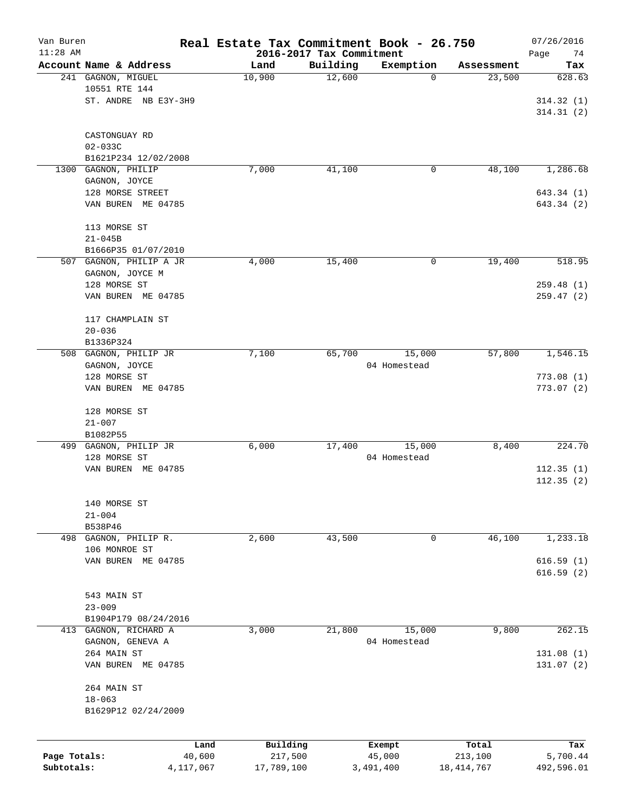| Van Buren    |                             | Real Estate Tax Commitment Book - 26.750 |                                      |              |            | 07/26/2016             |
|--------------|-----------------------------|------------------------------------------|--------------------------------------|--------------|------------|------------------------|
| $11:28$ AM   | Account Name & Address      | Land                                     | 2016-2017 Tax Commitment<br>Building | Exemption    | Assessment | Page<br>74             |
|              | 241 GAGNON, MIGUEL          | 10,900                                   | 12,600                               | 0            | 23,500     | Tax<br>628.63          |
|              | 10551 RTE 144               |                                          |                                      |              |            |                        |
|              | ST. ANDRE NB E3Y-3H9        |                                          |                                      |              |            | 314.32(1)              |
|              |                             |                                          |                                      |              |            | 314.31(2)              |
|              |                             |                                          |                                      |              |            |                        |
|              | CASTONGUAY RD               |                                          |                                      |              |            |                        |
|              | $02 - 033C$                 |                                          |                                      |              |            |                        |
|              | B1621P234 12/02/2008        |                                          |                                      |              |            |                        |
|              | 1300 GAGNON, PHILIP         | 7,000                                    | 41,100                               | 0            | 48,100     | 1,286.68               |
|              | GAGNON, JOYCE               |                                          |                                      |              |            |                        |
|              | 128 MORSE STREET            |                                          |                                      |              |            | 643.34 (1)             |
|              | VAN BUREN ME 04785          |                                          |                                      |              |            | 643.34 (2)             |
|              |                             |                                          |                                      |              |            |                        |
|              | 113 MORSE ST<br>$21 - 045B$ |                                          |                                      |              |            |                        |
|              | B1666P35 01/07/2010         |                                          |                                      |              |            |                        |
|              | 507 GAGNON, PHILIP A JR     | 4,000                                    | 15,400                               | 0            | 19,400     | 518.95                 |
|              | GAGNON, JOYCE M             |                                          |                                      |              |            |                        |
|              | 128 MORSE ST                |                                          |                                      |              |            | 259.48 (1)             |
|              | VAN BUREN ME 04785          |                                          |                                      |              |            | 259.47(2)              |
|              |                             |                                          |                                      |              |            |                        |
|              | 117 CHAMPLAIN ST            |                                          |                                      |              |            |                        |
|              | $20 - 036$                  |                                          |                                      |              |            |                        |
|              | B1336P324                   |                                          |                                      |              |            |                        |
|              | 508 GAGNON, PHILIP JR       | 7,100                                    | 65,700                               | 15,000       | 57,800     | 1,546.15               |
|              | GAGNON, JOYCE               |                                          |                                      | 04 Homestead |            |                        |
|              | 128 MORSE ST                |                                          |                                      |              |            | 773.08(1)              |
|              | VAN BUREN ME 04785          |                                          |                                      |              |            | 773.07(2)              |
|              |                             |                                          |                                      |              |            |                        |
|              | 128 MORSE ST<br>$21 - 007$  |                                          |                                      |              |            |                        |
|              | B1082P55                    |                                          |                                      |              |            |                        |
|              | 499 GAGNON, PHILIP JR       | 6,000                                    | 17,400                               | 15,000       | 8,400      | 224.70                 |
|              | 128 MORSE ST                |                                          |                                      | 04 Homestead |            |                        |
|              | VAN BUREN ME 04785          |                                          |                                      |              |            | 112.35(1)              |
|              |                             |                                          |                                      |              |            | 112.35(2)              |
|              |                             |                                          |                                      |              |            |                        |
|              | 140 MORSE ST                |                                          |                                      |              |            |                        |
|              | $21 - 004$                  |                                          |                                      |              |            |                        |
|              | B538P46                     |                                          |                                      |              |            |                        |
|              | 498 GAGNON, PHILIP R.       | 2,600                                    | 43,500                               | 0            | 46,100     | 1,233.18               |
|              | 106 MONROE ST               |                                          |                                      |              |            |                        |
|              | VAN BUREN ME 04785          |                                          |                                      |              |            | 616.59(1)<br>616.59(2) |
|              |                             |                                          |                                      |              |            |                        |
|              | 543 MAIN ST                 |                                          |                                      |              |            |                        |
|              | $23 - 009$                  |                                          |                                      |              |            |                        |
|              | B1904P179 08/24/2016        |                                          |                                      |              |            |                        |
| 413          | GAGNON, RICHARD A           | 3,000                                    | 21,800                               | 15,000       | 9,800      | 262.15                 |
|              | GAGNON, GENEVA A            |                                          |                                      | 04 Homestead |            |                        |
|              | 264 MAIN ST                 |                                          |                                      |              |            | 131.08 (1)             |
|              | VAN BUREN ME 04785          |                                          |                                      |              |            | 131.07(2)              |
|              |                             |                                          |                                      |              |            |                        |
|              | 264 MAIN ST                 |                                          |                                      |              |            |                        |
|              | $18 - 063$                  |                                          |                                      |              |            |                        |
|              | B1629P12 02/24/2009         |                                          |                                      |              |            |                        |
|              |                             |                                          |                                      |              |            |                        |
|              |                             | Building<br>Land                         |                                      | Exempt       | Total      | Tax                    |
| Page Totals: | 40,600                      | 217,500                                  |                                      | 45,000       | 213,100    | 5,700.44               |
| Subtotals:   | 4,117,067                   | 17,789,100                               |                                      | 3,491,400    | 18,414,767 | 492,596.01             |
|              |                             |                                          |                                      |              |            |                        |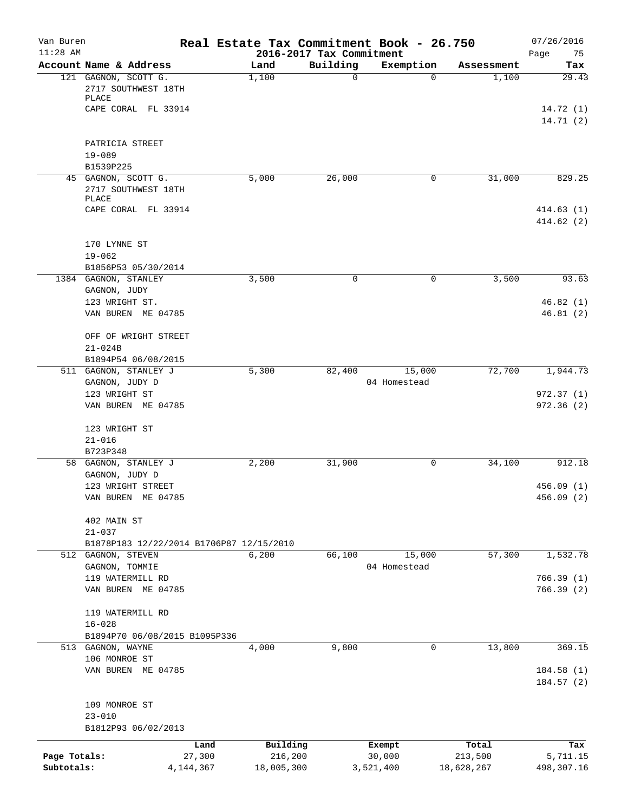| Van Buren<br>$11:28$ AM |                                                                |             |            | 2016-2017 Tax Commitment | Real Estate Tax Commitment Book - 26.750 |                   | 07/26/2016<br>75<br>Page |
|-------------------------|----------------------------------------------------------------|-------------|------------|--------------------------|------------------------------------------|-------------------|--------------------------|
|                         | Account Name & Address                                         |             | Land       | Building                 | Exemption                                | Assessment        | Tax                      |
|                         | 121 GAGNON, SCOTT G.<br>2717 SOUTHWEST 18TH<br>PLACE           |             | 1,100      | $\Omega$                 |                                          | 1,100<br>$\Omega$ | 29.43                    |
|                         | CAPE CORAL FL 33914                                            |             |            |                          |                                          |                   | 14.72(1)<br>14.71(2)     |
|                         | PATRICIA STREET                                                |             |            |                          |                                          |                   |                          |
|                         | $19 - 089$<br>B1539P225                                        |             |            |                          |                                          |                   |                          |
|                         | 45 GAGNON, SCOTT G.                                            |             | 5,000      | 26,000                   |                                          | 31,000<br>0       | 829.25                   |
|                         | 2717 SOUTHWEST 18TH<br>PLACE                                   |             |            |                          |                                          |                   |                          |
|                         | CAPE CORAL FL 33914                                            |             |            |                          |                                          |                   | 414.63(1)<br>414.62(2)   |
|                         | 170 LYNNE ST                                                   |             |            |                          |                                          |                   |                          |
|                         | $19 - 062$                                                     |             |            |                          |                                          |                   |                          |
|                         | B1856P53 05/30/2014<br>1384 GAGNON, STANLEY                    |             | 3,500      | $\mathbf 0$              |                                          | 3,500<br>0        | 93.63                    |
|                         | GAGNON, JUDY                                                   |             |            |                          |                                          |                   |                          |
|                         | 123 WRIGHT ST.                                                 |             |            |                          |                                          |                   | 46.82(1)                 |
|                         | VAN BUREN ME 04785                                             |             |            |                          |                                          |                   | 46.81(2)                 |
|                         | OFF OF WRIGHT STREET                                           |             |            |                          |                                          |                   |                          |
|                         | $21 - 024B$                                                    |             |            |                          |                                          |                   |                          |
|                         | B1894P54 06/08/2015                                            |             |            |                          |                                          |                   |                          |
|                         | 511 GAGNON, STANLEY J                                          |             | 5,300      | 82,400                   | 15,000                                   | 72,700            | 1,944.73                 |
|                         | GAGNON, JUDY D<br>123 WRIGHT ST                                |             |            |                          | 04 Homestead                             |                   | 972.37(1)                |
|                         | VAN BUREN ME 04785                                             |             |            |                          |                                          |                   | 972.36(2)                |
|                         | 123 WRIGHT ST                                                  |             |            |                          |                                          |                   |                          |
|                         | $21 - 016$                                                     |             |            |                          |                                          |                   |                          |
|                         | B723P348                                                       |             |            |                          |                                          |                   |                          |
|                         | 58 GAGNON, STANLEY J                                           |             | 2,200      | 31,900                   |                                          | 34,100<br>0       | 912.18                   |
|                         | GAGNON, JUDY D                                                 |             |            |                          |                                          |                   |                          |
|                         | 123 WRIGHT STREET                                              |             |            |                          |                                          |                   | 456.09(1)                |
|                         | VAN BUREN ME 04785                                             |             |            |                          |                                          |                   | 456.09 (2)               |
|                         | 402 MAIN ST                                                    |             |            |                          |                                          |                   |                          |
|                         | $21 - 037$                                                     |             |            |                          |                                          |                   |                          |
|                         | B1878P183 12/22/2014 B1706P87 12/15/2010<br>512 GAGNON, STEVEN |             | 6,200      | 66,100                   | 15,000                                   | 57,300            | 1,532.78                 |
|                         | GAGNON, TOMMIE                                                 |             |            |                          | 04 Homestead                             |                   |                          |
|                         | 119 WATERMILL RD                                               |             |            |                          |                                          |                   | 766.39(1)                |
|                         | VAN BUREN ME 04785                                             |             |            |                          |                                          |                   | 766.39(2)                |
|                         | 119 WATERMILL RD                                               |             |            |                          |                                          |                   |                          |
|                         | $16 - 028$                                                     |             |            |                          |                                          |                   |                          |
|                         | B1894P70 06/08/2015 B1095P336                                  |             |            |                          |                                          |                   |                          |
|                         | 513 GAGNON, WAYNE<br>106 MONROE ST                             |             | 4,000      | 9,800                    |                                          | 13,800<br>0       | 369.15                   |
|                         | VAN BUREN ME 04785                                             |             |            |                          |                                          |                   | 184.58(1)                |
|                         |                                                                |             |            |                          |                                          |                   | 184.57(2)                |
|                         | 109 MONROE ST                                                  |             |            |                          |                                          |                   |                          |
|                         | $23 - 010$                                                     |             |            |                          |                                          |                   |                          |
|                         | B1812P93 06/02/2013                                            |             |            |                          |                                          |                   |                          |
|                         |                                                                | Land        | Building   |                          | Exempt                                   | Total             | Tax                      |
| Page Totals:            |                                                                | 27,300      | 216,200    |                          | 30,000                                   | 213,500           | 5,711.15                 |
| Subtotals:              |                                                                | 4, 144, 367 | 18,005,300 |                          | 3,521,400                                | 18,628,267        | 498,307.16               |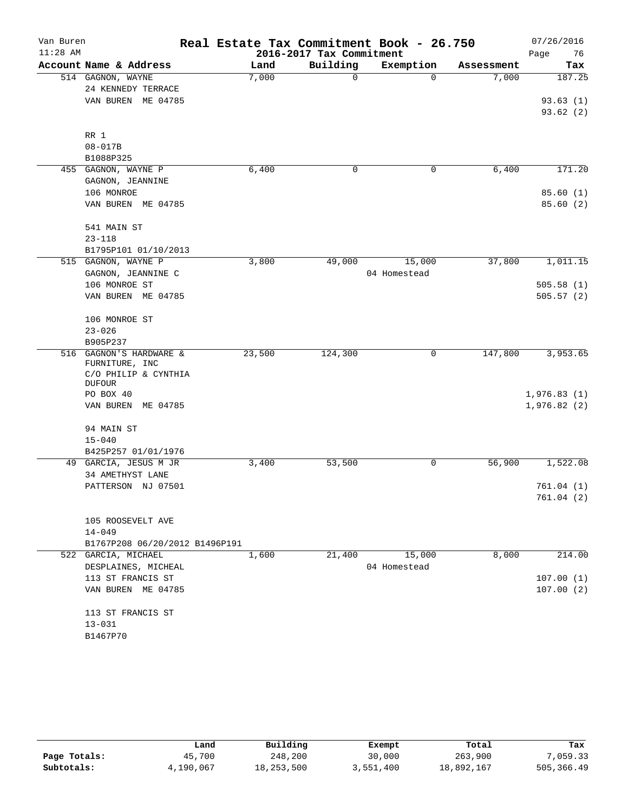| Van Buren  |                                           | Real Estate Tax Commitment Book - 26.750 |                          |              |            | 07/26/2016  |
|------------|-------------------------------------------|------------------------------------------|--------------------------|--------------|------------|-------------|
| $11:28$ AM |                                           |                                          | 2016-2017 Tax Commitment |              |            | 76<br>Page  |
|            | Account Name & Address                    | Land                                     | Building                 | Exemption    | Assessment | Tax         |
|            | 514 GAGNON, WAYNE                         | 7,000                                    | 0                        | $\Omega$     | 7,000      | 187.25      |
|            | 24 KENNEDY TERRACE                        |                                          |                          |              |            |             |
|            | VAN BUREN ME 04785                        |                                          |                          |              |            | 93.63(1)    |
|            |                                           |                                          |                          |              |            | 93.62(2)    |
|            | RR 1                                      |                                          |                          |              |            |             |
|            | $08 - 017B$                               |                                          |                          |              |            |             |
|            | B1088P325                                 |                                          |                          |              |            |             |
|            | 455 GAGNON, WAYNE P                       | 6,400                                    | 0                        | 0            | 6,400      | 171.20      |
|            | GAGNON, JEANNINE                          |                                          |                          |              |            |             |
|            | 106 MONROE                                |                                          |                          |              |            | 85.60(1)    |
|            | VAN BUREN ME 04785                        |                                          |                          |              |            | 85.60 (2)   |
|            |                                           |                                          |                          |              |            |             |
|            | 541 MAIN ST                               |                                          |                          |              |            |             |
|            | $23 - 118$                                |                                          |                          |              |            |             |
|            | B1795P101 01/10/2013                      |                                          |                          |              |            |             |
|            | 515 GAGNON, WAYNE P                       | 3,800                                    | 49,000                   | 15,000       | 37,800     | 1,011.15    |
|            | GAGNON, JEANNINE C                        |                                          |                          | 04 Homestead |            |             |
|            | 106 MONROE ST                             |                                          |                          |              |            | 505.58(1)   |
|            | VAN BUREN ME 04785                        |                                          |                          |              |            | 505.57(2)   |
|            |                                           |                                          |                          |              |            |             |
|            | 106 MONROE ST                             |                                          |                          |              |            |             |
|            | $23 - 026$                                |                                          |                          |              |            |             |
|            | B905P237                                  |                                          |                          |              |            |             |
|            | 516 GAGNON'S HARDWARE &<br>FURNITURE, INC | 23,500                                   | 124,300                  | 0            | 147,800    | 3,953.65    |
|            | C/O PHILIP & CYNTHIA                      |                                          |                          |              |            |             |
|            | <b>DUFOUR</b><br>PO BOX 40                |                                          |                          |              |            | 1,976.83(1) |
|            | VAN BUREN ME 04785                        |                                          |                          |              |            | 1,976.82(2) |
|            |                                           |                                          |                          |              |            |             |
|            | 94 MAIN ST                                |                                          |                          |              |            |             |
|            | $15 - 040$                                |                                          |                          |              |            |             |
|            | B425P257 01/01/1976                       |                                          |                          |              |            |             |
|            | 49 GARCIA, JESUS M JR                     | 3,400                                    | 53,500                   | 0            | 56,900     | 1,522.08    |
|            | 34 AMETHYST LANE                          |                                          |                          |              |            |             |
|            | PATTERSON NJ 07501                        |                                          |                          |              |            | 761.04(1)   |
|            |                                           |                                          |                          |              |            | 761.04(2)   |
|            |                                           |                                          |                          |              |            |             |
|            | 105 ROOSEVELT AVE                         |                                          |                          |              |            |             |
|            | $14 - 049$                                |                                          |                          |              |            |             |
|            | B1767P208 06/20/2012 B1496P191            |                                          |                          |              |            |             |
|            | 522 GARCIA, MICHAEL                       | 1,600                                    | 21,400                   | 15,000       | 8,000      | 214.00      |
|            | DESPLAINES, MICHEAL                       |                                          |                          | 04 Homestead |            |             |
|            | 113 ST FRANCIS ST                         |                                          |                          |              |            | 107.00(1)   |
|            | VAN BUREN ME 04785                        |                                          |                          |              |            | 107.00(2)   |
|            |                                           |                                          |                          |              |            |             |
|            | 113 ST FRANCIS ST                         |                                          |                          |              |            |             |
|            | $13 - 031$                                |                                          |                          |              |            |             |
|            | B1467P70                                  |                                          |                          |              |            |             |

|              | Land      | Building   | Exempt    | Total      | Tax        |
|--------------|-----------|------------|-----------|------------|------------|
| Page Totals: | 45,700    | 248,200    | 30,000    | 263,900    | 7,059.33   |
| Subtotals:   | 4,190,067 | 18,253,500 | 3,551,400 | 18,892,167 | 505,366.49 |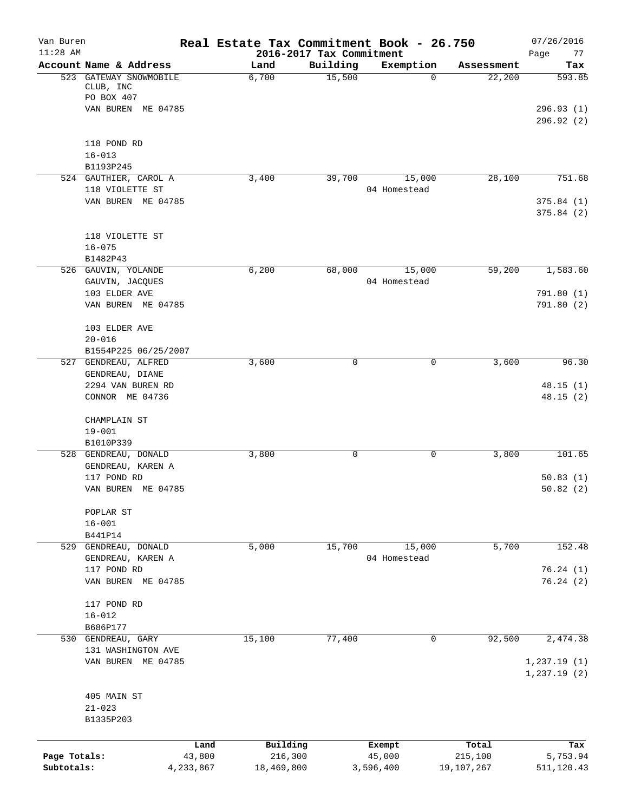| Van Buren<br>$11:28$ AM |                                                   | Real Estate Tax Commitment Book - 26.750 | 2016-2017 Tax Commitment |                  |                  | 07/26/2016<br>Page<br>77 |
|-------------------------|---------------------------------------------------|------------------------------------------|--------------------------|------------------|------------------|--------------------------|
|                         | Account Name & Address                            | Land                                     | Building                 | Exemption        | Assessment       | Tax                      |
|                         | 523 GATEWAY SNOWMOBILE<br>CLUB, INC<br>PO BOX 407 | 6,700                                    | 15,500                   | 0                | 22,200           | 593.85                   |
|                         | VAN BUREN ME 04785                                |                                          |                          |                  |                  | 296.93(1)<br>296.92(2)   |
|                         | 118 POND RD                                       |                                          |                          |                  |                  |                          |
|                         | $16 - 013$                                        |                                          |                          |                  |                  |                          |
|                         | B1193P245<br>524 GAUTHIER, CAROL A                | 3,400                                    | 39,700                   | 15,000           | 28,100           | 751.68                   |
|                         | 118 VIOLETTE ST                                   |                                          |                          | 04 Homestead     |                  |                          |
|                         | VAN BUREN ME 04785                                |                                          |                          |                  |                  | 375.84(1)<br>375.84(2)   |
|                         | 118 VIOLETTE ST                                   |                                          |                          |                  |                  |                          |
|                         | $16 - 075$                                        |                                          |                          |                  |                  |                          |
|                         | B1482P43                                          |                                          |                          |                  |                  |                          |
|                         | 526 GAUVIN, YOLANDE                               | 6,200                                    | 68,000                   | 15,000           | 59,200           | 1,583.60                 |
|                         | GAUVIN, JACQUES<br>103 ELDER AVE                  |                                          |                          | 04 Homestead     |                  | 791.80 (1)               |
|                         | VAN BUREN ME 04785                                |                                          |                          |                  |                  | 791.80(2)                |
|                         | 103 ELDER AVE                                     |                                          |                          |                  |                  |                          |
|                         | $20 - 016$                                        |                                          |                          |                  |                  |                          |
|                         | B1554P225 06/25/2007<br>527 GENDREAU, ALFRED      | 3,600                                    | 0                        | 0                | 3,600            | 96.30                    |
|                         | GENDREAU, DIANE                                   |                                          |                          |                  |                  |                          |
|                         | 2294 VAN BUREN RD                                 |                                          |                          |                  |                  | 48.15(1)                 |
|                         | CONNOR ME 04736                                   |                                          |                          |                  |                  | 48.15(2)                 |
|                         | CHAMPLAIN ST                                      |                                          |                          |                  |                  |                          |
|                         | $19 - 001$                                        |                                          |                          |                  |                  |                          |
|                         | B1010P339<br>528 GENDREAU, DONALD                 | 3,800                                    | 0                        | 0                | 3,800            | 101.65                   |
|                         | GENDREAU, KAREN A                                 |                                          |                          |                  |                  |                          |
|                         | 117 POND RD                                       |                                          |                          |                  |                  | 50.83(1)                 |
|                         | VAN BUREN ME 04785                                |                                          |                          |                  |                  | 50.82(2)                 |
|                         | POPLAR ST                                         |                                          |                          |                  |                  |                          |
|                         | $16 - 001$                                        |                                          |                          |                  |                  |                          |
|                         | B441P14<br>529 GENDREAU, DONALD                   | 5,000                                    | 15,700                   | 15,000           | 5,700            | 152.48                   |
|                         | GENDREAU, KAREN A                                 |                                          |                          | 04 Homestead     |                  |                          |
|                         | 117 POND RD                                       |                                          |                          |                  |                  | 76.24(1)                 |
|                         | VAN BUREN ME 04785                                |                                          |                          |                  |                  | 76.24(2)                 |
|                         | 117 POND RD                                       |                                          |                          |                  |                  |                          |
|                         | $16 - 012$                                        |                                          |                          |                  |                  |                          |
|                         | B686P177                                          |                                          |                          |                  |                  |                          |
|                         | 530 GENDREAU, GARY                                | 15,100                                   | 77,400                   | $\mathbf 0$      | 92,500           | 2,474.38                 |
|                         | 131 WASHINGTON AVE<br>VAN BUREN ME 04785          |                                          |                          |                  |                  | 1, 237.19(1)             |
|                         |                                                   |                                          |                          |                  |                  | 1, 237.19(2)             |
|                         | 405 MAIN ST                                       |                                          |                          |                  |                  |                          |
|                         | $21 - 023$                                        |                                          |                          |                  |                  |                          |
|                         | B1335P203                                         |                                          |                          |                  |                  |                          |
|                         |                                                   |                                          |                          |                  |                  |                          |
| Page Totals:            | Land<br>43,800                                    | Building<br>216,300                      |                          | Exempt<br>45,000 | Total<br>215,100 | Tax<br>5,753.94          |
| Subtotals:              | 4,233,867                                         | 18,469,800                               |                          | 3,596,400        | 19,107,267       | 511,120.43               |
|                         |                                                   |                                          |                          |                  |                  |                          |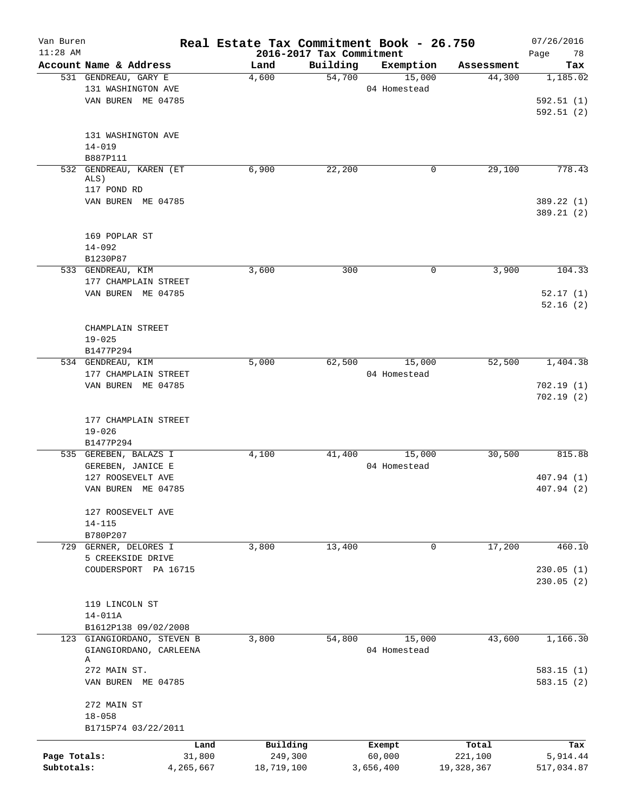| Van Buren<br>$11:28$ AM |                                    | Real Estate Tax Commitment Book - 26.750 |                                      |              |            | 07/26/2016             |
|-------------------------|------------------------------------|------------------------------------------|--------------------------------------|--------------|------------|------------------------|
|                         | Account Name & Address             | Land                                     | 2016-2017 Tax Commitment<br>Building | Exemption    | Assessment | 78<br>Page<br>Tax      |
|                         | 531 GENDREAU, GARY E               | 4,600                                    | 54,700                               | 15,000       | 44,300     | 1,185.02               |
|                         | 131 WASHINGTON AVE                 |                                          |                                      | 04 Homestead |            |                        |
|                         | VAN BUREN ME 04785                 |                                          |                                      |              |            | 592.51(1)              |
|                         |                                    |                                          |                                      |              |            | 592.51(2)              |
|                         |                                    |                                          |                                      |              |            |                        |
|                         | 131 WASHINGTON AVE<br>$14 - 019$   |                                          |                                      |              |            |                        |
|                         | B887P111                           |                                          |                                      |              |            |                        |
|                         | 532 GENDREAU, KAREN (ET            | 6,900                                    | 22,200                               | 0            | 29,100     | 778.43                 |
|                         | ALS)                               |                                          |                                      |              |            |                        |
|                         | 117 POND RD                        |                                          |                                      |              |            |                        |
|                         | VAN BUREN ME 04785                 |                                          |                                      |              |            | 389.22 (1)             |
|                         |                                    |                                          |                                      |              |            | 389.21 (2)             |
|                         | 169 POPLAR ST                      |                                          |                                      |              |            |                        |
|                         | $14 - 092$                         |                                          |                                      |              |            |                        |
|                         | B1230P87                           |                                          |                                      |              |            |                        |
|                         | 533 GENDREAU, KIM                  | 3,600                                    | 300                                  | 0            | 3,900      | 104.33                 |
|                         | 177 CHAMPLAIN STREET               |                                          |                                      |              |            |                        |
|                         | VAN BUREN ME 04785                 |                                          |                                      |              |            | 52.17(1)               |
|                         |                                    |                                          |                                      |              |            | 52.16(2)               |
|                         |                                    |                                          |                                      |              |            |                        |
|                         | CHAMPLAIN STREET                   |                                          |                                      |              |            |                        |
|                         | $19 - 025$                         |                                          |                                      |              |            |                        |
|                         | B1477P294                          |                                          |                                      |              |            |                        |
|                         | 534 GENDREAU, KIM                  | 5,000                                    | 62,500                               | 15,000       | 52,500     | 1,404.38               |
|                         | 177 CHAMPLAIN STREET               |                                          |                                      | 04 Homestead |            |                        |
|                         | VAN BUREN ME 04785                 |                                          |                                      |              |            | 702.19(1)<br>702.19(2) |
|                         |                                    |                                          |                                      |              |            |                        |
|                         | 177 CHAMPLAIN STREET<br>$19 - 026$ |                                          |                                      |              |            |                        |
|                         | B1477P294                          |                                          |                                      |              |            |                        |
|                         | 535 GEREBEN, BALAZS I              | 4,100                                    | 41,400                               | 15,000       | 30,500     | 815.88                 |
|                         | GEREBEN, JANICE E                  |                                          |                                      | 04 Homestead |            |                        |
|                         | 127 ROOSEVELT AVE                  |                                          |                                      |              |            | 407.94 (1)             |
|                         | VAN BUREN ME 04785                 |                                          |                                      |              |            | 407.94 (2)             |
|                         |                                    |                                          |                                      |              |            |                        |
|                         | 127 ROOSEVELT AVE<br>$14 - 115$    |                                          |                                      |              |            |                        |
|                         | B780P207                           |                                          |                                      |              |            |                        |
|                         | 729 GERNER, DELORES I              | 3,800                                    | 13,400                               | 0            | 17,200     | 460.10                 |
|                         | 5 CREEKSIDE DRIVE                  |                                          |                                      |              |            |                        |
|                         | COUDERSPORT PA 16715               |                                          |                                      |              |            | 230.05(1)              |
|                         |                                    |                                          |                                      |              |            | 230.05 (2)             |
|                         |                                    |                                          |                                      |              |            |                        |
|                         | 119 LINCOLN ST                     |                                          |                                      |              |            |                        |
|                         | $14 - 011A$                        |                                          |                                      |              |            |                        |
|                         | B1612P138 09/02/2008               |                                          |                                      |              |            |                        |
|                         | 123 GIANGIORDANO, STEVEN B         | 3,800                                    | 54,800                               | 15,000       | 43,600     | 1,166.30               |
|                         | GIANGIORDANO, CARLEENA<br>Α        |                                          |                                      | 04 Homestead |            |                        |
|                         | 272 MAIN ST.                       |                                          |                                      |              |            | 583.15(1)              |
|                         | VAN BUREN ME 04785                 |                                          |                                      |              |            | 583.15(2)              |
|                         |                                    |                                          |                                      |              |            |                        |
|                         | 272 MAIN ST                        |                                          |                                      |              |            |                        |
|                         | $18 - 058$<br>B1715P74 03/22/2011  |                                          |                                      |              |            |                        |
|                         | Land                               | Building                                 |                                      | Exempt       | Total      | Tax                    |
| Page Totals:            | 31,800                             | 249,300                                  |                                      | 60,000       | 221,100    | 5,914.44               |
| Subtotals:              | 4,265,667                          | 18,719,100                               |                                      | 3,656,400    | 19,328,367 | 517,034.87             |
|                         |                                    |                                          |                                      |              |            |                        |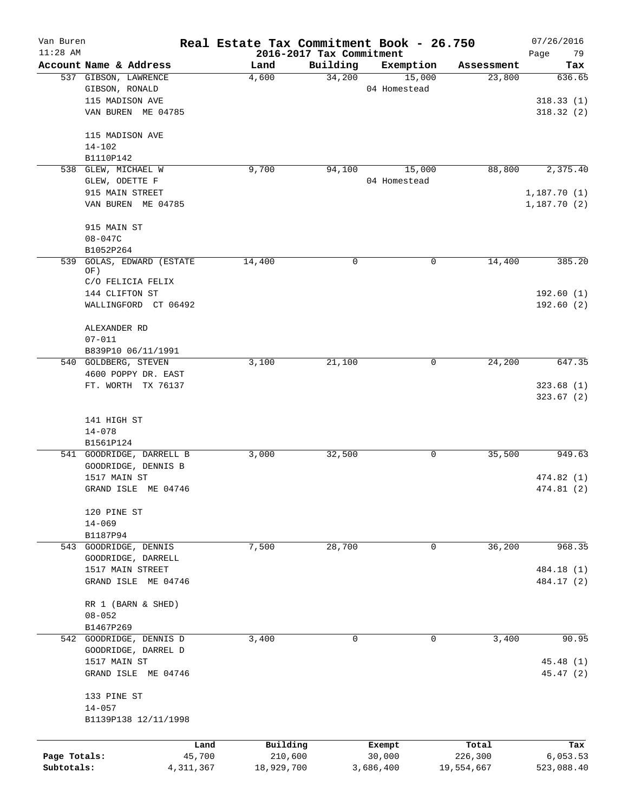| Van Buren                  |                                        |                       | Real Estate Tax Commitment Book - 26.750 |                          |                        |                       | 07/26/2016                 |
|----------------------------|----------------------------------------|-----------------------|------------------------------------------|--------------------------|------------------------|-----------------------|----------------------------|
| $11:28$ AM                 |                                        |                       |                                          | 2016-2017 Tax Commitment |                        |                       | 79<br>Page                 |
|                            | Account Name & Address                 |                       | Land                                     | Building<br>34,200       | Exemption              | Assessment            | Tax<br>636.65              |
|                            | 537 GIBSON, LAWRENCE<br>GIBSON, RONALD |                       | 4,600                                    |                          | 15,000<br>04 Homestead | 23,800                |                            |
|                            | 115 MADISON AVE                        |                       |                                          |                          |                        |                       | 318.33(1)                  |
|                            | VAN BUREN ME 04785                     |                       |                                          |                          |                        |                       | 318.32(2)                  |
|                            |                                        |                       |                                          |                          |                        |                       |                            |
|                            | 115 MADISON AVE                        |                       |                                          |                          |                        |                       |                            |
|                            | $14 - 102$                             |                       |                                          |                          |                        |                       |                            |
|                            | B1110P142                              |                       |                                          |                          |                        |                       |                            |
| 538                        | GLEW, MICHAEL W                        |                       | 9,700                                    | 94,100                   | 15,000                 | 88,800                | 2,375.40                   |
|                            | GLEW, ODETTE F                         |                       |                                          |                          | 04 Homestead           |                       |                            |
|                            | 915 MAIN STREET<br>VAN BUREN ME 04785  |                       |                                          |                          |                        |                       | 1,187.70(1)<br>1,187.70(2) |
|                            |                                        |                       |                                          |                          |                        |                       |                            |
|                            | 915 MAIN ST                            |                       |                                          |                          |                        |                       |                            |
|                            | 08-047C                                |                       |                                          |                          |                        |                       |                            |
|                            | B1052P264                              |                       |                                          |                          |                        |                       |                            |
| 539                        | GOLAS, EDWARD (ESTATE                  |                       | 14,400                                   | 0                        | 0                      | 14,400                | 385.20                     |
|                            | OF)                                    |                       |                                          |                          |                        |                       |                            |
|                            | C/O FELICIA FELIX                      |                       |                                          |                          |                        |                       |                            |
|                            | 144 CLIFTON ST                         |                       |                                          |                          |                        |                       | 192.60(1)                  |
|                            | WALLINGFORD CT 06492                   |                       |                                          |                          |                        |                       | 192.60(2)                  |
|                            | ALEXANDER RD                           |                       |                                          |                          |                        |                       |                            |
|                            | $07 - 011$                             |                       |                                          |                          |                        |                       |                            |
|                            | B839P10 06/11/1991                     |                       |                                          |                          |                        |                       |                            |
|                            | 540 GOLDBERG, STEVEN                   |                       | 3,100                                    | 21,100                   | 0                      | 24,200                | 647.35                     |
|                            | 4600 POPPY DR. EAST                    |                       |                                          |                          |                        |                       |                            |
|                            | FT. WORTH TX 76137                     |                       |                                          |                          |                        |                       | 323.68(1)                  |
|                            |                                        |                       |                                          |                          |                        |                       | 323.67(2)                  |
|                            |                                        |                       |                                          |                          |                        |                       |                            |
|                            | 141 HIGH ST<br>$14 - 078$              |                       |                                          |                          |                        |                       |                            |
|                            | B1561P124                              |                       |                                          |                          |                        |                       |                            |
|                            | 541 GOODRIDGE, DARRELL B               |                       | 3,000                                    | 32,500                   | 0                      | 35,500                | 949.63                     |
|                            | GOODRIDGE, DENNIS B                    |                       |                                          |                          |                        |                       |                            |
|                            | 1517 MAIN ST                           |                       |                                          |                          |                        |                       | 474.82 (1)                 |
|                            | GRAND ISLE ME 04746                    |                       |                                          |                          |                        |                       | 474.81 (2)                 |
|                            |                                        |                       |                                          |                          |                        |                       |                            |
|                            | 120 PINE ST                            |                       |                                          |                          |                        |                       |                            |
|                            | $14 - 069$                             |                       |                                          |                          |                        |                       |                            |
|                            | B1187P94                               |                       |                                          |                          |                        |                       |                            |
|                            | 543 GOODRIDGE, DENNIS                  |                       | 7,500                                    | 28,700                   | 0                      | 36,200                | 968.35                     |
|                            | GOODRIDGE, DARRELL                     |                       |                                          |                          |                        |                       |                            |
|                            | 1517 MAIN STREET                       |                       |                                          |                          |                        |                       | 484.18 (1)                 |
|                            | GRAND ISLE ME 04746                    |                       |                                          |                          |                        |                       | 484.17 (2)                 |
|                            |                                        |                       |                                          |                          |                        |                       |                            |
|                            | RR 1 (BARN & SHED)<br>$08 - 052$       |                       |                                          |                          |                        |                       |                            |
|                            | B1467P269                              |                       |                                          |                          |                        |                       |                            |
|                            | 542 GOODRIDGE, DENNIS D                |                       | 3,400                                    | $\mathbf 0$              | 0                      | 3,400                 | 90.95                      |
|                            | GOODRIDGE, DARREL D                    |                       |                                          |                          |                        |                       |                            |
|                            | 1517 MAIN ST                           |                       |                                          |                          |                        |                       | 45.48 (1)                  |
|                            | GRAND ISLE ME 04746                    |                       |                                          |                          |                        |                       | 45.47 (2)                  |
|                            |                                        |                       |                                          |                          |                        |                       |                            |
|                            | 133 PINE ST                            |                       |                                          |                          |                        |                       |                            |
|                            | $14 - 057$                             |                       |                                          |                          |                        |                       |                            |
|                            | B1139P138 12/11/1998                   |                       |                                          |                          |                        |                       |                            |
|                            |                                        |                       |                                          |                          |                        |                       |                            |
|                            |                                        | Land                  | Building                                 |                          | Exempt                 | Total                 | Tax                        |
| Page Totals:<br>Subtotals: |                                        | 45,700<br>4, 311, 367 | 210,600<br>18,929,700                    |                          | 30,000<br>3,686,400    | 226,300<br>19,554,667 | 6,053.53<br>523,088.40     |
|                            |                                        |                       |                                          |                          |                        |                       |                            |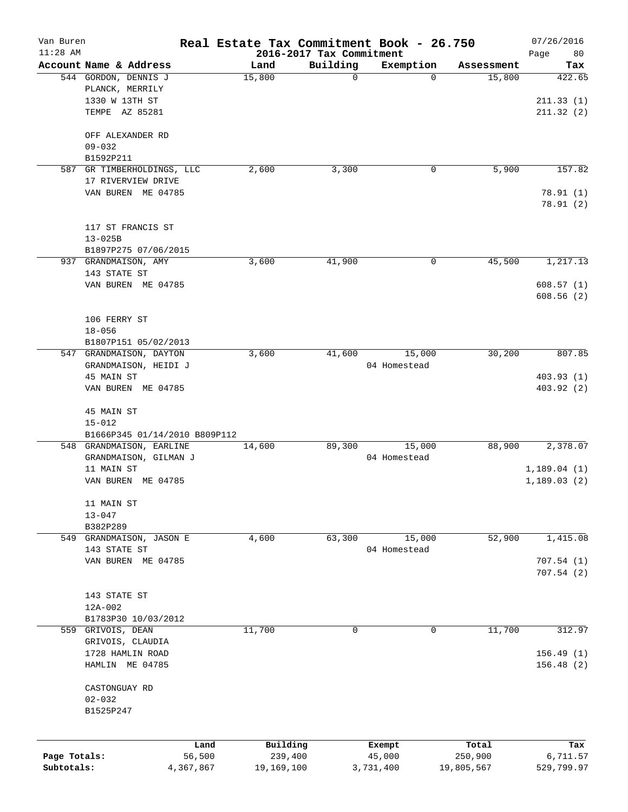| Van Buren    |                                  |           | Real Estate Tax Commitment Book - 26.750 |          |              |            | 07/26/2016                 |
|--------------|----------------------------------|-----------|------------------------------------------|----------|--------------|------------|----------------------------|
| $11:28$ AM   |                                  |           | 2016-2017 Tax Commitment                 |          |              |            | Page<br>80                 |
|              | Account Name & Address           |           | Land                                     | Building | Exemption    | Assessment | Tax                        |
|              | 544 GORDON, DENNIS J             |           | 15,800                                   | 0        | $\Omega$     | 15,800     | 422.65                     |
|              | PLANCK, MERRILY                  |           |                                          |          |              |            |                            |
|              | 1330 W 13TH ST                   |           |                                          |          |              |            | 211.33(1)                  |
|              | TEMPE AZ 85281                   |           |                                          |          |              |            | 211.32(2)                  |
|              | OFF ALEXANDER RD                 |           |                                          |          |              |            |                            |
|              | $09 - 032$                       |           |                                          |          |              |            |                            |
|              | B1592P211                        |           |                                          |          |              |            |                            |
| 587          | GR TIMBERHOLDINGS, LLC           |           | 2,600                                    | 3,300    | 0            | 5,900      | 157.82                     |
|              | 17 RIVERVIEW DRIVE               |           |                                          |          |              |            |                            |
|              | VAN BUREN ME 04785               |           |                                          |          |              |            |                            |
|              |                                  |           |                                          |          |              |            | 78.91(1)<br>78.91(2)       |
|              |                                  |           |                                          |          |              |            |                            |
|              | 117 ST FRANCIS ST                |           |                                          |          |              |            |                            |
|              | $13 - 025B$                      |           |                                          |          |              |            |                            |
|              | B1897P275 07/06/2015             |           |                                          |          |              |            |                            |
|              | 937 GRANDMAISON, AMY             |           | 3,600                                    | 41,900   | 0            | 45,500     | 1,217.13                   |
|              | 143 STATE ST                     |           |                                          |          |              |            |                            |
|              |                                  |           |                                          |          |              |            |                            |
|              | VAN BUREN ME 04785               |           |                                          |          |              |            | 608.57(1)                  |
|              |                                  |           |                                          |          |              |            | 608.56(2)                  |
|              |                                  |           |                                          |          |              |            |                            |
|              | 106 FERRY ST                     |           |                                          |          |              |            |                            |
|              | $18 - 056$                       |           |                                          |          |              |            |                            |
|              | B1807P151 05/02/2013             |           |                                          |          |              |            |                            |
|              | 547 GRANDMAISON, DAYTON          |           | 3,600                                    | 41,600   | 15,000       | 30,200     | 807.85                     |
|              | GRANDMAISON, HEIDI J             |           |                                          |          | 04 Homestead |            |                            |
|              | 45 MAIN ST                       |           |                                          |          |              |            | 403.93(1)                  |
|              | VAN BUREN ME 04785               |           |                                          |          |              |            | 403.92(2)                  |
|              | 45 MAIN ST                       |           |                                          |          |              |            |                            |
|              | $15 - 012$                       |           |                                          |          |              |            |                            |
|              | B1666P345 01/14/2010 B809P112    |           |                                          |          |              |            |                            |
|              | 548 GRANDMAISON, EARLINE         |           | 14,600                                   | 89,300   | 15,000       | 88,900     | 2,378.07                   |
|              |                                  |           |                                          |          |              |            |                            |
|              | GRANDMAISON, GILMAN J            |           |                                          |          | 04 Homestead |            |                            |
|              | 11 MAIN ST<br>VAN BUREN ME 04785 |           |                                          |          |              |            | 1,189.04(1)<br>1,189.03(2) |
|              |                                  |           |                                          |          |              |            |                            |
|              | 11 MAIN ST                       |           |                                          |          |              |            |                            |
|              | $13 - 047$                       |           |                                          |          |              |            |                            |
|              | B382P289                         |           |                                          |          |              |            |                            |
| 549          | GRANDMAISON, JASON E             |           | 4,600                                    | 63,300   | 15,000       | 52,900     | 1,415.08                   |
|              | 143 STATE ST                     |           |                                          |          | 04 Homestead |            |                            |
|              | VAN BUREN ME 04785               |           |                                          |          |              |            | 707.54(1)                  |
|              |                                  |           |                                          |          |              |            | 707.54(2)                  |
|              |                                  |           |                                          |          |              |            |                            |
|              | 143 STATE ST                     |           |                                          |          |              |            |                            |
|              | $12A-002$                        |           |                                          |          |              |            |                            |
|              | B1783P30 10/03/2012              |           |                                          |          |              |            |                            |
| 559          | GRIVOIS, DEAN                    |           | 11,700                                   | 0        | 0            | 11,700     | 312.97                     |
|              | GRIVOIS, CLAUDIA                 |           |                                          |          |              |            |                            |
|              | 1728 HAMLIN ROAD                 |           |                                          |          |              |            | 156.49(1)                  |
|              |                                  |           |                                          |          |              |            |                            |
|              | HAMLIN ME 04785                  |           |                                          |          |              |            | 156.48(2)                  |
|              | CASTONGUAY RD                    |           |                                          |          |              |            |                            |
|              | $02 - 032$                       |           |                                          |          |              |            |                            |
|              | B1525P247                        |           |                                          |          |              |            |                            |
|              |                                  |           |                                          |          |              |            |                            |
|              |                                  | Land      | Building                                 |          | Exempt       | Total      | Tax                        |
| Page Totals: |                                  | 56,500    | 239,400                                  |          | 45,000       | 250,900    | 6,711.57                   |
| Subtotals:   |                                  | 4,367,867 | 19,169,100                               |          | 3,731,400    | 19,805,567 | 529,799.97                 |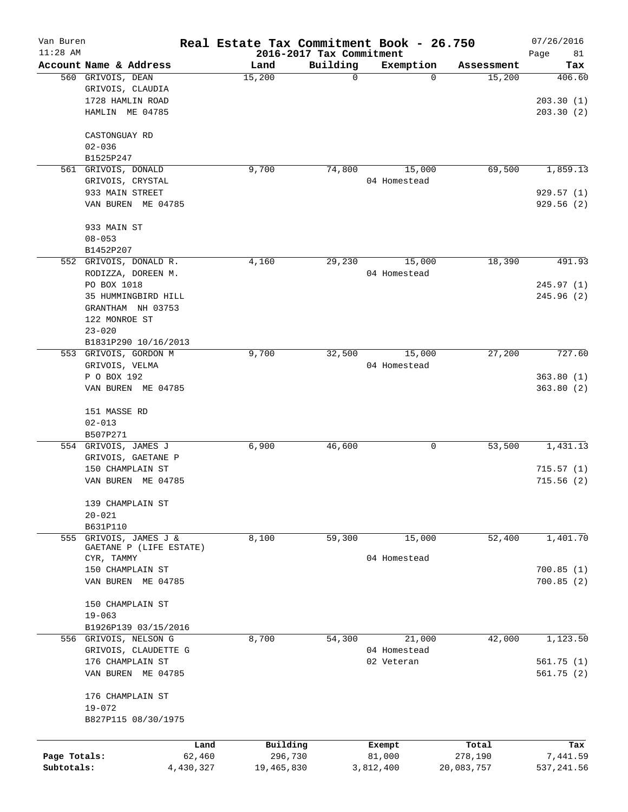| Van Buren<br>$11:28$ AM |                         |           | Real Estate Tax Commitment Book - 26.750 | 2016-2017 Tax Commitment |              |            | 07/26/2016<br>Page<br>81 |
|-------------------------|-------------------------|-----------|------------------------------------------|--------------------------|--------------|------------|--------------------------|
|                         | Account Name & Address  |           | Land                                     | Building                 | Exemption    | Assessment | Tax                      |
|                         | 560 GRIVOIS, DEAN       |           | 15,200                                   | 0                        | $\Omega$     | 15,200     | 406.60                   |
|                         | GRIVOIS, CLAUDIA        |           |                                          |                          |              |            |                          |
|                         | 1728 HAMLIN ROAD        |           |                                          |                          |              |            | 203.30(1)                |
|                         | HAMLIN ME 04785         |           |                                          |                          |              |            | 203.30(2)                |
|                         | CASTONGUAY RD           |           |                                          |                          |              |            |                          |
|                         | $02 - 036$              |           |                                          |                          |              |            |                          |
|                         | B1525P247               |           |                                          |                          |              |            |                          |
| 561                     | GRIVOIS, DONALD         |           | 9,700                                    | 74,800                   | 15,000       | 69,500     | 1,859.13                 |
|                         | GRIVOIS, CRYSTAL        |           |                                          |                          | 04 Homestead |            |                          |
|                         | 933 MAIN STREET         |           |                                          |                          |              |            | 929.57(1)                |
|                         | VAN BUREN ME 04785      |           |                                          |                          |              |            | 929.56(2)                |
|                         | 933 MAIN ST             |           |                                          |                          |              |            |                          |
|                         | $08 - 053$              |           |                                          |                          |              |            |                          |
|                         | B1452P207               |           |                                          |                          |              |            |                          |
|                         | 552 GRIVOIS, DONALD R.  |           | 4,160                                    | 29,230                   | 15,000       | 18,390     | 491.93                   |
|                         | RODIZZA, DOREEN M.      |           |                                          |                          | 04 Homestead |            |                          |
|                         | PO BOX 1018             |           |                                          |                          |              |            | 245.97(1)                |
|                         | 35 HUMMINGBIRD HILL     |           |                                          |                          |              |            | 245.96(2)                |
|                         | GRANTHAM NH 03753       |           |                                          |                          |              |            |                          |
|                         | 122 MONROE ST           |           |                                          |                          |              |            |                          |
|                         | $23 - 020$              |           |                                          |                          |              |            |                          |
|                         | B1831P290 10/16/2013    |           |                                          |                          |              |            |                          |
|                         | 553 GRIVOIS, GORDON M   |           | 9,700                                    | 32,500                   | 15,000       | 27,200     | 727.60                   |
|                         | GRIVOIS, VELMA          |           |                                          |                          | 04 Homestead |            |                          |
|                         | P O BOX 192             |           |                                          |                          |              |            | 363.80(1)                |
|                         | VAN BUREN ME 04785      |           |                                          |                          |              |            | 363.80(2)                |
|                         |                         |           |                                          |                          |              |            |                          |
|                         | 151 MASSE RD            |           |                                          |                          |              |            |                          |
|                         | $02 - 013$              |           |                                          |                          |              |            |                          |
|                         | B507P271                |           |                                          |                          |              |            |                          |
|                         | 554 GRIVOIS, JAMES J    |           | 6,900                                    | 46,600                   | 0            | 53,500     | 1,431.13                 |
|                         | GRIVOIS, GAETANE P      |           |                                          |                          |              |            |                          |
|                         | 150 CHAMPLAIN ST        |           |                                          |                          |              |            | 715.57(1)                |
|                         | VAN BUREN<br>ME 04785   |           |                                          |                          |              |            | 715.56(2)                |
|                         | 139 CHAMPLAIN ST        |           |                                          |                          |              |            |                          |
|                         | $20 - 021$              |           |                                          |                          |              |            |                          |
|                         | B631P110                |           |                                          |                          |              |            |                          |
| 555                     | GRIVOIS, JAMES J &      |           | 8,100                                    | 59,300                   | 15,000       | 52,400     | 1,401.70                 |
|                         | GAETANE P (LIFE ESTATE) |           |                                          |                          |              |            |                          |
|                         | CYR, TAMMY              |           |                                          |                          | 04 Homestead |            |                          |
|                         | 150 CHAMPLAIN ST        |           |                                          |                          |              |            | 700.85(1)                |
|                         | VAN BUREN ME 04785      |           |                                          |                          |              |            | 700.85(2)                |
|                         | 150 CHAMPLAIN ST        |           |                                          |                          |              |            |                          |
|                         | $19 - 063$              |           |                                          |                          |              |            |                          |
|                         | B1926P139 03/15/2016    |           |                                          |                          |              |            |                          |
|                         | 556 GRIVOIS, NELSON G   |           | 8,700                                    | 54,300                   | 21,000       | 42,000     | 1,123.50                 |
|                         | GRIVOIS, CLAUDETTE G    |           |                                          |                          | 04 Homestead |            |                          |
|                         | 176 CHAMPLAIN ST        |           |                                          |                          | 02 Veteran   |            | 561.75(1)                |
|                         | VAN BUREN ME 04785      |           |                                          |                          |              |            | 561.75(2)                |
|                         | 176 CHAMPLAIN ST        |           |                                          |                          |              |            |                          |
|                         | $19 - 072$              |           |                                          |                          |              |            |                          |
|                         | B827P115 08/30/1975     |           |                                          |                          |              |            |                          |
|                         |                         | Land      | Building                                 |                          | Exempt       | Total      | Tax                      |
| Page Totals:            |                         | 62,460    | 296,730                                  |                          | 81,000       | 278,190    | 7,441.59                 |
| Subtotals:              |                         | 4,430,327 | 19,465,830                               |                          | 3,812,400    | 20,083,757 | 537, 241.56              |
|                         |                         |           |                                          |                          |              |            |                          |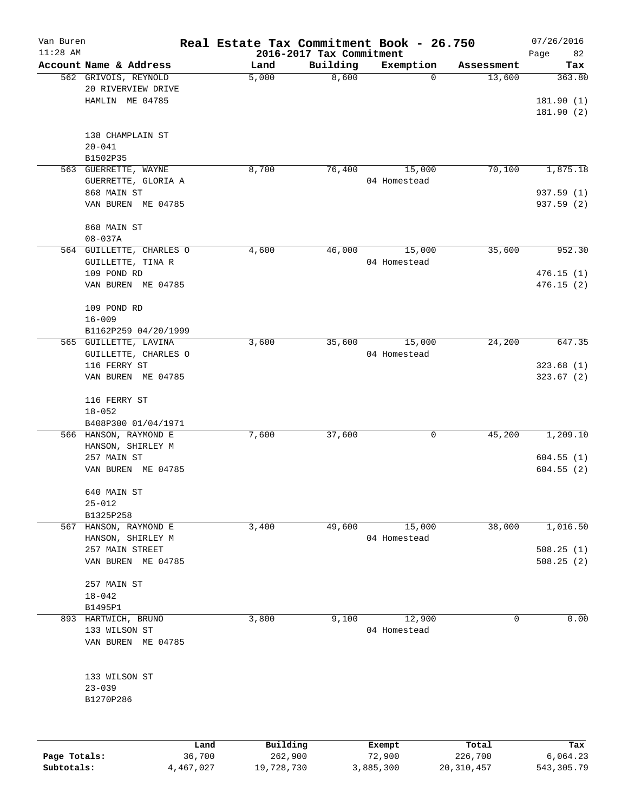| Van Buren<br>$11:28$ AM |                                                               | Real Estate Tax Commitment Book - 26.750 | 2016-2017 Tax Commitment |                        |            | 07/26/2016<br>Page<br>82         |
|-------------------------|---------------------------------------------------------------|------------------------------------------|--------------------------|------------------------|------------|----------------------------------|
|                         | Account Name & Address                                        | Land                                     | Building                 | Exemption              | Assessment | Tax                              |
|                         | 562 GRIVOIS, REYNOLD<br>20 RIVERVIEW DRIVE<br>HAMLIN ME 04785 | 5,000                                    | 8,600                    | 0                      | 13,600     | 363.80<br>181.90(1)<br>181.90(2) |
|                         | 138 CHAMPLAIN ST<br>$20 - 041$<br>B1502P35                    |                                          |                          |                        |            |                                  |
|                         | 563 GUERRETTE, WAYNE<br>GUERRETTE, GLORIA A                   | 8,700                                    | 76,400                   | 15,000<br>04 Homestead | 70,100     | 1,875.18                         |
|                         | 868 MAIN ST<br>VAN BUREN ME 04785                             |                                          |                          |                        |            | 937.59 (1)<br>937.59 (2)         |
|                         | 868 MAIN ST<br>$08 - 037A$                                    |                                          |                          |                        |            |                                  |
|                         | 564 GUILLETTE, CHARLES O<br>GUILLETTE, TINA R                 | 4,600                                    | 46,000                   | 15,000<br>04 Homestead | 35,600     | 952.30                           |
|                         | 109 POND RD<br>VAN BUREN ME 04785                             |                                          |                          |                        |            | 476.15(1)<br>476.15(2)           |
|                         | 109 POND RD<br>$16 - 009$                                     |                                          |                          |                        |            |                                  |
|                         | B1162P259 04/20/1999                                          |                                          |                          |                        |            |                                  |
|                         | 565 GUILLETTE, LAVINA<br>GUILLETTE, CHARLES O                 | 3,600                                    | 35,600                   | 15,000<br>04 Homestead | 24,200     | 647.35                           |
|                         | 116 FERRY ST<br>VAN BUREN ME 04785                            |                                          |                          |                        |            | 323.68(1)<br>323.67(2)           |
|                         | 116 FERRY ST<br>$18 - 052$                                    |                                          |                          |                        |            |                                  |
|                         | B408P300 01/04/1971                                           |                                          |                          |                        |            |                                  |
|                         | 566 HANSON, RAYMOND E<br>HANSON, SHIRLEY M                    | 7,600                                    | 37,600                   | 0                      | 45,200     | 1,209.10                         |
|                         | 257 MAIN ST<br>VAN BUREN ME 04785                             |                                          |                          |                        |            | 604.55(1)<br>604.55(2)           |
|                         | 640 MAIN ST<br>$25 - 012$                                     |                                          |                          |                        |            |                                  |
|                         | B1325P258                                                     |                                          |                          |                        |            |                                  |
| 567                     | HANSON, RAYMOND E                                             | 3,400                                    | 49,600                   | 15,000                 | 38,000     | 1,016.50                         |
|                         | HANSON, SHIRLEY M                                             |                                          |                          | 04 Homestead           |            |                                  |
|                         | 257 MAIN STREET<br>VAN BUREN ME 04785                         |                                          |                          |                        |            | 508.25(1)<br>508.25(2)           |
|                         | 257 MAIN ST<br>$18 - 042$                                     |                                          |                          |                        |            |                                  |
|                         | B1495P1                                                       |                                          |                          |                        |            |                                  |
|                         | 893 HARTWICH, BRUNO                                           | 3,800                                    | 9,100                    | 12,900                 | 0          | 0.00                             |
|                         | 133 WILSON ST<br>VAN BUREN ME 04785                           |                                          |                          | 04 Homestead           |            |                                  |
|                         | 133 WILSON ST<br>$23 - 039$                                   |                                          |                          |                        |            |                                  |
|                         | B1270P286                                                     |                                          |                          |                        |            |                                  |
|                         |                                                               | Building<br>Land                         |                          | Exempt                 | Total      | Tax                              |
| Page Totals:            | 36,700                                                        | 262,900                                  |                          | 72,900                 | 226,700    | 6,064.23                         |

**Subtotals:** 4,467,027 19,728,730 3,885,300 20,310,457 543,305.79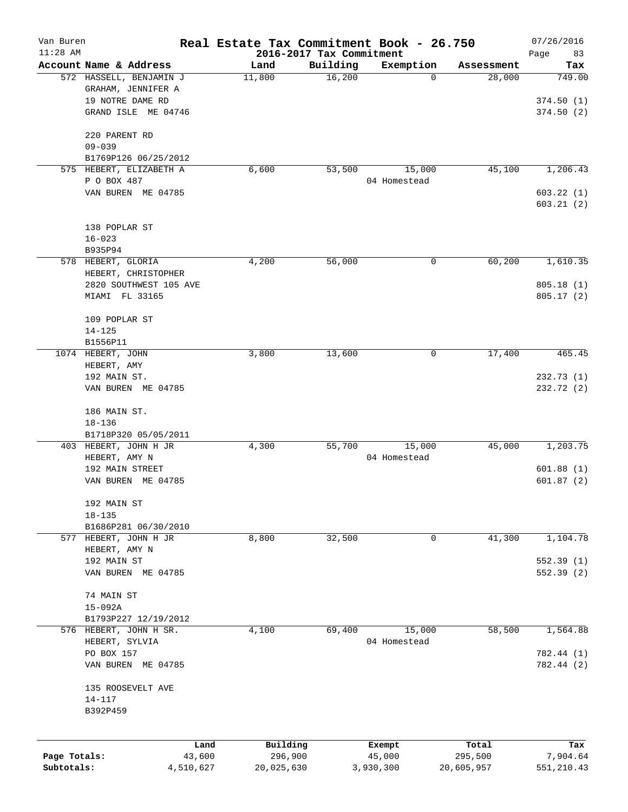| Van Buren<br>$11:28$ AM    |                         | Real Estate Tax Commitment Book - 26.750 |                                      |                     |                       | 07/26/2016             |
|----------------------------|-------------------------|------------------------------------------|--------------------------------------|---------------------|-----------------------|------------------------|
|                            | Account Name & Address  | Land                                     | 2016-2017 Tax Commitment<br>Building | Exemption           | Assessment            | Page<br>83<br>Tax      |
|                            | 572 HASSELL, BENJAMIN J | 11,800                                   | 16,200                               | 0                   | 28,000                | 749.00                 |
|                            | GRAHAM, JENNIFER A      |                                          |                                      |                     |                       |                        |
|                            | 19 NOTRE DAME RD        |                                          |                                      |                     |                       | 374.50(1)              |
|                            | GRAND ISLE ME 04746     |                                          |                                      |                     |                       | 374.50(2)              |
|                            |                         |                                          |                                      |                     |                       |                        |
|                            | 220 PARENT RD           |                                          |                                      |                     |                       |                        |
|                            | $09 - 039$              |                                          |                                      |                     |                       |                        |
|                            | B1769P126 06/25/2012    |                                          |                                      |                     |                       |                        |
|                            | 575 HEBERT, ELIZABETH A | 6,600                                    | 53,500                               | 15,000              | 45,100                | 1,206.43               |
|                            | P O BOX 487             |                                          |                                      | 04 Homestead        |                       |                        |
|                            | VAN BUREN ME 04785      |                                          |                                      |                     |                       | 603.22(1)              |
|                            |                         |                                          |                                      |                     |                       | 603.21(2)              |
|                            | 138 POPLAR ST           |                                          |                                      |                     |                       |                        |
|                            | $16 - 023$              |                                          |                                      |                     |                       |                        |
|                            | B935P94                 |                                          |                                      |                     |                       |                        |
|                            | 578 HEBERT, GLORIA      | 4,200                                    | 56,000                               | 0                   | 60,200                | 1,610.35               |
|                            | HEBERT, CHRISTOPHER     |                                          |                                      |                     |                       |                        |
|                            | 2820 SOUTHWEST 105 AVE  |                                          |                                      |                     |                       | 805.18(1)              |
|                            | MIAMI FL 33165          |                                          |                                      |                     |                       | 805.17(2)              |
|                            |                         |                                          |                                      |                     |                       |                        |
|                            | 109 POPLAR ST           |                                          |                                      |                     |                       |                        |
|                            | $14 - 125$              |                                          |                                      |                     |                       |                        |
|                            | B1556P11                |                                          |                                      |                     |                       |                        |
|                            | 1074 HEBERT, JOHN       | 3,800                                    | 13,600                               | 0                   | 17,400                | 465.45                 |
|                            | HEBERT, AMY             |                                          |                                      |                     |                       |                        |
|                            | 192 MAIN ST.            |                                          |                                      |                     |                       | 232.73(1)              |
|                            | VAN BUREN ME 04785      |                                          |                                      |                     |                       | 232.72 (2)             |
|                            | 186 MAIN ST.            |                                          |                                      |                     |                       |                        |
|                            | $18 - 136$              |                                          |                                      |                     |                       |                        |
|                            | B1718P320 05/05/2011    |                                          |                                      |                     |                       |                        |
|                            | 403 HEBERT, JOHN H JR   | 4,300                                    | 55,700                               | 15,000              | 45,000                | 1,203.75               |
|                            | HEBERT, AMY N           |                                          |                                      | 04 Homestead        |                       |                        |
|                            | 192 MAIN STREET         |                                          |                                      |                     |                       | 601.88(1)              |
|                            | VAN BUREN ME 04785      |                                          |                                      |                     |                       | 601.87(2)              |
|                            | 192 MAIN ST             |                                          |                                      |                     |                       |                        |
|                            | $18 - 135$              |                                          |                                      |                     |                       |                        |
|                            | B1686P281 06/30/2010    |                                          |                                      |                     |                       |                        |
|                            | 577 HEBERT, JOHN H JR   | 8,800                                    | 32,500                               | 0                   | 41,300                | 1,104.78               |
|                            | HEBERT, AMY N           |                                          |                                      |                     |                       |                        |
|                            | 192 MAIN ST             |                                          |                                      |                     |                       | 552.39(1)              |
|                            | VAN BUREN ME 04785      |                                          |                                      |                     |                       | 552.39(2)              |
|                            |                         |                                          |                                      |                     |                       |                        |
|                            | 74 MAIN ST              |                                          |                                      |                     |                       |                        |
|                            | $15 - 092A$             |                                          |                                      |                     |                       |                        |
|                            | B1793P227 12/19/2012    |                                          |                                      |                     |                       |                        |
|                            | 576 HEBERT, JOHN H SR.  | 4,100                                    | 69,400                               | 15,000              | 58,500                | 1,564.88               |
|                            | HEBERT, SYLVIA          |                                          |                                      | 04 Homestead        |                       |                        |
|                            | PO BOX 157              |                                          |                                      |                     |                       | 782.44 (1)             |
|                            | VAN BUREN ME 04785      |                                          |                                      |                     |                       | 782.44 (2)             |
|                            | 135 ROOSEVELT AVE       |                                          |                                      |                     |                       |                        |
|                            | $14 - 117$              |                                          |                                      |                     |                       |                        |
|                            | B392P459                |                                          |                                      |                     |                       |                        |
|                            |                         |                                          |                                      |                     |                       |                        |
|                            | Land                    | Building                                 |                                      | Exempt              | Total                 | Tax                    |
| Page Totals:<br>Subtotals: | 43,600<br>4,510,627     | 296,900<br>20,025,630                    |                                      | 45,000<br>3,930,300 | 295,500<br>20,605,957 | 7,904.64<br>551,210.43 |
|                            |                         |                                          |                                      |                     |                       |                        |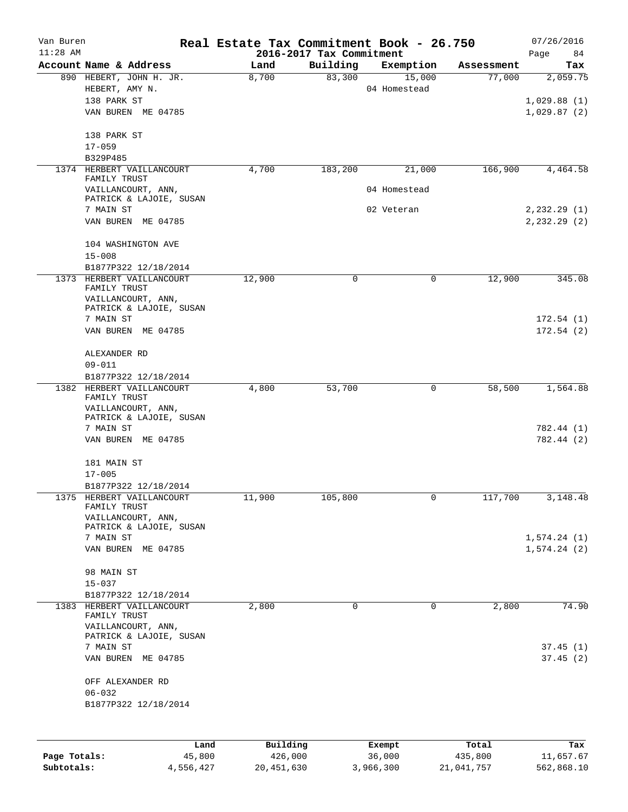| Van Buren<br>$11:28$ AM |                                                                 | Real Estate Tax Commitment Book - 26.750 | 2016-2017 Tax Commitment |                            |            | 07/26/2016<br>Page<br>84        |
|-------------------------|-----------------------------------------------------------------|------------------------------------------|--------------------------|----------------------------|------------|---------------------------------|
|                         | Account Name & Address                                          | Land                                     | Building                 | Exemption                  | Assessment | Tax                             |
|                         | 890 HEBERT, JOHN H. JR.<br>HEBERT, AMY N.<br>138 PARK ST        | 8,700                                    | 83,300                   | 15,000<br>04 Homestead     | 77,000     | 2,059.75                        |
|                         | VAN BUREN ME 04785                                              |                                          |                          |                            |            | 1,029.88(1)<br>1,029.87(2)      |
|                         | 138 PARK ST<br>$17 - 059$                                       |                                          |                          |                            |            |                                 |
|                         | B329P485                                                        |                                          |                          |                            |            |                                 |
|                         | 1374 HERBERT VAILLANCOURT<br>FAMILY TRUST                       | 4,700                                    | 183,200                  | 21,000                     | 166,900    | 4,464.58                        |
|                         | VAILLANCOURT, ANN,<br>PATRICK & LAJOIE, SUSAN<br>7 MAIN ST      |                                          |                          | 04 Homestead<br>02 Veteran |            |                                 |
|                         | VAN BUREN ME 04785                                              |                                          |                          |                            |            | 2,232.29 (1)<br>$2, 232.29$ (2) |
|                         | 104 WASHINGTON AVE<br>$15 - 008$                                |                                          |                          |                            |            |                                 |
|                         | B1877P322 12/18/2014                                            |                                          |                          |                            |            |                                 |
|                         | 1373 HERBERT VAILLANCOURT<br>FAMILY TRUST<br>VAILLANCOURT, ANN, | 12,900                                   | 0                        | 0                          | 12,900     | 345.08                          |
|                         | PATRICK & LAJOIE, SUSAN<br>7 MAIN ST                            |                                          |                          |                            |            | 172.54(1)                       |
|                         | VAN BUREN ME 04785                                              |                                          |                          |                            |            | 172.54(2)                       |
|                         | ALEXANDER RD<br>$09 - 011$                                      |                                          |                          |                            |            |                                 |
|                         | B1877P322 12/18/2014                                            |                                          |                          |                            |            |                                 |
|                         | 1382 HERBERT VAILLANCOURT<br>FAMILY TRUST<br>VAILLANCOURT, ANN, | 4,800                                    | 53,700                   | 0                          | 58,500     | 1,564.88                        |
|                         | PATRICK & LAJOIE, SUSAN<br>7 MAIN ST                            |                                          |                          |                            |            | 782.44 (1)                      |
|                         | VAN BUREN ME 04785                                              |                                          |                          |                            |            | 782.44 (2)                      |
|                         | 181 MAIN ST<br>$17 - 005$                                       |                                          |                          |                            |            |                                 |
|                         | B1877P322 12/18/2014                                            |                                          |                          |                            |            |                                 |
|                         | 1375 HERBERT VAILLANCOURT<br>FAMILY TRUST                       | 11,900                                   | 105,800                  | 0                          | 117,700    | 3,148.48                        |
|                         | VAILLANCOURT, ANN,<br>PATRICK & LAJOIE, SUSAN                   |                                          |                          |                            |            |                                 |
|                         | 7 MAIN ST<br>VAN BUREN ME 04785                                 |                                          |                          |                            |            | 1,574.24(1)<br>1,574.24(2)      |
|                         | 98 MAIN ST                                                      |                                          |                          |                            |            |                                 |
|                         | $15 - 037$                                                      |                                          |                          |                            |            |                                 |
|                         | B1877P322 12/18/2014<br>1383 HERBERT VAILLANCOURT               | 2,800                                    | 0                        | 0                          | 2,800      | 74.90                           |
|                         | FAMILY TRUST<br>VAILLANCOURT, ANN,                              |                                          |                          |                            |            |                                 |
|                         | PATRICK & LAJOIE, SUSAN<br>7 MAIN ST                            |                                          |                          |                            |            | 37.45(1)                        |
|                         | VAN BUREN ME 04785                                              |                                          |                          |                            |            | 37.45(2)                        |
|                         | OFF ALEXANDER RD<br>$06 - 032$                                  |                                          |                          |                            |            |                                 |
|                         | B1877P322 12/18/2014                                            |                                          |                          |                            |            |                                 |
|                         |                                                                 |                                          |                          |                            |            |                                 |
|                         | Land                                                            | Building                                 |                          | Exempt                     | Total      | Tax                             |
| Page Totals:            | 45,800                                                          | 426,000                                  |                          | 36,000                     | 435,800    | 11,657.67                       |

**Subtotals:** 4,556,427 20,451,630 3,966,300 21,041,757 562,868.10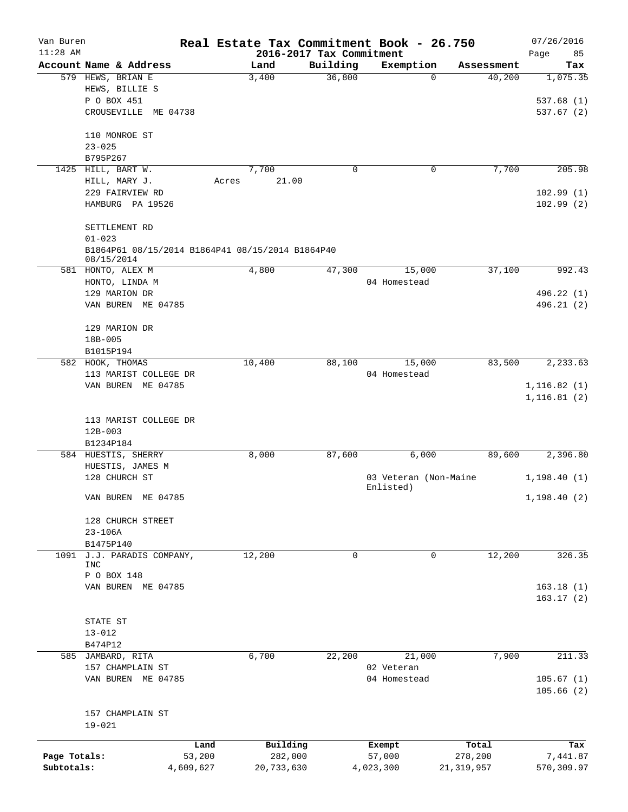| Van Buren    |                                                                |                  |                                      | Real Estate Tax Commitment Book - 26.750 |              | 07/26/2016                   |
|--------------|----------------------------------------------------------------|------------------|--------------------------------------|------------------------------------------|--------------|------------------------------|
| $11:28$ AM   | Account Name & Address                                         | Land             | 2016-2017 Tax Commitment<br>Building | Exemption                                | Assessment   | 85<br>Page<br>Tax            |
|              | 579 HEWS, BRIAN E                                              | 3,400            | 36,800                               | $\Omega$                                 | 40,200       | 1,075.35                     |
|              | HEWS, BILLIE S                                                 |                  |                                      |                                          |              |                              |
|              | P O BOX 451                                                    |                  |                                      |                                          |              | 537.68(1)                    |
|              | CROUSEVILLE ME 04738                                           |                  |                                      |                                          |              | 537.67(2)                    |
|              | 110 MONROE ST                                                  |                  |                                      |                                          |              |                              |
|              | $23 - 025$                                                     |                  |                                      |                                          |              |                              |
|              | B795P267                                                       |                  |                                      |                                          |              |                              |
|              | 1425 HILL, BART W.                                             | 7,700            | $\mathbf 0$                          | 0                                        | 7,700        | 205.98                       |
|              | HILL, MARY J.                                                  | 21.00<br>Acres   |                                      |                                          |              |                              |
|              | 229 FAIRVIEW RD                                                |                  |                                      |                                          |              | 102.99(1)                    |
|              | HAMBURG PA 19526                                               |                  |                                      |                                          |              | 102.99(2)                    |
|              | SETTLEMENT RD                                                  |                  |                                      |                                          |              |                              |
|              | $01 - 023$                                                     |                  |                                      |                                          |              |                              |
|              | B1864P61 08/15/2014 B1864P41 08/15/2014 B1864P40<br>08/15/2014 |                  |                                      |                                          |              |                              |
|              | 581 HONTO, ALEX M                                              | 4,800            | 47,300                               | 15,000                                   | 37,100       | 992.43                       |
|              | HONTO, LINDA M                                                 |                  |                                      | 04 Homestead                             |              |                              |
|              | 129 MARION DR                                                  |                  |                                      |                                          |              | 496.22 (1)                   |
|              | VAN BUREN ME 04785                                             |                  |                                      |                                          |              | 496.21 (2)                   |
|              | 129 MARION DR                                                  |                  |                                      |                                          |              |                              |
|              | 18B-005                                                        |                  |                                      |                                          |              |                              |
|              | B1015P194                                                      |                  |                                      |                                          |              |                              |
|              | 582 HOOK, THOMAS                                               | 10,400           | 88,100                               | 15,000                                   | 83,500       | 2,233.63                     |
|              | 113 MARIST COLLEGE DR                                          |                  |                                      | 04 Homestead                             |              |                              |
|              | VAN BUREN ME 04785                                             |                  |                                      |                                          |              | 1, 116.82(1)<br>1, 116.81(2) |
|              | 113 MARIST COLLEGE DR                                          |                  |                                      |                                          |              |                              |
|              | $12B - 003$                                                    |                  |                                      |                                          |              |                              |
|              | B1234P184                                                      |                  |                                      |                                          |              |                              |
|              | 584 HUESTIS, SHERRY                                            | 8,000            | 87,600                               | 6,000                                    | 89,600       | 2,396.80                     |
|              | HUESTIS, JAMES M                                               |                  |                                      |                                          |              |                              |
|              | 128 CHURCH ST                                                  |                  |                                      | 03 Veteran (Non-Maine<br>Enlisted)       |              | 1,198.40(1)                  |
|              | VAN BUREN ME 04785                                             |                  |                                      |                                          |              | 1, 198.40(2)                 |
|              | 128 CHURCH STREET                                              |                  |                                      |                                          |              |                              |
|              | $23 - 106A$                                                    |                  |                                      |                                          |              |                              |
|              | B1475P140                                                      |                  |                                      |                                          |              |                              |
| 1091         | J.J. PARADIS COMPANY,<br><b>INC</b>                            | 12,200           | 0                                    | 0                                        | 12,200       | 326.35                       |
|              | P O BOX 148                                                    |                  |                                      |                                          |              |                              |
|              | VAN BUREN ME 04785                                             |                  |                                      |                                          |              | 163.18(1)                    |
|              |                                                                |                  |                                      |                                          |              | 163.17(2)                    |
|              | STATE ST                                                       |                  |                                      |                                          |              |                              |
|              | $13 - 012$                                                     |                  |                                      |                                          |              |                              |
|              | B474P12                                                        |                  |                                      |                                          |              |                              |
|              | 585 JAMBARD, RITA                                              | 6,700            | 22,200                               | 21,000                                   | 7,900        | 211.33                       |
|              | 157 CHAMPLAIN ST                                               |                  |                                      | 02 Veteran                               |              |                              |
|              | VAN BUREN ME 04785                                             |                  |                                      | 04 Homestead                             |              | 105.67(1)<br>105.66(2)       |
|              |                                                                |                  |                                      |                                          |              |                              |
|              | 157 CHAMPLAIN ST<br>$19 - 021$                                 |                  |                                      |                                          |              |                              |
|              |                                                                |                  |                                      |                                          |              |                              |
|              |                                                                | Building<br>Land |                                      | Exempt                                   | Total        | Tax                          |
| Page Totals: | 53,200                                                         | 282,000          |                                      | 57,000                                   | 278,200      | 7,441.87                     |
| Subtotals:   | 4,609,627                                                      | 20,733,630       |                                      | 4,023,300                                | 21, 319, 957 | 570,309.97                   |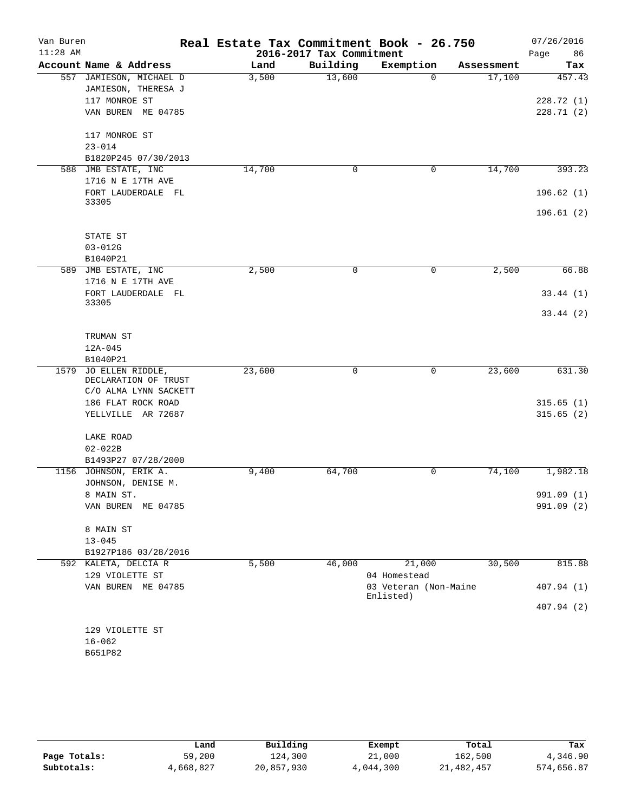| Van Buren  |                               |        |                          | Real Estate Tax Commitment Book - 26.750 |            | 07/26/2016 |
|------------|-------------------------------|--------|--------------------------|------------------------------------------|------------|------------|
| $11:28$ AM |                               |        | 2016-2017 Tax Commitment |                                          |            | Page<br>86 |
|            | Account Name & Address        | Land   | Building                 | Exemption                                | Assessment | Tax        |
|            | 557 JAMIESON, MICHAEL D       | 3,500  | 13,600                   | $\Omega$                                 | 17,100     | 457.43     |
|            | JAMIESON, THERESA J           |        |                          |                                          |            |            |
|            | 117 MONROE ST                 |        |                          |                                          |            | 228.72 (1) |
|            | VAN BUREN ME 04785            |        |                          |                                          |            | 228.71 (2) |
|            | 117 MONROE ST                 |        |                          |                                          |            |            |
|            | $23 - 014$                    |        |                          |                                          |            |            |
|            | B1820P245 07/30/2013          |        |                          |                                          |            |            |
|            | 588 JMB ESTATE, INC           | 14,700 | 0                        | 0                                        | 14,700     | 393.23     |
|            | 1716 N E 17TH AVE             |        |                          |                                          |            |            |
|            | FORT LAUDERDALE FL            |        |                          |                                          |            | 196.62(1)  |
|            | 33305                         |        |                          |                                          |            |            |
|            |                               |        |                          |                                          |            | 196.61(2)  |
|            |                               |        |                          |                                          |            |            |
|            | STATE ST<br>$03 - 012G$       |        |                          |                                          |            |            |
|            | B1040P21                      |        |                          |                                          |            |            |
|            | 589 JMB ESTATE, INC           | 2,500  | 0                        | 0                                        | 2,500      | 66.88      |
|            | 1716 N E 17TH AVE             |        |                          |                                          |            |            |
|            | FORT LAUDERDALE FL            |        |                          |                                          |            | 33.44(1)   |
|            | 33305                         |        |                          |                                          |            |            |
|            |                               |        |                          |                                          |            | 33.44(2)   |
|            | TRUMAN ST                     |        |                          |                                          |            |            |
|            | $12A - 045$                   |        |                          |                                          |            |            |
|            | B1040P21                      |        |                          |                                          |            |            |
| 1579       | JO ELLEN RIDDLE,              | 23,600 | 0                        | 0                                        | 23,600     | 631.30     |
|            | DECLARATION OF TRUST          |        |                          |                                          |            |            |
|            | C/O ALMA LYNN SACKETT         |        |                          |                                          |            |            |
|            | 186 FLAT ROCK ROAD            |        |                          |                                          |            | 315.65(1)  |
|            | YELLVILLE AR 72687            |        |                          |                                          |            | 315.65(2)  |
|            | LAKE ROAD                     |        |                          |                                          |            |            |
|            | $02 - 022B$                   |        |                          |                                          |            |            |
|            | B1493P27 07/28/2000           |        |                          |                                          |            |            |
|            | 1156 JOHNSON, ERIK A.         | 9,400  | 64,700                   | 0                                        | 74,100     | 1,982.18   |
|            | JOHNSON, DENISE M.            |        |                          |                                          |            |            |
|            | 8 MAIN ST.                    |        |                          |                                          |            | 991.09 (1) |
|            | VAN BUREN ME 04785            |        |                          |                                          |            | 991.09 (2) |
|            |                               |        |                          |                                          |            |            |
|            | 8 MAIN ST                     |        |                          |                                          |            |            |
|            | $13 - 045$                    |        |                          |                                          |            |            |
|            | B1927P186 03/28/2016          |        |                          |                                          |            |            |
|            | 592 KALETA, DELCIA R          | 5,500  | 46,000                   | 21,000                                   | 30,500     | 815.88     |
|            | 129 VIOLETTE ST               |        |                          | 04 Homestead                             |            |            |
|            | VAN BUREN ME 04785            |        |                          | 03 Veteran (Non-Maine<br>Enlisted)       |            | 407.94(1)  |
|            |                               |        |                          |                                          |            | 407.94 (2) |
|            |                               |        |                          |                                          |            |            |
|            | 129 VIOLETTE ST<br>$16 - 062$ |        |                          |                                          |            |            |
|            | B651P82                       |        |                          |                                          |            |            |
|            |                               |        |                          |                                          |            |            |

|              | Land      | Building   | Exempt    | Total        | Tax        |
|--------------|-----------|------------|-----------|--------------|------------|
| Page Totals: | 59,200    | 124,300    | 21,000    | 162,500      | 4,346.90   |
| Subtotals:   | 4,668,827 | 20,857,930 | 4,044,300 | 21, 482, 457 | 574,656.87 |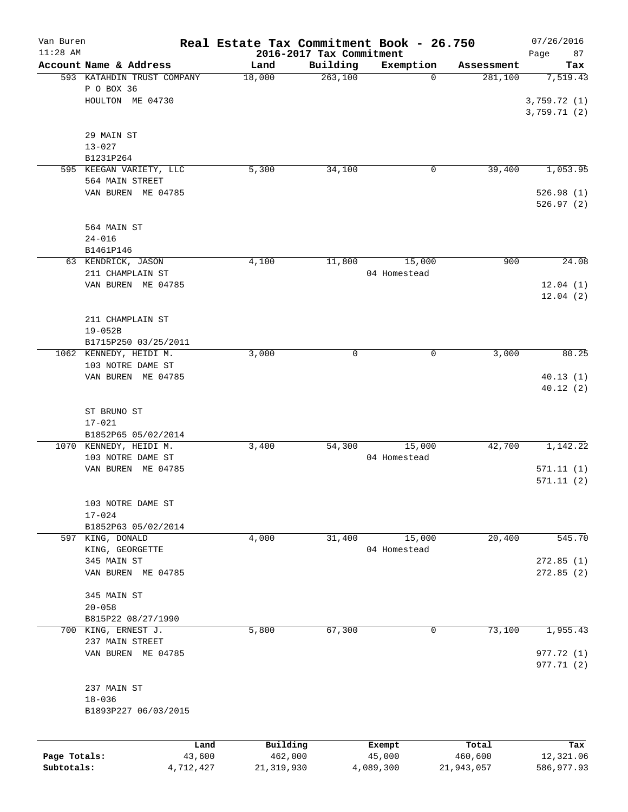| Van Buren    |                            | Real Estate Tax Commitment Book - 26.750 |                          |              |            | 07/26/2016  |
|--------------|----------------------------|------------------------------------------|--------------------------|--------------|------------|-------------|
| $11:28$ AM   |                            |                                          | 2016-2017 Tax Commitment |              |            | Page<br>87  |
|              | Account Name & Address     | Land                                     | Building                 | Exemption    | Assessment | Tax         |
|              | 593 KATAHDIN TRUST COMPANY | 18,000                                   | 263,100                  | 0            | 281,100    | 7,519.43    |
|              | P O BOX 36                 |                                          |                          |              |            |             |
|              | HOULTON ME 04730           |                                          |                          |              |            | 3,759.72(1) |
|              |                            |                                          |                          |              |            | 3,759.71(2) |
|              |                            |                                          |                          |              |            |             |
|              | 29 MAIN ST                 |                                          |                          |              |            |             |
|              | $13 - 027$                 |                                          |                          |              |            |             |
|              | B1231P264                  |                                          |                          |              |            |             |
|              | 595 KEEGAN VARIETY, LLC    | 5,300                                    | 34,100                   | 0            | 39,400     | 1,053.95    |
|              | 564 MAIN STREET            |                                          |                          |              |            |             |
|              | VAN BUREN ME 04785         |                                          |                          |              |            | 526.98(1)   |
|              |                            |                                          |                          |              |            | 526.97(2)   |
|              |                            |                                          |                          |              |            |             |
|              | 564 MAIN ST                |                                          |                          |              |            |             |
|              | $24 - 016$                 |                                          |                          |              |            |             |
|              | B1461P146                  |                                          |                          |              |            |             |
|              | 63 KENDRICK, JASON         | 4,100                                    | 11,800                   | 15,000       | 900        | 24.08       |
|              | 211 CHAMPLAIN ST           |                                          |                          | 04 Homestead |            |             |
|              | VAN BUREN ME 04785         |                                          |                          |              |            | 12.04(1)    |
|              |                            |                                          |                          |              |            | 12.04(2)    |
|              |                            |                                          |                          |              |            |             |
|              | 211 CHAMPLAIN ST           |                                          |                          |              |            |             |
|              | $19 - 052B$                |                                          |                          |              |            |             |
|              | B1715P250 03/25/2011       |                                          |                          |              |            |             |
|              | 1062 KENNEDY, HEIDI M.     | 3,000                                    | 0                        | 0            | 3,000      | 80.25       |
|              | 103 NOTRE DAME ST          |                                          |                          |              |            |             |
|              | VAN BUREN ME 04785         |                                          |                          |              |            | 40.13(1)    |
|              |                            |                                          |                          |              |            | 40.12(2)    |
|              |                            |                                          |                          |              |            |             |
|              |                            |                                          |                          |              |            |             |
|              | ST BRUNO ST                |                                          |                          |              |            |             |
|              | $17 - 021$                 |                                          |                          |              |            |             |
|              | B1852P65 05/02/2014        |                                          |                          |              |            |             |
|              | 1070 KENNEDY, HEIDI M.     | 3,400                                    | 54,300                   | 15,000       | 42,700     | 1,142.22    |
|              | 103 NOTRE DAME ST          |                                          |                          | 04 Homestead |            |             |
|              | VAN BUREN ME 04785         |                                          |                          |              |            | 571.11(1)   |
|              |                            |                                          |                          |              |            | 571.11(2)   |
|              |                            |                                          |                          |              |            |             |
|              | 103 NOTRE DAME ST          |                                          |                          |              |            |             |
|              | $17 - 024$                 |                                          |                          |              |            |             |
|              | B1852P63 05/02/2014        |                                          |                          |              |            |             |
|              | 597 KING, DONALD           | 4,000                                    | 31,400                   | 15,000       | 20,400     | 545.70      |
|              | KING, GEORGETTE            |                                          |                          | 04 Homestead |            |             |
|              | 345 MAIN ST                |                                          |                          |              |            | 272.85(1)   |
|              | VAN BUREN ME 04785         |                                          |                          |              |            | 272.85(2)   |
|              |                            |                                          |                          |              |            |             |
|              | 345 MAIN ST                |                                          |                          |              |            |             |
|              | $20 - 058$                 |                                          |                          |              |            |             |
|              | B815P22 08/27/1990         |                                          |                          |              |            |             |
|              | 700 KING, ERNEST J.        | 5,800                                    | 67,300                   | 0            | 73,100     | 1,955.43    |
|              | 237 MAIN STREET            |                                          |                          |              |            |             |
|              | VAN BUREN ME 04785         |                                          |                          |              |            | 977.72 (1)  |
|              |                            |                                          |                          |              |            | 977.71 (2)  |
|              |                            |                                          |                          |              |            |             |
|              | 237 MAIN ST                |                                          |                          |              |            |             |
|              | $18 - 036$                 |                                          |                          |              |            |             |
|              | B1893P227 06/03/2015       |                                          |                          |              |            |             |
|              |                            |                                          |                          |              |            |             |
|              |                            |                                          |                          |              |            |             |
|              | Land                       | Building                                 |                          | Exempt       | Total      | Tax         |
| Page Totals: | 43,600                     | 462,000                                  |                          | 45,000       | 460,600    | 12,321.06   |
| Subtotals:   | 4,712,427                  | 21, 319, 930                             |                          | 4,089,300    | 21,943,057 | 586,977.93  |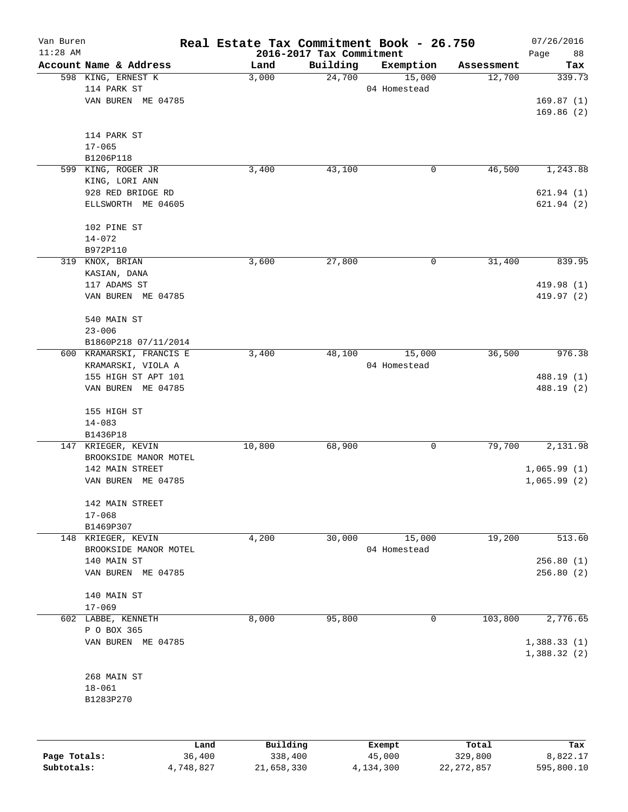| Van Buren<br>$11:28$ AM |                          | Real Estate Tax Commitment Book - 26.750 | 2016-2017 Tax Commitment |              |            | 07/26/2016                 |
|-------------------------|--------------------------|------------------------------------------|--------------------------|--------------|------------|----------------------------|
|                         | Account Name & Address   | Land                                     | Building                 | Exemption    | Assessment | Page<br>88<br>Tax          |
|                         | 598 KING, ERNEST K       | 3,000                                    | 24,700                   | 15,000       | 12,700     | 339.73                     |
|                         | 114 PARK ST              |                                          |                          | 04 Homestead |            |                            |
|                         | VAN BUREN ME 04785       |                                          |                          |              |            | 169.87(1)                  |
|                         |                          |                                          |                          |              |            | 169.86(2)                  |
|                         | 114 PARK ST              |                                          |                          |              |            |                            |
|                         | $17 - 065$               |                                          |                          |              |            |                            |
|                         | B1206P118                |                                          |                          |              |            |                            |
|                         | 599 KING, ROGER JR       | 3,400                                    | 43,100                   | 0            | 46,500     | 1,243.88                   |
|                         | KING, LORI ANN           |                                          |                          |              |            |                            |
|                         | 928 RED BRIDGE RD        |                                          |                          |              |            | 621.94(1)                  |
|                         | ELLSWORTH ME 04605       |                                          |                          |              |            | 621.94(2)                  |
|                         | 102 PINE ST              |                                          |                          |              |            |                            |
|                         | $14 - 072$               |                                          |                          |              |            |                            |
|                         | B972P110                 |                                          |                          |              |            |                            |
|                         | 319 KNOX, BRIAN          | 3,600                                    | 27,800                   | 0            | 31,400     | 839.95                     |
|                         | KASIAN, DANA             |                                          |                          |              |            |                            |
|                         | 117 ADAMS ST             |                                          |                          |              |            | 419.98 (1)                 |
|                         | VAN BUREN ME 04785       |                                          |                          |              |            | 419.97 (2)                 |
|                         | 540 MAIN ST              |                                          |                          |              |            |                            |
|                         | $23 - 006$               |                                          |                          |              |            |                            |
|                         | B1860P218 07/11/2014     |                                          |                          |              |            |                            |
|                         | 600 KRAMARSKI, FRANCIS E | 3,400                                    | 48,100                   | 15,000       | 36,500     | 976.38                     |
|                         | KRAMARSKI, VIOLA A       |                                          |                          | 04 Homestead |            |                            |
|                         | 155 HIGH ST APT 101      |                                          |                          |              |            | 488.19 (1)                 |
|                         | VAN BUREN ME 04785       |                                          |                          |              |            | 488.19 (2)                 |
|                         | 155 HIGH ST              |                                          |                          |              |            |                            |
|                         | $14 - 083$               |                                          |                          |              |            |                            |
|                         | B1436P18                 |                                          |                          |              |            |                            |
|                         | 147 KRIEGER, KEVIN       | 10,800                                   | 68,900                   | 0            | 79,700     | 2,131.98                   |
|                         | BROOKSIDE MANOR MOTEL    |                                          |                          |              |            |                            |
|                         | 142 MAIN STREET          |                                          |                          |              |            | 1,065.99(1)                |
|                         | VAN BUREN ME 04785       |                                          |                          |              |            | 1,065.99(2)                |
|                         | 142 MAIN STREET          |                                          |                          |              |            |                            |
|                         | $17 - 068$               |                                          |                          |              |            |                            |
|                         | B1469P307                |                                          |                          |              |            |                            |
|                         | 148 KRIEGER, KEVIN       | 4,200                                    | 30,000                   | 15,000       | 19,200     | 513.60                     |
|                         | BROOKSIDE MANOR MOTEL    |                                          |                          | 04 Homestead |            |                            |
|                         | 140 MAIN ST              |                                          |                          |              |            | 256.80(1)                  |
|                         | VAN BUREN ME 04785       |                                          |                          |              |            | 256.80(2)                  |
|                         | 140 MAIN ST              |                                          |                          |              |            |                            |
|                         | $17 - 069$               |                                          |                          |              |            |                            |
|                         | 602 LABBE, KENNETH       | 8,000                                    | 95,800                   | 0            | 103,800    | 2,776.65                   |
|                         | P O BOX 365              |                                          |                          |              |            |                            |
|                         | VAN BUREN ME 04785       |                                          |                          |              |            | 1,388.33(1)<br>1,388.32(2) |
|                         |                          |                                          |                          |              |            |                            |
|                         | 268 MAIN ST              |                                          |                          |              |            |                            |
|                         | $18 - 061$               |                                          |                          |              |            |                            |
|                         | B1283P270                |                                          |                          |              |            |                            |
|                         |                          |                                          |                          |              |            |                            |
|                         | Land                     | Building                                 |                          | Exempt       | Total      | Tax                        |
| Page Totals:            | 36,400                   | 338,400                                  |                          | 45,000       | 329,800    | 8,822.17                   |

**Subtotals:** 4,748,827 21,658,330 4,134,300 22,272,857 595,800.10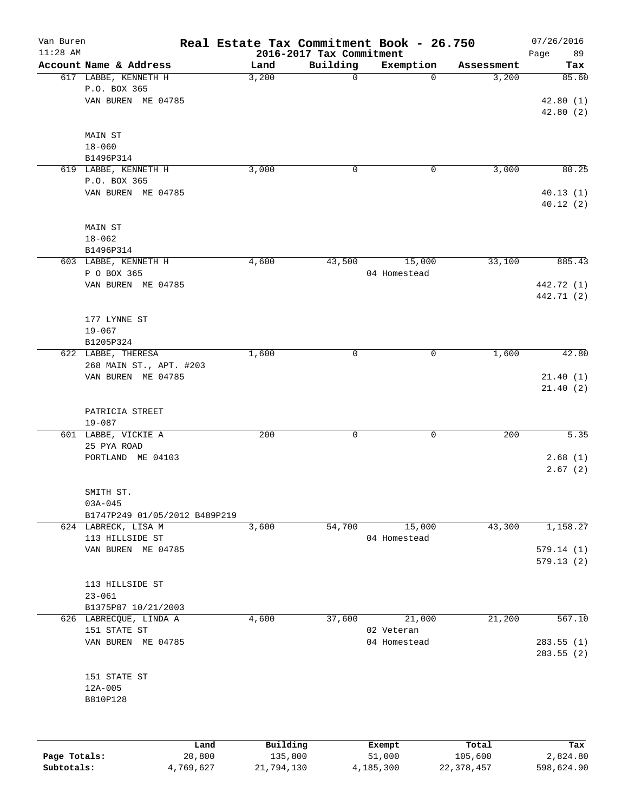| Van Buren<br>$11:28$ AM |                                                            |          | 2016-2017 Tax Commitment | Real Estate Tax Commitment Book - 26.750 |            | 07/26/2016<br>89<br>Page |
|-------------------------|------------------------------------------------------------|----------|--------------------------|------------------------------------------|------------|--------------------------|
|                         | Account Name & Address                                     | Land     | Building                 | Exemption                                | Assessment | Tax                      |
|                         | 617 LABBE, KENNETH H<br>P.O. BOX 365<br>VAN BUREN ME 04785 | 3,200    | 0                        | $\Omega$                                 | 3,200      | 85.60<br>42.80(1)        |
|                         |                                                            |          |                          |                                          |            | 42.80(2)                 |
|                         | MAIN ST<br>$18 - 060$                                      |          |                          |                                          |            |                          |
|                         | B1496P314                                                  |          |                          |                                          |            |                          |
|                         | 619 LABBE, KENNETH H                                       | 3,000    | 0                        | 0                                        | 3,000      | 80.25                    |
|                         | P.O. BOX 365                                               |          |                          |                                          |            |                          |
|                         | VAN BUREN ME 04785                                         |          |                          |                                          |            | 40.13(1)<br>40.12(2)     |
|                         | MAIN ST<br>$18 - 062$                                      |          |                          |                                          |            |                          |
|                         | B1496P314                                                  |          |                          |                                          |            |                          |
|                         | 603 LABBE, KENNETH H                                       | 4,600    | 43,500                   | 15,000                                   | 33,100     | 885.43                   |
|                         | P O BOX 365                                                |          |                          | 04 Homestead                             |            |                          |
|                         | VAN BUREN ME 04785                                         |          |                          |                                          |            | 442.72 (1)               |
|                         |                                                            |          |                          |                                          |            | 442.71 (2)               |
|                         | 177 LYNNE ST                                               |          |                          |                                          |            |                          |
|                         | $19 - 067$                                                 |          |                          |                                          |            |                          |
|                         | B1205P324                                                  |          |                          |                                          |            |                          |
|                         | 622 LABBE, THERESA                                         | 1,600    | 0                        | 0                                        | 1,600      | 42.80                    |
|                         | 268 MAIN ST., APT. #203                                    |          |                          |                                          |            |                          |
|                         | VAN BUREN ME 04785                                         |          |                          |                                          |            | 21.40(1)                 |
|                         |                                                            |          |                          |                                          |            | 21.40(2)                 |
|                         | PATRICIA STREET                                            |          |                          |                                          |            |                          |
|                         | $19 - 087$                                                 |          |                          |                                          |            |                          |
|                         | 601 LABBE, VICKIE A                                        | 200      | 0                        | $\mathbf 0$                              | 200        | 5.35                     |
|                         | 25 PYA ROAD                                                |          |                          |                                          |            |                          |
|                         | PORTLAND ME 04103                                          |          |                          |                                          |            | 2.68(1)<br>2.67(2)       |
|                         |                                                            |          |                          |                                          |            |                          |
|                         | SMITH ST.                                                  |          |                          |                                          |            |                          |
|                         | $03A - 045$                                                |          |                          |                                          |            |                          |
|                         | B1747P249 01/05/2012 B489P219                              |          |                          |                                          |            |                          |
|                         | 624 LABRECK, LISA M                                        | 3,600    | 54,700                   | 15,000                                   | 43,300     | 1,158.27                 |
|                         | 113 HILLSIDE ST<br>VAN BUREN ME 04785                      |          |                          | 04 Homestead                             |            | 579.14(1)                |
|                         |                                                            |          |                          |                                          |            | 579.13(2)                |
|                         |                                                            |          |                          |                                          |            |                          |
|                         | 113 HILLSIDE ST                                            |          |                          |                                          |            |                          |
|                         | $23 - 061$                                                 |          |                          |                                          |            |                          |
|                         | B1375P87 10/21/2003<br>626 LABRECQUE, LINDA A              | 4,600    | 37,600                   | 21,000                                   | 21,200     | 567.10                   |
|                         | 151 STATE ST                                               |          |                          | 02 Veteran                               |            |                          |
|                         | VAN BUREN ME 04785                                         |          |                          | 04 Homestead                             |            | 283.55(1)                |
|                         |                                                            |          |                          |                                          |            | 283.55(2)                |
|                         |                                                            |          |                          |                                          |            |                          |
|                         | 151 STATE ST<br>$12A - 005$                                |          |                          |                                          |            |                          |
|                         | B810P128                                                   |          |                          |                                          |            |                          |
|                         |                                                            |          |                          |                                          |            |                          |
|                         |                                                            |          |                          |                                          |            |                          |
|                         | Land                                                       | Building |                          | Exempt                                   | Total      | Tax                      |
| Page Totals:            | 20,800                                                     | 135,800  |                          | 51,000                                   | 105,600    | 2,824.80                 |

**Subtotals:** 4,769,627 21,794,130 4,185,300 22,378,457 598,624.90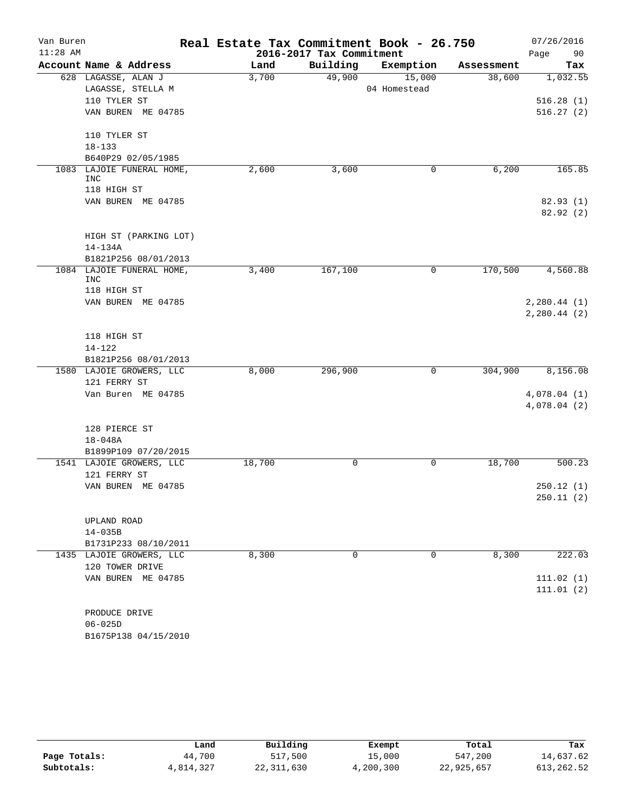| Van Buren  |                                          | Real Estate Tax Commitment Book - 26.750 |            |              |            | 07/26/2016            |
|------------|------------------------------------------|------------------------------------------|------------|--------------|------------|-----------------------|
| $11:28$ AM |                                          | 2016-2017 Tax Commitment                 | Page<br>90 |              |            |                       |
|            | Account Name & Address                   | Land                                     | Building   | Exemption    | Assessment | Tax                   |
|            | 628 LAGASSE, ALAN J                      | 3,700                                    | 49,900     | 15,000       | 38,600     | 1,032.55              |
|            | LAGASSE, STELLA M                        |                                          |            | 04 Homestead |            |                       |
|            | 110 TYLER ST                             |                                          |            |              |            | 516.28(1)             |
|            | VAN BUREN ME 04785                       |                                          |            |              |            | 516.27(2)             |
|            | 110 TYLER ST                             |                                          |            |              |            |                       |
|            | $18 - 133$                               |                                          |            |              |            |                       |
|            | B640P29 02/05/1985                       |                                          |            |              |            |                       |
|            | 1083 LAJOIE FUNERAL HOME,<br><b>INC</b>  | 2,600                                    | 3,600      | 0            | 6,200      | 165.85                |
|            | 118 HIGH ST                              |                                          |            |              |            |                       |
|            | VAN BUREN ME 04785                       |                                          |            |              |            | 82.93 (1)<br>82.92(2) |
|            | HIGH ST (PARKING LOT)                    |                                          |            |              |            |                       |
|            | 14-134A                                  |                                          |            |              |            |                       |
|            | B1821P256 08/01/2013                     |                                          |            |              |            |                       |
|            | 1084 LAJOIE FUNERAL HOME,<br><b>INC</b>  | 3,400                                    | 167,100    | 0            | 170,500    | 4,560.88              |
|            | 118 HIGH ST                              |                                          |            |              |            |                       |
|            | VAN BUREN ME 04785                       |                                          |            |              |            | 2, 280.44 (1)         |
|            |                                          |                                          |            |              |            | 2, 280.44 (2)         |
|            | 118 HIGH ST                              |                                          |            |              |            |                       |
|            | $14 - 122$                               |                                          |            |              |            |                       |
|            | B1821P256 08/01/2013                     |                                          |            |              |            |                       |
|            | 1580 LAJOIE GROWERS, LLC                 | 8,000                                    | 296,900    | 0            | 304,900    | 8,156.08              |
|            | 121 FERRY ST                             |                                          |            |              |            |                       |
|            | Van Buren ME 04785                       |                                          |            |              |            | 4,078.04(1)           |
|            |                                          |                                          |            |              |            | 4,078.04(2)           |
|            | 128 PIERCE ST                            |                                          |            |              |            |                       |
|            | $18 - 048A$                              |                                          |            |              |            |                       |
|            | B1899P109 07/20/2015                     |                                          |            |              |            |                       |
|            | 1541 LAJOIE GROWERS, LLC<br>121 FERRY ST | 18,700                                   | 0          | 0            | 18,700     | 500.23                |
|            | VAN BUREN ME 04785                       |                                          |            |              |            | 250.12(1)             |
|            |                                          |                                          |            |              |            | 250.11(2)             |
|            | UPLAND ROAD                              |                                          |            |              |            |                       |
|            | $14 - 035B$                              |                                          |            |              |            |                       |
|            | B1731P233 08/10/2011                     |                                          |            |              |            |                       |
|            | 1435 LAJOIE GROWERS, LLC                 | 8,300                                    | $\Omega$   | $\Omega$     | 8,300      | 222.03                |
|            | 120 TOWER DRIVE                          |                                          |            |              |            |                       |
|            | VAN BUREN ME 04785                       |                                          |            |              |            | 111.02(1)             |
|            |                                          |                                          |            |              |            | 111.01(2)             |
|            | PRODUCE DRIVE                            |                                          |            |              |            |                       |
|            | $06 - 025D$                              |                                          |            |              |            |                       |
|            | B1675P138 04/15/2010                     |                                          |            |              |            |                       |

|              | Land      | Building     | Exempt    | Total      | Tax         |
|--------------|-----------|--------------|-----------|------------|-------------|
| Page Totals: | 44,700    | 517,500      | 15,000    | 547,200    | 14,637.62   |
| Subtotals:   | 4,814,327 | 22, 311, 630 | 4,200,300 | 22,925,657 | 613, 262.52 |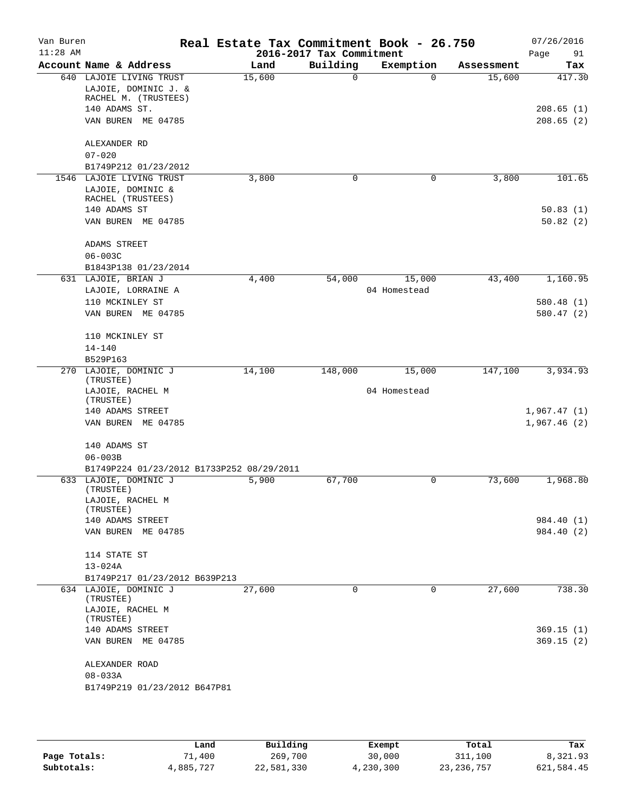| Van Buren<br>$11:28$ AM |                                           |        | Real Estate Tax Commitment Book - 26.750<br>2016-2017 Tax Commitment |              |            | 07/26/2016<br>Page<br>91 |
|-------------------------|-------------------------------------------|--------|----------------------------------------------------------------------|--------------|------------|--------------------------|
|                         | Account Name & Address                    | Land   | Building                                                             | Exemption    | Assessment | Tax                      |
| 640                     | LAJOIE LIVING TRUST                       | 15,600 | 0                                                                    | $\Omega$     | 15,600     | 417.30                   |
|                         | LAJOIE, DOMINIC J. &                      |        |                                                                      |              |            |                          |
|                         | RACHEL M. (TRUSTEES)                      |        |                                                                      |              |            |                          |
|                         | 140 ADAMS ST.<br>VAN BUREN<br>ME 04785    |        |                                                                      |              |            | 208.65(1)<br>208.65(2)   |
|                         |                                           |        |                                                                      |              |            |                          |
|                         | ALEXANDER RD                              |        |                                                                      |              |            |                          |
|                         | $07 - 020$                                |        |                                                                      |              |            |                          |
|                         | B1749P212 01/23/2012                      |        |                                                                      |              |            |                          |
|                         | 1546 LAJOIE LIVING TRUST                  | 3,800  | 0                                                                    | 0            | 3,800      | 101.65                   |
|                         | LAJOIE, DOMINIC &                         |        |                                                                      |              |            |                          |
|                         | RACHEL (TRUSTEES)                         |        |                                                                      |              |            |                          |
|                         | 140 ADAMS ST                              |        |                                                                      |              |            | 50.83(1)                 |
|                         | VAN BUREN ME 04785                        |        |                                                                      |              |            | 50.82(2)                 |
|                         | ADAMS STREET                              |        |                                                                      |              |            |                          |
|                         | $06 - 003C$                               |        |                                                                      |              |            |                          |
|                         | B1843P138 01/23/2014                      |        |                                                                      |              |            |                          |
|                         | 631 LAJOIE, BRIAN J                       | 4,400  | 54,000                                                               | 15,000       | 43,400     | 1,160.95                 |
|                         | LAJOIE, LORRAINE A                        |        |                                                                      | 04 Homestead |            |                          |
|                         | 110 MCKINLEY ST                           |        |                                                                      |              |            | 580.48 (1)               |
|                         | VAN BUREN ME 04785                        |        |                                                                      |              |            | 580.47 (2)               |
|                         | 110 MCKINLEY ST                           |        |                                                                      |              |            |                          |
|                         | $14 - 140$                                |        |                                                                      |              |            |                          |
|                         | B529P163                                  |        |                                                                      |              |            |                          |
| 270                     | LAJOIE, DOMINIC J<br>(TRUSTEE)            | 14,100 | 148,000                                                              | 15,000       | 147,100    | 3,934.93                 |
|                         | LAJOIE, RACHEL M                          |        |                                                                      | 04 Homestead |            |                          |
|                         | (TRUSTEE)<br>140 ADAMS STREET             |        |                                                                      |              |            | 1,967.47(1)              |
|                         | VAN BUREN ME 04785                        |        |                                                                      |              |            | 1,967.46(2)              |
|                         |                                           |        |                                                                      |              |            |                          |
|                         | 140 ADAMS ST                              |        |                                                                      |              |            |                          |
|                         | $06 - 003B$                               |        |                                                                      |              |            |                          |
|                         | B1749P224 01/23/2012 B1733P252 08/29/2011 |        |                                                                      |              |            |                          |
|                         | 633 LAJOIE, DOMINIC J<br>(TRUSTEE)        | 5,900  | 67,700                                                               | $\mathbf 0$  | 73,600     | 1,968.80                 |
|                         | LAJOIE, RACHEL M                          |        |                                                                      |              |            |                          |
|                         | (TRUSTEE)                                 |        |                                                                      |              |            |                          |
|                         | 140 ADAMS STREET                          |        |                                                                      |              |            | 984.40 (1)               |
|                         | VAN BUREN ME 04785                        |        |                                                                      |              |            | 984.40 (2)               |
|                         | 114 STATE ST                              |        |                                                                      |              |            |                          |
|                         | $13 - 024A$                               |        |                                                                      |              |            |                          |
|                         | B1749P217 01/23/2012 B639P213             |        |                                                                      |              |            |                          |
|                         | 634 LAJOIE, DOMINIC J<br>(TRUSTEE)        | 27,600 | $\Omega$                                                             | $\Omega$     | 27,600     | 738.30                   |
|                         | LAJOIE, RACHEL M                          |        |                                                                      |              |            |                          |
|                         | (TRUSTEE)<br>140 ADAMS STREET             |        |                                                                      |              |            | 369.15(1)                |
|                         | VAN BUREN ME 04785                        |        |                                                                      |              |            | 369.15(2)                |
|                         |                                           |        |                                                                      |              |            |                          |
|                         | ALEXANDER ROAD                            |        |                                                                      |              |            |                          |
|                         | $08 - 033A$                               |        |                                                                      |              |            |                          |
|                         | B1749P219 01/23/2012 B647P81              |        |                                                                      |              |            |                          |
|                         |                                           |        |                                                                      |              |            |                          |

|              | Land      | Building   | Exempt    | Total        | Tax        |
|--------------|-----------|------------|-----------|--------------|------------|
| Page Totals: | 71,400    | 269,700    | 30,000    | 311,100      | 8,321.93   |
| Subtotals:   | 4,885,727 | 22,581,330 | 4,230,300 | 23, 236, 757 | 621,584.45 |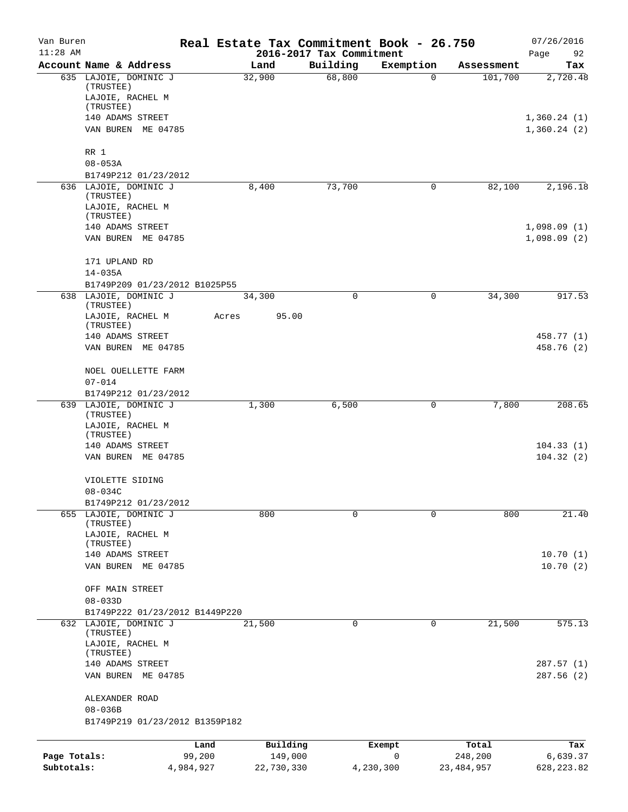| Van Buren<br>$11:28$ AM |                                    |       |            | 2016-2017 Tax Commitment | Real Estate Tax Commitment Book - 26.750 |              | 07/26/2016<br>Page<br>92 |
|-------------------------|------------------------------------|-------|------------|--------------------------|------------------------------------------|--------------|--------------------------|
|                         | Account Name & Address             |       | Land       | Building                 | Exemption                                | Assessment   | Tax                      |
|                         | 635 LAJOIE, DOMINIC J<br>(TRUSTEE) |       | 32,900     | 68,800                   | 0                                        | 101,700      | 2,720.48                 |
|                         | LAJOIE, RACHEL M<br>(TRUSTEE)      |       |            |                          |                                          |              |                          |
|                         | 140 ADAMS STREET                   |       |            |                          |                                          |              | 1,360.24(1)              |
|                         | VAN BUREN ME 04785                 |       |            |                          |                                          |              | 1,360.24(2)              |
|                         | RR 1<br>$08 - 053A$                |       |            |                          |                                          |              |                          |
|                         | B1749P212 01/23/2012               |       |            |                          |                                          |              |                          |
|                         | 636 LAJOIE, DOMINIC J              |       | 8,400      | 73,700                   | 0                                        | 82,100       | 2,196.18                 |
|                         | (TRUSTEE)<br>LAJOIE, RACHEL M      |       |            |                          |                                          |              |                          |
|                         | (TRUSTEE)                          |       |            |                          |                                          |              |                          |
|                         | 140 ADAMS STREET                   |       |            |                          |                                          |              | 1,098.09(1)              |
|                         | VAN BUREN ME 04785                 |       |            |                          |                                          |              | 1,098.09(2)              |
|                         | 171 UPLAND RD<br>$14 - 035A$       |       |            |                          |                                          |              |                          |
|                         | B1749P209 01/23/2012 B1025P55      |       |            |                          |                                          |              |                          |
|                         | 638 LAJOIE, DOMINIC J<br>(TRUSTEE) |       | 34,300     | 0                        | 0                                        | 34,300       | 917.53                   |
|                         | LAJOIE, RACHEL M<br>(TRUSTEE)      | Acres | 95.00      |                          |                                          |              |                          |
|                         | 140 ADAMS STREET                   |       |            |                          |                                          |              | 458.77 (1)               |
|                         | VAN BUREN ME 04785                 |       |            |                          |                                          |              | 458.76 (2)               |
|                         | NOEL OUELLETTE FARM<br>$07 - 014$  |       |            |                          |                                          |              |                          |
|                         | B1749P212 01/23/2012               |       |            |                          |                                          |              |                          |
|                         | 639 LAJOIE, DOMINIC J<br>(TRUSTEE) |       | 1,300      | 6,500                    | 0                                        | 7,800        | 208.65                   |
|                         | LAJOIE, RACHEL M<br>(TRUSTEE)      |       |            |                          |                                          |              |                          |
|                         | 140 ADAMS STREET                   |       |            |                          |                                          |              | 104.33(1)                |
|                         | VAN BUREN ME 04785                 |       |            |                          |                                          |              | 104.32(2)                |
|                         | VIOLETTE SIDING<br>$08 - 034C$     |       |            |                          |                                          |              |                          |
|                         | B1749P212 01/23/2012               |       |            |                          |                                          |              |                          |
|                         | 655 LAJOIE, DOMINIC J<br>(TRUSTEE) |       | 800        | $\mathbf 0$              | $\mathbf 0$                              | 800          | 21.40                    |
|                         | LAJOIE, RACHEL M                   |       |            |                          |                                          |              |                          |
|                         | (TRUSTEE)                          |       |            |                          |                                          |              |                          |
|                         | 140 ADAMS STREET                   |       |            |                          |                                          |              | 10.70(1)                 |
|                         | VAN BUREN ME 04785                 |       |            |                          |                                          |              | 10.70(2)                 |
|                         | OFF MAIN STREET                    |       |            |                          |                                          |              |                          |
|                         | $08 - 033D$                        |       |            |                          |                                          |              |                          |
|                         | B1749P222 01/23/2012 B1449P220     |       |            |                          |                                          |              |                          |
|                         | 632 LAJOIE, DOMINIC J<br>(TRUSTEE) |       | 21,500     | 0                        | 0                                        | 21,500       | 575.13                   |
|                         | LAJOIE, RACHEL M<br>(TRUSTEE)      |       |            |                          |                                          |              |                          |
|                         | 140 ADAMS STREET                   |       |            |                          |                                          |              | 287.57(1)                |
|                         | VAN BUREN ME 04785                 |       |            |                          |                                          |              | 287.56(2)                |
|                         | ALEXANDER ROAD                     |       |            |                          |                                          |              |                          |
|                         | $08 - 036B$                        |       |            |                          |                                          |              |                          |
|                         | B1749P219 01/23/2012 B1359P182     |       |            |                          |                                          |              |                          |
|                         | Land                               |       | Building   |                          | Exempt                                   | Total        | Tax                      |
| Page Totals:            | 99,200                             |       | 149,000    |                          | $\mathsf{O}$                             | 248,200      | 6,639.37                 |
| Subtotals:              | 4,984,927                          |       | 22,730,330 |                          | 4,230,300                                | 23, 484, 957 | 628, 223.82              |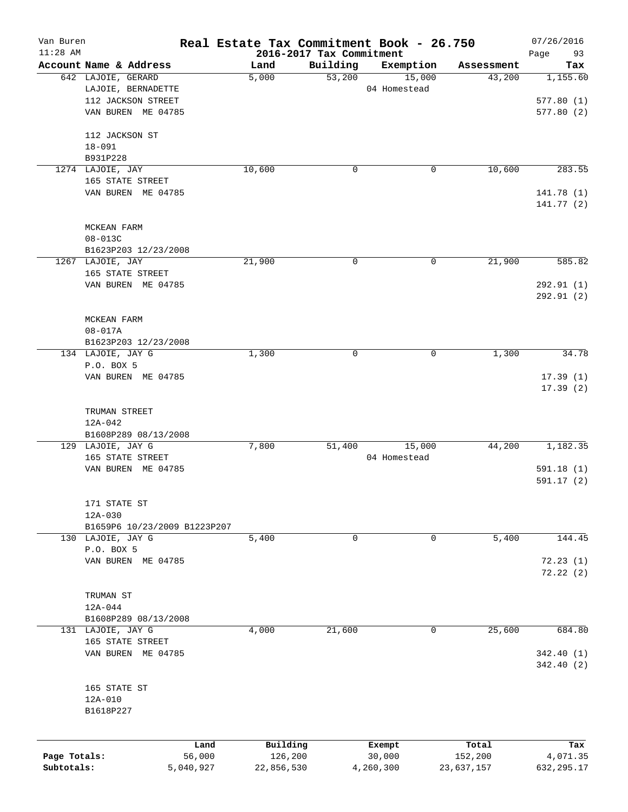| Van Buren<br>$11:28$ AM |                              | Real Estate Tax Commitment Book - 26.750 |                                      |              |            | 07/26/2016           |
|-------------------------|------------------------------|------------------------------------------|--------------------------------------|--------------|------------|----------------------|
|                         | Account Name & Address       | Land                                     | 2016-2017 Tax Commitment<br>Building | Exemption    | Assessment | 93<br>Page<br>Tax    |
|                         | 642 LAJOIE, GERARD           | 5,000                                    | 53,200                               | 15,000       | 43,200     | 1,155.60             |
|                         | LAJOIE, BERNADETTE           |                                          |                                      | 04 Homestead |            |                      |
|                         | 112 JACKSON STREET           |                                          |                                      |              |            | 577.80(1)            |
|                         | VAN BUREN ME 04785           |                                          |                                      |              |            | 577.80(2)            |
|                         | 112 JACKSON ST               |                                          |                                      |              |            |                      |
|                         | $18 - 091$                   |                                          |                                      |              |            |                      |
|                         | B931P228                     |                                          |                                      |              |            |                      |
|                         | 1274 LAJOIE, JAY             | 10,600                                   | 0                                    | 0            | 10,600     | 283.55               |
|                         | 165 STATE STREET             |                                          |                                      |              |            |                      |
|                         | VAN BUREN ME 04785           |                                          |                                      |              |            | 141.78 (1)           |
|                         |                              |                                          |                                      |              |            | 141.77(2)            |
|                         | MCKEAN FARM                  |                                          |                                      |              |            |                      |
|                         | $08 - 013C$                  |                                          |                                      |              |            |                      |
|                         | B1623P203 12/23/2008         |                                          |                                      |              |            |                      |
|                         | 1267 LAJOIE, JAY             | 21,900                                   | 0                                    | 0            | 21,900     | 585.82               |
|                         | 165 STATE STREET             |                                          |                                      |              |            |                      |
|                         | VAN BUREN ME 04785           |                                          |                                      |              |            | 292.91 (1)           |
|                         |                              |                                          |                                      |              |            | 292.91 (2)           |
|                         | MCKEAN FARM                  |                                          |                                      |              |            |                      |
|                         | $08 - 017A$                  |                                          |                                      |              |            |                      |
|                         | B1623P203 12/23/2008         |                                          |                                      |              |            |                      |
|                         | 134 LAJOIE, JAY G            | 1,300                                    | 0                                    | 0            | 1,300      | 34.78                |
|                         | P.O. BOX 5                   |                                          |                                      |              |            |                      |
|                         | VAN BUREN ME 04785           |                                          |                                      |              |            | 17.39(1)<br>17.39(2) |
|                         |                              |                                          |                                      |              |            |                      |
|                         | TRUMAN STREET                |                                          |                                      |              |            |                      |
|                         | $12A - 042$                  |                                          |                                      |              |            |                      |
|                         | B1608P289 08/13/2008         |                                          |                                      |              |            |                      |
|                         | 129 LAJOIE, JAY G            | 7,800                                    | 51,400                               | 15,000       | 44,200     | 1,182.35             |
|                         | 165 STATE STREET             |                                          |                                      | 04 Homestead |            |                      |
|                         | VAN BUREN ME 04785           |                                          |                                      |              |            | 591.18(1)            |
|                         |                              |                                          |                                      |              |            | 591.17 (2)           |
|                         | 171 STATE ST                 |                                          |                                      |              |            |                      |
|                         | $12A-030$                    |                                          |                                      |              |            |                      |
|                         | B1659P6 10/23/2009 B1223P207 |                                          |                                      |              |            |                      |
|                         | 130 LAJOIE, JAY G            | 5,400                                    | 0                                    | 0            | 5,400      | 144.45               |
|                         | P.O. BOX 5                   |                                          |                                      |              |            |                      |
|                         | VAN BUREN ME 04785           |                                          |                                      |              |            | 72.23(1)             |
|                         |                              |                                          |                                      |              |            | 72.22(2)             |
|                         | TRUMAN ST                    |                                          |                                      |              |            |                      |
|                         | $12A-044$                    |                                          |                                      |              |            |                      |
|                         | B1608P289 08/13/2008         |                                          |                                      |              |            |                      |
|                         | 131 LAJOIE, JAY G            | 4,000                                    | 21,600                               | 0            | 25,600     | 684.80               |
|                         | 165 STATE STREET             |                                          |                                      |              |            |                      |
|                         | VAN BUREN ME 04785           |                                          |                                      |              |            | 342.40 (1)           |
|                         |                              |                                          |                                      |              |            | 342.40(2)            |
|                         | 165 STATE ST                 |                                          |                                      |              |            |                      |
|                         | 12A-010                      |                                          |                                      |              |            |                      |
|                         | B1618P227                    |                                          |                                      |              |            |                      |
|                         |                              |                                          |                                      |              |            |                      |
|                         | Land                         | Building                                 |                                      | Exempt       | Total      | Tax                  |
| Page Totals:            | 56,000                       | 126,200                                  |                                      | 30,000       | 152,200    | 4,071.35             |
| Subtotals:              | 5,040,927                    | 22,856,530                               |                                      | 4,260,300    | 23,637,157 | 632, 295.17          |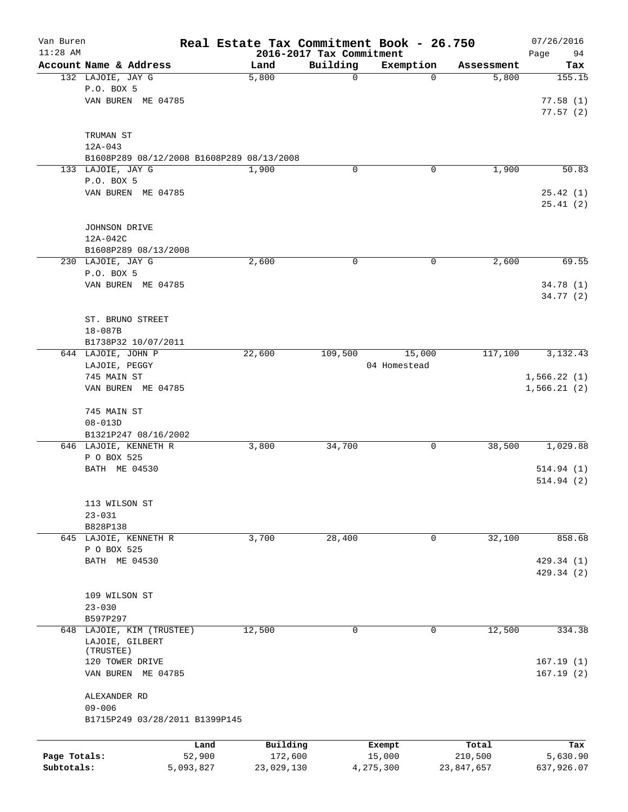| Van Buren<br>$11:28$ AM |                                           |           |            | 2016-2017 Tax Commitment | Real Estate Tax Commitment Book - 26.750 |            | 07/26/2016        |
|-------------------------|-------------------------------------------|-----------|------------|--------------------------|------------------------------------------|------------|-------------------|
|                         | Account Name & Address                    |           | Land       | Building                 | Exemption                                | Assessment | Page<br>94<br>Tax |
|                         | 132 LAJOIE, JAY G                         |           | 5,800      | $\mathbf 0$              | 0                                        | 5,800      | 155.15            |
|                         | P.O. BOX 5                                |           |            |                          |                                          |            |                   |
|                         | VAN BUREN ME 04785                        |           |            |                          |                                          |            | 77.58(1)          |
|                         |                                           |           |            |                          |                                          |            | 77.57(2)          |
|                         |                                           |           |            |                          |                                          |            |                   |
|                         | TRUMAN ST                                 |           |            |                          |                                          |            |                   |
|                         | $12A - 043$                               |           |            |                          |                                          |            |                   |
|                         | B1608P289 08/12/2008 B1608P289 08/13/2008 |           |            |                          |                                          |            |                   |
|                         | 133 LAJOIE, JAY G                         |           | 1,900      | 0                        | 0                                        | 1,900      | 50.83             |
|                         | P.O. BOX 5                                |           |            |                          |                                          |            |                   |
|                         | VAN BUREN ME 04785                        |           |            |                          |                                          |            | 25.42(1)          |
|                         |                                           |           |            |                          |                                          |            | 25.41(2)          |
|                         |                                           |           |            |                          |                                          |            |                   |
|                         | JOHNSON DRIVE                             |           |            |                          |                                          |            |                   |
|                         | 12A-042C                                  |           |            |                          |                                          |            |                   |
|                         | B1608P289 08/13/2008                      |           |            |                          |                                          |            |                   |
|                         | 230 LAJOIE, JAY G                         |           | 2,600      | 0                        | 0                                        | 2,600      | 69.55             |
|                         | P.O. BOX 5                                |           |            |                          |                                          |            |                   |
|                         | VAN BUREN ME 04785                        |           |            |                          |                                          |            | 34.78 (1)         |
|                         |                                           |           |            |                          |                                          |            | 34.77(2)          |
|                         |                                           |           |            |                          |                                          |            |                   |
|                         | ST. BRUNO STREET                          |           |            |                          |                                          |            |                   |
|                         | 18-087B                                   |           |            |                          |                                          |            |                   |
|                         | B1738P32 10/07/2011                       |           |            |                          |                                          |            |                   |
|                         | 644 LAJOIE, JOHN P                        |           | 22,600     | 109,500                  | 15,000                                   | 117,100    | 3,132.43          |
|                         | LAJOIE, PEGGY                             |           |            |                          | 04 Homestead                             |            |                   |
|                         | 745 MAIN ST                               |           |            |                          |                                          |            | 1,566.22(1)       |
|                         | VAN BUREN ME 04785                        |           |            |                          |                                          |            | 1,566.21(2)       |
|                         |                                           |           |            |                          |                                          |            |                   |
|                         | 745 MAIN ST<br>$08 - 013D$                |           |            |                          |                                          |            |                   |
|                         | B1321P247 08/16/2002                      |           |            |                          |                                          |            |                   |
|                         | 646 LAJOIE, KENNETH R                     |           | 3,800      | 34,700                   | 0                                        | 38,500     | 1,029.88          |
|                         | P O BOX 525                               |           |            |                          |                                          |            |                   |
|                         | BATH ME 04530                             |           |            |                          |                                          |            | 514.94(1)         |
|                         |                                           |           |            |                          |                                          |            | 514.94(2)         |
|                         |                                           |           |            |                          |                                          |            |                   |
|                         | 113 WILSON ST                             |           |            |                          |                                          |            |                   |
|                         | $23 - 031$                                |           |            |                          |                                          |            |                   |
|                         | B828P138                                  |           |            |                          |                                          |            |                   |
|                         | 645 LAJOIE, KENNETH R                     |           | 3,700      | 28,400                   | 0                                        | 32,100     | 858.68            |
|                         | P O BOX 525                               |           |            |                          |                                          |            |                   |
|                         | BATH ME 04530                             |           |            |                          |                                          |            | 429.34 (1)        |
|                         |                                           |           |            |                          |                                          |            | 429.34 (2)        |
|                         |                                           |           |            |                          |                                          |            |                   |
|                         | 109 WILSON ST                             |           |            |                          |                                          |            |                   |
|                         | $23 - 030$                                |           |            |                          |                                          |            |                   |
|                         | B597P297                                  |           |            |                          |                                          |            |                   |
|                         | 648 LAJOIE, KIM (TRUSTEE)                 |           | 12,500     | $\mathbf 0$              | $\mathbf 0$                              | 12,500     | 334.38            |
|                         | LAJOIE, GILBERT                           |           |            |                          |                                          |            |                   |
|                         | (TRUSTEE)<br>120 TOWER DRIVE              |           |            |                          |                                          |            | 167.19(1)         |
|                         | VAN BUREN ME 04785                        |           |            |                          |                                          |            | 167.19(2)         |
|                         |                                           |           |            |                          |                                          |            |                   |
|                         | ALEXANDER RD                              |           |            |                          |                                          |            |                   |
|                         | $09 - 006$                                |           |            |                          |                                          |            |                   |
|                         | B1715P249 03/28/2011 B1399P145            |           |            |                          |                                          |            |                   |
|                         |                                           |           |            |                          |                                          |            |                   |
|                         |                                           | Land      | Building   |                          | Exempt                                   | Total      | Tax               |
| Page Totals:            |                                           | 52,900    | 172,600    |                          | 15,000                                   | 210,500    | 5,630.90          |
| Subtotals:              |                                           | 5,093,827 | 23,029,130 |                          | 4,275,300                                | 23,847,657 | 637,926.07        |
|                         |                                           |           |            |                          |                                          |            |                   |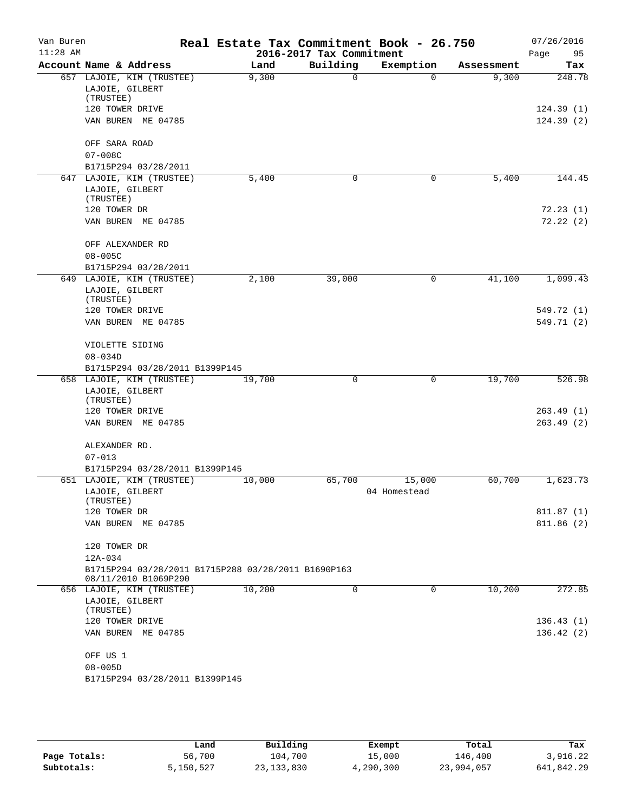| Van Buren<br>$11:28$ AM |                              |                                                                             | Real Estate Tax Commitment Book - 26.750 | 2016-2017 Tax Commitment |              |            | 07/26/2016<br>Page<br>95 |
|-------------------------|------------------------------|-----------------------------------------------------------------------------|------------------------------------------|--------------------------|--------------|------------|--------------------------|
|                         |                              | Account Name & Address                                                      | Land                                     | Building                 | Exemption    | Assessment | Tax                      |
|                         | LAJOIE, GILBERT<br>(TRUSTEE) | 657 LAJOIE, KIM (TRUSTEE)                                                   | 9,300                                    | 0                        | $\Omega$     | 9,300      | 248.78                   |
|                         | 120 TOWER DRIVE              |                                                                             |                                          |                          |              |            | 124.39(1)                |
|                         |                              | VAN BUREN ME 04785                                                          |                                          |                          |              |            | 124.39(2)                |
|                         | OFF SARA ROAD                |                                                                             |                                          |                          |              |            |                          |
|                         | $07 - 008C$                  |                                                                             |                                          |                          |              |            |                          |
|                         |                              | B1715P294 03/28/2011                                                        |                                          |                          |              |            |                          |
|                         | LAJOIE, GILBERT              | 647 LAJOIE, KIM (TRUSTEE)                                                   | 5,400                                    | 0                        | 0            | 5,400      | 144.45                   |
|                         | (TRUSTEE)<br>120 TOWER DR    |                                                                             |                                          |                          |              |            | 72.23(1)                 |
|                         |                              | VAN BUREN ME 04785                                                          |                                          |                          |              |            | 72.22(2)                 |
|                         |                              | OFF ALEXANDER RD                                                            |                                          |                          |              |            |                          |
|                         | $08 - 005C$                  |                                                                             |                                          |                          |              |            |                          |
| 649                     |                              | B1715P294 03/28/2011                                                        | 2,100                                    |                          |              |            | 1,099.43                 |
|                         | LAJOIE, GILBERT<br>(TRUSTEE) | LAJOIE, KIM (TRUSTEE)                                                       |                                          | 39,000                   | 0            | 41,100     |                          |
|                         | 120 TOWER DRIVE              |                                                                             |                                          |                          |              |            | 549.72 (1)               |
|                         |                              | VAN BUREN ME 04785                                                          |                                          |                          |              |            | 549.71 (2)               |
|                         | VIOLETTE SIDING              |                                                                             |                                          |                          |              |            |                          |
|                         | $08 - 034D$                  |                                                                             |                                          |                          |              |            |                          |
|                         |                              | B1715P294 03/28/2011 B1399P145<br>658 LAJOIE, KIM (TRUSTEE)                 | 19,700                                   | 0                        | $\mathbf 0$  | 19,700     | 526.98                   |
|                         | LAJOIE, GILBERT              |                                                                             |                                          |                          |              |            |                          |
|                         | (TRUSTEE)                    |                                                                             |                                          |                          |              |            |                          |
|                         | 120 TOWER DRIVE              |                                                                             |                                          |                          |              |            | 263.49(1)                |
|                         |                              | VAN BUREN ME 04785                                                          |                                          |                          |              |            | 263.49(2)                |
|                         | ALEXANDER RD.<br>$07 - 013$  |                                                                             |                                          |                          |              |            |                          |
|                         |                              | B1715P294 03/28/2011 B1399P145                                              |                                          |                          |              |            |                          |
|                         |                              | 651 LAJOIE, KIM (TRUSTEE)                                                   | 10,000                                   | 65,700                   | 15,000       | 60,700     | 1,623.73                 |
|                         | LAJOIE, GILBERT              |                                                                             |                                          |                          | 04 Homestead |            |                          |
|                         | (TRUSTEE)                    |                                                                             |                                          |                          |              |            |                          |
|                         | 120 TOWER DR                 | VAN BUREN ME 04785                                                          |                                          |                          |              |            | 811.87(1)<br>811.86(2)   |
|                         | 120 TOWER DR                 |                                                                             |                                          |                          |              |            |                          |
|                         | 12A-034                      |                                                                             |                                          |                          |              |            |                          |
|                         |                              | B1715P294 03/28/2011 B1715P288 03/28/2011 B1690P163<br>08/11/2010 B1069P290 |                                          |                          |              |            |                          |
|                         |                              | 656 LAJOIE, KIM (TRUSTEE)                                                   | 10,200                                   | 0                        | 0            | 10,200     | 272.85                   |
|                         | LAJOIE, GILBERT<br>(TRUSTEE) |                                                                             |                                          |                          |              |            |                          |
|                         | 120 TOWER DRIVE              |                                                                             |                                          |                          |              |            | 136.43(1)                |
|                         |                              | VAN BUREN ME 04785                                                          |                                          |                          |              |            | 136.42(2)                |
|                         | OFF US 1                     |                                                                             |                                          |                          |              |            |                          |
|                         | $08 - 005D$                  |                                                                             |                                          |                          |              |            |                          |
|                         |                              | B1715P294 03/28/2011 B1399P145                                              |                                          |                          |              |            |                          |

|              | Land      | Building     | Exempt    | Total      | Tax        |
|--------------|-----------|--------------|-----------|------------|------------|
| Page Totals: | 56,700    | 104,700      | 15,000    | 146,400    | 3,916.22   |
| Subtotals:   | 5,150,527 | 23, 133, 830 | 4,290,300 | 23,994,057 | 641,842.29 |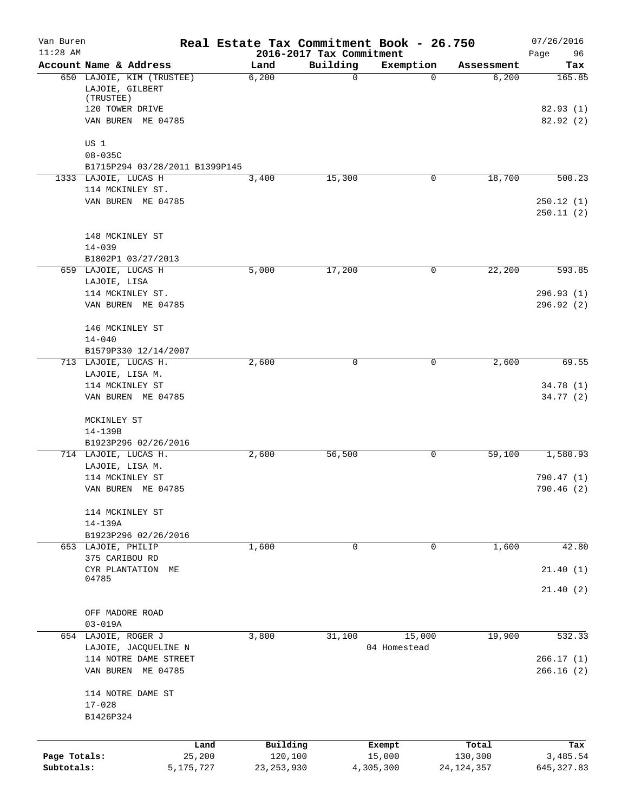| Van Buren<br>$11:28$ AM |                                                                              |                | Real Estate Tax Commitment Book - 26.750 | 2016-2017 Tax Commitment |                  |                  | 07/26/2016<br>Page<br>96 |
|-------------------------|------------------------------------------------------------------------------|----------------|------------------------------------------|--------------------------|------------------|------------------|--------------------------|
|                         | Account Name & Address                                                       |                | Land                                     | Building                 | Exemption        | Assessment       | Tax                      |
|                         | 650 LAJOIE, KIM (TRUSTEE)<br>LAJOIE, GILBERT<br>(TRUSTEE)<br>120 TOWER DRIVE |                | 6,200                                    | 0                        | $\Omega$         | 6,200            | 165.85<br>82.93(1)       |
|                         | VAN BUREN ME 04785                                                           |                |                                          |                          |                  |                  | 82.92(2)                 |
|                         | US 1                                                                         |                |                                          |                          |                  |                  |                          |
|                         | $08 - 035C$<br>B1715P294 03/28/2011 B1399P145                                |                |                                          |                          |                  |                  |                          |
|                         | 1333 LAJOIE, LUCAS H                                                         |                | 3,400                                    | 15,300                   | 0                | 18,700           | 500.23                   |
|                         | 114 MCKINLEY ST.                                                             |                |                                          |                          |                  |                  |                          |
|                         | VAN BUREN ME 04785                                                           |                |                                          |                          |                  |                  | 250.12(1)<br>250.11(2)   |
|                         | 148 MCKINLEY ST                                                              |                |                                          |                          |                  |                  |                          |
|                         | $14 - 039$                                                                   |                |                                          |                          |                  |                  |                          |
|                         | B1802P1 03/27/2013                                                           |                |                                          |                          |                  |                  |                          |
|                         | 659 LAJOIE, LUCAS H                                                          |                | 5,000                                    | 17,200                   | 0                | 22,200           | 593.85                   |
|                         | LAJOIE, LISA                                                                 |                |                                          |                          |                  |                  |                          |
|                         | 114 MCKINLEY ST.<br>VAN BUREN ME 04785                                       |                |                                          |                          |                  |                  | 296.93(1)<br>296.92 (2)  |
|                         |                                                                              |                |                                          |                          |                  |                  |                          |
|                         | 146 MCKINLEY ST                                                              |                |                                          |                          |                  |                  |                          |
|                         | $14 - 040$                                                                   |                |                                          |                          |                  |                  |                          |
|                         | B1579P330 12/14/2007                                                         |                |                                          |                          |                  |                  |                          |
|                         | 713 LAJOIE, LUCAS H.                                                         |                | 2,600                                    | 0                        | 0                | 2,600            | 69.55                    |
|                         | LAJOIE, LISA M.                                                              |                |                                          |                          |                  |                  |                          |
|                         | 114 MCKINLEY ST                                                              |                |                                          |                          |                  |                  | 34.78(1)                 |
|                         | VAN BUREN ME 04785                                                           |                |                                          |                          |                  |                  | 34.77(2)                 |
|                         | MCKINLEY ST                                                                  |                |                                          |                          |                  |                  |                          |
|                         | 14-139B                                                                      |                |                                          |                          |                  |                  |                          |
|                         | B1923P296 02/26/2016                                                         |                |                                          |                          |                  |                  |                          |
|                         | 714 LAJOIE, LUCAS H.                                                         |                | 2,600                                    | 56,500                   | 0                | 59,100           | 1,580.93                 |
|                         | LAJOIE, LISA M.                                                              |                |                                          |                          |                  |                  |                          |
|                         | 114 MCKINLEY ST                                                              |                |                                          |                          |                  |                  | 790.47 (1)               |
|                         | VAN BUREN ME 04785                                                           |                |                                          |                          |                  |                  | 790.46(2)                |
|                         | 114 MCKINLEY ST                                                              |                |                                          |                          |                  |                  |                          |
|                         | 14-139A                                                                      |                |                                          |                          |                  |                  |                          |
|                         | B1923P296 02/26/2016                                                         |                |                                          |                          |                  |                  |                          |
|                         | 653 LAJOIE, PHILIP                                                           |                | 1,600                                    | 0                        | 0                | 1,600            | 42.80                    |
|                         | 375 CARIBOU RD                                                               |                |                                          |                          |                  |                  |                          |
|                         | CYR PLANTATION<br>04785                                                      | МE             |                                          |                          |                  |                  | 21.40(1)                 |
|                         |                                                                              |                |                                          |                          |                  |                  | 21.40 (2)                |
|                         |                                                                              |                |                                          |                          |                  |                  |                          |
|                         | OFF MADORE ROAD                                                              |                |                                          |                          |                  |                  |                          |
|                         | $03 - 019A$                                                                  |                |                                          |                          |                  |                  |                          |
|                         | 654 LAJOIE, ROGER J<br>LAJOIE, JACQUELINE N                                  |                | 3,800                                    | 31,100                   | 15,000           | 19,900           | 532.33                   |
|                         | 114 NOTRE DAME STREET                                                        |                |                                          |                          | 04 Homestead     |                  | 266.17(1)                |
|                         | VAN BUREN ME 04785                                                           |                |                                          |                          |                  |                  | 266.16(2)                |
|                         |                                                                              |                |                                          |                          |                  |                  |                          |
|                         | 114 NOTRE DAME ST                                                            |                |                                          |                          |                  |                  |                          |
|                         | $17 - 028$                                                                   |                |                                          |                          |                  |                  |                          |
|                         | B1426P324                                                                    |                |                                          |                          |                  |                  |                          |
|                         |                                                                              |                |                                          |                          |                  |                  |                          |
| Page Totals:            |                                                                              | Land<br>25,200 | Building<br>120,100                      |                          | Exempt<br>15,000 | Total<br>130,300 | Tax<br>3,485.54          |
| Subtotals:              |                                                                              | 5,175,727      | 23, 253, 930                             |                          | 4,305,300        | 24, 124, 357     | 645, 327.83              |
|                         |                                                                              |                |                                          |                          |                  |                  |                          |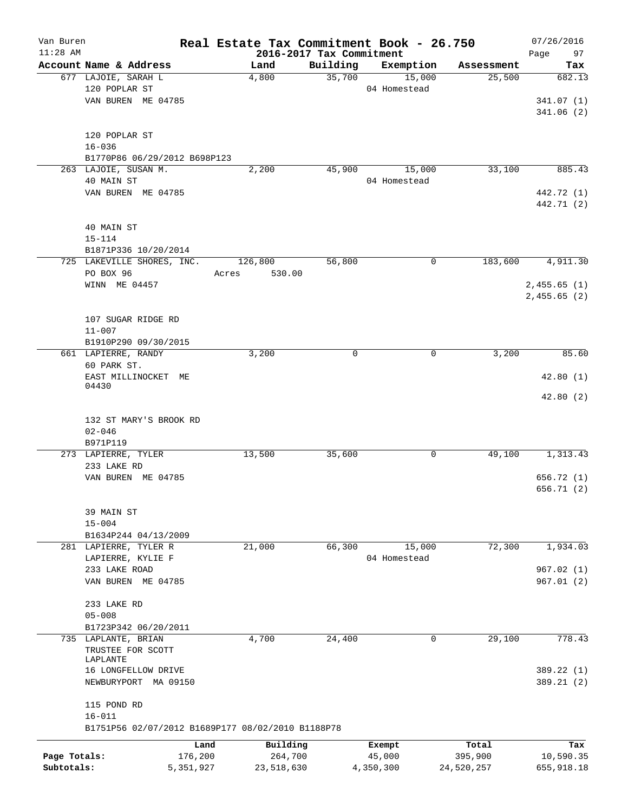| Van Buren<br>$11:28$ AM |                                                   | Real Estate Tax Commitment Book - 26.750 |                                      |              |            | 07/26/2016        |
|-------------------------|---------------------------------------------------|------------------------------------------|--------------------------------------|--------------|------------|-------------------|
|                         | Account Name & Address                            | Land                                     | 2016-2017 Tax Commitment<br>Building | Exemption    | Assessment | 97<br>Page<br>Tax |
|                         | 677 LAJOIE, SARAH L                               | 4,800                                    | 35,700                               | 15,000       | 25,500     | 682.13            |
|                         | 120 POPLAR ST                                     |                                          |                                      | 04 Homestead |            |                   |
|                         | VAN BUREN ME 04785                                |                                          |                                      |              |            | 341.07 (1)        |
|                         |                                                   |                                          |                                      |              |            | 341.06(2)         |
|                         |                                                   |                                          |                                      |              |            |                   |
|                         | 120 POPLAR ST                                     |                                          |                                      |              |            |                   |
|                         | $16 - 036$                                        |                                          |                                      |              |            |                   |
|                         | B1770P86 06/29/2012 B698P123                      |                                          |                                      |              |            |                   |
|                         | 263 LAJOIE, SUSAN M.                              | 2,200                                    | 45,900                               | 15,000       | 33,100     | 885.43            |
|                         | 40 MAIN ST                                        |                                          |                                      | 04 Homestead |            |                   |
|                         | VAN BUREN ME 04785                                |                                          |                                      |              |            | 442.72 (1)        |
|                         |                                                   |                                          |                                      |              |            | 442.71 (2)        |
|                         |                                                   |                                          |                                      |              |            |                   |
|                         | 40 MAIN ST                                        |                                          |                                      |              |            |                   |
|                         | $15 - 114$                                        |                                          |                                      |              |            |                   |
|                         | B1871P336 10/20/2014                              |                                          |                                      |              |            |                   |
|                         | 725 LAKEVILLE SHORES, INC.                        | 126,800                                  | 56,800                               | 0            | 183,600    | 4,911.30          |
|                         | PO BOX 96                                         | Acres<br>530.00                          |                                      |              |            |                   |
|                         | WINN ME 04457                                     |                                          |                                      |              |            | 2,455.65(1)       |
|                         |                                                   |                                          |                                      |              |            | 2,455.65(2)       |
|                         |                                                   |                                          |                                      |              |            |                   |
|                         | 107 SUGAR RIDGE RD                                |                                          |                                      |              |            |                   |
|                         | $11 - 007$                                        |                                          |                                      |              |            |                   |
|                         | B1910P290 09/30/2015                              |                                          |                                      |              |            |                   |
|                         | 661 LAPIERRE, RANDY                               | 3,200                                    | $\mathbf 0$                          | 0            | 3,200      | 85.60             |
|                         | 60 PARK ST.                                       |                                          |                                      |              |            |                   |
|                         | EAST MILLINOCKET ME                               |                                          |                                      |              |            | 42.80(1)          |
|                         | 04430                                             |                                          |                                      |              |            |                   |
|                         |                                                   |                                          |                                      |              |            | 42.80(2)          |
|                         |                                                   |                                          |                                      |              |            |                   |
|                         | 132 ST MARY'S BROOK RD                            |                                          |                                      |              |            |                   |
|                         | $02 - 046$                                        |                                          |                                      |              |            |                   |
|                         | B971P119                                          |                                          |                                      |              |            |                   |
|                         | 273 LAPIERRE, TYLER                               | 13,500                                   | 35,600                               | 0            | 49,100     | 1,313.43          |
|                         | 233 LAKE RD                                       |                                          |                                      |              |            |                   |
|                         | VAN BUREN ME 04785                                |                                          |                                      |              |            | 656.72 (1)        |
|                         |                                                   |                                          |                                      |              |            | 656.71 (2)        |
|                         |                                                   |                                          |                                      |              |            |                   |
|                         | 39 MAIN ST                                        |                                          |                                      |              |            |                   |
|                         | $15 - 004$                                        |                                          |                                      |              |            |                   |
|                         | B1634P244 04/13/2009                              |                                          |                                      |              |            |                   |
|                         | 281 LAPIERRE, TYLER R                             | 21,000                                   | 66,300                               | 15,000       | 72,300     | 1,934.03          |
|                         | LAPIERRE, KYLIE F                                 |                                          |                                      | 04 Homestead |            |                   |
|                         | 233 LAKE ROAD                                     |                                          |                                      |              |            | 967.02(1)         |
|                         | VAN BUREN ME 04785                                |                                          |                                      |              |            | 967.01(2)         |
|                         |                                                   |                                          |                                      |              |            |                   |
|                         | 233 LAKE RD                                       |                                          |                                      |              |            |                   |
|                         | $05 - 008$                                        |                                          |                                      |              |            |                   |
|                         | B1723P342 06/20/2011                              |                                          |                                      |              |            |                   |
|                         | 735 LAPLANTE, BRIAN                               | 4,700                                    | 24,400                               | 0            | 29,100     | 778.43            |
|                         | TRUSTEE FOR SCOTT<br>LAPLANTE                     |                                          |                                      |              |            |                   |
|                         | 16 LONGFELLOW DRIVE                               |                                          |                                      |              |            | 389.22 (1)        |
|                         | NEWBURYPORT MA 09150                              |                                          |                                      |              |            | 389.21 (2)        |
|                         |                                                   |                                          |                                      |              |            |                   |
|                         | 115 POND RD                                       |                                          |                                      |              |            |                   |
|                         | $16 - 011$                                        |                                          |                                      |              |            |                   |
|                         | B1751P56 02/07/2012 B1689P177 08/02/2010 B1188P78 |                                          |                                      |              |            |                   |
|                         |                                                   |                                          |                                      |              |            |                   |
|                         | Land                                              | Building                                 |                                      | Exempt       | Total      | Tax               |
| Page Totals:            | 176,200                                           | 264,700                                  |                                      | 45,000       | 395,900    | 10,590.35         |
| Subtotals:              | 5,351,927                                         | 23,518,630                               |                                      | 4,350,300    | 24,520,257 | 655,918.18        |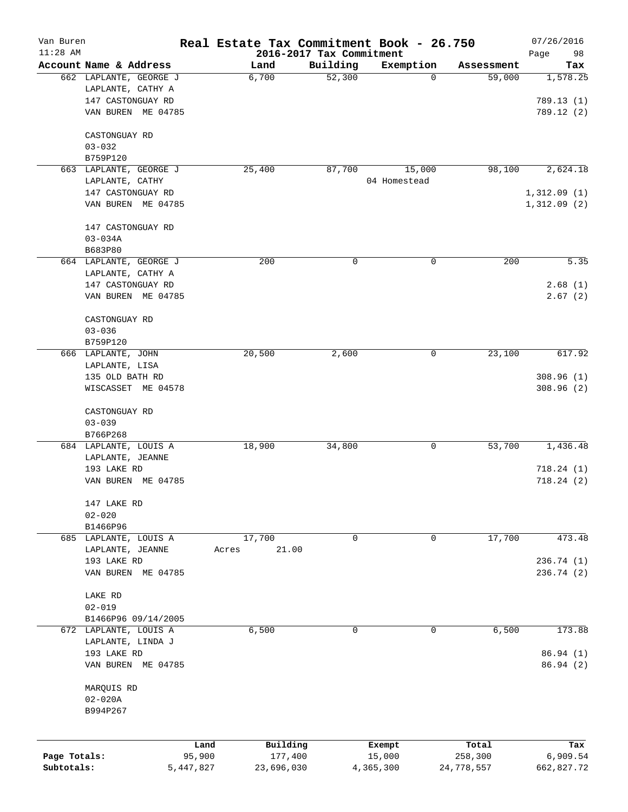| Van Buren<br>$11:28$ AM |                                            |        |            | 2016-2017 Tax Commitment | Real Estate Tax Commitment Book - 26.750 |            | 07/26/2016<br>Page<br>98 |
|-------------------------|--------------------------------------------|--------|------------|--------------------------|------------------------------------------|------------|--------------------------|
|                         | Account Name & Address                     |        | Land       | Building                 | Exemption                                | Assessment | Tax                      |
|                         | 662 LAPLANTE, GEORGE J                     |        | 6,700      | 52,300                   | 0                                        | 59,000     | 1,578.25                 |
|                         | LAPLANTE, CATHY A                          |        |            |                          |                                          |            |                          |
|                         | 147 CASTONGUAY RD                          |        |            |                          |                                          |            | 789.13(1)                |
|                         | VAN BUREN ME 04785                         |        |            |                          |                                          |            | 789.12(2)                |
|                         | CASTONGUAY RD                              |        |            |                          |                                          |            |                          |
|                         | $03 - 032$                                 |        |            |                          |                                          |            |                          |
|                         | B759P120                                   |        |            |                          |                                          |            |                          |
|                         | 663 LAPLANTE, GEORGE J                     |        | 25,400     | 87,700                   | 15,000                                   | 98,100     | 2,624.18                 |
|                         | LAPLANTE, CATHY                            |        |            |                          | 04 Homestead                             |            |                          |
|                         | 147 CASTONGUAY RD                          |        |            |                          |                                          |            | 1,312.09(1)              |
|                         | VAN BUREN ME 04785                         |        |            |                          |                                          |            | 1,312.09(2)              |
|                         |                                            |        |            |                          |                                          |            |                          |
|                         | 147 CASTONGUAY RD                          |        |            |                          |                                          |            |                          |
|                         | $03 - 034A$                                |        |            |                          |                                          |            |                          |
|                         | B683P80                                    |        |            |                          |                                          |            |                          |
|                         | 664 LAPLANTE, GEORGE J                     |        | 200        | 0                        | 0                                        | 200        | 5.35                     |
|                         | LAPLANTE, CATHY A                          |        |            |                          |                                          |            |                          |
|                         | 147 CASTONGUAY RD                          |        |            |                          |                                          |            | 2.68(1)                  |
|                         | VAN BUREN ME 04785                         |        |            |                          |                                          |            | 2.67(2)                  |
|                         | CASTONGUAY RD                              |        |            |                          |                                          |            |                          |
|                         | $03 - 036$                                 |        |            |                          |                                          |            |                          |
|                         | B759P120                                   |        |            |                          |                                          |            |                          |
|                         | 666 LAPLANTE, JOHN                         |        | 20,500     | 2,600                    | 0                                        | 23,100     | 617.92                   |
|                         | LAPLANTE, LISA                             |        |            |                          |                                          |            |                          |
|                         | 135 OLD BATH RD                            |        |            |                          |                                          |            | 308.96(1)                |
|                         | WISCASSET ME 04578                         |        |            |                          |                                          |            | 308.96(2)                |
|                         | CASTONGUAY RD                              |        |            |                          |                                          |            |                          |
|                         | $03 - 039$                                 |        |            |                          |                                          |            |                          |
|                         | B766P268                                   |        |            |                          |                                          |            |                          |
|                         | 684 LAPLANTE, LOUIS A                      |        | 18,900     | 34,800                   | 0                                        | 53,700     | 1,436.48                 |
|                         | LAPLANTE, JEANNE                           |        |            |                          |                                          |            |                          |
|                         | 193 LAKE RD                                |        |            |                          |                                          |            | 718.24(1)                |
|                         | VAN BUREN ME 04785                         |        |            |                          |                                          |            | 718.24(2)                |
|                         | 147 LAKE RD                                |        |            |                          |                                          |            |                          |
|                         | $02 - 020$                                 |        |            |                          |                                          |            |                          |
|                         | B1466P96                                   |        |            |                          |                                          |            |                          |
|                         | 685 LAPLANTE, LOUIS A                      |        | 17,700     | 0                        | 0                                        | 17,700     | 473.48                   |
|                         | LAPLANTE, JEANNE                           | Acres  | 21.00      |                          |                                          |            |                          |
|                         | 193 LAKE RD                                |        |            |                          |                                          |            | 236.74(1)                |
|                         | VAN BUREN ME 04785                         |        |            |                          |                                          |            | 236.74 (2)               |
|                         | LAKE RD                                    |        |            |                          |                                          |            |                          |
|                         | $02 - 019$                                 |        |            |                          |                                          |            |                          |
|                         | B1466P96 09/14/2005                        |        |            |                          |                                          |            |                          |
|                         | 672 LAPLANTE, LOUIS A<br>LAPLANTE, LINDA J |        | 6,500      | 0                        | 0                                        | 6,500      | 173.88                   |
|                         | 193 LAKE RD                                |        |            |                          |                                          |            | 86.94 (1)                |
|                         | VAN BUREN ME 04785                         |        |            |                          |                                          |            | 86.94(2)                 |
|                         |                                            |        |            |                          |                                          |            |                          |
|                         | MARQUIS RD                                 |        |            |                          |                                          |            |                          |
|                         | $02 - 020A$                                |        |            |                          |                                          |            |                          |
|                         | B994P267                                   |        |            |                          |                                          |            |                          |
|                         |                                            |        |            |                          |                                          |            |                          |
|                         |                                            | Land   | Building   |                          | Exempt                                   | Total      | Tax                      |
| Page Totals:            |                                            | 95,900 | 177,400    |                          | 15,000                                   | 258,300    | 6,909.54                 |
| Subtotals:              | 5,447,827                                  |        | 23,696,030 |                          | 4,365,300                                | 24,778,557 | 662,827.72               |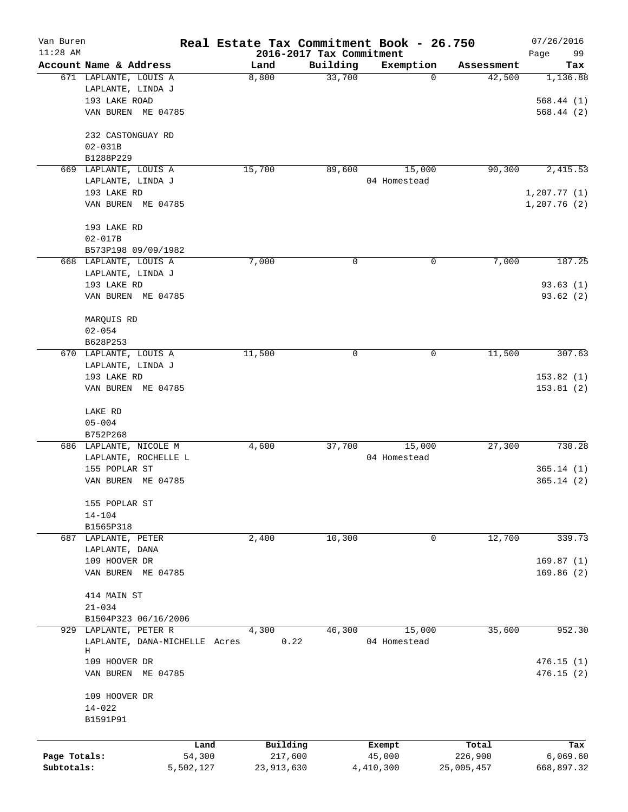| Van Buren<br>$11:28$ AM    |                                                                 | Real Estate Tax Commitment Book - 26.750 | 2016-2017 Tax Commitment |                        |                       | 07/26/2016<br>99<br>Page |
|----------------------------|-----------------------------------------------------------------|------------------------------------------|--------------------------|------------------------|-----------------------|--------------------------|
|                            | Account Name & Address                                          | Land                                     | Building                 | Exemption              | Assessment            | Tax                      |
|                            | 671 LAPLANTE, LOUIS A<br>LAPLANTE, LINDA J<br>193 LAKE ROAD     | 8,800                                    | 33,700                   | 0                      | 42,500                | 1,136.88<br>568.44(1)    |
|                            | VAN BUREN ME 04785                                              |                                          |                          |                        |                       | 568.44(2)                |
|                            | 232 CASTONGUAY RD<br>$02 - 031B$                                |                                          |                          |                        |                       |                          |
|                            | B1288P229                                                       |                                          |                          |                        |                       |                          |
|                            | 669 LAPLANTE, LOUIS A<br>LAPLANTE, LINDA J<br>193 LAKE RD       | 15,700                                   | 89,600                   | 15,000<br>04 Homestead | 90, 300               | 2,415.53<br>1, 207.77(1) |
|                            | VAN BUREN ME 04785                                              |                                          |                          |                        |                       | 1,207.76(2)              |
|                            | 193 LAKE RD<br>$02 - 017B$                                      |                                          |                          |                        |                       |                          |
|                            | B573P198 09/09/1982                                             |                                          |                          |                        |                       |                          |
|                            | 668 LAPLANTE, LOUIS A<br>LAPLANTE, LINDA J<br>193 LAKE RD       | 7,000                                    | 0                        | 0                      | 7,000                 | 187.25<br>93.63(1)       |
|                            | VAN BUREN ME 04785                                              |                                          |                          |                        |                       | 93.62(2)                 |
|                            | MARQUIS RD<br>$02 - 054$                                        |                                          |                          |                        |                       |                          |
|                            | B628P253                                                        |                                          |                          |                        |                       |                          |
|                            | 670 LAPLANTE, LOUIS A<br>LAPLANTE, LINDA J                      | 11,500                                   | 0                        | 0                      | 11,500                | 307.63                   |
|                            | 193 LAKE RD<br>VAN BUREN ME 04785                               |                                          |                          |                        |                       | 153.82(1)<br>153.81(2)   |
|                            | LAKE RD<br>$05 - 004$                                           |                                          |                          |                        |                       |                          |
|                            | B752P268                                                        |                                          |                          |                        |                       |                          |
|                            | 686 LAPLANTE, NICOLE M<br>LAPLANTE, ROCHELLE L<br>155 POPLAR ST | 4,600                                    | 37,700                   | 15,000<br>04 Homestead | 27,300                | 730.28<br>365.14(1)      |
|                            | VAN BUREN ME 04785                                              |                                          |                          |                        |                       | 365.14 (2)               |
|                            | 155 POPLAR ST<br>$14 - 104$                                     |                                          |                          |                        |                       |                          |
|                            | B1565P318                                                       |                                          |                          |                        |                       |                          |
|                            | 687 LAPLANTE, PETER<br>LAPLANTE, DANA<br>109 HOOVER DR          | 2,400                                    | 10,300                   | 0                      | 12,700                | 339.73<br>169.87(1)      |
|                            | VAN BUREN ME 04785                                              |                                          |                          |                        |                       | 169.86(2)                |
|                            | 414 MAIN ST<br>$21 - 034$                                       |                                          |                          |                        |                       |                          |
|                            | B1504P323 06/16/2006                                            |                                          |                          |                        |                       |                          |
| 929                        | LAPLANTE, PETER R<br>LAPLANTE, DANA-MICHELLE Acres<br>Н         | 4,300<br>0.22                            | 46,300                   | 15,000<br>04 Homestead | 35,600                | 952.30                   |
|                            | 109 HOOVER DR<br>VAN BUREN ME 04785                             |                                          |                          |                        |                       | 476.15(1)<br>476.15(2)   |
|                            | 109 HOOVER DR<br>$14 - 022$<br>B1591P91                         |                                          |                          |                        |                       |                          |
|                            | Land                                                            | Building                                 |                          | Exempt                 | Total                 | Tax                      |
| Page Totals:<br>Subtotals: | 54,300<br>5,502,127                                             | 217,600<br>23,913,630                    |                          | 45,000<br>4,410,300    | 226,900<br>25,005,457 | 6,069.60<br>668,897.32   |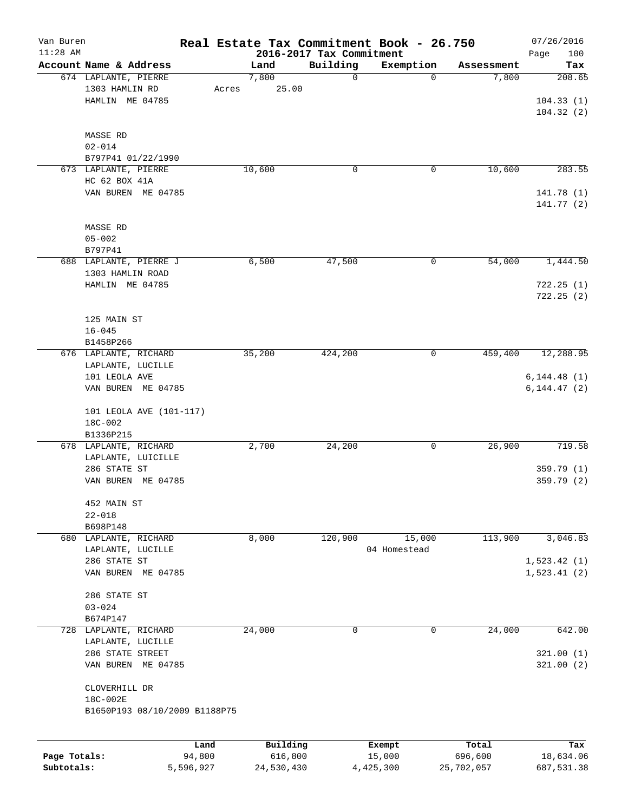| Van Buren                  |                                    |                     |                       |                                      | Real Estate Tax Commitment Book - 26.750 |                       | 07/26/2016              |
|----------------------------|------------------------------------|---------------------|-----------------------|--------------------------------------|------------------------------------------|-----------------------|-------------------------|
| $11:28$ AM                 | Account Name & Address             |                     | Land                  | 2016-2017 Tax Commitment<br>Building |                                          |                       | Page<br>100<br>Tax      |
|                            | 674 LAPLANTE, PIERRE               |                     | 7,800                 | 0                                    | Exemption<br>$\Omega$                    | Assessment<br>7,800   | 208.65                  |
|                            | 1303 HAMLIN RD                     | Acres               | 25.00                 |                                      |                                          |                       |                         |
|                            | HAMLIN ME 04785                    |                     |                       |                                      |                                          |                       | 104.33(1)               |
|                            |                                    |                     |                       |                                      |                                          |                       | 104.32(2)               |
|                            |                                    |                     |                       |                                      |                                          |                       |                         |
|                            |                                    |                     |                       |                                      |                                          |                       |                         |
|                            | MASSE RD                           |                     |                       |                                      |                                          |                       |                         |
|                            | $02 - 014$<br>B797P41 01/22/1990   |                     |                       |                                      |                                          |                       |                         |
|                            | 673 LAPLANTE, PIERRE               |                     | 10,600                |                                      |                                          | 10,600                | 283.55                  |
|                            |                                    |                     |                       | 0                                    | 0                                        |                       |                         |
|                            | HC 62 BOX 41A                      |                     |                       |                                      |                                          |                       |                         |
|                            | VAN BUREN ME 04785                 |                     |                       |                                      |                                          |                       | 141.78 (1)              |
|                            |                                    |                     |                       |                                      |                                          |                       | 141.77(2)               |
|                            |                                    |                     |                       |                                      |                                          |                       |                         |
|                            | <b>MASSE RD</b>                    |                     |                       |                                      |                                          |                       |                         |
|                            | $05 - 002$                         |                     |                       |                                      |                                          |                       |                         |
|                            | B797P41                            |                     |                       |                                      |                                          |                       |                         |
|                            | 688 LAPLANTE, PIERRE J             |                     | 6,500                 | 47,500                               | 0                                        | 54,000                | 1,444.50                |
|                            | 1303 HAMLIN ROAD                   |                     |                       |                                      |                                          |                       |                         |
|                            | HAMLIN ME 04785                    |                     |                       |                                      |                                          |                       | 722.25(1)               |
|                            |                                    |                     |                       |                                      |                                          |                       | 722.25(2)               |
|                            |                                    |                     |                       |                                      |                                          |                       |                         |
|                            | 125 MAIN ST                        |                     |                       |                                      |                                          |                       |                         |
|                            | $16 - 045$                         |                     |                       |                                      |                                          |                       |                         |
|                            | B1458P266                          |                     |                       |                                      |                                          |                       |                         |
|                            | 676 LAPLANTE, RICHARD              |                     | 35,200                | 424,200                              | 0                                        | 459,400               | 12,288.95               |
|                            | LAPLANTE, LUCILLE                  |                     |                       |                                      |                                          |                       |                         |
|                            | 101 LEOLA AVE                      |                     |                       |                                      |                                          |                       | 6, 144.48(1)            |
|                            | VAN BUREN ME 04785                 |                     |                       |                                      |                                          |                       | 6, 144.47 (2)           |
|                            |                                    |                     |                       |                                      |                                          |                       |                         |
|                            | 101 LEOLA AVE (101-117)<br>18C-002 |                     |                       |                                      |                                          |                       |                         |
|                            | B1336P215                          |                     |                       |                                      |                                          |                       |                         |
|                            | 678 LAPLANTE, RICHARD              |                     | 2,700                 | 24,200                               | 0                                        | 26,900                | 719.58                  |
|                            | LAPLANTE, LUICILLE                 |                     |                       |                                      |                                          |                       |                         |
|                            | 286 STATE ST                       |                     |                       |                                      |                                          |                       | 359.79 (1)              |
|                            | ME 04785<br>VAN BUREN              |                     |                       |                                      |                                          |                       | 359.79(2)               |
|                            |                                    |                     |                       |                                      |                                          |                       |                         |
|                            | 452 MAIN ST                        |                     |                       |                                      |                                          |                       |                         |
|                            | $22 - 018$                         |                     |                       |                                      |                                          |                       |                         |
|                            | B698P148                           |                     |                       |                                      |                                          |                       |                         |
|                            | 680 LAPLANTE, RICHARD              |                     | 8,000                 | 120,900                              | 15,000                                   | 113,900               | 3,046.83                |
|                            | LAPLANTE, LUCILLE                  |                     |                       |                                      | 04 Homestead                             |                       |                         |
|                            | 286 STATE ST                       |                     |                       |                                      |                                          |                       | 1,523.42(1)             |
|                            | VAN BUREN ME 04785                 |                     |                       |                                      |                                          |                       | 1,523.41(2)             |
|                            |                                    |                     |                       |                                      |                                          |                       |                         |
|                            | 286 STATE ST                       |                     |                       |                                      |                                          |                       |                         |
|                            | $03 - 024$                         |                     |                       |                                      |                                          |                       |                         |
|                            | B674P147                           |                     |                       |                                      |                                          |                       |                         |
|                            | 728 LAPLANTE, RICHARD              |                     | 24,000                | 0                                    | 0                                        | 24,000                | 642.00                  |
|                            | LAPLANTE, LUCILLE                  |                     |                       |                                      |                                          |                       |                         |
|                            | 286 STATE STREET                   |                     |                       |                                      |                                          |                       | 321.00(1)               |
|                            | VAN BUREN ME 04785                 |                     |                       |                                      |                                          |                       | 321.00(2)               |
|                            |                                    |                     |                       |                                      |                                          |                       |                         |
|                            | CLOVERHILL DR                      |                     |                       |                                      |                                          |                       |                         |
|                            | 18C-002E                           |                     |                       |                                      |                                          |                       |                         |
|                            | B1650P193 08/10/2009 B1188P75      |                     |                       |                                      |                                          |                       |                         |
|                            |                                    |                     |                       |                                      |                                          |                       |                         |
|                            |                                    |                     |                       |                                      |                                          |                       |                         |
|                            |                                    | Land                | Building              |                                      | Exempt                                   | Total                 | Tax                     |
| Page Totals:<br>Subtotals: |                                    | 94,800<br>5,596,927 | 616,800<br>24,530,430 |                                      | 15,000<br>4,425,300                      | 696,600<br>25,702,057 | 18,634.06<br>687,531.38 |
|                            |                                    |                     |                       |                                      |                                          |                       |                         |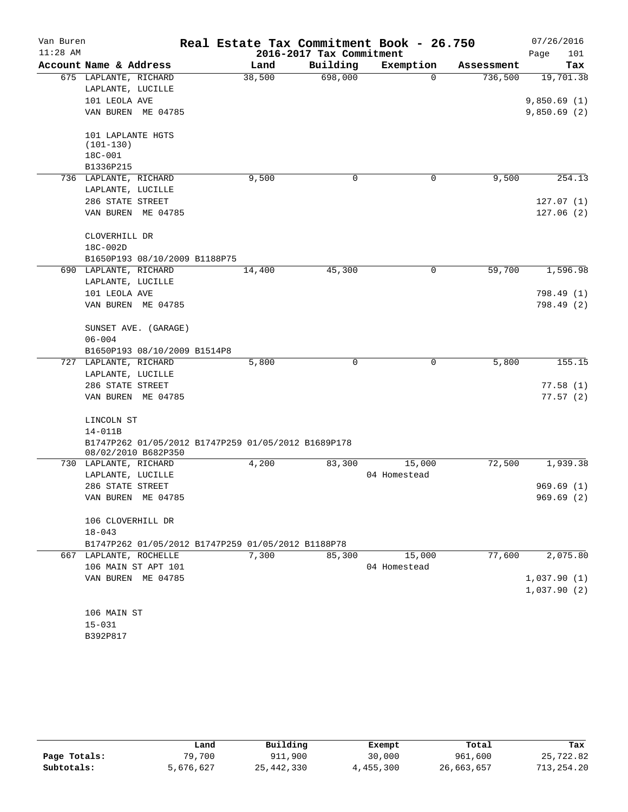| Van Buren  |                                                        |        |                          | Real Estate Tax Commitment Book - 26.750 |            | 07/26/2016  |
|------------|--------------------------------------------------------|--------|--------------------------|------------------------------------------|------------|-------------|
| $11:28$ AM |                                                        |        | 2016-2017 Tax Commitment |                                          |            | Page<br>101 |
|            | Account Name & Address                                 | Land   | Building                 | Exemption                                | Assessment | Tax         |
|            | 675 LAPLANTE, RICHARD                                  | 38,500 | 698,000                  | $\Omega$                                 | 736,500    | 19,701.38   |
|            | LAPLANTE, LUCILLE                                      |        |                          |                                          |            |             |
|            | 101 LEOLA AVE                                          |        |                          |                                          |            | 9,850.69(1) |
|            | VAN BUREN ME 04785                                     |        |                          |                                          |            | 9,850.69(2) |
|            | 101 LAPLANTE HGTS<br>$(101 - 130)$                     |        |                          |                                          |            |             |
|            | 18C-001                                                |        |                          |                                          |            |             |
|            | B1336P215                                              |        |                          |                                          |            |             |
|            | 736 LAPLANTE, RICHARD                                  | 9,500  | 0                        | 0                                        | 9,500      | 254.13      |
|            | LAPLANTE, LUCILLE                                      |        |                          |                                          |            |             |
|            | 286 STATE STREET                                       |        |                          |                                          |            | 127.07(1)   |
|            | VAN BUREN ME 04785                                     |        |                          |                                          |            | 127.06(2)   |
|            |                                                        |        |                          |                                          |            |             |
|            | CLOVERHILL DR                                          |        |                          |                                          |            |             |
|            | 18C-002D                                               |        |                          |                                          |            |             |
|            | B1650P193 08/10/2009 B1188P75<br>690 LAPLANTE, RICHARD | 14,400 | 45,300                   | 0                                        | 59,700     | 1,596.98    |
|            | LAPLANTE, LUCILLE                                      |        |                          |                                          |            |             |
|            | 101 LEOLA AVE                                          |        |                          |                                          |            | 798.49 (1)  |
|            | VAN BUREN ME 04785                                     |        |                          |                                          |            | 798.49 (2)  |
|            |                                                        |        |                          |                                          |            |             |
|            | SUNSET AVE. (GARAGE)                                   |        |                          |                                          |            |             |
|            | $06 - 004$                                             |        |                          |                                          |            |             |
|            | B1650P193 08/10/2009 B1514P8                           |        |                          |                                          |            |             |
|            | 727 LAPLANTE, RICHARD                                  | 5,800  | $\Omega$                 | 0                                        | 5,800      | 155.15      |
|            | LAPLANTE, LUCILLE                                      |        |                          |                                          |            |             |
|            | 286 STATE STREET                                       |        |                          |                                          |            | 77.58(1)    |
|            | VAN BUREN ME 04785                                     |        |                          |                                          |            | 77.57(2)    |
|            |                                                        |        |                          |                                          |            |             |
|            | LINCOLN ST                                             |        |                          |                                          |            |             |
|            | $14 - 011B$                                            |        |                          |                                          |            |             |
|            | B1747P262 01/05/2012 B1747P259 01/05/2012 B1689P178    |        |                          |                                          |            |             |
|            | 08/02/2010 B682P350                                    |        |                          |                                          |            |             |
|            | 730 LAPLANTE, RICHARD                                  | 4,200  | 83,300                   | 15,000                                   | 72,500     | 1,939.38    |
|            | LAPLANTE, LUCILLE                                      |        |                          | 04 Homestead                             |            |             |
|            | 286 STATE STREET                                       |        |                          |                                          |            | 969.69(1)   |
|            | VAN BUREN ME 04785                                     |        |                          |                                          |            | 969.69 (2)  |
|            | 106 CLOVERHILL DR                                      |        |                          |                                          |            |             |
|            | $18 - 043$                                             |        |                          |                                          |            |             |
|            | B1747P262 01/05/2012 B1747P259 01/05/2012 B1188P78     |        |                          |                                          |            |             |
|            | 667 LAPLANTE, ROCHELLE                                 | 7,300  | 85,300                   | 15,000                                   | 77,600     | 2,075.80    |
|            | 106 MAIN ST APT 101                                    |        |                          | 04 Homestead                             |            |             |
|            | VAN BUREN ME 04785                                     |        |                          |                                          |            | 1,037.90(1) |
|            |                                                        |        |                          |                                          |            | 1,037.90(2) |
|            |                                                        |        |                          |                                          |            |             |
|            | 106 MAIN ST                                            |        |                          |                                          |            |             |
|            | $15 - 031$                                             |        |                          |                                          |            |             |
|            | B392P817                                               |        |                          |                                          |            |             |

|              | Land      | Building   | Exempt    | Total      | Tax        |
|--------------|-----------|------------|-----------|------------|------------|
| Page Totals: | 79,700    | 911,900    | 30,000    | 961,600    | 25,722.82  |
| Subtotals:   | 5,676,627 | 25,442,330 | 4,455,300 | 26,663,657 | 713,254.20 |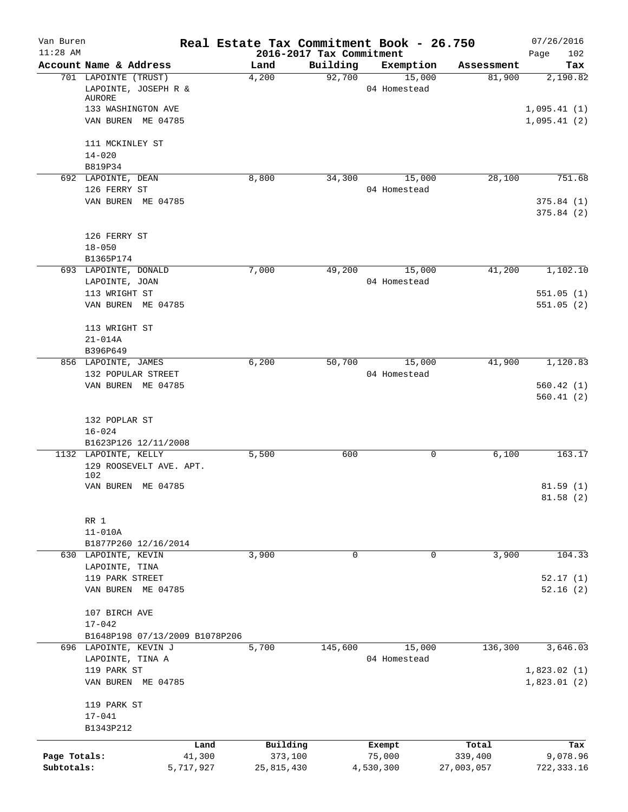| Van Buren<br>$11:28$ AM |                                              | Real Estate Tax Commitment Book - 26.750 | 2016-2017 Tax Commitment |                        |            | 07/26/2016<br>102<br>Page |
|-------------------------|----------------------------------------------|------------------------------------------|--------------------------|------------------------|------------|---------------------------|
|                         | Account Name & Address                       | Land                                     | Building                 | Exemption              | Assessment | Tax                       |
|                         | 701 LAPOINTE (TRUST)<br>LAPOINTE, JOSEPH R & | 4,200                                    | 92,700                   | 15,000<br>04 Homestead | 81,900     | 2,190.82                  |
|                         | AURORE                                       |                                          |                          |                        |            |                           |
|                         | 133 WASHINGTON AVE                           |                                          |                          |                        |            | 1,095.41(1)               |
|                         | VAN BUREN ME 04785                           |                                          |                          |                        |            | 1,095.41(2)               |
|                         | 111 MCKINLEY ST                              |                                          |                          |                        |            |                           |
|                         | $14 - 020$                                   |                                          |                          |                        |            |                           |
|                         | B819P34<br>692 LAPOINTE, DEAN                | 8,800                                    | 34,300                   | 15,000                 | 28,100     | 751.68                    |
|                         | 126 FERRY ST                                 |                                          |                          | 04 Homestead           |            |                           |
|                         | VAN BUREN ME 04785                           |                                          |                          |                        |            | 375.84(1)                 |
|                         |                                              |                                          |                          |                        |            | 375.84(2)                 |
|                         | 126 FERRY ST                                 |                                          |                          |                        |            |                           |
|                         | $18 - 050$                                   |                                          |                          |                        |            |                           |
|                         | B1365P174                                    |                                          |                          |                        |            |                           |
|                         | 693 LAPOINTE, DONALD                         | 7,000                                    | 49,200                   | 15,000                 | 41,200     | 1,102.10                  |
|                         | LAPOINTE, JOAN<br>113 WRIGHT ST              |                                          |                          | 04 Homestead           |            | 551.05(1)                 |
|                         | VAN BUREN ME 04785                           |                                          |                          |                        |            | 551.05(2)                 |
|                         |                                              |                                          |                          |                        |            |                           |
|                         | 113 WRIGHT ST                                |                                          |                          |                        |            |                           |
|                         | $21 - 014A$                                  |                                          |                          |                        |            |                           |
|                         | B396P649<br>856 LAPOINTE, JAMES              | 6,200                                    | 50,700                   | 15,000                 | 41,900     | 1,120.83                  |
|                         | 132 POPULAR STREET                           |                                          |                          | 04 Homestead           |            |                           |
|                         | VAN BUREN ME 04785                           |                                          |                          |                        |            | 560.42(1)                 |
|                         |                                              |                                          |                          |                        |            | 560.41(2)                 |
|                         | 132 POPLAR ST                                |                                          |                          |                        |            |                           |
|                         | $16 - 024$                                   |                                          |                          |                        |            |                           |
|                         | B1623P126 12/11/2008                         |                                          |                          |                        |            |                           |
|                         | 1132 LAPOINTE, KELLY                         | 5,500                                    | 600                      | 0                      | 6,100      | 163.17                    |
|                         | 129 ROOSEVELT AVE. APT.<br>102               |                                          |                          |                        |            |                           |
|                         | VAN BUREN ME 04785                           |                                          |                          |                        |            | 81.59(1)                  |
|                         |                                              |                                          |                          |                        |            | 81.58(2)                  |
|                         | RR 1                                         |                                          |                          |                        |            |                           |
|                         | $11 - 010A$                                  |                                          |                          |                        |            |                           |
|                         | B1877P260 12/16/2014                         |                                          |                          |                        |            |                           |
|                         | 630 LAPOINTE, KEVIN                          | 3,900                                    | 0                        | 0                      | 3,900      | 104.33                    |
|                         | LAPOINTE, TINA                               |                                          |                          |                        |            |                           |
|                         | 119 PARK STREET<br>VAN BUREN ME 04785        |                                          |                          |                        |            | 52.17(1)                  |
|                         |                                              |                                          |                          |                        |            | 52.16(2)                  |
|                         | 107 BIRCH AVE                                |                                          |                          |                        |            |                           |
|                         | $17 - 042$                                   |                                          |                          |                        |            |                           |
|                         | B1648P198 07/13/2009 B1078P206               |                                          |                          |                        |            |                           |
|                         | 696 LAPOINTE, KEVIN J                        | 5,700                                    | 145,600                  | 15,000                 | 136,300    | 3,646.03                  |
|                         | LAPOINTE, TINA A<br>119 PARK ST              |                                          |                          | 04 Homestead           |            | 1,823.02(1)               |
|                         | VAN BUREN ME 04785                           |                                          |                          |                        |            | 1,823.01(2)               |
|                         | 119 PARK ST                                  |                                          |                          |                        |            |                           |
|                         | $17 - 041$                                   |                                          |                          |                        |            |                           |
|                         | B1343P212                                    |                                          |                          |                        |            |                           |
|                         | Land                                         | Building                                 |                          | Exempt                 | Total      | Tax                       |
| Page Totals:            | 41,300                                       | 373,100                                  |                          | 75,000                 | 339,400    | 9,078.96                  |
| Subtotals:              | 5,717,927                                    | 25,815,430                               |                          | 4,530,300              | 27,003,057 | 722, 333.16               |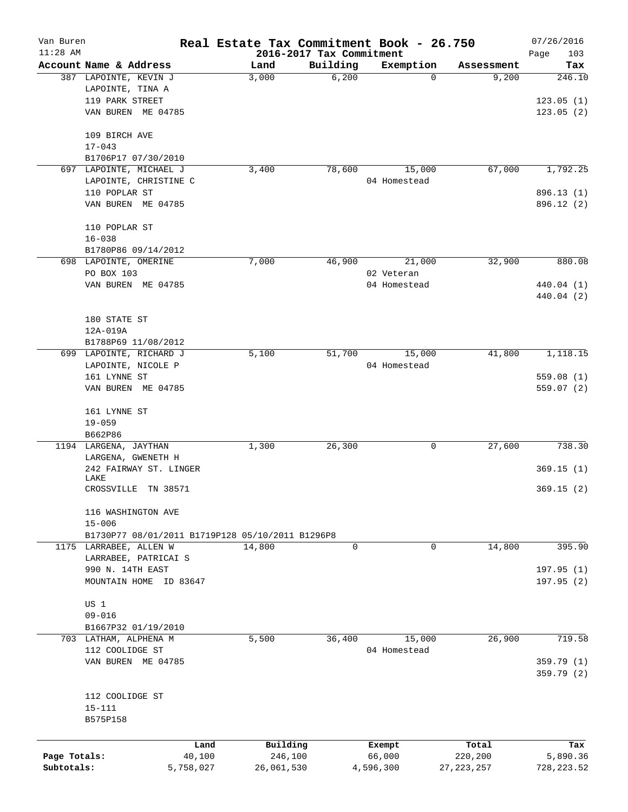| Van Buren<br>$11:28$ AM |                                                  | Real Estate Tax Commitment Book - 26.750 |                                      |              |              | 07/26/2016         |
|-------------------------|--------------------------------------------------|------------------------------------------|--------------------------------------|--------------|--------------|--------------------|
|                         | Account Name & Address                           | Land                                     | 2016-2017 Tax Commitment<br>Building | Exemption    | Assessment   | Page<br>103<br>Tax |
|                         | 387 LAPOINTE, KEVIN J                            | 3,000                                    | 6,200                                | $\Omega$     | 9,200        | 246.10             |
|                         | LAPOINTE, TINA A                                 |                                          |                                      |              |              |                    |
|                         | 119 PARK STREET                                  |                                          |                                      |              |              | 123.05(1)          |
|                         | VAN BUREN ME 04785                               |                                          |                                      |              |              | 123.05(2)          |
|                         |                                                  |                                          |                                      |              |              |                    |
|                         | 109 BIRCH AVE                                    |                                          |                                      |              |              |                    |
|                         | $17 - 043$                                       |                                          |                                      |              |              |                    |
|                         | B1706P17 07/30/2010                              |                                          |                                      |              |              |                    |
| 697                     | LAPOINTE, MICHAEL J                              | 3,400                                    | 78,600                               | 15,000       | 67,000       | 1,792.25           |
|                         | LAPOINTE, CHRISTINE C                            |                                          |                                      | 04 Homestead |              |                    |
|                         | 110 POPLAR ST                                    |                                          |                                      |              |              | 896.13 (1)         |
|                         | VAN BUREN ME 04785                               |                                          |                                      |              |              | 896.12 (2)         |
|                         |                                                  |                                          |                                      |              |              |                    |
|                         | 110 POPLAR ST                                    |                                          |                                      |              |              |                    |
|                         | $16 - 038$                                       |                                          |                                      |              |              |                    |
|                         | B1780P86 09/14/2012<br>698 LAPOINTE, OMERINE     | 7,000                                    | 46,900                               | 21,000       | 32,900       | 880.08             |
|                         | PO BOX 103                                       |                                          |                                      | 02 Veteran   |              |                    |
|                         | VAN BUREN ME 04785                               |                                          |                                      | 04 Homestead |              | 440.04 (1)         |
|                         |                                                  |                                          |                                      |              |              | 440.04 (2)         |
|                         |                                                  |                                          |                                      |              |              |                    |
|                         | 180 STATE ST                                     |                                          |                                      |              |              |                    |
|                         | 12A-019A                                         |                                          |                                      |              |              |                    |
|                         | B1788P69 11/08/2012                              |                                          |                                      |              |              |                    |
|                         | 699 LAPOINTE, RICHARD J                          | 5,100                                    | 51,700                               | 15,000       | 41,800       | 1,118.15           |
|                         | LAPOINTE, NICOLE P                               |                                          |                                      | 04 Homestead |              |                    |
|                         | 161 LYNNE ST                                     |                                          |                                      |              |              | 559.08(1)          |
|                         | VAN BUREN ME 04785                               |                                          |                                      |              |              | 559.07(2)          |
|                         |                                                  |                                          |                                      |              |              |                    |
|                         | 161 LYNNE ST                                     |                                          |                                      |              |              |                    |
|                         | $19 - 059$                                       |                                          |                                      |              |              |                    |
|                         | B662P86                                          |                                          |                                      |              |              |                    |
|                         | 1194 LARGENA, JAYTHAN                            | 1,300                                    | 26,300                               | 0            | 27,600       | 738.30             |
|                         | LARGENA, GWENETH H                               |                                          |                                      |              |              |                    |
|                         | 242 FAIRWAY ST. LINGER                           |                                          |                                      |              |              | 369.15(1)          |
|                         | LAKE                                             |                                          |                                      |              |              |                    |
|                         | CROSSVILLE<br>TN 38571                           |                                          |                                      |              |              | 369.15(2)          |
|                         | 116 WASHINGTON AVE                               |                                          |                                      |              |              |                    |
|                         | $15 - 006$                                       |                                          |                                      |              |              |                    |
|                         | B1730P77 08/01/2011 B1719P128 05/10/2011 B1296P8 |                                          |                                      |              |              |                    |
|                         | 1175 LARRABEE, ALLEN W                           | 14,800                                   | $\Omega$                             | $\Omega$     | 14,800       | 395.90             |
|                         | LARRABEE, PATRICAI S                             |                                          |                                      |              |              |                    |
|                         | 990 N. 14TH EAST                                 |                                          |                                      |              |              | 197.95(1)          |
|                         | MOUNTAIN HOME ID 83647                           |                                          |                                      |              |              | 197.95(2)          |
|                         |                                                  |                                          |                                      |              |              |                    |
|                         | US 1                                             |                                          |                                      |              |              |                    |
|                         | $09 - 016$                                       |                                          |                                      |              |              |                    |
|                         | B1667P32 01/19/2010                              |                                          |                                      |              |              |                    |
|                         | 703 LATHAM, ALPHENA M                            | 5,500                                    | 36,400                               | 15,000       | 26,900       | 719.58             |
|                         | 112 COOLIDGE ST                                  |                                          |                                      | 04 Homestead |              |                    |
|                         | VAN BUREN ME 04785                               |                                          |                                      |              |              | 359.79(1)          |
|                         |                                                  |                                          |                                      |              |              | 359.79(2)          |
|                         | 112 COOLIDGE ST                                  |                                          |                                      |              |              |                    |
|                         |                                                  |                                          |                                      |              |              |                    |
|                         | $15 - 111$<br>B575P158                           |                                          |                                      |              |              |                    |
|                         |                                                  |                                          |                                      |              |              |                    |
|                         |                                                  | Land<br>Building                         |                                      | Exempt       | Total        | Tax                |
| Page Totals:            | 40,100                                           |                                          | 246,100                              | 66,000       | 220,200      | 5,890.36           |
| Subtotals:              | 5,758,027                                        | 26,061,530                               |                                      | 4,596,300    | 27, 223, 257 | 728, 223.52        |
|                         |                                                  |                                          |                                      |              |              |                    |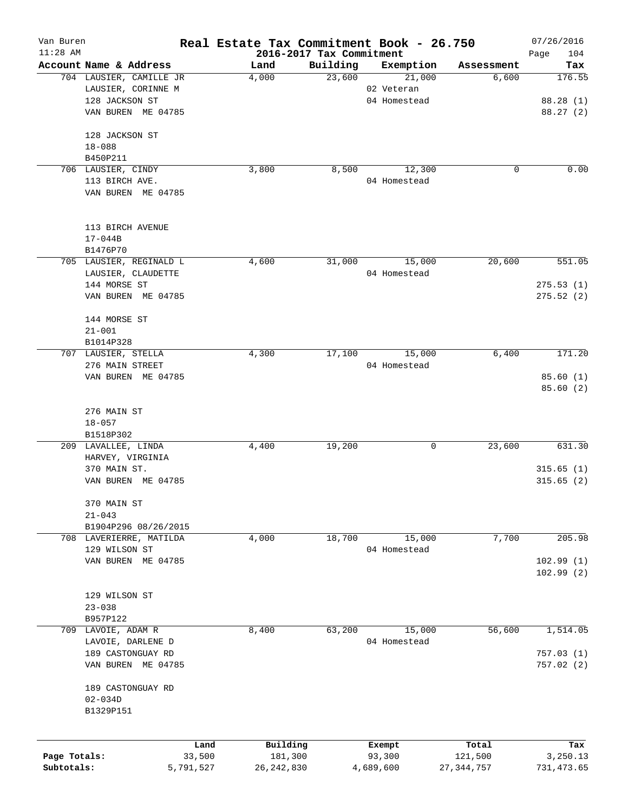| Van Buren    |                                                   | Real Estate Tax Commitment Book - 26.750 |                          |                     |                     | 07/26/2016    |
|--------------|---------------------------------------------------|------------------------------------------|--------------------------|---------------------|---------------------|---------------|
| $11:28$ AM   |                                                   |                                          | 2016-2017 Tax Commitment |                     |                     | Page<br>104   |
|              | Account Name & Address<br>704 LAUSIER, CAMILLE JR | Land<br>4,000                            | Building<br>23,600       | Exemption<br>21,000 | Assessment<br>6,600 | Tax<br>176.55 |
|              | LAUSIER, CORINNE M                                |                                          |                          | 02 Veteran          |                     |               |
|              | 128 JACKSON ST                                    |                                          |                          | 04 Homestead        |                     | 88.28 (1)     |
|              |                                                   |                                          |                          |                     |                     |               |
|              | VAN BUREN ME 04785                                |                                          |                          |                     |                     | 88.27 (2)     |
|              | 128 JACKSON ST                                    |                                          |                          |                     |                     |               |
|              | $18 - 088$                                        |                                          |                          |                     |                     |               |
|              | B450P211                                          |                                          |                          |                     |                     |               |
|              | 706 LAUSIER, CINDY                                | 3,800                                    | 8,500                    | 12,300              | 0                   | 0.00          |
|              | 113 BIRCH AVE.                                    |                                          |                          | 04 Homestead        |                     |               |
|              | VAN BUREN ME 04785                                |                                          |                          |                     |                     |               |
|              | 113 BIRCH AVENUE                                  |                                          |                          |                     |                     |               |
|              | $17 - 044B$                                       |                                          |                          |                     |                     |               |
|              |                                                   |                                          |                          |                     |                     |               |
|              | B1476P70<br>705 LAUSIER, REGINALD L               |                                          | 31,000                   | 15,000              | 20,600              | 551.05        |
|              |                                                   | 4,600                                    |                          |                     |                     |               |
|              | LAUSIER, CLAUDETTE                                |                                          |                          | 04 Homestead        |                     |               |
|              | 144 MORSE ST                                      |                                          |                          |                     |                     | 275.53(1)     |
|              | VAN BUREN ME 04785                                |                                          |                          |                     |                     | 275.52(2)     |
|              | 144 MORSE ST                                      |                                          |                          |                     |                     |               |
|              | $21 - 001$                                        |                                          |                          |                     |                     |               |
|              | B1014P328                                         |                                          |                          |                     |                     |               |
| 707          | LAUSIER, STELLA                                   | 4,300                                    | 17,100                   | 15,000              | 6,400               | 171.20        |
|              | 276 MAIN STREET                                   |                                          |                          | 04 Homestead        |                     |               |
|              | VAN BUREN ME 04785                                |                                          |                          |                     |                     | 85.60(1)      |
|              |                                                   |                                          |                          |                     |                     | 85.60(2)      |
|              | 276 MAIN ST                                       |                                          |                          |                     |                     |               |
|              | $18 - 057$                                        |                                          |                          |                     |                     |               |
|              | B1518P302                                         |                                          |                          |                     |                     |               |
|              | 209 LAVALLEE, LINDA                               | 4,400                                    | 19,200                   | 0                   | 23,600              | 631.30        |
|              | HARVEY, VIRGINIA                                  |                                          |                          |                     |                     |               |
|              | 370 MAIN ST.                                      |                                          |                          |                     |                     | 315.65(1)     |
|              | VAN BUREN ME 04785                                |                                          |                          |                     |                     | 315.65(2)     |
|              | 370 MAIN ST                                       |                                          |                          |                     |                     |               |
|              | $21 - 043$                                        |                                          |                          |                     |                     |               |
|              | B1904P296 08/26/2015                              |                                          |                          |                     |                     |               |
|              | 708 LAVERIERRE, MATILDA                           | 4,000                                    | 18,700                   | 15,000              | 7,700               | 205.98        |
|              | 129 WILSON ST                                     |                                          |                          | 04 Homestead        |                     |               |
|              | VAN BUREN ME 04785                                |                                          |                          |                     |                     | 102.99(1)     |
|              |                                                   |                                          |                          |                     |                     | 102.99(2)     |
|              | 129 WILSON ST                                     |                                          |                          |                     |                     |               |
|              | $23 - 038$                                        |                                          |                          |                     |                     |               |
|              | B957P122                                          |                                          |                          |                     |                     |               |
| 709          | LAVOIE, ADAM R                                    | 8,400                                    | 63,200                   | 15,000              | 56,600              | 1,514.05      |
|              | LAVOIE, DARLENE D                                 |                                          |                          | 04 Homestead        |                     |               |
|              | 189 CASTONGUAY RD                                 |                                          |                          |                     |                     | 757.03(1)     |
|              | VAN BUREN ME 04785                                |                                          |                          |                     |                     | 757.02(2)     |
|              | 189 CASTONGUAY RD                                 |                                          |                          |                     |                     |               |
|              | $02 - 034D$                                       |                                          |                          |                     |                     |               |
|              | B1329P151                                         |                                          |                          |                     |                     |               |
|              |                                                   |                                          |                          |                     |                     |               |
|              |                                                   | Building<br>Land                         |                          | Exempt              | Total               | Tax           |
| Page Totals: | 33,500                                            | 181,300                                  |                          | 93,300              | 121,500             | 3,250.13      |
| Subtotals:   | 5,791,527                                         | 26, 242, 830                             |                          | 4,689,600           | 27, 344, 757        | 731, 473.65   |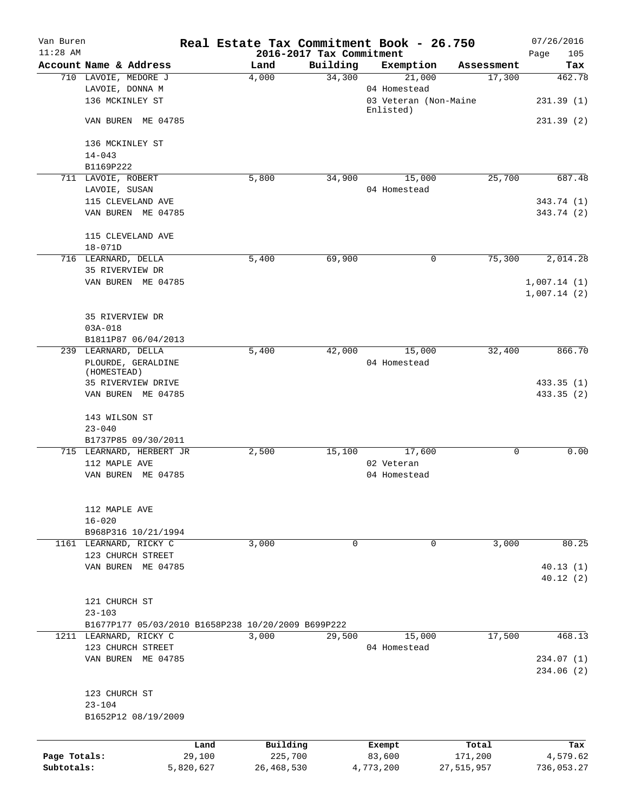| Van Buren<br>$11:28$ AM |                                                    |           | Real Estate Tax Commitment Book - 26.750 | 2016-2017 Tax Commitment |                                    |             | 07/26/2016<br>105<br>Page |
|-------------------------|----------------------------------------------------|-----------|------------------------------------------|--------------------------|------------------------------------|-------------|---------------------------|
|                         | Account Name & Address                             |           | Land                                     | Building                 | Exemption                          | Assessment  | Tax                       |
|                         | 710 LAVOIE, MEDORE J                               |           | 4,000                                    | 34,300                   | 21,000                             | 17,300      | 462.78                    |
|                         | LAVOIE, DONNA M                                    |           |                                          |                          | 04 Homestead                       |             |                           |
|                         | 136 MCKINLEY ST                                    |           |                                          |                          | 03 Veteran (Non-Maine<br>Enlisted) |             | 231.39 (1)                |
|                         | VAN BUREN ME 04785                                 |           |                                          |                          |                                    |             | 231.39(2)                 |
|                         | 136 MCKINLEY ST                                    |           |                                          |                          |                                    |             |                           |
|                         | $14 - 043$                                         |           |                                          |                          |                                    |             |                           |
|                         | B1169P222                                          |           |                                          |                          |                                    |             |                           |
|                         | 711 LAVOIE, ROBERT                                 |           | 5,800                                    | 34,900                   | 15,000                             | 25,700      | 687.48                    |
|                         | LAVOIE, SUSAN                                      |           |                                          |                          | 04 Homestead                       |             |                           |
|                         | 115 CLEVELAND AVE                                  |           |                                          |                          |                                    |             | 343.74 (1)                |
|                         | VAN BUREN ME 04785                                 |           |                                          |                          |                                    |             | 343.74 (2)                |
|                         | 115 CLEVELAND AVE                                  |           |                                          |                          |                                    |             |                           |
|                         | $18 - 071D$                                        |           |                                          |                          |                                    |             |                           |
|                         | 716 LEARNARD, DELLA                                |           | 5,400                                    | 69,900                   | 0                                  | 75,300      | 2,014.28                  |
|                         | 35 RIVERVIEW DR                                    |           |                                          |                          |                                    |             |                           |
|                         | VAN BUREN ME 04785                                 |           |                                          |                          |                                    |             | 1,007.14(1)               |
|                         |                                                    |           |                                          |                          |                                    |             | 1,007.14(2)               |
|                         | 35 RIVERVIEW DR                                    |           |                                          |                          |                                    |             |                           |
|                         |                                                    |           |                                          |                          |                                    |             |                           |
|                         | $03A - 018$                                        |           |                                          |                          |                                    |             |                           |
|                         | B1811P87 06/04/2013                                |           |                                          |                          | 15,000                             | 32,400      | 866.70                    |
|                         | 239 LEARNARD, DELLA                                |           | 5,400                                    | 42,000                   | 04 Homestead                       |             |                           |
|                         | PLOURDE, GERALDINE<br>(HOMESTEAD)                  |           |                                          |                          |                                    |             |                           |
|                         | 35 RIVERVIEW DRIVE                                 |           |                                          |                          |                                    |             | 433.35(1)                 |
|                         | VAN BUREN ME 04785                                 |           |                                          |                          |                                    |             | 433.35 (2)                |
|                         |                                                    |           |                                          |                          |                                    |             |                           |
|                         | 143 WILSON ST                                      |           |                                          |                          |                                    |             |                           |
|                         | $23 - 040$                                         |           |                                          |                          |                                    |             |                           |
|                         | B1737P85 09/30/2011                                |           |                                          |                          |                                    |             |                           |
|                         | 715 LEARNARD, HERBERT JR                           |           | 2,500                                    | 15,100                   | 17,600                             | $\mathbf 0$ | 0.00                      |
|                         | 112 MAPLE AVE                                      |           |                                          |                          | 02 Veteran                         |             |                           |
|                         | VAN BUREN ME 04785                                 |           |                                          |                          | 04 Homestead                       |             |                           |
|                         |                                                    |           |                                          |                          |                                    |             |                           |
|                         |                                                    |           |                                          |                          |                                    |             |                           |
|                         | 112 MAPLE AVE                                      |           |                                          |                          |                                    |             |                           |
|                         | $16 - 020$                                         |           |                                          |                          |                                    |             |                           |
|                         | B968P316 10/21/1994                                |           |                                          |                          |                                    |             |                           |
|                         | 1161 LEARNARD, RICKY C                             |           | 3,000                                    | 0                        | 0                                  | 3,000       | 80.25                     |
|                         | 123 CHURCH STREET                                  |           |                                          |                          |                                    |             |                           |
|                         | VAN BUREN ME 04785                                 |           |                                          |                          |                                    |             | 40.13(1)<br>40.12(2)      |
|                         |                                                    |           |                                          |                          |                                    |             |                           |
|                         | 121 CHURCH ST                                      |           |                                          |                          |                                    |             |                           |
|                         | $23 - 103$                                         |           |                                          |                          |                                    |             |                           |
|                         | B1677P177 05/03/2010 B1658P238 10/20/2009 B699P222 |           |                                          |                          |                                    |             |                           |
|                         | 1211 LEARNARD, RICKY C                             |           | 3,000                                    | 29,500                   | 15,000                             | 17,500      | 468.13                    |
|                         | 123 CHURCH STREET                                  |           |                                          |                          | 04 Homestead                       |             |                           |
|                         | VAN BUREN ME 04785                                 |           |                                          |                          |                                    |             | 234.07(1)                 |
|                         |                                                    |           |                                          |                          |                                    |             |                           |
|                         |                                                    |           |                                          |                          |                                    |             | 234.06(2)                 |
|                         | 123 CHURCH ST                                      |           |                                          |                          |                                    |             |                           |
|                         | $23 - 104$                                         |           |                                          |                          |                                    |             |                           |
|                         | B1652P12 08/19/2009                                |           |                                          |                          |                                    |             |                           |
|                         |                                                    |           |                                          |                          |                                    |             |                           |
|                         |                                                    | Land      | Building                                 |                          | Exempt                             | Total       | Tax                       |
| Page Totals:            |                                                    | 29,100    | 225,700                                  |                          | 83,600                             | 171,200     | 4,579.62                  |
| Subtotals:              |                                                    | 5,820,627 | 26, 468, 530                             |                          | 4,773,200                          | 27,515,957  | 736,053.27                |
|                         |                                                    |           |                                          |                          |                                    |             |                           |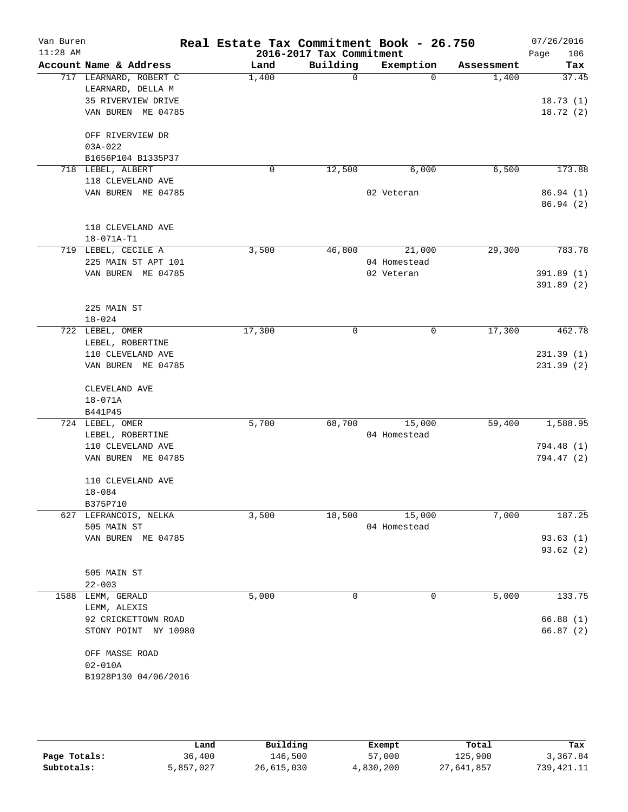| Van Buren<br>$11:28$ AM |                                   | Real Estate Tax Commitment Book - 26.750 | 2016-2017 Tax Commitment |              |            | 07/26/2016<br>106<br>Page |
|-------------------------|-----------------------------------|------------------------------------------|--------------------------|--------------|------------|---------------------------|
|                         | Account Name & Address            | Land                                     | Building                 | Exemption    | Assessment | Tax                       |
|                         | 717 LEARNARD, ROBERT C            | 1,400                                    | 0                        | $\Omega$     | 1,400      | 37.45                     |
|                         | LEARNARD, DELLA M                 |                                          |                          |              |            |                           |
|                         | 35 RIVERVIEW DRIVE                |                                          |                          |              |            | 18.73(1)                  |
|                         | VAN BUREN ME 04785                |                                          |                          |              |            | 18.72(2)                  |
|                         |                                   |                                          |                          |              |            |                           |
|                         | OFF RIVERVIEW DR<br>$03A - 022$   |                                          |                          |              |            |                           |
|                         | B1656P104 B1335P37                |                                          |                          |              |            |                           |
|                         | 718 LEBEL, ALBERT                 | 0                                        | 12,500                   | 6,000        | 6,500      | 173.88                    |
|                         | 118 CLEVELAND AVE                 |                                          |                          |              |            |                           |
|                         | VAN BUREN ME 04785                |                                          |                          | 02 Veteran   |            | 86.94(1)                  |
|                         |                                   |                                          |                          |              |            | 86.94(2)                  |
|                         |                                   |                                          |                          |              |            |                           |
|                         | 118 CLEVELAND AVE                 |                                          |                          |              |            |                           |
|                         | 18-071A-T1<br>719 LEBEL, CECILE A | 3,500                                    | 46,800                   | 21,000       | 29,300     | 783.78                    |
|                         | 225 MAIN ST APT 101               |                                          |                          | 04 Homestead |            |                           |
|                         | VAN BUREN ME 04785                |                                          |                          | 02 Veteran   |            | 391.89 (1)                |
|                         |                                   |                                          |                          |              |            | 391.89 (2)                |
|                         |                                   |                                          |                          |              |            |                           |
|                         | 225 MAIN ST                       |                                          |                          |              |            |                           |
|                         | $18 - 024$                        |                                          |                          |              |            |                           |
|                         | 722 LEBEL, OMER                   | 17,300                                   | 0                        | 0            | 17,300     | 462.78                    |
|                         | LEBEL, ROBERTINE                  |                                          |                          |              |            |                           |
|                         | 110 CLEVELAND AVE                 |                                          |                          |              |            | 231.39(1)                 |
|                         | VAN BUREN ME 04785                |                                          |                          |              |            | 231.39(2)                 |
|                         | CLEVELAND AVE                     |                                          |                          |              |            |                           |
|                         | 18-071A                           |                                          |                          |              |            |                           |
|                         | B441P45                           |                                          |                          |              |            |                           |
|                         | 724 LEBEL, OMER                   | 5,700                                    | 68,700                   | 15,000       | 59,400     | 1,588.95                  |
|                         | LEBEL, ROBERTINE                  |                                          |                          | 04 Homestead |            |                           |
|                         | 110 CLEVELAND AVE                 |                                          |                          |              |            | 794.48 (1)                |
|                         | VAN BUREN ME 04785                |                                          |                          |              |            | 794.47 (2)                |
|                         | 110 CLEVELAND AVE                 |                                          |                          |              |            |                           |
|                         | $18 - 084$                        |                                          |                          |              |            |                           |
|                         | B375P710                          |                                          |                          |              |            |                           |
|                         | 627 LEFRANCOIS, NELKA             | 3,500                                    | 18,500                   | 15,000       | 7,000      | 187.25                    |
|                         | 505 MAIN ST                       |                                          |                          | 04 Homestead |            |                           |
|                         | VAN BUREN ME 04785                |                                          |                          |              |            | 93.63(1)                  |
|                         |                                   |                                          |                          |              |            | 93.62(2)                  |
|                         |                                   |                                          |                          |              |            |                           |
|                         | 505 MAIN ST                       |                                          |                          |              |            |                           |
|                         | $22 - 003$<br>1588 LEMM, GERALD   | 5,000                                    | 0                        | 0            | 5,000      | 133.75                    |
|                         | LEMM, ALEXIS                      |                                          |                          |              |            |                           |
|                         | 92 CRICKETTOWN ROAD               |                                          |                          |              |            | 66.88(1)                  |
|                         | STONY POINT NY 10980              |                                          |                          |              |            | 66.87(2)                  |
|                         |                                   |                                          |                          |              |            |                           |
|                         | OFF MASSE ROAD                    |                                          |                          |              |            |                           |
|                         | $02 - 010A$                       |                                          |                          |              |            |                           |
|                         | B1928P130 04/06/2016              |                                          |                          |              |            |                           |
|                         |                                   |                                          |                          |              |            |                           |
|                         |                                   |                                          |                          |              |            |                           |
|                         |                                   |                                          |                          |              |            |                           |

|              | Land      | Building   | Exempt    | Total      | Tax          |
|--------------|-----------|------------|-----------|------------|--------------|
| Page Totals: | 36,400    | 146,500    | 57,000    | 125,900    | 3,367.84     |
| Subtotals:   | 5,857,027 | 26,615,030 | 4,830,200 | 27,641,857 | 739, 421. 11 |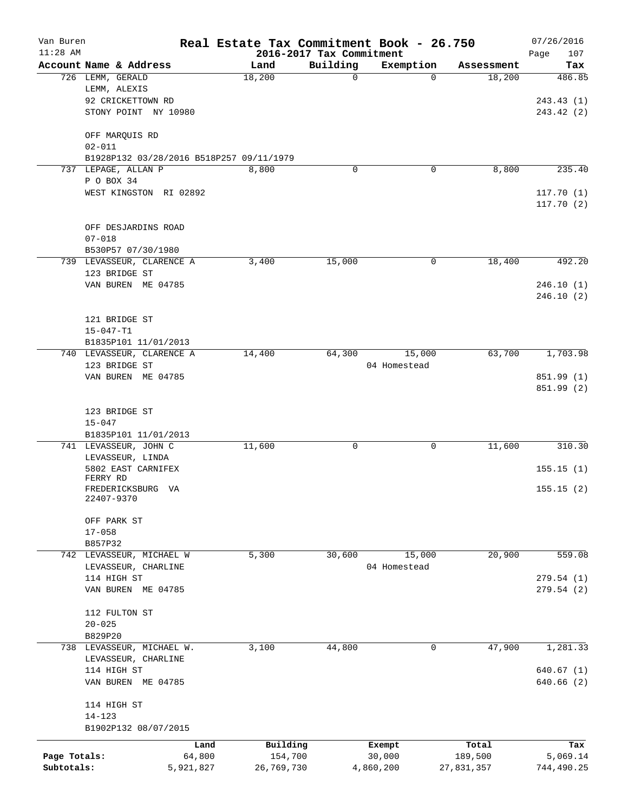| Van Buren    |                                            | Real Estate Tax Commitment Book - 26.750 |                          |                |                      | 07/26/2016    |
|--------------|--------------------------------------------|------------------------------------------|--------------------------|----------------|----------------------|---------------|
| $11:28$ AM   |                                            |                                          | 2016-2017 Tax Commitment |                |                      | 107<br>Page   |
|              | Account Name & Address<br>726 LEMM, GERALD | Land<br>18,200                           | Building<br>$\mathbf 0$  | Exemption<br>0 | Assessment<br>18,200 | Tax<br>486.85 |
|              | LEMM, ALEXIS                               |                                          |                          |                |                      |               |
|              | 92 CRICKETTOWN RD                          |                                          |                          |                |                      | 243.43(1)     |
|              | STONY POINT NY 10980                       |                                          |                          |                |                      | 243.42 (2)    |
|              | OFF MARQUIS RD                             |                                          |                          |                |                      |               |
|              | $02 - 011$                                 |                                          |                          |                |                      |               |
|              | B1928P132 03/28/2016 B518P257 09/11/1979   |                                          |                          |                |                      |               |
|              | 737 LEPAGE, ALLAN P                        | 8,800                                    | 0                        | 0              | 8,800                | 235.40        |
|              | P O BOX 34                                 |                                          |                          |                |                      |               |
|              | WEST KINGSTON RI 02892                     |                                          |                          |                |                      | 117.70(1)     |
|              |                                            |                                          |                          |                |                      | 117.70(2)     |
|              | OFF DESJARDINS ROAD                        |                                          |                          |                |                      |               |
|              | $07 - 018$                                 |                                          |                          |                |                      |               |
|              | B530P57 07/30/1980                         |                                          |                          |                |                      |               |
|              | 739 LEVASSEUR, CLARENCE A                  | 3,400                                    | 15,000                   | 0              | 18,400               | 492.20        |
|              | 123 BRIDGE ST                              |                                          |                          |                |                      |               |
|              | VAN BUREN ME 04785                         |                                          |                          |                |                      | 246.10(1)     |
|              |                                            |                                          |                          |                |                      | 246.10(2)     |
|              |                                            |                                          |                          |                |                      |               |
|              | 121 BRIDGE ST                              |                                          |                          |                |                      |               |
|              | $15 - 047 - T1$                            |                                          |                          |                |                      |               |
|              | B1835P101 11/01/2013                       |                                          |                          |                |                      |               |
|              | 740 LEVASSEUR, CLARENCE A                  | 14,400                                   | 64,300                   | 15,000         | 63,700               | 1,703.98      |
|              | 123 BRIDGE ST                              |                                          |                          | 04 Homestead   |                      |               |
|              | VAN BUREN ME 04785                         |                                          |                          |                |                      | 851.99 (1)    |
|              |                                            |                                          |                          |                |                      | 851.99 (2)    |
|              |                                            |                                          |                          |                |                      |               |
|              | 123 BRIDGE ST                              |                                          |                          |                |                      |               |
|              | $15 - 047$<br>B1835P101 11/01/2013         |                                          |                          |                |                      |               |
|              | 741 LEVASSEUR, JOHN C                      | 11,600                                   | 0                        | 0              | 11,600               | 310.30        |
|              | LEVASSEUR, LINDA                           |                                          |                          |                |                      |               |
|              | 5802 EAST CARNIFEX                         |                                          |                          |                |                      | 155.15(1)     |
|              | FERRY RD                                   |                                          |                          |                |                      |               |
|              | FREDERICKSBURG VA                          |                                          |                          |                |                      | 155.15(2)     |
|              | 22407-9370                                 |                                          |                          |                |                      |               |
|              | OFF PARK ST                                |                                          |                          |                |                      |               |
|              | $17 - 058$                                 |                                          |                          |                |                      |               |
|              | B857P32                                    |                                          |                          |                |                      |               |
|              | 742 LEVASSEUR, MICHAEL W                   | 5,300                                    | 30,600                   | 15,000         | 20,900               | 559.08        |
|              | LEVASSEUR, CHARLINE                        |                                          |                          | 04 Homestead   |                      |               |
|              | 114 HIGH ST                                |                                          |                          |                |                      | 279.54(1)     |
|              | VAN BUREN ME 04785                         |                                          |                          |                |                      | 279.54(2)     |
|              |                                            |                                          |                          |                |                      |               |
|              | 112 FULTON ST                              |                                          |                          |                |                      |               |
|              | $20 - 025$                                 |                                          |                          |                |                      |               |
|              | B829P20<br>738 LEVASSEUR, MICHAEL W.       | 3,100                                    | 44,800                   | 0              | 47,900               | 1,281.33      |
|              | LEVASSEUR, CHARLINE                        |                                          |                          |                |                      |               |
|              | 114 HIGH ST                                |                                          |                          |                |                      | 640.67(1)     |
|              | VAN BUREN ME 04785                         |                                          |                          |                |                      | 640.66(2)     |
|              |                                            |                                          |                          |                |                      |               |
|              | 114 HIGH ST                                |                                          |                          |                |                      |               |
|              | $14 - 123$                                 |                                          |                          |                |                      |               |
|              | B1902P132 08/07/2015                       |                                          |                          |                |                      |               |
|              |                                            | Building<br>Land                         | Exempt                   |                | Total                | Tax           |
| Page Totals: | 64,800                                     | 154,700                                  | 30,000                   |                | 189,500              | 5,069.14      |
| Subtotals:   | 5,921,827                                  | 26,769,730                               | 4,860,200                |                | 27,831,357           | 744,490.25    |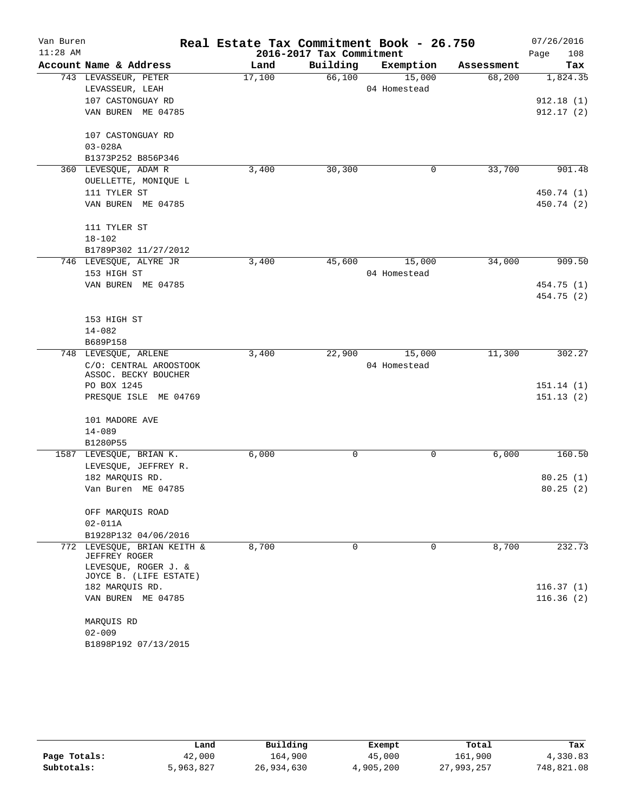| Van Buren<br>$11:28$ AM |                                                |        | 2016-2017 Tax Commitment | Real Estate Tax Commitment Book - 26.750 |                      | 07/26/2016         |
|-------------------------|------------------------------------------------|--------|--------------------------|------------------------------------------|----------------------|--------------------|
|                         | Account Name & Address                         | Land   | Building                 |                                          |                      | Page<br>108<br>Tax |
|                         |                                                |        | 66,100                   | Exemption<br>15,000                      | Assessment<br>68,200 |                    |
|                         | 743 LEVASSEUR, PETER                           | 17,100 |                          | 04 Homestead                             |                      | 1,824.35           |
|                         | LEVASSEUR, LEAH                                |        |                          |                                          |                      |                    |
|                         | 107 CASTONGUAY RD                              |        |                          |                                          |                      | 912.18(1)          |
|                         | VAN BUREN ME 04785                             |        |                          |                                          |                      | 912.17(2)          |
|                         | 107 CASTONGUAY RD                              |        |                          |                                          |                      |                    |
|                         | $03 - 028A$                                    |        |                          |                                          |                      |                    |
|                         | B1373P252 B856P346                             |        |                          |                                          |                      |                    |
|                         | 360 LEVESQUE, ADAM R                           | 3,400  | 30, 300                  | 0                                        | 33,700               | 901.48             |
|                         | OUELLETTE, MONIQUE L                           |        |                          |                                          |                      |                    |
|                         | 111 TYLER ST                                   |        |                          |                                          |                      | 450.74 (1)         |
|                         | VAN BUREN ME 04785                             |        |                          |                                          |                      | 450.74 (2)         |
|                         | 111 TYLER ST                                   |        |                          |                                          |                      |                    |
|                         | $18 - 102$                                     |        |                          |                                          |                      |                    |
|                         | B1789P302 11/27/2012                           |        |                          |                                          |                      |                    |
|                         | 746 LEVESQUE, ALYRE JR                         | 3,400  | 45,600                   | 15,000                                   | 34,000               | 909.50             |
|                         | 153 HIGH ST                                    |        |                          | 04 Homestead                             |                      |                    |
|                         | VAN BUREN ME 04785                             |        |                          |                                          |                      | 454.75 (1)         |
|                         |                                                |        |                          |                                          |                      | 454.75 (2)         |
|                         |                                                |        |                          |                                          |                      |                    |
|                         | 153 HIGH ST                                    |        |                          |                                          |                      |                    |
|                         | $14 - 082$                                     |        |                          |                                          |                      |                    |
|                         | B689P158                                       |        | 22,900                   |                                          |                      |                    |
| 748                     | LEVESQUE, ARLENE                               | 3,400  |                          | 15,000                                   | 11,300               | 302.27             |
|                         | C/O: CENTRAL AROOSTOOK<br>ASSOC. BECKY BOUCHER |        |                          | 04 Homestead                             |                      |                    |
|                         | PO BOX 1245                                    |        |                          |                                          |                      | 151.14(1)          |
|                         | PRESQUE ISLE ME 04769                          |        |                          |                                          |                      | 151.13(2)          |
|                         |                                                |        |                          |                                          |                      |                    |
|                         | 101 MADORE AVE                                 |        |                          |                                          |                      |                    |
|                         | $14 - 089$                                     |        |                          |                                          |                      |                    |
|                         | B1280P55                                       |        |                          |                                          |                      |                    |
|                         | 1587 LEVESQUE, BRIAN K.                        | 6,000  | 0                        | 0                                        | 6,000                | 160.50             |
|                         | LEVESQUE, JEFFREY R.                           |        |                          |                                          |                      |                    |
|                         | 182 MARQUIS RD.                                |        |                          |                                          |                      | 80.25(1)           |
|                         | Van Buren ME 04785                             |        |                          |                                          |                      | 80.25(2)           |
|                         | OFF MARQUIS ROAD                               |        |                          |                                          |                      |                    |
|                         | $02 - 011A$                                    |        |                          |                                          |                      |                    |
|                         | B1928P132 04/06/2016                           |        |                          |                                          |                      |                    |
|                         | 772 LEVESQUE, BRIAN KEITH &                    | 8,700  | 0                        | 0                                        | 8,700                | 232.73             |
|                         | JEFFREY ROGER                                  |        |                          |                                          |                      |                    |
|                         | LEVESOUE, ROGER J. &<br>JOYCE B. (LIFE ESTATE) |        |                          |                                          |                      |                    |
|                         | 182 MARQUIS RD.                                |        |                          |                                          |                      | 116.37(1)          |
|                         | VAN BUREN ME 04785                             |        |                          |                                          |                      | 116.36(2)          |
|                         | MARQUIS RD                                     |        |                          |                                          |                      |                    |
|                         | $02 - 009$                                     |        |                          |                                          |                      |                    |
|                         | B1898P192 07/13/2015                           |        |                          |                                          |                      |                    |
|                         |                                                |        |                          |                                          |                      |                    |

|              | Land      | Building   | Exempt    | Total      | Tax        |
|--------------|-----------|------------|-----------|------------|------------|
| Page Totals: | 42,000    | 164,900    | 45,000    | 161,900    | 4,330.83   |
| Subtotals:   | 5,963,827 | 26,934,630 | 4,905,200 | 27,993,257 | 748,821.08 |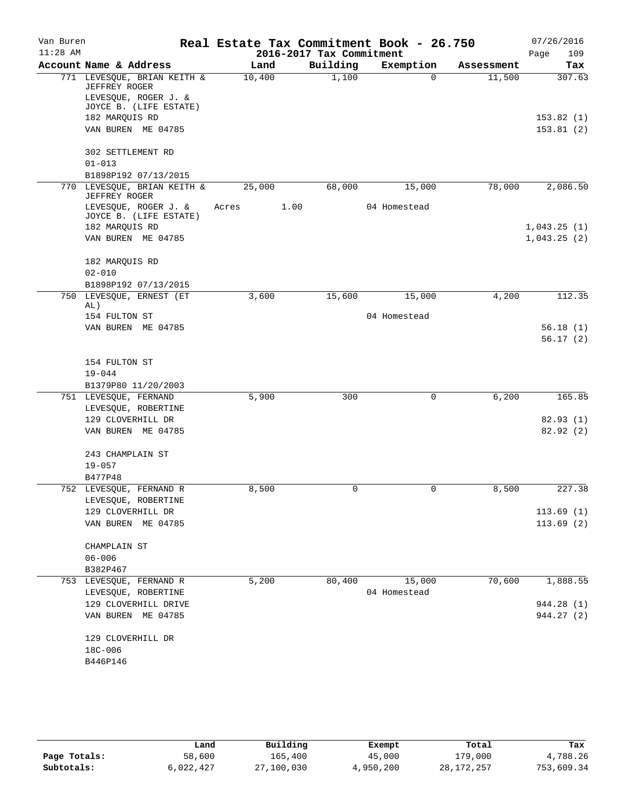| 2016-2017 Tax Commitment<br>109<br>Page<br>Building<br>Account Name & Address<br>Exemption<br>Land<br>Tax<br>Assessment<br>1,100<br>771 LEVESQUE, BRIAN KEITH &<br>10,400<br>11,500<br>307.63<br>$\Omega$<br>JEFFREY ROGER<br>LEVESQUE, ROGER J. &<br>JOYCE B. (LIFE ESTATE)<br>182 MARQUIS RD<br>VAN BUREN ME 04785<br>302 SETTLEMENT RD<br>$01 - 013$<br>B1898P192 07/13/2015<br>LEVESQUE, BRIAN KEITH &<br>68,000<br>78,000<br>2,086.50<br>770<br>25,000<br>15,000<br>JEFFREY ROGER<br>LEVESQUE, ROGER J. &<br>1.00<br>04 Homestead<br>Acres<br>JOYCE B. (LIFE ESTATE)<br>182 MARQUIS RD<br>VAN BUREN ME 04785<br>1,043.25(2)<br>182 MARQUIS RD<br>$02 - 010$<br>B1898P192 07/13/2015<br>4,200<br>LEVESQUE, ERNEST (ET<br>3,600<br>15,600<br>15,000<br>112.35<br>750<br>AL)<br>04 Homestead<br>154 FULTON ST<br>VAN BUREN ME 04785<br>154 FULTON ST<br>$19 - 044$<br>B1379P80 11/20/2003<br>751 LEVESQUE, FERNAND<br>5,900<br>300<br>6,200<br>165.85<br>0<br>LEVESQUE, ROBERTINE<br>129 CLOVERHILL DR<br>82.93(1)<br>VAN BUREN ME 04785<br>82.92(2)<br>243 CHAMPLAIN ST<br>$19 - 057$<br>B477P48<br>8,500<br>0<br>8,500<br>227.38<br>752 LEVESQUE, FERNAND R<br>0<br>LEVESQUE, ROBERTINE<br>129 CLOVERHILL DR<br>113.69(1)<br>VAN BUREN ME 04785<br>113.69(2)<br>CHAMPLAIN ST<br>$06 - 006$<br>B382P467<br>70,600<br>1,888.55<br>5,200<br>80,400<br>15,000<br>753 LEVESQUE, FERNAND R<br>LEVESQUE, ROBERTINE<br>04 Homestead<br>129 CLOVERHILL DRIVE<br>944.28 (1)<br>944.27 (2)<br>VAN BUREN ME 04785<br>129 CLOVERHILL DR<br>18C-006<br>B446P146 | Van Buren  |  | Real Estate Tax Commitment Book - 26.750 |  | 07/26/2016  |
|-------------------------------------------------------------------------------------------------------------------------------------------------------------------------------------------------------------------------------------------------------------------------------------------------------------------------------------------------------------------------------------------------------------------------------------------------------------------------------------------------------------------------------------------------------------------------------------------------------------------------------------------------------------------------------------------------------------------------------------------------------------------------------------------------------------------------------------------------------------------------------------------------------------------------------------------------------------------------------------------------------------------------------------------------------------------------------------------------------------------------------------------------------------------------------------------------------------------------------------------------------------------------------------------------------------------------------------------------------------------------------------------------------------------------------------------------------------------------------------------------------------------------------------------------------|------------|--|------------------------------------------|--|-------------|
|                                                                                                                                                                                                                                                                                                                                                                                                                                                                                                                                                                                                                                                                                                                                                                                                                                                                                                                                                                                                                                                                                                                                                                                                                                                                                                                                                                                                                                                                                                                                                       | $11:28$ AM |  |                                          |  |             |
|                                                                                                                                                                                                                                                                                                                                                                                                                                                                                                                                                                                                                                                                                                                                                                                                                                                                                                                                                                                                                                                                                                                                                                                                                                                                                                                                                                                                                                                                                                                                                       |            |  |                                          |  |             |
|                                                                                                                                                                                                                                                                                                                                                                                                                                                                                                                                                                                                                                                                                                                                                                                                                                                                                                                                                                                                                                                                                                                                                                                                                                                                                                                                                                                                                                                                                                                                                       |            |  |                                          |  |             |
|                                                                                                                                                                                                                                                                                                                                                                                                                                                                                                                                                                                                                                                                                                                                                                                                                                                                                                                                                                                                                                                                                                                                                                                                                                                                                                                                                                                                                                                                                                                                                       |            |  |                                          |  |             |
|                                                                                                                                                                                                                                                                                                                                                                                                                                                                                                                                                                                                                                                                                                                                                                                                                                                                                                                                                                                                                                                                                                                                                                                                                                                                                                                                                                                                                                                                                                                                                       |            |  |                                          |  | 153.82(1)   |
|                                                                                                                                                                                                                                                                                                                                                                                                                                                                                                                                                                                                                                                                                                                                                                                                                                                                                                                                                                                                                                                                                                                                                                                                                                                                                                                                                                                                                                                                                                                                                       |            |  |                                          |  | 153.81(2)   |
|                                                                                                                                                                                                                                                                                                                                                                                                                                                                                                                                                                                                                                                                                                                                                                                                                                                                                                                                                                                                                                                                                                                                                                                                                                                                                                                                                                                                                                                                                                                                                       |            |  |                                          |  |             |
|                                                                                                                                                                                                                                                                                                                                                                                                                                                                                                                                                                                                                                                                                                                                                                                                                                                                                                                                                                                                                                                                                                                                                                                                                                                                                                                                                                                                                                                                                                                                                       |            |  |                                          |  |             |
|                                                                                                                                                                                                                                                                                                                                                                                                                                                                                                                                                                                                                                                                                                                                                                                                                                                                                                                                                                                                                                                                                                                                                                                                                                                                                                                                                                                                                                                                                                                                                       |            |  |                                          |  |             |
|                                                                                                                                                                                                                                                                                                                                                                                                                                                                                                                                                                                                                                                                                                                                                                                                                                                                                                                                                                                                                                                                                                                                                                                                                                                                                                                                                                                                                                                                                                                                                       |            |  |                                          |  |             |
|                                                                                                                                                                                                                                                                                                                                                                                                                                                                                                                                                                                                                                                                                                                                                                                                                                                                                                                                                                                                                                                                                                                                                                                                                                                                                                                                                                                                                                                                                                                                                       |            |  |                                          |  |             |
|                                                                                                                                                                                                                                                                                                                                                                                                                                                                                                                                                                                                                                                                                                                                                                                                                                                                                                                                                                                                                                                                                                                                                                                                                                                                                                                                                                                                                                                                                                                                                       |            |  |                                          |  | 1,043.25(1) |
|                                                                                                                                                                                                                                                                                                                                                                                                                                                                                                                                                                                                                                                                                                                                                                                                                                                                                                                                                                                                                                                                                                                                                                                                                                                                                                                                                                                                                                                                                                                                                       |            |  |                                          |  |             |
|                                                                                                                                                                                                                                                                                                                                                                                                                                                                                                                                                                                                                                                                                                                                                                                                                                                                                                                                                                                                                                                                                                                                                                                                                                                                                                                                                                                                                                                                                                                                                       |            |  |                                          |  |             |
|                                                                                                                                                                                                                                                                                                                                                                                                                                                                                                                                                                                                                                                                                                                                                                                                                                                                                                                                                                                                                                                                                                                                                                                                                                                                                                                                                                                                                                                                                                                                                       |            |  |                                          |  |             |
|                                                                                                                                                                                                                                                                                                                                                                                                                                                                                                                                                                                                                                                                                                                                                                                                                                                                                                                                                                                                                                                                                                                                                                                                                                                                                                                                                                                                                                                                                                                                                       |            |  |                                          |  |             |
|                                                                                                                                                                                                                                                                                                                                                                                                                                                                                                                                                                                                                                                                                                                                                                                                                                                                                                                                                                                                                                                                                                                                                                                                                                                                                                                                                                                                                                                                                                                                                       |            |  |                                          |  |             |
|                                                                                                                                                                                                                                                                                                                                                                                                                                                                                                                                                                                                                                                                                                                                                                                                                                                                                                                                                                                                                                                                                                                                                                                                                                                                                                                                                                                                                                                                                                                                                       |            |  |                                          |  |             |
|                                                                                                                                                                                                                                                                                                                                                                                                                                                                                                                                                                                                                                                                                                                                                                                                                                                                                                                                                                                                                                                                                                                                                                                                                                                                                                                                                                                                                                                                                                                                                       |            |  |                                          |  | 56.18(1)    |
|                                                                                                                                                                                                                                                                                                                                                                                                                                                                                                                                                                                                                                                                                                                                                                                                                                                                                                                                                                                                                                                                                                                                                                                                                                                                                                                                                                                                                                                                                                                                                       |            |  |                                          |  | 56.17(2)    |
|                                                                                                                                                                                                                                                                                                                                                                                                                                                                                                                                                                                                                                                                                                                                                                                                                                                                                                                                                                                                                                                                                                                                                                                                                                                                                                                                                                                                                                                                                                                                                       |            |  |                                          |  |             |
|                                                                                                                                                                                                                                                                                                                                                                                                                                                                                                                                                                                                                                                                                                                                                                                                                                                                                                                                                                                                                                                                                                                                                                                                                                                                                                                                                                                                                                                                                                                                                       |            |  |                                          |  |             |
|                                                                                                                                                                                                                                                                                                                                                                                                                                                                                                                                                                                                                                                                                                                                                                                                                                                                                                                                                                                                                                                                                                                                                                                                                                                                                                                                                                                                                                                                                                                                                       |            |  |                                          |  |             |
|                                                                                                                                                                                                                                                                                                                                                                                                                                                                                                                                                                                                                                                                                                                                                                                                                                                                                                                                                                                                                                                                                                                                                                                                                                                                                                                                                                                                                                                                                                                                                       |            |  |                                          |  |             |
|                                                                                                                                                                                                                                                                                                                                                                                                                                                                                                                                                                                                                                                                                                                                                                                                                                                                                                                                                                                                                                                                                                                                                                                                                                                                                                                                                                                                                                                                                                                                                       |            |  |                                          |  |             |
|                                                                                                                                                                                                                                                                                                                                                                                                                                                                                                                                                                                                                                                                                                                                                                                                                                                                                                                                                                                                                                                                                                                                                                                                                                                                                                                                                                                                                                                                                                                                                       |            |  |                                          |  |             |
|                                                                                                                                                                                                                                                                                                                                                                                                                                                                                                                                                                                                                                                                                                                                                                                                                                                                                                                                                                                                                                                                                                                                                                                                                                                                                                                                                                                                                                                                                                                                                       |            |  |                                          |  |             |
|                                                                                                                                                                                                                                                                                                                                                                                                                                                                                                                                                                                                                                                                                                                                                                                                                                                                                                                                                                                                                                                                                                                                                                                                                                                                                                                                                                                                                                                                                                                                                       |            |  |                                          |  |             |
|                                                                                                                                                                                                                                                                                                                                                                                                                                                                                                                                                                                                                                                                                                                                                                                                                                                                                                                                                                                                                                                                                                                                                                                                                                                                                                                                                                                                                                                                                                                                                       |            |  |                                          |  |             |
|                                                                                                                                                                                                                                                                                                                                                                                                                                                                                                                                                                                                                                                                                                                                                                                                                                                                                                                                                                                                                                                                                                                                                                                                                                                                                                                                                                                                                                                                                                                                                       |            |  |                                          |  |             |
|                                                                                                                                                                                                                                                                                                                                                                                                                                                                                                                                                                                                                                                                                                                                                                                                                                                                                                                                                                                                                                                                                                                                                                                                                                                                                                                                                                                                                                                                                                                                                       |            |  |                                          |  |             |
|                                                                                                                                                                                                                                                                                                                                                                                                                                                                                                                                                                                                                                                                                                                                                                                                                                                                                                                                                                                                                                                                                                                                                                                                                                                                                                                                                                                                                                                                                                                                                       |            |  |                                          |  |             |
|                                                                                                                                                                                                                                                                                                                                                                                                                                                                                                                                                                                                                                                                                                                                                                                                                                                                                                                                                                                                                                                                                                                                                                                                                                                                                                                                                                                                                                                                                                                                                       |            |  |                                          |  |             |
|                                                                                                                                                                                                                                                                                                                                                                                                                                                                                                                                                                                                                                                                                                                                                                                                                                                                                                                                                                                                                                                                                                                                                                                                                                                                                                                                                                                                                                                                                                                                                       |            |  |                                          |  |             |
|                                                                                                                                                                                                                                                                                                                                                                                                                                                                                                                                                                                                                                                                                                                                                                                                                                                                                                                                                                                                                                                                                                                                                                                                                                                                                                                                                                                                                                                                                                                                                       |            |  |                                          |  |             |
|                                                                                                                                                                                                                                                                                                                                                                                                                                                                                                                                                                                                                                                                                                                                                                                                                                                                                                                                                                                                                                                                                                                                                                                                                                                                                                                                                                                                                                                                                                                                                       |            |  |                                          |  |             |
|                                                                                                                                                                                                                                                                                                                                                                                                                                                                                                                                                                                                                                                                                                                                                                                                                                                                                                                                                                                                                                                                                                                                                                                                                                                                                                                                                                                                                                                                                                                                                       |            |  |                                          |  |             |
|                                                                                                                                                                                                                                                                                                                                                                                                                                                                                                                                                                                                                                                                                                                                                                                                                                                                                                                                                                                                                                                                                                                                                                                                                                                                                                                                                                                                                                                                                                                                                       |            |  |                                          |  |             |
|                                                                                                                                                                                                                                                                                                                                                                                                                                                                                                                                                                                                                                                                                                                                                                                                                                                                                                                                                                                                                                                                                                                                                                                                                                                                                                                                                                                                                                                                                                                                                       |            |  |                                          |  |             |
|                                                                                                                                                                                                                                                                                                                                                                                                                                                                                                                                                                                                                                                                                                                                                                                                                                                                                                                                                                                                                                                                                                                                                                                                                                                                                                                                                                                                                                                                                                                                                       |            |  |                                          |  |             |
|                                                                                                                                                                                                                                                                                                                                                                                                                                                                                                                                                                                                                                                                                                                                                                                                                                                                                                                                                                                                                                                                                                                                                                                                                                                                                                                                                                                                                                                                                                                                                       |            |  |                                          |  |             |
|                                                                                                                                                                                                                                                                                                                                                                                                                                                                                                                                                                                                                                                                                                                                                                                                                                                                                                                                                                                                                                                                                                                                                                                                                                                                                                                                                                                                                                                                                                                                                       |            |  |                                          |  |             |
|                                                                                                                                                                                                                                                                                                                                                                                                                                                                                                                                                                                                                                                                                                                                                                                                                                                                                                                                                                                                                                                                                                                                                                                                                                                                                                                                                                                                                                                                                                                                                       |            |  |                                          |  |             |
|                                                                                                                                                                                                                                                                                                                                                                                                                                                                                                                                                                                                                                                                                                                                                                                                                                                                                                                                                                                                                                                                                                                                                                                                                                                                                                                                                                                                                                                                                                                                                       |            |  |                                          |  |             |

|              | Land      | Building   | Exempt    | Total        | Tax        |
|--------------|-----------|------------|-----------|--------------|------------|
| Page Totals: | 58,600    | 165,400    | 45,000    | 179,000      | 4,788.26   |
| Subtotals:   | 6,022,427 | 27,100,030 | 4,950,200 | 28, 172, 257 | 753,609.34 |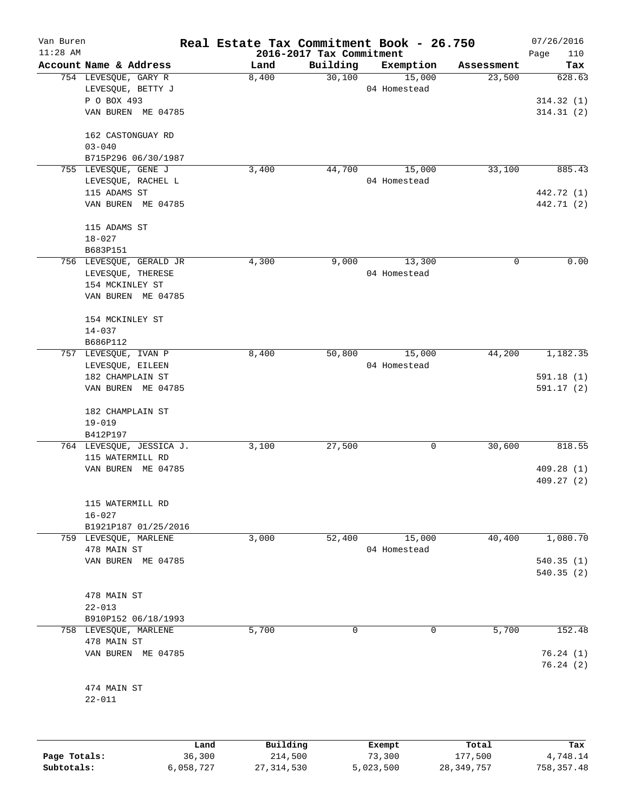| Van Buren<br>$11:28$ AM |                                            | Real Estate Tax Commitment Book - 26.750 | 2016-2017 Tax Commitment |                        |            | 07/26/2016<br>Page<br>110 |
|-------------------------|--------------------------------------------|------------------------------------------|--------------------------|------------------------|------------|---------------------------|
|                         | Account Name & Address                     | Land                                     | Building                 | Exemption              | Assessment | Tax                       |
|                         | 754 LEVESQUE, GARY R<br>LEVESQUE, BETTY J  | 8,400                                    | 30,100                   | 15,000<br>04 Homestead | 23,500     | 628.63                    |
|                         | P O BOX 493<br>VAN BUREN ME 04785          |                                          |                          |                        |            | 314.32(1)<br>314.31(2)    |
|                         | 162 CASTONGUAY RD<br>$03 - 040$            |                                          |                          |                        |            |                           |
|                         | B715P296 06/30/1987                        |                                          | 44,700                   |                        | 33,100     | 885.43                    |
|                         | 755 LEVESQUE, GENE J<br>LEVESQUE, RACHEL L | 3,400                                    |                          | 15,000<br>04 Homestead |            |                           |
|                         | 115 ADAMS ST                               |                                          |                          |                        |            | 442.72 (1)                |
|                         | VAN BUREN ME 04785                         |                                          |                          |                        |            | 442.71 (2)                |
|                         | 115 ADAMS ST                               |                                          |                          |                        |            |                           |
|                         | $18 - 027$<br>B683P151                     |                                          |                          |                        |            |                           |
|                         | 756 LEVESQUE, GERALD JR                    | 4,300                                    | 9,000                    | 13,300                 | 0          | 0.00                      |
|                         | LEVESQUE, THERESE                          |                                          |                          | 04 Homestead           |            |                           |
|                         | 154 MCKINLEY ST                            |                                          |                          |                        |            |                           |
|                         | VAN BUREN ME 04785                         |                                          |                          |                        |            |                           |
|                         | 154 MCKINLEY ST                            |                                          |                          |                        |            |                           |
|                         | $14 - 037$<br>B686P112                     |                                          |                          |                        |            |                           |
|                         | 757 LEVESQUE, IVAN P                       | 8,400                                    | 50,800                   | 15,000                 | 44,200     | 1,182.35                  |
|                         | LEVESQUE, EILEEN                           |                                          |                          | 04 Homestead           |            |                           |
|                         | 182 CHAMPLAIN ST                           |                                          |                          |                        |            | 591.18 (1)                |
|                         | VAN BUREN ME 04785                         |                                          |                          |                        |            | 591.17(2)                 |
|                         | 182 CHAMPLAIN ST                           |                                          |                          |                        |            |                           |
|                         | $19 - 019$<br>B412P197                     |                                          |                          |                        |            |                           |
|                         | 764 LEVESQUE, JESSICA J.                   | 3,100                                    | 27,500                   | 0                      | 30,600     | 818.55                    |
|                         | 115 WATERMILL RD                           |                                          |                          |                        |            |                           |
|                         | VAN BUREN ME 04785                         |                                          |                          |                        |            | 409.28(1)                 |
|                         |                                            |                                          |                          |                        |            | 409.27(2)                 |
|                         | 115 WATERMILL RD                           |                                          |                          |                        |            |                           |
|                         | $16 - 027$<br>B1921P187 01/25/2016         |                                          |                          |                        |            |                           |
|                         | 759 LEVESQUE, MARLENE                      | 3,000                                    | 52,400                   | 15,000                 | 40,400     | 1,080.70                  |
|                         | 478 MAIN ST                                |                                          |                          | 04 Homestead           |            |                           |
|                         | VAN BUREN ME 04785                         |                                          |                          |                        |            | 540.35(1)<br>540.35(2)    |
|                         | 478 MAIN ST                                |                                          |                          |                        |            |                           |
|                         | $22 - 013$                                 |                                          |                          |                        |            |                           |
|                         | B910P152 06/18/1993                        |                                          |                          |                        |            |                           |
|                         | 758 LEVESQUE, MARLENE                      | 5,700                                    | 0                        | $\mathbf 0$            | 5,700      | 152.48                    |
|                         | 478 MAIN ST<br>VAN BUREN ME 04785          |                                          |                          |                        |            | 76.24(1)                  |
|                         |                                            |                                          |                          |                        |            | 76.24(2)                  |
|                         | 474 MAIN ST                                |                                          |                          |                        |            |                           |
|                         | $22 - 011$                                 |                                          |                          |                        |            |                           |
|                         |                                            |                                          |                          |                        |            |                           |
|                         | Land                                       | Building                                 |                          | Exempt                 | Total      | Tax                       |

|              | Land      | Building   | Exempt    | Total      | Tax         |
|--------------|-----------|------------|-----------|------------|-------------|
| Page Totals: | 36,300    | 214,500    | 73,300    | 177,500    | 4,748.14    |
| Subtotals:   | 6,058,727 | 27,314,530 | 5,023,500 | 28,349,757 | 758, 357.48 |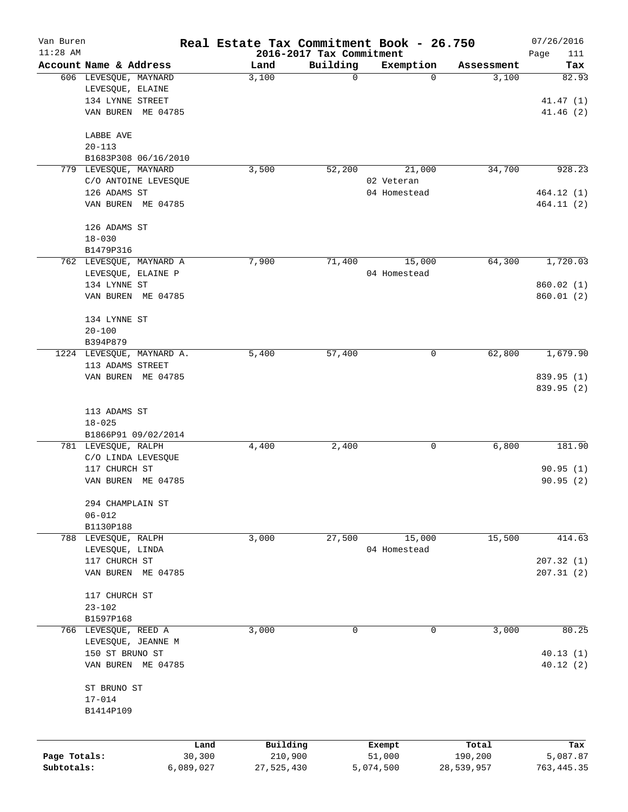| Van Buren    |                                      | Real Estate Tax Commitment Book - 26.750 |                          |                  |                     | 07/26/2016      |
|--------------|--------------------------------------|------------------------------------------|--------------------------|------------------|---------------------|-----------------|
| $11:28$ AM   |                                      |                                          | 2016-2017 Tax Commitment |                  |                     | Page<br>111     |
|              | Account Name & Address               | Land<br>3,100                            | Building<br>$\mathbf 0$  | Exemption<br>0   | Assessment<br>3,100 | Tax<br>82.93    |
|              | 606 LEVESQUE, MAYNARD                |                                          |                          |                  |                     |                 |
|              | LEVESQUE, ELAINE<br>134 LYNNE STREET |                                          |                          |                  |                     | 41.47(1)        |
|              |                                      |                                          |                          |                  |                     |                 |
|              | VAN BUREN ME 04785                   |                                          |                          |                  |                     | 41.46(2)        |
|              | LABBE AVE                            |                                          |                          |                  |                     |                 |
|              | $20 - 113$                           |                                          |                          |                  |                     |                 |
|              | B1683P308 06/16/2010                 |                                          |                          |                  |                     |                 |
|              | 779 LEVESQUE, MAYNARD                | 3,500                                    | 52,200                   | 21,000           | 34,700              | 928.23          |
|              | C/O ANTOINE LEVESQUE                 |                                          |                          | 02 Veteran       |                     |                 |
|              | 126 ADAMS ST                         |                                          |                          | 04 Homestead     |                     | 464.12 (1)      |
|              | VAN BUREN ME 04785                   |                                          |                          |                  |                     | 464.11 (2)      |
|              | 126 ADAMS ST                         |                                          |                          |                  |                     |                 |
|              | $18 - 030$                           |                                          |                          |                  |                     |                 |
|              | B1479P316                            |                                          |                          |                  |                     |                 |
|              | 762 LEVESQUE, MAYNARD A              | 7,900                                    | 71,400                   | 15,000           | 64,300              | 1,720.03        |
|              | LEVESQUE, ELAINE P                   |                                          |                          | 04 Homestead     |                     |                 |
|              | 134 LYNNE ST                         |                                          |                          |                  |                     | 860.02(1)       |
|              | VAN BUREN ME 04785                   |                                          |                          |                  |                     | 860.01(2)       |
|              |                                      |                                          |                          |                  |                     |                 |
|              | 134 LYNNE ST                         |                                          |                          |                  |                     |                 |
|              | $20 - 100$                           |                                          |                          |                  |                     |                 |
|              | B394P879                             |                                          |                          |                  |                     |                 |
|              | 1224 LEVESQUE, MAYNARD A.            | 5,400                                    | 57,400                   | 0                | 62,800              | 1,679.90        |
|              | 113 ADAMS STREET                     |                                          |                          |                  |                     |                 |
|              | VAN BUREN ME 04785                   |                                          |                          |                  |                     | 839.95 (1)      |
|              |                                      |                                          |                          |                  |                     | 839.95 (2)      |
|              | 113 ADAMS ST                         |                                          |                          |                  |                     |                 |
|              | $18 - 025$                           |                                          |                          |                  |                     |                 |
|              | B1866P91 09/02/2014                  |                                          |                          |                  |                     |                 |
|              | 781 LEVESQUE, RALPH                  | 4,400                                    | 2,400                    | 0                | 6,800               | 181.90          |
|              | C/O LINDA LEVESQUE                   |                                          |                          |                  |                     |                 |
|              | 117 CHURCH ST                        |                                          |                          |                  |                     | 90.95(1)        |
|              | VAN BUREN<br>ME 04785                |                                          |                          |                  |                     | 90.95(2)        |
|              |                                      |                                          |                          |                  |                     |                 |
|              | 294 CHAMPLAIN ST                     |                                          |                          |                  |                     |                 |
|              | $06 - 012$                           |                                          |                          |                  |                     |                 |
|              | B1130P188                            |                                          |                          |                  |                     |                 |
|              | 788 LEVESQUE, RALPH                  | 3,000                                    | 27,500                   | 15,000           | 15,500              | 414.63          |
|              | LEVESQUE, LINDA                      |                                          |                          | 04 Homestead     |                     |                 |
|              | 117 CHURCH ST                        |                                          |                          |                  |                     | 207.32(1)       |
|              | VAN BUREN ME 04785                   |                                          |                          |                  |                     | 207.31(2)       |
|              | 117 CHURCH ST                        |                                          |                          |                  |                     |                 |
|              | $23 - 102$                           |                                          |                          |                  |                     |                 |
|              | B1597P168                            |                                          |                          |                  |                     |                 |
|              | 766 LEVESQUE, REED A                 | 3,000                                    | $\mathbf 0$              | 0                | 3,000               | 80.25           |
|              | LEVESQUE, JEANNE M                   |                                          |                          |                  |                     |                 |
|              | 150 ST BRUNO ST                      |                                          |                          |                  |                     | 40.13(1)        |
|              | VAN BUREN ME 04785                   |                                          |                          |                  |                     | 40.12(2)        |
|              |                                      |                                          |                          |                  |                     |                 |
|              | ST BRUNO ST                          |                                          |                          |                  |                     |                 |
|              | $17 - 014$<br>B1414P109              |                                          |                          |                  |                     |                 |
|              |                                      |                                          |                          |                  |                     |                 |
|              |                                      |                                          |                          |                  |                     |                 |
| Page Totals: | 30,300                               | Building<br>Land<br>210,900              |                          | Exempt<br>51,000 | Total<br>190,200    | Tax<br>5,087.87 |
| Subtotals:   | 6,089,027                            | 27,525,430                               |                          | 5,074,500        | 28,539,957          | 763, 445.35     |
|              |                                      |                                          |                          |                  |                     |                 |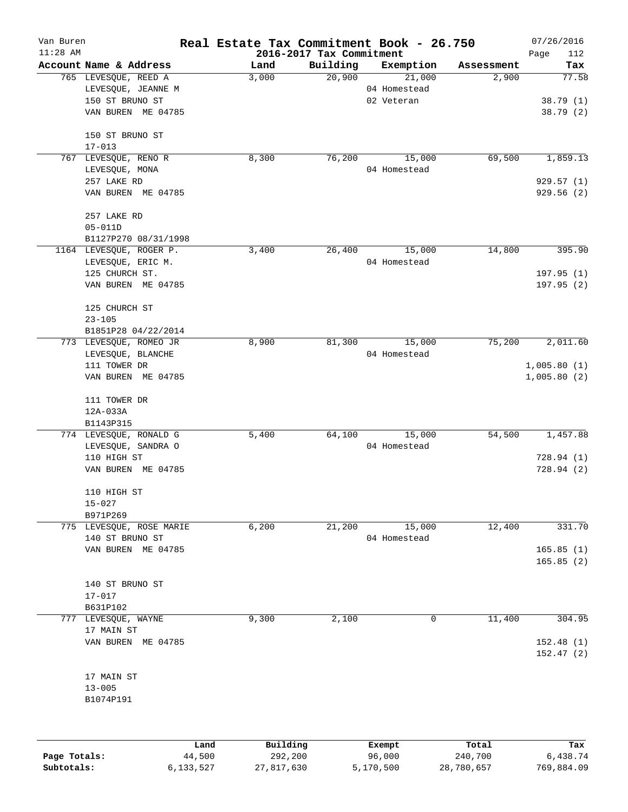| Van Buren    |                          | Real Estate Tax Commitment Book - 26.750 |                          |              |            | 07/26/2016  |
|--------------|--------------------------|------------------------------------------|--------------------------|--------------|------------|-------------|
| $11:28$ AM   |                          |                                          | 2016-2017 Tax Commitment |              |            | Page<br>112 |
|              | Account Name & Address   | Land                                     | Building                 | Exemption    | Assessment | Tax         |
|              | 765 LEVESQUE, REED A     | 3,000                                    | 20,900                   | 21,000       | 2,900      | 77.58       |
|              | LEVESQUE, JEANNE M       |                                          |                          | 04 Homestead |            |             |
|              | 150 ST BRUNO ST          |                                          |                          | 02 Veteran   |            | 38.79(1)    |
|              | VAN BUREN ME 04785       |                                          |                          |              |            | 38.79(2)    |
|              | 150 ST BRUNO ST          |                                          |                          |              |            |             |
|              | $17 - 013$               |                                          |                          |              |            |             |
|              | 767 LEVESQUE, RENO R     | 8,300                                    | 76,200                   | 15,000       | 69,500     | 1,859.13    |
|              | LEVESQUE, MONA           |                                          |                          | 04 Homestead |            |             |
|              | 257 LAKE RD              |                                          |                          |              |            | 929.57(1)   |
|              | VAN BUREN ME 04785       |                                          |                          |              |            | 929.56(2)   |
|              | 257 LAKE RD              |                                          |                          |              |            |             |
|              | $05 - 011D$              |                                          |                          |              |            |             |
|              | B1127P270 08/31/1998     |                                          |                          |              |            |             |
|              | 1164 LEVESQUE, ROGER P.  | 3,400                                    | 26,400                   | 15,000       | 14,800     | 395.90      |
|              | LEVESQUE, ERIC M.        |                                          |                          | 04 Homestead |            |             |
|              | 125 CHURCH ST.           |                                          |                          |              |            | 197.95(1)   |
|              | VAN BUREN ME 04785       |                                          |                          |              |            | 197.95(2)   |
|              | 125 CHURCH ST            |                                          |                          |              |            |             |
|              | $23 - 105$               |                                          |                          |              |            |             |
|              | B1851P28 04/22/2014      |                                          |                          |              |            |             |
|              | 773 LEVESQUE, ROMEO JR   | 8,900                                    | 81,300                   | 15,000       | 75,200     | 2,011.60    |
|              | LEVESQUE, BLANCHE        |                                          |                          | 04 Homestead |            |             |
|              | 111 TOWER DR             |                                          |                          |              |            | 1,005.80(1) |
|              | VAN BUREN ME 04785       |                                          |                          |              |            | 1,005.80(2) |
|              | 111 TOWER DR             |                                          |                          |              |            |             |
|              | 12A-033A                 |                                          |                          |              |            |             |
|              | B1143P315                |                                          |                          |              |            |             |
|              | 774 LEVESQUE, RONALD G   | 5,400                                    | 64,100                   | 15,000       | 54,500     | 1,457.88    |
|              | LEVESQUE, SANDRA O       |                                          |                          | 04 Homestead |            |             |
|              | 110 HIGH ST              |                                          |                          |              |            | 728.94(1)   |
|              | VAN BUREN ME 04785       |                                          |                          |              |            | 728.94 (2)  |
|              | 110 HIGH ST              |                                          |                          |              |            |             |
|              | $15 - 027$               |                                          |                          |              |            |             |
|              | B971P269                 |                                          |                          |              |            |             |
|              | 775 LEVESQUE, ROSE MARIE | 6,200                                    | 21,200                   | 15,000       | 12,400     | 331.70      |
|              | 140 ST BRUNO ST          |                                          |                          | 04 Homestead |            |             |
|              | VAN BUREN ME 04785       |                                          |                          |              |            | 165.85(1)   |
|              |                          |                                          |                          |              |            | 165.85(2)   |
|              | 140 ST BRUNO ST          |                                          |                          |              |            |             |
|              | $17 - 017$               |                                          |                          |              |            |             |
|              | B631P102                 |                                          |                          |              |            |             |
| 777          | LEVESQUE, WAYNE          | 9,300                                    | 2,100                    | 0            | 11,400     | 304.95      |
|              | 17 MAIN ST               |                                          |                          |              |            |             |
|              | VAN BUREN ME 04785       |                                          |                          |              |            | 152.48(1)   |
|              |                          |                                          |                          |              |            | 152.47(2)   |
|              | 17 MAIN ST               |                                          |                          |              |            |             |
|              | $13 - 005$               |                                          |                          |              |            |             |
|              | B1074P191                |                                          |                          |              |            |             |
|              |                          |                                          |                          |              |            |             |
|              | Land                     | Building                                 |                          | Exempt       | Total      | Tax         |
| Page Totals: | 44,500                   | 292,200                                  |                          | 96,000       | 240,700    | 6,438.74    |
|              |                          |                                          |                          |              |            |             |

**Subtotals:** 6,133,527 27,817,630 5,170,500 28,780,657 769,884.09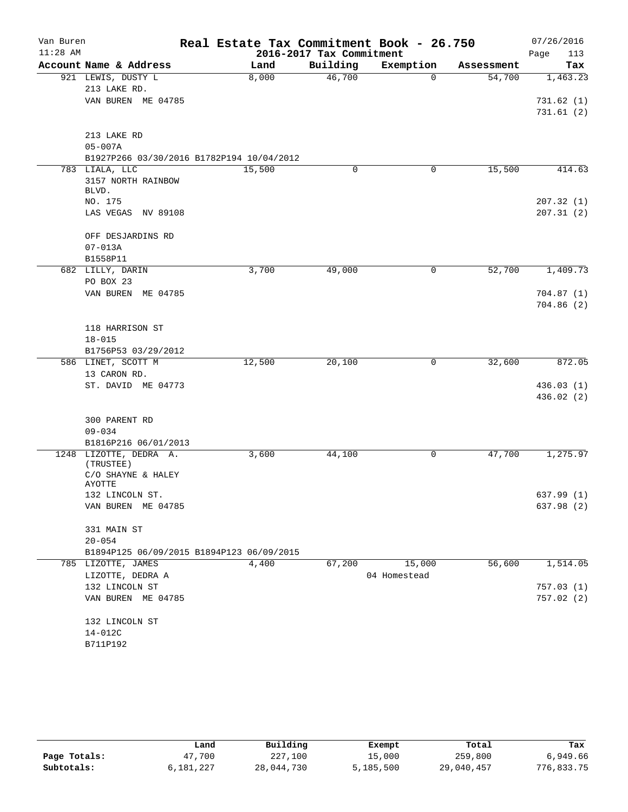| Van Buren<br>$11:28$ AM |                                           | Real Estate Tax Commitment Book - 26.750 | 2016-2017 Tax Commitment |              |            | 07/26/2016<br>Page<br>113 |
|-------------------------|-------------------------------------------|------------------------------------------|--------------------------|--------------|------------|---------------------------|
|                         | Account Name & Address                    | Land                                     | Building                 | Exemption    | Assessment | Tax                       |
|                         | 921 LEWIS, DUSTY L                        | 8,000                                    | 46,700                   | $\Omega$     | 54,700     | 1,463.23                  |
|                         | 213 LAKE RD.                              |                                          |                          |              |            |                           |
|                         | VAN BUREN ME 04785                        |                                          |                          |              |            | 731.62(1)                 |
|                         |                                           |                                          |                          |              |            | 731.61(2)                 |
|                         | 213 LAKE RD                               |                                          |                          |              |            |                           |
|                         | $05 - 007A$                               |                                          |                          |              |            |                           |
|                         | B1927P266 03/30/2016 B1782P194 10/04/2012 |                                          |                          |              |            |                           |
|                         | 783 LIALA, LLC                            | 15,500                                   | 0                        | 0            | 15,500     | 414.63                    |
|                         | 3157 NORTH RAINBOW                        |                                          |                          |              |            |                           |
|                         | BLVD.                                     |                                          |                          |              |            |                           |
|                         | NO. 175                                   |                                          |                          |              |            | 207.32(1)                 |
|                         | LAS VEGAS NV 89108                        |                                          |                          |              |            | 207.31(2)                 |
|                         | OFF DESJARDINS RD                         |                                          |                          |              |            |                           |
|                         | $07 - 013A$                               |                                          |                          |              |            |                           |
|                         | B1558P11                                  |                                          |                          |              |            |                           |
|                         | 682 LILLY, DARIN                          | 3,700                                    | 49,000                   | $\mathsf{O}$ | 52,700     | 1,409.73                  |
|                         | PO BOX 23                                 |                                          |                          |              |            |                           |
|                         | VAN BUREN ME 04785                        |                                          |                          |              |            | 704.87(1)                 |
|                         |                                           |                                          |                          |              |            | 704.86(2)                 |
|                         |                                           |                                          |                          |              |            |                           |
|                         | 118 HARRISON ST                           |                                          |                          |              |            |                           |
|                         | $18 - 015$                                |                                          |                          |              |            |                           |
|                         | B1756P53 03/29/2012                       |                                          |                          |              |            |                           |
|                         | 586 LINET, SCOTT M                        | 12,500                                   | 20,100                   | 0            | 32,600     | 872.05                    |
|                         | 13 CARON RD.                              |                                          |                          |              |            |                           |
|                         | ST. DAVID ME 04773                        |                                          |                          |              |            | 436.03(1)                 |
|                         |                                           |                                          |                          |              |            | 436.02(2)                 |
|                         |                                           |                                          |                          |              |            |                           |
|                         | 300 PARENT RD                             |                                          |                          |              |            |                           |
|                         | $09 - 034$                                |                                          |                          |              |            |                           |
|                         | B1816P216 06/01/2013                      |                                          |                          |              |            |                           |
|                         | 1248 LIZOTTE, DEDRA A.                    | 3,600                                    | 44,100                   | 0            | 47,700     | 1,275.97                  |
|                         | (TRUSTEE)                                 |                                          |                          |              |            |                           |
|                         | C/O SHAYNE & HALEY                        |                                          |                          |              |            |                           |
|                         | AYOTTE                                    |                                          |                          |              |            |                           |
|                         | 132 LINCOLN ST.                           |                                          |                          |              |            | 637.99 (1)                |
|                         | VAN BUREN ME 04785                        |                                          |                          |              |            | 637.98 (2)                |
|                         | 331 MAIN ST                               |                                          |                          |              |            |                           |
|                         | $20 - 054$                                |                                          |                          |              |            |                           |
|                         | B1894P125 06/09/2015 B1894P123 06/09/2015 |                                          |                          |              |            |                           |
|                         | 785 LIZOTTE, JAMES                        | 4,400                                    | 67,200                   | 15,000       | 56,600     | 1,514.05                  |
|                         | LIZOTTE, DEDRA A                          |                                          |                          | 04 Homestead |            |                           |
|                         | 132 LINCOLN ST                            |                                          |                          |              |            | 757.03(1)                 |
|                         | VAN BUREN ME 04785                        |                                          |                          |              |            | 757.02(2)                 |
|                         | 132 LINCOLN ST                            |                                          |                          |              |            |                           |
|                         | $14 - 012C$                               |                                          |                          |              |            |                           |
|                         | B711P192                                  |                                          |                          |              |            |                           |
|                         |                                           |                                          |                          |              |            |                           |

|              | Land      | Building   | Exempt    | Total      | Tax        |
|--------------|-----------|------------|-----------|------------|------------|
| Page Totals: | 47,700    | 227,100    | 15,000    | 259,800    | 6,949.66   |
| Subtotals:   | 6,181,227 | 28,044,730 | 5,185,500 | 29,040,457 | 776,833.75 |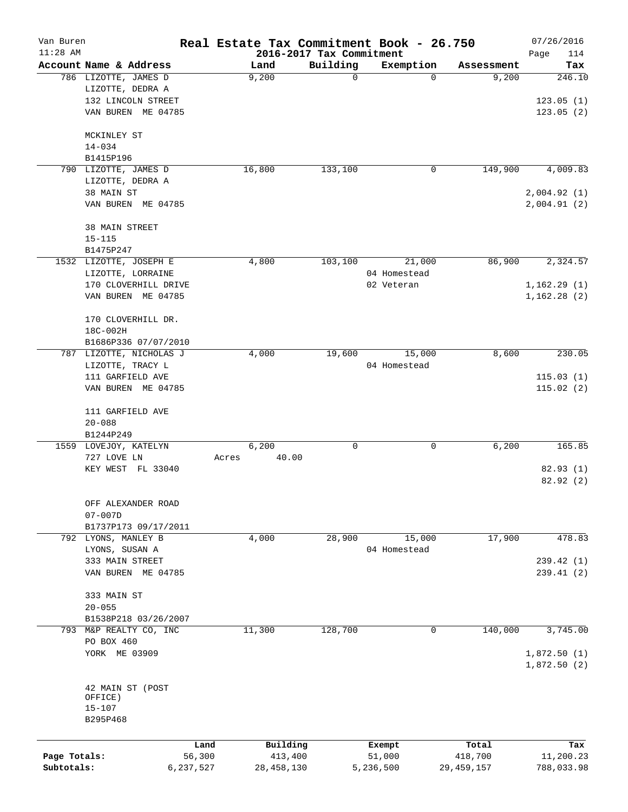| Van Buren    |                         |           | Real Estate Tax Commitment Book - 26.750 |                          |              |              | 07/26/2016  |
|--------------|-------------------------|-----------|------------------------------------------|--------------------------|--------------|--------------|-------------|
| $11:28$ AM   |                         |           |                                          | 2016-2017 Tax Commitment |              |              | Page<br>114 |
|              | Account Name & Address  |           | Land                                     | Building                 | Exemption    | Assessment   | Tax         |
|              | 786 LIZOTTE, JAMES D    |           | 9,200                                    | 0                        | $\Omega$     | 9,200        | 246.10      |
|              | LIZOTTE, DEDRA A        |           |                                          |                          |              |              |             |
|              | 132 LINCOLN STREET      |           |                                          |                          |              |              | 123.05(1)   |
|              | VAN BUREN ME 04785      |           |                                          |                          |              |              | 123.05(2)   |
|              | MCKINLEY ST             |           |                                          |                          |              |              |             |
|              | $14 - 034$              |           |                                          |                          |              |              |             |
|              | B1415P196               |           |                                          |                          |              |              |             |
|              | 790 LIZOTTE, JAMES D    |           | 16,800                                   | 133,100                  | 0            | 149,900      | 4,009.83    |
|              | LIZOTTE, DEDRA A        |           |                                          |                          |              |              |             |
|              | 38 MAIN ST              |           |                                          |                          |              |              | 2,004.92(1) |
|              | VAN BUREN ME 04785      |           |                                          |                          |              |              | 2,004.91(2) |
|              | 38 MAIN STREET          |           |                                          |                          |              |              |             |
|              | $15 - 115$              |           |                                          |                          |              |              |             |
|              | B1475P247               |           |                                          |                          |              |              |             |
|              | 1532 LIZOTTE, JOSEPH E  |           | 4,800                                    | 103,100                  | 21,000       | 86,900       | 2,324.57    |
|              | LIZOTTE, LORRAINE       |           |                                          |                          | 04 Homestead |              |             |
|              | 170 CLOVERHILL DRIVE    |           |                                          |                          | 02 Veteran   |              | 1,162.29(1) |
|              | VAN BUREN ME 04785      |           |                                          |                          |              |              | 1,162.28(2) |
|              | 170 CLOVERHILL DR.      |           |                                          |                          |              |              |             |
|              | 18C-002H                |           |                                          |                          |              |              |             |
|              | B1686P336 07/07/2010    |           |                                          |                          |              |              |             |
|              | 787 LIZOTTE, NICHOLAS J |           | 4,000                                    | 19,600                   | 15,000       | 8,600        | 230.05      |
|              | LIZOTTE, TRACY L        |           |                                          |                          | 04 Homestead |              |             |
|              | 111 GARFIELD AVE        |           |                                          |                          |              |              | 115.03(1)   |
|              | VAN BUREN ME 04785      |           |                                          |                          |              |              | 115.02(2)   |
|              | 111 GARFIELD AVE        |           |                                          |                          |              |              |             |
|              | $20 - 088$              |           |                                          |                          |              |              |             |
|              | B1244P249               |           |                                          |                          |              |              |             |
|              | 1559 LOVEJOY, KATELYN   |           | 6,200                                    | 0                        | 0            | 6,200        | 165.85      |
|              | 727 LOVE LN             |           | 40.00<br>Acres                           |                          |              |              |             |
|              | KEY WEST FL 33040       |           |                                          |                          |              |              | 82.93 (1)   |
|              |                         |           |                                          |                          |              |              | 82.92(2)    |
|              | OFF ALEXANDER ROAD      |           |                                          |                          |              |              |             |
|              | $07 - 007D$             |           |                                          |                          |              |              |             |
|              | B1737P173 09/17/2011    |           |                                          |                          |              |              |             |
|              | 792 LYONS, MANLEY B     |           | 4,000                                    | 28,900                   | 15,000       | 17,900       | 478.83      |
|              | LYONS, SUSAN A          |           |                                          |                          | 04 Homestead |              |             |
|              | 333 MAIN STREET         |           |                                          |                          |              |              | 239.42(1)   |
|              | VAN BUREN ME 04785      |           |                                          |                          |              |              | 239.41(2)   |
|              | 333 MAIN ST             |           |                                          |                          |              |              |             |
|              | $20 - 055$              |           |                                          |                          |              |              |             |
|              | B1538P218 03/26/2007    |           |                                          |                          |              |              |             |
|              | 793 M&P REALTY CO, INC  |           | 11,300                                   | 128,700                  | 0            | 140,000      | 3,745.00    |
|              | PO BOX 460              |           |                                          |                          |              |              |             |
|              | YORK ME 03909           |           |                                          |                          |              |              | 1,872.50(1) |
|              |                         |           |                                          |                          |              |              | 1,872.50(2) |
|              | 42 MAIN ST (POST        |           |                                          |                          |              |              |             |
|              | OFFICE)                 |           |                                          |                          |              |              |             |
|              | $15 - 107$              |           |                                          |                          |              |              |             |
|              | B295P468                |           |                                          |                          |              |              |             |
|              |                         | Land      | Building                                 |                          | Exempt       | Total        | Tax         |
| Page Totals: |                         | 56,300    | 413,400                                  |                          | 51,000       | 418,700      | 11,200.23   |
| Subtotals:   |                         | 6,237,527 | 28, 458, 130                             |                          | 5,236,500    | 29, 459, 157 | 788,033.98  |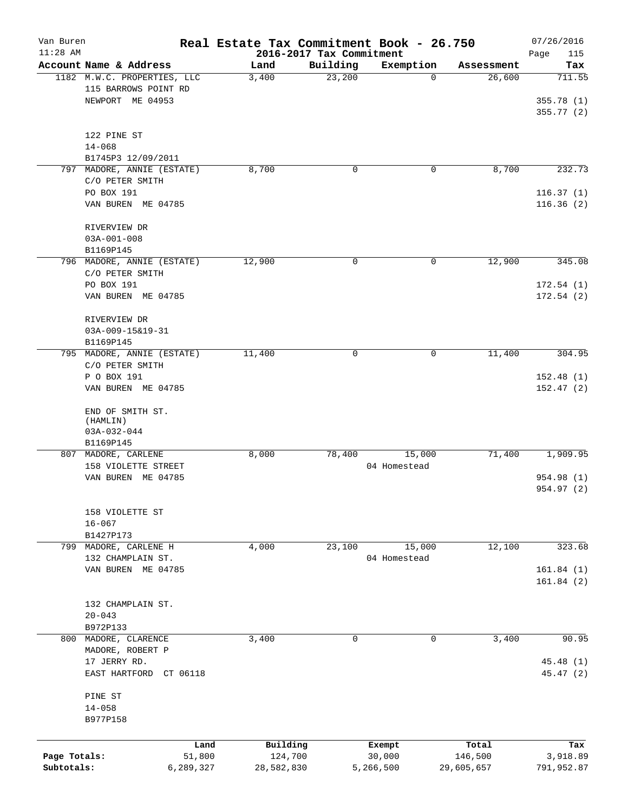| Van Buren<br>$11:28$ AM |                             |           | Real Estate Tax Commitment Book - 26.750 | 2016-2017 Tax Commitment |              |            | 07/26/2016<br>Page<br>115 |
|-------------------------|-----------------------------|-----------|------------------------------------------|--------------------------|--------------|------------|---------------------------|
|                         | Account Name & Address      |           | Land                                     | Building                 | Exemption    | Assessment | Tax                       |
|                         | 1182 M.W.C. PROPERTIES, LLC |           | 3,400                                    | 23,200                   | 0            | 26,600     | 711.55                    |
|                         | 115 BARROWS POINT RD        |           |                                          |                          |              |            |                           |
|                         | NEWPORT ME 04953            |           |                                          |                          |              |            | 355.78(1)                 |
|                         |                             |           |                                          |                          |              |            | 355.77(2)                 |
|                         |                             |           |                                          |                          |              |            |                           |
|                         | 122 PINE ST                 |           |                                          |                          |              |            |                           |
|                         | $14 - 068$                  |           |                                          |                          |              |            |                           |
|                         | B1745P3 12/09/2011          |           |                                          |                          |              |            |                           |
| 797                     | MADORE, ANNIE (ESTATE)      |           | 8,700                                    | 0                        | 0            | 8,700      | 232.73                    |
|                         | C/O PETER SMITH             |           |                                          |                          |              |            |                           |
|                         | PO BOX 191                  |           |                                          |                          |              |            | 116.37(1)                 |
|                         | VAN BUREN ME 04785          |           |                                          |                          |              |            | 116.36(2)                 |
|                         |                             |           |                                          |                          |              |            |                           |
|                         | RIVERVIEW DR                |           |                                          |                          |              |            |                           |
|                         | $03A - 001 - 008$           |           |                                          |                          |              |            |                           |
|                         |                             |           |                                          |                          |              |            |                           |
|                         | B1169P145                   |           |                                          |                          |              |            |                           |
|                         | 796 MADORE, ANNIE (ESTATE)  |           | 12,900                                   | 0                        | 0            | 12,900     | 345.08                    |
|                         | C/O PETER SMITH             |           |                                          |                          |              |            |                           |
|                         | PO BOX 191                  |           |                                          |                          |              |            | 172.54(1)                 |
|                         | VAN BUREN ME 04785          |           |                                          |                          |              |            | 172.54(2)                 |
|                         |                             |           |                                          |                          |              |            |                           |
|                         | RIVERVIEW DR                |           |                                          |                          |              |            |                           |
|                         | 03A-009-15&19-31            |           |                                          |                          |              |            |                           |
|                         | B1169P145                   |           |                                          |                          |              |            |                           |
|                         | 795 MADORE, ANNIE (ESTATE)  |           | 11,400                                   | 0                        | $\mathsf{O}$ | 11,400     | 304.95                    |
|                         | C/O PETER SMITH             |           |                                          |                          |              |            |                           |
|                         | P O BOX 191                 |           |                                          |                          |              |            | 152.48(1)                 |
|                         | VAN BUREN ME 04785          |           |                                          |                          |              |            | 152.47(2)                 |
|                         |                             |           |                                          |                          |              |            |                           |
|                         | END OF SMITH ST.            |           |                                          |                          |              |            |                           |
|                         | (HAMLIN)                    |           |                                          |                          |              |            |                           |
|                         | $03A-032-044$               |           |                                          |                          |              |            |                           |
|                         | B1169P145                   |           |                                          |                          |              |            |                           |
|                         | 807 MADORE, CARLENE         |           | 8,000                                    | 78,400                   | 15,000       | 71,400     | 1,909.95                  |
|                         | 158 VIOLETTE STREET         |           |                                          |                          | 04 Homestead |            |                           |
|                         | VAN BUREN ME 04785          |           |                                          |                          |              |            | 954.98 (1)                |
|                         |                             |           |                                          |                          |              |            | 954.97 (2)                |
|                         |                             |           |                                          |                          |              |            |                           |
|                         | 158 VIOLETTE ST             |           |                                          |                          |              |            |                           |
|                         | $16 - 067$                  |           |                                          |                          |              |            |                           |
|                         | B1427P173                   |           |                                          |                          |              |            |                           |
|                         | 799 MADORE, CARLENE H       |           | 4,000                                    | 23,100                   | 15,000       | 12,100     | 323.68                    |
|                         | 132 CHAMPLAIN ST.           |           |                                          |                          | 04 Homestead |            |                           |
|                         | VAN BUREN ME 04785          |           |                                          |                          |              |            | 161.84(1)                 |
|                         |                             |           |                                          |                          |              |            | 161.84(2)                 |
|                         |                             |           |                                          |                          |              |            |                           |
|                         | 132 CHAMPLAIN ST.           |           |                                          |                          |              |            |                           |
|                         | $20 - 043$                  |           |                                          |                          |              |            |                           |
|                         | B972P133                    |           |                                          |                          |              |            |                           |
|                         | 800 MADORE, CLARENCE        |           | 3,400                                    | 0                        | 0            | 3,400      | 90.95                     |
|                         | MADORE, ROBERT P            |           |                                          |                          |              |            |                           |
|                         | 17 JERRY RD.                |           |                                          |                          |              |            | 45.48(1)                  |
|                         | EAST HARTFORD CT 06118      |           |                                          |                          |              |            | 45.47 (2)                 |
|                         |                             |           |                                          |                          |              |            |                           |
|                         | PINE ST                     |           |                                          |                          |              |            |                           |
|                         | $14 - 058$                  |           |                                          |                          |              |            |                           |
|                         | B977P158                    |           |                                          |                          |              |            |                           |
|                         |                             |           |                                          |                          |              |            |                           |
|                         |                             |           |                                          |                          |              |            |                           |
|                         |                             | Land      | Building                                 |                          | Exempt       | Total      | Tax                       |
| Page Totals:            |                             | 51,800    | 124,700                                  |                          | 30,000       | 146,500    | 3,918.89                  |
| Subtotals:              |                             | 6,289,327 | 28,582,830                               |                          | 5,266,500    | 29,605,657 | 791,952.87                |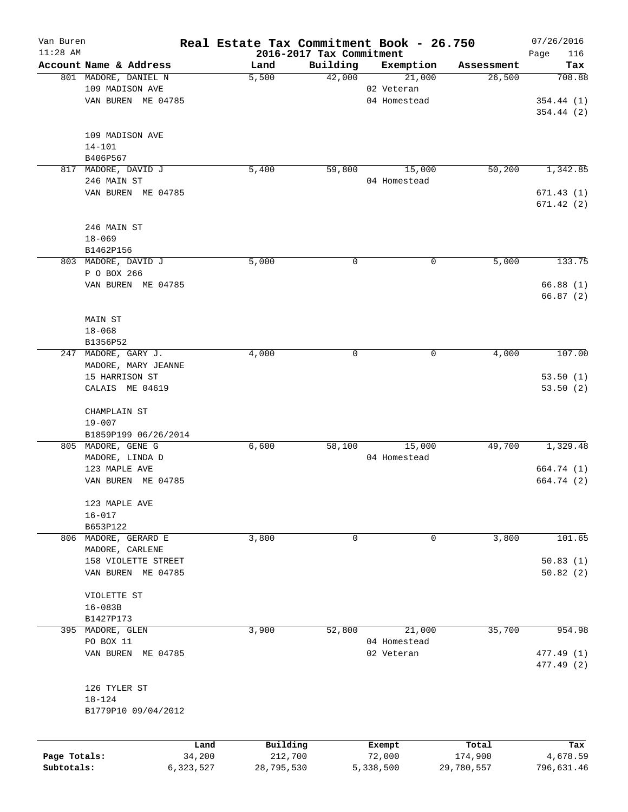| Van Buren    |                                           |           | Real Estate Tax Commitment Book - 26.750 |                          |              |            | 07/26/2016  |
|--------------|-------------------------------------------|-----------|------------------------------------------|--------------------------|--------------|------------|-------------|
| $11:28$ AM   |                                           |           |                                          | 2016-2017 Tax Commitment |              |            | 116<br>Page |
|              | Account Name & Address                    |           | Land                                     | Building                 | Exemption    | Assessment | Tax         |
|              | 801 MADORE, DANIEL N                      |           | 5,500                                    | 42,000                   | 21,000       | 26,500     | 708.88      |
|              | 109 MADISON AVE                           |           |                                          |                          | 02 Veteran   |            |             |
|              | VAN BUREN ME 04785                        |           |                                          |                          | 04 Homestead |            | 354.44(1)   |
|              |                                           |           |                                          |                          |              |            | 354.44(2)   |
|              | 109 MADISON AVE                           |           |                                          |                          |              |            |             |
|              | $14 - 101$                                |           |                                          |                          |              |            |             |
|              | B406P567                                  |           |                                          |                          |              |            |             |
| 817          | MADORE, DAVID J                           |           | 5,400                                    | 59,800                   | 15,000       | 50,200     | 1,342.85    |
|              | 246 MAIN ST                               |           |                                          |                          | 04 Homestead |            |             |
|              | VAN BUREN ME 04785                        |           |                                          |                          |              |            | 671.43(1)   |
|              |                                           |           |                                          |                          |              |            | 671.42(2)   |
|              |                                           |           |                                          |                          |              |            |             |
|              | 246 MAIN ST                               |           |                                          |                          |              |            |             |
|              | $18 - 069$                                |           |                                          |                          |              |            |             |
|              | B1462P156                                 |           |                                          |                          |              |            |             |
|              | 803 MADORE, DAVID J                       |           | 5,000                                    | 0                        | 0            | 5,000      | 133.75      |
|              | P O BOX 266                               |           |                                          |                          |              |            |             |
|              | VAN BUREN ME 04785                        |           |                                          |                          |              |            | 66.88(1)    |
|              |                                           |           |                                          |                          |              |            | 66.87(2)    |
|              |                                           |           |                                          |                          |              |            |             |
|              | MAIN ST                                   |           |                                          |                          |              |            |             |
|              | $18 - 068$                                |           |                                          |                          |              |            |             |
|              | B1356P52                                  |           |                                          |                          |              |            |             |
| 247          | MADORE, GARY J.                           |           | 4,000                                    | 0                        | 0            | 4,000      | 107.00      |
|              | MADORE, MARY JEANNE                       |           |                                          |                          |              |            |             |
|              | 15 HARRISON ST                            |           |                                          |                          |              |            | 53.50(1)    |
|              | CALAIS ME 04619                           |           |                                          |                          |              |            | 53.50(2)    |
|              |                                           |           |                                          |                          |              |            |             |
|              | CHAMPLAIN ST                              |           |                                          |                          |              |            |             |
|              | $19 - 007$                                |           |                                          |                          |              |            |             |
|              | B1859P199 06/26/2014                      |           |                                          |                          |              |            |             |
|              | 805 MADORE, GENE G                        |           | 6,600                                    | 58,100                   | 15,000       | 49,700     | 1,329.48    |
|              | MADORE, LINDA D                           |           |                                          |                          | 04 Homestead |            |             |
|              | 123 MAPLE AVE                             |           |                                          |                          |              |            | 664.74 (1)  |
|              | VAN BUREN<br>ME 04785                     |           |                                          |                          |              |            | 664.74 (2)  |
|              | 123 MAPLE AVE                             |           |                                          |                          |              |            |             |
|              | $16 - 017$                                |           |                                          |                          |              |            |             |
|              | B653P122                                  |           |                                          |                          |              |            |             |
|              | 806 MADORE, GERARD E                      |           | 3,800                                    | 0                        | 0            | 3,800      | 101.65      |
|              | MADORE, CARLENE                           |           |                                          |                          |              |            |             |
|              |                                           |           |                                          |                          |              |            |             |
|              | 158 VIOLETTE STREET<br>VAN BUREN ME 04785 |           |                                          |                          |              |            | 50.83(1)    |
|              |                                           |           |                                          |                          |              |            | 50.82(2)    |
|              | VIOLETTE ST                               |           |                                          |                          |              |            |             |
|              | $16 - 083B$                               |           |                                          |                          |              |            |             |
|              | B1427P173                                 |           |                                          |                          |              |            |             |
| 395          | MADORE, GLEN                              |           | 3,900                                    | 52,800                   | 21,000       | 35,700     | 954.98      |
|              | PO BOX 11                                 |           |                                          |                          | 04 Homestead |            |             |
|              | VAN BUREN ME 04785                        |           |                                          |                          | 02 Veteran   |            | 477.49 (1)  |
|              |                                           |           |                                          |                          |              |            | 477.49 (2)  |
|              |                                           |           |                                          |                          |              |            |             |
|              | 126 TYLER ST                              |           |                                          |                          |              |            |             |
|              | $18 - 124$                                |           |                                          |                          |              |            |             |
|              | B1779P10 09/04/2012                       |           |                                          |                          |              |            |             |
|              |                                           |           |                                          |                          |              |            |             |
|              |                                           | Land      | Building                                 |                          | Exempt       | Total      | Tax         |
| Page Totals: |                                           | 34,200    | 212,700                                  |                          | 72,000       | 174,900    | 4,678.59    |
| Subtotals:   |                                           | 6,323,527 | 28,795,530                               |                          | 5,338,500    | 29,780,557 | 796,631.46  |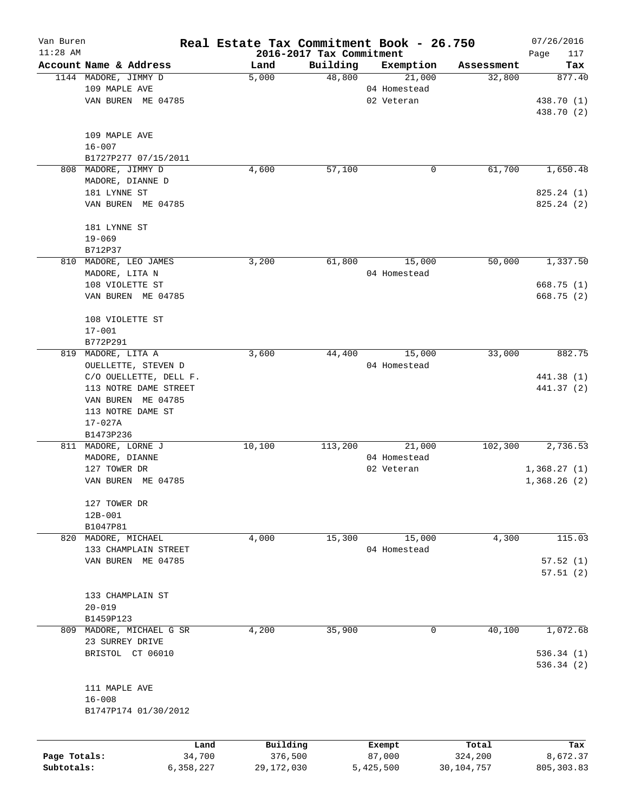| Van Buren    |                        | Real Estate Tax Commitment Book - 26.750 |                                      |                     |              | 07/26/2016    |
|--------------|------------------------|------------------------------------------|--------------------------------------|---------------------|--------------|---------------|
| $11:28$ AM   | Account Name & Address |                                          | 2016-2017 Tax Commitment<br>Building |                     | Assessment   | Page<br>117   |
|              | 1144 MADORE, JIMMY D   | Land<br>5,000                            | 48,800                               | Exemption<br>21,000 | 32,800       | Tax<br>877.40 |
|              | 109 MAPLE AVE          |                                          |                                      | 04 Homestead        |              |               |
|              | VAN BUREN ME 04785     |                                          |                                      | 02 Veteran          |              | 438.70 (1)    |
|              |                        |                                          |                                      |                     |              | 438.70 (2)    |
|              |                        |                                          |                                      |                     |              |               |
|              | 109 MAPLE AVE          |                                          |                                      |                     |              |               |
|              | $16 - 007$             |                                          |                                      |                     |              |               |
|              | B1727P277 07/15/2011   |                                          |                                      |                     |              |               |
|              | 808 MADORE, JIMMY D    | 4,600                                    | 57,100                               | 0                   | 61,700       | 1,650.48      |
|              | MADORE, DIANNE D       |                                          |                                      |                     |              |               |
|              | 181 LYNNE ST           |                                          |                                      |                     |              | 825.24(1)     |
|              | VAN BUREN ME 04785     |                                          |                                      |                     |              | 825.24(2)     |
|              |                        |                                          |                                      |                     |              |               |
|              | 181 LYNNE ST           |                                          |                                      |                     |              |               |
|              | $19 - 069$             |                                          |                                      |                     |              |               |
|              | B712P37                |                                          |                                      |                     |              |               |
|              | 810 MADORE, LEO JAMES  | 3,200                                    | 61,800                               | 15,000              | 50,000       | 1,337.50      |
|              | MADORE, LITA N         |                                          |                                      | 04 Homestead        |              |               |
|              | 108 VIOLETTE ST        |                                          |                                      |                     |              | 668.75(1)     |
|              | VAN BUREN ME 04785     |                                          |                                      |                     |              | 668.75 (2)    |
|              |                        |                                          |                                      |                     |              |               |
|              | 108 VIOLETTE ST        |                                          |                                      |                     |              |               |
|              | $17 - 001$             |                                          |                                      |                     |              |               |
|              | B772P291               |                                          |                                      |                     |              |               |
| 819          | MADORE, LITA A         | 3,600                                    | 44,400                               | 15,000              | 33,000       | 882.75        |
|              | OUELLETTE, STEVEN D    |                                          |                                      | 04 Homestead        |              |               |
|              | C/O OUELLETTE, DELL F. |                                          |                                      |                     |              | 441.38 (1)    |
|              | 113 NOTRE DAME STREET  |                                          |                                      |                     |              | 441.37 (2)    |
|              | VAN BUREN ME 04785     |                                          |                                      |                     |              |               |
|              | 113 NOTRE DAME ST      |                                          |                                      |                     |              |               |
|              | $17 - 027A$            |                                          |                                      |                     |              |               |
|              | B1473P236              |                                          |                                      |                     |              |               |
|              | 811 MADORE, LORNE J    | 10,100                                   | 113,200                              | 21,000              | 102,300      | 2,736.53      |
|              | MADORE, DIANNE         |                                          |                                      | 04 Homestead        |              |               |
|              | 127 TOWER DR           |                                          |                                      | 02 Veteran          |              | 1,368.27(1)   |
|              | VAN BUREN ME 04785     |                                          |                                      |                     |              | 1,368.26(2)   |
|              |                        |                                          |                                      |                     |              |               |
|              | 127 TOWER DR           |                                          |                                      |                     |              |               |
|              | 12B-001                |                                          |                                      |                     |              |               |
|              | B1047P81               |                                          |                                      |                     |              |               |
|              | 820 MADORE, MICHAEL    | 4,000                                    | 15,300                               | 15,000              | 4,300        | 115.03        |
|              | 133 CHAMPLAIN STREET   |                                          |                                      | 04 Homestead        |              |               |
|              | VAN BUREN ME 04785     |                                          |                                      |                     |              | 57.52(1)      |
|              |                        |                                          |                                      |                     |              | 57.51(2)      |
|              |                        |                                          |                                      |                     |              |               |
|              | 133 CHAMPLAIN ST       |                                          |                                      |                     |              |               |
|              | $20 - 019$             |                                          |                                      |                     |              |               |
|              | B1459P123              |                                          |                                      |                     |              |               |
| 809          | MADORE, MICHAEL G SR   | 4,200                                    | 35,900                               | 0                   | 40,100       | 1,072.68      |
|              | 23 SURREY DRIVE        |                                          |                                      |                     |              |               |
|              | BRISTOL CT 06010       |                                          |                                      |                     |              | 536.34(1)     |
|              |                        |                                          |                                      |                     |              | 536.34 (2)    |
|              |                        |                                          |                                      |                     |              |               |
|              | 111 MAPLE AVE          |                                          |                                      |                     |              |               |
|              | $16 - 008$             |                                          |                                      |                     |              |               |
|              | B1747P174 01/30/2012   |                                          |                                      |                     |              |               |
|              |                        |                                          |                                      |                     |              |               |
|              |                        | Building<br>Land                         |                                      | Exempt              | Total        | Tax           |
| Page Totals: | 34,700                 | 376,500                                  |                                      | 87,000              | 324,200      | 8,672.37      |
| Subtotals:   | 6,358,227              | 29,172,030                               |                                      | 5,425,500           | 30, 104, 757 | 805, 303.83   |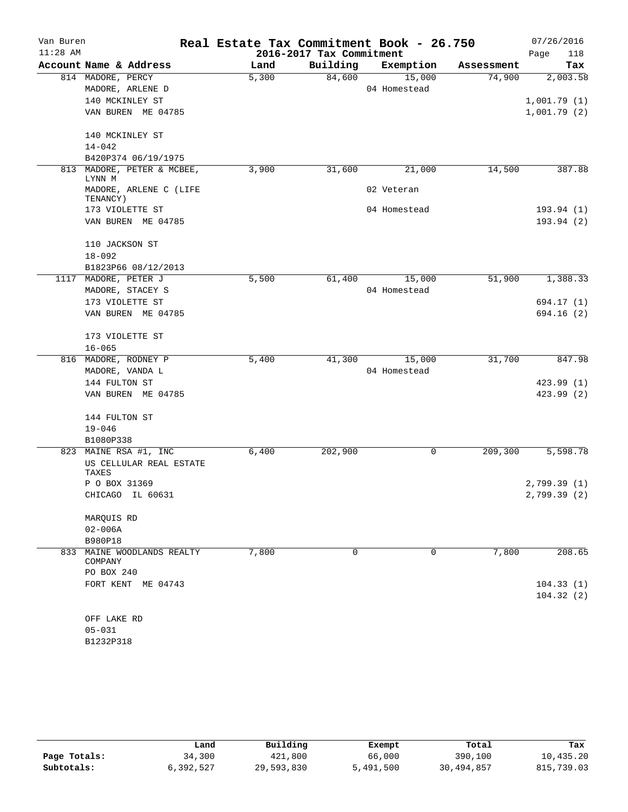| Van Buren  |                                    | Real Estate Tax Commitment Book - 26.750 |                          |              |            | 07/26/2016   |
|------------|------------------------------------|------------------------------------------|--------------------------|--------------|------------|--------------|
| $11:28$ AM |                                    |                                          | 2016-2017 Tax Commitment |              |            | Page<br>118  |
|            | Account Name & Address             | Land                                     | Building                 | Exemption    | Assessment | Tax          |
|            | 814 MADORE, PERCY                  | 5,300                                    | 84,600                   | 15,000       | 74,900     | 2,003.58     |
|            | MADORE, ARLENE D                   |                                          |                          | 04 Homestead |            |              |
|            | 140 MCKINLEY ST                    |                                          |                          |              |            | 1,001.79(1)  |
|            | VAN BUREN ME 04785                 |                                          |                          |              |            | 1,001.79(2)  |
|            | 140 MCKINLEY ST                    |                                          |                          |              |            |              |
|            | $14 - 042$                         |                                          |                          |              |            |              |
|            | B420P374 06/19/1975                |                                          |                          |              |            |              |
| 813        | MADORE, PETER & MCBEE,<br>LYNN M   | 3,900                                    | 31,600                   | 21,000       | 14,500     | 387.88       |
|            | MADORE, ARLENE C (LIFE<br>TENANCY) |                                          |                          | 02 Veteran   |            |              |
|            | 173 VIOLETTE ST                    |                                          |                          | 04 Homestead |            | 193.94 (1)   |
|            | VAN BUREN ME 04785                 |                                          |                          |              |            | 193.94 (2)   |
|            | 110 JACKSON ST                     |                                          |                          |              |            |              |
|            | $18 - 092$                         |                                          |                          |              |            |              |
|            | B1823P66 08/12/2013                |                                          |                          |              |            |              |
|            | 1117 MADORE, PETER J               | 5,500                                    | 61,400                   | 15,000       | 51,900     | 1,388.33     |
|            | MADORE, STACEY S                   |                                          |                          | 04 Homestead |            |              |
|            | 173 VIOLETTE ST                    |                                          |                          |              |            | 694.17 (1)   |
|            | VAN BUREN ME 04785                 |                                          |                          |              |            | 694.16(2)    |
|            | 173 VIOLETTE ST                    |                                          |                          |              |            |              |
|            | $16 - 065$                         |                                          |                          |              |            |              |
|            | 816 MADORE, RODNEY P               | 5,400                                    | 41,300                   | 15,000       | 31,700     | 847.98       |
|            | MADORE, VANDA L                    |                                          |                          | 04 Homestead |            |              |
|            | 144 FULTON ST                      |                                          |                          |              |            | 423.99(1)    |
|            | VAN BUREN ME 04785                 |                                          |                          |              |            | 423.99(2)    |
|            | 144 FULTON ST                      |                                          |                          |              |            |              |
|            | $19 - 046$                         |                                          |                          |              |            |              |
|            | B1080P338                          |                                          |                          |              |            |              |
|            | 823 MAINE RSA #1, INC              | 6,400                                    | 202,900                  | 0            | 209,300    | 5,598.78     |
|            | US CELLULAR REAL ESTATE<br>TAXES   |                                          |                          |              |            |              |
|            | P O BOX 31369                      |                                          |                          |              |            | 2,799.39(1)  |
|            | CHICAGO IL 60631                   |                                          |                          |              |            | 2,799.39 (2) |
|            | MARQUIS RD                         |                                          |                          |              |            |              |
|            | $02 - 006A$                        |                                          |                          |              |            |              |
|            | B980P18                            |                                          |                          |              |            |              |
| 833        | MAINE WOODLANDS REALTY<br>COMPANY  | 7,800                                    | $\Omega$                 | 0            | 7,800      | 208.65       |
|            | PO BOX 240                         |                                          |                          |              |            |              |
|            | FORT KENT ME 04743                 |                                          |                          |              |            | 104.33(1)    |
|            |                                    |                                          |                          |              |            | 104.32(2)    |
|            | OFF LAKE RD                        |                                          |                          |              |            |              |
|            | $05 - 031$                         |                                          |                          |              |            |              |

B1232P318

|              | Land      | Building   | Exempt    | Total      | Tax        |
|--------------|-----------|------------|-----------|------------|------------|
| Page Totals: | 34,300    | 421,800    | 66,000    | 390,100    | 10,435.20  |
| Subtotals:   | ,,392,527 | 29,593,830 | 5,491,500 | 30,494,857 | 815,739.03 |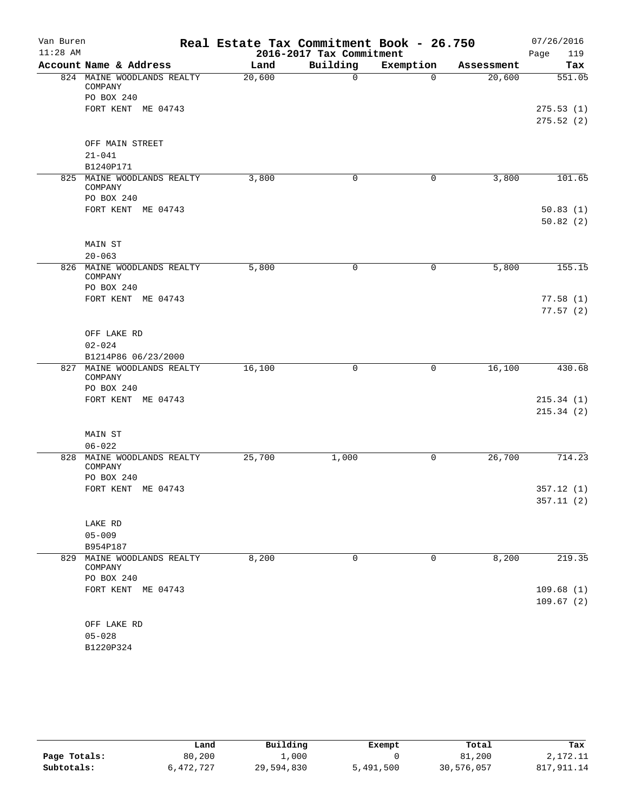| Van Buren<br>$11:28$ AM |                                                 | Real Estate Tax Commitment Book - 26.750 | 2016-2017 Tax Commitment |           |            | 07/26/2016<br>119<br>Page |
|-------------------------|-------------------------------------------------|------------------------------------------|--------------------------|-----------|------------|---------------------------|
|                         | Account Name & Address                          | Land                                     | Building                 | Exemption | Assessment | Tax                       |
|                         | 824 MAINE WOODLANDS REALTY<br>COMPANY           | 20,600                                   | $\mathbf 0$              | $\Omega$  | 20,600     | 551.05                    |
|                         | PO BOX 240                                      |                                          |                          |           |            |                           |
|                         | FORT KENT ME 04743                              |                                          |                          |           |            | 275.53(1)<br>275.52(2)    |
|                         | OFF MAIN STREET                                 |                                          |                          |           |            |                           |
|                         | $21 - 041$                                      |                                          |                          |           |            |                           |
|                         | B1240P171                                       |                                          |                          |           |            |                           |
|                         | 825 MAINE WOODLANDS REALTY<br>COMPANY           | 3,800                                    | 0                        | 0         | 3,800      | 101.65                    |
|                         | PO BOX 240<br>FORT KENT ME 04743                |                                          |                          |           |            |                           |
|                         |                                                 |                                          |                          |           |            | 50.83(1)<br>50.82(2)      |
|                         | MAIN ST                                         |                                          |                          |           |            |                           |
|                         | $20 - 063$                                      |                                          |                          |           |            |                           |
| 826                     | MAINE WOODLANDS REALTY<br>COMPANY<br>PO BOX 240 | 5,800                                    | 0                        | 0         | 5,800      | 155.15                    |
|                         | FORT KENT ME 04743                              |                                          |                          |           |            | 77.58(1)                  |
|                         |                                                 |                                          |                          |           |            | 77.57(2)                  |
|                         | OFF LAKE RD                                     |                                          |                          |           |            |                           |
|                         | $02 - 024$                                      |                                          |                          |           |            |                           |
|                         | B1214P86 06/23/2000                             |                                          |                          |           |            |                           |
|                         | 827 MAINE WOODLANDS REALTY<br>COMPANY           | 16,100                                   | 0                        | 0         | 16,100     | 430.68                    |
|                         | PO BOX 240                                      |                                          |                          |           |            |                           |
|                         | FORT KENT ME 04743                              |                                          |                          |           |            | 215.34(1)                 |
|                         |                                                 |                                          |                          |           |            | 215.34(2)                 |
|                         | MAIN ST                                         |                                          |                          |           |            |                           |
|                         | $06 - 022$                                      |                                          |                          |           |            |                           |
| 828                     | MAINE WOODLANDS REALTY<br>COMPANY               | 25,700                                   | 1,000                    | 0         | 26,700     | 714.23                    |
|                         | PO BOX 240                                      |                                          |                          |           |            |                           |
|                         | FORT KENT ME 04743                              |                                          |                          |           |            | 357.12(1)<br>357.11(2)    |
|                         | LAKE RD                                         |                                          |                          |           |            |                           |
|                         | $05 - 009$                                      |                                          |                          |           |            |                           |
|                         | B954P187                                        |                                          |                          |           |            |                           |
|                         | 829 MAINE WOODLANDS REALTY<br>COMPANY           | 8,200                                    | 0                        | 0         | 8,200      | 219.35                    |
|                         | PO BOX 240                                      |                                          |                          |           |            |                           |
|                         | FORT KENT ME 04743                              |                                          |                          |           |            | 109.68(1)<br>109.67(2)    |
|                         | OFF LAKE RD                                     |                                          |                          |           |            |                           |
|                         | $05 - 028$                                      |                                          |                          |           |            |                           |
|                         | B1220P324                                       |                                          |                          |           |            |                           |

|              | Land      | Building   | Exempt    | Total      | Tax         |
|--------------|-----------|------------|-----------|------------|-------------|
| Page Totals: | 80,200    | .,000      |           | 81,200     | 2,172.11    |
| Subtotals:   | 6,472,727 | 29,594,830 | 5,491,500 | 30,576,057 | 817, 911.14 |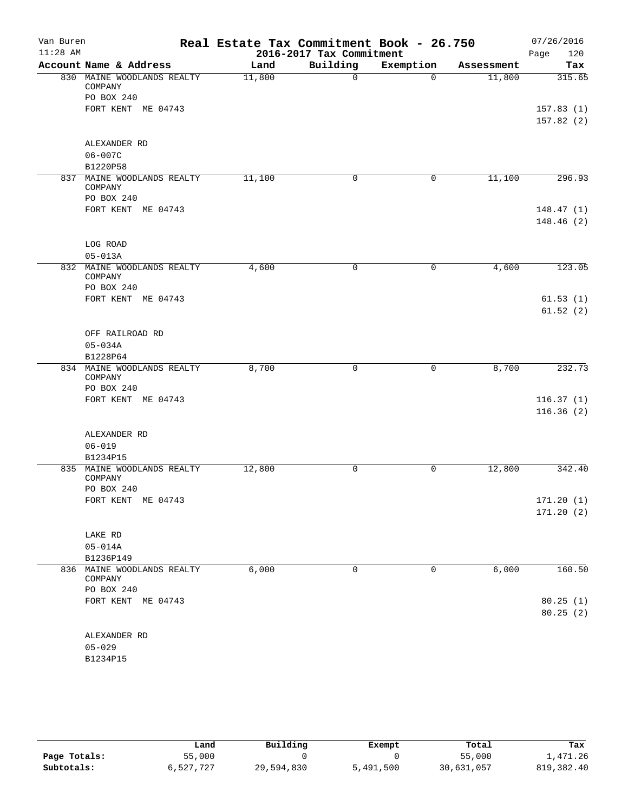| Van Buren<br>$11:28$ AM |                                                     | Real Estate Tax Commitment Book - 26.750 | 2016-2017 Tax Commitment |           |            | 07/26/2016<br>120<br>Page |
|-------------------------|-----------------------------------------------------|------------------------------------------|--------------------------|-----------|------------|---------------------------|
|                         | Account Name & Address                              | Land                                     | Building                 | Exemption | Assessment | Tax                       |
|                         | 830 MAINE WOODLANDS REALTY<br>COMPANY               | 11,800                                   | $\mathbf 0$              | $\Omega$  | 11,800     | 315.65                    |
|                         | PO BOX 240                                          |                                          |                          |           |            |                           |
|                         | FORT KENT ME 04743                                  |                                          |                          |           |            | 157.83(1)                 |
|                         |                                                     |                                          |                          |           |            | 157.82(2)                 |
|                         | ALEXANDER RD                                        |                                          |                          |           |            |                           |
|                         | $06 - 007C$                                         |                                          |                          |           |            |                           |
|                         | B1220P58                                            |                                          |                          |           |            |                           |
|                         | 837 MAINE WOODLANDS REALTY<br>COMPANY<br>PO BOX 240 | 11,100                                   | 0                        | 0         | 11,100     | 296.93                    |
|                         | FORT KENT ME 04743                                  |                                          |                          |           |            | 148.47(1)                 |
|                         |                                                     |                                          |                          |           |            | 148.46(2)                 |
|                         | LOG ROAD                                            |                                          |                          |           |            |                           |
|                         | $05 - 013A$                                         |                                          |                          |           |            |                           |
| 832                     | MAINE WOODLANDS REALTY<br>COMPANY                   | 4,600                                    | 0                        | 0         | 4,600      | 123.05                    |
|                         | PO BOX 240                                          |                                          |                          |           |            |                           |
|                         | FORT KENT ME 04743                                  |                                          |                          |           |            | 61.53(1)                  |
|                         |                                                     |                                          |                          |           |            | 61.52(2)                  |
|                         | OFF RAILROAD RD                                     |                                          |                          |           |            |                           |
|                         | $05 - 034A$                                         |                                          |                          |           |            |                           |
|                         | B1228P64                                            |                                          |                          |           |            |                           |
|                         | 834 MAINE WOODLANDS REALTY<br>COMPANY               | 8,700                                    | 0                        | 0         | 8,700      | 232.73                    |
|                         | PO BOX 240                                          |                                          |                          |           |            |                           |
|                         | FORT KENT ME 04743                                  |                                          |                          |           |            | 116.37(1)                 |
|                         |                                                     |                                          |                          |           |            | 116.36(2)                 |
|                         | ALEXANDER RD                                        |                                          |                          |           |            |                           |
|                         | $06 - 019$                                          |                                          |                          |           |            |                           |
|                         | B1234P15                                            |                                          |                          |           |            |                           |
| 835                     | MAINE WOODLANDS REALTY<br>COMPANY<br>PO BOX 240     | 12,800                                   | 0                        | 0         | 12,800     | 342.40                    |
|                         | FORT KENT ME 04743                                  |                                          |                          |           |            | 171.20(1)                 |
|                         |                                                     |                                          |                          |           |            | 171.20(2)                 |
|                         | LAKE RD                                             |                                          |                          |           |            |                           |
|                         | $05 - 014A$                                         |                                          |                          |           |            |                           |
|                         | B1236P149                                           |                                          |                          |           |            |                           |
|                         | 836 MAINE WOODLANDS REALTY<br>COMPANY               | 6,000                                    | 0                        | 0         | 6,000      | 160.50                    |
|                         | PO BOX 240                                          |                                          |                          |           |            |                           |
|                         | FORT KENT ME 04743                                  |                                          |                          |           |            | 80.25(1)<br>80.25(2)      |
|                         | ALEXANDER RD                                        |                                          |                          |           |            |                           |
|                         | $05 - 029$                                          |                                          |                          |           |            |                           |
|                         | B1234P15                                            |                                          |                          |           |            |                           |
|                         |                                                     |                                          |                          |           |            |                           |

|              | Land      | Building   | Exempt    | Total      | Tax         |
|--------------|-----------|------------|-----------|------------|-------------|
| Page Totals: | 55,000    |            |           | 55,000     | 1,471.26    |
| Subtotals:   | 6,527,727 | 29,594,830 | 5,491,500 | 30,631,057 | 819, 382.40 |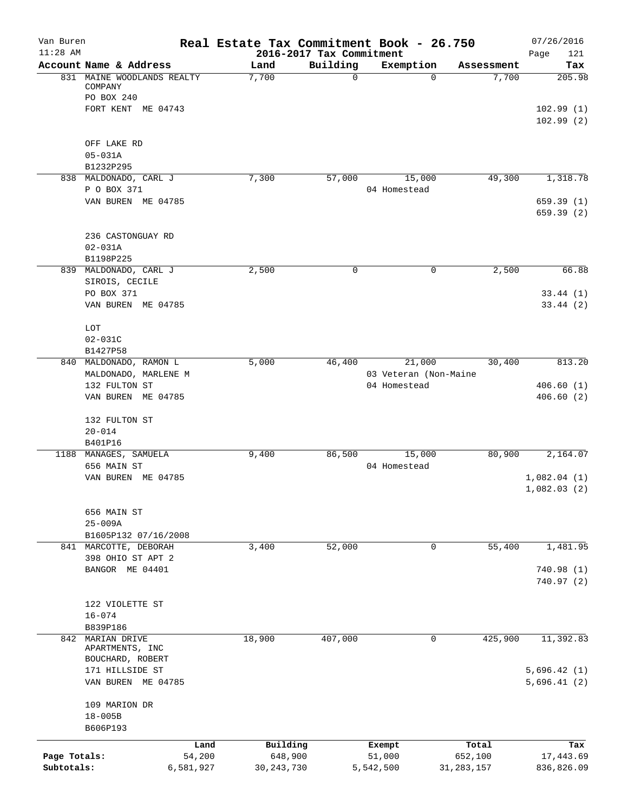| Van Buren<br>$11:28$ AM |                                                     |           | Real Estate Tax Commitment Book - 26.750 | 2016-2017 Tax Commitment |                                       |             |              | 07/26/2016<br>121<br>Page |
|-------------------------|-----------------------------------------------------|-----------|------------------------------------------|--------------------------|---------------------------------------|-------------|--------------|---------------------------|
|                         | Account Name & Address                              |           | Land                                     | Building                 | Exemption                             |             | Assessment   | Tax                       |
|                         | 831 MAINE WOODLANDS REALTY<br>COMPANY<br>PO BOX 240 |           | 7,700                                    | $\mathbf 0$              |                                       | $\Omega$    | 7,700        | 205.98                    |
|                         | FORT KENT ME 04743                                  |           |                                          |                          |                                       |             |              | 102.99(1)<br>102.99(2)    |
|                         | OFF LAKE RD                                         |           |                                          |                          |                                       |             |              |                           |
|                         | $05 - 031A$<br>B1232P295                            |           |                                          |                          |                                       |             |              |                           |
|                         | 838 MALDONADO, CARL J                               |           | 7,300                                    | 57,000                   | 15,000                                |             | 49,300       | 1,318.78                  |
|                         | P O BOX 371                                         |           |                                          |                          | 04 Homestead                          |             |              |                           |
|                         | VAN BUREN ME 04785                                  |           |                                          |                          |                                       |             |              | 659.39(1)<br>659.39(2)    |
|                         | 236 CASTONGUAY RD                                   |           |                                          |                          |                                       |             |              |                           |
|                         | $02 - 031A$<br>B1198P225                            |           |                                          |                          |                                       |             |              |                           |
|                         | 839 MALDONADO, CARL J                               |           | 2,500                                    | 0                        |                                       | 0           | 2,500        | 66.88                     |
|                         | SIROIS, CECILE<br>PO BOX 371                        |           |                                          |                          |                                       |             |              | 33.44(1)                  |
|                         | VAN BUREN ME 04785                                  |           |                                          |                          |                                       |             |              | 33.44(2)                  |
|                         | LOT<br>$02 - 031C$                                  |           |                                          |                          |                                       |             |              |                           |
|                         | B1427P58                                            |           |                                          |                          |                                       |             |              |                           |
|                         | 840 MALDONADO, RAMON L                              |           | 5,000                                    | 46,400                   | 21,000                                |             | 30,400       | 813.20                    |
|                         | MALDONADO, MARLENE M<br>132 FULTON ST               |           |                                          |                          | 03 Veteran (Non-Maine<br>04 Homestead |             |              | 406.60(1)                 |
|                         | VAN BUREN ME 04785                                  |           |                                          |                          |                                       |             |              | 406.60(2)                 |
|                         | 132 FULTON ST                                       |           |                                          |                          |                                       |             |              |                           |
|                         | $20 - 014$<br>B401P16                               |           |                                          |                          |                                       |             |              |                           |
|                         | 1188 MANAGES, SAMUELA                               |           | 9,400                                    | 86,500                   | 15,000                                |             | 80,900       | 2,164.07                  |
|                         | 656 MAIN ST<br>VAN BUREN ME 04785                   |           |                                          |                          | 04 Homestead                          |             |              | 1,082.04(1)               |
|                         |                                                     |           |                                          |                          |                                       |             |              | 1,082.03(2)               |
|                         | 656 MAIN ST                                         |           |                                          |                          |                                       |             |              |                           |
|                         | $25 - 009A$<br>B1605P132 07/16/2008                 |           |                                          |                          |                                       |             |              |                           |
|                         | 841 MARCOTTE, DEBORAH                               |           | 3,400                                    | 52,000                   |                                       | 0           | 55,400       | 1,481.95                  |
|                         | 398 OHIO ST APT 2<br>BANGOR ME 04401                |           |                                          |                          |                                       |             |              | 740.98 (1)                |
|                         |                                                     |           |                                          |                          |                                       |             |              | 740.97(2)                 |
|                         | 122 VIOLETTE ST                                     |           |                                          |                          |                                       |             |              |                           |
|                         | $16 - 074$                                          |           |                                          |                          |                                       |             |              |                           |
|                         | B839P186<br>842 MARIAN DRIVE                        |           | 18,900                                   | 407,000                  |                                       | $\mathbf 0$ | 425,900      | 11,392.83                 |
|                         | APARTMENTS, INC<br>BOUCHARD, ROBERT                 |           |                                          |                          |                                       |             |              |                           |
|                         | 171 HILLSIDE ST                                     |           |                                          |                          |                                       |             |              | 5,696.42(1)               |
|                         | VAN BUREN ME 04785                                  |           |                                          |                          |                                       |             |              | 5,696.41(2)               |
|                         | 109 MARION DR                                       |           |                                          |                          |                                       |             |              |                           |
|                         | $18 - 005B$<br>B606P193                             |           |                                          |                          |                                       |             |              |                           |
|                         |                                                     | Land      | Building                                 |                          | Exempt                                |             | Total        | Tax                       |
| Page Totals:            |                                                     | 54,200    | 648,900                                  |                          | 51,000                                |             | 652,100      | 17,443.69                 |
| Subtotals:              |                                                     | 6,581,927 | 30, 243, 730                             |                          | 5,542,500                             |             | 31, 283, 157 | 836,826.09                |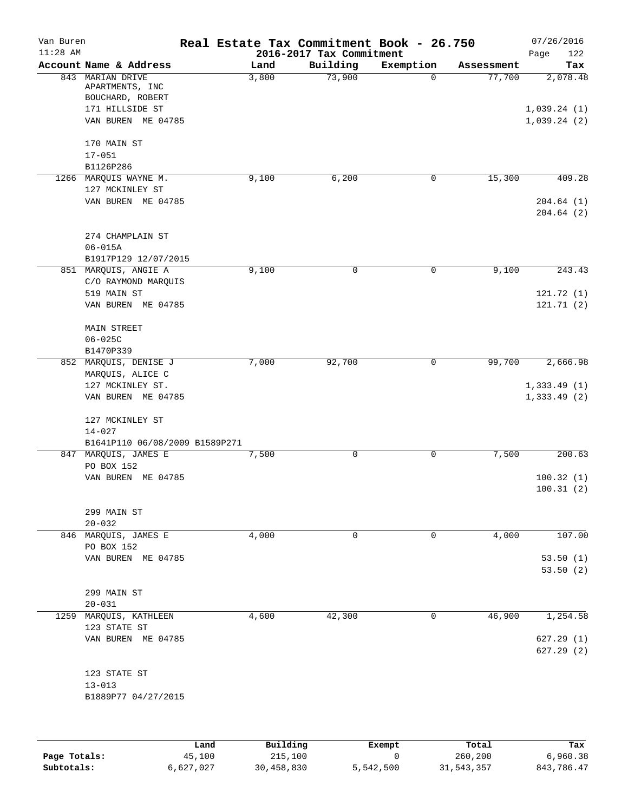| Van Buren  |                                     |       | Real Estate Tax Commitment Book - 26.750 |              |            | 07/26/2016             |
|------------|-------------------------------------|-------|------------------------------------------|--------------|------------|------------------------|
| $11:28$ AM |                                     |       | 2016-2017 Tax Commitment                 |              |            | 122<br>Page            |
|            | Account Name & Address              | Land  | Building                                 | Exemption    | Assessment | Tax                    |
|            | 843 MARIAN DRIVE<br>APARTMENTS, INC | 3,800 | 73,900                                   | $\Omega$     | 77,700     | 2,078.48               |
|            | BOUCHARD, ROBERT<br>171 HILLSIDE ST |       |                                          |              |            | 1,039.24(1)            |
|            | VAN BUREN ME 04785                  |       |                                          |              |            | 1,039.24(2)            |
|            | 170 MAIN ST                         |       |                                          |              |            |                        |
|            | $17 - 051$                          |       |                                          |              |            |                        |
|            | B1126P286                           |       |                                          |              |            |                        |
|            | 1266 MARQUIS WAYNE M.               | 9,100 | 6,200                                    | 0            | 15,300     | 409.28                 |
|            | 127 MCKINLEY ST                     |       |                                          |              |            |                        |
|            | VAN BUREN ME 04785                  |       |                                          |              |            | 204.64(1)<br>204.64(2) |
|            | 274 CHAMPLAIN ST                    |       |                                          |              |            |                        |
|            | $06 - 015A$                         |       |                                          |              |            |                        |
|            | B1917P129 12/07/2015                |       |                                          |              |            |                        |
|            | 851 MARQUIS, ANGIE A                | 9,100 | 0                                        | $\mathsf{O}$ | 9,100      | 243.43                 |
|            | C/O RAYMOND MARQUIS                 |       |                                          |              |            |                        |
|            | 519 MAIN ST<br>VAN BUREN ME 04785   |       |                                          |              |            | 121.72(1)<br>121.71(2) |
|            |                                     |       |                                          |              |            |                        |
|            | MAIN STREET                         |       |                                          |              |            |                        |
|            | $06 - 025C$                         |       |                                          |              |            |                        |
|            | B1470P339                           |       |                                          |              |            |                        |
|            | 852 MARQUIS, DENISE J               | 7,000 | 92,700                                   | 0            | 99,700     | 2,666.98               |
|            | MARQUIS, ALICE C                    |       |                                          |              |            |                        |
|            | 127 MCKINLEY ST.                    |       |                                          |              |            | 1,333.49(1)            |
|            | VAN BUREN ME 04785                  |       |                                          |              |            | 1,333.49(2)            |
|            | 127 MCKINLEY ST                     |       |                                          |              |            |                        |
|            | $14 - 027$                          |       |                                          |              |            |                        |
|            | B1641P110 06/08/2009 B1589P271      |       |                                          |              |            |                        |
|            | 847 MARQUIS, JAMES E                | 7,500 | 0                                        | 0            | 7,500      | 200.63                 |
|            | PO BOX 152                          |       |                                          |              |            |                        |
|            | VAN BUREN ME 04785                  |       |                                          |              |            | 100.32(1)<br>100.31(2) |
|            | 299 MAIN ST                         |       |                                          |              |            |                        |
|            | $20 - 032$                          |       |                                          |              |            |                        |
|            | 846 MARQUIS, JAMES E                | 4,000 | 0                                        | 0            | 4,000      | 107.00                 |
|            | PO BOX 152                          |       |                                          |              |            |                        |
|            | VAN BUREN ME 04785                  |       |                                          |              |            | 53.50(1)<br>53.50(2)   |
|            |                                     |       |                                          |              |            |                        |
|            | 299 MAIN ST                         |       |                                          |              |            |                        |
|            | $20 - 031$                          |       |                                          |              |            |                        |
| 1259       | MARQUIS, KATHLEEN                   | 4,600 | 42,300                                   | 0            | 46,900     | 1,254.58               |
|            | 123 STATE ST                        |       |                                          |              |            |                        |
|            | VAN BUREN ME 04785                  |       |                                          |              |            | 627.29 (1)             |
|            |                                     |       |                                          |              |            | 627.29(2)              |
|            | 123 STATE ST                        |       |                                          |              |            |                        |
|            | $13 - 013$                          |       |                                          |              |            |                        |
|            | B1889P77 04/27/2015                 |       |                                          |              |            |                        |
|            |                                     |       |                                          |              |            |                        |
|            |                                     |       |                                          |              |            |                        |
|            |                                     |       |                                          |              |            |                        |

|              | Land      | Building   | Exempt    | Total      | Tax        |
|--------------|-----------|------------|-----------|------------|------------|
| Page Totals: | 45,100    | 215,100    |           | 260,200    | 6,960.38   |
| Subtotals:   | 6,627,027 | 30,458,830 | 5,542,500 | 31,543,357 | 843,786.47 |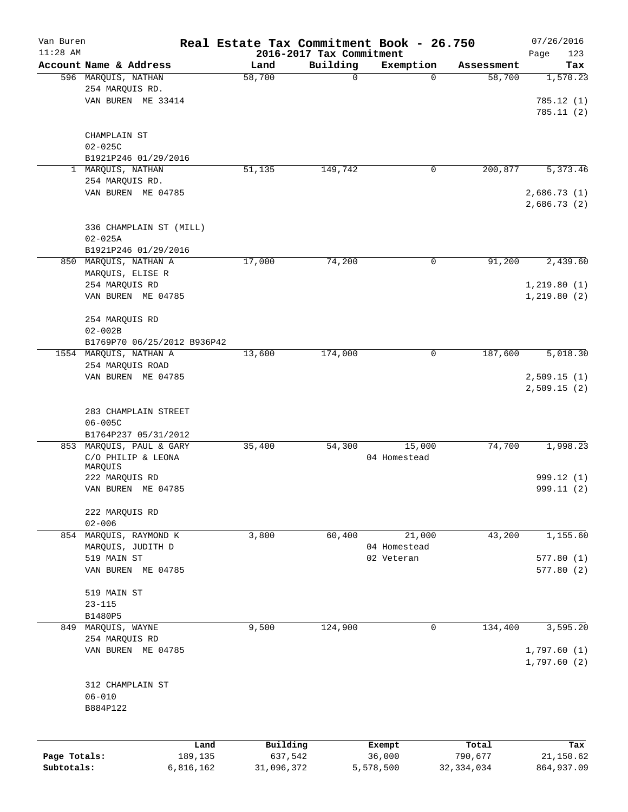| Van Buren    |                                                  | Real Estate Tax Commitment Book - 26.750 |                                      |                |                      | 07/26/2016      |
|--------------|--------------------------------------------------|------------------------------------------|--------------------------------------|----------------|----------------------|-----------------|
| $11:28$ AM   | Account Name & Address                           | Land                                     | 2016-2017 Tax Commitment<br>Building |                |                      | Page<br>123     |
|              | 596 MARQUIS, NATHAN                              | 58,700                                   | $\mathbf 0$                          | Exemption<br>0 | Assessment<br>58,700 | Tax<br>1,570.23 |
|              | 254 MARQUIS RD.                                  |                                          |                                      |                |                      |                 |
|              | VAN BUREN ME 33414                               |                                          |                                      |                |                      | 785.12(1)       |
|              |                                                  |                                          |                                      |                |                      | 785.11(2)       |
|              |                                                  |                                          |                                      |                |                      |                 |
|              | CHAMPLAIN ST                                     |                                          |                                      |                |                      |                 |
|              | $02 - 025C$                                      |                                          |                                      |                |                      |                 |
|              | B1921P246 01/29/2016                             |                                          |                                      |                |                      |                 |
| $\mathbf{1}$ | MARQUIS, NATHAN                                  | 51,135                                   | 149,742                              | 0              | 200,877              | 5,373.46        |
|              | 254 MARQUIS RD.                                  |                                          |                                      |                |                      |                 |
|              | VAN BUREN ME 04785                               |                                          |                                      |                |                      | 2,686.73(1)     |
|              |                                                  |                                          |                                      |                |                      | 2,686.73(2)     |
|              |                                                  |                                          |                                      |                |                      |                 |
|              | 336 CHAMPLAIN ST (MILL)<br>$02 - 025A$           |                                          |                                      |                |                      |                 |
|              | B1921P246 01/29/2016                             |                                          |                                      |                |                      |                 |
|              | 850 MARQUIS, NATHAN A                            | 17,000                                   | 74,200                               | 0              | 91,200               | 2,439.60        |
|              | MARQUIS, ELISE R                                 |                                          |                                      |                |                      |                 |
|              | 254 MARQUIS RD                                   |                                          |                                      |                |                      | 1, 219.80(1)    |
|              | VAN BUREN ME 04785                               |                                          |                                      |                |                      | 1,219.80(2)     |
|              |                                                  |                                          |                                      |                |                      |                 |
|              | 254 MARQUIS RD                                   |                                          |                                      |                |                      |                 |
|              | $02 - 002B$                                      |                                          |                                      |                |                      |                 |
|              | B1769P70 06/25/2012 B936P42                      |                                          |                                      |                |                      |                 |
|              | 1554 MARQUIS, NATHAN A                           | 13,600                                   | 174,000                              | 0              | 187,600              | 5,018.30        |
|              | 254 MARQUIS ROAD                                 |                                          |                                      |                |                      |                 |
|              | VAN BUREN ME 04785                               |                                          |                                      |                |                      | 2,509.15(1)     |
|              |                                                  |                                          |                                      |                |                      | 2,509.15(2)     |
|              |                                                  |                                          |                                      |                |                      |                 |
|              | 283 CHAMPLAIN STREET                             |                                          |                                      |                |                      |                 |
|              | $06 - 005C$                                      |                                          |                                      |                |                      |                 |
|              | B1764P237 05/31/2012<br>853 MARQUIS, PAUL & GARY | 35,400                                   | 54,300                               | 15,000         | 74,700               | 1,998.23        |
|              | C/O PHILIP & LEONA                               |                                          |                                      | 04 Homestead   |                      |                 |
|              | MARQUIS                                          |                                          |                                      |                |                      |                 |
|              | 222 MARQUIS RD                                   |                                          |                                      |                |                      | 999.12 (1)      |
|              | VAN BUREN ME 04785                               |                                          |                                      |                |                      | 999.11 (2)      |
|              |                                                  |                                          |                                      |                |                      |                 |
|              | 222 MAROUIS RD                                   |                                          |                                      |                |                      |                 |
|              | $02 - 006$                                       |                                          |                                      |                |                      |                 |
|              | 854 MAROUIS, RAYMOND K                           | 3,800                                    | 60,400                               | 21,000         | 43,200               | 1,155.60        |
|              | MARQUIS, JUDITH D                                |                                          |                                      | 04 Homestead   |                      |                 |
|              | 519 MAIN ST                                      |                                          |                                      | 02 Veteran     |                      | 577.80(1)       |
|              | VAN BUREN ME 04785                               |                                          |                                      |                |                      | 577.80(2)       |
|              | 519 MAIN ST                                      |                                          |                                      |                |                      |                 |
|              | $23 - 115$                                       |                                          |                                      |                |                      |                 |
|              | B1480P5                                          |                                          |                                      |                |                      |                 |
|              | 849 MARQUIS, WAYNE                               | 9,500                                    | 124,900                              | 0              | 134,400              | 3,595.20        |
|              | 254 MARQUIS RD                                   |                                          |                                      |                |                      |                 |
|              | VAN BUREN ME 04785                               |                                          |                                      |                |                      | 1,797.60(1)     |
|              |                                                  |                                          |                                      |                |                      | 1,797.60(2)     |
|              |                                                  |                                          |                                      |                |                      |                 |
|              | 312 CHAMPLAIN ST                                 |                                          |                                      |                |                      |                 |
|              | $06 - 010$                                       |                                          |                                      |                |                      |                 |
|              | B884P122                                         |                                          |                                      |                |                      |                 |
|              |                                                  |                                          |                                      |                |                      |                 |
|              | Land                                             | Building                                 |                                      | Exempt         | Total                | Tax             |
| Page Totals: | 189,135                                          | 637,542                                  |                                      | 36,000         | 790,677              | 21,150.62       |
| Subtotals:   | 6,816,162                                        | 31,096,372                               |                                      | 5,578,500      | 32, 334, 034         | 864,937.09      |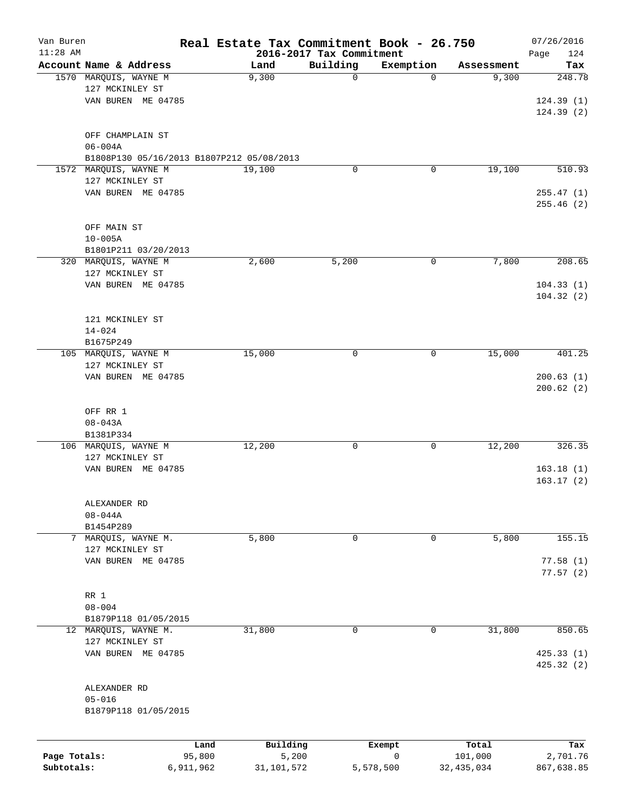| Van Buren<br>$11:28$ AM |                                           |                | Real Estate Tax Commitment Book - 26.750 | 2016-2017 Tax Commitment |             |              | 07/26/2016<br>Page<br>124 |
|-------------------------|-------------------------------------------|----------------|------------------------------------------|--------------------------|-------------|--------------|---------------------------|
|                         | Account Name & Address                    |                | Land                                     | Building                 | Exemption   | Assessment   | Tax                       |
|                         | 1570 MARQUIS, WAYNE M                     |                | 9,300                                    | 0                        | 0           | 9,300        | 248.78                    |
|                         | 127 MCKINLEY ST                           |                |                                          |                          |             |              |                           |
|                         | VAN BUREN ME 04785                        |                |                                          |                          |             |              | 124.39(1)                 |
|                         |                                           |                |                                          |                          |             |              | 124.39(2)                 |
|                         |                                           |                |                                          |                          |             |              |                           |
|                         | OFF CHAMPLAIN ST                          |                |                                          |                          |             |              |                           |
|                         | $06 - 004A$                               |                |                                          |                          |             |              |                           |
|                         | B1808P130 05/16/2013 B1807P212 05/08/2013 |                |                                          |                          |             |              |                           |
|                         | 1572 MARQUIS, WAYNE M                     |                | 19,100                                   | 0                        | 0           | 19,100       | 510.93                    |
|                         | 127 MCKINLEY ST                           |                |                                          |                          |             |              |                           |
|                         | VAN BUREN ME 04785                        |                |                                          |                          |             |              | 255.47(1)                 |
|                         |                                           |                |                                          |                          |             |              | 255.46 (2)                |
|                         | OFF MAIN ST                               |                |                                          |                          |             |              |                           |
|                         | $10 - 005A$                               |                |                                          |                          |             |              |                           |
|                         | B1801P211 03/20/2013                      |                |                                          |                          |             |              |                           |
|                         | 320 MARQUIS, WAYNE M                      |                | 2,600                                    | 5,200                    | 0           | 7,800        | 208.65                    |
|                         | 127 MCKINLEY ST                           |                |                                          |                          |             |              |                           |
|                         | VAN BUREN ME 04785                        |                |                                          |                          |             |              | 104.33(1)                 |
|                         |                                           |                |                                          |                          |             |              | 104.32(2)                 |
|                         |                                           |                |                                          |                          |             |              |                           |
|                         | 121 MCKINLEY ST                           |                |                                          |                          |             |              |                           |
|                         | $14 - 024$                                |                |                                          |                          |             |              |                           |
|                         | B1675P249                                 |                |                                          |                          |             |              |                           |
|                         | 105 MARQUIS, WAYNE M                      |                | 15,000                                   | 0                        | 0           | 15,000       | 401.25                    |
|                         | 127 MCKINLEY ST                           |                |                                          |                          |             |              |                           |
|                         | VAN BUREN ME 04785                        |                |                                          |                          |             |              | 200.63(1)<br>200.62(2)    |
|                         |                                           |                |                                          |                          |             |              |                           |
|                         | OFF RR 1                                  |                |                                          |                          |             |              |                           |
|                         | $08 - 043A$                               |                |                                          |                          |             |              |                           |
|                         | B1381P334                                 |                |                                          |                          |             |              |                           |
|                         | 106 MARQUIS, WAYNE M                      |                | 12,200                                   | 0                        | 0           | 12,200       | 326.35                    |
|                         | 127 MCKINLEY ST                           |                |                                          |                          |             |              |                           |
|                         | VAN BUREN ME 04785                        |                |                                          |                          |             |              | 163.18(1)                 |
|                         |                                           |                |                                          |                          |             |              | 163.17(2)                 |
|                         |                                           |                |                                          |                          |             |              |                           |
|                         | ALEXANDER RD                              |                |                                          |                          |             |              |                           |
|                         | $08 - 044A$                               |                |                                          |                          |             |              |                           |
| 7                       | B1454P289<br>MARQUIS, WAYNE M.            |                | 5,800                                    | 0                        | 0           | 5,800        | 155.15                    |
|                         | 127 MCKINLEY ST                           |                |                                          |                          |             |              |                           |
|                         | VAN BUREN ME 04785                        |                |                                          |                          |             |              | 77.58(1)                  |
|                         |                                           |                |                                          |                          |             |              | 77.57(2)                  |
|                         |                                           |                |                                          |                          |             |              |                           |
|                         | RR 1                                      |                |                                          |                          |             |              |                           |
|                         | $08 - 004$                                |                |                                          |                          |             |              |                           |
|                         | B1879P118 01/05/2015                      |                |                                          |                          |             |              |                           |
|                         | 12 MARQUIS, WAYNE M.                      |                | 31,800                                   | 0                        | 0           | 31,800       | 850.65                    |
|                         | 127 MCKINLEY ST                           |                |                                          |                          |             |              |                           |
|                         | VAN BUREN ME 04785                        |                |                                          |                          |             |              | 425.33(1)                 |
|                         |                                           |                |                                          |                          |             |              | 425.32 (2)                |
|                         | ALEXANDER RD                              |                |                                          |                          |             |              |                           |
|                         | $05 - 016$                                |                |                                          |                          |             |              |                           |
|                         | B1879P118 01/05/2015                      |                |                                          |                          |             |              |                           |
|                         |                                           |                |                                          |                          |             |              |                           |
|                         |                                           |                |                                          |                          |             | Total        |                           |
| Page Totals:            |                                           | Land<br>95,800 | Building<br>5,200                        | Exempt                   | $\mathbf 0$ | 101,000      | Tax<br>2,701.76           |
| Subtotals:              |                                           | 6,911,962      | 31,101,572                               | 5,578,500                |             | 32, 435, 034 | 867,638.85                |
|                         |                                           |                |                                          |                          |             |              |                           |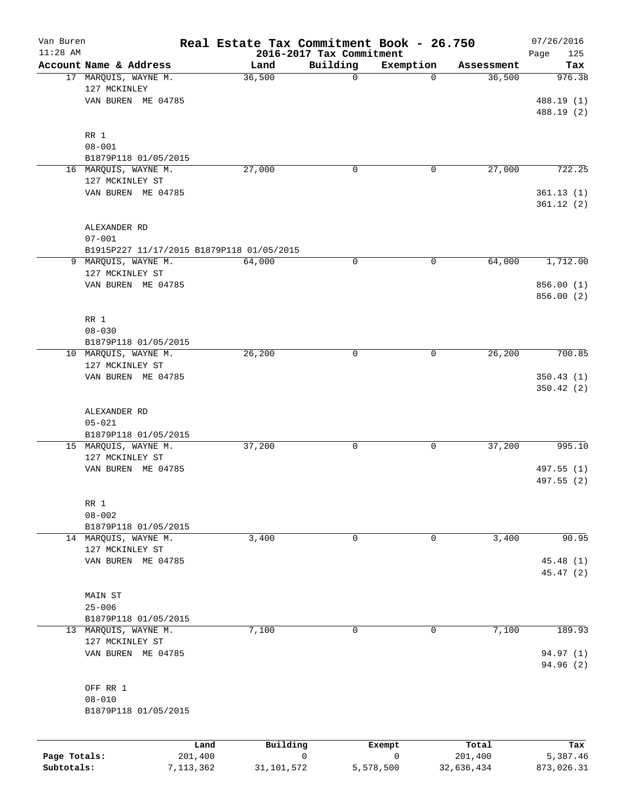| Van Buren<br>$11:28$ AM |                                           | Real Estate Tax Commitment Book - 26.750 | 2016-2017 Tax Commitment |           |            | 07/26/2016         |
|-------------------------|-------------------------------------------|------------------------------------------|--------------------------|-----------|------------|--------------------|
|                         | Account Name & Address                    | Land                                     | Building                 | Exemption | Assessment | Page<br>125<br>Tax |
|                         | 17 MARQUIS, WAYNE M.                      | 36,500                                   | 0                        | $\Omega$  | 36,500     | 976.38             |
|                         | 127 MCKINLEY                              |                                          |                          |           |            |                    |
|                         | VAN BUREN ME 04785                        |                                          |                          |           |            | 488.19 (1)         |
|                         |                                           |                                          |                          |           |            | 488.19 (2)         |
|                         |                                           |                                          |                          |           |            |                    |
|                         | RR 1                                      |                                          |                          |           |            |                    |
|                         | $08 - 001$<br>B1879P118 01/05/2015        |                                          |                          |           |            |                    |
|                         | 16 MARQUIS, WAYNE M.                      | 27,000                                   | 0                        | 0         | 27,000     | 722.25             |
|                         | 127 MCKINLEY ST                           |                                          |                          |           |            |                    |
|                         | VAN BUREN ME 04785                        |                                          |                          |           |            | 361.13(1)          |
|                         |                                           |                                          |                          |           |            | 361.12(2)          |
|                         |                                           |                                          |                          |           |            |                    |
|                         | ALEXANDER RD                              |                                          |                          |           |            |                    |
|                         | $07 - 001$                                |                                          |                          |           |            |                    |
|                         | B1915P227 11/17/2015 B1879P118 01/05/2015 |                                          |                          |           |            |                    |
| 9                       | MARQUIS, WAYNE M.                         | 64,000                                   | 0                        | 0         | 64,000     | 1,712.00           |
|                         | 127 MCKINLEY ST                           |                                          |                          |           |            |                    |
|                         | VAN BUREN ME 04785                        |                                          |                          |           |            | 856.00 (1)         |
|                         |                                           |                                          |                          |           |            | 856.00 (2)         |
|                         | RR 1                                      |                                          |                          |           |            |                    |
|                         | $08 - 030$                                |                                          |                          |           |            |                    |
|                         | B1879P118 01/05/2015                      |                                          |                          |           |            |                    |
|                         | 10 MARQUIS, WAYNE M.                      | 26, 200                                  | 0                        | 0         | 26, 200    | 700.85             |
|                         | 127 MCKINLEY ST                           |                                          |                          |           |            |                    |
|                         | VAN BUREN ME 04785                        |                                          |                          |           |            | 350.43(1)          |
|                         |                                           |                                          |                          |           |            | 350.42 (2)         |
|                         |                                           |                                          |                          |           |            |                    |
|                         | ALEXANDER RD<br>$05 - 021$                |                                          |                          |           |            |                    |
|                         | B1879P118 01/05/2015                      |                                          |                          |           |            |                    |
|                         | 15 MARQUIS, WAYNE M.                      | 37,200                                   | 0                        | 0         | 37,200     | 995.10             |
|                         | 127 MCKINLEY ST                           |                                          |                          |           |            |                    |
|                         | VAN BUREN ME 04785                        |                                          |                          |           |            | 497.55 (1)         |
|                         |                                           |                                          |                          |           |            | 497.55 (2)         |
|                         | RR 1                                      |                                          |                          |           |            |                    |
|                         | $08 - 002$                                |                                          |                          |           |            |                    |
|                         | B1879P118 01/05/2015                      |                                          |                          |           |            |                    |
|                         | 14 MARQUIS, WAYNE M.                      | 3,400                                    | 0                        | 0         | 3,400      | 90.95              |
|                         | 127 MCKINLEY ST                           |                                          |                          |           |            |                    |
|                         | VAN BUREN ME 04785                        |                                          |                          |           |            | 45.48 (1)          |
|                         |                                           |                                          |                          |           |            | 45.47 (2)          |
|                         |                                           |                                          |                          |           |            |                    |
|                         | MAIN ST<br>$25 - 006$                     |                                          |                          |           |            |                    |
|                         | B1879P118 01/05/2015                      |                                          |                          |           |            |                    |
|                         | 13 MARQUIS, WAYNE M.                      | 7,100                                    | 0                        | 0         | 7,100      | 189.93             |
|                         | 127 MCKINLEY ST                           |                                          |                          |           |            |                    |
|                         | VAN BUREN ME 04785                        |                                          |                          |           |            | 94.97 (1)          |
|                         |                                           |                                          |                          |           |            | 94.96 (2)          |
|                         | OFF RR 1                                  |                                          |                          |           |            |                    |
|                         | $08 - 010$                                |                                          |                          |           |            |                    |
|                         | B1879P118 01/05/2015                      |                                          |                          |           |            |                    |
|                         |                                           |                                          |                          |           |            |                    |
|                         | Land                                      | Building                                 |                          | Exempt    | Total      | Tax                |
| Page Totals:            | 201,400                                   |                                          | 0                        | 0         | 201,400    | 5,387.46           |

**Subtotals:** 7,113,362 31,101,572 5,578,500 32,636,434 873,026.31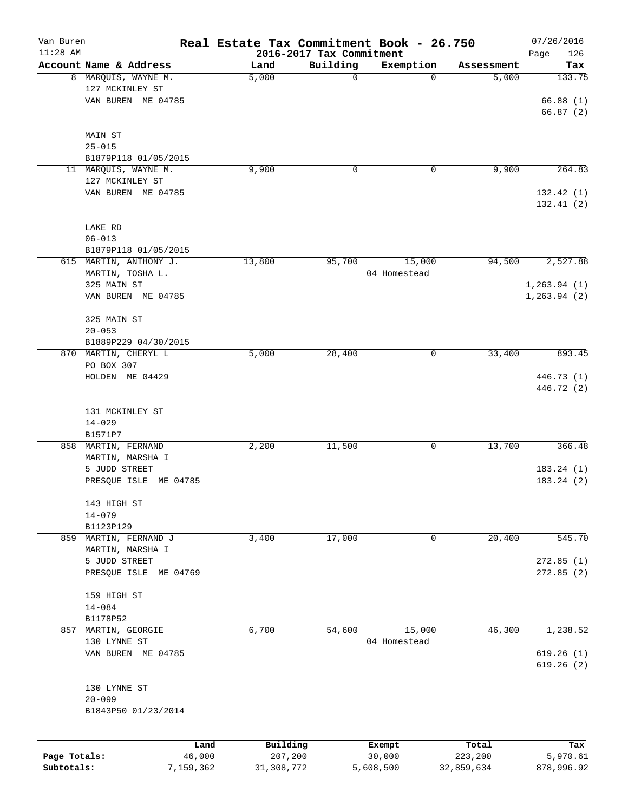| Van Buren<br>$11:28$ AM |                        | Real Estate Tax Commitment Book - 26.750 | 2016-2017 Tax Commitment |              |            | 07/26/2016<br>Page<br>126 |
|-------------------------|------------------------|------------------------------------------|--------------------------|--------------|------------|---------------------------|
|                         | Account Name & Address | Land                                     | Building                 | Exemption    | Assessment | Tax                       |
|                         | 8 MARQUIS, WAYNE M.    | 5,000                                    | 0                        | $\Omega$     | 5,000      | 133.75                    |
|                         | 127 MCKINLEY ST        |                                          |                          |              |            |                           |
|                         | VAN BUREN ME 04785     |                                          |                          |              |            | 66.88(1)                  |
|                         |                        |                                          |                          |              |            |                           |
|                         |                        |                                          |                          |              |            | 66.87(2)                  |
|                         |                        |                                          |                          |              |            |                           |
|                         | MAIN ST                |                                          |                          |              |            |                           |
|                         | $25 - 015$             |                                          |                          |              |            |                           |
|                         | B1879P118 01/05/2015   |                                          |                          |              |            |                           |
|                         | 11 MARQUIS, WAYNE M.   | 9,900                                    | 0                        | 0            | 9,900      | 264.83                    |
|                         | 127 MCKINLEY ST        |                                          |                          |              |            |                           |
|                         | VAN BUREN ME 04785     |                                          |                          |              |            | 132.42(1)                 |
|                         |                        |                                          |                          |              |            | 132.41(2)                 |
|                         |                        |                                          |                          |              |            |                           |
|                         | LAKE RD                |                                          |                          |              |            |                           |
|                         | $06 - 013$             |                                          |                          |              |            |                           |
|                         | B1879P118 01/05/2015   |                                          |                          |              |            |                           |
|                         | 615 MARTIN, ANTHONY J. | 13,800                                   | 95,700                   | 15,000       | 94,500     | 2,527.88                  |
|                         | MARTIN, TOSHA L.       |                                          |                          | 04 Homestead |            |                           |
|                         | 325 MAIN ST            |                                          |                          |              |            | 1, 263.94(1)              |
|                         | VAN BUREN ME 04785     |                                          |                          |              |            | 1, 263.94(2)              |
|                         |                        |                                          |                          |              |            |                           |
|                         | 325 MAIN ST            |                                          |                          |              |            |                           |
|                         | $20 - 053$             |                                          |                          |              |            |                           |
|                         | B1889P229 04/30/2015   |                                          |                          |              |            |                           |
|                         | 870 MARTIN, CHERYL L   | 5,000                                    | 28,400                   | 0            | 33,400     | 893.45                    |
|                         | PO BOX 307             |                                          |                          |              |            |                           |
|                         | HOLDEN ME 04429        |                                          |                          |              |            | 446.73 (1)                |
|                         |                        |                                          |                          |              |            | 446.72 (2)                |
|                         |                        |                                          |                          |              |            |                           |
|                         | 131 MCKINLEY ST        |                                          |                          |              |            |                           |
|                         | $14 - 029$             |                                          |                          |              |            |                           |
|                         | B1571P7                |                                          |                          |              |            |                           |
|                         | 858 MARTIN, FERNAND    | 2,200                                    | 11,500                   | 0            | 13,700     | 366.48                    |
|                         | MARTIN, MARSHA I       |                                          |                          |              |            |                           |
|                         | 5 JUDD STREET          |                                          |                          |              |            | 183.24(1)                 |
|                         | PRESQUE ISLE ME 04785  |                                          |                          |              |            | 183.24(2)                 |
|                         |                        |                                          |                          |              |            |                           |
|                         | 143 HIGH ST            |                                          |                          |              |            |                           |
|                         | $14 - 079$             |                                          |                          |              |            |                           |
|                         | B1123P129              |                                          |                          |              |            |                           |
| 859                     | MARTIN, FERNAND J      | 3,400                                    | 17,000                   | 0            | 20,400     | 545.70                    |
|                         | MARTIN, MARSHA I       |                                          |                          |              |            |                           |
|                         | 5 JUDD STREET          |                                          |                          |              |            | 272.85(1)                 |
|                         | PRESQUE ISLE ME 04769  |                                          |                          |              |            | 272.85(2)                 |
|                         |                        |                                          |                          |              |            |                           |
|                         | 159 HIGH ST            |                                          |                          |              |            |                           |
|                         | $14 - 084$             |                                          |                          |              |            |                           |
|                         | B1178P52               |                                          |                          |              |            |                           |
| 857                     | MARTIN, GEORGIE        | 6,700                                    | 54,600                   | 15,000       | 46,300     | 1,238.52                  |
|                         | 130 LYNNE ST           |                                          |                          | 04 Homestead |            |                           |
|                         | VAN BUREN ME 04785     |                                          |                          |              |            | 619.26(1)                 |
|                         |                        |                                          |                          |              |            | 619.26(2)                 |
|                         |                        |                                          |                          |              |            |                           |
|                         | 130 LYNNE ST           |                                          |                          |              |            |                           |
|                         | $20 - 099$             |                                          |                          |              |            |                           |
|                         | B1843P50 01/23/2014    |                                          |                          |              |            |                           |
|                         |                        |                                          |                          |              |            |                           |
|                         |                        |                                          |                          |              |            |                           |
|                         | Land                   | Building                                 |                          | Exempt       | Total      | Tax                       |
| Page Totals:            | 46,000                 | 207,200                                  |                          | 30,000       | 223,200    | 5,970.61                  |
| Subtotals:              | 7,159,362              | 31,308,772                               |                          | 5,608,500    | 32,859,634 | 878,996.92                |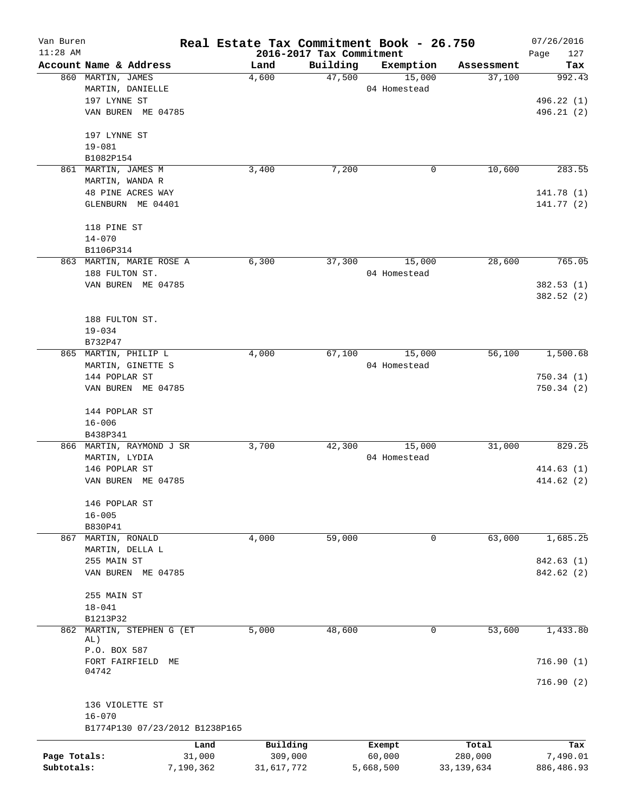| Van Buren    |                                 |           | Real Estate Tax Commitment Book - 26.750 |          |                     |                      | 07/26/2016    |
|--------------|---------------------------------|-----------|------------------------------------------|----------|---------------------|----------------------|---------------|
| $11:28$ AM   | Account Name & Address          |           | 2016-2017 Tax Commitment                 | Building |                     |                      | Page<br>127   |
|              | 860 MARTIN, JAMES               |           | Land<br>4,600                            | 47,500   | Exemption<br>15,000 | Assessment<br>37,100 | Tax<br>992.43 |
|              | MARTIN, DANIELLE                |           |                                          |          | 04 Homestead        |                      |               |
|              | 197 LYNNE ST                    |           |                                          |          |                     |                      | 496.22 (1)    |
|              | VAN BUREN ME 04785              |           |                                          |          |                     |                      | 496.21 (2)    |
|              |                                 |           |                                          |          |                     |                      |               |
|              | 197 LYNNE ST                    |           |                                          |          |                     |                      |               |
|              | $19 - 081$                      |           |                                          |          |                     |                      |               |
|              | B1082P154                       |           |                                          |          |                     |                      |               |
|              | 861 MARTIN, JAMES M             |           | 3,400                                    | 7,200    | 0                   | 10,600               | 283.55        |
|              | MARTIN, WANDA R                 |           |                                          |          |                     |                      |               |
|              | 48 PINE ACRES WAY               |           |                                          |          |                     |                      | 141.78 (1)    |
|              | GLENBURN ME 04401               |           |                                          |          |                     |                      | 141.77(2)     |
|              | 118 PINE ST                     |           |                                          |          |                     |                      |               |
|              | $14 - 070$                      |           |                                          |          |                     |                      |               |
|              | B1106P314                       |           |                                          |          |                     |                      |               |
|              | 863 MARTIN, MARIE ROSE A        |           | 6,300                                    | 37,300   | 15,000              | 28,600               | 765.05        |
|              | 188 FULTON ST.                  |           |                                          |          | 04 Homestead        |                      |               |
|              | VAN BUREN ME 04785              |           |                                          |          |                     |                      | 382.53(1)     |
|              |                                 |           |                                          |          |                     |                      | 382.52 (2)    |
|              |                                 |           |                                          |          |                     |                      |               |
|              | 188 FULTON ST.                  |           |                                          |          |                     |                      |               |
|              | $19 - 034$                      |           |                                          |          |                     |                      |               |
|              | B732P47<br>865 MARTIN, PHILIP L |           | 4,000                                    | 67,100   | 15,000              | 56,100               | 1,500.68      |
|              | MARTIN, GINETTE S               |           |                                          |          | 04 Homestead        |                      |               |
|              | 144 POPLAR ST                   |           |                                          |          |                     |                      | 750.34(1)     |
|              | VAN BUREN ME 04785              |           |                                          |          |                     |                      | 750.34(2)     |
|              |                                 |           |                                          |          |                     |                      |               |
|              | 144 POPLAR ST                   |           |                                          |          |                     |                      |               |
|              | $16 - 006$                      |           |                                          |          |                     |                      |               |
|              | B438P341                        |           |                                          |          |                     |                      |               |
|              | 866 MARTIN, RAYMOND J SR        |           | 3,700                                    | 42,300   | 15,000              | 31,000               | 829.25        |
|              | MARTIN, LYDIA                   |           |                                          |          | 04 Homestead        |                      |               |
|              | 146 POPLAR ST                   |           |                                          |          |                     |                      | 414.63(1)     |
|              | VAN BUREN ME 04785              |           |                                          |          |                     |                      | 414.62 (2)    |
|              | 146 POPLAR ST                   |           |                                          |          |                     |                      |               |
|              | $16 - 005$                      |           |                                          |          |                     |                      |               |
|              | B830P41                         |           |                                          |          |                     |                      |               |
| 867          | MARTIN, RONALD                  |           | 4,000                                    | 59,000   | 0                   | 63,000               | 1,685.25      |
|              | MARTIN, DELLA L                 |           |                                          |          |                     |                      |               |
|              | 255 MAIN ST                     |           |                                          |          |                     |                      | 842.63(1)     |
|              | VAN BUREN ME 04785              |           |                                          |          |                     |                      | 842.62 (2)    |
|              | 255 MAIN ST                     |           |                                          |          |                     |                      |               |
|              | $18 - 041$                      |           |                                          |          |                     |                      |               |
|              | B1213P32                        |           |                                          |          |                     |                      |               |
| 862          | MARTIN, STEPHEN G (ET           |           | 5,000                                    | 48,600   | 0                   | 53,600               | 1,433.80      |
|              | AL)<br>P.O. BOX 587             |           |                                          |          |                     |                      |               |
|              | FORT FAIRFIELD                  | MЕ        |                                          |          |                     |                      | 716.90(1)     |
|              | 04742                           |           |                                          |          |                     |                      |               |
|              |                                 |           |                                          |          |                     |                      | 716.90(2)     |
|              | 136 VIOLETTE ST                 |           |                                          |          |                     |                      |               |
|              | $16 - 070$                      |           |                                          |          |                     |                      |               |
|              | B1774P130 07/23/2012 B1238P165  |           |                                          |          |                     |                      |               |
|              |                                 | Land      | Building                                 |          | Exempt              | Total                | Tax           |
| Page Totals: |                                 | 31,000    | 309,000                                  |          | 60,000              | 280,000              | 7,490.01      |
| Subtotals:   |                                 | 7,190,362 | 31,617,772                               |          | 5,668,500           | 33, 139, 634         | 886,486.93    |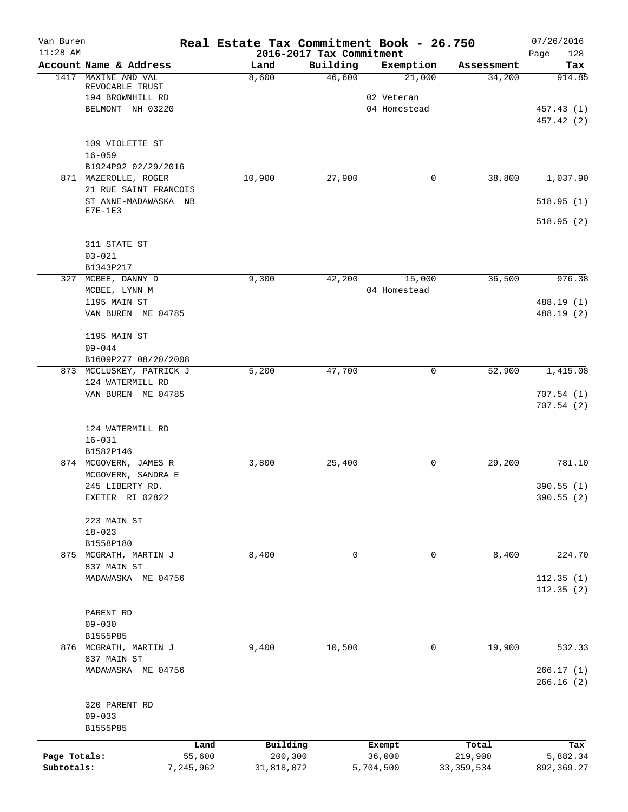| $11:28$ AM<br>2016-2017 Tax Commitment<br>Building<br>Account Name & Address<br>Exemption<br>Land<br>MAXINE AND VAL<br>46,600<br>21,000<br>1417<br>8,600<br>REVOCABLE TRUST<br>194 BROWNHILL RD<br>02 Veteran<br>BELMONT NH 03220<br>04 Homestead<br>109 VIOLETTE ST<br>$16 - 059$<br>B1924P92 02/29/2016<br>10,900<br>871 MAZEROLLE, ROGER<br>27,900<br>0<br>21 RUE SAINT FRANCOIS<br>ST ANNE-MADAWASKA NB<br>$E7E-1E3$<br>311 STATE ST<br>$03 - 021$<br>B1343P217<br>9,300<br>42,200<br>15,000<br>327 MCBEE, DANNY D<br>04 Homestead<br>MCBEE, LYNN M<br>1195 MAIN ST<br>VAN BUREN ME 04785<br>1195 MAIN ST<br>$09 - 044$<br>B1609P277 08/20/2008<br>47,700<br>873 MCCLUSKEY, PATRICK J<br>5,200<br>0<br>124 WATERMILL RD<br>VAN BUREN ME 04785<br>124 WATERMILL RD<br>$16 - 031$<br>B1582P146 | Assessment<br>34,200<br>38,800 | Page<br>128<br>Tax       |
|--------------------------------------------------------------------------------------------------------------------------------------------------------------------------------------------------------------------------------------------------------------------------------------------------------------------------------------------------------------------------------------------------------------------------------------------------------------------------------------------------------------------------------------------------------------------------------------------------------------------------------------------------------------------------------------------------------------------------------------------------------------------------------------------------|--------------------------------|--------------------------|
|                                                                                                                                                                                                                                                                                                                                                                                                                                                                                                                                                                                                                                                                                                                                                                                                  |                                | 914.85                   |
|                                                                                                                                                                                                                                                                                                                                                                                                                                                                                                                                                                                                                                                                                                                                                                                                  |                                | 457.43 (1)<br>457.42 (2) |
|                                                                                                                                                                                                                                                                                                                                                                                                                                                                                                                                                                                                                                                                                                                                                                                                  |                                |                          |
|                                                                                                                                                                                                                                                                                                                                                                                                                                                                                                                                                                                                                                                                                                                                                                                                  |                                |                          |
|                                                                                                                                                                                                                                                                                                                                                                                                                                                                                                                                                                                                                                                                                                                                                                                                  |                                |                          |
|                                                                                                                                                                                                                                                                                                                                                                                                                                                                                                                                                                                                                                                                                                                                                                                                  |                                |                          |
|                                                                                                                                                                                                                                                                                                                                                                                                                                                                                                                                                                                                                                                                                                                                                                                                  |                                |                          |
|                                                                                                                                                                                                                                                                                                                                                                                                                                                                                                                                                                                                                                                                                                                                                                                                  |                                | 1,037.90                 |
|                                                                                                                                                                                                                                                                                                                                                                                                                                                                                                                                                                                                                                                                                                                                                                                                  |                                |                          |
|                                                                                                                                                                                                                                                                                                                                                                                                                                                                                                                                                                                                                                                                                                                                                                                                  |                                | 518.95(1)                |
|                                                                                                                                                                                                                                                                                                                                                                                                                                                                                                                                                                                                                                                                                                                                                                                                  |                                | 518.95(2)                |
|                                                                                                                                                                                                                                                                                                                                                                                                                                                                                                                                                                                                                                                                                                                                                                                                  |                                |                          |
|                                                                                                                                                                                                                                                                                                                                                                                                                                                                                                                                                                                                                                                                                                                                                                                                  |                                |                          |
|                                                                                                                                                                                                                                                                                                                                                                                                                                                                                                                                                                                                                                                                                                                                                                                                  |                                |                          |
|                                                                                                                                                                                                                                                                                                                                                                                                                                                                                                                                                                                                                                                                                                                                                                                                  | 36,500                         | 976.38                   |
|                                                                                                                                                                                                                                                                                                                                                                                                                                                                                                                                                                                                                                                                                                                                                                                                  |                                |                          |
|                                                                                                                                                                                                                                                                                                                                                                                                                                                                                                                                                                                                                                                                                                                                                                                                  |                                | 488.19 (1)               |
|                                                                                                                                                                                                                                                                                                                                                                                                                                                                                                                                                                                                                                                                                                                                                                                                  |                                | 488.19 (2)               |
|                                                                                                                                                                                                                                                                                                                                                                                                                                                                                                                                                                                                                                                                                                                                                                                                  |                                |                          |
|                                                                                                                                                                                                                                                                                                                                                                                                                                                                                                                                                                                                                                                                                                                                                                                                  |                                |                          |
|                                                                                                                                                                                                                                                                                                                                                                                                                                                                                                                                                                                                                                                                                                                                                                                                  |                                |                          |
|                                                                                                                                                                                                                                                                                                                                                                                                                                                                                                                                                                                                                                                                                                                                                                                                  | 52,900                         | 1,415.08                 |
|                                                                                                                                                                                                                                                                                                                                                                                                                                                                                                                                                                                                                                                                                                                                                                                                  |                                |                          |
|                                                                                                                                                                                                                                                                                                                                                                                                                                                                                                                                                                                                                                                                                                                                                                                                  |                                | 707.54(1)<br>707.54(2)   |
|                                                                                                                                                                                                                                                                                                                                                                                                                                                                                                                                                                                                                                                                                                                                                                                                  |                                |                          |
|                                                                                                                                                                                                                                                                                                                                                                                                                                                                                                                                                                                                                                                                                                                                                                                                  |                                |                          |
|                                                                                                                                                                                                                                                                                                                                                                                                                                                                                                                                                                                                                                                                                                                                                                                                  |                                |                          |
| 3,800<br>25,400<br>874 MCGOVERN, JAMES R<br>0                                                                                                                                                                                                                                                                                                                                                                                                                                                                                                                                                                                                                                                                                                                                                    | 29,200                         | 781.10                   |
| MCGOVERN, SANDRA E                                                                                                                                                                                                                                                                                                                                                                                                                                                                                                                                                                                                                                                                                                                                                                               |                                |                          |
| 245 LIBERTY RD.                                                                                                                                                                                                                                                                                                                                                                                                                                                                                                                                                                                                                                                                                                                                                                                  |                                | 390.55(1)                |
| EXETER RI 02822                                                                                                                                                                                                                                                                                                                                                                                                                                                                                                                                                                                                                                                                                                                                                                                  |                                | 390.55 (2)               |
|                                                                                                                                                                                                                                                                                                                                                                                                                                                                                                                                                                                                                                                                                                                                                                                                  |                                |                          |
| 223 MAIN ST                                                                                                                                                                                                                                                                                                                                                                                                                                                                                                                                                                                                                                                                                                                                                                                      |                                |                          |
| $18 - 023$                                                                                                                                                                                                                                                                                                                                                                                                                                                                                                                                                                                                                                                                                                                                                                                       |                                |                          |
| B1558P180                                                                                                                                                                                                                                                                                                                                                                                                                                                                                                                                                                                                                                                                                                                                                                                        |                                |                          |
| 8,400<br>875 MCGRATH, MARTIN J<br>0<br>0                                                                                                                                                                                                                                                                                                                                                                                                                                                                                                                                                                                                                                                                                                                                                         | 8,400                          | 224.70                   |
| 837 MAIN ST<br>MADAWASKA ME 04756                                                                                                                                                                                                                                                                                                                                                                                                                                                                                                                                                                                                                                                                                                                                                                |                                |                          |
|                                                                                                                                                                                                                                                                                                                                                                                                                                                                                                                                                                                                                                                                                                                                                                                                  |                                | 112.35(1)<br>112.35(2)   |
| PARENT RD                                                                                                                                                                                                                                                                                                                                                                                                                                                                                                                                                                                                                                                                                                                                                                                        |                                |                          |
| $09 - 030$                                                                                                                                                                                                                                                                                                                                                                                                                                                                                                                                                                                                                                                                                                                                                                                       |                                |                          |
| B1555P85                                                                                                                                                                                                                                                                                                                                                                                                                                                                                                                                                                                                                                                                                                                                                                                         |                                |                          |
| 10,500<br>876 MCGRATH, MARTIN J<br>9,400<br>0                                                                                                                                                                                                                                                                                                                                                                                                                                                                                                                                                                                                                                                                                                                                                    | 19,900                         | 532.33                   |
| 837 MAIN ST                                                                                                                                                                                                                                                                                                                                                                                                                                                                                                                                                                                                                                                                                                                                                                                      |                                |                          |
| MADAWASKA ME 04756                                                                                                                                                                                                                                                                                                                                                                                                                                                                                                                                                                                                                                                                                                                                                                               |                                | 266.17(1)                |
|                                                                                                                                                                                                                                                                                                                                                                                                                                                                                                                                                                                                                                                                                                                                                                                                  |                                | 266.16(2)                |
| 320 PARENT RD                                                                                                                                                                                                                                                                                                                                                                                                                                                                                                                                                                                                                                                                                                                                                                                    |                                |                          |
| $09 - 033$                                                                                                                                                                                                                                                                                                                                                                                                                                                                                                                                                                                                                                                                                                                                                                                       |                                |                          |
| B1555P85                                                                                                                                                                                                                                                                                                                                                                                                                                                                                                                                                                                                                                                                                                                                                                                         |                                |                          |
| Building<br>Land<br>Exempt                                                                                                                                                                                                                                                                                                                                                                                                                                                                                                                                                                                                                                                                                                                                                                       | Total                          | Tax                      |
| Page Totals:<br>55,600<br>200,300<br>36,000<br>219,900                                                                                                                                                                                                                                                                                                                                                                                                                                                                                                                                                                                                                                                                                                                                           |                                | 5,882.34                 |
| Subtotals:<br>7,245,962<br>31,818,072<br>5,704,500<br>33, 359, 534                                                                                                                                                                                                                                                                                                                                                                                                                                                                                                                                                                                                                                                                                                                               |                                | 892,369.27               |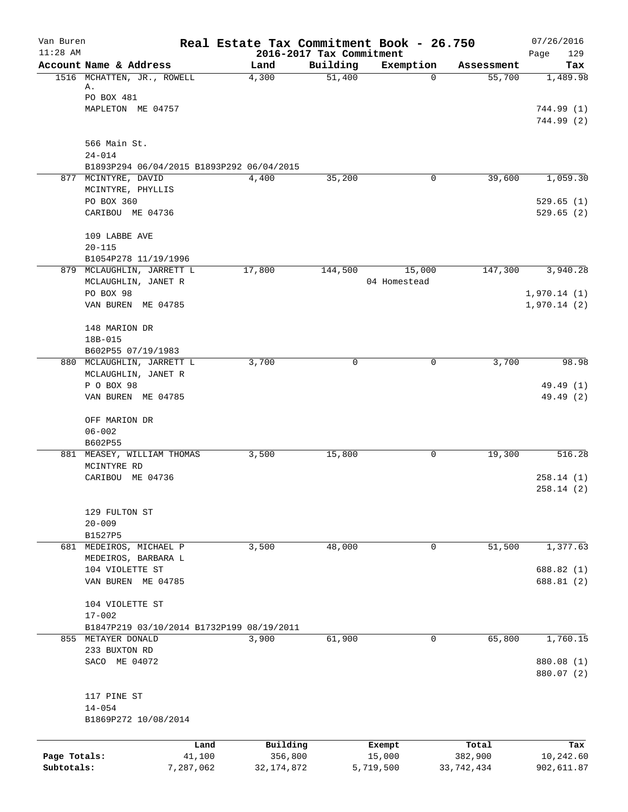| Van Buren<br>$11:28$ AM |                                                                  | Real Estate Tax Commitment Book - 26.750 | 2016-2017 Tax Commitment |                  |                  | 07/26/2016<br>129<br>Page  |
|-------------------------|------------------------------------------------------------------|------------------------------------------|--------------------------|------------------|------------------|----------------------------|
|                         | Account Name & Address                                           | Land                                     | Building                 | Exemption        | Assessment       | Tax                        |
|                         | 1516 MCHATTEN, JR., ROWELL<br>Α.                                 | 4,300                                    | 51,400                   | $\mathbf 0$      | 55,700           | 1,489.98                   |
|                         | PO BOX 481<br>MAPLETON ME 04757                                  |                                          |                          |                  |                  | 744.99 (1)<br>744.99 (2)   |
|                         | 566 Main St.                                                     |                                          |                          |                  |                  |                            |
|                         | $24 - 014$                                                       |                                          |                          |                  |                  |                            |
|                         | B1893P294 06/04/2015 B1893P292 06/04/2015<br>877 MCINTYRE, DAVID | 4,400                                    | 35,200                   | 0                | 39,600           | 1,059.30                   |
|                         | MCINTYRE, PHYLLIS                                                |                                          |                          |                  |                  |                            |
|                         | PO BOX 360<br>CARIBOU ME 04736                                   |                                          |                          |                  |                  | 529.65(1)<br>529.65(2)     |
|                         | 109 LABBE AVE<br>$20 - 115$                                      |                                          |                          |                  |                  |                            |
|                         | B1054P278 11/19/1996                                             |                                          |                          |                  |                  |                            |
|                         | 879 MCLAUGHLIN, JARRETT L                                        | 17,800                                   | 144,500                  | 15,000           | 147,300          | 3,940.28                   |
|                         | MCLAUGHLIN, JANET R<br>PO BOX 98                                 |                                          |                          | 04 Homestead     |                  |                            |
|                         | VAN BUREN ME 04785                                               |                                          |                          |                  |                  | 1,970.14(1)<br>1,970.14(2) |
|                         | 148 MARION DR                                                    |                                          |                          |                  |                  |                            |
|                         | 18B-015<br>B602P55 07/19/1983                                    |                                          |                          |                  |                  |                            |
|                         | 880 MCLAUGHLIN, JARRETT L                                        | 3,700                                    | $\Omega$                 | 0                | 3,700            | 98.98                      |
|                         | MCLAUGHLIN, JANET R<br>P O BOX 98                                |                                          |                          |                  |                  | 49.49 (1)                  |
|                         | VAN BUREN ME 04785                                               |                                          |                          |                  |                  | 49.49 (2)                  |
|                         | OFF MARION DR                                                    |                                          |                          |                  |                  |                            |
|                         | $06 - 002$<br>B602P55                                            |                                          |                          |                  |                  |                            |
|                         | 881 MEASEY, WILLIAM THOMAS                                       | 3,500                                    | 15,800                   | 0                | 19,300           | 516.28                     |
|                         | MCINTYRE RD<br>CARIBOU ME 04736                                  |                                          |                          |                  |                  | 258.14(1)                  |
|                         |                                                                  |                                          |                          |                  |                  | 258.14(2)                  |
|                         | 129 FULTON ST                                                    |                                          |                          |                  |                  |                            |
|                         | $20 - 009$<br>B1527P5                                            |                                          |                          |                  |                  |                            |
|                         | 681 MEDEIROS, MICHAEL P                                          | 3,500                                    | 48,000                   | 0                | 51,500           | 1,377.63                   |
|                         | MEDEIROS, BARBARA L                                              |                                          |                          |                  |                  |                            |
|                         | 104 VIOLETTE ST<br>VAN BUREN ME 04785                            |                                          |                          |                  |                  | 688.82 (1)<br>688.81 (2)   |
|                         | 104 VIOLETTE ST                                                  |                                          |                          |                  |                  |                            |
|                         | $17 - 002$                                                       |                                          |                          |                  |                  |                            |
|                         | B1847P219 03/10/2014 B1732P199 08/19/2011                        |                                          |                          |                  |                  |                            |
|                         | 855 METAYER DONALD                                               | 3,900                                    | 61,900                   | $\mathbf 0$      | 65,800           | 1,760.15                   |
|                         | 233 BUXTON RD<br>SACO ME 04072                                   |                                          |                          |                  |                  | 880.08 (1)                 |
|                         |                                                                  |                                          |                          |                  |                  | 880.07 (2)                 |
|                         | 117 PINE ST                                                      |                                          |                          |                  |                  |                            |
|                         | $14 - 054$<br>B1869P272 10/08/2014                               |                                          |                          |                  |                  |                            |
|                         |                                                                  |                                          |                          |                  |                  |                            |
| Page Totals:            | Land<br>41,100                                                   | Building<br>356,800                      |                          | Exempt<br>15,000 | Total<br>382,900 | Tax<br>10,242.60           |
| Subtotals:              | 7,287,062                                                        | 32, 174, 872                             |                          | 5,719,500        | 33,742,434       | 902,611.87                 |
|                         |                                                                  |                                          |                          |                  |                  |                            |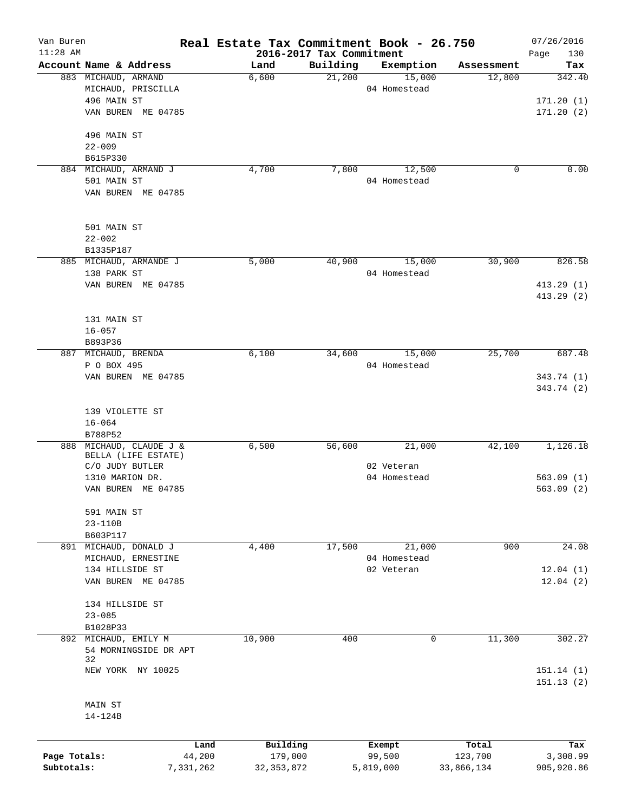| Van Buren<br>$11:28$ AM |                             | Real Estate Tax Commitment Book - 26.750 | 2016-2017 Tax Commitment |              |            | 07/26/2016<br>130<br>Page |
|-------------------------|-----------------------------|------------------------------------------|--------------------------|--------------|------------|---------------------------|
|                         | Account Name & Address      | Land                                     | Building                 | Exemption    | Assessment | Tax                       |
|                         | 883 MICHAUD, ARMAND         | 6,600                                    | 21,200                   | 15,000       | 12,800     | 342.40                    |
|                         | MICHAUD, PRISCILLA          |                                          |                          | 04 Homestead |            |                           |
|                         | 496 MAIN ST                 |                                          |                          |              |            | 171.20(1)                 |
|                         | VAN BUREN ME 04785          |                                          |                          |              |            | 171.20(2)                 |
|                         | 496 MAIN ST                 |                                          |                          |              |            |                           |
|                         | $22 - 009$                  |                                          |                          |              |            |                           |
|                         | B615P330                    |                                          |                          |              |            |                           |
|                         | 884 MICHAUD, ARMAND J       | 4,700                                    | 7,800                    | 12,500       | 0          | 0.00                      |
|                         | 501 MAIN ST                 |                                          |                          | 04 Homestead |            |                           |
|                         | VAN BUREN ME 04785          |                                          |                          |              |            |                           |
|                         | 501 MAIN ST                 |                                          |                          |              |            |                           |
|                         | $22 - 002$                  |                                          |                          |              |            |                           |
|                         | B1335P187                   |                                          |                          |              |            |                           |
|                         | 885 MICHAUD, ARMANDE J      | 5,000                                    | 40,900                   | 15,000       | 30,900     | 826.58                    |
|                         | 138 PARK ST                 |                                          |                          | 04 Homestead |            |                           |
|                         | VAN BUREN ME 04785          |                                          |                          |              |            | 413.29(1)                 |
|                         |                             |                                          |                          |              |            | 413.29(2)                 |
|                         | 131 MAIN ST                 |                                          |                          |              |            |                           |
|                         | $16 - 057$                  |                                          |                          |              |            |                           |
|                         | B893P36                     |                                          |                          |              |            |                           |
| 887                     | MICHAUD, BRENDA             | 6,100                                    | 34,600                   | 15,000       | 25,700     | 687.48                    |
|                         | P O BOX 495                 |                                          |                          | 04 Homestead |            |                           |
|                         | VAN BUREN ME 04785          |                                          |                          |              |            | 343.74 (1)<br>343.74 (2)  |
|                         | 139 VIOLETTE ST             |                                          |                          |              |            |                           |
|                         | $16 - 064$                  |                                          |                          |              |            |                           |
|                         | B788P52                     |                                          |                          |              |            |                           |
| 888                     | MICHAUD, CLAUDE J &         | 6,500                                    | 56,600                   | 21,000       | 42,100     | 1,126.18                  |
|                         | BELLA (LIFE ESTATE)         |                                          |                          |              |            |                           |
|                         | C/O JUDY BUTLER             |                                          |                          | 02 Veteran   |            |                           |
|                         | 1310 MARION DR.             |                                          |                          | 04 Homestead |            | 563.09(1)                 |
|                         | VAN BUREN ME 04785          |                                          |                          |              |            | 563.09(2)                 |
|                         | 591 MAIN ST                 |                                          |                          |              |            |                           |
|                         | 23-110B                     |                                          |                          |              |            |                           |
|                         | B603P117                    |                                          |                          |              |            |                           |
|                         | 891 MICHAUD, DONALD J       | 4,400                                    | 17,500                   | 21,000       | 900        | 24.08                     |
|                         | MICHAUD, ERNESTINE          |                                          |                          | 04 Homestead |            |                           |
|                         | 134 HILLSIDE ST             |                                          |                          | 02 Veteran   |            | 12.04(1)                  |
|                         | VAN BUREN ME 04785          |                                          |                          |              |            | 12.04(2)                  |
|                         | 134 HILLSIDE ST             |                                          |                          |              |            |                           |
|                         | $23 - 085$                  |                                          |                          |              |            |                           |
|                         | B1028P33                    |                                          |                          |              |            |                           |
|                         | 892 MICHAUD, EMILY M        | 10,900                                   | 400                      | $\mathbf 0$  | 11,300     | 302.27                    |
|                         | 54 MORNINGSIDE DR APT<br>32 |                                          |                          |              |            |                           |
|                         | NEW YORK NY 10025           |                                          |                          |              |            | 151.14(1)                 |
|                         |                             |                                          |                          |              |            | 151.13(2)                 |
|                         | MAIN ST                     |                                          |                          |              |            |                           |
|                         | 14-124B                     |                                          |                          |              |            |                           |
|                         | Land                        | Building                                 |                          | Exempt       | Total      | Tax                       |
| Page Totals:            | 44,200                      | 179,000                                  |                          | 99,500       | 123,700    | 3,308.99                  |

**Subtotals:** 7,331,262 32,353,872 5,819,000 33,866,134 905,920.86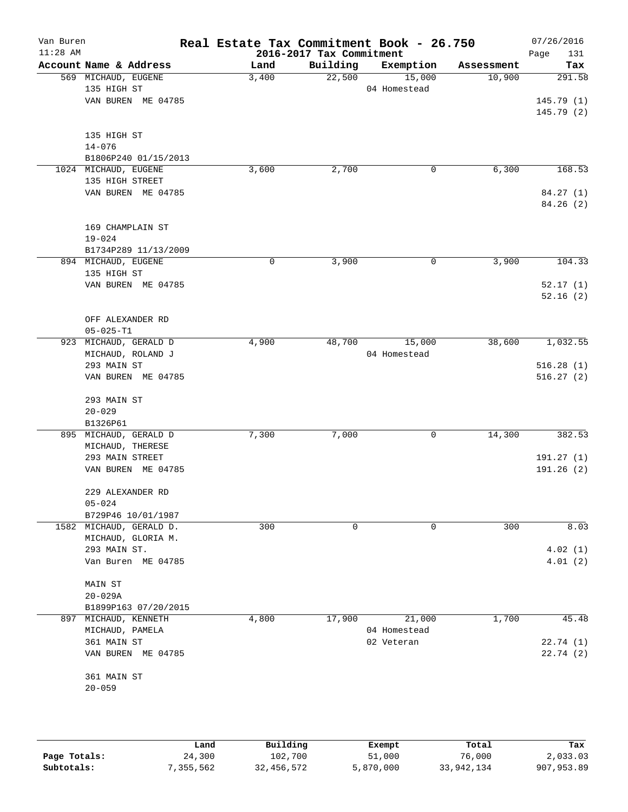| Van Buren  |                                    | Real Estate Tax Commitment Book - 26.750 |                          |                        |            | 07/26/2016  |
|------------|------------------------------------|------------------------------------------|--------------------------|------------------------|------------|-------------|
| $11:28$ AM | Account Name & Address             |                                          | 2016-2017 Tax Commitment |                        |            | 131<br>Page |
|            |                                    | Land                                     | Building                 | Exemption              | Assessment | Tax         |
|            | 569 MICHAUD, EUGENE<br>135 HIGH ST | 3,400                                    | 22,500                   | 15,000<br>04 Homestead | 10,900     | 291.58      |
|            | VAN BUREN ME 04785                 |                                          |                          |                        |            | 145.79(1)   |
|            |                                    |                                          |                          |                        |            | 145.79(2)   |
|            |                                    |                                          |                          |                        |            |             |
|            | 135 HIGH ST                        |                                          |                          |                        |            |             |
|            | $14 - 076$                         |                                          |                          |                        |            |             |
|            | B1806P240 01/15/2013               |                                          |                          |                        |            |             |
|            | 1024 MICHAUD, EUGENE               | 3,600                                    | 2,700                    | 0                      | 6,300      | 168.53      |
|            | 135 HIGH STREET                    |                                          |                          |                        |            |             |
|            | VAN BUREN ME 04785                 |                                          |                          |                        |            | 84.27 (1)   |
|            |                                    |                                          |                          |                        |            | 84.26(2)    |
|            |                                    |                                          |                          |                        |            |             |
|            | 169 CHAMPLAIN ST                   |                                          |                          |                        |            |             |
|            | $19 - 024$                         |                                          |                          |                        |            |             |
|            | B1734P289 11/13/2009               |                                          |                          |                        |            |             |
|            | 894 MICHAUD, EUGENE                | 0                                        | 3,900                    | 0                      | 3,900      | 104.33      |
|            | 135 HIGH ST                        |                                          |                          |                        |            |             |
|            | VAN BUREN ME 04785                 |                                          |                          |                        |            | 52.17(1)    |
|            |                                    |                                          |                          |                        |            | 52.16(2)    |
|            |                                    |                                          |                          |                        |            |             |
|            | OFF ALEXANDER RD                   |                                          |                          |                        |            |             |
|            | $05 - 025 - T1$                    |                                          |                          |                        |            |             |
| 923        | MICHAUD, GERALD D                  | 4,900                                    | 48,700                   | 15,000                 | 38,600     | 1,032.55    |
|            | MICHAUD, ROLAND J                  |                                          |                          | 04 Homestead           |            |             |
|            | 293 MAIN ST                        |                                          |                          |                        |            | 516.28(1)   |
|            | VAN BUREN ME 04785                 |                                          |                          |                        |            | 516.27(2)   |
|            |                                    |                                          |                          |                        |            |             |
|            | 293 MAIN ST                        |                                          |                          |                        |            |             |
|            | $20 - 029$                         |                                          |                          |                        |            |             |
|            | B1326P61                           |                                          |                          |                        |            |             |
|            | 895 MICHAUD, GERALD D              | 7,300                                    | 7,000                    | 0                      | 14,300     | 382.53      |
|            | MICHAUD, THERESE                   |                                          |                          |                        |            |             |
|            | 293 MAIN STREET                    |                                          |                          |                        |            | 191.27(1)   |
|            | VAN BUREN ME 04785                 |                                          |                          |                        |            | 191.26 (2)  |
|            |                                    |                                          |                          |                        |            |             |
|            | 229 ALEXANDER RD                   |                                          |                          |                        |            |             |
|            | $05 - 024$                         |                                          |                          |                        |            |             |
|            | B729P46 10/01/1987                 |                                          |                          |                        |            |             |
|            | 1582 MICHAUD, GERALD D.            | 300                                      | $\mathbf 0$              | 0                      | 300        | 8.03        |
|            | MICHAUD, GLORIA M.                 |                                          |                          |                        |            |             |
|            | 293 MAIN ST.                       |                                          |                          |                        |            | 4.02(1)     |
|            | Van Buren ME 04785                 |                                          |                          |                        |            | 4.01(2)     |
|            |                                    |                                          |                          |                        |            |             |
|            | <b>MAIN ST</b>                     |                                          |                          |                        |            |             |
|            | $20 - 029A$                        |                                          |                          |                        |            |             |
|            | B1899P163 07/20/2015               |                                          |                          |                        |            |             |
| 897        | MICHAUD, KENNETH                   | 4,800                                    | 17,900                   | 21,000                 | 1,700      | 45.48       |
|            | MICHAUD, PAMELA                    |                                          |                          | 04 Homestead           |            |             |
|            | 361 MAIN ST                        |                                          |                          | 02 Veteran             |            | 22.74(1)    |
|            | VAN BUREN ME 04785                 |                                          |                          |                        |            | 22.74(2)    |
|            | 361 MAIN ST                        |                                          |                          |                        |            |             |
|            | $20 - 059$                         |                                          |                          |                        |            |             |
|            |                                    |                                          |                          |                        |            |             |
|            |                                    |                                          |                          |                        |            |             |
|            |                                    |                                          |                          |                        |            |             |
|            |                                    |                                          |                          |                        |            |             |

|              | Land      | Building   | Exempt    | Total      | Tax          |
|--------------|-----------|------------|-----------|------------|--------------|
| Page Totals: | 24,300    | 102,700    | 51,000    | 76,000     | 2,033.03     |
| Subtotals:   | 7,355,562 | 32,456,572 | 5,870,000 | 33,942,134 | 907, 953, 89 |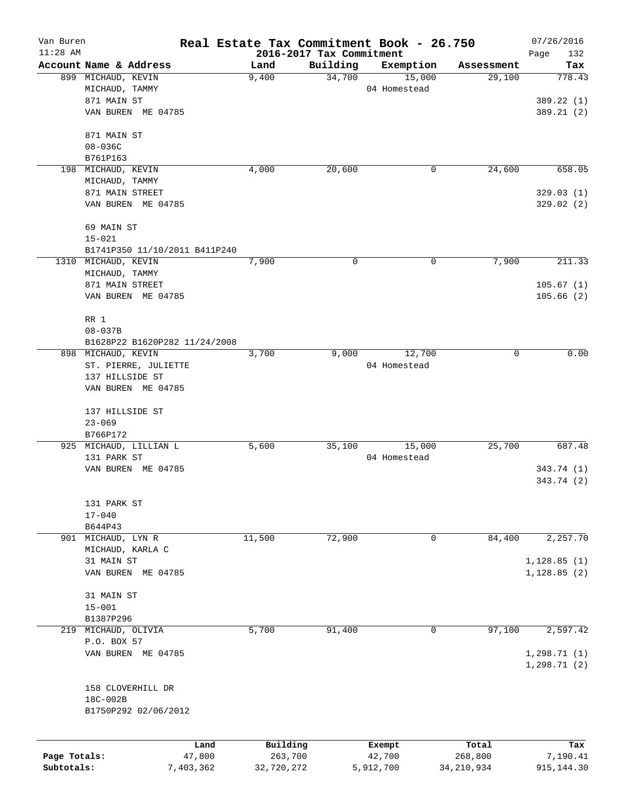| Van Buren    |                               |           | Real Estate Tax Commitment Book - 26.750 |          |              |              | 07/26/2016   |
|--------------|-------------------------------|-----------|------------------------------------------|----------|--------------|--------------|--------------|
| $11:28$ AM   |                               |           | 2016-2017 Tax Commitment                 |          |              |              | Page<br>132  |
|              | Account Name & Address        |           | Land                                     | Building | Exemption    | Assessment   | Tax          |
|              | 899 MICHAUD, KEVIN            |           | 9,400                                    | 34,700   | 15,000       | 29,100       | 778.43       |
|              | MICHAUD, TAMMY                |           |                                          |          | 04 Homestead |              |              |
|              | 871 MAIN ST                   |           |                                          |          |              |              | 389.22 (1)   |
|              | VAN BUREN ME 04785            |           |                                          |          |              |              | 389.21(2)    |
|              | 871 MAIN ST                   |           |                                          |          |              |              |              |
|              | $08 - 036C$                   |           |                                          |          |              |              |              |
|              | B761P163                      |           |                                          |          |              |              |              |
| 198          | MICHAUD, KEVIN                |           | 4,000                                    | 20,600   | 0            | 24,600       | 658.05       |
|              | MICHAUD, TAMMY                |           |                                          |          |              |              |              |
|              | 871 MAIN STREET               |           |                                          |          |              |              | 329.03(1)    |
|              | VAN BUREN ME 04785            |           |                                          |          |              |              | 329.02(2)    |
|              | 69 MAIN ST                    |           |                                          |          |              |              |              |
|              | $15 - 021$                    |           |                                          |          |              |              |              |
|              | B1741P350 11/10/2011 B411P240 |           |                                          |          |              |              |              |
|              | 1310 MICHAUD, KEVIN           |           | 7,900                                    | 0        | 0            | 7,900        | 211.33       |
|              | MICHAUD, TAMMY                |           |                                          |          |              |              |              |
|              | 871 MAIN STREET               |           |                                          |          |              |              | 105.67(1)    |
|              | VAN BUREN ME 04785            |           |                                          |          |              |              | 105.66(2)    |
|              | RR 1                          |           |                                          |          |              |              |              |
|              | $08 - 037B$                   |           |                                          |          |              |              |              |
|              | B1628P22 B1620P282 11/24/2008 |           |                                          |          |              |              |              |
|              | 898 MICHAUD, KEVIN            |           | 3,700                                    | 9,000    | 12,700       | 0            | 0.00         |
|              | ST. PIERRE, JULIETTE          |           |                                          |          | 04 Homestead |              |              |
|              | 137 HILLSIDE ST               |           |                                          |          |              |              |              |
|              | VAN BUREN ME 04785            |           |                                          |          |              |              |              |
|              | 137 HILLSIDE ST               |           |                                          |          |              |              |              |
|              | $23 - 069$                    |           |                                          |          |              |              |              |
|              | B766P172                      |           |                                          |          |              |              |              |
|              | 925 MICHAUD, LILLIAN L        |           | 5,600                                    | 35,100   | 15,000       | 25,700       | 687.48       |
|              | 131 PARK ST                   |           |                                          |          | 04 Homestead |              |              |
|              | VAN BUREN ME 04785            |           |                                          |          |              |              | 343.74 (1)   |
|              |                               |           |                                          |          |              |              | 343.74 (2)   |
|              | 131 PARK ST                   |           |                                          |          |              |              |              |
|              | $17 - 040$                    |           |                                          |          |              |              |              |
|              | B644P43                       |           |                                          |          |              |              |              |
|              | 901 MICHAUD, LYN R            |           | 11,500                                   | 72,900   | 0            | 84,400       | 2,257.70     |
|              | MICHAUD, KARLA C              |           |                                          |          |              |              |              |
|              | 31 MAIN ST                    |           |                                          |          |              |              | 1,128.85(1)  |
|              | VAN BUREN ME 04785            |           |                                          |          |              |              | 1, 128.85(2) |
|              | 31 MAIN ST                    |           |                                          |          |              |              |              |
|              | $15 - 001$                    |           |                                          |          |              |              |              |
|              | B1387P296                     |           |                                          |          |              |              |              |
| 219          | MICHAUD, OLIVIA               |           | 5,700                                    | 91,400   | 0            | 97,100       | 2,597.42     |
|              | P.O. BOX 57                   |           |                                          |          |              |              |              |
|              | VAN BUREN ME 04785            |           |                                          |          |              |              | 1,298.71(1)  |
|              |                               |           |                                          |          |              |              | 1, 298.71(2) |
|              | 158 CLOVERHILL DR             |           |                                          |          |              |              |              |
|              | 18C-002B                      |           |                                          |          |              |              |              |
|              | B1750P292 02/06/2012          |           |                                          |          |              |              |              |
|              |                               |           |                                          |          |              |              |              |
|              |                               | Land      | Building                                 |          | Exempt       | Total        | Tax          |
| Page Totals: |                               | 47,800    | 263,700                                  |          | 42,700       | 268,800      | 7,190.41     |
| Subtotals:   |                               | 7,403,362 | 32,720,272                               |          | 5,912,700    | 34, 210, 934 | 915, 144.30  |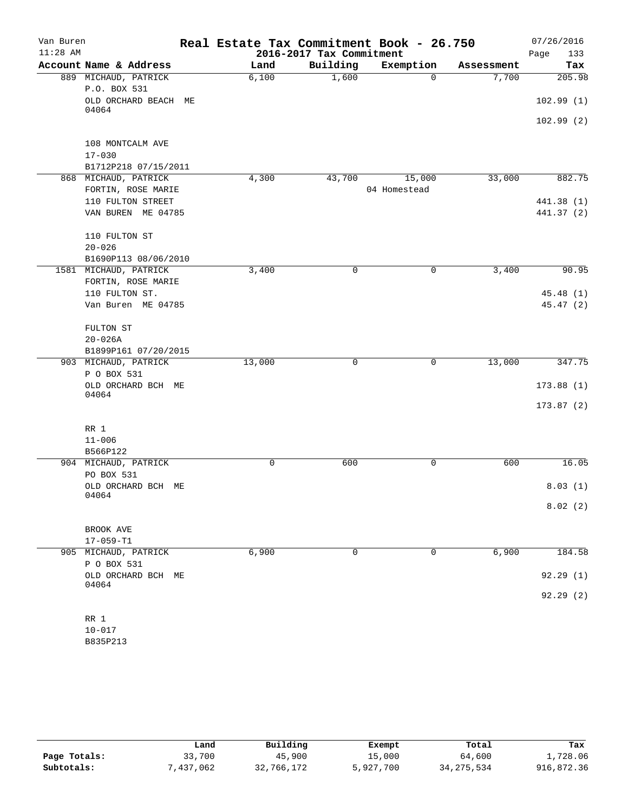| Van Buren  |                                      | Real Estate Tax Commitment Book - 26.750 |             |              |            | 07/26/2016 |
|------------|--------------------------------------|------------------------------------------|-------------|--------------|------------|------------|
| $11:28$ AM |                                      | 2016-2017 Tax Commitment                 | Page<br>133 |              |            |            |
|            | Account Name & Address               | Land                                     | Building    | Exemption    | Assessment | Tax        |
|            | 889 MICHAUD, PATRICK<br>P.O. BOX 531 | 6,100                                    | 1,600       | $\Omega$     | 7,700      | 205.98     |
|            | OLD ORCHARD BEACH ME<br>04064        |                                          |             |              |            | 102.99(1)  |
|            |                                      |                                          |             |              |            | 102.99(2)  |
|            | 108 MONTCALM AVE                     |                                          |             |              |            |            |
|            | $17 - 030$                           |                                          |             |              |            |            |
|            | B1712P218 07/15/2011                 |                                          |             |              |            |            |
|            | 868 MICHAUD, PATRICK                 | 4,300                                    | 43,700      | 15,000       | 33,000     | 882.75     |
|            | FORTIN, ROSE MARIE                   |                                          |             | 04 Homestead |            |            |
|            | 110 FULTON STREET                    |                                          |             |              |            | 441.38 (1) |
|            | VAN BUREN ME 04785                   |                                          |             |              |            | 441.37 (2) |
|            | 110 FULTON ST                        |                                          |             |              |            |            |
|            | $20 - 026$                           |                                          |             |              |            |            |
|            | B1690P113 08/06/2010                 |                                          |             |              |            |            |
|            | 1581 MICHAUD, PATRICK                | 3,400                                    | 0           | 0            | 3,400      | 90.95      |
|            | FORTIN, ROSE MARIE                   |                                          |             |              |            |            |
|            | 110 FULTON ST.                       |                                          |             |              |            | 45.48(1)   |
|            | Van Buren ME 04785                   |                                          |             |              |            | 45.47 (2)  |
|            | FULTON ST                            |                                          |             |              |            |            |
|            | $20 - 026A$                          |                                          |             |              |            |            |
|            | B1899P161 07/20/2015                 |                                          |             |              |            |            |
|            | 903 MICHAUD, PATRICK                 | 13,000                                   | $\mathbf 0$ | $\mathbf 0$  | 13,000     | 347.75     |
|            | P O BOX 531                          |                                          |             |              |            |            |
|            | OLD ORCHARD BCH ME<br>04064          |                                          |             |              |            | 173.88(1)  |
|            |                                      |                                          |             |              |            | 173.87(2)  |
|            |                                      |                                          |             |              |            |            |
|            | RR 1                                 |                                          |             |              |            |            |
|            | $11 - 006$                           |                                          |             |              |            |            |
|            | B566P122                             |                                          |             |              |            |            |
|            | 904 MICHAUD, PATRICK                 | 0                                        | 600         | 0            | 600        | 16.05      |
|            | PO BOX 531                           |                                          |             |              |            |            |
|            | OLD ORCHARD BCH ME<br>04064          |                                          |             |              |            | 8.03(1)    |
|            |                                      |                                          |             |              |            | 8.02(2)    |
|            |                                      |                                          |             |              |            |            |
|            | BROOK AVE<br>$17 - 059 - T1$         |                                          |             |              |            |            |
|            | 905 MICHAUD, PATRICK                 | 6,900                                    | $\mathbf 0$ | 0            | 6,900      | 184.58     |
|            | P O BOX 531                          |                                          |             |              |            |            |
|            | OLD ORCHARD BCH ME                   |                                          |             |              |            | 92.29(1)   |
|            | 04064                                |                                          |             |              |            | 92.29(2)   |
|            |                                      |                                          |             |              |            |            |
|            | RR 1                                 |                                          |             |              |            |            |
|            | $10 - 017$                           |                                          |             |              |            |            |

|              | Land      | Building   | Exempt    | Total      | Tax        |
|--------------|-----------|------------|-----------|------------|------------|
| Page Totals: | 33,700    | 45,900     | 15,000    | 64,600     | 1,728.06   |
| Subtotals:   | 7,437,062 | 32,766,172 | 5,927,700 | 34,275,534 | 916,872.36 |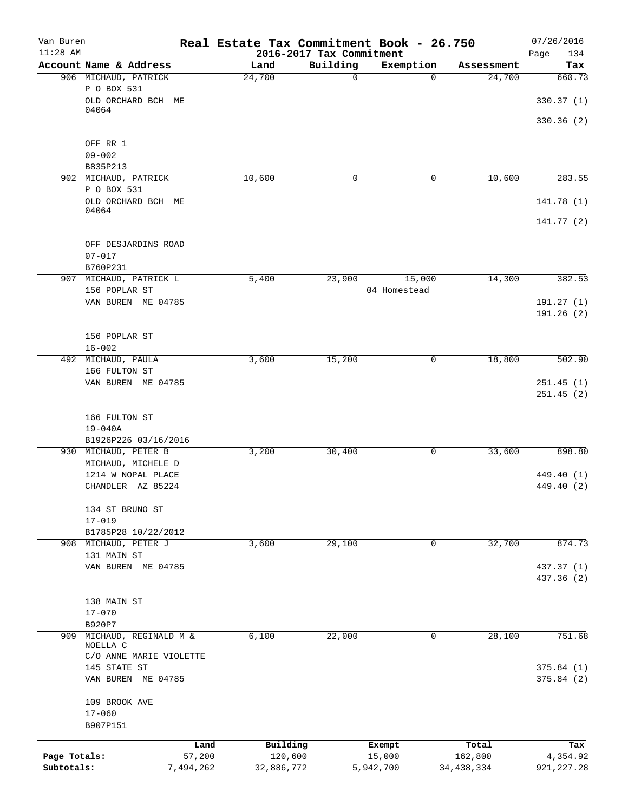| Van Buren<br>$11:28$ AM |                         | Real Estate Tax Commitment Book - 26.750 | 2016-2017 Tax Commitment |              |              | 07/26/2016<br>Page<br>134 |
|-------------------------|-------------------------|------------------------------------------|--------------------------|--------------|--------------|---------------------------|
|                         | Account Name & Address  | Land                                     | Building                 | Exemption    | Assessment   | Tax                       |
|                         | 906 MICHAUD, PATRICK    | 24,700                                   | $\mathbf 0$              | $\Omega$     | 24,700       | 660.73                    |
|                         | P O BOX 531             |                                          |                          |              |              |                           |
|                         | OLD ORCHARD BCH<br>МE   |                                          |                          |              |              | 330.37(1)                 |
|                         | 04064                   |                                          |                          |              |              |                           |
|                         |                         |                                          |                          |              |              | 330.36(2)                 |
|                         | OFF RR 1                |                                          |                          |              |              |                           |
|                         | $09 - 002$              |                                          |                          |              |              |                           |
|                         | B835P213                |                                          |                          |              |              |                           |
|                         | 902 MICHAUD, PATRICK    | 10,600                                   | 0                        | 0            | 10,600       | 283.55                    |
|                         | P O BOX 531             |                                          |                          |              |              |                           |
|                         | OLD ORCHARD BCH ME      |                                          |                          |              |              | 141.78 (1)                |
|                         | 04064                   |                                          |                          |              |              | 141.77(2)                 |
|                         | OFF DESJARDINS ROAD     |                                          |                          |              |              |                           |
|                         | $07 - 017$              |                                          |                          |              |              |                           |
|                         | B760P231                |                                          |                          |              |              |                           |
| 907                     | MICHAUD, PATRICK L      | 5,400                                    | 23,900                   | 15,000       | 14,300       | 382.53                    |
|                         | 156 POPLAR ST           |                                          |                          | 04 Homestead |              |                           |
|                         | VAN BUREN ME 04785      |                                          |                          |              |              | 191.27(1)                 |
|                         |                         |                                          |                          |              |              | 191.26 (2)                |
|                         |                         |                                          |                          |              |              |                           |
|                         | 156 POPLAR ST           |                                          |                          |              |              |                           |
|                         | $16 - 002$              |                                          |                          |              |              |                           |
|                         | 492 MICHAUD, PAULA      | 3,600                                    | 15,200                   | 0            | 18,800       | 502.90                    |
|                         | 166 FULTON ST           |                                          |                          |              |              |                           |
|                         | VAN BUREN ME 04785      |                                          |                          |              |              | 251.45(1)                 |
|                         |                         |                                          |                          |              |              | 251.45(2)                 |
|                         |                         |                                          |                          |              |              |                           |
|                         | 166 FULTON ST           |                                          |                          |              |              |                           |
|                         | $19 - 040A$             |                                          |                          |              |              |                           |
|                         | B1926P226 03/16/2016    |                                          |                          |              |              |                           |
|                         | 930 MICHAUD, PETER B    | 3,200                                    | 30,400                   | 0            | 33,600       | 898.80                    |
|                         | MICHAUD, MICHELE D      |                                          |                          |              |              |                           |
|                         | 1214 W NOPAL PLACE      |                                          |                          |              |              | 449.40 (1)                |
|                         | CHANDLER AZ 85224       |                                          |                          |              |              | 449.40 (2)                |
|                         | 134 ST BRUNO ST         |                                          |                          |              |              |                           |
|                         | $17 - 019$              |                                          |                          |              |              |                           |
|                         | B1785P28 10/22/2012     |                                          |                          |              |              |                           |
|                         | 908 MICHAUD, PETER J    | 3,600                                    | 29,100                   | 0            | 32,700       | 874.73                    |
|                         | 131 MAIN ST             |                                          |                          |              |              |                           |
|                         | VAN BUREN ME 04785      |                                          |                          |              |              | 437.37 (1)                |
|                         |                         |                                          |                          |              |              | 437.36 (2)                |
|                         |                         |                                          |                          |              |              |                           |
|                         | 138 MAIN ST             |                                          |                          |              |              |                           |
|                         | $17 - 070$              |                                          |                          |              |              |                           |
|                         | B920P7                  |                                          |                          |              |              |                           |
| 909                     | MICHAUD, REGINALD M &   | 6,100                                    | 22,000                   | 0            | 28,100       | 751.68                    |
|                         | NOELLA C                |                                          |                          |              |              |                           |
|                         | C/O ANNE MARIE VIOLETTE |                                          |                          |              |              |                           |
|                         | 145 STATE ST            |                                          |                          |              |              | 375.84(1)                 |
|                         | VAN BUREN ME 04785      |                                          |                          |              |              | 375.84(2)                 |
|                         | 109 BROOK AVE           |                                          |                          |              |              |                           |
|                         | $17 - 060$              |                                          |                          |              |              |                           |
|                         | B907P151                |                                          |                          |              |              |                           |
|                         |                         |                                          |                          |              |              |                           |
|                         |                         | Building<br>Land                         |                          | Exempt       | Total        | Tax                       |
| Page Totals:            | 57,200                  | 120,600                                  |                          | 15,000       | 162,800      | 4,354.92                  |
| Subtotals:              | 7,494,262               | 32,886,772                               |                          | 5,942,700    | 34, 438, 334 | 921, 227.28               |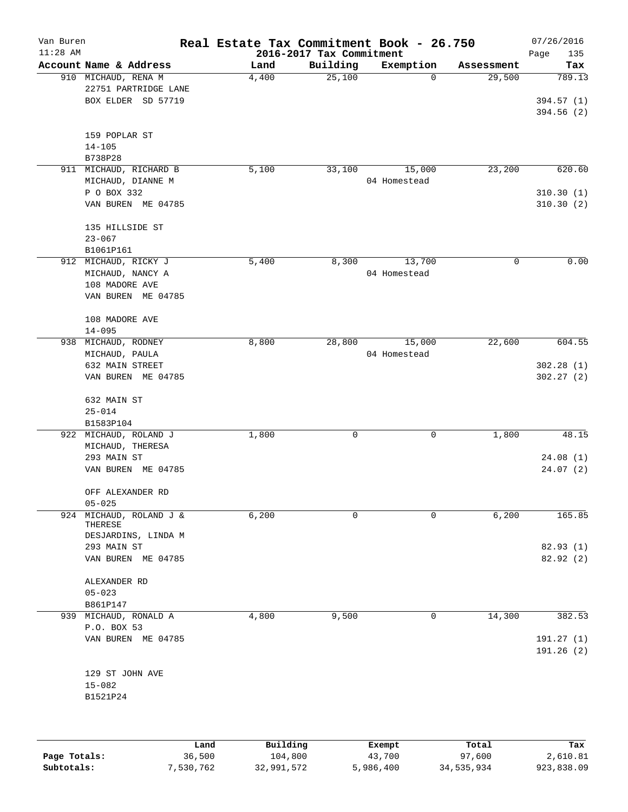| Van Buren<br>$11:28$ AM |                                                                                               |      | Real Estate Tax Commitment Book - 26.750 | 2016-2017 Tax Commitment |                        |            | 07/26/2016<br>Page<br>135          |
|-------------------------|-----------------------------------------------------------------------------------------------|------|------------------------------------------|--------------------------|------------------------|------------|------------------------------------|
|                         | Account Name & Address                                                                        |      | Land                                     | Building                 | Exemption              | Assessment | Tax                                |
|                         | 910 MICHAUD, RENA M<br>22751 PARTRIDGE LANE<br>BOX ELDER SD 57719                             |      | 4,400                                    | 25,100                   | 0                      | 29,500     | 789.13<br>394.57 (1)<br>394.56 (2) |
|                         | 159 POPLAR ST<br>$14 - 105$<br>B738P28                                                        |      |                                          |                          |                        |            |                                    |
| 911                     | MICHAUD, RICHARD B<br>MICHAUD, DIANNE M                                                       |      | 5,100                                    | 33,100                   | 15,000<br>04 Homestead | 23,200     | 620.60                             |
|                         | P O BOX 332<br>VAN BUREN ME 04785                                                             |      |                                          |                          |                        |            | 310.30(1)<br>310.30(2)             |
|                         | 135 HILLSIDE ST<br>$23 - 067$                                                                 |      |                                          |                          |                        |            |                                    |
|                         | B1061P161<br>912 MICHAUD, RICKY J<br>MICHAUD, NANCY A<br>108 MADORE AVE<br>VAN BUREN ME 04785 |      | 5,400                                    | 8,300                    | 13,700<br>04 Homestead | 0          | 0.00                               |
|                         | 108 MADORE AVE<br>$14 - 095$                                                                  |      |                                          |                          |                        |            |                                    |
| 938                     | MICHAUD, RODNEY<br>MICHAUD, PAULA<br>632 MAIN STREET<br>VAN BUREN ME 04785                    |      | 8,800                                    | 28,800                   | 15,000<br>04 Homestead | 22,600     | 604.55<br>302.28(1)<br>302.27(2)   |
|                         | 632 MAIN ST<br>$25 - 014$<br>B1583P104                                                        |      |                                          |                          |                        |            |                                    |
| 922                     | MICHAUD, ROLAND J<br>MICHAUD, THERESA<br>293 MAIN ST<br>VAN BUREN ME 04785                    |      | 1,800                                    | 0                        | 0                      | 1,800      | 48.15<br>24.08(1)<br>24.07(2)      |
|                         | OFF ALEXANDER RD<br>$05 - 025$                                                                |      |                                          |                          |                        |            |                                    |
| 924                     | MICHAUD, ROLAND J &<br>THERESE<br>DESJARDINS, LINDA M                                         |      | 6,200                                    | 0                        | $\mathbf 0$            | 6,200      | 165.85                             |
|                         | 293 MAIN ST<br>VAN BUREN ME 04785                                                             |      |                                          |                          |                        |            | 82.93(1)<br>82.92(2)               |
|                         | ALEXANDER RD<br>$05 - 023$<br>B861P147                                                        |      |                                          |                          |                        |            |                                    |
|                         | 939 MICHAUD, RONALD A<br>P.O. BOX 53                                                          |      | 4,800                                    | 9,500                    | 0                      | 14,300     | 382.53                             |
|                         | VAN BUREN ME 04785                                                                            |      |                                          |                          |                        |            | 191.27 (1)<br>191.26 (2)           |
|                         | 129 ST JOHN AVE<br>$15 - 082$<br>B1521P24                                                     |      |                                          |                          |                        |            |                                    |
|                         |                                                                                               | Land | Building                                 |                          | Exempt                 | Total      | Tax                                |

|              | Land      | Building   | Exempt    | Total      | Tax        |
|--------------|-----------|------------|-----------|------------|------------|
| Page Totals: | 36,500    | 104,800    | 43,700    | 97,600     | 2,610.81   |
| Subtotals:   | 7,530,762 | 32,991,572 | 5,986,400 | 34,535,934 | 923,838.09 |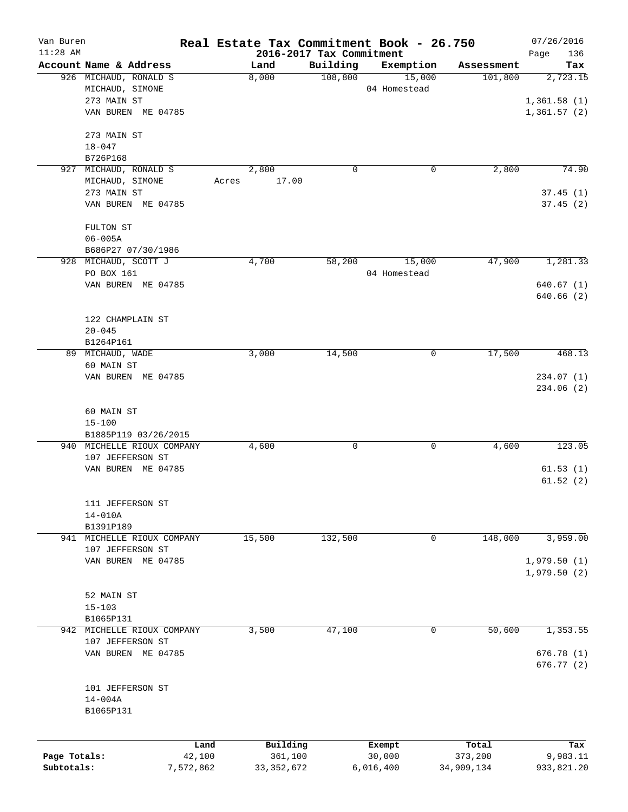| Van Buren<br>$11:28$ AM |                      |                            |       |              | 2016-2017 Tax Commitment | Real Estate Tax Commitment Book - 26.750 |            | 07/26/2016<br>Page<br>136 |
|-------------------------|----------------------|----------------------------|-------|--------------|--------------------------|------------------------------------------|------------|---------------------------|
|                         |                      | Account Name & Address     |       | Land         | Building                 | Exemption                                | Assessment | Tax                       |
|                         |                      | 926 MICHAUD, RONALD S      |       | 8,000        | 108,800                  | 15,000                                   | 101,800    | 2,723.15                  |
|                         | MICHAUD, SIMONE      |                            |       |              |                          | 04 Homestead                             |            |                           |
|                         | 273 MAIN ST          |                            |       |              |                          |                                          |            | 1,361.58(1)               |
|                         |                      | VAN BUREN ME 04785         |       |              |                          |                                          |            | 1,361.57(2)               |
|                         |                      |                            |       |              |                          |                                          |            |                           |
|                         | 273 MAIN ST          |                            |       |              |                          |                                          |            |                           |
|                         | $18 - 047$           |                            |       |              |                          |                                          |            |                           |
|                         | B726P168             |                            |       |              |                          |                                          |            |                           |
| 927                     |                      | MICHAUD, RONALD S          |       | 2,800        | 0                        | 0                                        | 2,800      | 74.90                     |
|                         | MICHAUD, SIMONE      |                            | Acres | 17.00        |                          |                                          |            |                           |
|                         | 273 MAIN ST          |                            |       |              |                          |                                          |            | 37.45(1)                  |
|                         |                      | VAN BUREN ME 04785         |       |              |                          |                                          |            | 37.45(2)                  |
|                         |                      |                            |       |              |                          |                                          |            |                           |
|                         | FULTON ST            |                            |       |              |                          |                                          |            |                           |
|                         | $06 - 005A$          |                            |       |              |                          |                                          |            |                           |
|                         |                      | B686P27 07/30/1986         |       |              |                          |                                          |            |                           |
|                         | 928 MICHAUD, SCOTT J |                            |       | 4,700        | 58,200                   | 15,000                                   | 47,900     | 1,281.33                  |
|                         | PO BOX 161           |                            |       |              |                          | 04 Homestead                             |            |                           |
|                         |                      | VAN BUREN ME 04785         |       |              |                          |                                          |            | 640.67(1)                 |
|                         |                      |                            |       |              |                          |                                          |            | 640.66(2)                 |
|                         |                      |                            |       |              |                          |                                          |            |                           |
|                         |                      | 122 CHAMPLAIN ST           |       |              |                          |                                          |            |                           |
|                         | $20 - 045$           |                            |       |              |                          |                                          |            |                           |
|                         | B1264P161            |                            |       |              |                          |                                          |            |                           |
|                         | 89 MICHAUD, WADE     |                            |       | 3,000        | 14,500                   | 0                                        | 17,500     | 468.13                    |
|                         | 60 MAIN ST           |                            |       |              |                          |                                          |            |                           |
|                         |                      | VAN BUREN ME 04785         |       |              |                          |                                          |            | 234.07(1)                 |
|                         |                      |                            |       |              |                          |                                          |            | 234.06 (2)                |
|                         |                      |                            |       |              |                          |                                          |            |                           |
|                         | 60 MAIN ST           |                            |       |              |                          |                                          |            |                           |
|                         | $15 - 100$           | B1885P119 03/26/2015       |       |              |                          |                                          |            |                           |
|                         |                      | 940 MICHELLE RIOUX COMPANY |       | 4,600        | 0                        | 0                                        | 4,600      | 123.05                    |
|                         |                      | 107 JEFFERSON ST           |       |              |                          |                                          |            |                           |
|                         |                      | VAN BUREN ME 04785         |       |              |                          |                                          |            | 61.53(1)                  |
|                         |                      |                            |       |              |                          |                                          |            | 61.52(2)                  |
|                         |                      |                            |       |              |                          |                                          |            |                           |
|                         |                      | 111 JEFFERSON ST           |       |              |                          |                                          |            |                           |
|                         | $14 - 010A$          |                            |       |              |                          |                                          |            |                           |
|                         | B1391P189            |                            |       |              |                          |                                          |            |                           |
|                         |                      | 941 MICHELLE RIOUX COMPANY |       | 15,500       | 132,500                  | 0                                        | 148,000    | 3,959.00                  |
|                         |                      | 107 JEFFERSON ST           |       |              |                          |                                          |            |                           |
|                         |                      | VAN BUREN ME 04785         |       |              |                          |                                          |            | 1,979.50(1)               |
|                         |                      |                            |       |              |                          |                                          |            | 1,979.50(2)               |
|                         |                      |                            |       |              |                          |                                          |            |                           |
|                         | 52 MAIN ST           |                            |       |              |                          |                                          |            |                           |
|                         | $15 - 103$           |                            |       |              |                          |                                          |            |                           |
|                         | B1065P131            |                            |       |              |                          |                                          |            |                           |
|                         |                      | 942 MICHELLE RIOUX COMPANY |       | 3,500        | 47,100                   | 0                                        | 50,600     | 1,353.55                  |
|                         |                      | 107 JEFFERSON ST           |       |              |                          |                                          |            |                           |
|                         |                      | VAN BUREN ME 04785         |       |              |                          |                                          |            | 676.78 (1)                |
|                         |                      |                            |       |              |                          |                                          |            | 676.77 (2)                |
|                         |                      |                            |       |              |                          |                                          |            |                           |
|                         |                      | 101 JEFFERSON ST           |       |              |                          |                                          |            |                           |
|                         | $14 - 004A$          |                            |       |              |                          |                                          |            |                           |
|                         | B1065P131            |                            |       |              |                          |                                          |            |                           |
|                         |                      |                            |       |              |                          |                                          |            |                           |
|                         |                      | Land                       |       | Building     |                          | Exempt                                   | Total      | Tax                       |
| Page Totals:            |                      | 42,100                     |       | 361,100      |                          | 30,000                                   | 373,200    | 9,983.11                  |
| Subtotals:              |                      | 7,572,862                  |       | 33, 352, 672 |                          | 6,016,400                                | 34,909,134 | 933,821.20                |
|                         |                      |                            |       |              |                          |                                          |            |                           |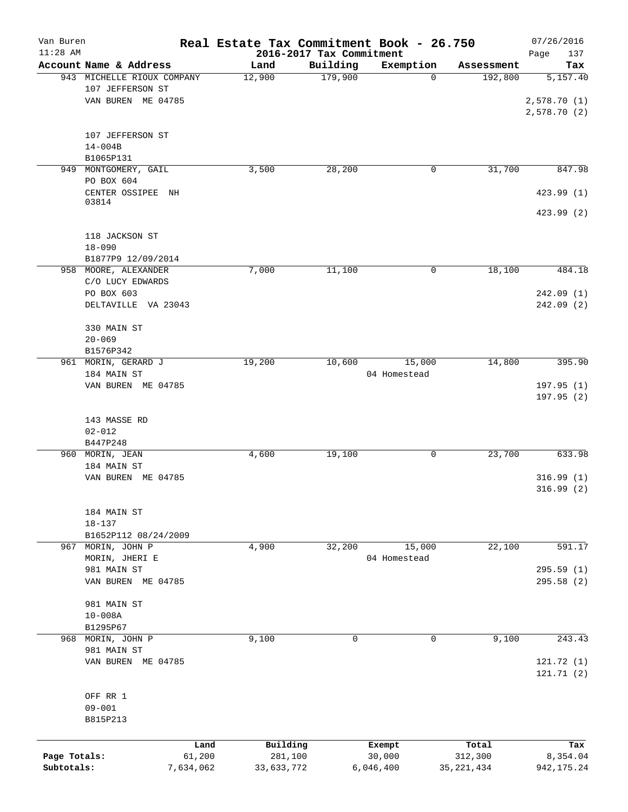| Van Buren    |                            | Real Estate Tax Commitment Book - 26.750 |                          |              |              | 07/26/2016  |
|--------------|----------------------------|------------------------------------------|--------------------------|--------------|--------------|-------------|
| $11:28$ AM   |                            |                                          | 2016-2017 Tax Commitment |              |              | 137<br>Page |
|              | Account Name & Address     | Land                                     | Building                 | Exemption    | Assessment   | Tax         |
|              | 943 MICHELLE RIOUX COMPANY | 12,900                                   | 179,900                  | $\Omega$     | 192,800      | 5,157.40    |
|              | 107 JEFFERSON ST           |                                          |                          |              |              |             |
|              | VAN BUREN ME 04785         |                                          |                          |              |              | 2,578.70(1) |
|              |                            |                                          |                          |              |              | 2,578.70(2) |
|              |                            |                                          |                          |              |              |             |
|              | 107 JEFFERSON ST           |                                          |                          |              |              |             |
|              | $14 - 004B$                |                                          |                          |              |              |             |
|              | B1065P131                  |                                          |                          |              |              |             |
|              | 949 MONTGOMERY, GAIL       | 3,500                                    | 28,200                   | 0            | 31,700       | 847.98      |
|              | PO BOX 604                 |                                          |                          |              |              |             |
|              | CENTER OSSIPEE NH<br>03814 |                                          |                          |              |              | 423.99 (1)  |
|              |                            |                                          |                          |              |              | 423.99 (2)  |
|              |                            |                                          |                          |              |              |             |
|              | 118 JACKSON ST             |                                          |                          |              |              |             |
|              | $18 - 090$                 |                                          |                          |              |              |             |
|              | B1877P9 12/09/2014         |                                          |                          |              |              |             |
|              | 958 MOORE, ALEXANDER       | 7,000                                    | 11,100                   | 0            | 18,100       | 484.18      |
|              | C/O LUCY EDWARDS           |                                          |                          |              |              |             |
|              | PO BOX 603                 |                                          |                          |              |              | 242.09(1)   |
|              | DELTAVILLE VA 23043        |                                          |                          |              |              | 242.09(2)   |
|              |                            |                                          |                          |              |              |             |
|              | 330 MAIN ST                |                                          |                          |              |              |             |
|              | $20 - 069$                 |                                          |                          |              |              |             |
|              | B1576P342                  |                                          |                          |              |              |             |
|              | 961 MORIN, GERARD J        | 19,200                                   | 10,600                   | 15,000       | 14,800       | 395.90      |
|              | 184 MAIN ST                |                                          |                          | 04 Homestead |              |             |
|              | VAN BUREN ME 04785         |                                          |                          |              |              | 197.95(1)   |
|              |                            |                                          |                          |              |              | 197.95(2)   |
|              |                            |                                          |                          |              |              |             |
|              | 143 MASSE RD               |                                          |                          |              |              |             |
|              | $02 - 012$                 |                                          |                          |              |              |             |
|              | B447P248                   |                                          |                          |              |              |             |
|              | 960 MORIN, JEAN            | 4,600                                    | 19,100                   | 0            | 23,700       | 633.98      |
|              | 184 MAIN ST                |                                          |                          |              |              |             |
|              | VAN BUREN ME 04785         |                                          |                          |              |              | 316.99(1)   |
|              |                            |                                          |                          |              |              | 316.99(2)   |
|              |                            |                                          |                          |              |              |             |
|              | 184 MAIN ST                |                                          |                          |              |              |             |
|              | $18 - 137$                 |                                          |                          |              |              |             |
|              | B1652P112 08/24/2009       |                                          |                          |              |              |             |
|              | 967 MORIN, JOHN P          | 4,900                                    | 32,200                   | 15,000       | 22,100       | 591.17      |
|              | MORIN, JHERI E             |                                          |                          | 04 Homestead |              |             |
|              | 981 MAIN ST                |                                          |                          |              |              | 295.59 (1)  |
|              | VAN BUREN ME 04785         |                                          |                          |              |              | 295.58 (2)  |
|              |                            |                                          |                          |              |              |             |
|              | 981 MAIN ST                |                                          |                          |              |              |             |
|              | $10 - 008A$                |                                          |                          |              |              |             |
|              | B1295P67                   |                                          |                          |              |              |             |
|              | 968 MORIN, JOHN P          | 9,100                                    | $\mathbf 0$              | $\mathbf 0$  | 9,100        | 243.43      |
|              | 981 MAIN ST                |                                          |                          |              |              |             |
|              | VAN BUREN ME 04785         |                                          |                          |              |              | 121.72 (1)  |
|              |                            |                                          |                          |              |              | 121.71 (2)  |
|              |                            |                                          |                          |              |              |             |
|              | OFF RR 1                   |                                          |                          |              |              |             |
|              | $09 - 001$                 |                                          |                          |              |              |             |
|              | B815P213                   |                                          |                          |              |              |             |
|              |                            |                                          |                          |              |              |             |
|              | Land                       | Building                                 |                          | Exempt       | Total        | Tax         |
| Page Totals: | 61,200                     | 281,100                                  |                          | 30,000       | 312,300      | 8,354.04    |
| Subtotals:   | 7,634,062                  | 33,633,772                               |                          | 6,046,400    | 35, 221, 434 | 942, 175.24 |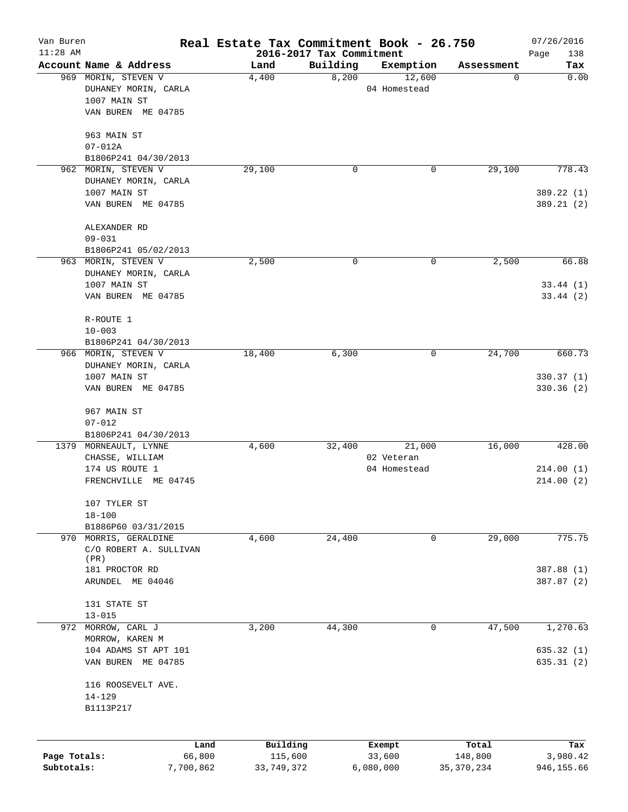| Van Buren    |                                                 | Real Estate Tax Commitment Book - 26.750 |                                      |                     |                  | 07/26/2016         |  |
|--------------|-------------------------------------------------|------------------------------------------|--------------------------------------|---------------------|------------------|--------------------|--|
| $11:28$ AM   | Account Name & Address                          |                                          | 2016-2017 Tax Commitment<br>Building |                     |                  | Page<br>138<br>Tax |  |
|              | 969 MORIN, STEVEN V                             | Land<br>4,400                            | 8,200                                | Exemption<br>12,600 | Assessment<br>0  | 0.00               |  |
|              | DUHANEY MORIN, CARLA                            |                                          |                                      | 04 Homestead        |                  |                    |  |
|              | 1007 MAIN ST                                    |                                          |                                      |                     |                  |                    |  |
|              | VAN BUREN ME 04785                              |                                          |                                      |                     |                  |                    |  |
|              |                                                 |                                          |                                      |                     |                  |                    |  |
|              | 963 MAIN ST                                     |                                          |                                      |                     |                  |                    |  |
|              | $07 - 012A$                                     |                                          |                                      |                     |                  |                    |  |
|              | B1806P241 04/30/2013                            |                                          |                                      |                     |                  |                    |  |
| 962          | MORIN, STEVEN V                                 | 29,100                                   | 0                                    | 0                   | 29,100           | 778.43             |  |
|              | DUHANEY MORIN, CARLA                            |                                          |                                      |                     |                  |                    |  |
|              | 1007 MAIN ST                                    |                                          |                                      |                     |                  | 389.22 (1)         |  |
|              | VAN BUREN ME 04785                              |                                          |                                      |                     |                  | 389.21 (2)         |  |
|              | ALEXANDER RD                                    |                                          |                                      |                     |                  |                    |  |
|              | $09 - 031$                                      |                                          |                                      |                     |                  |                    |  |
|              | B1806P241 05/02/2013                            |                                          |                                      |                     |                  |                    |  |
|              | 963 MORIN, STEVEN V                             | 2,500                                    | 0                                    | 0                   | 2,500            | 66.88              |  |
|              | DUHANEY MORIN, CARLA                            |                                          |                                      |                     |                  |                    |  |
|              | 1007 MAIN ST                                    |                                          |                                      |                     |                  | 33.44(1)           |  |
|              | VAN BUREN ME 04785                              |                                          |                                      |                     |                  | 33.44(2)           |  |
|              | R-ROUTE 1<br>$10 - 003$<br>B1806P241 04/30/2013 |                                          |                                      |                     |                  |                    |  |
|              |                                                 |                                          |                                      |                     |                  |                    |  |
|              |                                                 |                                          |                                      |                     |                  |                    |  |
|              | 966 MORIN, STEVEN V                             | 18,400                                   | 6,300                                | 0                   | 24,700           | 660.73             |  |
|              | DUHANEY MORIN, CARLA                            |                                          |                                      |                     |                  |                    |  |
|              | 1007 MAIN ST                                    |                                          |                                      |                     |                  | 330.37(1)          |  |
|              | VAN BUREN ME 04785                              |                                          |                                      |                     |                  | 330.36(2)          |  |
|              | 967 MAIN ST                                     |                                          |                                      |                     |                  |                    |  |
|              | $07 - 012$                                      |                                          |                                      |                     |                  |                    |  |
|              | B1806P241 04/30/2013                            |                                          |                                      |                     |                  |                    |  |
|              | 1379 MORNEAULT, LYNNE                           | 4,600                                    | 32,400                               | 21,000              | 16,000           | 428.00             |  |
|              | CHASSE, WILLIAM                                 |                                          |                                      | 02 Veteran          |                  |                    |  |
|              | 174 US ROUTE 1                                  |                                          |                                      | 04 Homestead        |                  | 214.00(1)          |  |
|              | FRENCHVILLE<br>ME 04745                         |                                          |                                      |                     |                  | 214.00(2)          |  |
|              | 107 TYLER ST                                    |                                          |                                      |                     |                  |                    |  |
|              | $18 - 100$                                      |                                          |                                      |                     |                  |                    |  |
|              | B1886P60 03/31/2015                             |                                          |                                      |                     |                  |                    |  |
|              | 970 MORRIS, GERALDINE                           | 4,600                                    | 24,400                               | 0                   | 29,000           | 775.75             |  |
|              | C/O ROBERT A. SULLIVAN                          |                                          |                                      |                     |                  |                    |  |
|              | (PR)                                            |                                          |                                      |                     |                  |                    |  |
|              | 181 PROCTOR RD                                  |                                          |                                      |                     |                  | 387.88 (1)         |  |
|              | ARUNDEL ME 04046                                |                                          |                                      |                     |                  | 387.87 (2)         |  |
|              | 131 STATE ST                                    |                                          |                                      |                     |                  |                    |  |
|              | $13 - 015$                                      |                                          |                                      |                     |                  |                    |  |
|              | 972 MORROW, CARL J                              | 3,200                                    | 44,300                               | 0                   | 47,500           | 1,270.63           |  |
|              | MORROW, KAREN M                                 |                                          |                                      |                     |                  |                    |  |
|              | 104 ADAMS ST APT 101                            |                                          |                                      |                     |                  | 635.32(1)          |  |
|              | VAN BUREN ME 04785                              |                                          |                                      |                     |                  | 635.31(2)          |  |
|              | 116 ROOSEVELT AVE.                              |                                          |                                      |                     |                  |                    |  |
|              | $14 - 129$                                      |                                          |                                      |                     |                  |                    |  |
|              | B1113P217                                       |                                          |                                      |                     |                  |                    |  |
|              |                                                 |                                          |                                      |                     |                  |                    |  |
| Page Totals: | Land<br>66,800                                  | Building<br>115,600                      |                                      | Exempt<br>33,600    | Total<br>148,800 | Tax<br>3,980.42    |  |
| Subtotals:   | 7,700,862                                       | 33, 749, 372                             |                                      | 6,080,000           | 35, 370, 234     | 946,155.66         |  |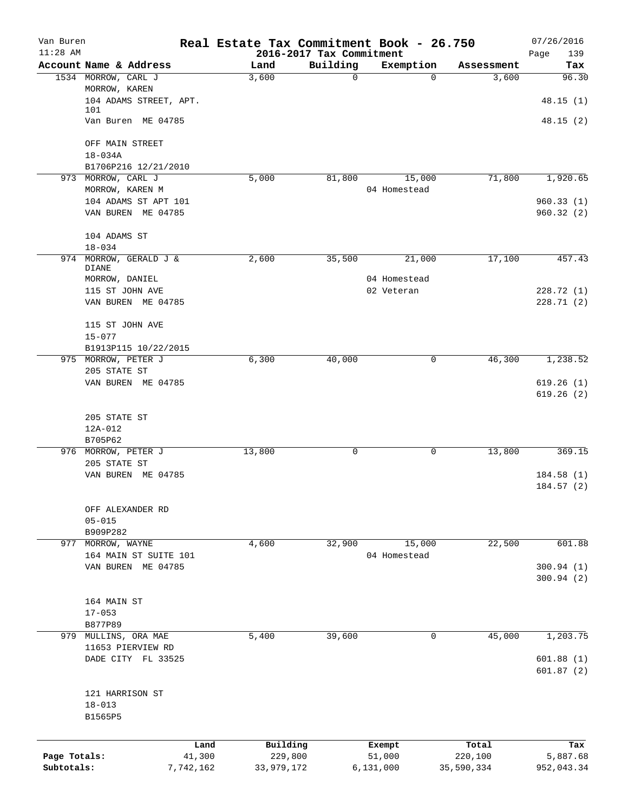| Van Buren<br>$11:28$ AM |                                            | Real Estate Tax Commitment Book - 26.750 | 2016-2017 Tax Commitment |                        |            | 07/26/2016<br>Page<br>139 |
|-------------------------|--------------------------------------------|------------------------------------------|--------------------------|------------------------|------------|---------------------------|
|                         | Account Name & Address                     | Land                                     | Building                 | Exemption              | Assessment | Tax                       |
|                         | 1534 MORROW, CARL J                        | 3,600                                    | 0                        | $\Omega$               | 3,600      | 96.30                     |
|                         | MORROW, KAREN<br>104 ADAMS STREET, APT.    |                                          |                          |                        |            | 48.15(1)                  |
|                         | 101                                        |                                          |                          |                        |            |                           |
|                         | Van Buren ME 04785                         |                                          |                          |                        |            | 48.15(2)                  |
|                         | OFF MAIN STREET                            |                                          |                          |                        |            |                           |
|                         | $18 - 034A$                                |                                          |                          |                        |            |                           |
|                         | B1706P216 12/21/2010<br>973 MORROW, CARL J |                                          |                          |                        |            |                           |
|                         | MORROW, KAREN M                            | 5,000                                    | 81,800                   | 15,000<br>04 Homestead | 71,800     | 1,920.65                  |
|                         | 104 ADAMS ST APT 101                       |                                          |                          |                        |            | 960.33(1)                 |
|                         | VAN BUREN ME 04785                         |                                          |                          |                        |            | 960.32(2)                 |
|                         | 104 ADAMS ST                               |                                          |                          |                        |            |                           |
| 974                     | $18 - 034$<br>MORROW, GERALD J &           | 2,600                                    | 35,500                   | 21,000                 | 17,100     | 457.43                    |
|                         | DIANE                                      |                                          |                          |                        |            |                           |
|                         | MORROW, DANIEL                             |                                          |                          | 04 Homestead           |            |                           |
|                         | 115 ST JOHN AVE                            |                                          |                          | 02 Veteran             |            | 228.72 (1)                |
|                         | VAN BUREN ME 04785                         |                                          |                          |                        |            | 228.71(2)                 |
|                         | 115 ST JOHN AVE                            |                                          |                          |                        |            |                           |
|                         | $15 - 077$                                 |                                          |                          |                        |            |                           |
|                         | B1913P115 10/22/2015                       |                                          |                          |                        |            |                           |
|                         | 975 MORROW, PETER J<br>205 STATE ST        | 6,300                                    | 40,000                   | 0                      | 46,300     | 1,238.52                  |
|                         | VAN BUREN ME 04785                         |                                          |                          |                        |            | 619.26(1)                 |
|                         |                                            |                                          |                          |                        |            | 619.26(2)                 |
|                         | 205 STATE ST                               |                                          |                          |                        |            |                           |
|                         | 12A-012                                    |                                          |                          |                        |            |                           |
|                         | B705P62                                    |                                          |                          |                        |            |                           |
|                         | 976 MORROW, PETER J<br>205 STATE ST        | 13,800                                   | 0                        | 0                      | 13,800     | 369.15                    |
|                         | VAN BUREN ME 04785                         |                                          |                          |                        |            | 184.58(1)                 |
|                         |                                            |                                          |                          |                        |            | 184.57(2)                 |
|                         | OFF ALEXANDER RD                           |                                          |                          |                        |            |                           |
|                         | $05 - 015$                                 |                                          |                          |                        |            |                           |
|                         | B909P282<br>977 MORROW, WAYNE              | 4,600                                    | 32,900                   | 15,000                 | 22,500     | 601.88                    |
|                         | 164 MAIN ST SUITE 101                      |                                          |                          | 04 Homestead           |            |                           |
|                         | VAN BUREN ME 04785                         |                                          |                          |                        |            | 300.94(1)                 |
|                         |                                            |                                          |                          |                        |            | 300.94(2)                 |
|                         | 164 MAIN ST                                |                                          |                          |                        |            |                           |
|                         | $17 - 053$                                 |                                          |                          |                        |            |                           |
|                         | B877P89                                    |                                          |                          |                        |            |                           |
|                         | 979 MULLINS, ORA MAE                       | 5,400                                    | 39,600                   | 0                      | 45,000     | 1,203.75                  |
|                         | 11653 PIERVIEW RD                          |                                          |                          |                        |            |                           |
|                         | DADE CITY FL 33525                         |                                          |                          |                        |            | 601.88(1)<br>601.87(2)    |
|                         | 121 HARRISON ST                            |                                          |                          |                        |            |                           |
|                         | $18 - 013$                                 |                                          |                          |                        |            |                           |
|                         | B1565P5                                    |                                          |                          |                        |            |                           |
|                         | Land                                       | Building                                 |                          | Exempt                 | Total      | Tax                       |
| Page Totals:            | 41,300                                     | 229,800                                  |                          | 51,000                 | 220,100    | 5,887.68                  |
| Subtotals:              | 7,742,162                                  | 33,979,172                               |                          | 6,131,000              | 35,590,334 | 952,043.34                |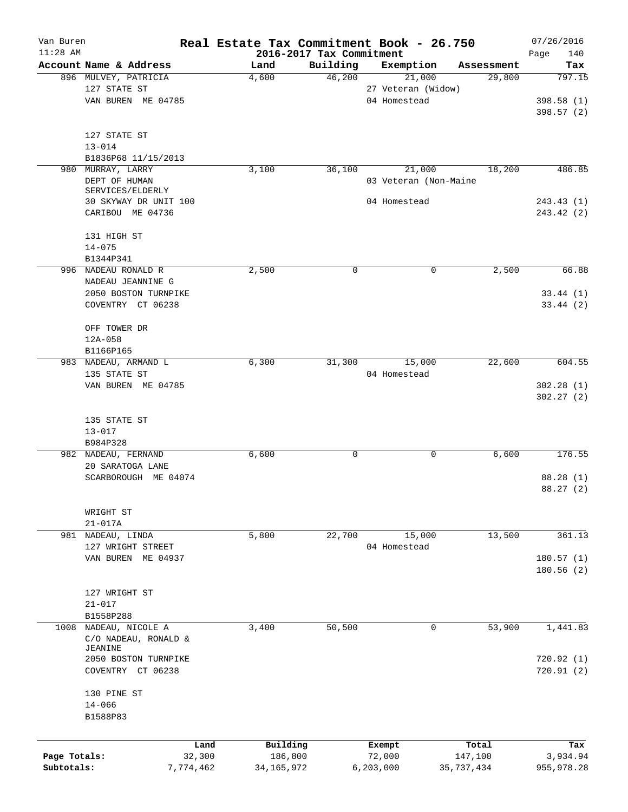| Van Buren    |                                   |                | Real Estate Tax Commitment Book - 26.750 |                                      |                       |                  | 07/26/2016              |
|--------------|-----------------------------------|----------------|------------------------------------------|--------------------------------------|-----------------------|------------------|-------------------------|
| $11:28$ AM   | Account Name & Address            |                | Land                                     | 2016-2017 Tax Commitment<br>Building | Exemption             | Assessment       | Page<br>140<br>Tax      |
|              | 896 MULVEY, PATRICIA              |                | 4,600                                    | 46,200                               | 21,000                | 29,800           | 797.15                  |
|              | 127 STATE ST                      |                |                                          |                                      | 27 Veteran (Widow)    |                  |                         |
|              | VAN BUREN ME 04785                |                |                                          |                                      | 04 Homestead          |                  | 398.58 (1)<br>398.57(2) |
|              |                                   |                |                                          |                                      |                       |                  |                         |
|              | 127 STATE ST                      |                |                                          |                                      |                       |                  |                         |
|              | $13 - 014$<br>B1836P68 11/15/2013 |                |                                          |                                      |                       |                  |                         |
|              | 980 MURRAY, LARRY                 |                | 3,100                                    | 36,100                               | 21,000                | 18,200           | 486.85                  |
|              | DEPT OF HUMAN<br>SERVICES/ELDERLY |                |                                          |                                      | 03 Veteran (Non-Maine |                  |                         |
|              | 30 SKYWAY DR UNIT 100             |                |                                          |                                      | 04 Homestead          |                  | 243.43(1)               |
|              | CARIBOU ME 04736                  |                |                                          |                                      |                       |                  | 243.42 (2)              |
|              | 131 HIGH ST                       |                |                                          |                                      |                       |                  |                         |
|              | $14 - 075$                        |                |                                          |                                      |                       |                  |                         |
|              | B1344P341<br>996 NADEAU RONALD R  |                | 2,500                                    | 0                                    | 0                     | 2,500            | 66.88                   |
|              | NADEAU JEANNINE G                 |                |                                          |                                      |                       |                  |                         |
|              | 2050 BOSTON TURNPIKE              |                |                                          |                                      |                       |                  | 33.44(1)                |
|              | COVENTRY CT 06238                 |                |                                          |                                      |                       |                  | 33.44(2)                |
|              |                                   |                |                                          |                                      |                       |                  |                         |
|              | OFF TOWER DR                      |                |                                          |                                      |                       |                  |                         |
|              | $12A - 058$                       |                |                                          |                                      |                       |                  |                         |
|              | B1166P165                         |                |                                          |                                      |                       |                  |                         |
|              | 983 NADEAU, ARMAND L              |                | 6,300                                    | 31,300                               | 15,000                | 22,600           | 604.55                  |
|              | 135 STATE ST                      |                |                                          |                                      | 04 Homestead          |                  |                         |
|              | VAN BUREN ME 04785                |                |                                          |                                      |                       |                  | 302.28(1)               |
|              |                                   |                |                                          |                                      |                       |                  | 302.27(2)               |
|              | 135 STATE ST                      |                |                                          |                                      |                       |                  |                         |
|              | $13 - 017$                        |                |                                          |                                      |                       |                  |                         |
|              | B984P328                          |                |                                          |                                      |                       |                  |                         |
|              | 982 NADEAU, FERNAND               |                | 6,600                                    | 0                                    | 0                     | 6,600            | 176.55                  |
|              | 20 SARATOGA LANE                  |                |                                          |                                      |                       |                  |                         |
|              | SCARBOROUGH ME 04074              |                |                                          |                                      |                       |                  | 88.28 (1)               |
|              |                                   |                |                                          |                                      |                       |                  | 88.27 (2)               |
|              | WRIGHT ST                         |                |                                          |                                      |                       |                  |                         |
|              | $21 - 017A$                       |                |                                          |                                      |                       |                  |                         |
|              | 981 NADEAU, LINDA                 |                | 5,800                                    | 22,700                               | 15,000                | 13,500           | 361.13                  |
|              | 127 WRIGHT STREET                 |                |                                          |                                      | 04 Homestead          |                  |                         |
|              | VAN BUREN ME 04937                |                |                                          |                                      |                       |                  | 180.57(1)               |
|              |                                   |                |                                          |                                      |                       |                  | 180.56(2)               |
|              | 127 WRIGHT ST                     |                |                                          |                                      |                       |                  |                         |
|              | $21 - 017$                        |                |                                          |                                      |                       |                  |                         |
|              | B1558P288                         |                |                                          |                                      |                       |                  |                         |
|              | 1008 NADEAU, NICOLE A             |                | 3,400                                    | 50,500                               | 0                     | 53,900           | 1,441.83                |
|              | C/O NADEAU, RONALD &              |                |                                          |                                      |                       |                  |                         |
|              | JEANINE                           |                |                                          |                                      |                       |                  |                         |
|              | 2050 BOSTON TURNPIKE              |                |                                          |                                      |                       |                  | 720.92(1)               |
|              | COVENTRY CT 06238                 |                |                                          |                                      |                       |                  | 720.91(2)               |
|              | 130 PINE ST                       |                |                                          |                                      |                       |                  |                         |
|              | $14 - 066$                        |                |                                          |                                      |                       |                  |                         |
|              | B1588P83                          |                |                                          |                                      |                       |                  |                         |
|              |                                   |                |                                          |                                      |                       |                  |                         |
| Page Totals: |                                   | Land<br>32,300 | Building<br>186,800                      |                                      | Exempt<br>72,000      | Total<br>147,100 | Tax<br>3,934.94         |
| Subtotals:   |                                   | 7,774,462      | 34, 165, 972                             |                                      | 6, 203, 000           | 35,737,434       | 955,978.28              |
|              |                                   |                |                                          |                                      |                       |                  |                         |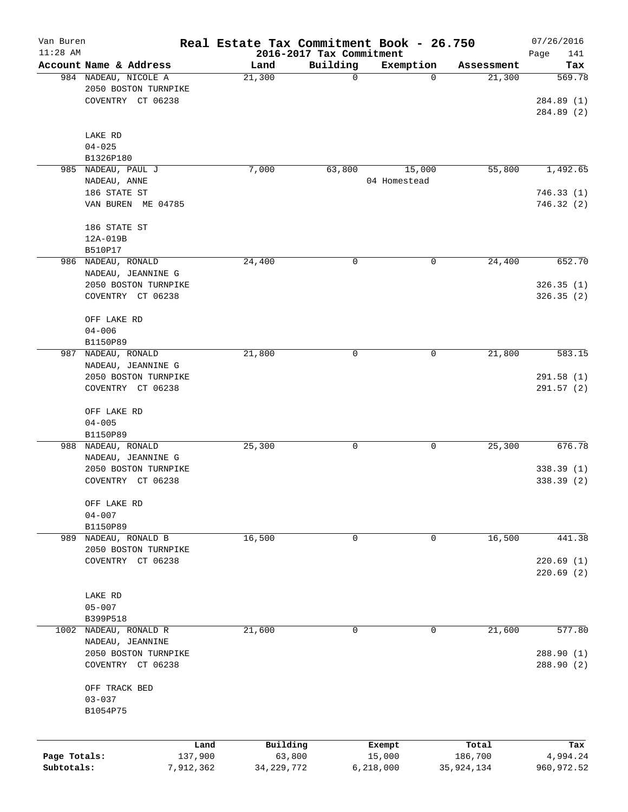| Van Buren<br>$11:28$ AM |                        |        | Real Estate Tax Commitment Book - 26.750<br>2016-2017 Tax Commitment |              |            | 07/26/2016<br>Page<br>141 |
|-------------------------|------------------------|--------|----------------------------------------------------------------------|--------------|------------|---------------------------|
|                         | Account Name & Address | Land   | Building                                                             | Exemption    | Assessment | Tax                       |
|                         | 984 NADEAU, NICOLE A   | 21,300 | $\mathbf 0$                                                          | 0            | 21,300     | 569.78                    |
|                         | 2050 BOSTON TURNPIKE   |        |                                                                      |              |            |                           |
|                         | COVENTRY CT 06238      |        |                                                                      |              |            | 284.89 (1)                |
|                         |                        |        |                                                                      |              |            | 284.89 (2)                |
|                         |                        |        |                                                                      |              |            |                           |
|                         | LAKE RD                |        |                                                                      |              |            |                           |
|                         | $04 - 025$             |        |                                                                      |              |            |                           |
|                         | B1326P180              |        |                                                                      |              |            |                           |
|                         | 985 NADEAU, PAUL J     | 7,000  | 63,800                                                               | 15,000       | 55,800     | 1,492.65                  |
|                         | NADEAU, ANNE           |        |                                                                      | 04 Homestead |            |                           |
|                         | 186 STATE ST           |        |                                                                      |              |            | 746.33(1)                 |
|                         | VAN BUREN ME 04785     |        |                                                                      |              |            | 746.32 (2)                |
|                         |                        |        |                                                                      |              |            |                           |
|                         | 186 STATE ST           |        |                                                                      |              |            |                           |
|                         | 12A-019B               |        |                                                                      |              |            |                           |
|                         | B510P17                |        |                                                                      |              |            |                           |
|                         | 986 NADEAU, RONALD     | 24,400 | 0                                                                    | 0            | 24,400     | 652.70                    |
|                         | NADEAU, JEANNINE G     |        |                                                                      |              |            |                           |
|                         | 2050 BOSTON TURNPIKE   |        |                                                                      |              |            | 326.35(1)                 |
|                         | COVENTRY CT 06238      |        |                                                                      |              |            | 326.35(2)                 |
|                         |                        |        |                                                                      |              |            |                           |
|                         | OFF LAKE RD            |        |                                                                      |              |            |                           |
|                         | $04 - 006$             |        |                                                                      |              |            |                           |
|                         | B1150P89               |        |                                                                      |              |            |                           |
| 987                     | NADEAU, RONALD         | 21,800 | 0                                                                    | 0            | 21,800     | 583.15                    |
|                         | NADEAU, JEANNINE G     |        |                                                                      |              |            |                           |
|                         | 2050 BOSTON TURNPIKE   |        |                                                                      |              |            | 291.58(1)                 |
|                         | COVENTRY CT 06238      |        |                                                                      |              |            | 291.57 (2)                |
|                         |                        |        |                                                                      |              |            |                           |
|                         | OFF LAKE RD            |        |                                                                      |              |            |                           |
|                         | $04 - 005$             |        |                                                                      |              |            |                           |
|                         | B1150P89               |        |                                                                      |              |            |                           |
|                         | 988 NADEAU, RONALD     | 25,300 | 0                                                                    | 0            | 25,300     | 676.78                    |
|                         | NADEAU, JEANNINE G     |        |                                                                      |              |            |                           |
|                         | 2050 BOSTON TURNPIKE   |        |                                                                      |              |            | 338.39(1)                 |
|                         | COVENTRY CT 06238      |        |                                                                      |              |            | 338.39 (2)                |
|                         |                        |        |                                                                      |              |            |                           |
|                         | OFF LAKE RD            |        |                                                                      |              |            |                           |
|                         | $04 - 007$             |        |                                                                      |              |            |                           |
|                         | B1150P89               |        |                                                                      |              |            |                           |
|                         | 989 NADEAU, RONALD B   | 16,500 | 0                                                                    | 0            | 16,500     | 441.38                    |
|                         | 2050 BOSTON TURNPIKE   |        |                                                                      |              |            |                           |
|                         | COVENTRY CT 06238      |        |                                                                      |              |            | 220.69(1)                 |
|                         |                        |        |                                                                      |              |            | 220.69(2)                 |
|                         |                        |        |                                                                      |              |            |                           |
|                         | LAKE RD                |        |                                                                      |              |            |                           |
|                         | $05 - 007$             |        |                                                                      |              |            |                           |
|                         | B399P518               |        |                                                                      |              |            |                           |
| 1002                    | NADEAU, RONALD R       | 21,600 | 0                                                                    | 0            | 21,600     | 577.80                    |
|                         | NADEAU, JEANNINE       |        |                                                                      |              |            |                           |
|                         | 2050 BOSTON TURNPIKE   |        |                                                                      |              |            | 288.90 (1)                |
|                         | COVENTRY CT 06238      |        |                                                                      |              |            | 288.90 (2)                |
|                         |                        |        |                                                                      |              |            |                           |
|                         | OFF TRACK BED          |        |                                                                      |              |            |                           |
|                         | $03 - 037$             |        |                                                                      |              |            |                           |
|                         | B1054P75               |        |                                                                      |              |            |                           |
|                         |                        |        |                                                                      |              |            |                           |
|                         |                        | Land   | Building                                                             | Exempt       | Total      | Tax                       |
| Page Totals:            | 137,900                |        | 63,800                                                               | 15,000       | 186,700    | 4,994.24                  |
| Subtotals:              | 7,912,362              |        | 34, 229, 772                                                         | 6,218,000    | 35,924,134 | 960, 972.52               |
|                         |                        |        |                                                                      |              |            |                           |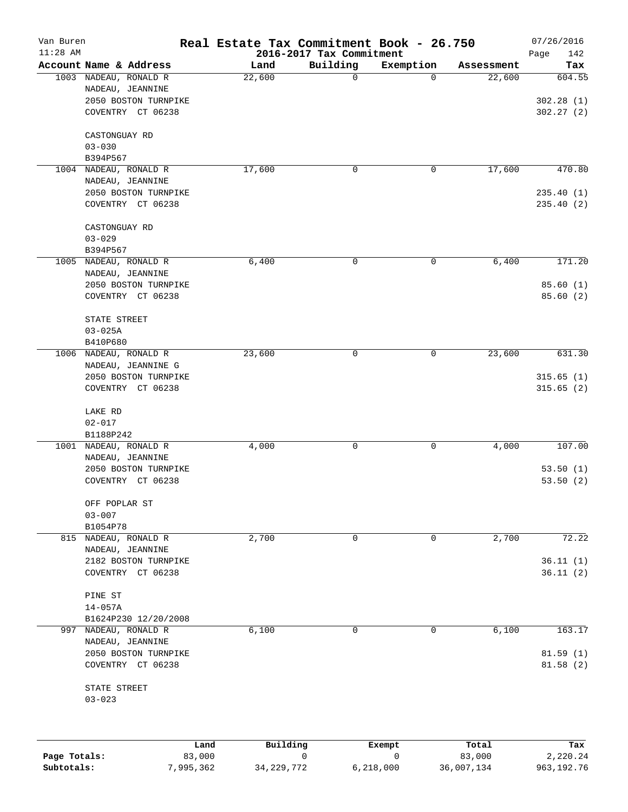| Van Buren<br>$11:28$ AM |                                                                                        | Real Estate Tax Commitment Book - 26.750 | 2016-2017 Tax Commitment |           |            | 07/26/2016<br>Page<br>142        |
|-------------------------|----------------------------------------------------------------------------------------|------------------------------------------|--------------------------|-----------|------------|----------------------------------|
|                         | Account Name & Address                                                                 | Land                                     | Building                 | Exemption | Assessment | Tax                              |
|                         | 1003 NADEAU, RONALD R<br>NADEAU, JEANNINE<br>2050 BOSTON TURNPIKE<br>COVENTRY CT 06238 | 22,600                                   | 0                        | 0         | 22,600     | 604.55<br>302.28(1)<br>302.27(2) |
|                         | CASTONGUAY RD<br>$03 - 030$<br>B394P567                                                |                                          |                          |           |            |                                  |
| 1004                    | NADEAU, RONALD R                                                                       | 17,600                                   | 0                        | 0         | 17,600     | 470.80                           |
|                         | NADEAU, JEANNINE<br>2050 BOSTON TURNPIKE<br>COVENTRY CT 06238                          |                                          |                          |           |            | 235.40(1)<br>235.40(2)           |
|                         | CASTONGUAY RD<br>$03 - 029$<br>B394P567                                                |                                          |                          |           |            |                                  |
|                         | 1005 NADEAU, RONALD R                                                                  | 6,400                                    | $\mathsf{O}$             | 0         | 6,400      | 171.20                           |
|                         | NADEAU, JEANNINE<br>2050 BOSTON TURNPIKE<br>COVENTRY CT 06238                          |                                          |                          |           |            | 85.60(1)<br>85.60(2)             |
|                         | STATE STREET<br>$03 - 025A$<br>B410P680                                                |                                          |                          |           |            |                                  |
|                         | 1006 NADEAU, RONALD R                                                                  | 23,600                                   | 0                        | 0         | 23,600     | 631.30                           |
|                         | NADEAU, JEANNINE G<br>2050 BOSTON TURNPIKE<br>COVENTRY CT 06238                        |                                          |                          |           |            | 315.65(1)<br>315.65(2)           |
|                         | LAKE RD<br>$02 - 017$<br>B1188P242                                                     |                                          |                          |           |            |                                  |
| 1001                    | NADEAU, RONALD R                                                                       | 4,000                                    | 0                        | 0         | 4,000      | 107.00                           |
|                         | NADEAU, JEANNINE<br>2050 BOSTON TURNPIKE<br>COVENTRY CT 06238                          |                                          |                          |           |            | 53.50(1)<br>53.50(2)             |
|                         | OFF POPLAR ST<br>$03 - 007$<br>B1054P78                                                |                                          |                          |           |            |                                  |
|                         | 815 NADEAU, RONALD R                                                                   | 2,700                                    | 0                        | 0         | 2,700      | 72.22                            |
|                         | NADEAU, JEANNINE<br>2182 BOSTON TURNPIKE<br>COVENTRY CT 06238                          |                                          |                          |           |            | 36.11(1)<br>36.11(2)             |
|                         | PINE ST<br>$14 - 057A$                                                                 |                                          |                          |           |            |                                  |
|                         | B1624P230 12/20/2008<br>997 NADEAU, RONALD R                                           | 6,100                                    | 0                        | 0         | 6,100      | 163.17                           |
|                         | NADEAU, JEANNINE<br>2050 BOSTON TURNPIKE<br>COVENTRY CT 06238                          |                                          |                          |           |            | 81.59(1)<br>81.58(2)             |
|                         | STATE STREET<br>$03 - 023$                                                             |                                          |                          |           |            |                                  |
|                         |                                                                                        |                                          |                          |           |            |                                  |

|              | Land     | Building     | Exempt    | Total      | Tax        |
|--------------|----------|--------------|-----------|------------|------------|
| Page Totals: | 83,000   |              |           | 83,000     | 2,220.24   |
| Subtotals:   | .995.362 | 34, 229, 772 | 6,218,000 | 36,007,134 | 963,192.76 |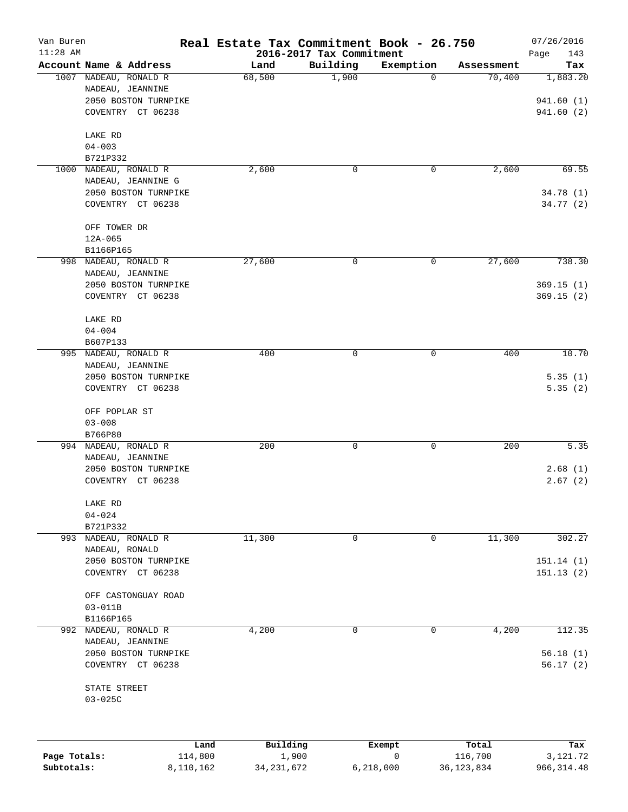| Van Buren<br>$11:28$ AM |                          | Real Estate Tax Commitment Book - 26.750 |                                      |           |            | 07/26/2016         |
|-------------------------|--------------------------|------------------------------------------|--------------------------------------|-----------|------------|--------------------|
|                         | Account Name & Address   | Land                                     | 2016-2017 Tax Commitment<br>Building | Exemption | Assessment | Page<br>143<br>Tax |
|                         | 1007 NADEAU, RONALD R    | 68,500                                   | 1,900                                | 0         | 70,400     | 1,883.20           |
|                         | NADEAU, JEANNINE         |                                          |                                      |           |            |                    |
|                         | 2050 BOSTON TURNPIKE     |                                          |                                      |           |            | 941.60(1)          |
|                         | COVENTRY CT 06238        |                                          |                                      |           |            | 941.60(2)          |
|                         |                          |                                          |                                      |           |            |                    |
|                         | LAKE RD                  |                                          |                                      |           |            |                    |
|                         | $04 - 003$               |                                          |                                      |           |            |                    |
|                         | B721P332                 |                                          |                                      |           |            |                    |
| 1000                    | NADEAU, RONALD R         | 2,600                                    | 0                                    | 0         | 2,600      | 69.55              |
|                         | NADEAU, JEANNINE G       |                                          |                                      |           |            |                    |
|                         | 2050 BOSTON TURNPIKE     |                                          |                                      |           |            | 34.78(1)           |
|                         | COVENTRY CT 06238        |                                          |                                      |           |            | 34.77 (2)          |
|                         |                          |                                          |                                      |           |            |                    |
|                         | OFF TOWER DR             |                                          |                                      |           |            |                    |
|                         | $12A-065$                |                                          |                                      |           |            |                    |
|                         | B1166P165                |                                          |                                      |           |            |                    |
|                         | 998 NADEAU, RONALD R     | 27,600                                   | 0                                    | 0         | 27,600     | 738.30             |
|                         | NADEAU, JEANNINE         |                                          |                                      |           |            |                    |
|                         | 2050 BOSTON TURNPIKE     |                                          |                                      |           |            | 369.15(1)          |
|                         | COVENTRY CT 06238        |                                          |                                      |           |            | 369.15(2)          |
|                         |                          |                                          |                                      |           |            |                    |
|                         | LAKE RD                  |                                          |                                      |           |            |                    |
|                         | $04 - 004$               |                                          |                                      |           |            |                    |
|                         | B607P133                 |                                          |                                      |           |            |                    |
| 995                     | NADEAU, RONALD R         | 400                                      | 0                                    | 0         | 400        | 10.70              |
|                         | NADEAU, JEANNINE         |                                          |                                      |           |            |                    |
|                         | 2050 BOSTON TURNPIKE     |                                          |                                      |           |            | 5.35(1)            |
|                         | COVENTRY CT 06238        |                                          |                                      |           |            | 5.35(2)            |
|                         | OFF POPLAR ST            |                                          |                                      |           |            |                    |
|                         | $03 - 008$               |                                          |                                      |           |            |                    |
|                         | B766P80                  |                                          |                                      |           |            |                    |
|                         | 994 NADEAU, RONALD R     | 200                                      | 0                                    | 0         | 200        | 5.35               |
|                         | NADEAU, JEANNINE         |                                          |                                      |           |            |                    |
|                         | 2050 BOSTON TURNPIKE     |                                          |                                      |           |            | 2.68(1)            |
|                         | COVENTRY CT 06238        |                                          |                                      |           |            | 2.67(2)            |
|                         |                          |                                          |                                      |           |            |                    |
|                         | LAKE RD                  |                                          |                                      |           |            |                    |
|                         | $04 - 024$               |                                          |                                      |           |            |                    |
|                         | B721P332                 |                                          |                                      |           |            |                    |
|                         | 993 NADEAU, RONALD R     | 11,300                                   | 0                                    | 0         | 11,300     | 302.27             |
|                         | NADEAU, RONALD           |                                          |                                      |           |            |                    |
|                         | 2050 BOSTON TURNPIKE     |                                          |                                      |           |            | 151.14(1)          |
|                         | COVENTRY CT 06238        |                                          |                                      |           |            | 151.13(2)          |
|                         |                          |                                          |                                      |           |            |                    |
|                         | OFF CASTONGUAY ROAD      |                                          |                                      |           |            |                    |
|                         | $03 - 011B$<br>B1166P165 |                                          |                                      |           |            |                    |
|                         | 992 NADEAU, RONALD R     | 4,200                                    | 0                                    | 0         | 4,200      | 112.35             |
|                         | NADEAU, JEANNINE         |                                          |                                      |           |            |                    |
|                         | 2050 BOSTON TURNPIKE     |                                          |                                      |           |            | 56.18(1)           |
|                         | COVENTRY CT 06238        |                                          |                                      |           |            | 56.17(2)           |
|                         |                          |                                          |                                      |           |            |                    |
|                         | STATE STREET             |                                          |                                      |           |            |                    |
|                         | $03 - 025C$              |                                          |                                      |           |            |                    |
|                         |                          |                                          |                                      |           |            |                    |
|                         |                          |                                          |                                      |           |            |                    |
|                         |                          |                                          |                                      |           |            |                    |
|                         | Land                     | Building                                 |                                      | Exempt    | Total      | Tax                |
| Page Totals:            | 114,800                  |                                          | 1,900                                | 0         | 116,700    | 3,121.72           |

**Subtotals:** 8,110,162 34,231,672 6,218,000 36,123,834 966,314.48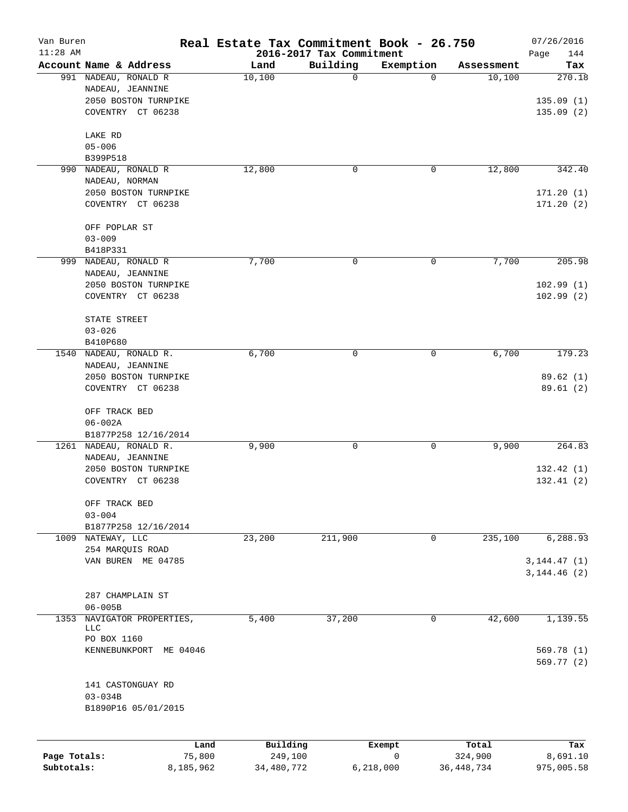| Van Buren<br>$11:28$ AM |                                           |                | Real Estate Tax Commitment Book - 26.750 |                                      |                       |                  | 07/26/2016         |
|-------------------------|-------------------------------------------|----------------|------------------------------------------|--------------------------------------|-----------------------|------------------|--------------------|
|                         | Account Name & Address                    |                | Land                                     | 2016-2017 Tax Commitment<br>Building | Exemption             | Assessment       | Page<br>144<br>Tax |
|                         | 991 NADEAU, RONALD R                      |                | 10,100                                   | 0                                    | 0                     | 10,100           | 270.18             |
|                         | NADEAU, JEANNINE                          |                |                                          |                                      |                       |                  |                    |
|                         | 2050 BOSTON TURNPIKE                      |                |                                          |                                      |                       |                  | 135.09(1)          |
|                         | COVENTRY CT 06238                         |                |                                          |                                      |                       |                  | 135.09(2)          |
|                         |                                           |                |                                          |                                      |                       |                  |                    |
|                         | LAKE RD                                   |                |                                          |                                      |                       |                  |                    |
|                         | $05 - 006$                                |                |                                          |                                      |                       |                  |                    |
|                         | B399P518                                  |                |                                          |                                      |                       |                  |                    |
| 990                     | NADEAU, RONALD R                          |                | 12,800                                   | 0                                    | 0                     | 12,800           | 342.40             |
|                         | NADEAU, NORMAN                            |                |                                          |                                      |                       |                  |                    |
|                         | 2050 BOSTON TURNPIKE                      |                |                                          |                                      |                       |                  | 171.20(1)          |
|                         | COVENTRY CT 06238                         |                |                                          |                                      |                       |                  | 171.20(2)          |
|                         | OFF POPLAR ST                             |                |                                          |                                      |                       |                  |                    |
|                         | $03 - 009$                                |                |                                          |                                      |                       |                  |                    |
|                         | B418P331                                  |                |                                          |                                      |                       |                  |                    |
| 999                     | NADEAU, RONALD R                          |                | 7,700                                    | 0                                    | 0                     | 7,700            | 205.98             |
|                         | NADEAU, JEANNINE                          |                |                                          |                                      |                       |                  |                    |
|                         | 2050 BOSTON TURNPIKE                      |                |                                          |                                      |                       |                  | 102.99(1)          |
|                         | COVENTRY CT 06238                         |                |                                          |                                      |                       |                  | 102.99(2)          |
|                         |                                           |                |                                          |                                      |                       |                  |                    |
|                         | STATE STREET                              |                |                                          |                                      |                       |                  |                    |
|                         | $03 - 026$                                |                |                                          |                                      |                       |                  |                    |
| 1540                    | B410P680<br>NADEAU, RONALD R.             |                | 6,700                                    | 0                                    | 0                     | 6,700            | 179.23             |
|                         | NADEAU, JEANNINE                          |                |                                          |                                      |                       |                  |                    |
|                         | 2050 BOSTON TURNPIKE                      |                |                                          |                                      |                       |                  | 89.62(1)           |
|                         | COVENTRY CT 06238                         |                |                                          |                                      |                       |                  | 89.61 (2)          |
|                         |                                           |                |                                          |                                      |                       |                  |                    |
|                         | OFF TRACK BED                             |                |                                          |                                      |                       |                  |                    |
|                         | $06 - 002A$                               |                |                                          |                                      |                       |                  |                    |
|                         | B1877P258 12/16/2014                      |                |                                          |                                      |                       |                  |                    |
|                         | 1261 NADEAU, RONALD R.                    |                | 9,900                                    | 0                                    | 0                     | 9,900            | 264.83             |
|                         | NADEAU, JEANNINE                          |                |                                          |                                      |                       |                  |                    |
|                         | 2050 BOSTON TURNPIKE<br>COVENTRY CT 06238 |                |                                          |                                      |                       |                  | 132.42(1)          |
|                         |                                           |                |                                          |                                      |                       |                  | 132.41(2)          |
|                         | OFF TRACK BED                             |                |                                          |                                      |                       |                  |                    |
|                         | $03 - 004$                                |                |                                          |                                      |                       |                  |                    |
|                         | B1877P258 12/16/2014                      |                |                                          |                                      |                       |                  |                    |
|                         | 1009 NATEWAY, LLC                         |                | 23,200                                   | 211,900                              | 0                     | 235,100          | 6,288.93           |
|                         | 254 MARQUIS ROAD                          |                |                                          |                                      |                       |                  |                    |
|                         | VAN BUREN ME 04785                        |                |                                          |                                      |                       |                  | 3, 144.47 (1)      |
|                         |                                           |                |                                          |                                      |                       |                  | 3, 144.46 (2)      |
|                         |                                           |                |                                          |                                      |                       |                  |                    |
|                         | 287 CHAMPLAIN ST<br>$06 - 005B$           |                |                                          |                                      |                       |                  |                    |
| 1353                    | NAVIGATOR PROPERTIES,                     |                | 5,400                                    | 37,200                               | 0                     | 42,600           | 1,139.55           |
|                         | <b>LLC</b>                                |                |                                          |                                      |                       |                  |                    |
|                         | PO BOX 1160                               |                |                                          |                                      |                       |                  |                    |
|                         | KENNEBUNKPORT ME 04046                    |                |                                          |                                      |                       |                  | 569.78 (1)         |
|                         |                                           |                |                                          |                                      |                       |                  | 569.77(2)          |
|                         | 141 CASTONGUAY RD                         |                |                                          |                                      |                       |                  |                    |
|                         | $03 - 034B$                               |                |                                          |                                      |                       |                  |                    |
|                         | B1890P16 05/01/2015                       |                |                                          |                                      |                       |                  |                    |
|                         |                                           |                |                                          |                                      |                       |                  |                    |
|                         |                                           |                |                                          |                                      |                       |                  |                    |
| Page Totals:            |                                           | Land<br>75,800 | Building<br>249,100                      |                                      | Exempt<br>$\mathbf 0$ | Total<br>324,900 | Tax<br>8,691.10    |
| Subtotals:              |                                           | 8,185,962      | 34,480,772                               |                                      | 6,218,000             | 36, 448, 734     | 975,005.58         |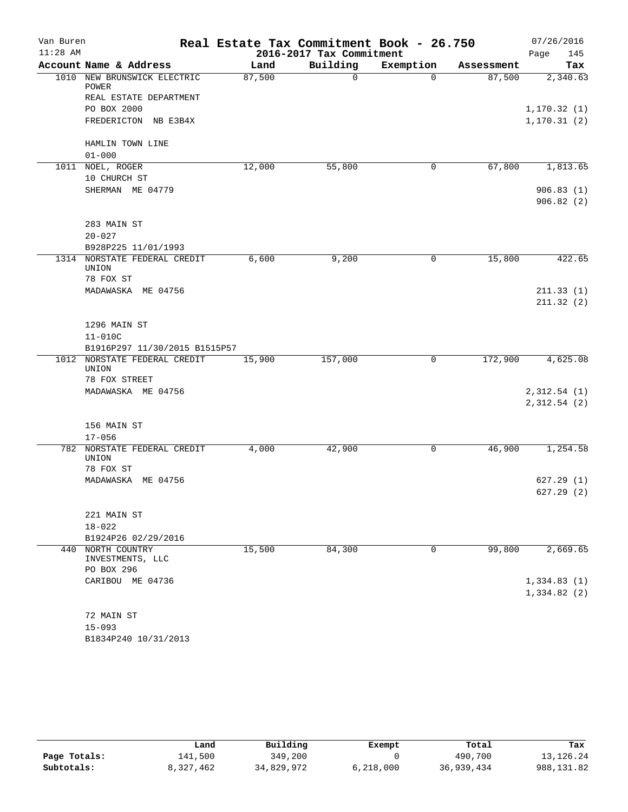| 2016-2017 Tax Commitment<br>Building<br>Account Name & Address<br>Exemption<br>Land<br>Tax<br>Assessment<br>1010 NEW BRUNSWICK ELECTRIC<br>87,500<br>87,500<br>2,340.63<br>0<br>$\Omega$<br>POWER<br>REAL ESTATE DEPARTMENT<br>PO BOX 2000<br>1, 170.32(1)<br>FREDERICTON NB E3B4X<br>HAMLIN TOWN LINE<br>$01 - 000$<br>67,800<br>12,000<br>55,800<br>1,813.65<br>1011 NOEL, ROGER<br>0<br>10 CHURCH ST<br>SHERMAN ME 04779<br>906.83(1)<br>906.82(2)<br>283 MAIN ST<br>$20 - 027$<br>B928P225 11/01/1993<br>1314 NORSTATE FEDERAL CREDIT<br>6,600<br>9,200<br>15,800<br>0<br>UNION<br>78 FOX ST<br>MADAWASKA ME 04756<br>211.33(1)<br>211.32(2)<br>1296 MAIN ST<br>$11 - 010C$<br>B1916P297 11/30/2015 B1515P57<br>1012<br>NORSTATE FEDERAL CREDIT<br>15,900<br>157,000<br>$\mathbf 0$<br>172,900<br>UNION<br>78 FOX STREET<br>MADAWASKA ME 04756<br>2,312.54(1)<br>2,312.54 (2)<br>156 MAIN ST<br>$17 - 056$<br>46,900<br>1,254.58<br>782 NORSTATE FEDERAL CREDIT<br>4,000<br>42,900<br>0<br>UNION<br>78 FOX ST<br>MADAWASKA ME 04756<br>627.29(1)<br>627.29(2)<br>221 MAIN ST<br>$18 - 022$<br>B1924P26 02/29/2016<br>15,500<br>84,300<br>2,669.65<br>440 NORTH COUNTRY<br>0<br>99,800<br>INVESTMENTS, LLC<br>PO BOX 296<br>CARIBOU ME 04736<br>1,334.83(1)<br>1,334.82(2)<br>72 MAIN ST<br>$15 - 093$<br>B1834P240 10/31/2013 | Van Buren  | Real Estate Tax Commitment Book - 26.750 |  | 07/26/2016   |
|-----------------------------------------------------------------------------------------------------------------------------------------------------------------------------------------------------------------------------------------------------------------------------------------------------------------------------------------------------------------------------------------------------------------------------------------------------------------------------------------------------------------------------------------------------------------------------------------------------------------------------------------------------------------------------------------------------------------------------------------------------------------------------------------------------------------------------------------------------------------------------------------------------------------------------------------------------------------------------------------------------------------------------------------------------------------------------------------------------------------------------------------------------------------------------------------------------------------------------------------------------------------------------------------------------------------------------------|------------|------------------------------------------|--|--------------|
|                                                                                                                                                                                                                                                                                                                                                                                                                                                                                                                                                                                                                                                                                                                                                                                                                                                                                                                                                                                                                                                                                                                                                                                                                                                                                                                                   | $11:28$ AM |                                          |  | 145<br>Page  |
|                                                                                                                                                                                                                                                                                                                                                                                                                                                                                                                                                                                                                                                                                                                                                                                                                                                                                                                                                                                                                                                                                                                                                                                                                                                                                                                                   |            |                                          |  |              |
|                                                                                                                                                                                                                                                                                                                                                                                                                                                                                                                                                                                                                                                                                                                                                                                                                                                                                                                                                                                                                                                                                                                                                                                                                                                                                                                                   |            |                                          |  |              |
|                                                                                                                                                                                                                                                                                                                                                                                                                                                                                                                                                                                                                                                                                                                                                                                                                                                                                                                                                                                                                                                                                                                                                                                                                                                                                                                                   |            |                                          |  |              |
|                                                                                                                                                                                                                                                                                                                                                                                                                                                                                                                                                                                                                                                                                                                                                                                                                                                                                                                                                                                                                                                                                                                                                                                                                                                                                                                                   |            |                                          |  |              |
|                                                                                                                                                                                                                                                                                                                                                                                                                                                                                                                                                                                                                                                                                                                                                                                                                                                                                                                                                                                                                                                                                                                                                                                                                                                                                                                                   |            |                                          |  | 1, 170.31(2) |
|                                                                                                                                                                                                                                                                                                                                                                                                                                                                                                                                                                                                                                                                                                                                                                                                                                                                                                                                                                                                                                                                                                                                                                                                                                                                                                                                   |            |                                          |  |              |
|                                                                                                                                                                                                                                                                                                                                                                                                                                                                                                                                                                                                                                                                                                                                                                                                                                                                                                                                                                                                                                                                                                                                                                                                                                                                                                                                   |            |                                          |  |              |
|                                                                                                                                                                                                                                                                                                                                                                                                                                                                                                                                                                                                                                                                                                                                                                                                                                                                                                                                                                                                                                                                                                                                                                                                                                                                                                                                   |            |                                          |  |              |
|                                                                                                                                                                                                                                                                                                                                                                                                                                                                                                                                                                                                                                                                                                                                                                                                                                                                                                                                                                                                                                                                                                                                                                                                                                                                                                                                   |            |                                          |  |              |
|                                                                                                                                                                                                                                                                                                                                                                                                                                                                                                                                                                                                                                                                                                                                                                                                                                                                                                                                                                                                                                                                                                                                                                                                                                                                                                                                   |            |                                          |  |              |
|                                                                                                                                                                                                                                                                                                                                                                                                                                                                                                                                                                                                                                                                                                                                                                                                                                                                                                                                                                                                                                                                                                                                                                                                                                                                                                                                   |            |                                          |  |              |
|                                                                                                                                                                                                                                                                                                                                                                                                                                                                                                                                                                                                                                                                                                                                                                                                                                                                                                                                                                                                                                                                                                                                                                                                                                                                                                                                   |            |                                          |  |              |
|                                                                                                                                                                                                                                                                                                                                                                                                                                                                                                                                                                                                                                                                                                                                                                                                                                                                                                                                                                                                                                                                                                                                                                                                                                                                                                                                   |            |                                          |  |              |
|                                                                                                                                                                                                                                                                                                                                                                                                                                                                                                                                                                                                                                                                                                                                                                                                                                                                                                                                                                                                                                                                                                                                                                                                                                                                                                                                   |            |                                          |  |              |
|                                                                                                                                                                                                                                                                                                                                                                                                                                                                                                                                                                                                                                                                                                                                                                                                                                                                                                                                                                                                                                                                                                                                                                                                                                                                                                                                   |            |                                          |  |              |
|                                                                                                                                                                                                                                                                                                                                                                                                                                                                                                                                                                                                                                                                                                                                                                                                                                                                                                                                                                                                                                                                                                                                                                                                                                                                                                                                   |            |                                          |  | 422.65       |
|                                                                                                                                                                                                                                                                                                                                                                                                                                                                                                                                                                                                                                                                                                                                                                                                                                                                                                                                                                                                                                                                                                                                                                                                                                                                                                                                   |            |                                          |  |              |
|                                                                                                                                                                                                                                                                                                                                                                                                                                                                                                                                                                                                                                                                                                                                                                                                                                                                                                                                                                                                                                                                                                                                                                                                                                                                                                                                   |            |                                          |  |              |
|                                                                                                                                                                                                                                                                                                                                                                                                                                                                                                                                                                                                                                                                                                                                                                                                                                                                                                                                                                                                                                                                                                                                                                                                                                                                                                                                   |            |                                          |  |              |
|                                                                                                                                                                                                                                                                                                                                                                                                                                                                                                                                                                                                                                                                                                                                                                                                                                                                                                                                                                                                                                                                                                                                                                                                                                                                                                                                   |            |                                          |  |              |
|                                                                                                                                                                                                                                                                                                                                                                                                                                                                                                                                                                                                                                                                                                                                                                                                                                                                                                                                                                                                                                                                                                                                                                                                                                                                                                                                   |            |                                          |  |              |
|                                                                                                                                                                                                                                                                                                                                                                                                                                                                                                                                                                                                                                                                                                                                                                                                                                                                                                                                                                                                                                                                                                                                                                                                                                                                                                                                   |            |                                          |  |              |
|                                                                                                                                                                                                                                                                                                                                                                                                                                                                                                                                                                                                                                                                                                                                                                                                                                                                                                                                                                                                                                                                                                                                                                                                                                                                                                                                   |            |                                          |  |              |
|                                                                                                                                                                                                                                                                                                                                                                                                                                                                                                                                                                                                                                                                                                                                                                                                                                                                                                                                                                                                                                                                                                                                                                                                                                                                                                                                   |            |                                          |  | 4,625.08     |
|                                                                                                                                                                                                                                                                                                                                                                                                                                                                                                                                                                                                                                                                                                                                                                                                                                                                                                                                                                                                                                                                                                                                                                                                                                                                                                                                   |            |                                          |  |              |
|                                                                                                                                                                                                                                                                                                                                                                                                                                                                                                                                                                                                                                                                                                                                                                                                                                                                                                                                                                                                                                                                                                                                                                                                                                                                                                                                   |            |                                          |  |              |
|                                                                                                                                                                                                                                                                                                                                                                                                                                                                                                                                                                                                                                                                                                                                                                                                                                                                                                                                                                                                                                                                                                                                                                                                                                                                                                                                   |            |                                          |  |              |
|                                                                                                                                                                                                                                                                                                                                                                                                                                                                                                                                                                                                                                                                                                                                                                                                                                                                                                                                                                                                                                                                                                                                                                                                                                                                                                                                   |            |                                          |  |              |
|                                                                                                                                                                                                                                                                                                                                                                                                                                                                                                                                                                                                                                                                                                                                                                                                                                                                                                                                                                                                                                                                                                                                                                                                                                                                                                                                   |            |                                          |  |              |
|                                                                                                                                                                                                                                                                                                                                                                                                                                                                                                                                                                                                                                                                                                                                                                                                                                                                                                                                                                                                                                                                                                                                                                                                                                                                                                                                   |            |                                          |  |              |
|                                                                                                                                                                                                                                                                                                                                                                                                                                                                                                                                                                                                                                                                                                                                                                                                                                                                                                                                                                                                                                                                                                                                                                                                                                                                                                                                   |            |                                          |  |              |
|                                                                                                                                                                                                                                                                                                                                                                                                                                                                                                                                                                                                                                                                                                                                                                                                                                                                                                                                                                                                                                                                                                                                                                                                                                                                                                                                   |            |                                          |  |              |
|                                                                                                                                                                                                                                                                                                                                                                                                                                                                                                                                                                                                                                                                                                                                                                                                                                                                                                                                                                                                                                                                                                                                                                                                                                                                                                                                   |            |                                          |  |              |
|                                                                                                                                                                                                                                                                                                                                                                                                                                                                                                                                                                                                                                                                                                                                                                                                                                                                                                                                                                                                                                                                                                                                                                                                                                                                                                                                   |            |                                          |  |              |
|                                                                                                                                                                                                                                                                                                                                                                                                                                                                                                                                                                                                                                                                                                                                                                                                                                                                                                                                                                                                                                                                                                                                                                                                                                                                                                                                   |            |                                          |  |              |
|                                                                                                                                                                                                                                                                                                                                                                                                                                                                                                                                                                                                                                                                                                                                                                                                                                                                                                                                                                                                                                                                                                                                                                                                                                                                                                                                   |            |                                          |  |              |
|                                                                                                                                                                                                                                                                                                                                                                                                                                                                                                                                                                                                                                                                                                                                                                                                                                                                                                                                                                                                                                                                                                                                                                                                                                                                                                                                   |            |                                          |  |              |
|                                                                                                                                                                                                                                                                                                                                                                                                                                                                                                                                                                                                                                                                                                                                                                                                                                                                                                                                                                                                                                                                                                                                                                                                                                                                                                                                   |            |                                          |  |              |
|                                                                                                                                                                                                                                                                                                                                                                                                                                                                                                                                                                                                                                                                                                                                                                                                                                                                                                                                                                                                                                                                                                                                                                                                                                                                                                                                   |            |                                          |  |              |
|                                                                                                                                                                                                                                                                                                                                                                                                                                                                                                                                                                                                                                                                                                                                                                                                                                                                                                                                                                                                                                                                                                                                                                                                                                                                                                                                   |            |                                          |  |              |
|                                                                                                                                                                                                                                                                                                                                                                                                                                                                                                                                                                                                                                                                                                                                                                                                                                                                                                                                                                                                                                                                                                                                                                                                                                                                                                                                   |            |                                          |  |              |
|                                                                                                                                                                                                                                                                                                                                                                                                                                                                                                                                                                                                                                                                                                                                                                                                                                                                                                                                                                                                                                                                                                                                                                                                                                                                                                                                   |            |                                          |  |              |
|                                                                                                                                                                                                                                                                                                                                                                                                                                                                                                                                                                                                                                                                                                                                                                                                                                                                                                                                                                                                                                                                                                                                                                                                                                                                                                                                   |            |                                          |  |              |
|                                                                                                                                                                                                                                                                                                                                                                                                                                                                                                                                                                                                                                                                                                                                                                                                                                                                                                                                                                                                                                                                                                                                                                                                                                                                                                                                   |            |                                          |  |              |
|                                                                                                                                                                                                                                                                                                                                                                                                                                                                                                                                                                                                                                                                                                                                                                                                                                                                                                                                                                                                                                                                                                                                                                                                                                                                                                                                   |            |                                          |  |              |
|                                                                                                                                                                                                                                                                                                                                                                                                                                                                                                                                                                                                                                                                                                                                                                                                                                                                                                                                                                                                                                                                                                                                                                                                                                                                                                                                   |            |                                          |  |              |

|              | Land      | Building   | Exempt    | Total      | Tax         |
|--------------|-----------|------------|-----------|------------|-------------|
| Page Totals: | 141,500   | 349,200    |           | 490,700    | 13, 126. 24 |
| Subtotals:   | 8,327,462 | 34,829,972 | 6,218,000 | 36,939,434 | 988, 131.82 |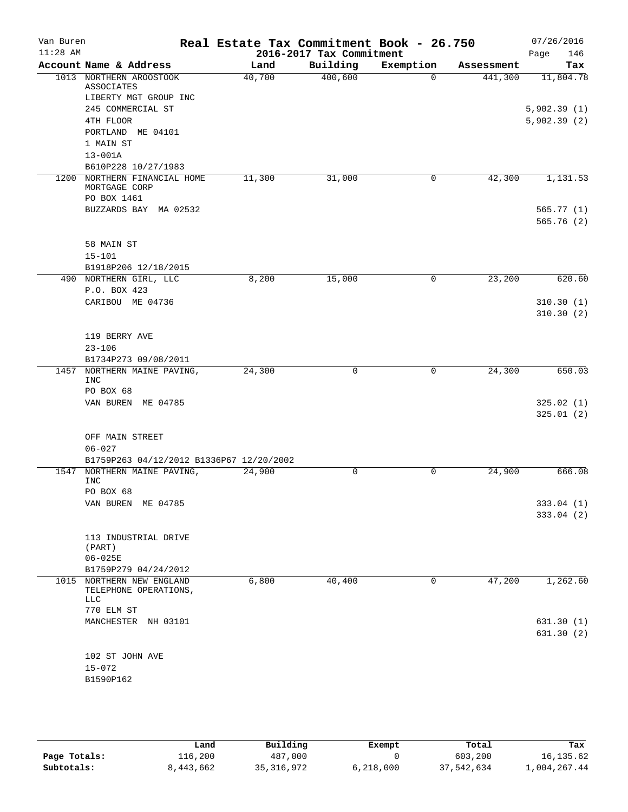| Van Buren  |                                          | Real Estate Tax Commitment Book - 26.750 |                          |           |            | 07/26/2016  |
|------------|------------------------------------------|------------------------------------------|--------------------------|-----------|------------|-------------|
| $11:28$ AM |                                          |                                          | 2016-2017 Tax Commitment |           |            | 146<br>Page |
|            | Account Name & Address                   | Land                                     | Building                 | Exemption | Assessment | Tax         |
|            | 1013 NORTHERN AROOSTOOK<br>ASSOCIATES    | 40,700                                   | 400,600                  | $\Omega$  | 441,300    | 11,804.78   |
|            | LIBERTY MGT GROUP INC                    |                                          |                          |           |            |             |
|            | 245 COMMERCIAL ST                        |                                          |                          |           |            | 5,902.39(1) |
|            | 4TH FLOOR                                |                                          |                          |           |            | 5,902.39(2) |
|            | PORTLAND ME 04101                        |                                          |                          |           |            |             |
|            | 1 MAIN ST                                |                                          |                          |           |            |             |
|            | $13 - 001A$                              |                                          |                          |           |            |             |
|            | B610P228 10/27/1983                      |                                          |                          |           |            |             |
| 1200       | NORTHERN FINANCIAL HOME<br>MORTGAGE CORP | 11,300                                   | 31,000                   | 0         | 42,300     | 1,131.53    |
|            | PO BOX 1461                              |                                          |                          |           |            |             |
|            | BUZZARDS BAY MA 02532                    |                                          |                          |           |            | 565.77(1)   |
|            |                                          |                                          |                          |           |            | 565.76(2)   |
|            | 58 MAIN ST                               |                                          |                          |           |            |             |
|            | $15 - 101$                               |                                          |                          |           |            |             |
|            | B1918P206 12/18/2015                     |                                          |                          |           |            |             |
|            | 490 NORTHERN GIRL, LLC                   | 8,200                                    | 15,000                   | 0         | 23,200     | 620.60      |
|            | P.O. BOX 423                             |                                          |                          |           |            |             |
|            | CARIBOU ME 04736                         |                                          |                          |           |            | 310.30(1)   |
|            |                                          |                                          |                          |           |            | 310.30(2)   |
|            | 119 BERRY AVE                            |                                          |                          |           |            |             |
|            | $23 - 106$                               |                                          |                          |           |            |             |
|            | B1734P273 09/08/2011                     |                                          |                          |           |            |             |
| 1457       | NORTHERN MAINE PAVING,                   | 24,300                                   | 0                        | 0         | 24,300     | 650.03      |
|            | <b>INC</b>                               |                                          |                          |           |            |             |
|            | PO BOX 68                                |                                          |                          |           |            |             |
|            | VAN BUREN ME 04785                       |                                          |                          |           |            | 325.02(1)   |
|            |                                          |                                          |                          |           |            | 325.01(2)   |
|            | OFF MAIN STREET                          |                                          |                          |           |            |             |
|            | $06 - 027$                               |                                          |                          |           |            |             |
|            | B1759P263 04/12/2012 B1336P67 12/20/2002 |                                          |                          |           |            |             |
| 1547       | NORTHERN MAINE PAVING,                   | 24,900                                   | 0                        | 0         | 24,900     | 666.08      |
|            | <b>INC</b>                               |                                          |                          |           |            |             |
|            | PO BOX 68                                |                                          |                          |           |            |             |
|            | VAN BUREN ME 04785                       |                                          |                          |           |            | 333.04 (1)  |
|            |                                          |                                          |                          |           |            | 333.04 (2)  |
|            | 113 INDUSTRIAL DRIVE                     |                                          |                          |           |            |             |
|            | (PART)                                   |                                          |                          |           |            |             |
|            | $06 - 025E$                              |                                          |                          |           |            |             |
|            | B1759P279 04/24/2012                     |                                          |                          |           |            |             |
| 1015       | NORTHERN NEW ENGLAND                     | 6,800                                    | 40,400                   | 0         | 47,200     | 1,262.60    |
|            | TELEPHONE OPERATIONS,<br>LLC             |                                          |                          |           |            |             |
|            | 770 ELM ST                               |                                          |                          |           |            |             |
|            | MANCHESTER NH 03101                      |                                          |                          |           |            | 631.30(1)   |
|            |                                          |                                          |                          |           |            | 631.30 (2)  |
|            |                                          |                                          |                          |           |            |             |
|            | 102 ST JOHN AVE                          |                                          |                          |           |            |             |
|            | $15 - 072$                               |                                          |                          |           |            |             |
|            | B1590P162                                |                                          |                          |           |            |             |
|            |                                          |                                          |                          |           |            |             |

|              | Land      | Building     | Exempt    | Total      | Tax          |
|--------------|-----------|--------------|-----------|------------|--------------|
| Page Totals: | 116,200   | 487,000      |           | 603,200    | 16,135.62    |
| Subtotals:   | 8,443,662 | 35, 316, 972 | 6,218,000 | 37,542,634 | 1,004,267.44 |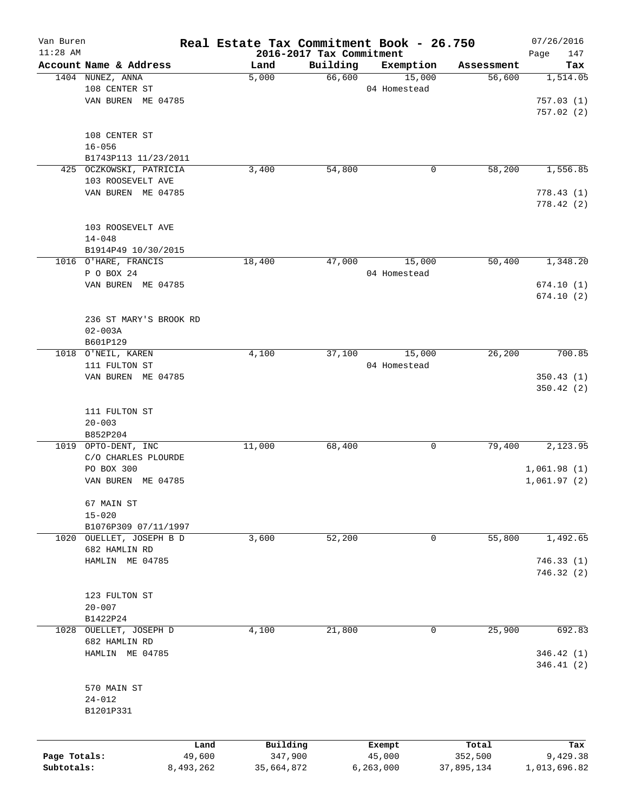| Van Buren    |                                  | Real Estate Tax Commitment Book - 26.750 |                                      |                     |            | 07/26/2016      |
|--------------|----------------------------------|------------------------------------------|--------------------------------------|---------------------|------------|-----------------|
| $11:28$ AM   | Account Name & Address           |                                          | 2016-2017 Tax Commitment<br>Building |                     | Assessment | Page<br>147     |
|              | 1404 NUNEZ, ANNA                 | Land<br>5,000                            | 66,600                               | Exemption<br>15,000 | 56,600     | Tax<br>1,514.05 |
|              | 108 CENTER ST                    |                                          |                                      | 04 Homestead        |            |                 |
|              | VAN BUREN ME 04785               |                                          |                                      |                     |            | 757.03(1)       |
|              |                                  |                                          |                                      |                     |            | 757.02(2)       |
|              |                                  |                                          |                                      |                     |            |                 |
|              | 108 CENTER ST                    |                                          |                                      |                     |            |                 |
|              | $16 - 056$                       |                                          |                                      |                     |            |                 |
|              | B1743P113 11/23/2011             |                                          |                                      |                     |            |                 |
|              | 425 OCZKOWSKI, PATRICIA          | 3,400                                    | 54,800                               | 0                   | 58,200     | 1,556.85        |
|              | 103 ROOSEVELT AVE                |                                          |                                      |                     |            |                 |
|              | VAN BUREN ME 04785               |                                          |                                      |                     |            | 778.43(1)       |
|              |                                  |                                          |                                      |                     |            | 778.42 (2)      |
|              |                                  |                                          |                                      |                     |            |                 |
|              | 103 ROOSEVELT AVE                |                                          |                                      |                     |            |                 |
|              | $14 - 048$                       |                                          |                                      |                     |            |                 |
|              | B1914P49 10/30/2015              |                                          |                                      | 15,000              | 50,400     |                 |
|              | 1016 O'HARE, FRANCIS             | 18,400                                   | 47,000                               |                     |            | 1,348.20        |
|              | P O BOX 24<br>VAN BUREN ME 04785 |                                          |                                      | 04 Homestead        |            | 674.10(1)       |
|              |                                  |                                          |                                      |                     |            | 674.10(2)       |
|              |                                  |                                          |                                      |                     |            |                 |
|              | 236 ST MARY'S BROOK RD           |                                          |                                      |                     |            |                 |
|              | $02 - 003A$                      |                                          |                                      |                     |            |                 |
|              | B601P129                         |                                          |                                      |                     |            |                 |
|              | 1018 O'NEIL, KAREN               | 4,100                                    | 37,100                               | 15,000              | 26,200     | 700.85          |
|              | 111 FULTON ST                    |                                          |                                      | 04 Homestead        |            |                 |
|              | VAN BUREN ME 04785               |                                          |                                      |                     |            | 350.43(1)       |
|              |                                  |                                          |                                      |                     |            | 350.42(2)       |
|              |                                  |                                          |                                      |                     |            |                 |
|              | 111 FULTON ST                    |                                          |                                      |                     |            |                 |
|              | $20 - 003$                       |                                          |                                      |                     |            |                 |
|              | B852P204                         |                                          |                                      |                     |            |                 |
|              | 1019 OPTO-DENT, INC              | 11,000                                   | 68,400                               | 0                   | 79,400     | 2,123.95        |
|              | C/O CHARLES PLOURDE              |                                          |                                      |                     |            |                 |
|              | PO BOX 300                       |                                          |                                      |                     |            | 1,061.98(1)     |
|              | VAN BUREN ME 04785               |                                          |                                      |                     |            | 1,061.97(2)     |
|              | 67 MAIN ST                       |                                          |                                      |                     |            |                 |
|              | $15 - 020$                       |                                          |                                      |                     |            |                 |
|              | B1076P309 07/11/1997             |                                          |                                      |                     |            |                 |
|              | 1020 OUELLET, JOSEPH B D         | 3,600                                    | 52,200                               | 0                   | 55,800     | 1,492.65        |
|              | 682 HAMLIN RD                    |                                          |                                      |                     |            |                 |
|              | HAMLIN ME 04785                  |                                          |                                      |                     |            | 746.33(1)       |
|              |                                  |                                          |                                      |                     |            | 746.32(2)       |
|              |                                  |                                          |                                      |                     |            |                 |
|              | 123 FULTON ST                    |                                          |                                      |                     |            |                 |
|              | $20 - 007$                       |                                          |                                      |                     |            |                 |
|              | B1422P24                         |                                          |                                      |                     |            |                 |
| 1028         | OUELLET, JOSEPH D                | 4,100                                    | 21,800                               | 0                   | 25,900     | 692.83          |
|              | 682 HAMLIN RD                    |                                          |                                      |                     |            |                 |
|              | HAMLIN ME 04785                  |                                          |                                      |                     |            | 346.42(1)       |
|              |                                  |                                          |                                      |                     |            | 346.41(2)       |
|              |                                  |                                          |                                      |                     |            |                 |
|              | 570 MAIN ST                      |                                          |                                      |                     |            |                 |
|              | $24 - 012$                       |                                          |                                      |                     |            |                 |
|              | B1201P331                        |                                          |                                      |                     |            |                 |
|              |                                  |                                          |                                      |                     |            |                 |
|              |                                  | Building<br>Land                         |                                      | Exempt              | Total      | Tax             |
| Page Totals: | 49,600                           | 347,900                                  |                                      | 45,000              | 352,500    | 9,429.38        |
| Subtotals:   | 8,493,262                        | 35,664,872                               |                                      | 6,263,000           | 37,895,134 | 1,013,696.82    |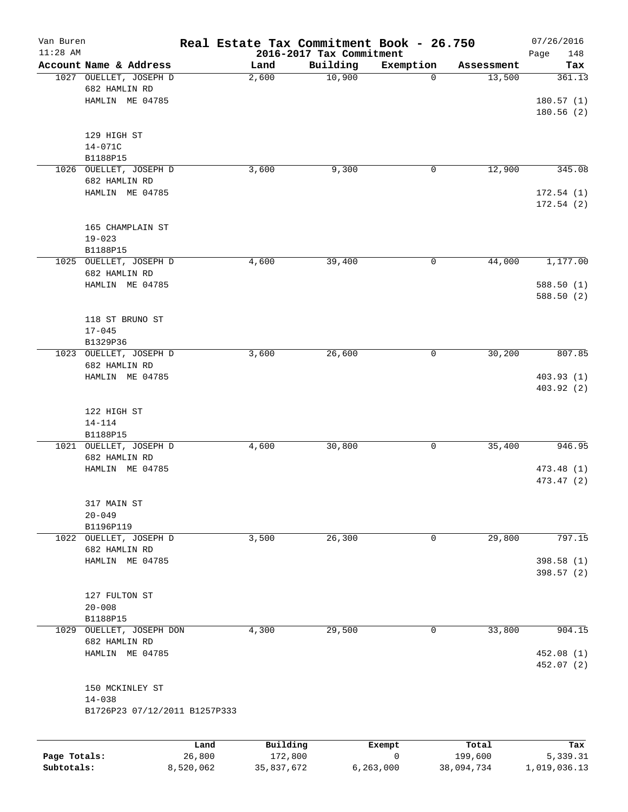| Van Buren<br>$11:28$ AM |                                                            |        |          | 2016-2017 Tax Commitment | Real Estate Tax Commitment Book - 26.750 |            | 07/26/2016<br>148<br>Page |
|-------------------------|------------------------------------------------------------|--------|----------|--------------------------|------------------------------------------|------------|---------------------------|
|                         | Account Name & Address                                     |        | Land     | Building                 | Exemption                                | Assessment | Tax                       |
|                         | 1027 OUELLET, JOSEPH D<br>682 HAMLIN RD<br>HAMLIN ME 04785 |        | 2,600    | 10,900                   | $\mathbf 0$                              | 13,500     | 361.13<br>180.57(1)       |
|                         | 129 HIGH ST                                                |        |          |                          |                                          |            | 180.56 (2)                |
|                         | 14-071C<br>B1188P15                                        |        |          |                          |                                          |            |                           |
|                         | 1026 OUELLET, JOSEPH D<br>682 HAMLIN RD                    |        | 3,600    | 9,300                    | 0                                        | 12,900     | 345.08                    |
|                         | HAMLIN ME 04785                                            |        |          |                          |                                          |            | 172.54(1)                 |
|                         |                                                            |        |          |                          |                                          |            | 172.54(2)                 |
|                         | 165 CHAMPLAIN ST                                           |        |          |                          |                                          |            |                           |
|                         | $19 - 023$<br>B1188P15                                     |        |          |                          |                                          |            |                           |
|                         | 1025 OUELLET, JOSEPH D                                     |        | 4,600    | 39,400                   | 0                                        | 44,000     | 1,177.00                  |
|                         | 682 HAMLIN RD<br>HAMLIN ME 04785                           |        |          |                          |                                          |            | 588.50(1)                 |
|                         |                                                            |        |          |                          |                                          |            | 588.50 (2)                |
|                         | 118 ST BRUNO ST                                            |        |          |                          |                                          |            |                           |
|                         | $17 - 045$<br>B1329P36                                     |        |          |                          |                                          |            |                           |
|                         | 1023 OUELLET, JOSEPH D                                     |        | 3,600    | 26,600                   | $\mathsf{O}$                             | 30,200     | 807.85                    |
|                         | 682 HAMLIN RD<br>HAMLIN ME 04785                           |        |          |                          |                                          |            | 403.93(1)                 |
|                         |                                                            |        |          |                          |                                          |            | 403.92 (2)                |
|                         | 122 HIGH ST                                                |        |          |                          |                                          |            |                           |
|                         | $14 - 114$<br>B1188P15                                     |        |          |                          |                                          |            |                           |
|                         | 1021 OUELLET, JOSEPH D                                     |        | 4,600    | 30,800                   | 0                                        | 35,400     | 946.95                    |
|                         | 682 HAMLIN RD<br>HAMLIN ME 04785                           |        |          |                          |                                          |            | 473.48 (1)                |
|                         |                                                            |        |          |                          |                                          |            | 473.47 (2)                |
|                         | 317 MAIN ST                                                |        |          |                          |                                          |            |                           |
|                         | $20 - 049$<br>B1196P119                                    |        |          |                          |                                          |            |                           |
|                         | 1022 OUELLET, JOSEPH D                                     |        | 3,500    | 26,300                   | 0                                        | 29,800     | 797.15                    |
|                         | 682 HAMLIN RD<br>HAMLIN ME 04785                           |        |          |                          |                                          |            | 398.58 (1)                |
|                         |                                                            |        |          |                          |                                          |            | 398.57 (2)                |
|                         | 127 FULTON ST                                              |        |          |                          |                                          |            |                           |
|                         | $20 - 008$                                                 |        |          |                          |                                          |            |                           |
| 1029                    | B1188P15<br>OUELLET, JOSEPH DON                            |        | 4,300    | 29,500                   | 0                                        | 33,800     | 904.15                    |
|                         | 682 HAMLIN RD                                              |        |          |                          |                                          |            |                           |
|                         | HAMLIN ME 04785                                            |        |          |                          |                                          |            | 452.08 (1)<br>452.07 (2)  |
|                         | 150 MCKINLEY ST                                            |        |          |                          |                                          |            |                           |
|                         | $14 - 038$<br>B1726P23 07/12/2011 B1257P333                |        |          |                          |                                          |            |                           |
|                         |                                                            |        |          |                          |                                          |            |                           |
|                         |                                                            | Land   | Building |                          | Exempt                                   | Total      | Tax                       |
| Page Totals:            |                                                            | 26,800 | 172,800  |                          | 0                                        | 199,600    | 5,339.31                  |

**Subtotals:** 8,520,062 35,837,672 6,263,000 38,094,734 1,019,036.13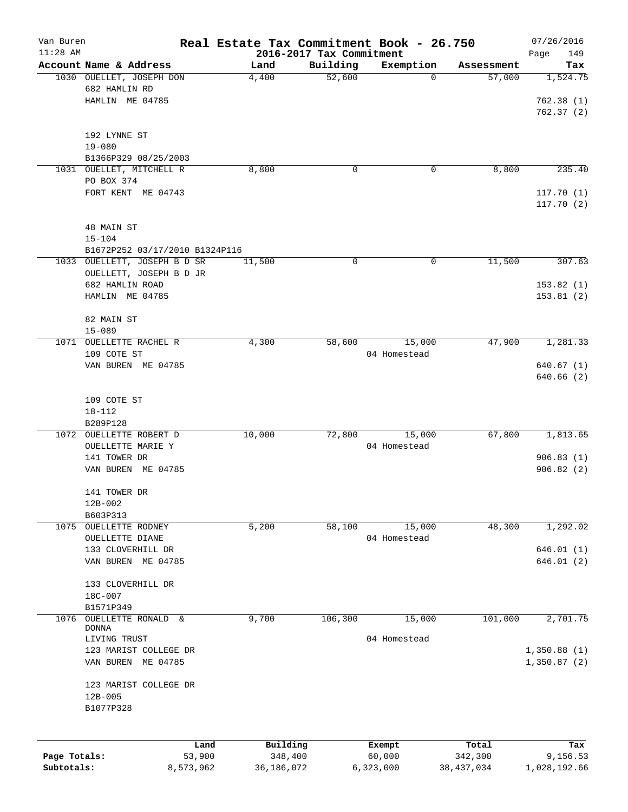| Van Buren    |                                    | Real Estate Tax Commitment Book - 26.750 |          |              |              | 07/26/2016   |
|--------------|------------------------------------|------------------------------------------|----------|--------------|--------------|--------------|
| $11:28$ AM   |                                    | 2016-2017 Tax Commitment                 |          |              |              | Page<br>149  |
|              | Account Name & Address             | Land                                     | Building | Exemption    | Assessment   | Tax          |
|              | 1030 OUELLET, JOSEPH DON           | 4,400                                    | 52,600   | 0            | 57,000       | 1,524.75     |
|              | 682 HAMLIN RD                      |                                          |          |              |              |              |
|              | HAMLIN ME 04785                    |                                          |          |              |              | 762.38(1)    |
|              |                                    |                                          |          |              |              | 762.37(2)    |
|              |                                    |                                          |          |              |              |              |
|              | 192 LYNNE ST                       |                                          |          |              |              |              |
|              | $19 - 080$<br>B1366P329 08/25/2003 |                                          |          |              |              |              |
| 1031         | OUELLET, MITCHELL R                | 8,800                                    | 0        | 0            | 8,800        | 235.40       |
|              | PO BOX 374                         |                                          |          |              |              |              |
|              | FORT KENT ME 04743                 |                                          |          |              |              | 117.70(1)    |
|              |                                    |                                          |          |              |              | 117.70(2)    |
|              |                                    |                                          |          |              |              |              |
|              | 48 MAIN ST                         |                                          |          |              |              |              |
|              | $15 - 104$                         |                                          |          |              |              |              |
|              | B1672P252 03/17/2010 B1324P116     |                                          |          |              |              |              |
|              | 1033 OUELLETT, JOSEPH B D SR       | 11,500                                   | 0        | 0            | 11,500       | 307.63       |
|              | OUELLETT, JOSEPH B D JR            |                                          |          |              |              |              |
|              | 682 HAMLIN ROAD                    |                                          |          |              |              | 153.82(1)    |
|              | HAMLIN ME 04785                    |                                          |          |              |              | 153.81(2)    |
|              |                                    |                                          |          |              |              |              |
|              | 82 MAIN ST                         |                                          |          |              |              |              |
|              | $15 - 089$                         |                                          |          |              |              |              |
| 1071         | OUELLETTE RACHEL R                 | 4,300                                    | 58,600   | 15,000       | 47,900       | 1,281.33     |
|              | 109 COTE ST                        |                                          |          | 04 Homestead |              |              |
|              | VAN BUREN ME 04785                 |                                          |          |              |              | 640.67(1)    |
|              |                                    |                                          |          |              |              | 640.66 (2)   |
|              |                                    |                                          |          |              |              |              |
|              | 109 COTE ST                        |                                          |          |              |              |              |
|              | $18 - 112$                         |                                          |          |              |              |              |
|              | B289P128                           |                                          |          |              |              |              |
| 1072         | OUELLETTE ROBERT D                 | 10,000                                   | 72,800   | 15,000       | 67,800       | 1,813.65     |
|              | OUELLETTE MARIE Y                  |                                          |          | 04 Homestead |              |              |
|              | 141 TOWER DR                       |                                          |          |              |              | 906.83(1)    |
|              | VAN BUREN ME 04785                 |                                          |          |              |              | 906.82(2)    |
|              |                                    |                                          |          |              |              |              |
|              | 141 TOWER DR                       |                                          |          |              |              |              |
|              | 12B-002                            |                                          |          |              |              |              |
|              | B603P313                           |                                          |          |              |              |              |
| 1075         | OUELLETTE RODNEY                   | 5,200                                    | 58,100   | 15,000       | 48,300       | 1,292.02     |
|              | OUELLETTE DIANE                    |                                          |          | 04 Homestead |              |              |
|              | 133 CLOVERHILL DR                  |                                          |          |              |              | 646.01(1)    |
|              | VAN BUREN ME 04785                 |                                          |          |              |              | 646.01(2)    |
|              |                                    |                                          |          |              |              |              |
|              | 133 CLOVERHILL DR                  |                                          |          |              |              |              |
|              | 18C-007                            |                                          |          |              |              |              |
|              | B1571P349                          |                                          |          |              |              |              |
| 1076         | OUELLETTE RONALD &                 | 9,700                                    | 106,300  | 15,000       | 101,000      | 2,701.75     |
|              | <b>DONNA</b>                       |                                          |          |              |              |              |
|              | LIVING TRUST                       |                                          |          | 04 Homestead |              |              |
|              | 123 MARIST COLLEGE DR              |                                          |          |              |              | 1,350.88(1)  |
|              | VAN BUREN ME 04785                 |                                          |          |              |              | 1,350.87(2)  |
|              |                                    |                                          |          |              |              |              |
|              | 123 MARIST COLLEGE DR              |                                          |          |              |              |              |
|              | $12B - 005$                        |                                          |          |              |              |              |
|              | B1077P328                          |                                          |          |              |              |              |
|              |                                    |                                          |          |              |              |              |
|              | Land                               | Building                                 |          | Exempt       | Total        | Tax          |
| Page Totals: | 53,900                             | 348,400                                  |          | 60,000       | 342,300      | 9,156.53     |
| Subtotals:   | 8,573,962                          | 36, 186, 072                             |          | 6,323,000    | 38, 437, 034 | 1,028,192.66 |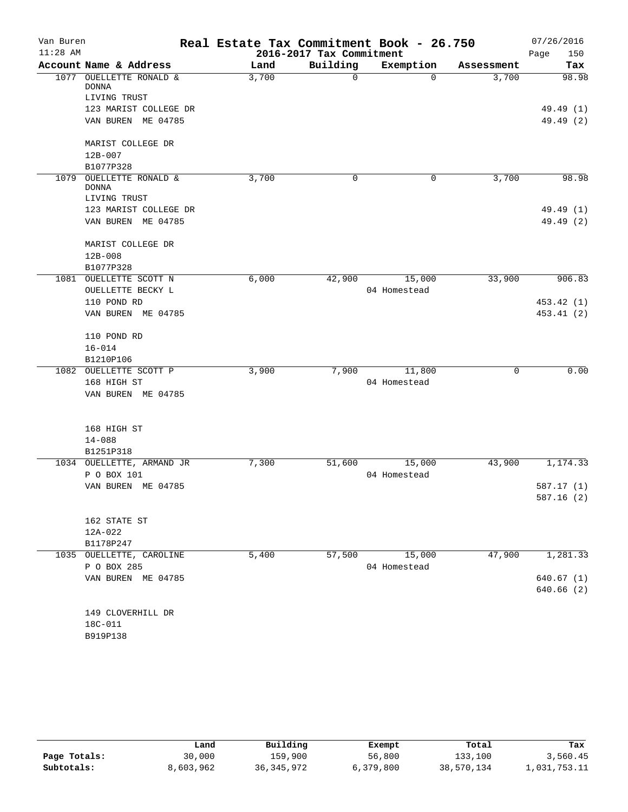| Van Buren<br>$11:28$ AM |                                    | Real Estate Tax Commitment Book - 26.750<br>2016-2017 Tax Commitment |             |              |            | 07/26/2016<br>150<br>Page |  |
|-------------------------|------------------------------------|----------------------------------------------------------------------|-------------|--------------|------------|---------------------------|--|
|                         | Account Name & Address             | Land                                                                 | Building    | Exemption    | Assessment | Tax                       |  |
| 1077                    | OUELLETTE RONALD &<br><b>DONNA</b> | 3,700                                                                | $\mathbf 0$ | $\Omega$     | 3,700      | 98.98                     |  |
|                         | LIVING TRUST                       |                                                                      |             |              |            |                           |  |
|                         | 123 MARIST COLLEGE DR              |                                                                      |             |              |            | 49.49 (1)                 |  |
|                         | VAN BUREN ME 04785                 |                                                                      |             |              |            | 49.49 (2)                 |  |
|                         | MARIST COLLEGE DR                  |                                                                      |             |              |            |                           |  |
|                         | 12B-007                            |                                                                      |             |              |            |                           |  |
|                         | B1077P328                          |                                                                      |             |              |            |                           |  |
| 1079                    | OUELLETTE RONALD &<br><b>DONNA</b> | 3,700                                                                | 0           | 0            | 3,700      | 98.98                     |  |
|                         | LIVING TRUST                       |                                                                      |             |              |            |                           |  |
|                         | 123 MARIST COLLEGE DR              |                                                                      |             |              |            | 49.49 (1)                 |  |
|                         | VAN BUREN ME 04785                 |                                                                      |             |              |            | 49.49 (2)                 |  |
|                         | MARIST COLLEGE DR                  |                                                                      |             |              |            |                           |  |
|                         | 12B-008                            |                                                                      |             |              |            |                           |  |
|                         | B1077P328                          |                                                                      |             |              |            |                           |  |
| 1081                    | OUELLETTE SCOTT N                  | 6,000                                                                | 42,900      | 15,000       | 33,900     | 906.83                    |  |
|                         | OUELLETTE BECKY L                  |                                                                      |             | 04 Homestead |            |                           |  |
|                         | 110 POND RD                        |                                                                      |             |              |            | 453.42 (1)                |  |
|                         | VAN BUREN ME 04785                 |                                                                      |             |              |            | 453.41(2)                 |  |
|                         | 110 POND RD                        |                                                                      |             |              |            |                           |  |
|                         | $16 - 014$                         |                                                                      |             |              |            |                           |  |
|                         | B1210P106                          |                                                                      |             |              |            |                           |  |
|                         | 1082 OUELLETTE SCOTT P             | 3,900                                                                | 7,900       | 11,800       | 0          | 0.00                      |  |
|                         | 168 HIGH ST                        |                                                                      |             | 04 Homestead |            |                           |  |
|                         | VAN BUREN ME 04785                 |                                                                      |             |              |            |                           |  |
|                         | 168 HIGH ST                        |                                                                      |             |              |            |                           |  |
|                         | $14 - 088$                         |                                                                      |             |              |            |                           |  |
|                         | B1251P318                          |                                                                      |             |              |            |                           |  |
|                         | 1034 OUELLETTE, ARMAND JR          | 7,300                                                                | 51,600      | 15,000       | 43,900     | 1,174.33                  |  |
|                         | P O BOX 101                        |                                                                      |             | 04 Homestead |            |                           |  |
|                         | VAN BUREN ME 04785                 |                                                                      |             |              |            | 587.17 (1)                |  |
|                         |                                    |                                                                      |             |              |            | 587.16(2)                 |  |
|                         | 162 STATE ST                       |                                                                      |             |              |            |                           |  |
|                         | 12A-022                            |                                                                      |             |              |            |                           |  |
|                         | B1178P247                          |                                                                      |             |              |            |                           |  |
|                         | 1035 OUELLETTE, CAROLINE           | 5,400                                                                | 57,500      | 15,000       | 47,900     | 1,281.33                  |  |
|                         | P O BOX 285                        |                                                                      |             | 04 Homestead |            |                           |  |
|                         | VAN BUREN ME 04785                 |                                                                      |             |              |            | 640.67 (1)                |  |
|                         |                                    |                                                                      |             |              |            | 640.66 (2)                |  |
|                         | 149 CLOVERHILL DR                  |                                                                      |             |              |            |                           |  |
|                         | 18C-011                            |                                                                      |             |              |            |                           |  |
|                         | B919P138                           |                                                                      |             |              |            |                           |  |
|                         |                                    |                                                                      |             |              |            |                           |  |

|              | Land      | Building     | Exempt    | Total      | Tax          |
|--------------|-----------|--------------|-----------|------------|--------------|
| Page Totals: | 30,000    | 159,900      | 56,800    | 133,100    | 3,560.45     |
| Subtotals:   | 8,603,962 | 36, 345, 972 | 6,379,800 | 38,570,134 | 1,031,753.11 |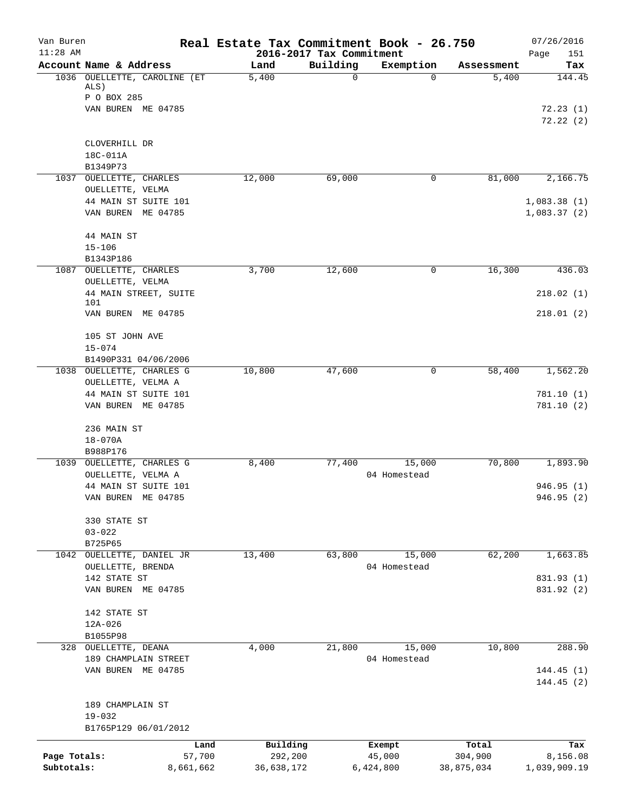| Van Buren<br>$11:28$ AM    |                                              | Real Estate Tax Commitment Book - 26.750 | 2016-2017 Tax Commitment |                        |                       | 07/26/2016<br>Page<br>151 |
|----------------------------|----------------------------------------------|------------------------------------------|--------------------------|------------------------|-----------------------|---------------------------|
|                            | Account Name & Address                       | Land                                     | Building                 | Exemption              | Assessment            | Tax                       |
|                            | 1036 OUELLETTE, CAROLINE (ET<br>ALS)         | 5,400                                    | $\mathbf 0$              | 0                      | 5,400                 | 144.45                    |
|                            | P O BOX 285<br>VAN BUREN ME 04785            |                                          |                          |                        |                       | 72.23(1)                  |
|                            |                                              |                                          |                          |                        |                       | 72.22(2)                  |
|                            | CLOVERHILL DR                                |                                          |                          |                        |                       |                           |
|                            | 18C-011A<br>B1349P73                         |                                          |                          |                        |                       |                           |
|                            | 1037 OUELLETTE, CHARLES                      | 12,000                                   | 69,000                   | 0                      | 81,000                | 2,166.75                  |
|                            | OUELLETTE, VELMA                             |                                          |                          |                        |                       |                           |
|                            | 44 MAIN ST SUITE 101                         |                                          |                          |                        |                       | 1,083.38(1)               |
|                            | VAN BUREN ME 04785                           |                                          |                          |                        |                       | 1,083.37(2)               |
|                            | 44 MAIN ST                                   |                                          |                          |                        |                       |                           |
|                            | $15 - 106$                                   |                                          |                          |                        |                       |                           |
|                            | B1343P186<br>1087 OUELLETTE, CHARLES         | 3,700                                    | 12,600                   | 0                      | 16,300                | 436.03                    |
|                            | OUELLETTE, VELMA                             |                                          |                          |                        |                       |                           |
|                            | 44 MAIN STREET, SUITE                        |                                          |                          |                        |                       | 218.02(1)                 |
|                            | 101<br>VAN BUREN ME 04785                    |                                          |                          |                        |                       | 218.01(2)                 |
|                            | 105 ST JOHN AVE                              |                                          |                          |                        |                       |                           |
|                            | $15 - 074$<br>B1490P331 04/06/2006           |                                          |                          |                        |                       |                           |
|                            | 1038 OUELLETTE, CHARLES G                    | 10,800                                   | 47,600                   | 0                      | 58,400                | 1,562.20                  |
|                            | OUELLETTE, VELMA A                           |                                          |                          |                        |                       |                           |
|                            | 44 MAIN ST SUITE 101                         |                                          |                          |                        |                       | 781.10(1)                 |
|                            | VAN BUREN ME 04785                           |                                          |                          |                        |                       | 781.10 (2)                |
|                            | 236 MAIN ST                                  |                                          |                          |                        |                       |                           |
|                            | $18 - 070A$                                  |                                          |                          |                        |                       |                           |
|                            | B988P176<br>1039 OUELLETTE, CHARLES G        | 8,400                                    | 77,400                   | 15,000                 | 70,800                | 1,893.90                  |
|                            | OUELLETTE, VELMA A                           |                                          |                          | 04 Homestead           |                       |                           |
|                            | 44 MAIN ST SUITE 101                         |                                          |                          |                        |                       | 946.95(1)                 |
|                            | VAN BUREN ME 04785                           |                                          |                          |                        |                       | 946.95 (2)                |
|                            | 330 STATE ST                                 |                                          |                          |                        |                       |                           |
|                            | $03 - 022$                                   |                                          |                          |                        |                       |                           |
|                            | B725P65                                      |                                          |                          |                        |                       |                           |
| 1042                       | OUELLETTE, DANIEL JR                         | 13,400                                   | 63,800                   | 15,000<br>04 Homestead | 62,200                | 1,663.85                  |
|                            | OUELLETTE, BRENDA<br>142 STATE ST            |                                          |                          |                        |                       | 831.93 (1)                |
|                            | VAN BUREN ME 04785                           |                                          |                          |                        |                       | 831.92 (2)                |
|                            | 142 STATE ST                                 |                                          |                          |                        |                       |                           |
|                            | 12A-026                                      |                                          |                          |                        |                       |                           |
|                            | B1055P98                                     |                                          |                          |                        |                       |                           |
|                            | 328 OUELLETTE, DEANA<br>189 CHAMPLAIN STREET | 4,000                                    | 21,800                   | 15,000<br>04 Homestead | 10,800                | 288.90                    |
|                            | VAN BUREN ME 04785                           |                                          |                          |                        |                       | 144.45(1)                 |
|                            |                                              |                                          |                          |                        |                       | 144.45(2)                 |
|                            | 189 CHAMPLAIN ST                             |                                          |                          |                        |                       |                           |
|                            | $19 - 032$                                   |                                          |                          |                        |                       |                           |
|                            | B1765P129 06/01/2012                         |                                          |                          |                        |                       |                           |
|                            | Land                                         | Building                                 |                          | Exempt                 | Total                 | Tax                       |
| Page Totals:<br>Subtotals: | 57,700<br>8,661,662                          | 292,200<br>36,638,172                    |                          | 45,000<br>6,424,800    | 304,900<br>38,875,034 | 8,156.08<br>1,039,909.19  |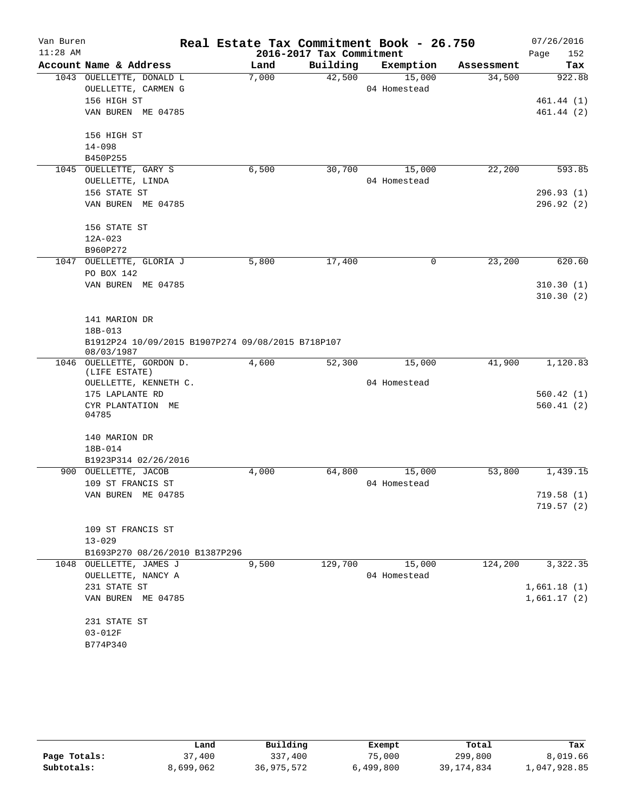| Van Buren  |                                                                 |       |                          | Real Estate Tax Commitment Book - 26.750 |            | 07/26/2016  |
|------------|-----------------------------------------------------------------|-------|--------------------------|------------------------------------------|------------|-------------|
| $11:28$ AM |                                                                 |       | 2016-2017 Tax Commitment |                                          |            | 152<br>Page |
|            | Account Name & Address                                          | Land  | Building                 | Exemption                                | Assessment | Tax         |
|            | 1043 OUELLETTE, DONALD L                                        | 7,000 | 42,500                   | 15,000                                   | 34,500     | 922.88      |
|            | OUELLETTE, CARMEN G                                             |       |                          | 04 Homestead                             |            |             |
|            | 156 HIGH ST                                                     |       |                          |                                          |            | 461.44 (1)  |
|            | VAN BUREN ME 04785                                              |       |                          |                                          |            | 461.44(2)   |
|            | 156 HIGH ST                                                     |       |                          |                                          |            |             |
|            | $14 - 098$                                                      |       |                          |                                          |            |             |
|            | B450P255                                                        |       |                          |                                          |            |             |
|            | 1045 OUELLETTE, GARY S                                          | 6,500 | 30,700                   | 15,000                                   | 22,200     | 593.85      |
|            | OUELLETTE, LINDA                                                |       |                          | 04 Homestead                             |            |             |
|            | 156 STATE ST                                                    |       |                          |                                          |            | 296.93(1)   |
|            | VAN BUREN ME 04785                                              |       |                          |                                          |            | 296.92 (2)  |
|            | 156 STATE ST                                                    |       |                          |                                          |            |             |
|            | $12A-023$                                                       |       |                          |                                          |            |             |
|            | B960P272                                                        |       |                          |                                          |            |             |
|            | 1047 OUELLETTE, GLORIA J                                        | 5,800 | 17,400                   | $\mathbf 0$                              | 23,200     | 620.60      |
|            | PO BOX 142                                                      |       |                          |                                          |            |             |
|            | VAN BUREN ME 04785                                              |       |                          |                                          |            | 310.30(1)   |
|            |                                                                 |       |                          |                                          |            | 310.30(2)   |
|            | 141 MARION DR                                                   |       |                          |                                          |            |             |
|            | 18B-013                                                         |       |                          |                                          |            |             |
|            | B1912P24 10/09/2015 B1907P274 09/08/2015 B718P107<br>08/03/1987 |       |                          |                                          |            |             |
|            | 1046 OUELLETTE, GORDON D.                                       | 4,600 | 52,300                   | 15,000                                   | 41,900     | 1,120.83    |
|            | (LIFE ESTATE)                                                   |       |                          |                                          |            |             |
|            | OUELLETTE, KENNETH C.                                           |       |                          | 04 Homestead                             |            |             |
|            | 175 LAPLANTE RD                                                 |       |                          |                                          |            | 560.42(1)   |
|            | CYR PLANTATION ME<br>04785                                      |       |                          |                                          |            | 560.41(2)   |
|            |                                                                 |       |                          |                                          |            |             |
|            | 140 MARION DR                                                   |       |                          |                                          |            |             |
|            | 18B-014                                                         |       |                          |                                          |            |             |
|            | B1923P314 02/26/2016                                            |       |                          |                                          |            |             |
|            | 900 OUELLETTE, JACOB                                            | 4,000 | 64,800                   | 15,000                                   | 53,800     | 1,439.15    |
|            | 109 ST FRANCIS ST                                               |       |                          | 04 Homestead                             |            |             |
|            | VAN BUREN ME 04785                                              |       |                          |                                          |            | 719.58 (1)  |
|            |                                                                 |       |                          |                                          |            | 719.57(2)   |
|            | 109 ST FRANCIS ST                                               |       |                          |                                          |            |             |
|            | $13 - 029$                                                      |       |                          |                                          |            |             |
|            | B1693P270 08/26/2010 B1387P296                                  |       |                          |                                          |            |             |
|            | 1048 OUELLETTE, JAMES J                                         | 9,500 | 129,700                  | 15,000                                   | 124,200    | 3,322.35    |
|            | OUELLETTE, NANCY A                                              |       |                          | 04 Homestead                             |            |             |
|            | 231 STATE ST                                                    |       |                          |                                          |            | 1,661.18(1) |
|            | VAN BUREN ME 04785                                              |       |                          |                                          |            | 1,661.17(2) |
|            | 231 STATE ST                                                    |       |                          |                                          |            |             |
|            | $03 - 012F$                                                     |       |                          |                                          |            |             |
|            | B774P340                                                        |       |                          |                                          |            |             |
|            |                                                                 |       |                          |                                          |            |             |

|              | Land      | Building   | Exempt    | Total      | Tax          |
|--------------|-----------|------------|-----------|------------|--------------|
| Page Totals: | 37,400    | 337,400    | 75,000    | 299,800    | 8,019.66     |
| Subtotals:   | 8,699,062 | 36,975,572 | 6,499,800 | 39,174,834 | 1,047,928.85 |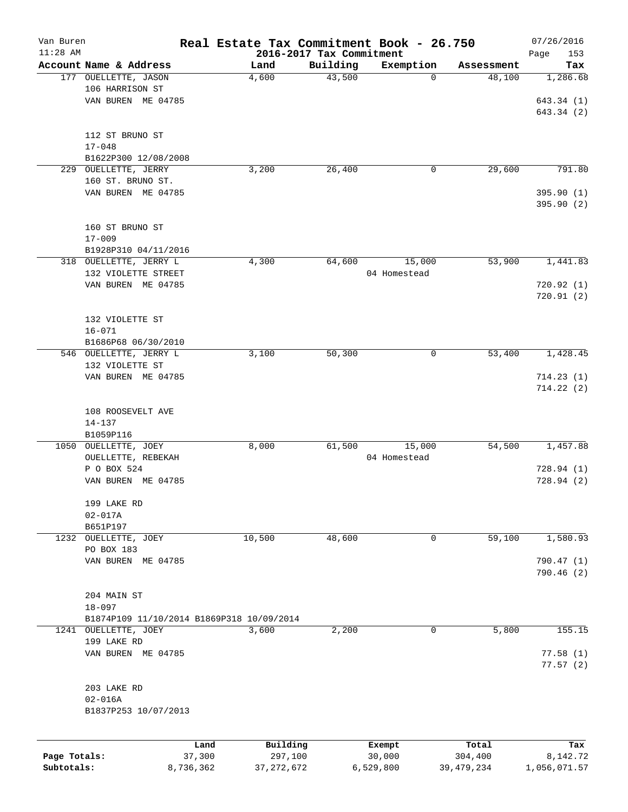| Van Buren    |                                                |           | Real Estate Tax Commitment Book - 26.750  |                          |              |              | 07/26/2016   |
|--------------|------------------------------------------------|-----------|-------------------------------------------|--------------------------|--------------|--------------|--------------|
| $11:28$ AM   |                                                |           |                                           | 2016-2017 Tax Commitment |              |              | Page<br>153  |
|              | Account Name & Address<br>177 OUELLETTE, JASON |           | Land                                      | Building                 | Exemption    | Assessment   | Tax          |
|              |                                                |           | 4,600                                     | 43,500                   | 0            | 48,100       | 1,286.68     |
|              | 106 HARRISON ST                                |           |                                           |                          |              |              |              |
|              | VAN BUREN ME 04785                             |           |                                           |                          |              |              | 643.34 (1)   |
|              |                                                |           |                                           |                          |              |              | 643.34(2)    |
|              |                                                |           |                                           |                          |              |              |              |
|              | 112 ST BRUNO ST                                |           |                                           |                          |              |              |              |
|              | $17 - 048$                                     |           |                                           |                          |              |              |              |
|              | B1622P300 12/08/2008                           |           |                                           |                          |              |              |              |
| 229          | OUELLETTE, JERRY                               |           | 3,200                                     | 26,400                   | 0            | 29,600       | 791.80       |
|              | 160 ST. BRUNO ST.                              |           |                                           |                          |              |              |              |
|              | VAN BUREN ME 04785                             |           |                                           |                          |              |              | 395.90(1)    |
|              |                                                |           |                                           |                          |              |              | 395.90(2)    |
|              |                                                |           |                                           |                          |              |              |              |
|              | 160 ST BRUNO ST                                |           |                                           |                          |              |              |              |
|              | $17 - 009$                                     |           |                                           |                          |              |              |              |
|              | B1928P310 04/11/2016                           |           |                                           |                          |              |              |              |
|              | 318 OUELLETTE, JERRY L                         |           | 4,300                                     | 64,600                   | 15,000       | 53,900       | 1,441.83     |
|              | 132 VIOLETTE STREET                            |           |                                           |                          | 04 Homestead |              |              |
|              | VAN BUREN ME 04785                             |           |                                           |                          |              |              | 720.92(1)    |
|              |                                                |           |                                           |                          |              |              | 720.91(2)    |
|              |                                                |           |                                           |                          |              |              |              |
|              | 132 VIOLETTE ST                                |           |                                           |                          |              |              |              |
|              | $16 - 071$                                     |           |                                           |                          |              |              |              |
|              | B1686P68 06/30/2010                            |           |                                           |                          |              |              |              |
|              | 546 OUELLETTE, JERRY L                         |           | 3,100                                     | 50,300                   | 0            | 53,400       | 1,428.45     |
|              | 132 VIOLETTE ST                                |           |                                           |                          |              |              |              |
|              | VAN BUREN ME 04785                             |           |                                           |                          |              |              | 714.23(1)    |
|              |                                                |           |                                           |                          |              |              | 714.22(2)    |
|              |                                                |           |                                           |                          |              |              |              |
|              | 108 ROOSEVELT AVE                              |           |                                           |                          |              |              |              |
|              | $14 - 137$                                     |           |                                           |                          |              |              |              |
|              | B1059P116                                      |           |                                           |                          |              |              |              |
|              | 1050 OUELLETTE, JOEY                           |           | 8,000                                     | 61,500                   | 15,000       | 54,500       | 1,457.88     |
|              | OUELLETTE, REBEKAH                             |           |                                           |                          | 04 Homestead |              |              |
|              | P O BOX 524                                    |           |                                           |                          |              |              | 728.94(1)    |
|              | VAN BUREN ME 04785                             |           |                                           |                          |              |              | 728.94(2)    |
|              |                                                |           |                                           |                          |              |              |              |
|              | 199 LAKE RD                                    |           |                                           |                          |              |              |              |
|              | $02 - 017A$                                    |           |                                           |                          |              |              |              |
|              | B651P197                                       |           |                                           |                          |              |              |              |
|              | 1232 OUELLETTE, JOEY                           |           | 10,500                                    | 48,600                   | 0            | 59,100       | 1,580.93     |
|              | PO BOX 183                                     |           |                                           |                          |              |              |              |
|              | VAN BUREN ME 04785                             |           |                                           |                          |              |              | 790.47 (1)   |
|              |                                                |           |                                           |                          |              |              | 790.46 (2)   |
|              |                                                |           |                                           |                          |              |              |              |
|              | 204 MAIN ST                                    |           |                                           |                          |              |              |              |
|              | $18 - 097$                                     |           |                                           |                          |              |              |              |
|              |                                                |           | B1874P109 11/10/2014 B1869P318 10/09/2014 |                          |              |              |              |
|              | 1241 OUELLETTE, JOEY                           |           | 3,600                                     | 2,200                    | 0            | 5,800        | 155.15       |
|              | 199 LAKE RD                                    |           |                                           |                          |              |              |              |
|              | VAN BUREN ME 04785                             |           |                                           |                          |              |              | 77.58(1)     |
|              |                                                |           |                                           |                          |              |              | 77.57(2)     |
|              |                                                |           |                                           |                          |              |              |              |
|              | 203 LAKE RD                                    |           |                                           |                          |              |              |              |
|              | $02 - 016A$                                    |           |                                           |                          |              |              |              |
|              | B1837P253 10/07/2013                           |           |                                           |                          |              |              |              |
|              |                                                |           |                                           |                          |              |              |              |
|              |                                                | Land      | Building                                  |                          | Exempt       | Total        | Tax          |
| Page Totals: |                                                | 37,300    | 297,100                                   |                          | 30,000       | 304,400      | 8,142.72     |
| Subtotals:   |                                                | 8,736,362 | 37, 272, 672                              |                          | 6,529,800    | 39, 479, 234 | 1,056,071.57 |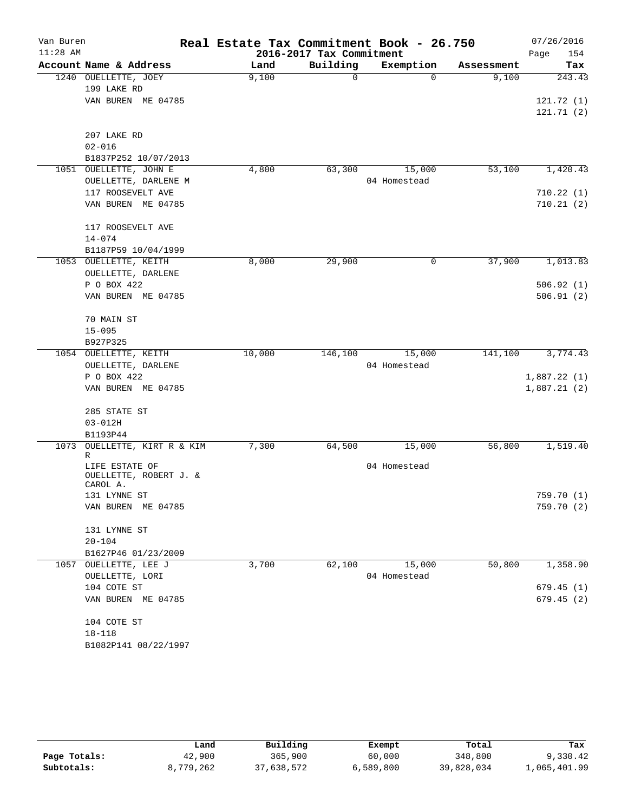| Van Buren  |                                              | Real Estate Tax Commitment Book - 26.750 |                          |              |            | 07/26/2016             |
|------------|----------------------------------------------|------------------------------------------|--------------------------|--------------|------------|------------------------|
| $11:28$ AM |                                              |                                          | 2016-2017 Tax Commitment |              |            | 154<br>Page            |
|            | Account Name & Address                       | Land                                     | Building                 | Exemption    | Assessment | Tax                    |
|            | 1240 OUELLETTE, JOEY                         | 9,100                                    | $\mathbf 0$              | $\Omega$     | 9,100      | 243.43                 |
|            | 199 LAKE RD                                  |                                          |                          |              |            |                        |
|            | VAN BUREN ME 04785                           |                                          |                          |              |            | 121.72(1)<br>121.71(2) |
|            | 207 LAKE RD                                  |                                          |                          |              |            |                        |
|            | $02 - 016$                                   |                                          |                          |              |            |                        |
|            | B1837P252 10/07/2013                         |                                          |                          |              |            |                        |
|            | 1051 OUELLETTE, JOHN E                       | 4,800                                    | 63,300                   | 15,000       | 53,100     | 1,420.43               |
|            | OUELLETTE, DARLENE M                         |                                          |                          | 04 Homestead |            |                        |
|            | 117 ROOSEVELT AVE                            |                                          |                          |              |            | 710.22(1)              |
|            | VAN BUREN ME 04785                           |                                          |                          |              |            | 710.21(2)              |
|            | 117 ROOSEVELT AVE                            |                                          |                          |              |            |                        |
|            | $14 - 074$                                   |                                          |                          |              |            |                        |
|            | B1187P59 10/04/1999<br>1053 OUELLETTE, KEITH | 8,000                                    | 29,900                   | 0            | 37,900     | 1,013.83               |
|            | OUELLETTE, DARLENE                           |                                          |                          |              |            |                        |
|            | P O BOX 422                                  |                                          |                          |              |            | 506.92(1)              |
|            | VAN BUREN ME 04785                           |                                          |                          |              |            | 506.91(2)              |
|            |                                              |                                          |                          |              |            |                        |
|            | 70 MAIN ST                                   |                                          |                          |              |            |                        |
|            | $15 - 095$                                   |                                          |                          |              |            |                        |
|            | B927P325<br>1054 OUELLETTE, KEITH            | 10,000                                   | 146,100                  | 15,000       | 141,100    | 3,774.43               |
|            | OUELLETTE, DARLENE                           |                                          |                          | 04 Homestead |            |                        |
|            | P O BOX 422                                  |                                          |                          |              |            | 1,887.22(1)            |
|            | VAN BUREN ME 04785                           |                                          |                          |              |            | 1,887.21(2)            |
|            |                                              |                                          |                          |              |            |                        |
|            | 285 STATE ST                                 |                                          |                          |              |            |                        |
|            | $03 - 012H$<br>B1193P44                      |                                          |                          |              |            |                        |
| 1073       | OUELLETTE, KIRT R & KIM                      | 7,300                                    | 64,500                   | 15,000       | 56,800     | 1,519.40               |
|            | R                                            |                                          |                          |              |            |                        |
|            | LIFE ESTATE OF                               |                                          |                          | 04 Homestead |            |                        |
|            | OUELLETTE, ROBERT J. &                       |                                          |                          |              |            |                        |
|            | CAROL A.<br>131 LYNNE ST                     |                                          |                          |              |            | 759.70 (1)             |
|            | VAN BUREN ME 04785                           |                                          |                          |              |            | 759.70 (2)             |
|            |                                              |                                          |                          |              |            |                        |
|            | 131 LYNNE ST                                 |                                          |                          |              |            |                        |
|            | $20 - 104$                                   |                                          |                          |              |            |                        |
|            | B1627P46 01/23/2009                          |                                          |                          |              |            |                        |
|            | 1057 OUELLETTE, LEE J                        | 3,700                                    | 62,100                   | 15,000       | 50,800     | 1,358.90               |
|            | OUELLETTE, LORI                              |                                          |                          | 04 Homestead |            |                        |
|            | 104 COTE ST                                  |                                          |                          |              |            | 679.45(1)              |
|            | VAN BUREN ME 04785                           |                                          |                          |              |            | 679.45(2)              |
|            | 104 COTE ST                                  |                                          |                          |              |            |                        |
|            | $18 - 118$                                   |                                          |                          |              |            |                        |
|            | B1082P141 08/22/1997                         |                                          |                          |              |            |                        |
|            |                                              |                                          |                          |              |            |                        |

|              | Land      | Building   | Exempt    | Total      | Tax          |
|--------------|-----------|------------|-----------|------------|--------------|
| Page Totals: | 42,900    | 365,900    | 60,000    | 348,800    | 9,330.42     |
| Subtotals:   | 8,779,262 | 37,638,572 | 6,589,800 | 39,828,034 | 1,065,401.99 |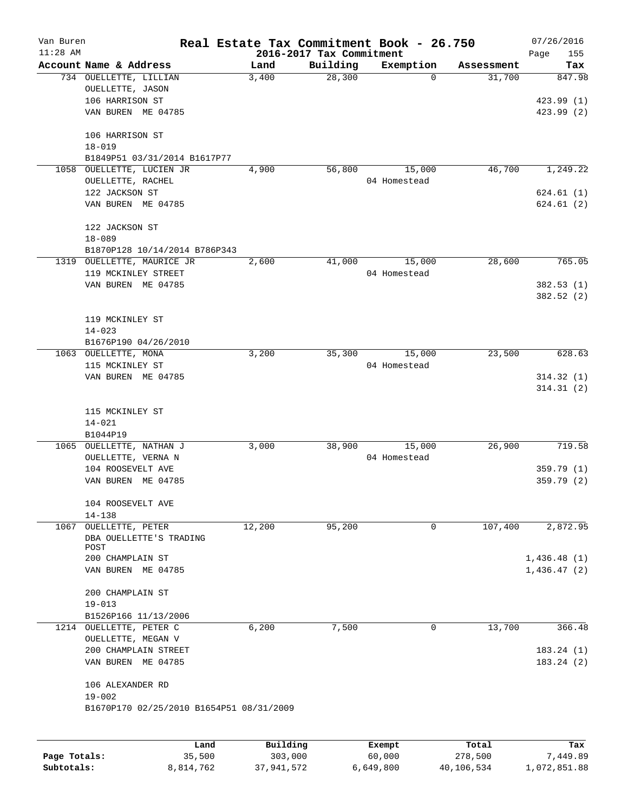| Van Buren<br>$11:28$ AM |                                                               | Real Estate Tax Commitment Book - 26.750 | 2016-2017 Tax Commitment |                        |            | 07/26/2016<br>Page<br>155 |
|-------------------------|---------------------------------------------------------------|------------------------------------------|--------------------------|------------------------|------------|---------------------------|
|                         | Account Name & Address                                        | Land                                     | Building                 | Exemption              | Assessment | Tax                       |
|                         | 734 OUELLETTE, LILLIAN<br>OUELLETTE, JASON<br>106 HARRISON ST | 3,400                                    | 28,300                   | 0                      | 31,700     | 847.98<br>423.99(1)       |
|                         | VAN BUREN ME 04785                                            |                                          |                          |                        |            | 423.99 (2)                |
|                         | 106 HARRISON ST<br>$18 - 019$<br>B1849P51 03/31/2014 B1617P77 |                                          |                          |                        |            |                           |
| 1058                    | OUELLETTE, LUCIEN JR                                          | 4,900                                    | 56,800                   | 15,000                 | 46,700     | 1,249.22                  |
|                         | OUELLETTE, RACHEL                                             |                                          |                          | 04 Homestead           |            |                           |
|                         | 122 JACKSON ST                                                |                                          |                          |                        |            | 624.61(1)                 |
|                         | VAN BUREN ME 04785                                            |                                          |                          |                        |            | 624.61(2)                 |
|                         | 122 JACKSON ST<br>$18 - 089$                                  |                                          |                          |                        |            |                           |
|                         | B1870P128 10/14/2014 B786P343                                 |                                          |                          |                        |            |                           |
|                         | 1319 OUELLETTE, MAURICE JR                                    | 2,600                                    | 41,000                   | 15,000                 | 28,600     | 765.05                    |
|                         | 119 MCKINLEY STREET                                           |                                          |                          | 04 Homestead           |            |                           |
|                         | VAN BUREN ME 04785                                            |                                          |                          |                        |            | 382.53(1)                 |
|                         |                                                               |                                          |                          |                        |            | 382.52(2)                 |
|                         | 119 MCKINLEY ST                                               |                                          |                          |                        |            |                           |
|                         | $14 - 023$                                                    |                                          |                          |                        |            |                           |
|                         | B1676P190 04/26/2010<br>1063 OUELLETTE, MONA                  | 3,200                                    | 35,300                   | 15,000                 | 23,500     | 628.63                    |
|                         | 115 MCKINLEY ST                                               |                                          |                          | 04 Homestead           |            |                           |
|                         | VAN BUREN ME 04785                                            |                                          |                          |                        |            | 314.32(1)                 |
|                         | 115 MCKINLEY ST<br>$14 - 021$                                 |                                          |                          |                        |            | 314.31(2)                 |
|                         | B1044P19                                                      |                                          |                          |                        |            |                           |
| 1065                    | OUELLETTE, NATHAN J<br>OUELLETTE, VERNA N                     | 3,000                                    | 38,900                   | 15,000<br>04 Homestead | 26,900     | 719.58                    |
|                         | 104 ROOSEVELT AVE                                             |                                          |                          |                        |            | 359.79(1)                 |
|                         | VAN BUREN<br>ME 04785                                         |                                          |                          |                        |            | 359.79(2)                 |
|                         | 104 ROOSEVELT AVE<br>$14 - 138$                               |                                          |                          |                        |            |                           |
| 1067                    | OUELLETTE, PETER                                              | 12,200                                   | 95,200                   | 0                      | 107,400    | 2,872.95                  |
|                         | DBA OUELLETTE'S TRADING<br>POST                               |                                          |                          |                        |            |                           |
|                         | 200 CHAMPLAIN ST                                              |                                          |                          |                        |            | 1,436.48(1)               |
|                         | VAN BUREN ME 04785                                            |                                          |                          |                        |            | 1,436.47(2)               |
|                         | 200 CHAMPLAIN ST                                              |                                          |                          |                        |            |                           |
|                         | $19 - 013$<br>B1526P166 11/13/2006                            |                                          |                          |                        |            |                           |
|                         | 1214 OUELLETTE, PETER C                                       | 6,200                                    | 7,500                    | 0                      | 13,700     | 366.48                    |
|                         | OUELLETTE, MEGAN V                                            |                                          |                          |                        |            |                           |
|                         | 200 CHAMPLAIN STREET                                          |                                          |                          |                        |            | 183.24(1)                 |
|                         | VAN BUREN ME 04785                                            |                                          |                          |                        |            | 183.24(2)                 |
|                         | 106 ALEXANDER RD<br>$19 - 002$                                |                                          |                          |                        |            |                           |
|                         | B1670P170 02/25/2010 B1654P51 08/31/2009                      |                                          |                          |                        |            |                           |
|                         |                                                               |                                          |                          |                        |            |                           |
|                         |                                                               |                                          |                          |                        |            |                           |

|              | Land      | Building   | Exempt    | Total      | Tax          |
|--------------|-----------|------------|-----------|------------|--------------|
| Page Totals: | 35,500    | 303,000    | 60,000    | 278,500    | 7,449.89     |
| Subtotals:   | 8,814,762 | 37,941,572 | 6,649,800 | 40,106,534 | 1,072,851.88 |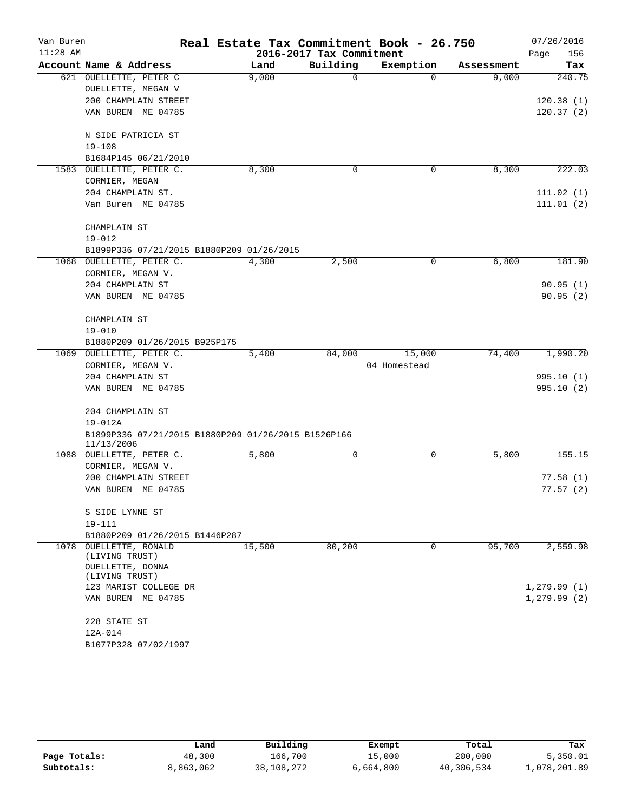| Van Buren  |                                                                   | Real Estate Tax Commitment Book - 26.750 |                          |              |            | 07/26/2016   |
|------------|-------------------------------------------------------------------|------------------------------------------|--------------------------|--------------|------------|--------------|
| $11:28$ AM |                                                                   |                                          | 2016-2017 Tax Commitment |              |            | Page<br>156  |
|            | Account Name & Address                                            | Land                                     | Building                 | Exemption    | Assessment | Tax          |
|            | 621 OUELLETTE, PETER C                                            | 9,000                                    | 0                        | $\Omega$     | 9,000      | 240.75       |
|            | OUELLETTE, MEGAN V                                                |                                          |                          |              |            |              |
|            | 200 CHAMPLAIN STREET                                              |                                          |                          |              |            | 120.38(1)    |
|            | VAN BUREN ME 04785                                                |                                          |                          |              |            | 120.37(2)    |
|            | N SIDE PATRICIA ST                                                |                                          |                          |              |            |              |
|            | $19 - 108$                                                        |                                          |                          |              |            |              |
|            | B1684P145 06/21/2010                                              |                                          |                          |              |            |              |
|            | 1583 OUELLETTE, PETER C.                                          | 8,300                                    | 0                        | 0            | 8,300      | 222.03       |
|            | CORMIER, MEGAN                                                    |                                          |                          |              |            |              |
|            | 204 CHAMPLAIN ST.                                                 |                                          |                          |              |            | 111.02(1)    |
|            | Van Buren ME 04785                                                |                                          |                          |              |            | 111.01(2)    |
|            | CHAMPLAIN ST                                                      |                                          |                          |              |            |              |
|            | $19 - 012$                                                        |                                          |                          |              |            |              |
|            | B1899P336 07/21/2015 B1880P209 01/26/2015                         |                                          |                          |              |            |              |
|            | 1068 OUELLETTE, PETER C.<br>CORMIER, MEGAN V.                     | 4,300                                    | 2,500                    | 0            | 6,800      | 181.90       |
|            | 204 CHAMPLAIN ST                                                  |                                          |                          |              |            | 90.95(1)     |
|            | VAN BUREN ME 04785                                                |                                          |                          |              |            | 90.95(2)     |
|            |                                                                   |                                          |                          |              |            |              |
|            | CHAMPLAIN ST                                                      |                                          |                          |              |            |              |
|            | $19 - 010$                                                        |                                          |                          |              |            |              |
|            | B1880P209 01/26/2015 B925P175                                     |                                          |                          |              |            |              |
| 1069       | OUELLETTE, PETER C.                                               | 5,400                                    | 84,000                   | 15,000       | 74,400     | 1,990.20     |
|            | CORMIER, MEGAN V.                                                 |                                          |                          | 04 Homestead |            |              |
|            | 204 CHAMPLAIN ST                                                  |                                          |                          |              |            | 995.10(1)    |
|            | VAN BUREN ME 04785                                                |                                          |                          |              |            | 995.10(2)    |
|            | 204 CHAMPLAIN ST                                                  |                                          |                          |              |            |              |
|            | $19 - 012A$                                                       |                                          |                          |              |            |              |
|            | B1899P336 07/21/2015 B1880P209 01/26/2015 B1526P166<br>11/13/2006 |                                          |                          |              |            |              |
|            | 1088 OUELLETTE, PETER C.                                          | 5,800                                    | 0                        | 0            | 5,800      | 155.15       |
|            | CORMIER, MEGAN V.                                                 |                                          |                          |              |            |              |
|            | 200 CHAMPLAIN STREET                                              |                                          |                          |              |            | 77.58(1)     |
|            | VAN BUREN ME 04785                                                |                                          |                          |              |            | 77.57(2)     |
|            | S SIDE LYNNE ST                                                   |                                          |                          |              |            |              |
|            | 19-111                                                            |                                          |                          |              |            |              |
|            | B1880P209 01/26/2015 B1446P287                                    |                                          |                          |              |            |              |
|            | 1078 OUELLETTE, RONALD                                            | 15,500                                   | 80,200                   | 0            | 95,700     | 2,559.98     |
|            | (LIVING TRUST)                                                    |                                          |                          |              |            |              |
|            | OUELLETTE, DONNA                                                  |                                          |                          |              |            |              |
|            | (LIVING TRUST)                                                    |                                          |                          |              |            |              |
|            | 123 MARIST COLLEGE DR                                             |                                          |                          |              |            | 1,279.99(1)  |
|            | VAN BUREN ME 04785                                                |                                          |                          |              |            | 1, 279.99(2) |
|            | 228 STATE ST                                                      |                                          |                          |              |            |              |
|            | 12A-014                                                           |                                          |                          |              |            |              |
|            | B1077P328 07/02/1997                                              |                                          |                          |              |            |              |

|              | Land      | Building   | Exempt    | Total      | Tax          |
|--------------|-----------|------------|-----------|------------|--------------|
| Page Totals: | 48,300    | 166,700    | 15,000    | 200,000    | 5,350.01     |
| Subtotals:   | 8,863,062 | 38,108,272 | 6,664,800 | 40,306,534 | 1,078,201.89 |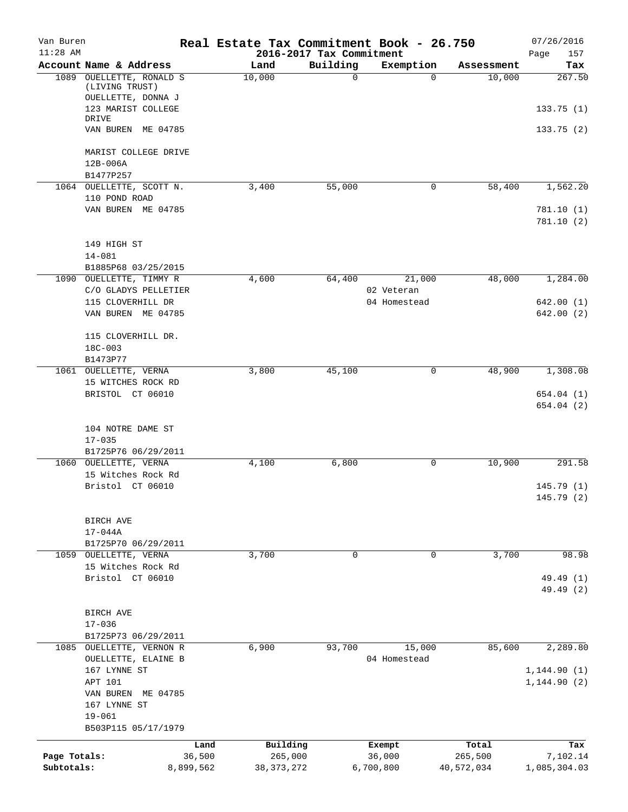| Van Buren<br>$11:28$ AM |                                                             | Real Estate Tax Commitment Book - 26.750 | 2016-2017 Tax Commitment |                  |                  | 07/26/2016<br>157<br>Page |
|-------------------------|-------------------------------------------------------------|------------------------------------------|--------------------------|------------------|------------------|---------------------------|
|                         | Account Name & Address                                      | Land                                     | Building                 | Exemption        | Assessment       | Tax                       |
| 1089                    | OUELLETTE, RONALD S<br>(LIVING TRUST)<br>OUELLETTE, DONNA J | 10,000                                   | $\mathbf 0$              | $\Omega$         | 10,000           | 267.50                    |
|                         | 123 MARIST COLLEGE<br>DRIVE<br>VAN BUREN ME 04785           |                                          |                          |                  |                  | 133.75(1)<br>133.75(2)    |
|                         | MARIST COLLEGE DRIVE<br>12B-006A                            |                                          |                          |                  |                  |                           |
|                         | B1477P257                                                   |                                          |                          |                  |                  |                           |
|                         | 1064 OUELLETTE, SCOTT N.                                    | 3,400                                    | 55,000                   | 0                | 58,400           | 1,562.20                  |
|                         | 110 POND ROAD<br>VAN BUREN ME 04785                         |                                          |                          |                  |                  | 781.10(1)<br>781.10(2)    |
|                         | 149 HIGH ST<br>$14 - 081$                                   |                                          |                          |                  |                  |                           |
| 1090                    | B1885P68 03/25/2015<br>OUELLETTE, TIMMY R                   | 4,600                                    | 64,400                   | 21,000           | 48,000           | 1,284.00                  |
|                         | C/O GLADYS PELLETIER                                        |                                          |                          | 02 Veteran       |                  |                           |
|                         | 115 CLOVERHILL DR                                           |                                          |                          | 04 Homestead     |                  | 642.00(1)                 |
|                         | VAN BUREN ME 04785                                          |                                          |                          |                  |                  | 642.00(2)                 |
|                         | 115 CLOVERHILL DR.<br>$18C - 003$                           |                                          |                          |                  |                  |                           |
|                         | B1473P77                                                    |                                          |                          |                  |                  |                           |
|                         | 1061 OUELLETTE, VERNA                                       | 3,800                                    | 45,100                   | 0                | 48,900           | 1,308.08                  |
|                         | 15 WITCHES ROCK RD                                          |                                          |                          |                  |                  |                           |
|                         | BRISTOL CT 06010                                            |                                          |                          |                  |                  | 654.04(1)<br>654.04(2)    |
|                         | 104 NOTRE DAME ST<br>$17 - 035$                             |                                          |                          |                  |                  |                           |
|                         | B1725P76 06/29/2011                                         |                                          |                          |                  |                  |                           |
|                         | 1060 OUELLETTE, VERNA<br>15 Witches Rock Rd                 | 4,100                                    | 6,800                    | 0                | 10,900           | 291.58                    |
|                         | Bristol CT 06010                                            |                                          |                          |                  |                  | 145.79(1)<br>145.79 (2)   |
|                         | BIRCH AVE                                                   |                                          |                          |                  |                  |                           |
|                         | $17 - 044A$                                                 |                                          |                          |                  |                  |                           |
|                         | B1725P70 06/29/2011                                         |                                          |                          |                  |                  |                           |
| 1059                    | OUELLETTE, VERNA                                            | 3,700                                    | $\mathbf 0$              | 0                | 3,700            | 98.98                     |
|                         | 15 Witches Rock Rd<br>Bristol CT 06010                      |                                          |                          |                  |                  |                           |
|                         |                                                             |                                          |                          |                  |                  | 49.49 (1)<br>49.49 (2)    |
|                         | BIRCH AVE                                                   |                                          |                          |                  |                  |                           |
|                         | $17 - 036$                                                  |                                          |                          |                  |                  |                           |
|                         | B1725P73 06/29/2011                                         |                                          |                          |                  |                  |                           |
| 1085                    | OUELLETTE, VERNON R                                         | 6,900                                    | 93,700                   | 15,000           | 85,600           | 2,289.80                  |
|                         | OUELLETTE, ELAINE B<br>167 LYNNE ST                         |                                          |                          | 04 Homestead     |                  | 1, 144.90(1)              |
|                         | APT 101                                                     |                                          |                          |                  |                  | 1,144.90(2)               |
|                         | VAN BUREN ME 04785<br>167 LYNNE ST                          |                                          |                          |                  |                  |                           |
|                         | $19 - 061$<br>B503P115 05/17/1979                           |                                          |                          |                  |                  |                           |
|                         |                                                             |                                          |                          |                  |                  |                           |
| Page Totals:            | 36,500                                                      | Building<br>Land<br>265,000              |                          | Exempt<br>36,000 | Total<br>265,500 | Tax<br>7,102.14           |
| Subtotals:              | 8,899,562                                                   | 38, 373, 272                             |                          | 6,700,800        | 40,572,034       | 1,085,304.03              |
|                         |                                                             |                                          |                          |                  |                  |                           |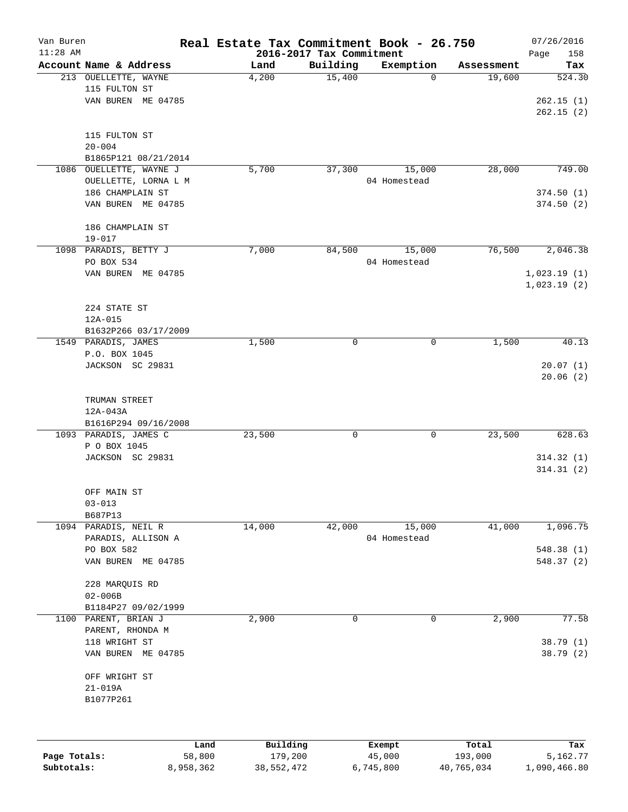| Van Buren    |                                       |        | Real Estate Tax Commitment Book - 26.750 |                          |              |            | 07/26/2016  |
|--------------|---------------------------------------|--------|------------------------------------------|--------------------------|--------------|------------|-------------|
| $11:28$ AM   |                                       |        |                                          | 2016-2017 Tax Commitment |              |            | Page<br>158 |
|              | Account Name & Address                |        | Land                                     | Building                 | Exemption    | Assessment | Tax         |
|              | 213 OUELLETTE, WAYNE<br>115 FULTON ST |        | 4,200                                    | 15,400                   | 0            | 19,600     | 524.30      |
|              | VAN BUREN ME 04785                    |        |                                          |                          |              |            | 262.15(1)   |
|              |                                       |        |                                          |                          |              |            | 262.15(2)   |
|              |                                       |        |                                          |                          |              |            |             |
|              | 115 FULTON ST                         |        |                                          |                          |              |            |             |
|              | $20 - 004$                            |        |                                          |                          |              |            |             |
|              | B1865P121 08/21/2014                  |        |                                          |                          |              |            |             |
|              | 1086 OUELLETTE, WAYNE J               |        | 5,700                                    | 37, 300                  | 15,000       | 28,000     | 749.00      |
|              | OUELLETTE, LORNA L M                  |        |                                          |                          | 04 Homestead |            |             |
|              | 186 CHAMPLAIN ST                      |        |                                          |                          |              |            | 374.50(1)   |
|              | VAN BUREN ME 04785                    |        |                                          |                          |              |            | 374.50(2)   |
|              |                                       |        |                                          |                          |              |            |             |
|              | 186 CHAMPLAIN ST                      |        |                                          |                          |              |            |             |
|              |                                       |        |                                          |                          |              |            |             |
|              | $19 - 017$<br>1098 PARADIS, BETTY J   |        |                                          |                          |              | 76,500     | 2,046.38    |
|              |                                       |        | 7,000                                    | 84,500                   | 15,000       |            |             |
|              | PO BOX 534                            |        |                                          |                          | 04 Homestead |            |             |
|              | VAN BUREN ME 04785                    |        |                                          |                          |              |            | 1,023.19(1) |
|              |                                       |        |                                          |                          |              |            | 1,023.19(2) |
|              |                                       |        |                                          |                          |              |            |             |
|              | 224 STATE ST                          |        |                                          |                          |              |            |             |
|              | $12A-015$                             |        |                                          |                          |              |            |             |
|              | B1632P266 03/17/2009                  |        |                                          |                          |              |            |             |
|              | 1549 PARADIS, JAMES                   |        | 1,500                                    | 0                        | 0            | 1,500      | 40.13       |
|              | P.O. BOX 1045                         |        |                                          |                          |              |            |             |
|              | JACKSON SC 29831                      |        |                                          |                          |              |            | 20.07(1)    |
|              |                                       |        |                                          |                          |              |            | 20.06(2)    |
|              |                                       |        |                                          |                          |              |            |             |
|              | TRUMAN STREET                         |        |                                          |                          |              |            |             |
|              | 12A-043A                              |        |                                          |                          |              |            |             |
|              | B1616P294 09/16/2008                  |        |                                          |                          |              |            |             |
|              | 1093 PARADIS, JAMES C                 |        | 23,500                                   | 0                        | 0            | 23,500     | 628.63      |
|              | P O BOX 1045                          |        |                                          |                          |              |            |             |
|              | JACKSON SC 29831                      |        |                                          |                          |              |            | 314.32(1)   |
|              |                                       |        |                                          |                          |              |            | 314.31(2)   |
|              |                                       |        |                                          |                          |              |            |             |
|              | OFF MAIN ST                           |        |                                          |                          |              |            |             |
|              | $03 - 013$                            |        |                                          |                          |              |            |             |
|              | B687P13                               |        |                                          |                          |              |            |             |
|              | 1094 PARADIS, NEIL R                  |        | 14,000                                   | 42,000                   | 15,000       | 41,000     | 1,096.75    |
|              | PARADIS, ALLISON A                    |        |                                          |                          | 04 Homestead |            |             |
|              | PO BOX 582                            |        |                                          |                          |              |            | 548.38(1)   |
|              | VAN BUREN ME 04785                    |        |                                          |                          |              |            | 548.37 (2)  |
|              |                                       |        |                                          |                          |              |            |             |
|              | 228 MARQUIS RD                        |        |                                          |                          |              |            |             |
|              | $02 - 006B$                           |        |                                          |                          |              |            |             |
|              | B1184P27 09/02/1999                   |        |                                          |                          |              |            |             |
| 1100         | PARENT, BRIAN J                       |        | 2,900                                    | 0                        | 0            | 2,900      | 77.58       |
|              | PARENT, RHONDA M                      |        |                                          |                          |              |            |             |
|              | 118 WRIGHT ST                         |        |                                          |                          |              |            | 38.79 (1)   |
|              | VAN BUREN ME 04785                    |        |                                          |                          |              |            | 38.79 (2)   |
|              |                                       |        |                                          |                          |              |            |             |
|              | OFF WRIGHT ST                         |        |                                          |                          |              |            |             |
|              | $21 - 019A$                           |        |                                          |                          |              |            |             |
|              | B1077P261                             |        |                                          |                          |              |            |             |
|              |                                       |        |                                          |                          |              |            |             |
|              |                                       |        |                                          |                          |              |            |             |
|              |                                       |        |                                          |                          |              |            |             |
|              |                                       | Land   | Building                                 |                          | Exempt       | Total      | Tax         |
| Page Totals: |                                       | 58,800 | 179,200                                  |                          | 45,000       | 193,000    | 5,162.77    |

**Subtotals:** 8,958,362 38,552,472 6,745,800 40,765,034 1,090,466.80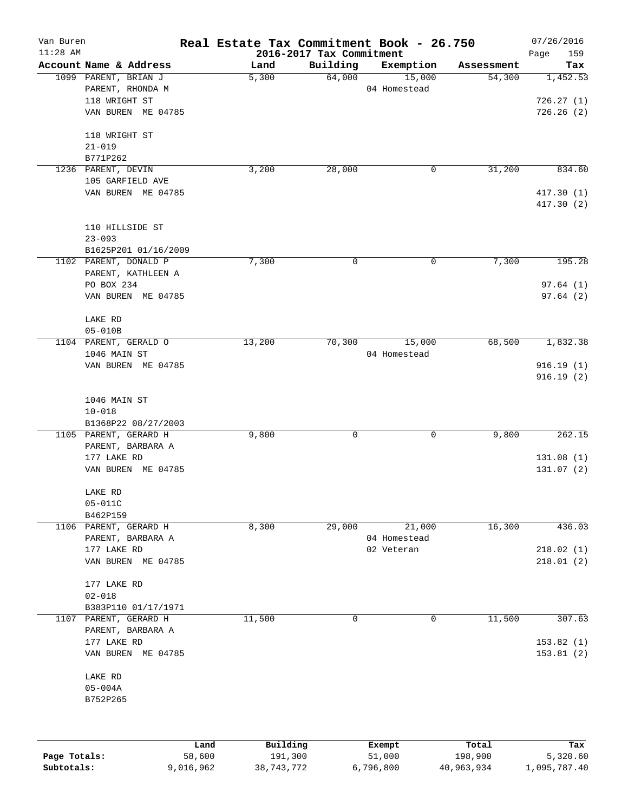| Van Buren<br>$11:28$ AM |                        |        |          | 2016-2017 Tax Commitment | Real Estate Tax Commitment Book - 26.750 |            | 07/26/2016<br>159<br>Page |
|-------------------------|------------------------|--------|----------|--------------------------|------------------------------------------|------------|---------------------------|
|                         | Account Name & Address |        | Land     | Building                 | Exemption                                | Assessment | Tax                       |
|                         | 1099 PARENT, BRIAN J   |        | 5,300    | 64,000                   | 15,000                                   | 54,300     | 1,452.53                  |
|                         | PARENT, RHONDA M       |        |          |                          | 04 Homestead                             |            |                           |
|                         | 118 WRIGHT ST          |        |          |                          |                                          |            | 726.27(1)                 |
|                         | VAN BUREN ME 04785     |        |          |                          |                                          |            | 726.26(2)                 |
|                         | 118 WRIGHT ST          |        |          |                          |                                          |            |                           |
|                         | $21 - 019$             |        |          |                          |                                          |            |                           |
|                         | B771P262               |        |          |                          |                                          |            |                           |
|                         | 1236 PARENT, DEVIN     |        | 3,200    | 28,000                   | 0                                        | 31,200     | 834.60                    |
|                         | 105 GARFIELD AVE       |        |          |                          |                                          |            |                           |
|                         | VAN BUREN ME 04785     |        |          |                          |                                          |            | 417.30(1)<br>417.30(2)    |
|                         | 110 HILLSIDE ST        |        |          |                          |                                          |            |                           |
|                         | $23 - 093$             |        |          |                          |                                          |            |                           |
|                         | B1625P201 01/16/2009   |        |          |                          |                                          |            |                           |
|                         | 1102 PARENT, DONALD P  |        | 7,300    | 0                        | 0                                        | 7,300      | 195.28                    |
|                         | PARENT, KATHLEEN A     |        |          |                          |                                          |            |                           |
|                         | PO BOX 234             |        |          |                          |                                          |            | 97.64(1)                  |
|                         | VAN BUREN ME 04785     |        |          |                          |                                          |            | 97.64(2)                  |
|                         |                        |        |          |                          |                                          |            |                           |
|                         | LAKE RD                |        |          |                          |                                          |            |                           |
|                         | $05 - 010B$            |        |          |                          |                                          |            |                           |
|                         | 1104 PARENT, GERALD O  |        | 13,200   | 70,300                   | 15,000                                   | 68,500     | 1,832.38                  |
|                         | 1046 MAIN ST           |        |          |                          | 04 Homestead                             |            |                           |
|                         | VAN BUREN ME 04785     |        |          |                          |                                          |            | 916.19(1)                 |
|                         |                        |        |          |                          |                                          |            | 916.19(2)                 |
|                         |                        |        |          |                          |                                          |            |                           |
|                         | 1046 MAIN ST           |        |          |                          |                                          |            |                           |
|                         | $10 - 018$             |        |          |                          |                                          |            |                           |
|                         | B1368P22 08/27/2003    |        |          |                          |                                          |            |                           |
|                         | 1105 PARENT, GERARD H  |        | 9,800    | 0                        | 0                                        | 9,800      | 262.15                    |
|                         | PARENT, BARBARA A      |        |          |                          |                                          |            |                           |
|                         | 177 LAKE RD            |        |          |                          |                                          |            | 131.08(1)                 |
|                         | VAN BUREN ME 04785     |        |          |                          |                                          |            | 131.07(2)                 |
|                         | LAKE RD                |        |          |                          |                                          |            |                           |
|                         | 05-011C                |        |          |                          |                                          |            |                           |
|                         | B462P159               |        |          |                          |                                          |            |                           |
|                         | 1106 PARENT, GERARD H  |        | 8,300    | 29,000                   | 21,000                                   | 16,300     | 436.03                    |
|                         | PARENT, BARBARA A      |        |          |                          | 04 Homestead                             |            |                           |
|                         | 177 LAKE RD            |        |          |                          | 02 Veteran                               |            | 218.02(1)                 |
|                         | VAN BUREN ME 04785     |        |          |                          |                                          |            | 218.01(2)                 |
|                         | 177 LAKE RD            |        |          |                          |                                          |            |                           |
|                         | $02 - 018$             |        |          |                          |                                          |            |                           |
|                         | B383P110 01/17/1971    |        |          |                          |                                          |            |                           |
| 1107                    | PARENT, GERARD H       |        | 11,500   | 0                        | 0                                        | 11,500     | 307.63                    |
|                         | PARENT, BARBARA A      |        |          |                          |                                          |            |                           |
|                         | 177 LAKE RD            |        |          |                          |                                          |            | 153.82(1)                 |
|                         | VAN BUREN ME 04785     |        |          |                          |                                          |            | 153.81(2)                 |
|                         | LAKE RD                |        |          |                          |                                          |            |                           |
|                         | $05 - 004A$            |        |          |                          |                                          |            |                           |
|                         | B752P265               |        |          |                          |                                          |            |                           |
|                         |                        |        |          |                          |                                          |            |                           |
|                         |                        | Land   | Building |                          | Exempt                                   | Total      | Tax                       |
| Page Totals:            |                        | 58,600 | 191,300  |                          | 51,000                                   | 198,900    | 5,320.60                  |

**Subtotals:** 9,016,962 38,743,772 6,796,800 40,963,934 1,095,787.40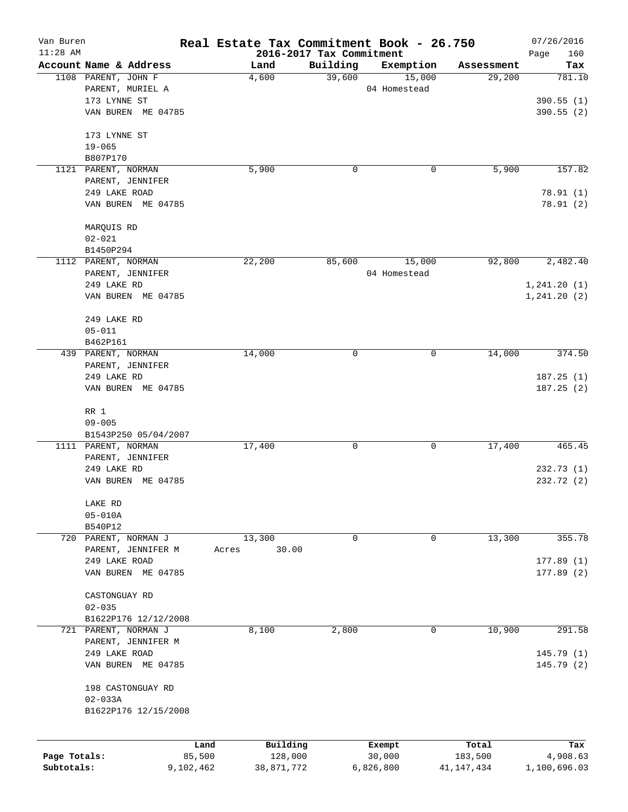| Van Buren<br>$11:28$ AM |                                         | Real Estate Tax Commitment Book - 26.750<br>2016-2017 Tax Commitment |          |                        |            | 07/26/2016<br>Page<br>160 |
|-------------------------|-----------------------------------------|----------------------------------------------------------------------|----------|------------------------|------------|---------------------------|
|                         | Account Name & Address                  | Land                                                                 | Building | Exemption              | Assessment | Tax                       |
|                         | 1108 PARENT, JOHN F<br>PARENT, MURIEL A | 4,600                                                                | 39,600   | 15,000<br>04 Homestead | 29,200     | 781.10                    |
|                         | 173 LYNNE ST                            |                                                                      |          |                        |            | 390.55(1)                 |
|                         | VAN BUREN ME 04785                      |                                                                      |          |                        |            | 390.55 (2)                |
|                         | 173 LYNNE ST                            |                                                                      |          |                        |            |                           |
|                         | $19 - 065$                              |                                                                      |          |                        |            |                           |
|                         | B807P170                                |                                                                      |          |                        |            |                           |
|                         | 1121 PARENT, NORMAN                     | 5,900                                                                | 0        | 0                      | 5,900      | 157.82                    |
|                         | PARENT, JENNIFER                        |                                                                      |          |                        |            |                           |
|                         | 249 LAKE ROAD                           |                                                                      |          |                        |            | 78.91 (1)                 |
|                         | VAN BUREN ME 04785                      |                                                                      |          |                        |            | 78.91(2)                  |
|                         | MARQUIS RD                              |                                                                      |          |                        |            |                           |
|                         | $02 - 021$<br>B1450P294                 |                                                                      |          |                        |            |                           |
|                         | 1112 PARENT, NORMAN                     | 22,200                                                               | 85,600   | 15,000                 | 92,800     | 2,482.40                  |
|                         | PARENT, JENNIFER                        |                                                                      |          | 04 Homestead           |            |                           |
|                         | 249 LAKE RD                             |                                                                      |          |                        |            | 1, 241.20(1)              |
|                         | VAN BUREN ME 04785                      |                                                                      |          |                        |            | 1, 241.20(2)              |
|                         | 249 LAKE RD                             |                                                                      |          |                        |            |                           |
|                         | $05 - 011$                              |                                                                      |          |                        |            |                           |
|                         | B462P161                                |                                                                      |          |                        |            |                           |
|                         | 439 PARENT, NORMAN                      | 14,000                                                               | 0        | 0                      | 14,000     | 374.50                    |
|                         | PARENT, JENNIFER                        |                                                                      |          |                        |            |                           |
|                         | 249 LAKE RD                             |                                                                      |          |                        |            | 187.25(1)                 |
|                         | VAN BUREN ME 04785                      |                                                                      |          |                        |            | 187.25(2)                 |
|                         | RR 1                                    |                                                                      |          |                        |            |                           |
|                         | $09 - 005$                              |                                                                      |          |                        |            |                           |
|                         | B1543P250 05/04/2007                    |                                                                      |          |                        |            |                           |
|                         | 1111 PARENT, NORMAN                     | 17,400                                                               | 0        | 0                      | 17,400     | 465.45                    |
|                         | PARENT, JENNIFER                        |                                                                      |          |                        |            |                           |
|                         | 249 LAKE RD                             |                                                                      |          |                        |            | 232.73(1)                 |
|                         | VAN BUREN ME 04785                      |                                                                      |          |                        |            | 232.72(2)                 |
|                         | LAKE RD                                 |                                                                      |          |                        |            |                           |
|                         | $05 - 010A$                             |                                                                      |          |                        |            |                           |
|                         | B540P12                                 |                                                                      |          |                        |            |                           |
|                         | 720 PARENT, NORMAN J                    | 13,300                                                               | 0        | 0                      | 13,300     | 355.78                    |
|                         | PARENT, JENNIFER M                      | 30.00<br>Acres                                                       |          |                        |            |                           |
|                         | 249 LAKE ROAD                           |                                                                      |          |                        |            | 177.89(1)                 |
|                         | VAN BUREN ME 04785                      |                                                                      |          |                        |            | 177.89(2)                 |
|                         | CASTONGUAY RD                           |                                                                      |          |                        |            |                           |
|                         | $02 - 035$                              |                                                                      |          |                        |            |                           |
|                         | B1622P176 12/12/2008                    |                                                                      |          |                        |            |                           |
| 721                     | PARENT, NORMAN J                        | 8,100                                                                | 2,800    | 0                      | 10,900     | 291.58                    |
|                         | PARENT, JENNIFER M                      |                                                                      |          |                        |            |                           |
|                         | 249 LAKE ROAD                           |                                                                      |          |                        |            | 145.79(1)                 |
|                         | VAN BUREN ME 04785                      |                                                                      |          |                        |            | 145.79 (2)                |
|                         | 198 CASTONGUAY RD<br>$02 - 033A$        |                                                                      |          |                        |            |                           |
|                         | B1622P176 12/15/2008                    |                                                                      |          |                        |            |                           |
|                         |                                         |                                                                      |          |                        |            |                           |
|                         |                                         | Building<br>Land                                                     |          | Exempt                 | Total      | Tax                       |
| Page Totals:            | 85,500                                  | 128,000                                                              |          | 30,000                 | 183,500    | 4,908.63                  |
| Subtotals:              | 9,102,462                               | 38,871,772                                                           |          | 6,826,800              | 41,147,434 | 1,100,696.03              |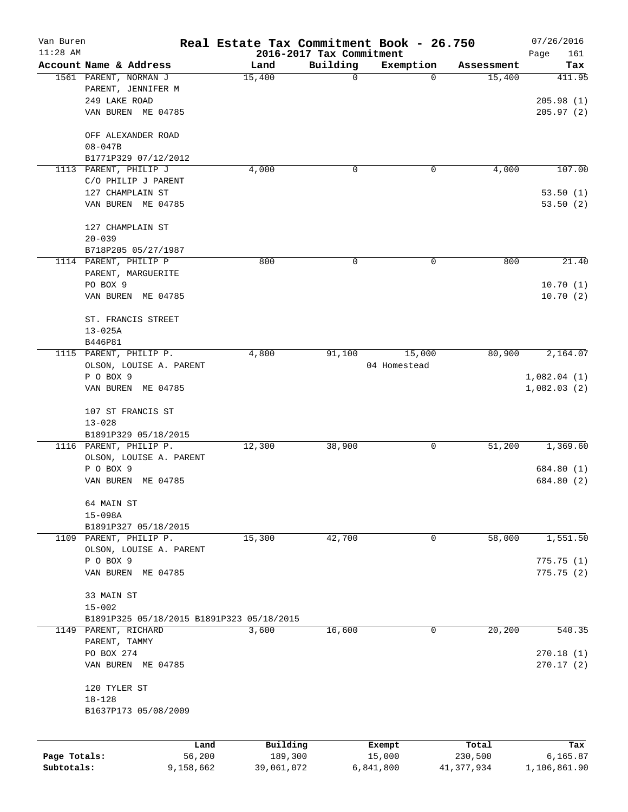| Van Buren    |                                           | Real Estate Tax Commitment Book - 26.750 |                                      |                |                      | 07/26/2016               |
|--------------|-------------------------------------------|------------------------------------------|--------------------------------------|----------------|----------------------|--------------------------|
| $11:28$ AM   | Account Name & Address                    |                                          | 2016-2017 Tax Commitment<br>Building |                |                      | Page<br>161              |
|              | 1561 PARENT, NORMAN J                     | Land<br>15,400                           | 0                                    | Exemption<br>0 | Assessment<br>15,400 | Tax<br>411.95            |
|              | PARENT, JENNIFER M                        |                                          |                                      |                |                      |                          |
|              | 249 LAKE ROAD                             |                                          |                                      |                |                      | 205.98(1)                |
|              | VAN BUREN ME 04785                        |                                          |                                      |                |                      | 205.97(2)                |
|              | OFF ALEXANDER ROAD                        |                                          |                                      |                |                      |                          |
|              | $08 - 047B$                               |                                          |                                      |                |                      |                          |
|              | B1771P329 07/12/2012                      |                                          |                                      |                |                      |                          |
|              | 1113 PARENT, PHILIP J                     | 4,000                                    | 0                                    | 0              | 4,000                | 107.00                   |
|              | C/O PHILIP J PARENT                       |                                          |                                      |                |                      |                          |
|              | 127 CHAMPLAIN ST                          |                                          |                                      |                |                      | 53.50(1)                 |
|              | VAN BUREN ME 04785                        |                                          |                                      |                |                      | 53.50(2)                 |
|              | 127 CHAMPLAIN ST                          |                                          |                                      |                |                      |                          |
|              | $20 - 039$                                |                                          |                                      |                |                      |                          |
|              | B718P205 05/27/1987                       |                                          |                                      |                |                      |                          |
|              | 1114 PARENT, PHILIP P                     | 800                                      | 0                                    | 0              | 800                  | 21.40                    |
|              | PARENT, MARGUERITE                        |                                          |                                      |                |                      |                          |
|              | PO BOX 9<br>VAN BUREN ME 04785            |                                          |                                      |                |                      | 10.70(1)<br>10.70(2)     |
|              |                                           |                                          |                                      |                |                      |                          |
|              | ST. FRANCIS STREET                        |                                          |                                      |                |                      |                          |
|              | $13 - 025A$                               |                                          |                                      |                |                      |                          |
|              | B446P81                                   |                                          |                                      |                |                      |                          |
|              | 1115 PARENT, PHILIP P.                    | 4,800                                    | 91,100                               | 15,000         | 80,900               | 2,164.07                 |
|              | OLSON, LOUISE A. PARENT                   |                                          |                                      | 04 Homestead   |                      |                          |
|              | P O BOX 9                                 |                                          |                                      |                |                      | 1,082.04(1)              |
|              | VAN BUREN ME 04785                        |                                          |                                      |                |                      | 1,082.03(2)              |
|              | 107 ST FRANCIS ST                         |                                          |                                      |                |                      |                          |
|              | $13 - 028$                                |                                          |                                      |                |                      |                          |
|              | B1891P329 05/18/2015                      |                                          |                                      |                |                      |                          |
|              | 1116 PARENT, PHILIP P.                    | 12,300                                   | 38,900                               | 0              | 51,200               | 1,369.60                 |
|              | OLSON, LOUISE A. PARENT                   |                                          |                                      |                |                      |                          |
|              | P O BOX 9<br>VAN BUREN<br>ME 04785        |                                          |                                      |                |                      | 684.80 (1)<br>684.80 (2) |
|              |                                           |                                          |                                      |                |                      |                          |
|              | 64 MAIN ST                                |                                          |                                      |                |                      |                          |
|              | $15 - 098A$                               |                                          |                                      |                |                      |                          |
|              | B1891P327 05/18/2015                      |                                          |                                      |                |                      |                          |
|              | 1109 PARENT, PHILIP P.                    | 15,300                                   | 42,700                               | 0              | 58,000               | 1,551.50                 |
|              | OLSON, LOUISE A. PARENT                   |                                          |                                      |                |                      |                          |
|              | P O BOX 9                                 |                                          |                                      |                |                      | 775.75(1)                |
|              | VAN BUREN ME 04785                        |                                          |                                      |                |                      | 775.75(2)                |
|              | 33 MAIN ST                                |                                          |                                      |                |                      |                          |
|              | $15 - 002$                                |                                          |                                      |                |                      |                          |
|              | B1891P325 05/18/2015 B1891P323 05/18/2015 |                                          |                                      |                |                      |                          |
| 1149         | PARENT, RICHARD                           | 3,600                                    | 16,600                               | 0              | 20,200               | 540.35                   |
|              | PARENT, TAMMY                             |                                          |                                      |                |                      |                          |
|              | PO BOX 274                                |                                          |                                      |                |                      | 270.18(1)                |
|              | VAN BUREN ME 04785                        |                                          |                                      |                |                      | 270.17(2)                |
|              | 120 TYLER ST                              |                                          |                                      |                |                      |                          |
|              | $18 - 128$                                |                                          |                                      |                |                      |                          |
|              | B1637P173 05/08/2009                      |                                          |                                      |                |                      |                          |
|              | Land                                      | Building                                 |                                      | Exempt         | Total                | Tax                      |
| Page Totals: | 56,200                                    | 189,300                                  |                                      | 15,000         | 230,500              | 6,165.87                 |
| Subtotals:   | 9,158,662                                 | 39,061,072                               | 6,841,800                            |                | 41,377,934           | 1,106,861.90             |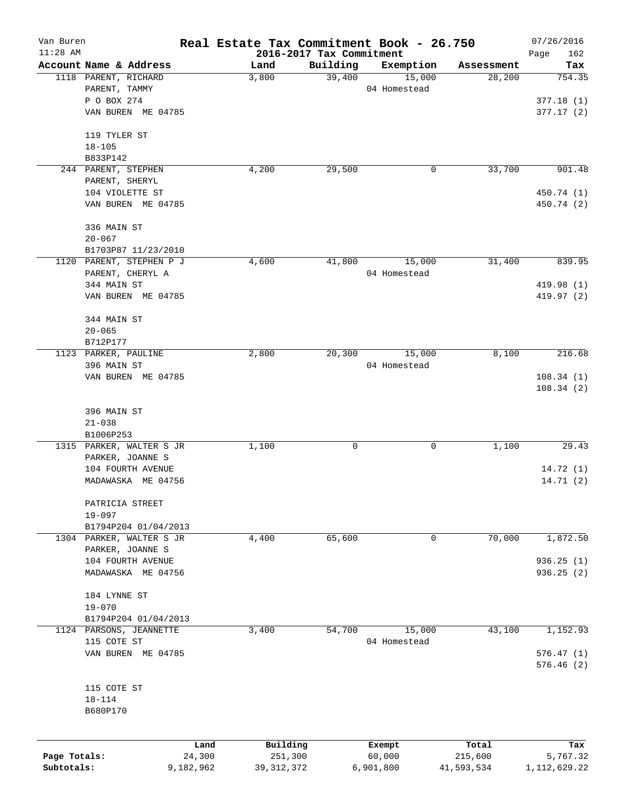| Van Buren    |                                       | Real Estate Tax Commitment Book - 26.750 |                                      |                     |                  | 07/26/2016      |
|--------------|---------------------------------------|------------------------------------------|--------------------------------------|---------------------|------------------|-----------------|
| $11:28$ AM   | Account Name & Address                |                                          | 2016-2017 Tax Commitment<br>Building |                     | Assessment       | Page<br>162     |
|              | 1118 PARENT, RICHARD                  | Land<br>3,800                            | 39,400                               | Exemption<br>15,000 | 28,200           | Tax<br>754.35   |
|              | PARENT, TAMMY                         |                                          |                                      | 04 Homestead        |                  |                 |
|              | P O BOX 274                           |                                          |                                      |                     |                  | 377.18(1)       |
|              | VAN BUREN ME 04785                    |                                          |                                      |                     |                  | 377.17(2)       |
|              |                                       |                                          |                                      |                     |                  |                 |
|              | 119 TYLER ST                          |                                          |                                      |                     |                  |                 |
|              | $18 - 105$                            |                                          |                                      |                     |                  |                 |
|              | B833P142                              |                                          |                                      |                     |                  |                 |
|              | 244 PARENT, STEPHEN                   | 4,200                                    | 29,500                               | 0                   | 33,700           | 901.48          |
|              | PARENT, SHERYL                        |                                          |                                      |                     |                  |                 |
|              | 104 VIOLETTE ST                       |                                          |                                      |                     |                  | 450.74 (1)      |
|              | VAN BUREN ME 04785                    |                                          |                                      |                     |                  | 450.74 (2)      |
|              | 336 MAIN ST                           |                                          |                                      |                     |                  |                 |
|              | $20 - 067$                            |                                          |                                      |                     |                  |                 |
|              | B1703P87 11/23/2010                   |                                          |                                      |                     |                  |                 |
|              | 1120 PARENT, STEPHEN P J              | 4,600                                    | 41,800                               | 15,000              | 31,400           | 839.95          |
|              | PARENT, CHERYL A                      |                                          |                                      | 04 Homestead        |                  |                 |
|              | 344 MAIN ST                           |                                          |                                      |                     |                  | 419.98 (1)      |
|              | VAN BUREN ME 04785                    |                                          |                                      |                     |                  | 419.97 (2)      |
|              | 344 MAIN ST                           |                                          |                                      |                     |                  |                 |
|              | $20 - 065$                            |                                          |                                      |                     |                  |                 |
|              | B712P177                              |                                          |                                      |                     |                  |                 |
|              | 1123 PARKER, PAULINE                  | 2,800                                    | 20,300                               | 15,000              | 8,100            | 216.68          |
|              | 396 MAIN ST                           |                                          |                                      | 04 Homestead        |                  |                 |
|              | VAN BUREN ME 04785                    |                                          |                                      |                     |                  | 108.34(1)       |
|              |                                       |                                          |                                      |                     |                  | 108.34(2)       |
|              |                                       |                                          |                                      |                     |                  |                 |
|              | 396 MAIN ST                           |                                          |                                      |                     |                  |                 |
|              | $21 - 038$                            |                                          |                                      |                     |                  |                 |
|              | B1006P253<br>1315 PARKER, WALTER S JR | 1,100                                    | 0                                    | 0                   | 1,100            | 29.43           |
|              | PARKER, JOANNE S                      |                                          |                                      |                     |                  |                 |
|              | 104 FOURTH AVENUE                     |                                          |                                      |                     |                  | 14.72(1)        |
|              | MADAWASKA ME 04756                    |                                          |                                      |                     |                  | 14.71(2)        |
|              |                                       |                                          |                                      |                     |                  |                 |
|              | PATRICIA STREET                       |                                          |                                      |                     |                  |                 |
|              | $19 - 097$                            |                                          |                                      |                     |                  |                 |
|              | B1794P204 01/04/2013                  |                                          |                                      |                     |                  |                 |
|              | 1304 PARKER, WALTER S JR              | 4,400                                    | 65,600                               | 0                   | 70,000           | 1,872.50        |
|              | PARKER, JOANNE S                      |                                          |                                      |                     |                  |                 |
|              | 104 FOURTH AVENUE                     |                                          |                                      |                     |                  | 936.25(1)       |
|              | MADAWASKA ME 04756                    |                                          |                                      |                     |                  | 936.25 (2)      |
|              | 184 LYNNE ST                          |                                          |                                      |                     |                  |                 |
|              | $19 - 070$                            |                                          |                                      |                     |                  |                 |
|              | B1794P204 01/04/2013                  |                                          |                                      |                     |                  |                 |
|              | 1124 PARSONS, JEANNETTE               | 3,400                                    | 54,700                               | 15,000              | 43,100           | 1,152.93        |
|              | 115 COTE ST                           |                                          |                                      | 04 Homestead        |                  |                 |
|              | VAN BUREN ME 04785                    |                                          |                                      |                     |                  | 576.47(1)       |
|              |                                       |                                          |                                      |                     |                  | 576.46(2)       |
|              | 115 COTE ST                           |                                          |                                      |                     |                  |                 |
|              | $18 - 114$                            |                                          |                                      |                     |                  |                 |
|              | B680P170                              |                                          |                                      |                     |                  |                 |
|              |                                       |                                          |                                      |                     |                  |                 |
|              |                                       |                                          |                                      |                     |                  |                 |
| Page Totals: |                                       | Land<br>24,300                           | Building<br>251,300                  | Exempt<br>60,000    | Total<br>215,600 | Tax<br>5,767.32 |
| Subtotals:   | 9,182,962                             |                                          | 39, 312, 372                         | 6,901,800           | 41,593,534       | 1, 112, 629.22  |
|              |                                       |                                          |                                      |                     |                  |                 |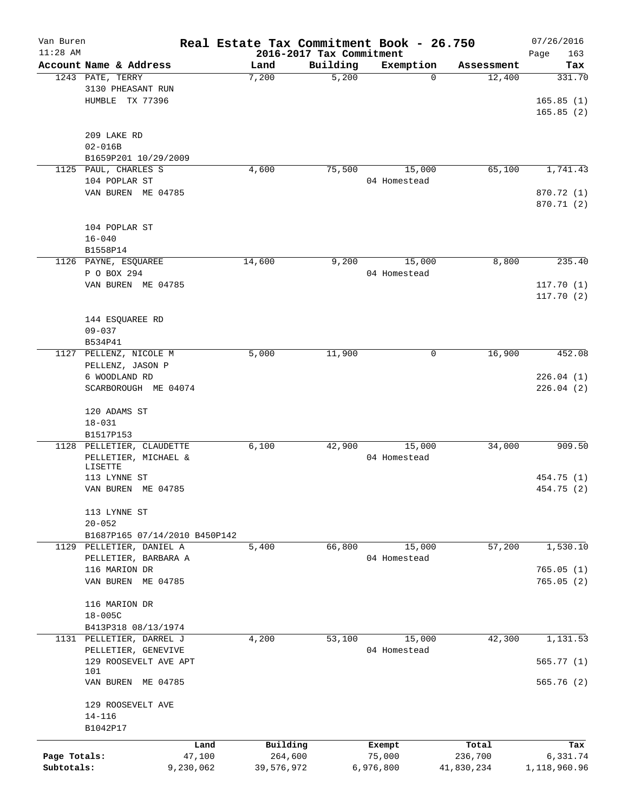| Van Buren    |                                            | Real Estate Tax Commitment Book - 26.750 |                          |                |                      | 07/26/2016    |
|--------------|--------------------------------------------|------------------------------------------|--------------------------|----------------|----------------------|---------------|
| $11:28$ AM   |                                            |                                          | 2016-2017 Tax Commitment |                |                      | Page<br>163   |
|              | Account Name & Address<br>1243 PATE, TERRY | Land                                     | Building<br>5,200        | Exemption<br>0 | Assessment<br>12,400 | Tax<br>331.70 |
|              |                                            | 7,200                                    |                          |                |                      |               |
|              | 3130 PHEASANT RUN                          |                                          |                          |                |                      |               |
|              | HUMBLE<br>TX 77396                         |                                          |                          |                |                      | 165.85(1)     |
|              |                                            |                                          |                          |                |                      | 165.85(2)     |
|              |                                            |                                          |                          |                |                      |               |
|              | 209 LAKE RD                                |                                          |                          |                |                      |               |
|              | $02 - 016B$                                |                                          |                          |                |                      |               |
|              | B1659P201 10/29/2009                       |                                          |                          |                |                      |               |
|              | 1125 PAUL, CHARLES S                       | 4,600                                    | 75,500                   | 15,000         | 65,100               | 1,741.43      |
|              | 104 POPLAR ST                              |                                          |                          | 04 Homestead   |                      |               |
|              | VAN BUREN ME 04785                         |                                          |                          |                |                      | 870.72 (1)    |
|              |                                            |                                          |                          |                |                      | 870.71 (2)    |
|              |                                            |                                          |                          |                |                      |               |
|              | 104 POPLAR ST                              |                                          |                          |                |                      |               |
|              | $16 - 040$                                 |                                          |                          |                |                      |               |
|              | B1558P14                                   |                                          |                          |                |                      |               |
|              | 1126 PAYNE, ESQUAREE                       | 14,600                                   | 9,200                    | 15,000         | 8,800                | 235.40        |
|              | P O BOX 294                                |                                          |                          | 04 Homestead   |                      |               |
|              | VAN BUREN ME 04785                         |                                          |                          |                |                      | 117.70(1)     |
|              |                                            |                                          |                          |                |                      | 117.70(2)     |
|              |                                            |                                          |                          |                |                      |               |
|              | 144 ESQUAREE RD                            |                                          |                          |                |                      |               |
|              | $09 - 037$                                 |                                          |                          |                |                      |               |
|              | B534P41                                    |                                          |                          |                |                      |               |
| 1127         | PELLENZ, NICOLE M                          | 5,000                                    | 11,900                   | 0              | 16,900               | 452.08        |
|              | PELLENZ, JASON P                           |                                          |                          |                |                      |               |
|              | 6 WOODLAND RD                              |                                          |                          |                |                      | 226.04(1)     |
|              | SCARBOROUGH ME 04074                       |                                          |                          |                |                      | 226.04(2)     |
|              |                                            |                                          |                          |                |                      |               |
|              |                                            |                                          |                          |                |                      |               |
|              | 120 ADAMS ST                               |                                          |                          |                |                      |               |
|              | $18 - 031$                                 |                                          |                          |                |                      |               |
|              | B1517P153                                  |                                          |                          |                |                      |               |
|              | 1128 PELLETIER, CLAUDETTE                  | 6,100                                    | 42,900                   | 15,000         | 34,000               | 909.50        |
|              | PELLETIER, MICHAEL &<br>LISETTE            |                                          |                          | 04 Homestead   |                      |               |
|              | 113 LYNNE ST                               |                                          |                          |                |                      | 454.75 (1)    |
|              | VAN BUREN ME 04785                         |                                          |                          |                |                      | 454.75 (2)    |
|              |                                            |                                          |                          |                |                      |               |
|              |                                            |                                          |                          |                |                      |               |
|              | 113 LYNNE ST                               |                                          |                          |                |                      |               |
|              | $20 - 052$                                 |                                          |                          |                |                      |               |
|              | B1687P165 07/14/2010 B450P142              |                                          |                          |                |                      |               |
|              | 1129 PELLETIER, DANIEL A                   | 5,400                                    | 66,800                   | 15,000         | 57,200               | 1,530.10      |
|              | PELLETIER, BARBARA A                       |                                          |                          | 04 Homestead   |                      |               |
|              | 116 MARION DR                              |                                          |                          |                |                      | 765.05(1)     |
|              | VAN BUREN ME 04785                         |                                          |                          |                |                      | 765.05(2)     |
|              |                                            |                                          |                          |                |                      |               |
|              | 116 MARION DR                              |                                          |                          |                |                      |               |
|              | $18 - 005C$                                |                                          |                          |                |                      |               |
|              | B413P318 08/13/1974                        |                                          |                          |                |                      |               |
|              | 1131 PELLETIER, DARREL J                   | 4,200                                    | 53,100                   | 15,000         | 42,300               | 1,131.53      |
|              | PELLETIER, GENEVIVE                        |                                          |                          | 04 Homestead   |                      |               |
|              | 129 ROOSEVELT AVE APT                      |                                          |                          |                |                      | 565.77(1)     |
|              | 101                                        |                                          |                          |                |                      |               |
|              | VAN BUREN ME 04785                         |                                          |                          |                |                      | 565.76(2)     |
|              |                                            |                                          |                          |                |                      |               |
|              | 129 ROOSEVELT AVE                          |                                          |                          |                |                      |               |
|              | $14 - 116$                                 |                                          |                          |                |                      |               |
|              | B1042P17                                   |                                          |                          |                |                      |               |
|              |                                            | Land                                     | Building                 | Exempt         | Total                | Tax           |
| Page Totals: |                                            | 47,100                                   | 264,600                  | 75,000         | 236,700              | 6,331.74      |
| Subtotals:   |                                            |                                          |                          |                |                      |               |
|              | 9,230,062                                  | 39,576,972                               |                          | 6,976,800      | 41,830,234           | 1,118,960.96  |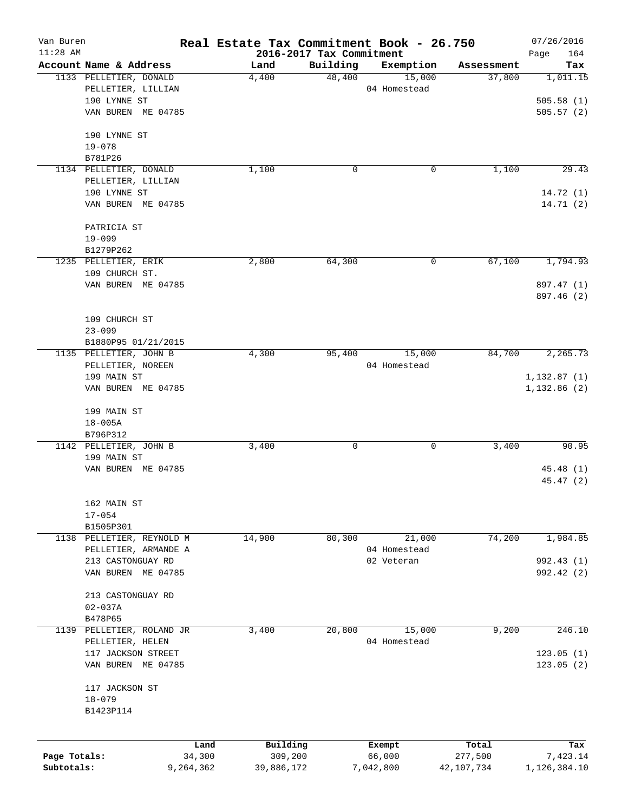| Van Buren    |                                              | Real Estate Tax Commitment Book - 26.750 |                          |                        |                      | 07/26/2016   |
|--------------|----------------------------------------------|------------------------------------------|--------------------------|------------------------|----------------------|--------------|
| $11:28$ AM   |                                              |                                          | 2016-2017 Tax Commitment |                        |                      | Page<br>164  |
|              | Account Name & Address                       | Land                                     | Building<br>48,400       | Exemption              | Assessment<br>37,800 | Tax          |
|              | 1133 PELLETIER, DONALD<br>PELLETIER, LILLIAN | 4,400                                    |                          | 15,000<br>04 Homestead |                      | 1,011.15     |
|              | 190 LYNNE ST                                 |                                          |                          |                        |                      | 505.58(1)    |
|              | VAN BUREN ME 04785                           |                                          |                          |                        |                      | 505.57(2)    |
|              |                                              |                                          |                          |                        |                      |              |
|              | 190 LYNNE ST                                 |                                          |                          |                        |                      |              |
|              | $19 - 078$                                   |                                          |                          |                        |                      |              |
|              | B781P26                                      |                                          |                          |                        |                      |              |
|              | 1134 PELLETIER, DONALD                       | 1,100                                    | 0                        | 0                      | 1,100                | 29.43        |
|              | PELLETIER, LILLIAN                           |                                          |                          |                        |                      |              |
|              | 190 LYNNE ST                                 |                                          |                          |                        |                      | 14.72(1)     |
|              | VAN BUREN ME 04785                           |                                          |                          |                        |                      | 14.71(2)     |
|              | PATRICIA ST                                  |                                          |                          |                        |                      |              |
|              | $19 - 099$                                   |                                          |                          |                        |                      |              |
|              | B1279P262                                    |                                          |                          |                        |                      |              |
|              | 1235 PELLETIER, ERIK                         | 2,800                                    | 64,300                   | 0                      | 67,100               | 1,794.93     |
|              | 109 CHURCH ST.                               |                                          |                          |                        |                      |              |
|              | VAN BUREN ME 04785                           |                                          |                          |                        |                      | 897.47 (1)   |
|              |                                              |                                          |                          |                        |                      | 897.46 (2)   |
|              | 109 CHURCH ST                                |                                          |                          |                        |                      |              |
|              | $23 - 099$                                   |                                          |                          |                        |                      |              |
|              | B1880P95 01/21/2015                          |                                          |                          |                        |                      |              |
|              | 1135 PELLETIER, JOHN B                       | 4,300                                    | 95,400                   | 15,000                 | 84,700               | 2,265.73     |
|              | PELLETIER, NOREEN                            |                                          |                          | 04 Homestead           |                      |              |
|              | 199 MAIN ST                                  |                                          |                          |                        |                      | 1,132.87(1)  |
|              | VAN BUREN ME 04785                           |                                          |                          |                        |                      | 1,132.86(2)  |
|              | 199 MAIN ST                                  |                                          |                          |                        |                      |              |
|              | $18 - 005A$                                  |                                          |                          |                        |                      |              |
|              | B796P312                                     |                                          |                          |                        |                      |              |
|              | 1142 PELLETIER, JOHN B                       | 3,400                                    | 0                        | 0                      | 3,400                | 90.95        |
|              | 199 MAIN ST                                  |                                          |                          |                        |                      |              |
|              | VAN BUREN ME 04785                           |                                          |                          |                        |                      | 45.48(1)     |
|              |                                              |                                          |                          |                        |                      | 45.47(2)     |
|              | 162 MAIN ST                                  |                                          |                          |                        |                      |              |
|              | $17 - 054$                                   |                                          |                          |                        |                      |              |
|              | B1505P301                                    |                                          |                          |                        |                      |              |
|              | 1138 PELLETIER, REYNOLD M                    | 14,900                                   | 80,300                   | 21,000                 | 74,200               | 1,984.85     |
|              | PELLETIER, ARMANDE A                         |                                          |                          | 04 Homestead           |                      |              |
|              | 213 CASTONGUAY RD                            |                                          |                          | 02 Veteran             |                      | 992.43 (1)   |
|              | VAN BUREN ME 04785                           |                                          |                          |                        |                      | 992.42 (2)   |
|              | 213 CASTONGUAY RD                            |                                          |                          |                        |                      |              |
|              | $02 - 037A$                                  |                                          |                          |                        |                      |              |
|              | B478P65                                      |                                          |                          |                        |                      |              |
| 1139         | PELLETIER, ROLAND JR                         | 3,400                                    | 20,800                   | 15,000                 | 9,200                | 246.10       |
|              | PELLETIER, HELEN                             |                                          |                          | 04 Homestead           |                      |              |
|              | 117 JACKSON STREET                           |                                          |                          |                        |                      | 123.05(1)    |
|              | VAN BUREN ME 04785                           |                                          |                          |                        |                      | 123.05(2)    |
|              | 117 JACKSON ST                               |                                          |                          |                        |                      |              |
|              | $18 - 079$                                   |                                          |                          |                        |                      |              |
|              | B1423P114                                    |                                          |                          |                        |                      |              |
|              |                                              |                                          |                          |                        |                      |              |
|              |                                              | Building<br>Land                         |                          | Exempt                 | Total                | Tax          |
| Page Totals: | 34,300                                       | 309,200                                  |                          | 66,000                 | 277,500              | 7,423.14     |
| Subtotals:   | 9,264,362                                    | 39,886,172                               |                          | 7,042,800              | 42,107,734           | 1,126,384.10 |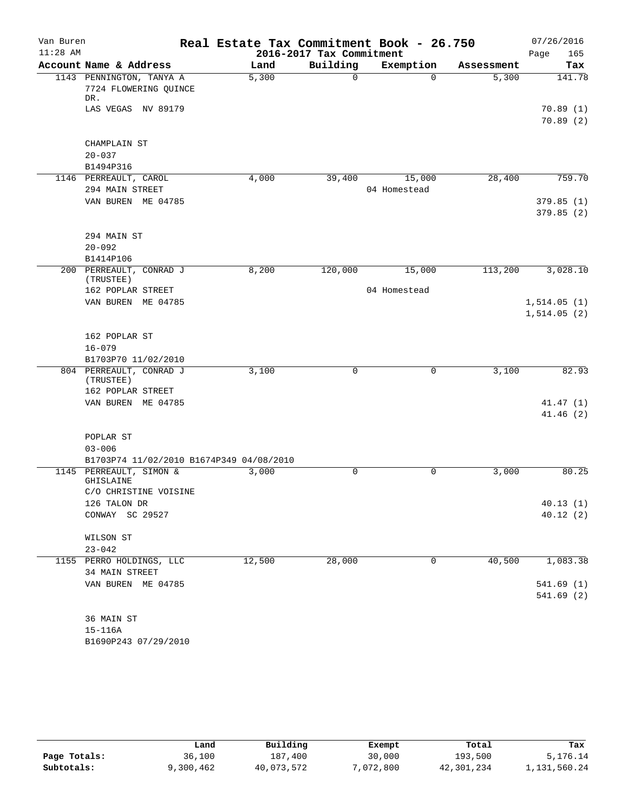| Van Buren<br>$11:28$ AM |                                                          | Real Estate Tax Commitment Book - 26.750 | 2016-2017 Tax Commitment |              |            | 07/26/2016<br>Page<br>165 |
|-------------------------|----------------------------------------------------------|------------------------------------------|--------------------------|--------------|------------|---------------------------|
|                         | Account Name & Address                                   | Land                                     | Building                 | Exemption    | Assessment | Tax                       |
|                         | 1143 PENNINGTON, TANYA A<br>7724 FLOWERING QUINCE<br>DR. | 5,300                                    | $\Omega$                 | $\Omega$     | 5,300      | 141.78                    |
|                         | LAS VEGAS NV 89179                                       |                                          |                          |              |            | 70.89(1)<br>70.89(2)      |
|                         |                                                          |                                          |                          |              |            |                           |
|                         | CHAMPLAIN ST                                             |                                          |                          |              |            |                           |
|                         | $20 - 037$                                               |                                          |                          |              |            |                           |
|                         | B1494P316                                                |                                          |                          |              |            |                           |
|                         | 1146 PERREAULT, CAROL                                    | 4,000                                    | 39,400                   | 15,000       | 28,400     | 759.70                    |
|                         | 294 MAIN STREET<br>VAN BUREN ME 04785                    |                                          |                          | 04 Homestead |            | 379.85(1)                 |
|                         |                                                          |                                          |                          |              |            | 379.85(2)                 |
|                         | 294 MAIN ST                                              |                                          |                          |              |            |                           |
|                         | $20 - 092$                                               |                                          |                          |              |            |                           |
|                         | B1414P106                                                |                                          |                          |              |            |                           |
|                         | 200 PERREAULT, CONRAD J<br>(TRUSTEE)                     | 8,200                                    | 120,000                  | 15,000       | 113,200    | 3,028.10                  |
|                         | 162 POPLAR STREET                                        |                                          |                          | 04 Homestead |            |                           |
|                         | VAN BUREN ME 04785                                       |                                          |                          |              |            | 1,514.05(1)               |
|                         |                                                          |                                          |                          |              |            | 1,514.05(2)               |
|                         | 162 POPLAR ST                                            |                                          |                          |              |            |                           |
|                         | $16 - 079$                                               |                                          |                          |              |            |                           |
|                         | B1703P70 11/02/2010                                      |                                          |                          |              |            |                           |
|                         | 804 PERREAULT, CONRAD J                                  | 3,100                                    | 0                        | 0            | 3,100      | 82.93                     |
|                         | (TRUSTEE)<br>162 POPLAR STREET                           |                                          |                          |              |            |                           |
|                         | VAN BUREN ME 04785                                       |                                          |                          |              |            | 41.47(1)                  |
|                         |                                                          |                                          |                          |              |            | 41.46(2)                  |
|                         | POPLAR ST                                                |                                          |                          |              |            |                           |
|                         | $03 - 006$                                               |                                          |                          |              |            |                           |
|                         | B1703P74 11/02/2010 B1674P349 04/08/2010                 |                                          |                          |              |            |                           |
|                         | 1145 PERREAULT, SIMON &<br>GHISLAINE                     | 3,000                                    | 0                        | 0            | 3,000      | 80.25                     |
|                         | C/O CHRISTINE VOISINE<br>126 TALON DR                    |                                          |                          |              |            | 40.13(1)                  |
|                         | CONWAY SC 29527                                          |                                          |                          |              |            | 40.12(2)                  |
|                         | WILSON ST                                                |                                          |                          |              |            |                           |
|                         | $23 - 042$                                               |                                          |                          |              |            |                           |
|                         | 1155 PERRO HOLDINGS, LLC<br>34 MAIN STREET               | 12,500                                   | 28,000                   | 0            | 40,500     | 1,083.38                  |
|                         | VAN BUREN ME 04785                                       |                                          |                          |              |            | 541.69(1)<br>541.69(2)    |
|                         |                                                          |                                          |                          |              |            |                           |
|                         | 36 MAIN ST                                               |                                          |                          |              |            |                           |
|                         | $15 - 116A$                                              |                                          |                          |              |            |                           |
|                         | B1690P243 07/29/2010                                     |                                          |                          |              |            |                           |

|              | Land      | Building   | Exempt    | Total      | Tax          |
|--------------|-----------|------------|-----------|------------|--------------|
| Page Totals: | 36,100    | 187,400    | 30,000    | 193,500    | 5,176.14     |
| Subtotals:   | 9,300,462 | 40,073,572 | 7,072,800 | 42,301,234 | 1,131,560.24 |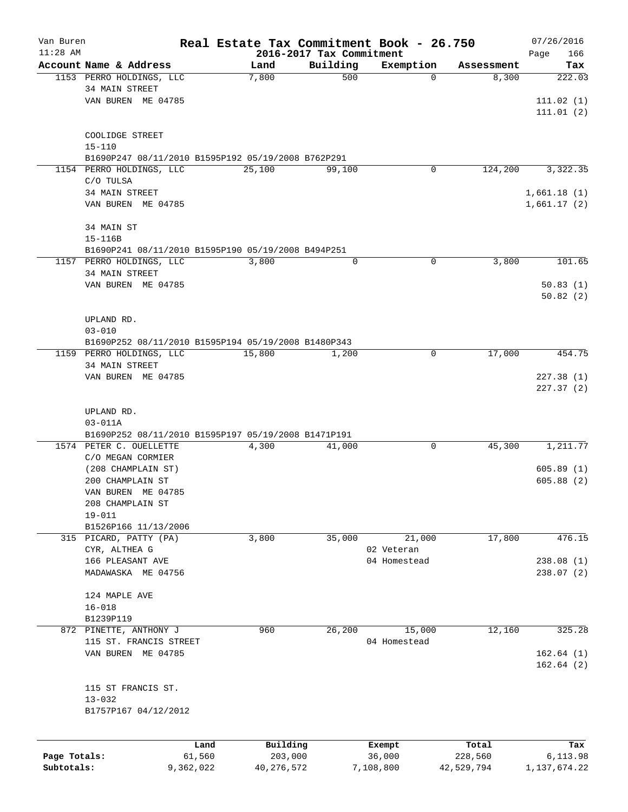| Van Buren    |                                                                                |        |               |                          | Real Estate Tax Commitment Book - 26.750 |                     | 07/26/2016             |
|--------------|--------------------------------------------------------------------------------|--------|---------------|--------------------------|------------------------------------------|---------------------|------------------------|
| $11:28$ AM   |                                                                                |        |               | 2016-2017 Tax Commitment |                                          |                     | 166<br>Page            |
|              | Account Name & Address<br>1153 PERRO HOLDINGS, LLC                             |        | Land<br>7,800 | Building<br>500          | Exemption<br>0                           | Assessment<br>8,300 | Tax<br>222.03          |
|              | <b>34 MAIN STREET</b>                                                          |        |               |                          |                                          |                     |                        |
|              | VAN BUREN ME 04785                                                             |        |               |                          |                                          |                     | 111.02(1)              |
|              |                                                                                |        |               |                          |                                          |                     | 111.01(2)              |
|              |                                                                                |        |               |                          |                                          |                     |                        |
|              | COOLIDGE STREET                                                                |        |               |                          |                                          |                     |                        |
|              | $15 - 110$<br>B1690P247 08/11/2010 B1595P192 05/19/2008 B762P291               |        |               |                          |                                          |                     |                        |
|              | 1154 PERRO HOLDINGS, LLC                                                       |        | 25,100        | 99,100                   | 0                                        | 124,200             | 3,322.35               |
|              | C/O TULSA                                                                      |        |               |                          |                                          |                     |                        |
|              | 34 MAIN STREET                                                                 |        |               |                          |                                          |                     | 1,661.18(1)            |
|              | VAN BUREN ME 04785                                                             |        |               |                          |                                          |                     | 1,661.17(2)            |
|              |                                                                                |        |               |                          |                                          |                     |                        |
|              | 34 MAIN ST                                                                     |        |               |                          |                                          |                     |                        |
|              | $15 - 116B$                                                                    |        |               |                          |                                          |                     |                        |
|              | B1690P241 08/11/2010 B1595P190 05/19/2008 B494P251<br>1157 PERRO HOLDINGS, LLC |        | 3,800         | 0                        | 0                                        | 3,800               | 101.65                 |
|              | 34 MAIN STREET                                                                 |        |               |                          |                                          |                     |                        |
|              | VAN BUREN ME 04785                                                             |        |               |                          |                                          |                     | 50.83(1)               |
|              |                                                                                |        |               |                          |                                          |                     | 50.82(2)               |
|              |                                                                                |        |               |                          |                                          |                     |                        |
|              | UPLAND RD.                                                                     |        |               |                          |                                          |                     |                        |
|              | $03 - 010$                                                                     |        |               |                          |                                          |                     |                        |
|              | B1690P252 08/11/2010 B1595P194 05/19/2008 B1480P343                            |        |               |                          |                                          |                     |                        |
|              | 1159 PERRO HOLDINGS, LLC<br><b>34 MAIN STREET</b>                              |        | 15,800        | 1,200                    | 0                                        | 17,000              | 454.75                 |
|              | VAN BUREN ME 04785                                                             |        |               |                          |                                          |                     | 227.38(1)              |
|              |                                                                                |        |               |                          |                                          |                     | 227.37(2)              |
|              |                                                                                |        |               |                          |                                          |                     |                        |
|              | UPLAND RD.                                                                     |        |               |                          |                                          |                     |                        |
|              | $03 - 011A$                                                                    |        |               |                          |                                          |                     |                        |
|              | B1690P252 08/11/2010 B1595P197 05/19/2008 B1471P191                            |        |               |                          |                                          |                     |                        |
|              | 1574 PETER C. OUELLETTE<br>C/O MEGAN CORMIER                                   |        | 4,300         | 41,000                   | 0                                        | 45,300              | 1,211.77               |
|              | (208 CHAMPLAIN ST)                                                             |        |               |                          |                                          |                     | 605.89(1)              |
|              | 200 CHAMPLAIN ST                                                               |        |               |                          |                                          |                     | 605.88(2)              |
|              | VAN BUREN ME 04785                                                             |        |               |                          |                                          |                     |                        |
|              | 208 CHAMPLAIN ST                                                               |        |               |                          |                                          |                     |                        |
|              | $19 - 011$                                                                     |        |               |                          |                                          |                     |                        |
|              | B1526P166 11/13/2006                                                           |        |               |                          |                                          |                     |                        |
|              | 315 PICARD, PATTY (PA)                                                         |        | 3,800         | 35,000                   | 21,000                                   | 17,800              | 476.15                 |
|              | CYR, ALTHEA G                                                                  |        |               |                          | 02 Veteran                               |                     |                        |
|              | 166 PLEASANT AVE<br>MADAWASKA ME 04756                                         |        |               |                          | 04 Homestead                             |                     | 238.08(1)<br>238.07(2) |
|              |                                                                                |        |               |                          |                                          |                     |                        |
|              | 124 MAPLE AVE                                                                  |        |               |                          |                                          |                     |                        |
|              | $16 - 018$                                                                     |        |               |                          |                                          |                     |                        |
|              | B1239P119                                                                      |        |               |                          |                                          |                     |                        |
|              | 872 PINETTE, ANTHONY J                                                         |        | 960           | 26,200                   | 15,000                                   | 12,160              | 325.28                 |
|              | 115 ST. FRANCIS STREET                                                         |        |               |                          | 04 Homestead                             |                     |                        |
|              | VAN BUREN ME 04785                                                             |        |               |                          |                                          |                     | 162.64(1)<br>162.64(2) |
|              |                                                                                |        |               |                          |                                          |                     |                        |
|              | 115 ST FRANCIS ST.                                                             |        |               |                          |                                          |                     |                        |
|              | $13 - 032$                                                                     |        |               |                          |                                          |                     |                        |
|              | B1757P167 04/12/2012                                                           |        |               |                          |                                          |                     |                        |
|              |                                                                                |        |               |                          |                                          |                     |                        |
|              |                                                                                | Land   | Building      |                          | Exempt                                   | Total               | Tax                    |
| Page Totals: |                                                                                | 61,560 | 203,000       |                          | 36,000                                   | 228,560             | 6,113.98               |

**Subtotals:** 9,362,022 40,276,572 7,108,800 42,529,794 1,137,674.22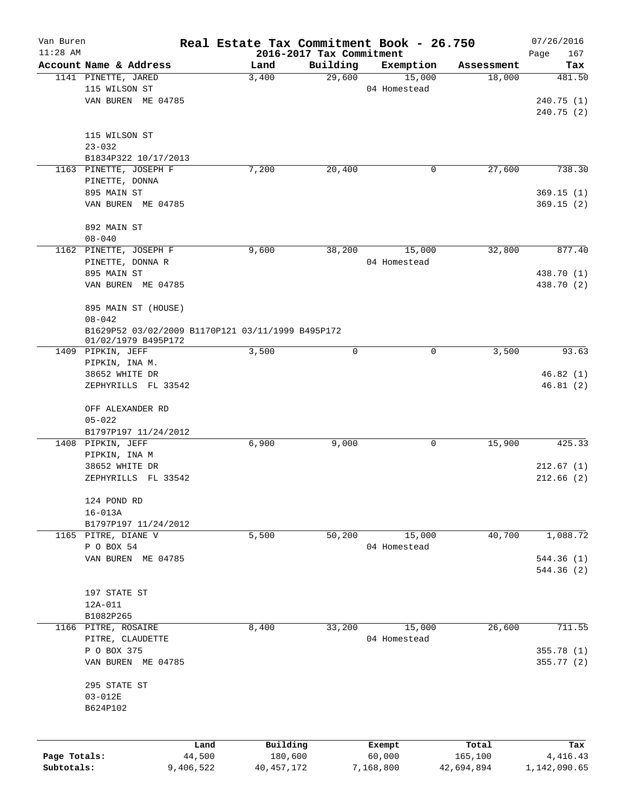| Van Buren    |                                                   |           | Real Estate Tax Commitment Book - 26.750 |                    |                        |                      | 07/26/2016    |
|--------------|---------------------------------------------------|-----------|------------------------------------------|--------------------|------------------------|----------------------|---------------|
| $11:28$ AM   |                                                   |           | 2016-2017 Tax Commitment                 |                    |                        |                      | Page<br>167   |
|              | Account Name & Address                            |           | Land<br>3,400                            | Building<br>29,600 | Exemption              | Assessment<br>18,000 | Tax<br>481.50 |
|              | 1141 PINETTE, JARED<br>115 WILSON ST              |           |                                          |                    | 15,000<br>04 Homestead |                      |               |
|              | VAN BUREN ME 04785                                |           |                                          |                    |                        |                      | 240.75(1)     |
|              |                                                   |           |                                          |                    |                        |                      | 240.75(2)     |
|              |                                                   |           |                                          |                    |                        |                      |               |
|              | 115 WILSON ST                                     |           |                                          |                    |                        |                      |               |
|              | $23 - 032$                                        |           |                                          |                    |                        |                      |               |
|              | B1834P322 10/17/2013                              |           |                                          |                    |                        |                      |               |
|              | 1163 PINETTE, JOSEPH F                            |           | 7,200                                    | 20,400             | 0                      | 27,600               | 738.30        |
|              | PINETTE, DONNA                                    |           |                                          |                    |                        |                      |               |
|              | 895 MAIN ST                                       |           |                                          |                    |                        |                      | 369.15(1)     |
|              | VAN BUREN ME 04785                                |           |                                          |                    |                        |                      | 369.15(2)     |
|              |                                                   |           |                                          |                    |                        |                      |               |
|              | 892 MAIN ST                                       |           |                                          |                    |                        |                      |               |
|              | $08 - 040$                                        |           |                                          |                    |                        |                      |               |
|              | 1162 PINETTE, JOSEPH F                            |           | 9,600                                    | 38,200             | 15,000                 | 32,800               | 877.40        |
|              | PINETTE, DONNA R                                  |           |                                          |                    | 04 Homestead           |                      |               |
|              | 895 MAIN ST                                       |           |                                          |                    |                        |                      | 438.70 (1)    |
|              | VAN BUREN ME 04785                                |           |                                          |                    |                        |                      | 438.70 (2)    |
|              |                                                   |           |                                          |                    |                        |                      |               |
|              | 895 MAIN ST (HOUSE)                               |           |                                          |                    |                        |                      |               |
|              | $08 - 042$                                        |           |                                          |                    |                        |                      |               |
|              | B1629P52 03/02/2009 B1170P121 03/11/1999 B495P172 |           |                                          |                    |                        |                      |               |
|              | 01/02/1979 B495P172                               |           |                                          |                    |                        |                      |               |
|              | 1409 PIPKIN, JEFF                                 |           | 3,500                                    | 0                  | $\mathbf 0$            | 3,500                | 93.63         |
|              | PIPKIN, INA M.                                    |           |                                          |                    |                        |                      |               |
|              | 38652 WHITE DR                                    |           |                                          |                    |                        |                      | 46.82(1)      |
|              | ZEPHYRILLS FL 33542                               |           |                                          |                    |                        |                      | 46.81(2)      |
|              |                                                   |           |                                          |                    |                        |                      |               |
|              | OFF ALEXANDER RD                                  |           |                                          |                    |                        |                      |               |
|              | $05 - 022$                                        |           |                                          |                    |                        |                      |               |
|              | B1797P197 11/24/2012                              |           |                                          |                    |                        |                      |               |
|              | 1408 PIPKIN, JEFF                                 |           | 6,900                                    | 9,000              | 0                      | 15,900               | 425.33        |
|              | PIPKIN, INA M                                     |           |                                          |                    |                        |                      |               |
|              | 38652 WHITE DR                                    |           |                                          |                    |                        |                      | 212.67(1)     |
|              | ZEPHYRILLS FL 33542                               |           |                                          |                    |                        |                      | 212.66(2)     |
|              |                                                   |           |                                          |                    |                        |                      |               |
|              | 124 POND RD                                       |           |                                          |                    |                        |                      |               |
|              | $16 - 013A$                                       |           |                                          |                    |                        |                      |               |
|              | B1797P197 11/24/2012                              |           |                                          |                    |                        |                      |               |
|              | 1165 PITRE, DIANE V                               |           | 5,500                                    | 50,200             | 15,000                 | 40,700               | 1,088.72      |
|              | P O BOX 54                                        |           |                                          |                    | 04 Homestead           |                      |               |
|              | VAN BUREN ME 04785                                |           |                                          |                    |                        |                      | 544.36(1)     |
|              |                                                   |           |                                          |                    |                        |                      | 544.36 (2)    |
|              |                                                   |           |                                          |                    |                        |                      |               |
|              | 197 STATE ST                                      |           |                                          |                    |                        |                      |               |
|              | 12A-011                                           |           |                                          |                    |                        |                      |               |
|              | B1082P265                                         |           |                                          |                    |                        |                      |               |
|              | 1166 PITRE, ROSAIRE                               |           | 8,400                                    | 33,200             | 15,000                 | 26,600               | 711.55        |
|              | PITRE, CLAUDETTE                                  |           |                                          |                    | 04 Homestead           |                      |               |
|              | P O BOX 375                                       |           |                                          |                    |                        |                      | 355.78 (1)    |
|              | VAN BUREN ME 04785                                |           |                                          |                    |                        |                      | 355.77(2)     |
|              |                                                   |           |                                          |                    |                        |                      |               |
|              | 295 STATE ST                                      |           |                                          |                    |                        |                      |               |
|              | $03 - 012E$                                       |           |                                          |                    |                        |                      |               |
|              | B624P102                                          |           |                                          |                    |                        |                      |               |
|              |                                                   |           |                                          |                    |                        |                      |               |
|              |                                                   |           |                                          |                    |                        |                      |               |
|              |                                                   | Land      | Building                                 |                    | Exempt                 | Total                | Tax           |
| Page Totals: |                                                   | 44,500    | 180,600                                  |                    | 60,000                 | 165,100              | 4, 416. 43    |
| Subtotals:   |                                                   | 9,406,522 | 40, 457, 172                             |                    | 7,168,800              | 42,694,894           | 1,142,090.65  |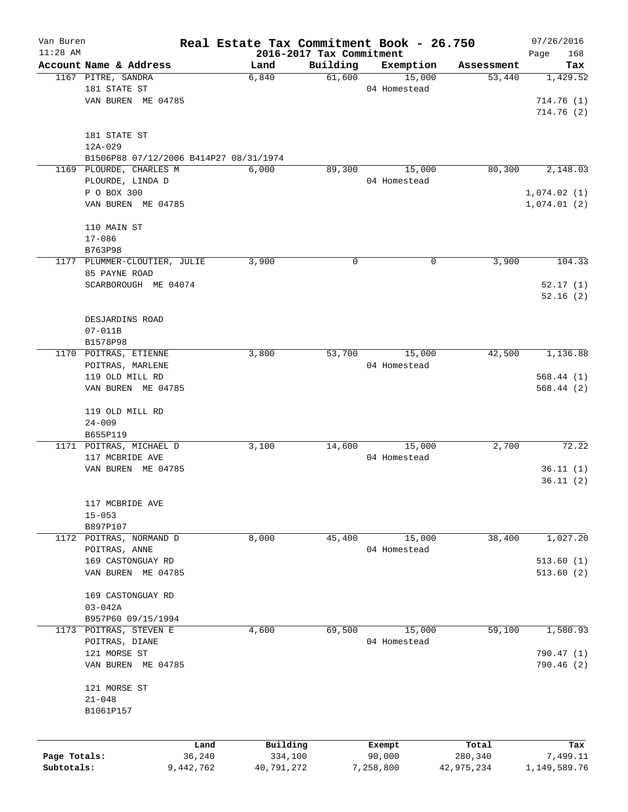| Van Buren    |                                        | Real Estate Tax Commitment Book - 26.750 |                                      |              |            | 07/26/2016      |
|--------------|----------------------------------------|------------------------------------------|--------------------------------------|--------------|------------|-----------------|
| $11:28$ AM   | Account Name & Address                 | Land                                     | 2016-2017 Tax Commitment<br>Building | Exemption    | Assessment | Page<br>168     |
|              | 1167 PITRE, SANDRA                     | 6,840                                    | 61,600                               | 15,000       | 53,440     | Tax<br>1,429.52 |
|              | 181 STATE ST                           |                                          |                                      | 04 Homestead |            |                 |
|              | VAN BUREN ME 04785                     |                                          |                                      |              |            | 714.76(1)       |
|              |                                        |                                          |                                      |              |            | 714.76(2)       |
|              |                                        |                                          |                                      |              |            |                 |
|              | 181 STATE ST                           |                                          |                                      |              |            |                 |
|              | $12A - 029$                            |                                          |                                      |              |            |                 |
|              | B1506P88 07/12/2006 B414P27 08/31/1974 |                                          |                                      |              |            |                 |
|              | 1169 PLOURDE, CHARLES M                | 6,000                                    | 89,300                               | 15,000       | 80,300     | 2,148.03        |
|              | PLOURDE, LINDA D                       |                                          |                                      | 04 Homestead |            |                 |
|              | P O BOX 300                            |                                          |                                      |              |            | 1,074.02(1)     |
|              | VAN BUREN ME 04785                     |                                          |                                      |              |            | 1,074.01(2)     |
|              |                                        |                                          |                                      |              |            |                 |
|              | 110 MAIN ST                            |                                          |                                      |              |            |                 |
|              | $17 - 086$                             |                                          |                                      |              |            |                 |
|              | B763P98                                |                                          |                                      |              |            |                 |
|              | 1177 PLUMMER-CLOUTIER, JULIE           | 3,900                                    | 0                                    | 0            | 3,900      | 104.33          |
|              | 85 PAYNE ROAD                          |                                          |                                      |              |            |                 |
|              | SCARBOROUGH ME 04074                   |                                          |                                      |              |            | 52.17(1)        |
|              |                                        |                                          |                                      |              |            | 52.16(2)        |
|              |                                        |                                          |                                      |              |            |                 |
|              | DESJARDINS ROAD                        |                                          |                                      |              |            |                 |
|              | $07 - 011B$                            |                                          |                                      |              |            |                 |
|              | B1578P98                               |                                          |                                      |              |            |                 |
|              | 1170 POITRAS, ETIENNE                  | 3,800                                    | 53,700                               | 15,000       | 42,500     | 1,136.88        |
|              | POITRAS, MARLENE                       |                                          |                                      | 04 Homestead |            |                 |
|              | 119 OLD MILL RD                        |                                          |                                      |              |            | 568.44(1)       |
|              | VAN BUREN ME 04785                     |                                          |                                      |              |            | 568.44(2)       |
|              | 119 OLD MILL RD                        |                                          |                                      |              |            |                 |
|              | $24 - 009$                             |                                          |                                      |              |            |                 |
|              | B655P119                               |                                          |                                      |              |            |                 |
|              | 1171 POITRAS, MICHAEL D                | 3,100                                    | 14,600                               | 15,000       | 2,700      | 72.22           |
|              | 117 MCBRIDE AVE                        |                                          |                                      | 04 Homestead |            |                 |
|              | VAN BUREN ME 04785                     |                                          |                                      |              |            | 36.11(1)        |
|              |                                        |                                          |                                      |              |            | 36.11(2)        |
|              |                                        |                                          |                                      |              |            |                 |
|              | 117 MCBRIDE AVE                        |                                          |                                      |              |            |                 |
|              | $15 - 053$                             |                                          |                                      |              |            |                 |
|              | B897P107                               |                                          |                                      |              |            |                 |
|              | 1172 POITRAS, NORMAND D                | 8,000                                    | 45,400                               | 15,000       | 38,400     | 1,027.20        |
|              | POITRAS, ANNE                          |                                          |                                      | 04 Homestead |            |                 |
|              | 169 CASTONGUAY RD                      |                                          |                                      |              |            | 513.60(1)       |
|              | VAN BUREN ME 04785                     |                                          |                                      |              |            | 513.60(2)       |
|              |                                        |                                          |                                      |              |            |                 |
|              | 169 CASTONGUAY RD                      |                                          |                                      |              |            |                 |
|              | $03 - 042A$                            |                                          |                                      |              |            |                 |
|              | B957P60 09/15/1994                     |                                          |                                      |              |            |                 |
| 1173         | POITRAS, STEVEN E                      | 4,600                                    | 69,500                               | 15,000       | 59,100     | 1,580.93        |
|              | POITRAS, DIANE                         |                                          |                                      | 04 Homestead |            |                 |
|              | 121 MORSE ST                           |                                          |                                      |              |            | 790.47 (1)      |
|              | VAN BUREN ME 04785                     |                                          |                                      |              |            | 790.46(2)       |
|              |                                        |                                          |                                      |              |            |                 |
|              | 121 MORSE ST                           |                                          |                                      |              |            |                 |
|              | $21 - 048$                             |                                          |                                      |              |            |                 |
|              | B1061P157                              |                                          |                                      |              |            |                 |
|              |                                        |                                          |                                      |              |            |                 |
|              | Land                                   | Building                                 |                                      | Exempt       | Total      | Tax             |
| Page Totals: | 36,240                                 | 334,100                                  |                                      | 90,000       | 280,340    | 7,499.11        |
| Subtotals:   | 9,442,762                              | 40,791,272                               |                                      | 7,258,800    | 42,975,234 | 1,149,589.76    |
|              |                                        |                                          |                                      |              |            |                 |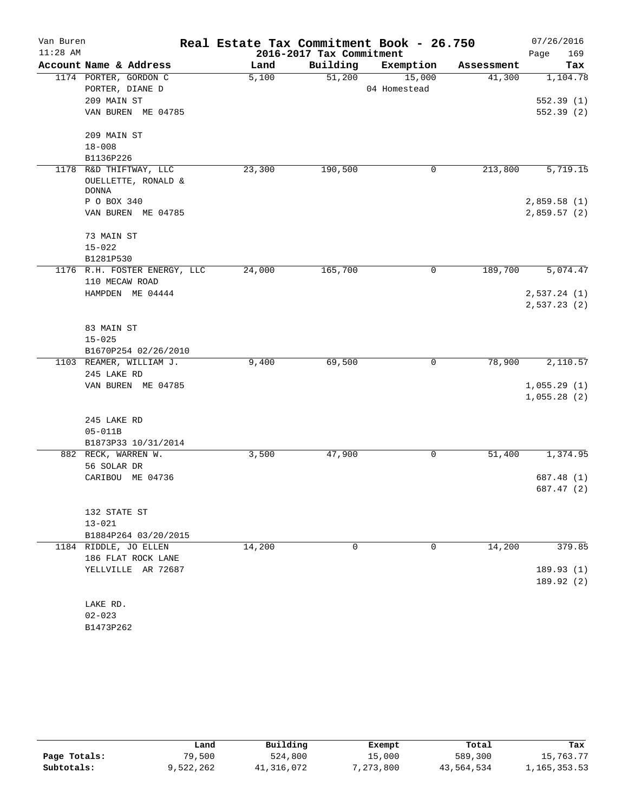| Van Buren  |                                                          | Real Estate Tax Commitment Book - 26.750 |          |                        |            | 07/26/2016                 |  |
|------------|----------------------------------------------------------|------------------------------------------|----------|------------------------|------------|----------------------------|--|
| $11:28$ AM |                                                          | 2016-2017 Tax Commitment                 |          |                        |            | 169<br>Page                |  |
|            | Account Name & Address                                   | Land                                     | Building | Exemption              | Assessment | Tax                        |  |
|            | 1174 PORTER, GORDON C<br>PORTER, DIANE D                 | 5,100                                    | 51,200   | 15,000<br>04 Homestead | 41,300     | 1,104.78                   |  |
|            | 209 MAIN ST                                              |                                          |          |                        |            | 552.39(1)                  |  |
|            | VAN BUREN ME 04785                                       |                                          |          |                        |            | 552.39(2)                  |  |
|            | 209 MAIN ST                                              |                                          |          |                        |            |                            |  |
|            | $18 - 008$                                               |                                          |          |                        |            |                            |  |
|            | B1136P226                                                |                                          |          |                        |            |                            |  |
| 1178       | R&D THIFTWAY, LLC<br>OUELLETTE, RONALD &<br><b>DONNA</b> | 23,300                                   | 190,500  | 0                      | 213,800    | 5,719.15                   |  |
|            | P O BOX 340                                              |                                          |          |                        |            | 2,859.58(1)                |  |
|            | VAN BUREN ME 04785                                       |                                          |          |                        |            | 2,859.57(2)                |  |
|            | 73 MAIN ST                                               |                                          |          |                        |            |                            |  |
|            | $15 - 022$                                               |                                          |          |                        |            |                            |  |
|            | B1281P530                                                |                                          |          |                        |            |                            |  |
|            | 1176 R.H. FOSTER ENERGY, LLC<br>110 MECAW ROAD           | 24,000                                   | 165,700  | 0                      | 189,700    | 5,074.47                   |  |
|            | HAMPDEN ME 04444                                         |                                          |          |                        |            | 2,537.24 (1)               |  |
|            |                                                          |                                          |          |                        |            | 2,537.23(2)                |  |
|            | 83 MAIN ST                                               |                                          |          |                        |            |                            |  |
|            | $15 - 025$                                               |                                          |          |                        |            |                            |  |
|            | B1670P254 02/26/2010                                     |                                          |          |                        |            |                            |  |
|            | 1103 REAMER, WILLIAM J.                                  | 9,400                                    | 69,500   | 0                      | 78,900     | 2,110.57                   |  |
|            | 245 LAKE RD                                              |                                          |          |                        |            |                            |  |
|            | VAN BUREN ME 04785                                       |                                          |          |                        |            | 1,055.29(1)<br>1,055.28(2) |  |
|            |                                                          |                                          |          |                        |            |                            |  |
|            | 245 LAKE RD                                              |                                          |          |                        |            |                            |  |
|            | $05 - 011B$                                              |                                          |          |                        |            |                            |  |
|            | B1873P33 10/31/2014                                      |                                          |          |                        |            |                            |  |
|            | 882 RECK, WARREN W.<br>56 SOLAR DR                       | 3,500                                    | 47,900   | 0                      | 51,400     | 1,374.95                   |  |
|            | CARIBOU ME 04736                                         |                                          |          |                        |            | 687.48 (1)                 |  |
|            |                                                          |                                          |          |                        |            | 687.47 (2)                 |  |
|            |                                                          |                                          |          |                        |            |                            |  |
|            | 132 STATE ST                                             |                                          |          |                        |            |                            |  |
|            | $13 - 021$                                               |                                          |          |                        |            |                            |  |
|            | B1884P264 03/20/2015                                     |                                          |          |                        |            |                            |  |
|            | 1184 RIDDLE, JO ELLEN                                    | 14,200                                   | 0        | 0                      | 14,200     | 379.85                     |  |
|            | 186 FLAT ROCK LANE                                       |                                          |          |                        |            |                            |  |
|            | YELLVILLE AR 72687                                       |                                          |          |                        |            | 189.93(1)                  |  |
|            |                                                          |                                          |          |                        |            | 189.92 (2)                 |  |
|            | LAKE RD.                                                 |                                          |          |                        |            |                            |  |
|            | $02 - 023$                                               |                                          |          |                        |            |                            |  |

B1473P262

|              | Land      | Building   | Exempt    | Total      | Tax          |
|--------------|-----------|------------|-----------|------------|--------------|
| Page Totals: | 79,500    | 524,800    | 15,000    | 589,300    | 15,763.77    |
| Subtotals:   | 9,522,262 | 41,316,072 | 7,273,800 | 43,564,534 | .,165,353.53 |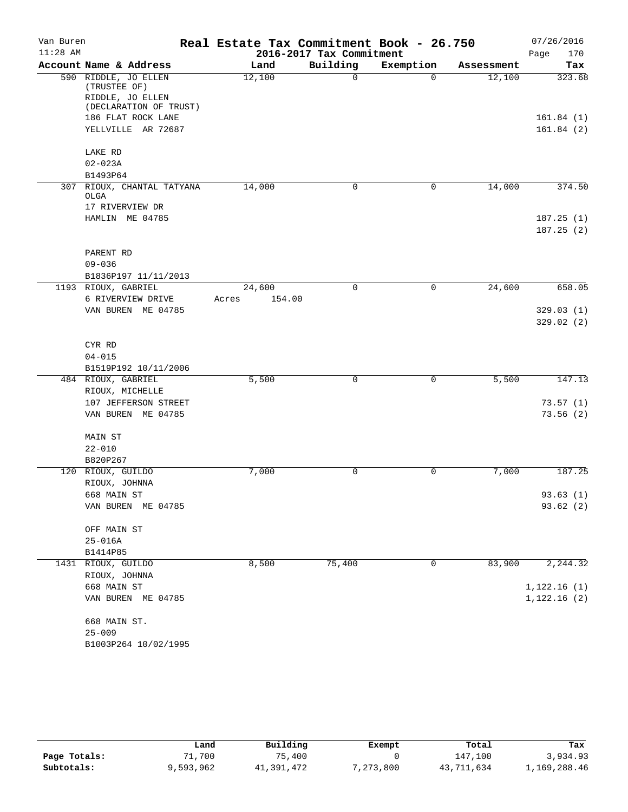| Van Buren  |                                                                                                                                | Real Estate Tax Commitment Book - 26.750 | 07/26/2016<br>170<br>Page |             |            |                                  |
|------------|--------------------------------------------------------------------------------------------------------------------------------|------------------------------------------|---------------------------|-------------|------------|----------------------------------|
| $11:28$ AM |                                                                                                                                | 2016-2017 Tax Commitment                 |                           |             |            |                                  |
|            | Account Name & Address                                                                                                         | Land                                     | Building                  | Exemption   | Assessment | Tax                              |
|            | 590 RIDDLE, JO ELLEN<br>(TRUSTEE OF)<br>RIDDLE, JO ELLEN<br>(DECLARATION OF TRUST)<br>186 FLAT ROCK LANE<br>YELLVILLE AR 72687 | 12,100                                   | 0                         | $\Omega$    | 12,100     | 323.68<br>161.84(1)<br>161.84(2) |
|            | LAKE RD                                                                                                                        |                                          |                           |             |            |                                  |
|            | $02 - 023A$                                                                                                                    |                                          |                           |             |            |                                  |
|            | B1493P64                                                                                                                       |                                          |                           |             |            |                                  |
| 307        | RIOUX, CHANTAL TATYANA<br>OLGA<br>17 RIVERVIEW DR<br>HAMLIN ME 04785                                                           | 14,000                                   | 0                         | $\mathbf 0$ | 14,000     | 374.50<br>187.25(1)              |
|            |                                                                                                                                |                                          |                           |             |            | 187.25(2)                        |
|            | PARENT RD<br>$09 - 036$                                                                                                        |                                          |                           |             |            |                                  |
|            | B1836P197 11/11/2013<br>1193 RIOUX, GABRIEL                                                                                    | 24,600                                   | $\Omega$                  | 0           | 24,600     | 658.05                           |
|            | 6 RIVERVIEW DRIVE                                                                                                              | 154.00<br>Acres                          |                           |             |            |                                  |
|            | VAN BUREN ME 04785                                                                                                             |                                          |                           |             |            | 329.03(1)                        |
|            |                                                                                                                                |                                          |                           |             |            | 329.02(2)                        |
|            | CYR RD<br>$04 - 015$<br>B1519P192 10/11/2006                                                                                   |                                          |                           |             |            |                                  |
|            | 484 RIOUX, GABRIEL                                                                                                             | 5,500                                    | $\mathbf 0$               | 0           | 5,500      | 147.13                           |
|            | RIOUX, MICHELLE<br>107 JEFFERSON STREET                                                                                        |                                          |                           |             |            | 73.57(1)                         |
|            | VAN BUREN ME 04785                                                                                                             |                                          |                           |             |            | 73.56(2)                         |
|            | MAIN ST<br>$22 - 010$                                                                                                          |                                          |                           |             |            |                                  |
|            | B820P267                                                                                                                       |                                          |                           |             |            |                                  |
|            | 120 RIOUX, GUILDO<br>RIOUX, JOHNNA                                                                                             | 7,000                                    | 0                         | $\mathbf 0$ | 7,000      | 187.25                           |
|            | 668 MAIN ST                                                                                                                    |                                          |                           |             |            | 93.63(1)                         |
|            | VAN BUREN ME 04785                                                                                                             |                                          |                           |             |            | 93.62 (2)                        |
|            | OFF MAIN ST                                                                                                                    |                                          |                           |             |            |                                  |
|            | 25-016A                                                                                                                        |                                          |                           |             |            |                                  |
|            | B1414P85                                                                                                                       |                                          |                           |             |            |                                  |
|            | 1431 RIOUX, GUILDO                                                                                                             | 8,500                                    | 75,400                    | 0           | 83,900     | 2,244.32                         |
|            | RIOUX, JOHNNA<br>668 MAIN ST                                                                                                   |                                          |                           |             |            | 1,122.16(1)                      |
|            | VAN BUREN ME 04785                                                                                                             |                                          |                           |             |            | 1,122.16(2)                      |
|            | 668 MAIN ST.                                                                                                                   |                                          |                           |             |            |                                  |
|            | $25 - 009$                                                                                                                     |                                          |                           |             |            |                                  |
|            | B1003P264 10/02/1995                                                                                                           |                                          |                           |             |            |                                  |

|              | Land      | Building   | Exempt    | Total      | Tax          |
|--------------|-----------|------------|-----------|------------|--------------|
| Page Totals: | 71,700    | 75,400     |           | 147,100    | 3,934.93     |
| Subtotals:   | 9,593,962 | 41,391,472 | 7,273,800 | 43,711,634 | 1,169,288.46 |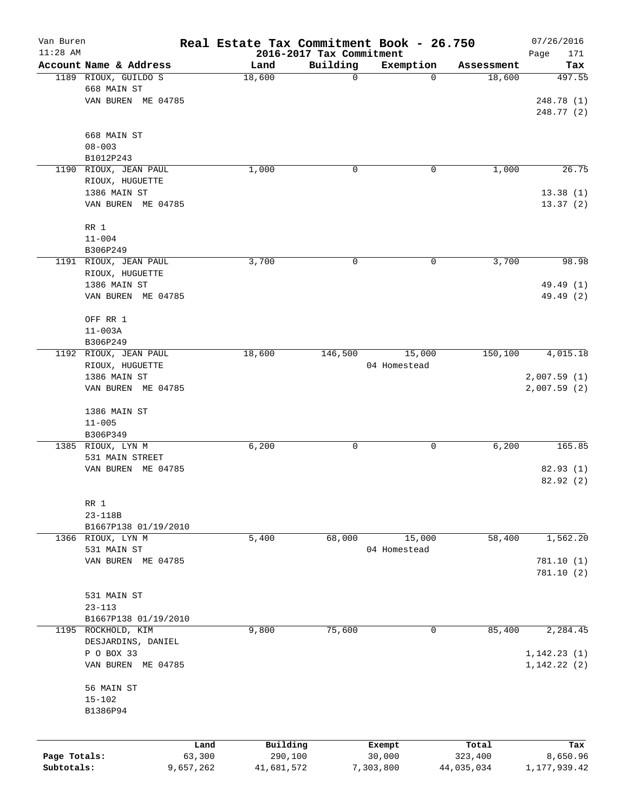| Van Buren    |                                  | Real Estate Tax Commitment Book - 26.750 |                                      |              |                      | 07/26/2016                   |
|--------------|----------------------------------|------------------------------------------|--------------------------------------|--------------|----------------------|------------------------------|
| $11:28$ AM   | Account Name & Address           | Land                                     | 2016-2017 Tax Commitment<br>Building | Exemption    |                      | Page<br>171                  |
|              | 1189 RIOUX, GUILDO S             | 18,600                                   | 0                                    | $\mathbf 0$  | Assessment<br>18,600 | Tax<br>497.55                |
|              | 668 MAIN ST                      |                                          |                                      |              |                      |                              |
|              | VAN BUREN ME 04785               |                                          |                                      |              |                      | 248.78 (1)                   |
|              |                                  |                                          |                                      |              |                      | 248.77 (2)                   |
|              |                                  |                                          |                                      |              |                      |                              |
|              | 668 MAIN ST                      |                                          |                                      |              |                      |                              |
|              | $08 - 003$                       |                                          |                                      |              |                      |                              |
|              | B1012P243                        |                                          |                                      |              |                      |                              |
|              | 1190 RIOUX, JEAN PAUL            | 1,000                                    | 0                                    | 0            | 1,000                | 26.75                        |
|              | RIOUX, HUGUETTE                  |                                          |                                      |              |                      |                              |
|              | 1386 MAIN ST                     |                                          |                                      |              |                      | 13.38(1)                     |
|              | VAN BUREN ME 04785               |                                          |                                      |              |                      | 13.37(2)                     |
|              | RR 1                             |                                          |                                      |              |                      |                              |
|              | $11 - 004$                       |                                          |                                      |              |                      |                              |
|              | B306P249                         |                                          |                                      |              |                      |                              |
|              | 1191 RIOUX, JEAN PAUL            | 3,700                                    | 0                                    | 0            | 3,700                | 98.98                        |
|              | RIOUX, HUGUETTE                  |                                          |                                      |              |                      |                              |
|              | 1386 MAIN ST                     |                                          |                                      |              |                      | 49.49 (1)                    |
|              | VAN BUREN ME 04785               |                                          |                                      |              |                      | 49.49 (2)                    |
|              |                                  |                                          |                                      |              |                      |                              |
|              | OFF RR 1                         |                                          |                                      |              |                      |                              |
|              | $11 - 003A$                      |                                          |                                      |              |                      |                              |
|              | B306P249                         |                                          |                                      |              |                      |                              |
|              | 1192 RIOUX, JEAN PAUL            | 18,600                                   | 146,500                              | 15,000       | 150,100              | 4,015.18                     |
|              | RIOUX, HUGUETTE<br>1386 MAIN ST  |                                          |                                      | 04 Homestead |                      | 2,007.59(1)                  |
|              | VAN BUREN ME 04785               |                                          |                                      |              |                      | 2,007.59(2)                  |
|              |                                  |                                          |                                      |              |                      |                              |
|              | 1386 MAIN ST                     |                                          |                                      |              |                      |                              |
|              | $11 - 005$                       |                                          |                                      |              |                      |                              |
|              | B306P349                         |                                          |                                      |              |                      |                              |
|              | 1385 RIOUX, LYN M                | 6,200                                    | 0                                    | 0            | 6,200                | 165.85                       |
|              | 531 MAIN STREET                  |                                          |                                      |              |                      |                              |
|              | VAN BUREN ME 04785               |                                          |                                      |              |                      | 82.93 (1)                    |
|              |                                  |                                          |                                      |              |                      | 82.92(2)                     |
|              |                                  |                                          |                                      |              |                      |                              |
|              | RR 1<br>$23 - 118B$              |                                          |                                      |              |                      |                              |
|              | B1667P138 01/19/2010             |                                          |                                      |              |                      |                              |
|              | 1366 RIOUX, LYN M                | 5,400                                    | 68,000                               | 15,000       | 58,400               | 1,562.20                     |
|              | 531 MAIN ST                      |                                          |                                      | 04 Homestead |                      |                              |
|              | VAN BUREN ME 04785               |                                          |                                      |              |                      | 781.10 (1)                   |
|              |                                  |                                          |                                      |              |                      | 781.10(2)                    |
|              |                                  |                                          |                                      |              |                      |                              |
|              | 531 MAIN ST                      |                                          |                                      |              |                      |                              |
|              | $23 - 113$                       |                                          |                                      |              |                      |                              |
|              | B1667P138 01/19/2010             |                                          |                                      |              |                      |                              |
| 1195         | ROCKHOLD, KIM                    | 9,800                                    | 75,600                               | 0            | 85,400               | 2,284.45                     |
|              | DESJARDINS, DANIEL<br>P O BOX 33 |                                          |                                      |              |                      |                              |
|              | VAN BUREN ME 04785               |                                          |                                      |              |                      | 1, 142.23(1)<br>1, 142.22(2) |
|              |                                  |                                          |                                      |              |                      |                              |
|              | 56 MAIN ST                       |                                          |                                      |              |                      |                              |
|              | $15 - 102$                       |                                          |                                      |              |                      |                              |
|              | B1386P94                         |                                          |                                      |              |                      |                              |
|              |                                  |                                          |                                      |              |                      |                              |
|              |                                  |                                          |                                      |              |                      |                              |
|              |                                  | Building<br>Land                         |                                      | Exempt       | Total                | Tax                          |
| Page Totals: | 63,300                           | 290,100                                  |                                      | 30,000       | 323,400              | 8,650.96                     |
| Subtotals:   | 9,657,262                        | 41,681,572                               |                                      | 7,303,800    | 44,035,034           | 1, 177, 939.42               |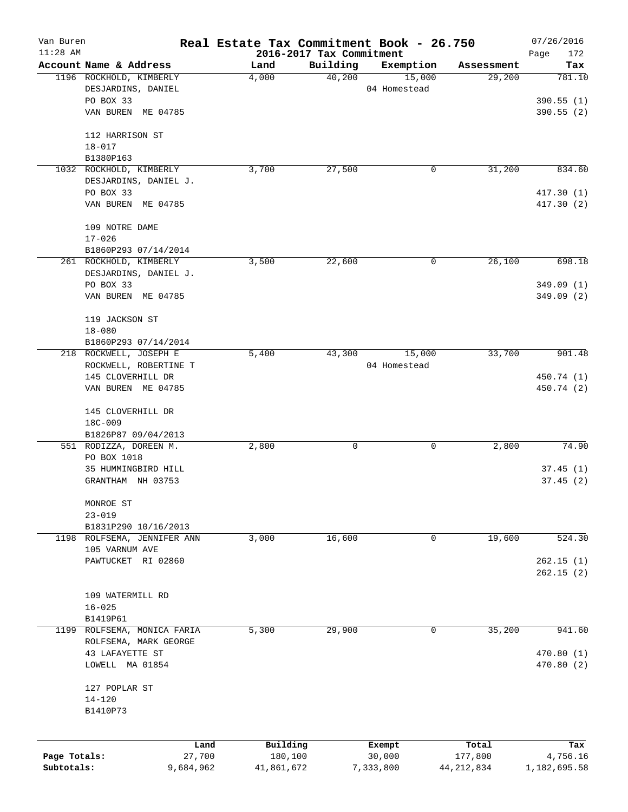| Van Buren<br>$11:28$ AM |                                          | Real Estate Tax Commitment Book - 26.750 |                                      |                  |                  | 07/26/2016           |
|-------------------------|------------------------------------------|------------------------------------------|--------------------------------------|------------------|------------------|----------------------|
|                         | Account Name & Address                   | Land                                     | 2016-2017 Tax Commitment<br>Building | Exemption        | Assessment       | Page<br>172<br>Tax   |
|                         | 1196 ROCKHOLD, KIMBERLY                  | 4,000                                    | 40,200                               | 15,000           | 29,200           | 781.10               |
|                         | DESJARDINS, DANIEL                       |                                          |                                      | 04 Homestead     |                  |                      |
|                         | PO BOX 33                                |                                          |                                      |                  |                  | 390.55(1)            |
|                         | VAN BUREN ME 04785                       |                                          |                                      |                  |                  | 390.55(2)            |
|                         |                                          |                                          |                                      |                  |                  |                      |
|                         | 112 HARRISON ST                          |                                          |                                      |                  |                  |                      |
|                         | $18 - 017$                               |                                          |                                      |                  |                  |                      |
|                         | B1380P163                                |                                          |                                      |                  |                  |                      |
|                         | 1032 ROCKHOLD, KIMBERLY                  | 3,700                                    | 27,500                               | 0                | 31,200           | 834.60               |
|                         | DESJARDINS, DANIEL J.                    |                                          |                                      |                  |                  |                      |
|                         | PO BOX 33                                |                                          |                                      |                  |                  | 417.30(1)            |
|                         | VAN BUREN ME 04785                       |                                          |                                      |                  |                  | 417.30(2)            |
|                         | 109 NOTRE DAME                           |                                          |                                      |                  |                  |                      |
|                         | $17 - 026$                               |                                          |                                      |                  |                  |                      |
|                         | B1860P293 07/14/2014                     |                                          |                                      |                  |                  |                      |
|                         | 261 ROCKHOLD, KIMBERLY                   | 3,500                                    | 22,600                               | 0                | 26,100           | 698.18               |
|                         | DESJARDINS, DANIEL J.                    |                                          |                                      |                  |                  |                      |
|                         | PO BOX 33                                |                                          |                                      |                  |                  | 349.09(1)            |
|                         | VAN BUREN ME 04785                       |                                          |                                      |                  |                  | 349.09(2)            |
|                         | 119 JACKSON ST                           |                                          |                                      |                  |                  |                      |
|                         | $18 - 080$                               |                                          |                                      |                  |                  |                      |
|                         | B1860P293 07/14/2014                     |                                          |                                      |                  |                  |                      |
|                         | 218 ROCKWELL, JOSEPH E                   | 5,400                                    | 43,300                               | 15,000           | 33,700           | 901.48               |
|                         | ROCKWELL, ROBERTINE T                    |                                          |                                      | 04 Homestead     |                  |                      |
|                         | 145 CLOVERHILL DR                        |                                          |                                      |                  |                  | 450.74 (1)           |
|                         | VAN BUREN ME 04785                       |                                          |                                      |                  |                  | 450.74 (2)           |
|                         |                                          |                                          |                                      |                  |                  |                      |
|                         | 145 CLOVERHILL DR                        |                                          |                                      |                  |                  |                      |
|                         | 18C-009                                  |                                          |                                      |                  |                  |                      |
|                         | B1826P87 09/04/2013                      |                                          |                                      |                  |                  |                      |
|                         | 551 RODIZZA, DOREEN M.                   | 2,800                                    | 0                                    | 0                | 2,800            | 74.90                |
|                         | PO BOX 1018                              |                                          |                                      |                  |                  |                      |
|                         | 35 HUMMINGBIRD HILL<br>GRANTHAM NH 03753 |                                          |                                      |                  |                  | 37.45(1)<br>37.45(2) |
|                         |                                          |                                          |                                      |                  |                  |                      |
|                         | MONROE ST                                |                                          |                                      |                  |                  |                      |
|                         | $23 - 019$                               |                                          |                                      |                  |                  |                      |
|                         | B1831P290 10/16/2013                     |                                          |                                      |                  |                  |                      |
|                         | 1198 ROLFSEMA, JENNIFER ANN              | 3,000                                    | 16,600                               | 0                | 19,600           | 524.30               |
|                         | 105 VARNUM AVE                           |                                          |                                      |                  |                  |                      |
|                         | PAWTUCKET RI 02860                       |                                          |                                      |                  |                  | 262.15(1)            |
|                         |                                          |                                          |                                      |                  |                  | 262.15(2)            |
|                         | 109 WATERMILL RD                         |                                          |                                      |                  |                  |                      |
|                         | $16 - 025$                               |                                          |                                      |                  |                  |                      |
|                         | B1419P61                                 |                                          |                                      |                  |                  |                      |
| 1199                    | ROLFSEMA, MONICA FARIA                   | 5,300                                    | 29,900                               | 0                | 35,200           | 941.60               |
|                         | ROLFSEMA, MARK GEORGE                    |                                          |                                      |                  |                  |                      |
|                         | 43 LAFAYETTE ST                          |                                          |                                      |                  |                  | 470.80(1)            |
|                         | LOWELL MA 01854                          |                                          |                                      |                  |                  | 470.80 (2)           |
|                         |                                          |                                          |                                      |                  |                  |                      |
|                         | 127 POPLAR ST                            |                                          |                                      |                  |                  |                      |
|                         | $14 - 120$<br>B1410P73                   |                                          |                                      |                  |                  |                      |
|                         |                                          |                                          |                                      |                  |                  |                      |
|                         |                                          |                                          |                                      |                  |                  |                      |
| Page Totals:            | Land<br>27,700                           | Building<br>180,100                      |                                      | Exempt<br>30,000 | Total<br>177,800 | Tax<br>4,756.16      |
| Subtotals:              | 9,684,962                                | 41,861,672                               |                                      | 7,333,800        | 44, 212, 834     | 1,182,695.58         |
|                         |                                          |                                          |                                      |                  |                  |                      |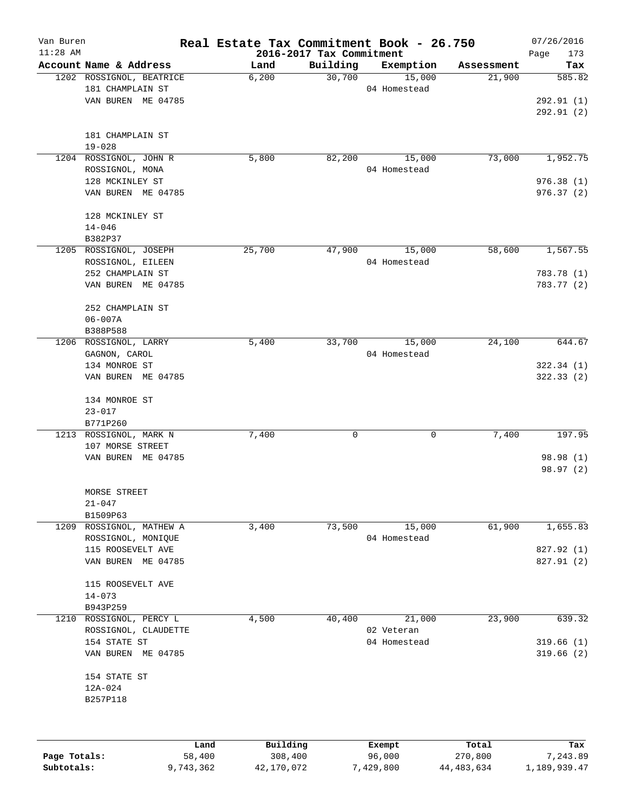| Van Buren    |                          |        |          | Real Estate Tax Commitment Book - 26.750 |              |           |            | 07/26/2016         |
|--------------|--------------------------|--------|----------|------------------------------------------|--------------|-----------|------------|--------------------|
| $11:28$ AM   | Account Name & Address   |        | Land     | 2016-2017 Tax Commitment<br>Building     |              | Exemption | Assessment | 173<br>Page<br>Tax |
|              | 1202 ROSSIGNOL, BEATRICE |        | 6,200    | 30,700                                   |              | 15,000    | 21,900     | 585.82             |
|              | 181 CHAMPLAIN ST         |        |          |                                          | 04 Homestead |           |            |                    |
|              | VAN BUREN ME 04785       |        |          |                                          |              |           |            | 292.91 (1)         |
|              |                          |        |          |                                          |              |           |            | 292.91 (2)         |
|              | 181 CHAMPLAIN ST         |        |          |                                          |              |           |            |                    |
|              | $19 - 028$               |        |          |                                          |              |           |            |                    |
|              | 1204 ROSSIGNOL, JOHN R   |        | 5,800    | 82,200                                   |              | 15,000    | 73,000     | 1,952.75           |
|              | ROSSIGNOL, MONA          |        |          |                                          | 04 Homestead |           |            |                    |
|              | 128 MCKINLEY ST          |        |          |                                          |              |           |            | 976.38(1)          |
|              | VAN BUREN ME 04785       |        |          |                                          |              |           |            | 976.37(2)          |
|              | 128 MCKINLEY ST          |        |          |                                          |              |           |            |                    |
|              | $14 - 046$               |        |          |                                          |              |           |            |                    |
|              | B382P37                  |        |          |                                          |              |           |            |                    |
|              | 1205 ROSSIGNOL, JOSEPH   |        | 25,700   | 47,900                                   |              | 15,000    | 58,600     | 1,567.55           |
|              | ROSSIGNOL, EILEEN        |        |          |                                          | 04 Homestead |           |            |                    |
|              | 252 CHAMPLAIN ST         |        |          |                                          |              |           |            | 783.78 (1)         |
|              | VAN BUREN ME 04785       |        |          |                                          |              |           |            | 783.77 (2)         |
|              | 252 CHAMPLAIN ST         |        |          |                                          |              |           |            |                    |
|              | $06 - 007A$              |        |          |                                          |              |           |            |                    |
|              | B388P588                 |        |          |                                          |              |           |            |                    |
|              | 1206 ROSSIGNOL, LARRY    |        | 5,400    | 33,700                                   |              | 15,000    | 24,100     | 644.67             |
|              | GAGNON, CAROL            |        |          |                                          | 04 Homestead |           |            |                    |
|              | 134 MONROE ST            |        |          |                                          |              |           |            | 322.34(1)          |
|              | VAN BUREN ME 04785       |        |          |                                          |              |           |            | 322.33(2)          |
|              | 134 MONROE ST            |        |          |                                          |              |           |            |                    |
|              | $23 - 017$               |        |          |                                          |              |           |            |                    |
|              | B771P260                 |        |          |                                          |              |           |            |                    |
|              | 1213 ROSSIGNOL, MARK N   |        | 7,400    | 0                                        |              | 0         | 7,400      | 197.95             |
|              | 107 MORSE STREET         |        |          |                                          |              |           |            |                    |
|              | VAN BUREN ME 04785       |        |          |                                          |              |           |            | 98.98 (1)          |
|              |                          |        |          |                                          |              |           |            | 98.97(2)           |
|              | MORSE STREET             |        |          |                                          |              |           |            |                    |
|              | $21 - 047$               |        |          |                                          |              |           |            |                    |
|              | B1509P63                 |        |          |                                          |              |           |            |                    |
|              | 1209 ROSSIGNOL, MATHEW A |        | 3,400    | 73,500                                   |              | 15,000    | 61,900     | 1,655.83           |
|              | ROSSIGNOL, MONIQUE       |        |          |                                          | 04 Homestead |           |            |                    |
|              | 115 ROOSEVELT AVE        |        |          |                                          |              |           |            | 827.92 (1)         |
|              | VAN BUREN ME 04785       |        |          |                                          |              |           |            | 827.91 (2)         |
|              | 115 ROOSEVELT AVE        |        |          |                                          |              |           |            |                    |
|              | $14 - 073$               |        |          |                                          |              |           |            |                    |
|              | B943P259                 |        |          |                                          |              |           |            |                    |
| 1210         | ROSSIGNOL, PERCY L       |        | 4,500    | 40,400                                   |              | 21,000    | 23,900     | 639.32             |
|              | ROSSIGNOL, CLAUDETTE     |        |          |                                          | 02 Veteran   |           |            |                    |
|              | 154 STATE ST             |        |          |                                          | 04 Homestead |           |            | 319.66(1)          |
|              | VAN BUREN ME 04785       |        |          |                                          |              |           |            | 319.66(2)          |
|              | 154 STATE ST             |        |          |                                          |              |           |            |                    |
|              | 12A-024                  |        |          |                                          |              |           |            |                    |
|              | B257P118                 |        |          |                                          |              |           |            |                    |
|              |                          |        |          |                                          |              |           |            |                    |
|              |                          | Land   | Building |                                          | Exempt       |           | Total      | Tax                |
| Page Totals: |                          | 58,400 | 308,400  |                                          | 96,000       |           | 270,800    | 7,243.89           |

**Subtotals:** 9,743,362 42,170,072 7,429,800 44,483,634 1,189,939.47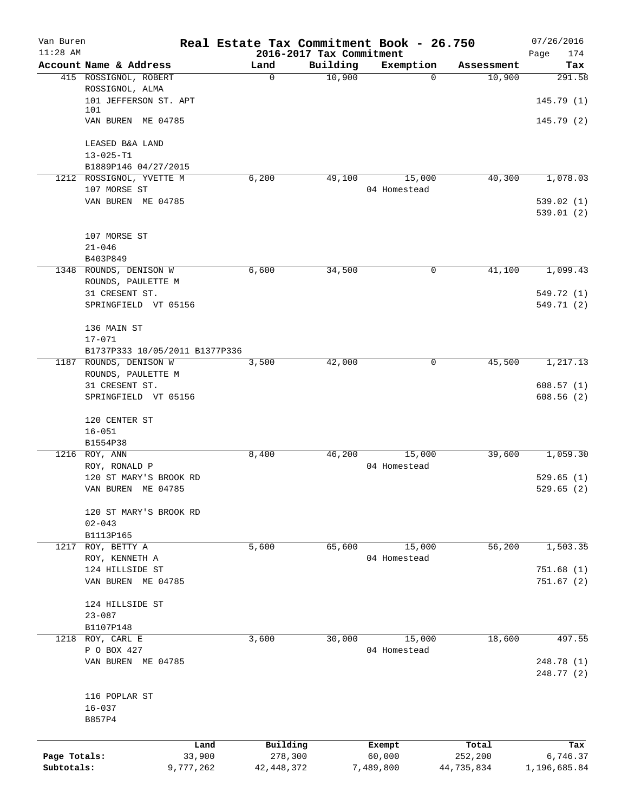| Van Buren<br>$11:28$ AM    |                                                                   | Real Estate Tax Commitment Book - 26.750<br>2016-2017 Tax Commitment |          |                               |                                | 07/26/2016<br>Page<br>174       |
|----------------------------|-------------------------------------------------------------------|----------------------------------------------------------------------|----------|-------------------------------|--------------------------------|---------------------------------|
|                            | Account Name & Address                                            | Land                                                                 | Building | Exemption                     | Assessment                     | Tax                             |
|                            | 415 ROSSIGNOL, ROBERT<br>ROSSIGNOL, ALMA<br>101 JEFFERSON ST. APT | $\mathbf 0$                                                          | 10,900   | $\Omega$                      | 10,900                         | 291.58<br>145.79(1)             |
|                            | 101<br>VAN BUREN ME 04785                                         |                                                                      |          |                               |                                | 145.79(2)                       |
|                            | LEASED B&A LAND                                                   |                                                                      |          |                               |                                |                                 |
|                            | $13 - 025 - T1$<br>B1889P146 04/27/2015                           |                                                                      |          |                               |                                |                                 |
|                            | 1212 ROSSIGNOL, YVETTE M<br>107 MORSE ST                          | 6,200                                                                | 49,100   | 15,000<br>04 Homestead        | 40,300                         | 1,078.03                        |
|                            | VAN BUREN ME 04785                                                |                                                                      |          |                               |                                | 539.02(1)<br>539.01(2)          |
|                            | 107 MORSE ST<br>$21 - 046$                                        |                                                                      |          |                               |                                |                                 |
|                            | B403P849                                                          |                                                                      |          |                               |                                |                                 |
|                            | 1348 ROUNDS, DENISON W<br>ROUNDS, PAULETTE M                      | 6,600                                                                | 34,500   | 0                             | 41,100                         | 1,099.43                        |
|                            | 31 CRESENT ST.<br>SPRINGFIELD VT 05156                            |                                                                      |          |                               |                                | 549.72 (1)<br>549.71 (2)        |
|                            | 136 MAIN ST<br>$17 - 071$                                         |                                                                      |          |                               |                                |                                 |
|                            | B1737P333 10/05/2011 B1377P336<br>1187 ROUNDS, DENISON W          | 3,500                                                                | 42,000   | 0                             | 45,500                         | 1,217.13                        |
|                            | ROUNDS, PAULETTE M                                                |                                                                      |          |                               |                                |                                 |
|                            | 31 CRESENT ST.<br>SPRINGFIELD VT 05156                            |                                                                      |          |                               |                                | 608.57(1)<br>608.56(2)          |
|                            | 120 CENTER ST<br>$16 - 051$                                       |                                                                      |          |                               |                                |                                 |
|                            | B1554P38                                                          |                                                                      |          |                               |                                |                                 |
|                            | 1216 ROY, ANN<br>ROY, RONALD P                                    | 8,400                                                                | 46,200   | 15,000<br>04 Homestead        | 39,600                         | 1,059.30                        |
|                            | 120 ST MARY'S BROOK RD<br>VAN BUREN ME 04785                      |                                                                      |          |                               |                                | 529.65(1)<br>529.65(2)          |
|                            | 120 ST MARY'S BROOK RD<br>$02 - 043$                              |                                                                      |          |                               |                                |                                 |
| 1217                       | B1113P165<br>ROY, BETTY A                                         | 5,600                                                                | 65,600   | 15,000                        | 56,200                         | 1,503.35                        |
|                            | ROY, KENNETH A                                                    |                                                                      |          | 04 Homestead                  |                                |                                 |
|                            | 124 HILLSIDE ST<br>VAN BUREN ME 04785                             |                                                                      |          |                               |                                | 751.68(1)<br>751.67(2)          |
|                            | 124 HILLSIDE ST<br>$23 - 087$                                     |                                                                      |          |                               |                                |                                 |
|                            | B1107P148                                                         |                                                                      |          |                               |                                |                                 |
|                            | 1218 ROY, CARL E<br>P O BOX 427                                   | 3,600                                                                | 30,000   | 15,000<br>04 Homestead        | 18,600                         | 497.55                          |
|                            | VAN BUREN ME 04785                                                |                                                                      |          |                               |                                | 248.78(1)<br>248.77 (2)         |
|                            | 116 POPLAR ST<br>$16 - 037$<br>B857P4                             |                                                                      |          |                               |                                |                                 |
|                            |                                                                   |                                                                      |          |                               |                                |                                 |
| Page Totals:<br>Subtotals: | Land<br>33,900<br>9,777,262                                       | Building<br>278,300<br>42, 448, 372                                  |          | Exempt<br>60,000<br>7,489,800 | Total<br>252,200<br>44,735,834 | Tax<br>6,746.37<br>1,196,685.84 |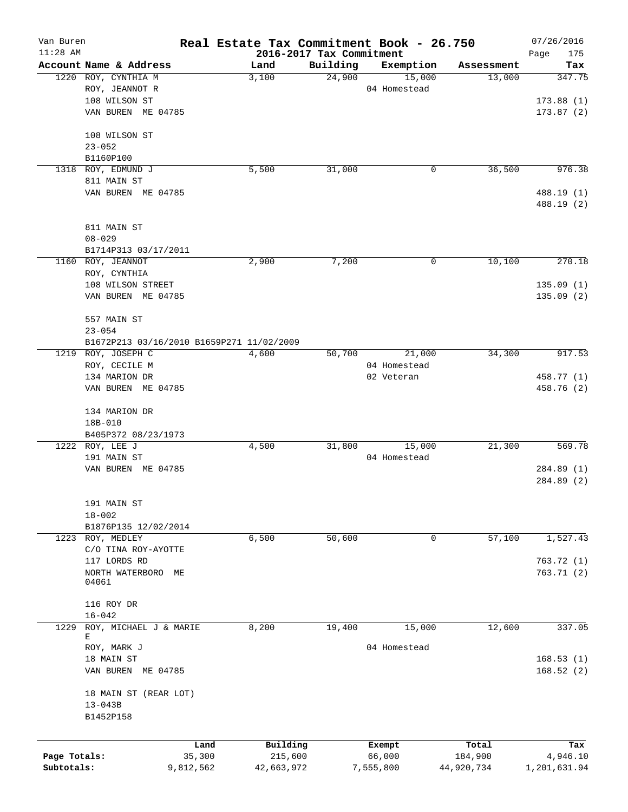| Van Buren    |                                           |                |                                  |          | Real Estate Tax Commitment Book - 26.750 |                  | 07/26/2016         |
|--------------|-------------------------------------------|----------------|----------------------------------|----------|------------------------------------------|------------------|--------------------|
| $11:28$ AM   | Account Name & Address                    |                | 2016-2017 Tax Commitment<br>Land | Building | Exemption                                | Assessment       | Page<br>175<br>Tax |
|              | 1220 ROY, CYNTHIA M                       |                | 3,100                            | 24,900   | 15,000                                   | 13,000           | 347.75             |
|              | ROY, JEANNOT R                            |                |                                  |          | 04 Homestead                             |                  |                    |
|              | 108 WILSON ST                             |                |                                  |          |                                          |                  | 173.88(1)          |
|              | VAN BUREN ME 04785                        |                |                                  |          |                                          |                  | 173.87(2)          |
|              | 108 WILSON ST                             |                |                                  |          |                                          |                  |                    |
|              | $23 - 052$                                |                |                                  |          |                                          |                  |                    |
|              | B1160P100                                 |                |                                  |          |                                          |                  |                    |
| 1318         | ROY, EDMUND J                             |                | 5,500                            | 31,000   | 0                                        | 36,500           | 976.38             |
|              | 811 MAIN ST                               |                |                                  |          |                                          |                  |                    |
|              | VAN BUREN ME 04785                        |                |                                  |          |                                          |                  | 488.19 (1)         |
|              |                                           |                |                                  |          |                                          |                  | 488.19 (2)         |
|              | 811 MAIN ST                               |                |                                  |          |                                          |                  |                    |
|              | $08 - 029$                                |                |                                  |          |                                          |                  |                    |
|              | B1714P313 03/17/2011                      |                |                                  |          |                                          |                  |                    |
|              | 1160 ROY, JEANNOT                         |                | 2,900                            | 7,200    | 0                                        | 10,100           | 270.18             |
|              | ROY, CYNTHIA                              |                |                                  |          |                                          |                  |                    |
|              | 108 WILSON STREET                         |                |                                  |          |                                          |                  | 135.09(1)          |
|              | VAN BUREN ME 04785                        |                |                                  |          |                                          |                  | 135.09(2)          |
|              | 557 MAIN ST                               |                |                                  |          |                                          |                  |                    |
|              | $23 - 054$                                |                |                                  |          |                                          |                  |                    |
|              | B1672P213 03/16/2010 B1659P271 11/02/2009 |                |                                  |          |                                          |                  |                    |
|              | 1219 ROY, JOSEPH C                        |                | 4,600                            | 50,700   | 21,000                                   | 34,300           | 917.53             |
|              | ROY, CECILE M                             |                |                                  |          | 04 Homestead                             |                  |                    |
|              | 134 MARION DR                             |                |                                  |          | 02 Veteran                               |                  | 458.77 (1)         |
|              | VAN BUREN ME 04785                        |                |                                  |          |                                          |                  | 458.76 (2)         |
|              | 134 MARION DR                             |                |                                  |          |                                          |                  |                    |
|              | 18B-010                                   |                |                                  |          |                                          |                  |                    |
|              | B405P372 08/23/1973                       |                |                                  |          |                                          |                  |                    |
|              | 1222 ROY, LEE J                           |                | 4,500                            | 31,800   | 15,000                                   | 21,300           | 569.78             |
|              | 191 MAIN ST                               |                |                                  |          | 04 Homestead                             |                  |                    |
|              | VAN BUREN ME 04785                        |                |                                  |          |                                          |                  | 284.89 (1)         |
|              |                                           |                |                                  |          |                                          |                  | 284.89 (2)         |
|              | 191 MAIN ST                               |                |                                  |          |                                          |                  |                    |
|              | $18 - 002$                                |                |                                  |          |                                          |                  |                    |
|              | B1876P135 12/02/2014                      |                |                                  |          |                                          |                  |                    |
|              | 1223 ROY, MEDLEY                          |                | 6,500                            | 50,600   | 0                                        | 57,100           | 1,527.43           |
|              | C/O TINA ROY-AYOTTE                       |                |                                  |          |                                          |                  |                    |
|              | 117 LORDS RD                              |                |                                  |          |                                          |                  | 763.72(1)          |
|              | NORTH WATERBORO<br>МE                     |                |                                  |          |                                          |                  | 763.71(2)          |
|              | 04061                                     |                |                                  |          |                                          |                  |                    |
|              | 116 ROY DR                                |                |                                  |          |                                          |                  |                    |
| 1229         | $16 - 042$<br>ROY, MICHAEL J & MARIE      |                | 8,200                            | 19,400   | 15,000                                   | 12,600           | 337.05             |
|              | Е                                         |                |                                  |          |                                          |                  |                    |
|              | ROY, MARK J                               |                |                                  |          | 04 Homestead                             |                  |                    |
|              | 18 MAIN ST                                |                |                                  |          |                                          |                  | 168.53(1)          |
|              | VAN BUREN ME 04785                        |                |                                  |          |                                          |                  | 168.52(2)          |
|              | 18 MAIN ST (REAR LOT)                     |                |                                  |          |                                          |                  |                    |
|              | $13 - 043B$                               |                |                                  |          |                                          |                  |                    |
|              | B1452P158                                 |                |                                  |          |                                          |                  |                    |
|              |                                           |                |                                  |          |                                          |                  |                    |
| Page Totals: |                                           | Land<br>35,300 | Building<br>215,600              |          | Exempt<br>66,000                         | Total<br>184,900 | Tax<br>4,946.10    |
| Subtotals:   |                                           | 9,812,562      | 42,663,972                       |          | 7,555,800                                | 44,920,734       | 1,201,631.94       |
|              |                                           |                |                                  |          |                                          |                  |                    |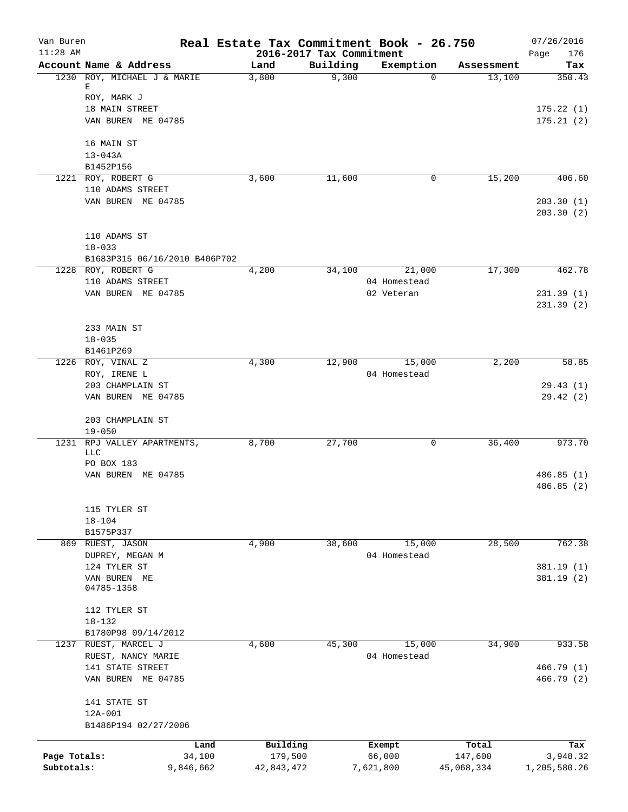| Van Buren<br>$11:28$ AM |                                      | Real Estate Tax Commitment Book - 26.750 | 2016-2017 Tax Commitment |              |            | 07/26/2016             |
|-------------------------|--------------------------------------|------------------------------------------|--------------------------|--------------|------------|------------------------|
|                         | Account Name & Address               | Land                                     | Building                 | Exemption    | Assessment | 176<br>Page<br>Tax     |
|                         | 1230 ROY, MICHAEL J & MARIE          | 3,800                                    | 9,300                    | $\Omega$     | 13,100     | 350.43                 |
|                         | Е                                    |                                          |                          |              |            |                        |
|                         | ROY, MARK J                          |                                          |                          |              |            |                        |
|                         | 18 MAIN STREET<br>VAN BUREN ME 04785 |                                          |                          |              |            | 175.22(1)<br>175.21(2) |
|                         |                                      |                                          |                          |              |            |                        |
|                         | 16 MAIN ST                           |                                          |                          |              |            |                        |
|                         | $13 - 043A$                          |                                          |                          |              |            |                        |
|                         | B1452P156                            |                                          |                          |              |            |                        |
|                         | 1221 ROY, ROBERT G                   | 3,600                                    | 11,600                   | 0            | 15,200     | 406.60                 |
|                         | 110 ADAMS STREET                     |                                          |                          |              |            |                        |
|                         | VAN BUREN ME 04785                   |                                          |                          |              |            | 203.30(1)<br>203.30(2) |
|                         | 110 ADAMS ST                         |                                          |                          |              |            |                        |
|                         | $18 - 033$                           |                                          |                          |              |            |                        |
|                         | B1683P315 06/16/2010 B406P702        |                                          |                          |              |            |                        |
|                         | 1228 ROY, ROBERT G                   | 4,200                                    | 34,100                   | 21,000       | 17,300     | 462.78                 |
|                         | 110 ADAMS STREET                     |                                          |                          | 04 Homestead |            |                        |
|                         | VAN BUREN ME 04785                   |                                          |                          | 02 Veteran   |            | 231.39(1)              |
|                         |                                      |                                          |                          |              |            | 231.39(2)              |
|                         | 233 MAIN ST                          |                                          |                          |              |            |                        |
|                         | $18 - 035$                           |                                          |                          |              |            |                        |
|                         | B1461P269                            |                                          |                          |              |            |                        |
|                         | 1226 ROY, VINAL Z                    | 4,300                                    | 12,900                   | 15,000       | 2,200      | 58.85                  |
|                         | ROY, IRENE L                         |                                          |                          | 04 Homestead |            |                        |
|                         | 203 CHAMPLAIN ST                     |                                          |                          |              |            | 29.43(1)               |
|                         | VAN BUREN ME 04785                   |                                          |                          |              |            | 29.42(2)               |
|                         | 203 CHAMPLAIN ST                     |                                          |                          |              |            |                        |
|                         | $19 - 050$                           |                                          |                          |              |            |                        |
| 1231                    | RPJ VALLEY APARTMENTS,               | 8,700                                    | 27,700                   | 0            | 36,400     | 973.70                 |
|                         | <b>LLC</b><br>PO BOX 183             |                                          |                          |              |            |                        |
|                         | VAN BUREN ME 04785                   |                                          |                          |              |            | 486.85 (1)             |
|                         |                                      |                                          |                          |              |            | 486.85(2)              |
|                         |                                      |                                          |                          |              |            |                        |
|                         | 115 TYLER ST                         |                                          |                          |              |            |                        |
|                         | $18 - 104$                           |                                          |                          |              |            |                        |
| 869                     | B1575P337<br>RUEST, JASON            | 4,900                                    | 38,600                   | 15,000       | 28,500     | 762.38                 |
|                         | DUPREY, MEGAN M                      |                                          |                          | 04 Homestead |            |                        |
|                         | 124 TYLER ST                         |                                          |                          |              |            | 381.19 (1)             |
|                         | VAN BUREN ME                         |                                          |                          |              |            | 381.19 (2)             |
|                         | 04785-1358                           |                                          |                          |              |            |                        |
|                         | 112 TYLER ST                         |                                          |                          |              |            |                        |
|                         | $18 - 132$                           |                                          |                          |              |            |                        |
|                         | B1780P98 09/14/2012                  |                                          |                          |              |            |                        |
|                         | 1237 RUEST, MARCEL J                 | 4,600                                    | 45,300                   | 15,000       | 34,900     | 933.58                 |
|                         | RUEST, NANCY MARIE                   |                                          |                          | 04 Homestead |            |                        |
|                         | 141 STATE STREET                     |                                          |                          |              |            | 466.79 (1)             |
|                         | VAN BUREN ME 04785                   |                                          |                          |              |            | 466.79 (2)             |
|                         | 141 STATE ST                         |                                          |                          |              |            |                        |
|                         | 12A-001                              |                                          |                          |              |            |                        |
|                         | B1486P194 02/27/2006                 |                                          |                          |              |            |                        |
|                         | Land                                 | Building                                 |                          | Exempt       | Total      | Tax                    |
| Page Totals:            | 34,100                               | 179,500                                  |                          | 66,000       | 147,600    | 3,948.32               |
| Subtotals:              | 9,846,662                            | 42,843,472                               |                          | 7,621,800    | 45,068,334 | 1,205,580.26           |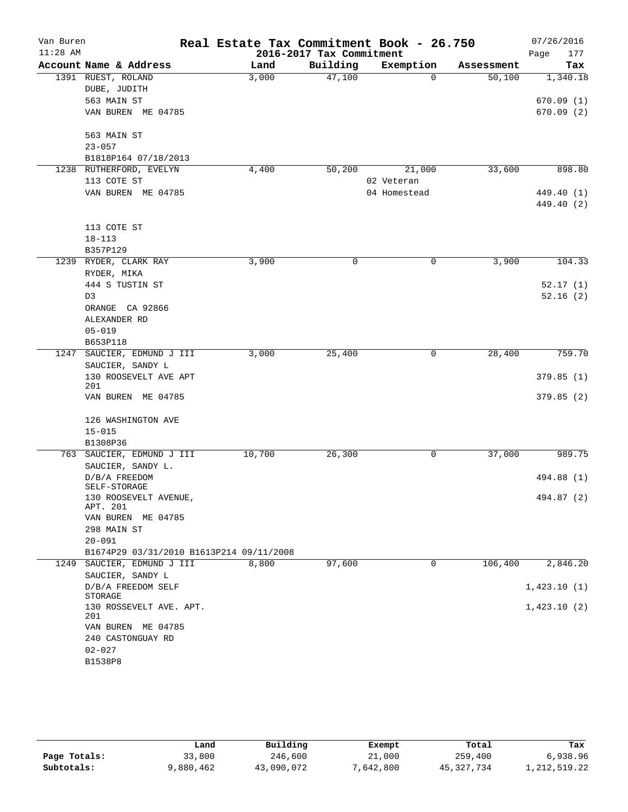| Van Buren<br>$11:28$ AM |                                          | Real Estate Tax Commitment Book - 26.750 | 2016-2017 Tax Commitment |              |            | 07/26/2016<br>Page<br>177 |
|-------------------------|------------------------------------------|------------------------------------------|--------------------------|--------------|------------|---------------------------|
|                         | Account Name & Address                   | Land                                     | Building                 | Exemption    | Assessment | Tax                       |
|                         | 1391 RUEST, ROLAND                       | 3,000                                    | 47,100                   | $\Omega$     | 50,100     | 1,340.18                  |
|                         | DUBE, JUDITH                             |                                          |                          |              |            |                           |
|                         | 563 MAIN ST                              |                                          |                          |              |            | 670.09(1)                 |
|                         | VAN BUREN ME 04785                       |                                          |                          |              |            | 670.09(2)                 |
|                         |                                          |                                          |                          |              |            |                           |
|                         | 563 MAIN ST                              |                                          |                          |              |            |                           |
|                         | $23 - 057$                               |                                          |                          |              |            |                           |
|                         | B1818P164 07/18/2013                     |                                          |                          |              |            |                           |
|                         | 1238 RUTHERFORD, EVELYN                  | 4,400                                    | 50,200                   | 21,000       | 33,600     | 898.80                    |
|                         | 113 COTE ST                              |                                          |                          | 02 Veteran   |            |                           |
|                         | VAN BUREN ME 04785                       |                                          |                          | 04 Homestead |            | 449.40 (1)                |
|                         |                                          |                                          |                          |              |            | 449.40 (2)                |
|                         |                                          |                                          |                          |              |            |                           |
|                         | 113 COTE ST                              |                                          |                          |              |            |                           |
|                         | $18 - 113$                               |                                          |                          |              |            |                           |
|                         | B357P129                                 |                                          |                          |              |            |                           |
|                         | 1239 RYDER, CLARK RAY                    | 3,900                                    | 0                        | $\mathbf 0$  | 3,900      | 104.33                    |
|                         |                                          |                                          |                          |              |            |                           |
|                         | RYDER, MIKA                              |                                          |                          |              |            |                           |
|                         | 444 S TUSTIN ST                          |                                          |                          |              |            | 52.17(1)<br>52.16(2)      |
|                         | D3                                       |                                          |                          |              |            |                           |
|                         | ORANGE CA 92866                          |                                          |                          |              |            |                           |
|                         | ALEXANDER RD                             |                                          |                          |              |            |                           |
|                         | $05 - 019$                               |                                          |                          |              |            |                           |
|                         | B653P118                                 |                                          |                          |              |            |                           |
| 1247                    | SAUCIER, EDMUND J III                    | 3,000                                    | 25,400                   | 0            | 28,400     | 759.70                    |
|                         | SAUCIER, SANDY L                         |                                          |                          |              |            |                           |
|                         | 130 ROOSEVELT AVE APT<br>201             |                                          |                          |              |            | 379.85(1)                 |
|                         | VAN BUREN ME 04785                       |                                          |                          |              |            | 379.85(2)                 |
|                         |                                          |                                          |                          |              |            |                           |
|                         | 126 WASHINGTON AVE                       |                                          |                          |              |            |                           |
|                         | $15 - 015$                               |                                          |                          |              |            |                           |
|                         | B1308P36                                 |                                          |                          |              |            |                           |
|                         | 763 SAUCIER, EDMUND J III                | 10,700                                   | 26,300                   | 0            | 37,000     | 989.75                    |
|                         | SAUCIER, SANDY L.                        |                                          |                          |              |            |                           |
|                         | D/B/A FREEDOM                            |                                          |                          |              |            | 494.88 (1)                |
|                         | SELF-STORAGE                             |                                          |                          |              |            |                           |
|                         | 130 ROOSEVELT AVENUE,                    |                                          |                          |              |            | 494.87 (2)                |
|                         | APT. 201                                 |                                          |                          |              |            |                           |
|                         | VAN BUREN ME 04785                       |                                          |                          |              |            |                           |
|                         | 298 MAIN ST                              |                                          |                          |              |            |                           |
|                         | $20 - 091$                               |                                          |                          |              |            |                           |
|                         | B1674P29 03/31/2010 B1613P214 09/11/2008 |                                          |                          |              |            |                           |
| 1249                    | SAUCIER, EDMUND J III                    | 8,800                                    | 97,600                   | 0            | 106,400    | 2,846.20                  |
|                         | SAUCIER, SANDY L                         |                                          |                          |              |            |                           |
|                         | D/B/A FREEDOM SELF                       |                                          |                          |              |            | 1,423.10(1)               |
|                         | STORAGE                                  |                                          |                          |              |            |                           |
|                         | 130 ROSSEVELT AVE. APT.<br>201           |                                          |                          |              |            | 1,423.10(2)               |
|                         | VAN BUREN ME 04785                       |                                          |                          |              |            |                           |
|                         | 240 CASTONGUAY RD                        |                                          |                          |              |            |                           |
|                         | $02 - 027$                               |                                          |                          |              |            |                           |
|                         | B1538P8                                  |                                          |                          |              |            |                           |
|                         |                                          |                                          |                          |              |            |                           |

|              | Land      | Building   | Exempt    | Total      | Tax             |
|--------------|-----------|------------|-----------|------------|-----------------|
| Page Totals: | 33,800    | 246,600    | 21,000    | 259,400    | 6,938.96        |
| Subtotals:   | 9,880,462 | 43,090,072 | 7,642,800 | 45,327,734 | 1, 212, 519. 22 |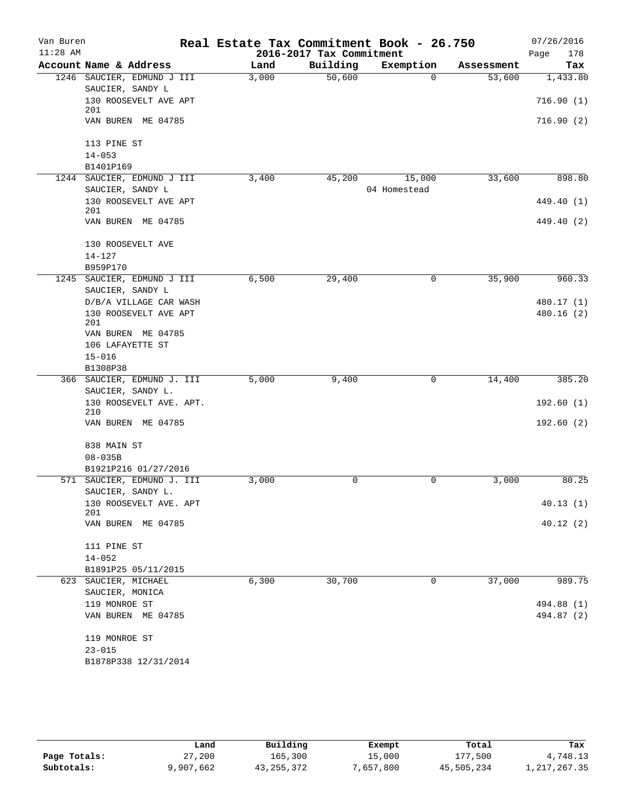| Van Buren<br>$11:28$ AM |                                                    | Real Estate Tax Commitment Book - 26.750 | 2016-2017 Tax Commitment |                        |            | 07/26/2016<br>Page<br>178 |
|-------------------------|----------------------------------------------------|------------------------------------------|--------------------------|------------------------|------------|---------------------------|
|                         | Account Name & Address                             | Land                                     | Building                 | Exemption              | Assessment | Tax                       |
|                         | 1246 SAUCIER, EDMUND J III                         | 3,000                                    | 50,600                   | $\Omega$               | 53,600     | 1,433.80                  |
|                         | SAUCIER, SANDY L                                   |                                          |                          |                        |            |                           |
|                         | 130 ROOSEVELT AVE APT<br>201                       |                                          |                          |                        |            | 716.90(1)                 |
|                         | VAN BUREN ME 04785                                 |                                          |                          |                        |            | 716.90(2)                 |
|                         | 113 PINE ST                                        |                                          |                          |                        |            |                           |
|                         | $14 - 053$                                         |                                          |                          |                        |            |                           |
|                         | B1401P169                                          |                                          |                          |                        |            |                           |
|                         | 1244 SAUCIER, EDMUND J III<br>SAUCIER, SANDY L     | 3,400                                    | 45,200                   | 15,000<br>04 Homestead | 33,600     | 898.80                    |
|                         | 130 ROOSEVELT AVE APT<br>201                       |                                          |                          |                        |            | 449.40 (1)                |
|                         | VAN BUREN ME 04785                                 |                                          |                          |                        |            | 449.40 (2)                |
|                         | 130 ROOSEVELT AVE                                  |                                          |                          |                        |            |                           |
|                         | $14 - 127$                                         |                                          |                          |                        |            |                           |
|                         | B959P170                                           |                                          |                          |                        |            |                           |
|                         | 1245 SAUCIER, EDMUND J III<br>SAUCIER, SANDY L     | 6,500                                    | 29,400                   | 0                      | 35,900     | 960.33                    |
|                         | D/B/A VILLAGE CAR WASH                             |                                          |                          |                        |            | 480.17 (1)                |
|                         | 130 ROOSEVELT AVE APT<br>201                       |                                          |                          |                        |            | 480.16(2)                 |
|                         | VAN BUREN ME 04785                                 |                                          |                          |                        |            |                           |
|                         | 106 LAFAYETTE ST                                   |                                          |                          |                        |            |                           |
|                         | $15 - 016$                                         |                                          |                          |                        |            |                           |
|                         | B1308P38                                           |                                          |                          | 0                      | 14,400     | 385.20                    |
|                         | 366 SAUCIER, EDMUND J. III<br>SAUCIER, SANDY L.    | 5,000                                    | 9,400                    |                        |            |                           |
|                         | 130 ROOSEVELT AVE. APT.                            |                                          |                          |                        |            | 192.60(1)                 |
|                         | 210                                                |                                          |                          |                        |            |                           |
|                         | VAN BUREN ME 04785                                 |                                          |                          |                        |            | 192.60(2)                 |
|                         | 838 MAIN ST                                        |                                          |                          |                        |            |                           |
|                         | $08 - 035B$                                        |                                          |                          |                        |            |                           |
|                         | B1921P216 01/27/2016<br>571 SAUCIER, EDMUND J. III | 3,000                                    | 0                        | 0                      | 3,000      | 80.25                     |
|                         | SAUCIER, SANDY L.                                  |                                          |                          |                        |            |                           |
|                         | 130 ROOSEVELT AVE. APT<br>201                      |                                          |                          |                        |            | 40.13(1)                  |
|                         | VAN BUREN ME 04785                                 |                                          |                          |                        |            | 40.12(2)                  |
|                         | 111 PINE ST                                        |                                          |                          |                        |            |                           |
|                         | $14 - 052$                                         |                                          |                          |                        |            |                           |
|                         | B1891P25 05/11/2015                                |                                          |                          |                        |            |                           |
|                         | 623 SAUCIER, MICHAEL<br>SAUCIER, MONICA            | 6,300                                    | 30,700                   | 0                      | 37,000     | 989.75                    |
|                         | 119 MONROE ST                                      |                                          |                          |                        |            | 494.88 (1)                |
|                         | VAN BUREN ME 04785                                 |                                          |                          |                        |            | 494.87 (2)                |
|                         | 119 MONROE ST                                      |                                          |                          |                        |            |                           |
|                         | $23 - 015$                                         |                                          |                          |                        |            |                           |
|                         | B1878P338 12/31/2014                               |                                          |                          |                        |            |                           |

|              | Land      | Building   | Exempt    | Total      | Tax            |
|--------------|-----------|------------|-----------|------------|----------------|
| Page Totals: | 27,200    | 165,300    | 15,000    | 177,500    | 4,748.13       |
| Subtotals:   | 9,907,662 | 43,255,372 | 7,657,800 | 45,505,234 | 1, 217, 267.35 |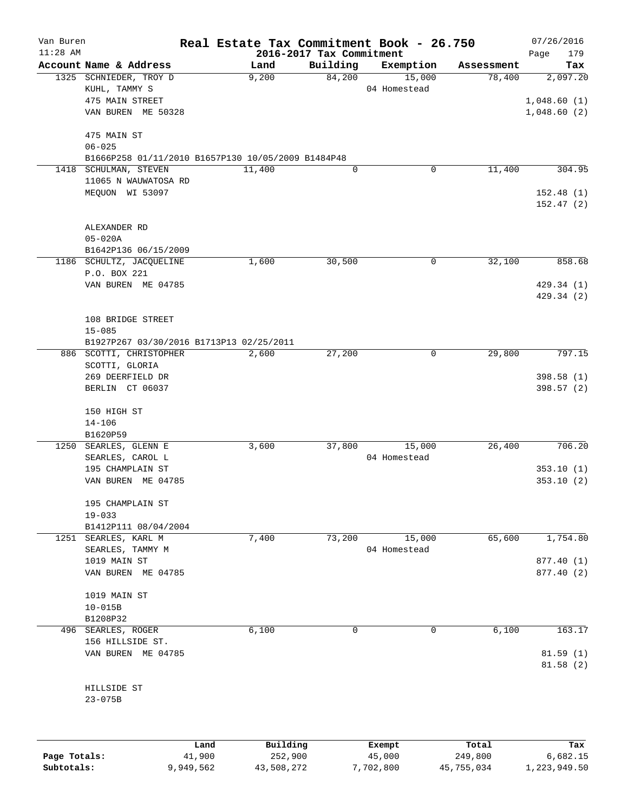| Van Buren    |                                                    | Real Estate Tax Commitment Book - 26.750 |                                      |              |            | 07/26/2016               |
|--------------|----------------------------------------------------|------------------------------------------|--------------------------------------|--------------|------------|--------------------------|
| $11:28$ AM   | Account Name & Address                             | Land                                     | 2016-2017 Tax Commitment<br>Building | Exemption    | Assessment | 179<br>Page<br>Tax       |
|              | 1325 SCHNIEDER, TROY D                             | 9,200                                    | 84,200                               | 15,000       | 78,400     | 2,097.20                 |
|              | KUHL, TAMMY S                                      |                                          |                                      | 04 Homestead |            |                          |
|              | 475 MAIN STREET                                    |                                          |                                      |              |            | 1,048.60(1)              |
|              | VAN BUREN ME 50328                                 |                                          |                                      |              |            | 1,048.60(2)              |
|              | 475 MAIN ST<br>$06 - 025$                          |                                          |                                      |              |            |                          |
|              | B1666P258 01/11/2010 B1657P130 10/05/2009 B1484P48 |                                          |                                      |              |            |                          |
| 1418         | SCHULMAN, STEVEN                                   | 11,400                                   | 0                                    | 0            | 11,400     | 304.95                   |
|              | 11065 N WAUWATOSA RD                               |                                          |                                      |              |            |                          |
|              | MEQUON WI 53097                                    |                                          |                                      |              |            | 152.48(1)                |
|              |                                                    |                                          |                                      |              |            | 152.47(2)                |
|              | ALEXANDER RD                                       |                                          |                                      |              |            |                          |
|              | $05 - 020A$                                        |                                          |                                      |              |            |                          |
|              | B1642P136 06/15/2009                               |                                          |                                      |              |            |                          |
|              | 1186 SCHULTZ, JACQUELINE                           | 1,600                                    | 30,500                               | 0            | 32,100     | 858.68                   |
|              | P.O. BOX 221                                       |                                          |                                      |              |            |                          |
|              | VAN BUREN ME 04785                                 |                                          |                                      |              |            | 429.34 (1)               |
|              |                                                    |                                          |                                      |              |            | 429.34(2)                |
|              | 108 BRIDGE STREET                                  |                                          |                                      |              |            |                          |
|              | $15 - 085$                                         |                                          |                                      |              |            |                          |
|              | B1927P267 03/30/2016 B1713P13 02/25/2011           |                                          |                                      |              |            |                          |
|              | 886 SCOTTI, CHRISTOPHER                            | 2,600                                    | 27,200                               | 0            | 29,800     | 797.15                   |
|              | SCOTTI, GLORIA                                     |                                          |                                      |              |            |                          |
|              | 269 DEERFIELD DR                                   |                                          |                                      |              |            | 398.58 (1)               |
|              | BERLIN CT 06037                                    |                                          |                                      |              |            | 398.57 (2)               |
|              | 150 HIGH ST                                        |                                          |                                      |              |            |                          |
|              | $14 - 106$                                         |                                          |                                      |              |            |                          |
|              | B1620P59                                           |                                          |                                      |              |            |                          |
|              | 1250 SEARLES, GLENN E                              | 3,600                                    | 37,800                               | 15,000       | 26,400     | 706.20                   |
|              | SEARLES, CAROL L                                   |                                          |                                      | 04 Homestead |            |                          |
|              | 195 CHAMPLAIN ST                                   |                                          |                                      |              |            | 353.10(1)                |
|              | VAN BUREN ME 04785                                 |                                          |                                      |              |            | 353.10(2)                |
|              | 195 CHAMPLAIN ST                                   |                                          |                                      |              |            |                          |
|              | $19 - 033$                                         |                                          |                                      |              |            |                          |
|              | B1412P111 08/04/2004                               |                                          |                                      |              |            |                          |
| 1251         | SEARLES, KARL M                                    | 7,400                                    | 73,200                               | 15,000       | 65,600     | 1,754.80                 |
|              | SEARLES, TAMMY M                                   |                                          |                                      | 04 Homestead |            |                          |
|              | 1019 MAIN ST<br>VAN BUREN ME 04785                 |                                          |                                      |              |            | 877.40 (1)<br>877.40 (2) |
|              |                                                    |                                          |                                      |              |            |                          |
|              | 1019 MAIN ST                                       |                                          |                                      |              |            |                          |
|              | $10 - 015B$                                        |                                          |                                      |              |            |                          |
|              | B1208P32                                           |                                          |                                      |              |            |                          |
| 496          | SEARLES, ROGER                                     | 6,100                                    | 0                                    | 0            | 6,100      | 163.17                   |
|              | 156 HILLSIDE ST.                                   |                                          |                                      |              |            |                          |
|              | VAN BUREN ME 04785                                 |                                          |                                      |              |            | 81.59(1)<br>81.58(2)     |
|              | HILLSIDE ST                                        |                                          |                                      |              |            |                          |
|              | $23 - 075B$                                        |                                          |                                      |              |            |                          |
|              |                                                    |                                          |                                      |              |            |                          |
|              | Land                                               | Building                                 |                                      | Exempt       | Total      | Tax                      |
| Page Totals: | 41,900                                             | 252,900                                  |                                      | 45,000       | 249,800    | 6,682.15                 |

**Subtotals:** 9,949,562 43,508,272 7,702,800 45,755,034 1,223,949.50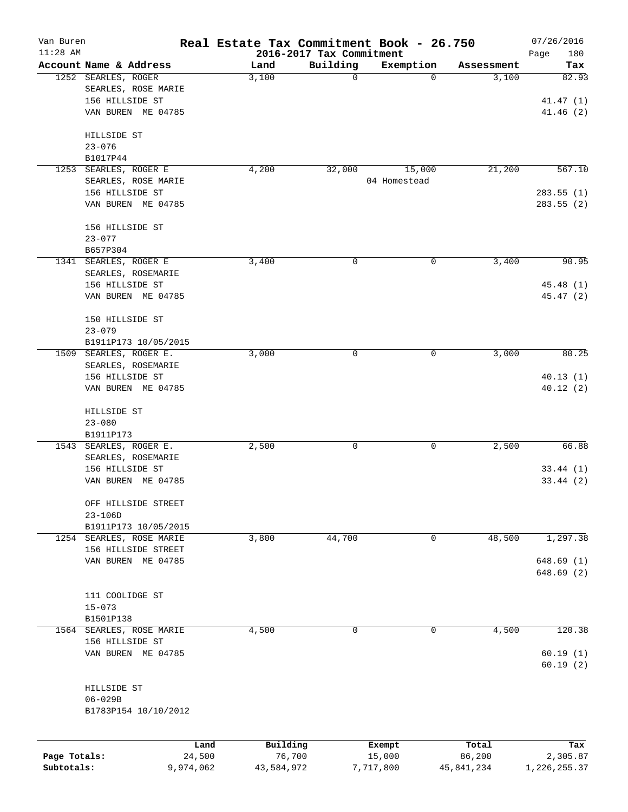| Van Buren    |                          | Real Estate Tax Commitment Book - 26.750 |                                      |                |                     | 07/26/2016   |
|--------------|--------------------------|------------------------------------------|--------------------------------------|----------------|---------------------|--------------|
| $11:28$ AM   | Account Name & Address   |                                          | 2016-2017 Tax Commitment<br>Building |                |                     | Page<br>180  |
|              | 1252 SEARLES, ROGER      | Land<br>3,100                            | $\mathbf 0$                          | Exemption<br>0 | Assessment<br>3,100 | Tax<br>82.93 |
|              | SEARLES, ROSE MARIE      |                                          |                                      |                |                     |              |
|              | 156 HILLSIDE ST          |                                          |                                      |                |                     | 41.47(1)     |
|              | VAN BUREN ME 04785       |                                          |                                      |                |                     | 41.46(2)     |
|              |                          |                                          |                                      |                |                     |              |
|              | HILLSIDE ST              |                                          |                                      |                |                     |              |
|              | $23 - 076$               |                                          |                                      |                |                     |              |
|              | B1017P44                 |                                          |                                      |                |                     |              |
|              | 1253 SEARLES, ROGER E    | 4,200                                    | 32,000                               | 15,000         | 21,200              | 567.10       |
|              | SEARLES, ROSE MARIE      |                                          |                                      | 04 Homestead   |                     |              |
|              | 156 HILLSIDE ST          |                                          |                                      |                |                     | 283.55(1)    |
|              | VAN BUREN ME 04785       |                                          |                                      |                |                     | 283.55(2)    |
|              | 156 HILLSIDE ST          |                                          |                                      |                |                     |              |
|              | $23 - 077$               |                                          |                                      |                |                     |              |
|              | B657P304                 |                                          |                                      |                |                     |              |
|              | 1341 SEARLES, ROGER E    | 3,400                                    | 0                                    | 0              | 3,400               | 90.95        |
|              | SEARLES, ROSEMARIE       |                                          |                                      |                |                     |              |
|              | 156 HILLSIDE ST          |                                          |                                      |                |                     | 45.48(1)     |
|              | VAN BUREN ME 04785       |                                          |                                      |                |                     | 45.47 (2)    |
|              | 150 HILLSIDE ST          |                                          |                                      |                |                     |              |
|              | $23 - 079$               |                                          |                                      |                |                     |              |
|              | B1911P173 10/05/2015     |                                          |                                      |                |                     |              |
|              | 1509 SEARLES, ROGER E.   | 3,000                                    | 0                                    | 0              | 3,000               | 80.25        |
|              | SEARLES, ROSEMARIE       |                                          |                                      |                |                     |              |
|              | 156 HILLSIDE ST          |                                          |                                      |                |                     | 40.13(1)     |
|              | VAN BUREN ME 04785       |                                          |                                      |                |                     | 40.12(2)     |
|              | HILLSIDE ST              |                                          |                                      |                |                     |              |
|              | $23 - 080$               |                                          |                                      |                |                     |              |
|              | B1911P173                |                                          |                                      |                |                     |              |
|              | 1543 SEARLES, ROGER E.   | 2,500                                    | 0                                    | 0              | 2,500               | 66.88        |
|              | SEARLES, ROSEMARIE       |                                          |                                      |                |                     |              |
|              | 156 HILLSIDE ST          |                                          |                                      |                |                     | 33.44(1)     |
|              | VAN BUREN ME 04785       |                                          |                                      |                |                     | 33.44(2)     |
|              | OFF HILLSIDE STREET      |                                          |                                      |                |                     |              |
|              | $23 - 106D$              |                                          |                                      |                |                     |              |
|              | B1911P173 10/05/2015     |                                          |                                      |                |                     |              |
|              | 1254 SEARLES, ROSE MARIE | 3,800                                    | 44,700                               | 0              | 48,500              | 1,297.38     |
|              | 156 HILLSIDE STREET      |                                          |                                      |                |                     |              |
|              | VAN BUREN ME 04785       |                                          |                                      |                |                     | 648.69 (1)   |
|              |                          |                                          |                                      |                |                     | 648.69 (2)   |
|              | 111 COOLIDGE ST          |                                          |                                      |                |                     |              |
|              | $15 - 073$               |                                          |                                      |                |                     |              |
|              | B1501P138                |                                          |                                      |                |                     |              |
|              | 1564 SEARLES, ROSE MARIE | 4,500                                    | 0                                    | $\mathbf 0$    | 4,500               | 120.38       |
|              | 156 HILLSIDE ST          |                                          |                                      |                |                     |              |
|              | VAN BUREN ME 04785       |                                          |                                      |                |                     | 60.19(1)     |
|              |                          |                                          |                                      |                |                     | 60.19(2)     |
|              | HILLSIDE ST              |                                          |                                      |                |                     |              |
|              | $06 - 029B$              |                                          |                                      |                |                     |              |
|              | B1783P154 10/10/2012     |                                          |                                      |                |                     |              |
|              |                          |                                          |                                      |                |                     |              |
|              |                          | Building<br>Land                         |                                      | Exempt         | Total               | Tax          |
| Page Totals: | 24,500                   | 76,700                                   |                                      | 15,000         | 86,200              | 2,305.87     |
| Subtotals:   | 9,974,062                | 43,584,972                               | 7,717,800                            |                | 45,841,234          | 1,226,255.37 |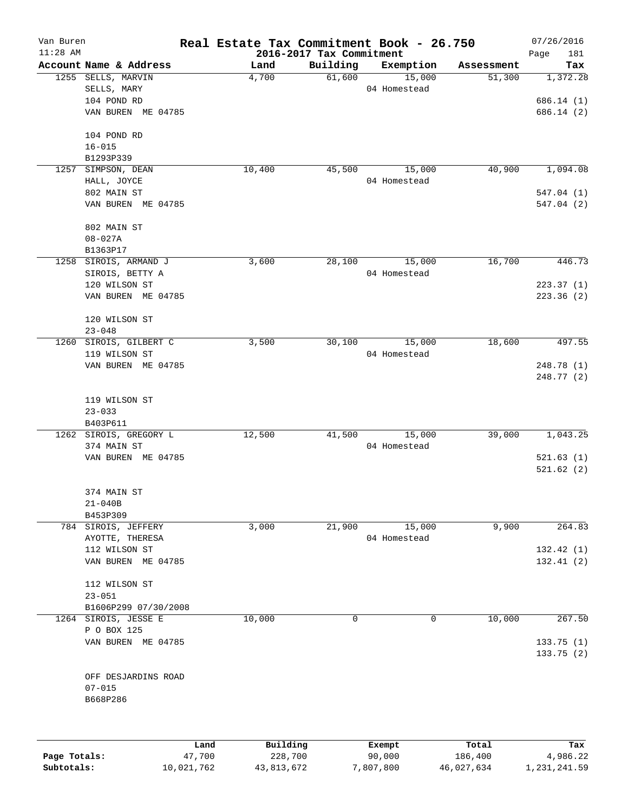| Van Buren    |                        | Real Estate Tax Commitment Book - 26.750 |                          |                  |                  | 07/26/2016      |
|--------------|------------------------|------------------------------------------|--------------------------|------------------|------------------|-----------------|
| $11:28$ AM   |                        |                                          | 2016-2017 Tax Commitment |                  |                  | Page<br>181     |
|              | Account Name & Address | Land                                     | Building                 | Exemption        | Assessment       | Tax             |
|              | 1255 SELLS, MARVIN     | 4,700                                    | 61,600                   | 15,000           | 51,300           | 1,372.28        |
|              | SELLS, MARY            |                                          |                          | 04 Homestead     |                  |                 |
|              | 104 POND RD            |                                          |                          |                  |                  | 686.14(1)       |
|              | VAN BUREN ME 04785     |                                          |                          |                  |                  | 686.14 (2)      |
|              | 104 POND RD            |                                          |                          |                  |                  |                 |
|              | $16 - 015$             |                                          |                          |                  |                  |                 |
|              | B1293P339              |                                          |                          |                  |                  |                 |
| 1257         | SIMPSON, DEAN          | 10,400                                   | 45,500                   | 15,000           | 40,900           | 1,094.08        |
|              | HALL, JOYCE            |                                          |                          | 04 Homestead     |                  |                 |
|              | 802 MAIN ST            |                                          |                          |                  |                  | 547.04(1)       |
|              | VAN BUREN ME 04785     |                                          |                          |                  |                  | 547.04(2)       |
|              | 802 MAIN ST            |                                          |                          |                  |                  |                 |
|              | $08 - 027A$            |                                          |                          |                  |                  |                 |
|              | B1363P17               |                                          |                          |                  |                  |                 |
| 1258         | SIROIS, ARMAND J       | 3,600                                    | 28,100                   | 15,000           | 16,700           | 446.73          |
|              | SIROIS, BETTY A        |                                          |                          | 04 Homestead     |                  |                 |
|              | 120 WILSON ST          |                                          |                          |                  |                  | 223.37(1)       |
|              | VAN BUREN ME 04785     |                                          |                          |                  |                  | 223.36(2)       |
|              | 120 WILSON ST          |                                          |                          |                  |                  |                 |
|              | $23 - 048$             |                                          |                          |                  |                  |                 |
| 1260         | SIROIS, GILBERT C      | 3,500                                    | 30,100                   | 15,000           | 18,600           | 497.55          |
|              | 119 WILSON ST          |                                          |                          | 04 Homestead     |                  |                 |
|              | VAN BUREN ME 04785     |                                          |                          |                  |                  | 248.78 (1)      |
|              |                        |                                          |                          |                  |                  | 248.77 (2)      |
|              | 119 WILSON ST          |                                          |                          |                  |                  |                 |
|              | $23 - 033$             |                                          |                          |                  |                  |                 |
|              | B403P611               |                                          |                          |                  |                  |                 |
|              | 1262 SIROIS, GREGORY L | 12,500                                   | 41,500                   | 15,000           | 39,000           | 1,043.25        |
|              | 374 MAIN ST            |                                          |                          | 04 Homestead     |                  |                 |
|              | VAN BUREN ME 04785     |                                          |                          |                  |                  | 521.63(1)       |
|              |                        |                                          |                          |                  |                  | 521.62(2)       |
|              | 374 MAIN ST            |                                          |                          |                  |                  |                 |
|              | $21 - 040B$            |                                          |                          |                  |                  |                 |
|              | B453P309               |                                          |                          |                  |                  |                 |
|              | 784 SIROIS, JEFFERY    | 3,000                                    | 21,900                   | 15,000           | 9,900            | 264.83          |
|              | AYOTTE, THERESA        |                                          |                          | 04 Homestead     |                  |                 |
|              | 112 WILSON ST          |                                          |                          |                  |                  | 132.42 (1)      |
|              | VAN BUREN ME 04785     |                                          |                          |                  |                  | 132.41(2)       |
|              | 112 WILSON ST          |                                          |                          |                  |                  |                 |
|              | $23 - 051$             |                                          |                          |                  |                  |                 |
|              | B1606P299 07/30/2008   |                                          |                          |                  |                  |                 |
| 1264         | SIROIS, JESSE E        | 10,000                                   | $\mathbf 0$              | 0                | 10,000           | 267.50          |
|              | P O BOX 125            |                                          |                          |                  |                  |                 |
|              | VAN BUREN ME 04785     |                                          |                          |                  |                  | 133.75(1)       |
|              |                        |                                          |                          |                  |                  | 133.75(2)       |
|              | OFF DESJARDINS ROAD    |                                          |                          |                  |                  |                 |
|              | $07 - 015$             |                                          |                          |                  |                  |                 |
|              | B668P286               |                                          |                          |                  |                  |                 |
|              |                        |                                          |                          |                  |                  |                 |
|              |                        |                                          |                          |                  |                  |                 |
| Page Totals: | 47,700                 | Building<br>Land<br>228,700              |                          | Exempt<br>90,000 | Total<br>186,400 | Tax<br>4,986.22 |

**Subtotals:** 10,021,762 43,813,672 7,807,800 46,027,634 1,231,241.59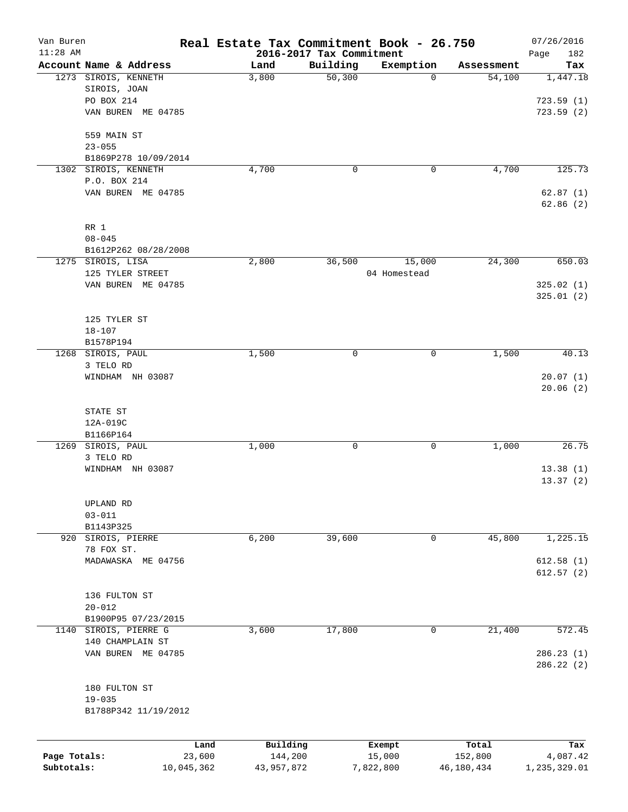| 2016-2017 Tax Commitment<br>Account Name & Address<br>Building<br>Exemption<br>Land<br>Assessment<br>50,300<br>1273 SIROIS, KENNETH<br>3,800<br>$\mathbf 0$<br>54,100<br>1,447.18<br>SIROIS, JOAN<br>PO BOX 214<br>723.59(1)<br>VAN BUREN ME 04785<br>723.59(2)<br>559 MAIN ST<br>$23 - 055$<br>B1869P278 10/09/2014<br>4,700<br>4,700<br>1302 SIROIS, KENNETH<br>0<br>0<br>P.O. BOX 214<br>VAN BUREN ME 04785<br>RR 1<br>$08 - 045$<br>B1612P262 08/28/2008<br>1275 SIROIS, LISA<br>2,800<br>24,300<br>36,500<br>15,000<br>125 TYLER STREET<br>04 Homestead<br>VAN BUREN ME 04785<br>325.01(2)<br>125 TYLER ST<br>$18 - 107$<br>B1578P194<br>SIROIS, PAUL<br>1,500<br>0<br>$\mathbf 0$<br>1,500<br>1268<br>3 TELO RD<br>WINDHAM NH 03087<br>20.07(1)<br>STATE ST<br>12A-019C<br>B1166P164<br>SIROIS, PAUL<br>1,000<br>1269<br>1,000<br>0<br>0<br>3 TELO RD<br>WINDHAM NH 03087<br>13.38(1)<br>UPLAND RD<br>$03 - 011$<br>B1143P325<br>1,225.15<br>SIROIS, PIERRE<br>6,200<br>39,600<br>45,800<br>920<br>0<br>78 FOX ST.<br>612.58(1)<br>MADAWASKA ME 04756<br>612.57(2)<br>136 FULTON ST<br>$20 - 012$<br>B1900P95 07/23/2015<br>SIROIS, PIERRE G<br>3,600<br>17,800<br>21,400<br>572.45<br>1140<br>0<br>140 CHAMPLAIN ST<br>VAN BUREN ME 04785<br>286.23 (1)<br>180 FULTON ST<br>$19 - 035$<br>B1788P342 11/19/2012<br>Building<br>Total<br>Land<br>Exempt<br>Page Totals:<br>144,200<br>23,600<br>15,000<br>152,800<br>4,087.42<br>Subtotals:<br>7,822,800<br>10,045,362<br>43,957,872 | Van Buren  | Real Estate Tax Commitment Book - 26.750 |  |            | 07/26/2016   |
|-------------------------------------------------------------------------------------------------------------------------------------------------------------------------------------------------------------------------------------------------------------------------------------------------------------------------------------------------------------------------------------------------------------------------------------------------------------------------------------------------------------------------------------------------------------------------------------------------------------------------------------------------------------------------------------------------------------------------------------------------------------------------------------------------------------------------------------------------------------------------------------------------------------------------------------------------------------------------------------------------------------------------------------------------------------------------------------------------------------------------------------------------------------------------------------------------------------------------------------------------------------------------------------------------------------------------------------------------------------------------------------------------------------------------------------------------------------------------------------------|------------|------------------------------------------|--|------------|--------------|
|                                                                                                                                                                                                                                                                                                                                                                                                                                                                                                                                                                                                                                                                                                                                                                                                                                                                                                                                                                                                                                                                                                                                                                                                                                                                                                                                                                                                                                                                                           | $11:28$ AM |                                          |  |            | Page<br>182  |
|                                                                                                                                                                                                                                                                                                                                                                                                                                                                                                                                                                                                                                                                                                                                                                                                                                                                                                                                                                                                                                                                                                                                                                                                                                                                                                                                                                                                                                                                                           |            |                                          |  |            | Tax          |
|                                                                                                                                                                                                                                                                                                                                                                                                                                                                                                                                                                                                                                                                                                                                                                                                                                                                                                                                                                                                                                                                                                                                                                                                                                                                                                                                                                                                                                                                                           |            |                                          |  |            |              |
|                                                                                                                                                                                                                                                                                                                                                                                                                                                                                                                                                                                                                                                                                                                                                                                                                                                                                                                                                                                                                                                                                                                                                                                                                                                                                                                                                                                                                                                                                           |            |                                          |  |            |              |
|                                                                                                                                                                                                                                                                                                                                                                                                                                                                                                                                                                                                                                                                                                                                                                                                                                                                                                                                                                                                                                                                                                                                                                                                                                                                                                                                                                                                                                                                                           |            |                                          |  |            |              |
|                                                                                                                                                                                                                                                                                                                                                                                                                                                                                                                                                                                                                                                                                                                                                                                                                                                                                                                                                                                                                                                                                                                                                                                                                                                                                                                                                                                                                                                                                           |            |                                          |  |            |              |
|                                                                                                                                                                                                                                                                                                                                                                                                                                                                                                                                                                                                                                                                                                                                                                                                                                                                                                                                                                                                                                                                                                                                                                                                                                                                                                                                                                                                                                                                                           |            |                                          |  |            |              |
|                                                                                                                                                                                                                                                                                                                                                                                                                                                                                                                                                                                                                                                                                                                                                                                                                                                                                                                                                                                                                                                                                                                                                                                                                                                                                                                                                                                                                                                                                           |            |                                          |  |            |              |
|                                                                                                                                                                                                                                                                                                                                                                                                                                                                                                                                                                                                                                                                                                                                                                                                                                                                                                                                                                                                                                                                                                                                                                                                                                                                                                                                                                                                                                                                                           |            |                                          |  |            |              |
|                                                                                                                                                                                                                                                                                                                                                                                                                                                                                                                                                                                                                                                                                                                                                                                                                                                                                                                                                                                                                                                                                                                                                                                                                                                                                                                                                                                                                                                                                           |            |                                          |  |            | 125.73       |
|                                                                                                                                                                                                                                                                                                                                                                                                                                                                                                                                                                                                                                                                                                                                                                                                                                                                                                                                                                                                                                                                                                                                                                                                                                                                                                                                                                                                                                                                                           |            |                                          |  |            |              |
|                                                                                                                                                                                                                                                                                                                                                                                                                                                                                                                                                                                                                                                                                                                                                                                                                                                                                                                                                                                                                                                                                                                                                                                                                                                                                                                                                                                                                                                                                           |            |                                          |  |            | 62.87(1)     |
|                                                                                                                                                                                                                                                                                                                                                                                                                                                                                                                                                                                                                                                                                                                                                                                                                                                                                                                                                                                                                                                                                                                                                                                                                                                                                                                                                                                                                                                                                           |            |                                          |  |            | 62.86(2)     |
|                                                                                                                                                                                                                                                                                                                                                                                                                                                                                                                                                                                                                                                                                                                                                                                                                                                                                                                                                                                                                                                                                                                                                                                                                                                                                                                                                                                                                                                                                           |            |                                          |  |            |              |
|                                                                                                                                                                                                                                                                                                                                                                                                                                                                                                                                                                                                                                                                                                                                                                                                                                                                                                                                                                                                                                                                                                                                                                                                                                                                                                                                                                                                                                                                                           |            |                                          |  |            |              |
|                                                                                                                                                                                                                                                                                                                                                                                                                                                                                                                                                                                                                                                                                                                                                                                                                                                                                                                                                                                                                                                                                                                                                                                                                                                                                                                                                                                                                                                                                           |            |                                          |  |            |              |
|                                                                                                                                                                                                                                                                                                                                                                                                                                                                                                                                                                                                                                                                                                                                                                                                                                                                                                                                                                                                                                                                                                                                                                                                                                                                                                                                                                                                                                                                                           |            |                                          |  |            | 650.03       |
|                                                                                                                                                                                                                                                                                                                                                                                                                                                                                                                                                                                                                                                                                                                                                                                                                                                                                                                                                                                                                                                                                                                                                                                                                                                                                                                                                                                                                                                                                           |            |                                          |  |            |              |
|                                                                                                                                                                                                                                                                                                                                                                                                                                                                                                                                                                                                                                                                                                                                                                                                                                                                                                                                                                                                                                                                                                                                                                                                                                                                                                                                                                                                                                                                                           |            |                                          |  |            | 325.02(1)    |
|                                                                                                                                                                                                                                                                                                                                                                                                                                                                                                                                                                                                                                                                                                                                                                                                                                                                                                                                                                                                                                                                                                                                                                                                                                                                                                                                                                                                                                                                                           |            |                                          |  |            |              |
|                                                                                                                                                                                                                                                                                                                                                                                                                                                                                                                                                                                                                                                                                                                                                                                                                                                                                                                                                                                                                                                                                                                                                                                                                                                                                                                                                                                                                                                                                           |            |                                          |  |            |              |
|                                                                                                                                                                                                                                                                                                                                                                                                                                                                                                                                                                                                                                                                                                                                                                                                                                                                                                                                                                                                                                                                                                                                                                                                                                                                                                                                                                                                                                                                                           |            |                                          |  |            |              |
|                                                                                                                                                                                                                                                                                                                                                                                                                                                                                                                                                                                                                                                                                                                                                                                                                                                                                                                                                                                                                                                                                                                                                                                                                                                                                                                                                                                                                                                                                           |            |                                          |  |            |              |
|                                                                                                                                                                                                                                                                                                                                                                                                                                                                                                                                                                                                                                                                                                                                                                                                                                                                                                                                                                                                                                                                                                                                                                                                                                                                                                                                                                                                                                                                                           |            |                                          |  |            |              |
|                                                                                                                                                                                                                                                                                                                                                                                                                                                                                                                                                                                                                                                                                                                                                                                                                                                                                                                                                                                                                                                                                                                                                                                                                                                                                                                                                                                                                                                                                           |            |                                          |  |            | 40.13        |
|                                                                                                                                                                                                                                                                                                                                                                                                                                                                                                                                                                                                                                                                                                                                                                                                                                                                                                                                                                                                                                                                                                                                                                                                                                                                                                                                                                                                                                                                                           |            |                                          |  |            |              |
|                                                                                                                                                                                                                                                                                                                                                                                                                                                                                                                                                                                                                                                                                                                                                                                                                                                                                                                                                                                                                                                                                                                                                                                                                                                                                                                                                                                                                                                                                           |            |                                          |  |            |              |
|                                                                                                                                                                                                                                                                                                                                                                                                                                                                                                                                                                                                                                                                                                                                                                                                                                                                                                                                                                                                                                                                                                                                                                                                                                                                                                                                                                                                                                                                                           |            |                                          |  |            | 20.06(2)     |
|                                                                                                                                                                                                                                                                                                                                                                                                                                                                                                                                                                                                                                                                                                                                                                                                                                                                                                                                                                                                                                                                                                                                                                                                                                                                                                                                                                                                                                                                                           |            |                                          |  |            |              |
|                                                                                                                                                                                                                                                                                                                                                                                                                                                                                                                                                                                                                                                                                                                                                                                                                                                                                                                                                                                                                                                                                                                                                                                                                                                                                                                                                                                                                                                                                           |            |                                          |  |            |              |
|                                                                                                                                                                                                                                                                                                                                                                                                                                                                                                                                                                                                                                                                                                                                                                                                                                                                                                                                                                                                                                                                                                                                                                                                                                                                                                                                                                                                                                                                                           |            |                                          |  |            |              |
|                                                                                                                                                                                                                                                                                                                                                                                                                                                                                                                                                                                                                                                                                                                                                                                                                                                                                                                                                                                                                                                                                                                                                                                                                                                                                                                                                                                                                                                                                           |            |                                          |  |            | 26.75        |
|                                                                                                                                                                                                                                                                                                                                                                                                                                                                                                                                                                                                                                                                                                                                                                                                                                                                                                                                                                                                                                                                                                                                                                                                                                                                                                                                                                                                                                                                                           |            |                                          |  |            |              |
|                                                                                                                                                                                                                                                                                                                                                                                                                                                                                                                                                                                                                                                                                                                                                                                                                                                                                                                                                                                                                                                                                                                                                                                                                                                                                                                                                                                                                                                                                           |            |                                          |  |            |              |
|                                                                                                                                                                                                                                                                                                                                                                                                                                                                                                                                                                                                                                                                                                                                                                                                                                                                                                                                                                                                                                                                                                                                                                                                                                                                                                                                                                                                                                                                                           |            |                                          |  |            | 13.37(2)     |
|                                                                                                                                                                                                                                                                                                                                                                                                                                                                                                                                                                                                                                                                                                                                                                                                                                                                                                                                                                                                                                                                                                                                                                                                                                                                                                                                                                                                                                                                                           |            |                                          |  |            |              |
|                                                                                                                                                                                                                                                                                                                                                                                                                                                                                                                                                                                                                                                                                                                                                                                                                                                                                                                                                                                                                                                                                                                                                                                                                                                                                                                                                                                                                                                                                           |            |                                          |  |            |              |
|                                                                                                                                                                                                                                                                                                                                                                                                                                                                                                                                                                                                                                                                                                                                                                                                                                                                                                                                                                                                                                                                                                                                                                                                                                                                                                                                                                                                                                                                                           |            |                                          |  |            |              |
|                                                                                                                                                                                                                                                                                                                                                                                                                                                                                                                                                                                                                                                                                                                                                                                                                                                                                                                                                                                                                                                                                                                                                                                                                                                                                                                                                                                                                                                                                           |            |                                          |  |            |              |
|                                                                                                                                                                                                                                                                                                                                                                                                                                                                                                                                                                                                                                                                                                                                                                                                                                                                                                                                                                                                                                                                                                                                                                                                                                                                                                                                                                                                                                                                                           |            |                                          |  |            |              |
|                                                                                                                                                                                                                                                                                                                                                                                                                                                                                                                                                                                                                                                                                                                                                                                                                                                                                                                                                                                                                                                                                                                                                                                                                                                                                                                                                                                                                                                                                           |            |                                          |  |            |              |
|                                                                                                                                                                                                                                                                                                                                                                                                                                                                                                                                                                                                                                                                                                                                                                                                                                                                                                                                                                                                                                                                                                                                                                                                                                                                                                                                                                                                                                                                                           |            |                                          |  |            |              |
|                                                                                                                                                                                                                                                                                                                                                                                                                                                                                                                                                                                                                                                                                                                                                                                                                                                                                                                                                                                                                                                                                                                                                                                                                                                                                                                                                                                                                                                                                           |            |                                          |  |            |              |
|                                                                                                                                                                                                                                                                                                                                                                                                                                                                                                                                                                                                                                                                                                                                                                                                                                                                                                                                                                                                                                                                                                                                                                                                                                                                                                                                                                                                                                                                                           |            |                                          |  |            |              |
|                                                                                                                                                                                                                                                                                                                                                                                                                                                                                                                                                                                                                                                                                                                                                                                                                                                                                                                                                                                                                                                                                                                                                                                                                                                                                                                                                                                                                                                                                           |            |                                          |  |            |              |
|                                                                                                                                                                                                                                                                                                                                                                                                                                                                                                                                                                                                                                                                                                                                                                                                                                                                                                                                                                                                                                                                                                                                                                                                                                                                                                                                                                                                                                                                                           |            |                                          |  |            |              |
|                                                                                                                                                                                                                                                                                                                                                                                                                                                                                                                                                                                                                                                                                                                                                                                                                                                                                                                                                                                                                                                                                                                                                                                                                                                                                                                                                                                                                                                                                           |            |                                          |  |            |              |
|                                                                                                                                                                                                                                                                                                                                                                                                                                                                                                                                                                                                                                                                                                                                                                                                                                                                                                                                                                                                                                                                                                                                                                                                                                                                                                                                                                                                                                                                                           |            |                                          |  |            |              |
|                                                                                                                                                                                                                                                                                                                                                                                                                                                                                                                                                                                                                                                                                                                                                                                                                                                                                                                                                                                                                                                                                                                                                                                                                                                                                                                                                                                                                                                                                           |            |                                          |  |            |              |
|                                                                                                                                                                                                                                                                                                                                                                                                                                                                                                                                                                                                                                                                                                                                                                                                                                                                                                                                                                                                                                                                                                                                                                                                                                                                                                                                                                                                                                                                                           |            |                                          |  |            | 286.22(2)    |
|                                                                                                                                                                                                                                                                                                                                                                                                                                                                                                                                                                                                                                                                                                                                                                                                                                                                                                                                                                                                                                                                                                                                                                                                                                                                                                                                                                                                                                                                                           |            |                                          |  |            |              |
|                                                                                                                                                                                                                                                                                                                                                                                                                                                                                                                                                                                                                                                                                                                                                                                                                                                                                                                                                                                                                                                                                                                                                                                                                                                                                                                                                                                                                                                                                           |            |                                          |  |            |              |
|                                                                                                                                                                                                                                                                                                                                                                                                                                                                                                                                                                                                                                                                                                                                                                                                                                                                                                                                                                                                                                                                                                                                                                                                                                                                                                                                                                                                                                                                                           |            |                                          |  |            |              |
|                                                                                                                                                                                                                                                                                                                                                                                                                                                                                                                                                                                                                                                                                                                                                                                                                                                                                                                                                                                                                                                                                                                                                                                                                                                                                                                                                                                                                                                                                           |            |                                          |  |            |              |
|                                                                                                                                                                                                                                                                                                                                                                                                                                                                                                                                                                                                                                                                                                                                                                                                                                                                                                                                                                                                                                                                                                                                                                                                                                                                                                                                                                                                                                                                                           |            |                                          |  |            |              |
|                                                                                                                                                                                                                                                                                                                                                                                                                                                                                                                                                                                                                                                                                                                                                                                                                                                                                                                                                                                                                                                                                                                                                                                                                                                                                                                                                                                                                                                                                           |            |                                          |  |            | Tax          |
|                                                                                                                                                                                                                                                                                                                                                                                                                                                                                                                                                                                                                                                                                                                                                                                                                                                                                                                                                                                                                                                                                                                                                                                                                                                                                                                                                                                                                                                                                           |            |                                          |  | 46,180,434 | 1,235,329.01 |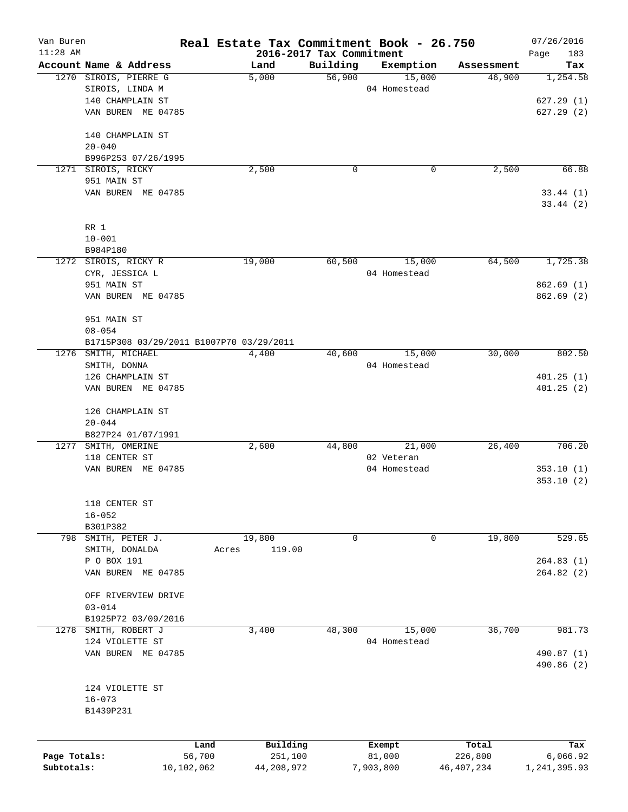| Van Buren    |                                          |            |                          |          | Real Estate Tax Commitment Book - 26.750 |                      | 07/26/2016      |
|--------------|------------------------------------------|------------|--------------------------|----------|------------------------------------------|----------------------|-----------------|
| $11:28$ AM   | Account Name & Address                   |            | 2016-2017 Tax Commitment | Building |                                          |                      | Page<br>183     |
|              | 1270 SIROIS, PIERRE G                    |            | Land<br>5,000            | 56,900   | Exemption<br>15,000                      | Assessment<br>46,900 | Tax<br>1,254.58 |
|              | SIROIS, LINDA M                          |            |                          |          | 04 Homestead                             |                      |                 |
|              | 140 CHAMPLAIN ST                         |            |                          |          |                                          |                      |                 |
|              |                                          |            |                          |          |                                          |                      | 627.29(1)       |
|              | VAN BUREN ME 04785                       |            |                          |          |                                          |                      | 627.29(2)       |
|              | 140 CHAMPLAIN ST                         |            |                          |          |                                          |                      |                 |
|              | $20 - 040$                               |            |                          |          |                                          |                      |                 |
|              | B996P253 07/26/1995                      |            |                          |          |                                          |                      |                 |
|              | 1271 SIROIS, RICKY                       |            | 2,500                    | 0        | 0                                        | 2,500                | 66.88           |
|              | 951 MAIN ST                              |            |                          |          |                                          |                      |                 |
|              | VAN BUREN ME 04785                       |            |                          |          |                                          |                      | 33.44(1)        |
|              |                                          |            |                          |          |                                          |                      | 33.44(2)        |
|              |                                          |            |                          |          |                                          |                      |                 |
|              | RR 1                                     |            |                          |          |                                          |                      |                 |
|              | $10 - 001$                               |            |                          |          |                                          |                      |                 |
|              | B984P180                                 |            |                          |          |                                          |                      |                 |
|              | 1272 SIROIS, RICKY R                     |            | 19,000                   | 60,500   | 15,000                                   | 64,500               | 1,725.38        |
|              | CYR, JESSICA L                           |            |                          |          | 04 Homestead                             |                      |                 |
|              | 951 MAIN ST                              |            |                          |          |                                          |                      | 862.69(1)       |
|              | VAN BUREN ME 04785                       |            |                          |          |                                          |                      | 862.69(2)       |
|              | 951 MAIN ST                              |            |                          |          |                                          |                      |                 |
|              | $08 - 054$                               |            |                          |          |                                          |                      |                 |
|              | B1715P308 03/29/2011 B1007P70 03/29/2011 |            |                          |          |                                          |                      |                 |
|              | 1276 SMITH, MICHAEL                      |            | 4,400                    | 40,600   | 15,000                                   | 30,000               | 802.50          |
|              | SMITH, DONNA                             |            |                          |          | 04 Homestead                             |                      |                 |
|              | 126 CHAMPLAIN ST                         |            |                          |          |                                          |                      | 401.25(1)       |
|              | VAN BUREN ME 04785                       |            |                          |          |                                          |                      | 401.25(2)       |
|              |                                          |            |                          |          |                                          |                      |                 |
|              | 126 CHAMPLAIN ST                         |            |                          |          |                                          |                      |                 |
|              | $20 - 044$                               |            |                          |          |                                          |                      |                 |
|              | B827P24 01/07/1991                       |            |                          |          |                                          |                      |                 |
|              | 1277 SMITH, OMERINE                      |            | 2,600                    | 44,800   | 21,000                                   | 26,400               | 706.20          |
|              | 118 CENTER ST                            |            |                          |          | 02 Veteran                               |                      |                 |
|              | VAN BUREN ME 04785                       |            |                          |          | 04 Homestead                             |                      | 353.10(1)       |
|              |                                          |            |                          |          |                                          |                      | 353.10(2)       |
|              |                                          |            |                          |          |                                          |                      |                 |
|              | 118 CENTER ST                            |            |                          |          |                                          |                      |                 |
|              | $16 - 052$                               |            |                          |          |                                          |                      |                 |
|              | B301P382                                 |            |                          |          |                                          |                      |                 |
| 798          | SMITH, PETER J.                          |            | 19,800                   | 0        | 0                                        | 19,800               | 529.65          |
|              | SMITH, DONALDA                           | Acres      | 119.00                   |          |                                          |                      |                 |
|              | P O BOX 191                              |            |                          |          |                                          |                      | 264.83(1)       |
|              | VAN BUREN ME 04785                       |            |                          |          |                                          |                      | 264.82(2)       |
|              | OFF RIVERVIEW DRIVE                      |            |                          |          |                                          |                      |                 |
|              | $03 - 014$                               |            |                          |          |                                          |                      |                 |
|              | B1925P72 03/09/2016                      |            |                          |          |                                          |                      |                 |
| 1278         | SMITH, ROBERT J                          |            | 3,400                    | 48,300   | 15,000                                   | 36,700               | 981.73          |
|              | 124 VIOLETTE ST                          |            |                          |          | 04 Homestead                             |                      |                 |
|              | VAN BUREN ME 04785                       |            |                          |          |                                          |                      | 490.87 (1)      |
|              |                                          |            |                          |          |                                          |                      | 490.86 (2)      |
|              |                                          |            |                          |          |                                          |                      |                 |
|              | 124 VIOLETTE ST                          |            |                          |          |                                          |                      |                 |
|              | $16 - 073$                               |            |                          |          |                                          |                      |                 |
|              | B1439P231                                |            |                          |          |                                          |                      |                 |
|              |                                          |            |                          |          |                                          |                      |                 |
|              |                                          | Land       | Building                 |          | Exempt                                   | Total                | Tax             |
| Page Totals: |                                          | 56,700     | 251,100                  |          | 81,000                                   | 226,800              | 6,066.92        |
| Subtotals:   |                                          | 10,102,062 | 44,208,972               |          | 7,903,800                                | 46, 407, 234         | 1,241,395.93    |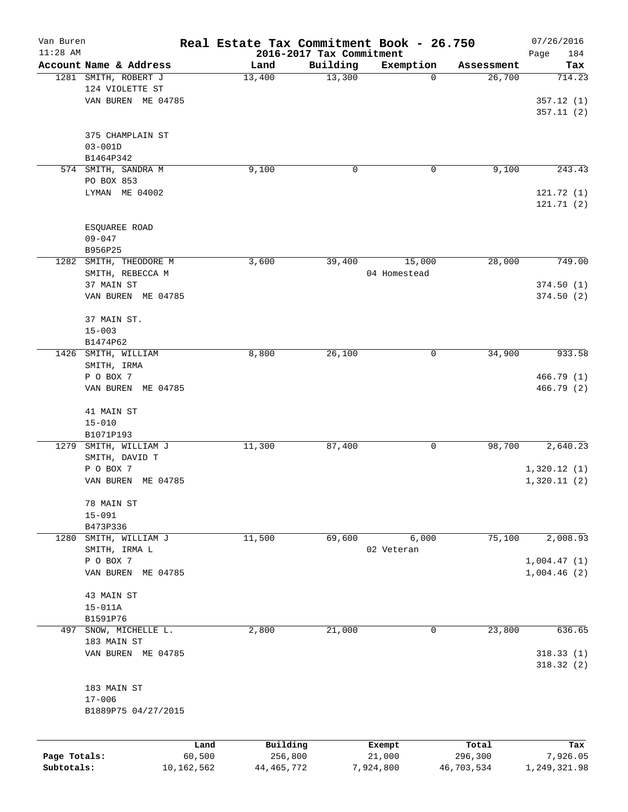| Van Buren<br>$11:28$ AM |                           | Real Estate Tax Commitment Book - 26.750 | 2016-2017 Tax Commitment |              |            | 07/26/2016<br>Page<br>184 |
|-------------------------|---------------------------|------------------------------------------|--------------------------|--------------|------------|---------------------------|
|                         | Account Name & Address    | Land                                     | Building                 | Exemption    | Assessment | Tax                       |
|                         | 1281 SMITH, ROBERT J      | 13,400                                   | 13,300                   | 0            | 26,700     | 714.23                    |
|                         | 124 VIOLETTE ST           |                                          |                          |              |            |                           |
|                         | VAN BUREN ME 04785        |                                          |                          |              |            | 357.12(1)                 |
|                         |                           |                                          |                          |              |            | 357.11(2)                 |
|                         |                           |                                          |                          |              |            |                           |
|                         | 375 CHAMPLAIN ST          |                                          |                          |              |            |                           |
|                         | $03 - 001D$               |                                          |                          |              |            |                           |
|                         | B1464P342                 |                                          |                          |              |            |                           |
|                         | 574 SMITH, SANDRA M       | 9,100                                    | 0                        | 0            | 9,100      | 243.43                    |
|                         | PO BOX 853                |                                          |                          |              |            |                           |
|                         | LYMAN ME 04002            |                                          |                          |              |            | 121.72 (1)                |
|                         |                           |                                          |                          |              |            | 121.71(2)                 |
|                         |                           |                                          |                          |              |            |                           |
|                         | ESQUAREE ROAD             |                                          |                          |              |            |                           |
|                         | $09 - 047$                |                                          |                          |              |            |                           |
|                         | B956P25                   |                                          |                          |              |            |                           |
| 1282                    | SMITH, THEODORE M         | 3,600                                    | 39,400                   | 15,000       | 28,000     | 749.00                    |
|                         | SMITH, REBECCA M          |                                          |                          | 04 Homestead |            |                           |
|                         | 37 MAIN ST                |                                          |                          |              |            | 374.50(1)                 |
|                         | VAN BUREN ME 04785        |                                          |                          |              |            | 374.50(2)                 |
|                         |                           |                                          |                          |              |            |                           |
|                         | 37 MAIN ST.               |                                          |                          |              |            |                           |
|                         | $15 - 003$                |                                          |                          |              |            |                           |
|                         | B1474P62                  |                                          |                          |              |            |                           |
| 1426                    | SMITH, WILLIAM            | 8,800                                    | 26,100                   | 0            | 34,900     | 933.58                    |
|                         | SMITH, IRMA               |                                          |                          |              |            |                           |
|                         | P O BOX 7                 |                                          |                          |              |            | 466.79 (1)                |
|                         | VAN BUREN ME 04785        |                                          |                          |              |            | 466.79 (2)                |
|                         |                           |                                          |                          |              |            |                           |
|                         | 41 MAIN ST                |                                          |                          |              |            |                           |
|                         | $15 - 010$                |                                          |                          |              |            |                           |
|                         | B1071P193                 |                                          |                          |              |            |                           |
| 1279                    | SMITH, WILLIAM J          | 11,300                                   | 87,400                   | 0            | 98,700     | 2,640.23                  |
|                         | SMITH, DAVID T            |                                          |                          |              |            |                           |
|                         | P O BOX 7                 |                                          |                          |              |            | 1,320.12(1)               |
|                         | VAN BUREN<br>ME 04785     |                                          |                          |              |            | 1,320.11(2)               |
|                         |                           |                                          |                          |              |            |                           |
|                         | 78 MAIN ST                |                                          |                          |              |            |                           |
|                         | $15 - 091$                |                                          |                          |              |            |                           |
|                         | B473P336                  |                                          |                          |              |            |                           |
| 1280                    | SMITH, WILLIAM J          | 11,500                                   | 69,600                   | 6,000        | 75,100     | 2,008.93                  |
|                         | SMITH, IRMA L             |                                          |                          | 02 Veteran   |            |                           |
|                         | P O BOX 7                 |                                          |                          |              |            | 1,004.47(1)               |
|                         | VAN BUREN ME 04785        |                                          |                          |              |            | 1,004.46(2)               |
|                         |                           |                                          |                          |              |            |                           |
|                         | 43 MAIN ST                |                                          |                          |              |            |                           |
|                         | $15 - 011A$               |                                          |                          |              |            |                           |
|                         | B1591P76                  |                                          |                          |              |            |                           |
| 497                     | SNOW, MICHELLE L.         | 2,800                                    | 21,000                   | 0            | 23,800     | 636.65                    |
|                         | 183 MAIN ST               |                                          |                          |              |            |                           |
|                         | VAN BUREN ME 04785        |                                          |                          |              |            | 318.33(1)                 |
|                         |                           |                                          |                          |              |            | 318.32(2)                 |
|                         |                           |                                          |                          |              |            |                           |
|                         | 183 MAIN ST<br>$17 - 006$ |                                          |                          |              |            |                           |
|                         | B1889P75 04/27/2015       |                                          |                          |              |            |                           |
|                         |                           |                                          |                          |              |            |                           |
|                         |                           |                                          |                          |              |            |                           |
|                         |                           | Building<br>Land                         |                          | Exempt       | Total      | Tax                       |
| Page Totals:            | 60,500                    | 256,800                                  |                          | 21,000       | 296,300    | 7,926.05                  |

**Subtotals:** 10,162,562 44,465,772 7,924,800 46,703,534 1,249,321.98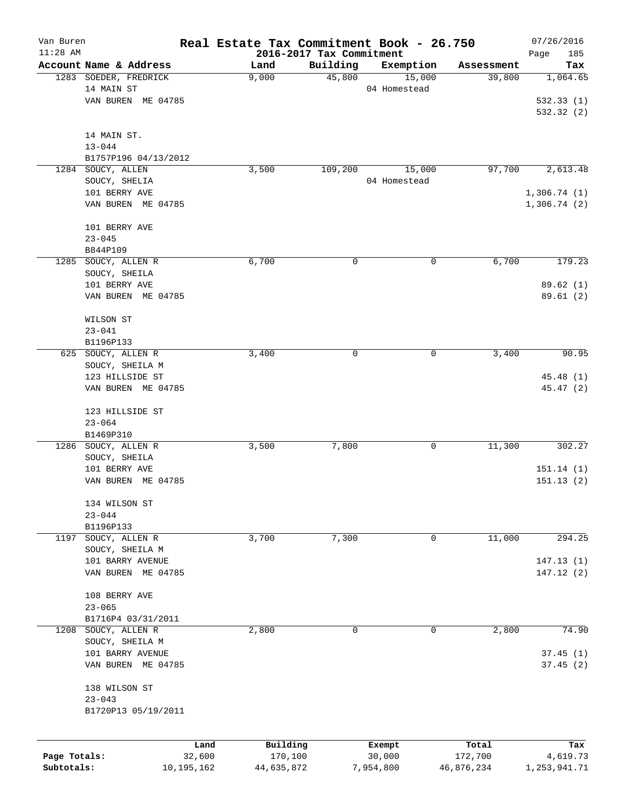| Van Buren    |                                        | Real Estate Tax Commitment Book - 26.750 |                                      |                     |                      | 07/26/2016              |
|--------------|----------------------------------------|------------------------------------------|--------------------------------------|---------------------|----------------------|-------------------------|
| $11:28$ AM   | Account Name & Address                 |                                          | 2016-2017 Tax Commitment<br>Building |                     |                      | Page<br>185             |
|              | 1283 SOEDER, FREDRICK                  | Land<br>9,000                            | 45,800                               | Exemption<br>15,000 | Assessment<br>39,800 | Tax<br>1,064.65         |
|              | 14 MAIN ST                             |                                          |                                      | 04 Homestead        |                      |                         |
|              | VAN BUREN ME 04785                     |                                          |                                      |                     |                      | 532.33(1)               |
|              |                                        |                                          |                                      |                     |                      | 532.32(2)               |
|              |                                        |                                          |                                      |                     |                      |                         |
|              | 14 MAIN ST.                            |                                          |                                      |                     |                      |                         |
|              | $13 - 044$                             |                                          |                                      |                     |                      |                         |
|              | B1757P196 04/13/2012                   |                                          |                                      |                     |                      |                         |
|              | 1284 SOUCY, ALLEN                      | 3,500                                    | 109,200                              | 15,000              | 97,700               | 2,613.48                |
|              | SOUCY, SHELIA                          |                                          |                                      | 04 Homestead        |                      |                         |
|              | 101 BERRY AVE                          |                                          |                                      |                     |                      | 1,306.74(1)             |
|              | VAN BUREN ME 04785                     |                                          |                                      |                     |                      | 1,306.74(2)             |
|              | 101 BERRY AVE                          |                                          |                                      |                     |                      |                         |
|              | $23 - 045$                             |                                          |                                      |                     |                      |                         |
|              | B844P109                               |                                          |                                      |                     |                      |                         |
|              | 1285 SOUCY, ALLEN R                    | 6,700                                    | 0                                    | 0                   | 6,700                | 179.23                  |
|              | SOUCY, SHEILA                          |                                          |                                      |                     |                      |                         |
|              | 101 BERRY AVE                          |                                          |                                      |                     |                      | 89.62(1)                |
|              | VAN BUREN ME 04785                     |                                          |                                      |                     |                      | 89.61(2)                |
|              |                                        |                                          |                                      |                     |                      |                         |
|              | WILSON ST                              |                                          |                                      |                     |                      |                         |
|              | $23 - 041$                             |                                          |                                      |                     |                      |                         |
|              | B1196P133                              |                                          |                                      |                     |                      |                         |
|              | 625 SOUCY, ALLEN R                     | 3,400                                    | 0                                    | 0                   | 3,400                | 90.95                   |
|              | SOUCY, SHEILA M                        |                                          |                                      |                     |                      |                         |
|              | 123 HILLSIDE ST                        |                                          |                                      |                     |                      | 45.48 (1)               |
|              | VAN BUREN ME 04785                     |                                          |                                      |                     |                      | 45.47 (2)               |
|              | 123 HILLSIDE ST                        |                                          |                                      |                     |                      |                         |
|              | $23 - 064$                             |                                          |                                      |                     |                      |                         |
|              | B1469P310                              |                                          |                                      |                     |                      |                         |
|              | 1286 SOUCY, ALLEN R                    | 3,500                                    | 7,800                                | 0                   | 11,300               | 302.27                  |
|              | SOUCY, SHEILA                          |                                          |                                      |                     |                      |                         |
|              | 101 BERRY AVE                          |                                          |                                      |                     |                      | 151.14(1)               |
|              | VAN BUREN ME 04785                     |                                          |                                      |                     |                      | 151.13(2)               |
|              |                                        |                                          |                                      |                     |                      |                         |
|              | 134 WILSON ST                          |                                          |                                      |                     |                      |                         |
|              | $23 - 044$                             |                                          |                                      |                     |                      |                         |
|              | B1196P133                              |                                          |                                      |                     |                      |                         |
| 1197         | SOUCY, ALLEN R                         | 3,700                                    | 7,300                                | 0                   | 11,000               | 294.25                  |
|              | SOUCY, SHEILA M                        |                                          |                                      |                     |                      |                         |
|              | 101 BARRY AVENUE<br>VAN BUREN ME 04785 |                                          |                                      |                     |                      | 147.13 (1)<br>147.12(2) |
|              |                                        |                                          |                                      |                     |                      |                         |
|              | 108 BERRY AVE                          |                                          |                                      |                     |                      |                         |
|              | $23 - 065$                             |                                          |                                      |                     |                      |                         |
|              | B1716P4 03/31/2011                     |                                          |                                      |                     |                      |                         |
| 1208         | SOUCY, ALLEN R                         | 2,800                                    | 0                                    | 0                   | 2,800                | 74.90                   |
|              | SOUCY, SHEILA M                        |                                          |                                      |                     |                      |                         |
|              | 101 BARRY AVENUE                       |                                          |                                      |                     |                      | 37.45(1)                |
|              | VAN BUREN ME 04785                     |                                          |                                      |                     |                      | 37.45(2)                |
|              |                                        |                                          |                                      |                     |                      |                         |
|              | 138 WILSON ST                          |                                          |                                      |                     |                      |                         |
|              | $23 - 043$                             |                                          |                                      |                     |                      |                         |
|              | B1720P13 05/19/2011                    |                                          |                                      |                     |                      |                         |
|              |                                        |                                          |                                      |                     |                      |                         |
|              |                                        | Building<br>Land                         |                                      | Exempt              | Total                | Tax                     |
| Page Totals: | 32,600                                 | 170,100                                  |                                      | 30,000              | 172,700              | 4,619.73                |
| Subtotals:   | 10,195,162                             | 44,635,872                               |                                      | 7,954,800           | 46,876,234           | 1,253,941.71            |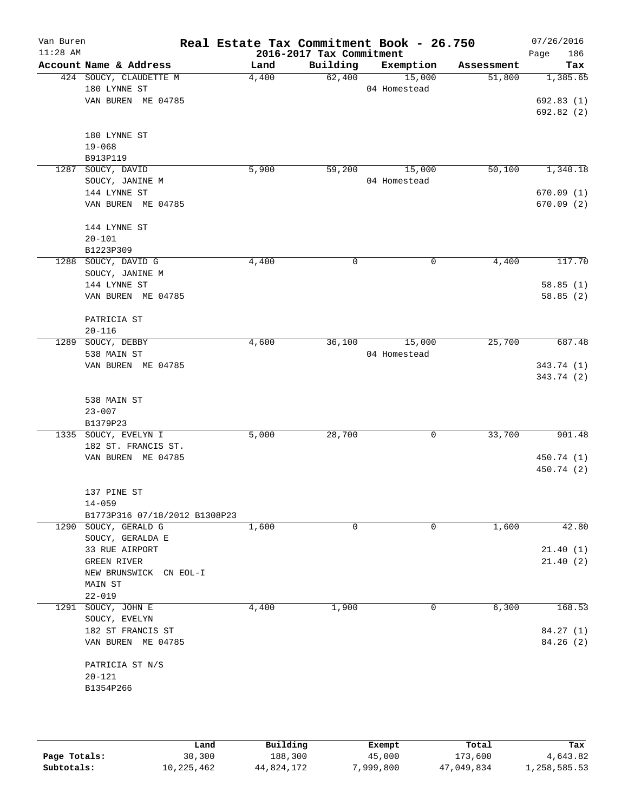| Van Buren  |                                  |       |                                      | Real Estate Tax Commitment Book - 26.750 |            | 07/26/2016         |
|------------|----------------------------------|-------|--------------------------------------|------------------------------------------|------------|--------------------|
| $11:28$ AM | Account Name & Address           | Land  | 2016-2017 Tax Commitment<br>Building | Exemption                                | Assessment | 186<br>Page<br>Tax |
|            | 424 SOUCY, CLAUDETTE M           | 4,400 | 62,400                               | 15,000                                   | 51,800     | 1,385.65           |
|            | 180 LYNNE ST                     |       |                                      | 04 Homestead                             |            |                    |
|            | VAN BUREN ME 04785               |       |                                      |                                          |            | 692.83(1)          |
|            |                                  |       |                                      |                                          |            | 692.82(2)          |
|            |                                  |       |                                      |                                          |            |                    |
|            | 180 LYNNE ST                     |       |                                      |                                          |            |                    |
|            | $19 - 068$                       |       |                                      |                                          |            |                    |
|            | B913P119                         |       |                                      |                                          |            |                    |
| 1287       | SOUCY, DAVID                     | 5,900 | 59,200                               | 15,000                                   | 50,100     | 1,340.18           |
|            | SOUCY, JANINE M                  |       |                                      | 04 Homestead                             |            |                    |
|            | 144 LYNNE ST                     |       |                                      |                                          |            | 670.09(1)          |
|            | VAN BUREN ME 04785               |       |                                      |                                          |            | 670.09(2)          |
|            |                                  |       |                                      |                                          |            |                    |
|            | 144 LYNNE ST<br>$20 - 101$       |       |                                      |                                          |            |                    |
|            | B1223P309                        |       |                                      |                                          |            |                    |
|            | 1288 SOUCY, DAVID G              | 4,400 | 0                                    | 0                                        | 4,400      | 117.70             |
|            | SOUCY, JANINE M                  |       |                                      |                                          |            |                    |
|            | 144 LYNNE ST                     |       |                                      |                                          |            | 58.85(1)           |
|            | VAN BUREN ME 04785               |       |                                      |                                          |            | 58.85(2)           |
|            |                                  |       |                                      |                                          |            |                    |
|            | PATRICIA ST                      |       |                                      |                                          |            |                    |
|            | $20 - 116$                       |       |                                      |                                          |            |                    |
|            | 1289 SOUCY, DEBBY                | 4,600 | 36,100                               | 15,000                                   | 25,700     | 687.48             |
|            | 538 MAIN ST                      |       |                                      | 04 Homestead                             |            |                    |
|            | VAN BUREN ME 04785               |       |                                      |                                          |            | 343.74 (1)         |
|            |                                  |       |                                      |                                          |            | 343.74 (2)         |
|            |                                  |       |                                      |                                          |            |                    |
|            | 538 MAIN ST                      |       |                                      |                                          |            |                    |
|            | $23 - 007$                       |       |                                      |                                          |            |                    |
|            | B1379P23<br>1335 SOUCY, EVELYN I | 5,000 | 28,700                               | 0                                        | 33,700     | 901.48             |
|            | 182 ST. FRANCIS ST.              |       |                                      |                                          |            |                    |
|            | VAN BUREN ME 04785               |       |                                      |                                          |            | 450.74 (1)         |
|            |                                  |       |                                      |                                          |            | 450.74 (2)         |
|            |                                  |       |                                      |                                          |            |                    |
|            | 137 PINE ST                      |       |                                      |                                          |            |                    |
|            | $14 - 059$                       |       |                                      |                                          |            |                    |
|            | B1773P316 07/18/2012 B1308P23    |       |                                      |                                          |            |                    |
|            | 1290 SOUCY, GERALD G             | 1,600 | 0                                    | 0                                        | 1,600      | 42.80              |
|            | SOUCY, GERALDA E                 |       |                                      |                                          |            |                    |
|            | 33 RUE AIRPORT                   |       |                                      |                                          |            | 21.40(1)           |
|            | GREEN RIVER                      |       |                                      |                                          |            | 21.40(2)           |
|            | NEW BRUNSWICK CN EOL-I           |       |                                      |                                          |            |                    |
|            | MAIN ST<br>$22 - 019$            |       |                                      |                                          |            |                    |
|            | 1291 SOUCY, JOHN E               | 4,400 | 1,900                                | 0                                        | 6,300      | 168.53             |
|            | SOUCY, EVELYN                    |       |                                      |                                          |            |                    |
|            | 182 ST FRANCIS ST                |       |                                      |                                          |            | 84.27 (1)          |
|            | VAN BUREN ME 04785               |       |                                      |                                          |            | 84.26 (2)          |
|            |                                  |       |                                      |                                          |            |                    |
|            | PATRICIA ST N/S                  |       |                                      |                                          |            |                    |
|            | $20 - 121$                       |       |                                      |                                          |            |                    |
|            | B1354P266                        |       |                                      |                                          |            |                    |
|            |                                  |       |                                      |                                          |            |                    |
|            |                                  |       |                                      |                                          |            |                    |

|              | Land       | Building   | Exempt    | Total      | Tax          |
|--------------|------------|------------|-----------|------------|--------------|
| Page Totals: | 30,300     | 188,300    | 45,000    | 173,600    | 4,643.82     |
| Subtotals:   | 10,225,462 | 44,824,172 | 7,999,800 | 47,049,834 | 1,258,585.53 |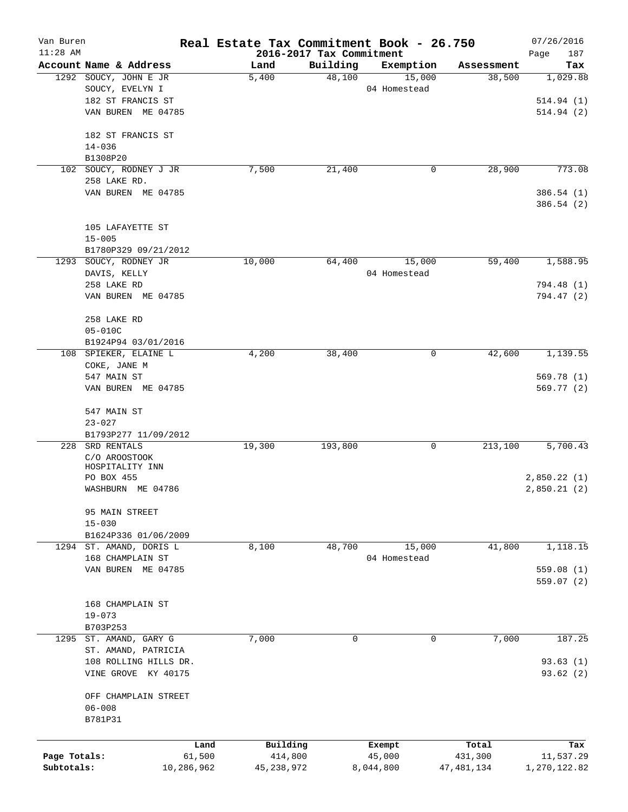| Van Buren<br>$11:28$ AM |                                               | Real Estate Tax Commitment Book - 26.750 | 2016-2017 Tax Commitment |              |              | 07/26/2016<br>187<br>Page |
|-------------------------|-----------------------------------------------|------------------------------------------|--------------------------|--------------|--------------|---------------------------|
|                         | Account Name & Address                        | Land                                     | Building                 | Exemption    | Assessment   | Tax                       |
|                         | 1292 SOUCY, JOHN E JR                         | 5,400                                    | 48,100                   | 15,000       | 38,500       | 1,029.88                  |
|                         | SOUCY, EVELYN I                               |                                          |                          | 04 Homestead |              |                           |
|                         | 182 ST FRANCIS ST                             |                                          |                          |              |              | 514.94 (1)                |
|                         | VAN BUREN ME 04785                            |                                          |                          |              |              | 514.94(2)                 |
|                         | 182 ST FRANCIS ST                             |                                          |                          |              |              |                           |
|                         | $14 - 036$                                    |                                          |                          |              |              |                           |
|                         | B1308P20                                      |                                          |                          |              |              |                           |
|                         | 102 SOUCY, RODNEY J JR                        | 7,500                                    | 21,400                   | 0            | 28,900       | 773.08                    |
|                         | 258 LAKE RD.                                  |                                          |                          |              |              |                           |
|                         | VAN BUREN ME 04785                            |                                          |                          |              |              | 386.54 (1)<br>386.54 (2)  |
|                         |                                               |                                          |                          |              |              |                           |
|                         | 105 LAFAYETTE ST                              |                                          |                          |              |              |                           |
|                         | $15 - 005$                                    |                                          |                          |              |              |                           |
|                         | B1780P329 09/21/2012<br>1293 SOUCY, RODNEY JR |                                          | 64,400                   | 15,000       | 59,400       |                           |
|                         |                                               | 10,000                                   |                          |              |              | 1,588.95                  |
|                         | DAVIS, KELLY<br>258 LAKE RD                   |                                          |                          | 04 Homestead |              | 794.48 (1)                |
|                         | VAN BUREN ME 04785                            |                                          |                          |              |              | 794.47 (2)                |
|                         |                                               |                                          |                          |              |              |                           |
|                         | 258 LAKE RD                                   |                                          |                          |              |              |                           |
|                         | $05 - 010C$                                   |                                          |                          |              |              |                           |
|                         | B1924P94 03/01/2016                           |                                          |                          |              |              |                           |
| 108                     | SPIEKER, ELAINE L                             | 4,200                                    | 38,400                   | 0            | 42,600       | 1,139.55                  |
|                         | COKE, JANE M                                  |                                          |                          |              |              |                           |
|                         | 547 MAIN ST                                   |                                          |                          |              |              | 569.78 (1)                |
|                         | VAN BUREN ME 04785                            |                                          |                          |              |              | 569.77 (2)                |
|                         | 547 MAIN ST                                   |                                          |                          |              |              |                           |
|                         | $23 - 027$                                    |                                          |                          |              |              |                           |
|                         | B1793P277 11/09/2012                          |                                          |                          |              |              |                           |
| 228                     | SRD RENTALS                                   | 19,300                                   | 193,800                  | 0            | 213,100      | 5,700.43                  |
|                         | C/O AROOSTOOK                                 |                                          |                          |              |              |                           |
|                         | HOSPITALITY INN                               |                                          |                          |              |              |                           |
|                         | PO BOX 455                                    |                                          |                          |              |              | 2,850.22(1)               |
|                         | WASHBURN ME 04786                             |                                          |                          |              |              | 2,850.21(2)               |
|                         | 95 MAIN STREET                                |                                          |                          |              |              |                           |
|                         | $15 - 030$                                    |                                          |                          |              |              |                           |
|                         | B1624P336 01/06/2009                          |                                          |                          |              |              |                           |
|                         | 1294 ST. AMAND, DORIS L                       | 8,100                                    | 48,700                   | 15,000       | 41,800       | 1,118.15                  |
|                         | 168 CHAMPLAIN ST                              |                                          |                          | 04 Homestead |              |                           |
|                         | VAN BUREN ME 04785                            |                                          |                          |              |              | 559.08(1)                 |
|                         |                                               |                                          |                          |              |              | 559.07(2)                 |
|                         |                                               |                                          |                          |              |              |                           |
|                         | 168 CHAMPLAIN ST                              |                                          |                          |              |              |                           |
|                         | $19 - 073$                                    |                                          |                          |              |              |                           |
|                         | B703P253                                      |                                          |                          |              |              |                           |
|                         | 1295 ST. AMAND, GARY G                        | 7,000                                    | $\mathbf 0$              | $\mathbf 0$  | 7,000        | 187.25                    |
|                         | ST. AMAND, PATRICIA                           |                                          |                          |              |              |                           |
|                         | 108 ROLLING HILLS DR.                         |                                          |                          |              |              | 93.63(1)                  |
|                         | VINE GROVE KY 40175                           |                                          |                          |              |              | 93.62(2)                  |
|                         | OFF CHAMPLAIN STREET                          |                                          |                          |              |              |                           |
|                         | $06 - 008$                                    |                                          |                          |              |              |                           |
|                         | B781P31                                       |                                          |                          |              |              |                           |
|                         |                                               |                                          |                          |              |              |                           |
|                         | Land                                          | Building                                 |                          | Exempt       | Total        | Tax                       |
| Page Totals:            | 61,500                                        | 414,800                                  |                          | 45,000       | 431,300      | 11,537.29                 |
| Subtotals:              | 10,286,962                                    | 45, 238, 972                             |                          | 8,044,800    | 47, 481, 134 | 1,270,122.82              |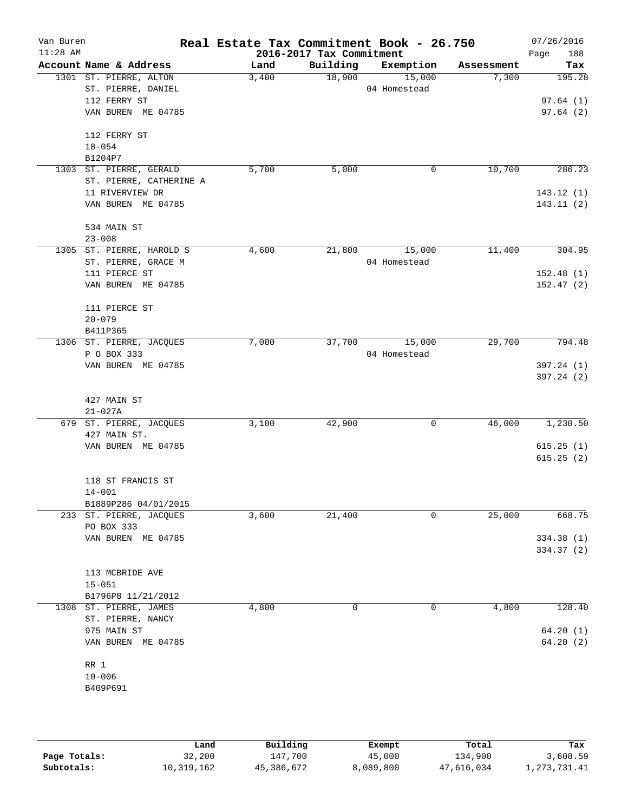| Van Buren<br>$11:28$ AM |                                                    | Real Estate Tax Commitment Book - 26.750 | 2016-2017 Tax Commitment |                        |            | 07/26/2016<br>Page<br>188 |
|-------------------------|----------------------------------------------------|------------------------------------------|--------------------------|------------------------|------------|---------------------------|
|                         | Account Name & Address                             | Land                                     | Building                 | Exemption              | Assessment | Tax                       |
|                         | 1301 ST. PIERRE, ALTON<br>ST. PIERRE, DANIEL       | 3,400                                    | 18,900                   | 15,000<br>04 Homestead | 7,300      | 195.28                    |
|                         | 112 FERRY ST<br>VAN BUREN ME 04785                 |                                          |                          |                        |            | 97.64(1)<br>97.64(2)      |
|                         | 112 FERRY ST<br>$18 - 054$                         |                                          |                          |                        |            |                           |
|                         | B1204P7                                            |                                          |                          |                        |            |                           |
|                         | 1303 ST. PIERRE, GERALD<br>ST. PIERRE, CATHERINE A | 5,700                                    | 5,000                    | 0                      | 10,700     | 286.23                    |
|                         | 11 RIVERVIEW DR                                    |                                          |                          |                        |            | 143.12(1)                 |
|                         | VAN BUREN ME 04785                                 |                                          |                          |                        |            | 143.11(2)                 |
|                         | 534 MAIN ST<br>$23 - 008$                          |                                          |                          |                        |            |                           |
|                         | 1305 ST. PIERRE, HAROLD S                          | 4,600                                    | 21,800                   | 15,000                 | 11,400     | 304.95                    |
|                         | ST. PIERRE, GRACE M                                |                                          |                          | 04 Homestead           |            |                           |
|                         | 111 PIERCE ST                                      |                                          |                          |                        |            | 152.48(1)                 |
|                         | VAN BUREN ME 04785                                 |                                          |                          |                        |            | 152.47(2)                 |
|                         | 111 PIERCE ST                                      |                                          |                          |                        |            |                           |
|                         | $20 - 079$<br>B411P365                             |                                          |                          |                        |            |                           |
|                         | 1306 ST. PIERRE, JACQUES                           | 7,000                                    | 37,700                   | 15,000                 | 29,700     | 794.48                    |
|                         | P O BOX 333                                        |                                          |                          | 04 Homestead           |            |                           |
|                         | VAN BUREN ME 04785                                 |                                          |                          |                        |            | 397.24 (1)<br>397.24(2)   |
|                         | 427 MAIN ST<br>$21 - 027A$                         |                                          |                          |                        |            |                           |
|                         | 679 ST. PIERRE, JACQUES<br>427 MAIN ST.            | 3,100                                    | 42,900                   | 0                      | 46,000     | 1,230.50                  |
|                         | VAN BUREN ME 04785                                 |                                          |                          |                        |            | 615.25(1)<br>615.25(2)    |
|                         | 118 ST FRANCIS ST                                  |                                          |                          |                        |            |                           |
|                         | $14 - 001$                                         |                                          |                          |                        |            |                           |
|                         | B1889P286 04/01/2015<br>233 ST. PIERRE, JACQUES    | 3,600                                    | 21,400                   | 0                      | 25,000     | 668.75                    |
|                         | PO BOX 333                                         |                                          |                          |                        |            |                           |
|                         | VAN BUREN ME 04785                                 |                                          |                          |                        |            | 334.38 (1)                |
|                         |                                                    |                                          |                          |                        |            | 334.37 (2)                |
|                         | 113 MCBRIDE AVE                                    |                                          |                          |                        |            |                           |
|                         | $15 - 051$<br>B1796P8 11/21/2012                   |                                          |                          |                        |            |                           |
|                         | 1308 ST. PIERRE, JAMES<br>ST. PIERRE, NANCY        | 4,800                                    | 0                        | 0                      | 4,800      | 128.40                    |
|                         | 975 MAIN ST                                        |                                          |                          |                        |            | 64.20(1)                  |
|                         | VAN BUREN ME 04785                                 |                                          |                          |                        |            | 64.20(2)                  |
|                         | RR 1                                               |                                          |                          |                        |            |                           |
|                         | $10 - 006$                                         |                                          |                          |                        |            |                           |
|                         | B409P691                                           |                                          |                          |                        |            |                           |
|                         |                                                    |                                          |                          |                        |            |                           |

|              | Land       | Building   | Exempt    | Total      | Tax          |
|--------------|------------|------------|-----------|------------|--------------|
| Page Totals: | 32,200     | 147,700    | 45,000    | 134,900    | 3,608.59     |
| Subtotals:   | 10,319,162 | 45,386,672 | 8,089,800 | 47,616,034 | 1,273,731.41 |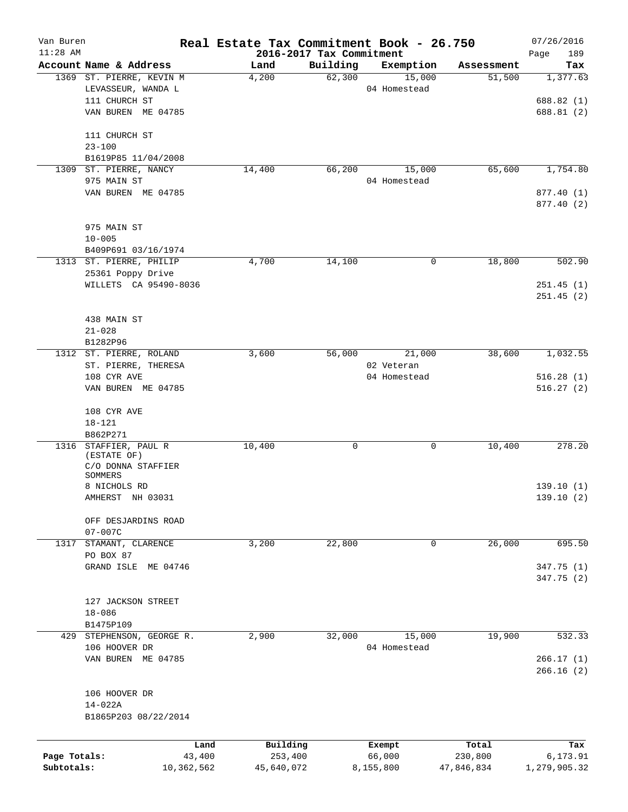| 2016-2017 Tax Commitment<br>Building<br>Account Name & Address<br>Land<br>Exemption<br>Assessment<br>Tax<br>62,300<br>1369 ST. PIERRE, KEVIN M<br>4,200<br>15,000<br>51,500<br>LEVASSEUR, WANDA L<br>04 Homestead<br>111 CHURCH ST<br>VAN BUREN ME 04785<br>111 CHURCH ST<br>$23 - 100$<br>B1619P85 11/04/2008<br>66,200<br>65,600<br>ST. PIERRE, NANCY<br>14,400<br>15,000<br>1309<br>975 MAIN ST<br>04 Homestead<br>VAN BUREN ME 04785<br>975 MAIN ST<br>$10 - 005$<br>B409P691 03/16/1974<br>1313 ST. PIERRE, PHILIP<br>18,800<br>4,700<br>14,100<br>0<br>25361 Poppy Drive<br>WILLETS CA 95490-8036<br>438 MAIN ST<br>$21 - 028$<br>B1282P96<br>3,600<br>56,000<br>38,600<br>1312 ST. PIERRE, ROLAND<br>21,000<br>ST. PIERRE, THERESA<br>02 Veteran<br>108 CYR AVE<br>04 Homestead<br>VAN BUREN ME 04785<br>108 CYR AVE<br>$18 - 121$<br>B862P271<br>1316 STAFFIER, PAUL R<br>10,400<br>0<br>0<br>10,400<br>(ESTATE OF)<br>C/O DONNA STAFFIER<br>SOMMERS<br>8 NICHOLS RD<br>AMHERST NH 03031<br>OFF DESJARDINS ROAD<br>$07 - 007C$<br>3,200<br>22,800<br>26,000<br>STAMANT, CLARENCE<br>0<br>1317<br>PO BOX 87<br>GRAND ISLE ME 04746<br>127 JACKSON STREET<br>$18 - 086$<br>B1475P109<br>2,900<br>32,000<br>19,900<br>429 STEPHENSON, GEORGE R.<br>15,000<br>106 HOOVER DR<br>04 Homestead<br>VAN BUREN ME 04785<br>106 HOOVER DR<br>$14 - 022A$<br>B1865P203 08/22/2014<br>Building<br>Total<br>Land<br>Exempt<br>Page Totals:<br>253,400<br>66,000<br>230,800<br>43,400<br>Subtotals:<br>10,362,562<br>45,640,072<br>8,155,800<br>47,846,834 | Van Buren<br>$11:28$ AM | Real Estate Tax Commitment Book - 26.750 |  | 07/26/2016  |
|-----------------------------------------------------------------------------------------------------------------------------------------------------------------------------------------------------------------------------------------------------------------------------------------------------------------------------------------------------------------------------------------------------------------------------------------------------------------------------------------------------------------------------------------------------------------------------------------------------------------------------------------------------------------------------------------------------------------------------------------------------------------------------------------------------------------------------------------------------------------------------------------------------------------------------------------------------------------------------------------------------------------------------------------------------------------------------------------------------------------------------------------------------------------------------------------------------------------------------------------------------------------------------------------------------------------------------------------------------------------------------------------------------------------------------------------------------------------------------------------------------------------------------------------------------|-------------------------|------------------------------------------|--|-------------|
| 1,377.63<br>Tax                                                                                                                                                                                                                                                                                                                                                                                                                                                                                                                                                                                                                                                                                                                                                                                                                                                                                                                                                                                                                                                                                                                                                                                                                                                                                                                                                                                                                                                                                                                                     |                         |                                          |  | Page<br>189 |
| 688.82 (1)                                                                                                                                                                                                                                                                                                                                                                                                                                                                                                                                                                                                                                                                                                                                                                                                                                                                                                                                                                                                                                                                                                                                                                                                                                                                                                                                                                                                                                                                                                                                          |                         |                                          |  |             |
|                                                                                                                                                                                                                                                                                                                                                                                                                                                                                                                                                                                                                                                                                                                                                                                                                                                                                                                                                                                                                                                                                                                                                                                                                                                                                                                                                                                                                                                                                                                                                     |                         |                                          |  |             |
| 688.81 (2)                                                                                                                                                                                                                                                                                                                                                                                                                                                                                                                                                                                                                                                                                                                                                                                                                                                                                                                                                                                                                                                                                                                                                                                                                                                                                                                                                                                                                                                                                                                                          |                         |                                          |  |             |
|                                                                                                                                                                                                                                                                                                                                                                                                                                                                                                                                                                                                                                                                                                                                                                                                                                                                                                                                                                                                                                                                                                                                                                                                                                                                                                                                                                                                                                                                                                                                                     |                         |                                          |  |             |
| 1,754.80<br>877.40 (1)<br>877.40 (2)<br>502.90<br>251.45(1)<br>251.45(2)<br>1,032.55<br>516.28(1)<br>516.27(2)<br>278.20<br>139.10(1)<br>139.10 (2)<br>695.50<br>347.75 (1)<br>347.75 (2)<br>532.33                                                                                                                                                                                                                                                                                                                                                                                                                                                                                                                                                                                                                                                                                                                                                                                                                                                                                                                                                                                                                                                                                                                                                                                                                                                                                                                                                 |                         |                                          |  |             |
|                                                                                                                                                                                                                                                                                                                                                                                                                                                                                                                                                                                                                                                                                                                                                                                                                                                                                                                                                                                                                                                                                                                                                                                                                                                                                                                                                                                                                                                                                                                                                     |                         |                                          |  |             |
|                                                                                                                                                                                                                                                                                                                                                                                                                                                                                                                                                                                                                                                                                                                                                                                                                                                                                                                                                                                                                                                                                                                                                                                                                                                                                                                                                                                                                                                                                                                                                     |                         |                                          |  |             |
|                                                                                                                                                                                                                                                                                                                                                                                                                                                                                                                                                                                                                                                                                                                                                                                                                                                                                                                                                                                                                                                                                                                                                                                                                                                                                                                                                                                                                                                                                                                                                     |                         |                                          |  |             |
|                                                                                                                                                                                                                                                                                                                                                                                                                                                                                                                                                                                                                                                                                                                                                                                                                                                                                                                                                                                                                                                                                                                                                                                                                                                                                                                                                                                                                                                                                                                                                     |                         |                                          |  |             |
|                                                                                                                                                                                                                                                                                                                                                                                                                                                                                                                                                                                                                                                                                                                                                                                                                                                                                                                                                                                                                                                                                                                                                                                                                                                                                                                                                                                                                                                                                                                                                     |                         |                                          |  |             |
|                                                                                                                                                                                                                                                                                                                                                                                                                                                                                                                                                                                                                                                                                                                                                                                                                                                                                                                                                                                                                                                                                                                                                                                                                                                                                                                                                                                                                                                                                                                                                     |                         |                                          |  |             |
|                                                                                                                                                                                                                                                                                                                                                                                                                                                                                                                                                                                                                                                                                                                                                                                                                                                                                                                                                                                                                                                                                                                                                                                                                                                                                                                                                                                                                                                                                                                                                     |                         |                                          |  |             |
|                                                                                                                                                                                                                                                                                                                                                                                                                                                                                                                                                                                                                                                                                                                                                                                                                                                                                                                                                                                                                                                                                                                                                                                                                                                                                                                                                                                                                                                                                                                                                     |                         |                                          |  |             |
|                                                                                                                                                                                                                                                                                                                                                                                                                                                                                                                                                                                                                                                                                                                                                                                                                                                                                                                                                                                                                                                                                                                                                                                                                                                                                                                                                                                                                                                                                                                                                     |                         |                                          |  |             |
|                                                                                                                                                                                                                                                                                                                                                                                                                                                                                                                                                                                                                                                                                                                                                                                                                                                                                                                                                                                                                                                                                                                                                                                                                                                                                                                                                                                                                                                                                                                                                     |                         |                                          |  |             |
|                                                                                                                                                                                                                                                                                                                                                                                                                                                                                                                                                                                                                                                                                                                                                                                                                                                                                                                                                                                                                                                                                                                                                                                                                                                                                                                                                                                                                                                                                                                                                     |                         |                                          |  |             |
|                                                                                                                                                                                                                                                                                                                                                                                                                                                                                                                                                                                                                                                                                                                                                                                                                                                                                                                                                                                                                                                                                                                                                                                                                                                                                                                                                                                                                                                                                                                                                     |                         |                                          |  |             |
|                                                                                                                                                                                                                                                                                                                                                                                                                                                                                                                                                                                                                                                                                                                                                                                                                                                                                                                                                                                                                                                                                                                                                                                                                                                                                                                                                                                                                                                                                                                                                     |                         |                                          |  |             |
|                                                                                                                                                                                                                                                                                                                                                                                                                                                                                                                                                                                                                                                                                                                                                                                                                                                                                                                                                                                                                                                                                                                                                                                                                                                                                                                                                                                                                                                                                                                                                     |                         |                                          |  |             |
|                                                                                                                                                                                                                                                                                                                                                                                                                                                                                                                                                                                                                                                                                                                                                                                                                                                                                                                                                                                                                                                                                                                                                                                                                                                                                                                                                                                                                                                                                                                                                     |                         |                                          |  |             |
|                                                                                                                                                                                                                                                                                                                                                                                                                                                                                                                                                                                                                                                                                                                                                                                                                                                                                                                                                                                                                                                                                                                                                                                                                                                                                                                                                                                                                                                                                                                                                     |                         |                                          |  |             |
|                                                                                                                                                                                                                                                                                                                                                                                                                                                                                                                                                                                                                                                                                                                                                                                                                                                                                                                                                                                                                                                                                                                                                                                                                                                                                                                                                                                                                                                                                                                                                     |                         |                                          |  |             |
|                                                                                                                                                                                                                                                                                                                                                                                                                                                                                                                                                                                                                                                                                                                                                                                                                                                                                                                                                                                                                                                                                                                                                                                                                                                                                                                                                                                                                                                                                                                                                     |                         |                                          |  |             |
|                                                                                                                                                                                                                                                                                                                                                                                                                                                                                                                                                                                                                                                                                                                                                                                                                                                                                                                                                                                                                                                                                                                                                                                                                                                                                                                                                                                                                                                                                                                                                     |                         |                                          |  |             |
|                                                                                                                                                                                                                                                                                                                                                                                                                                                                                                                                                                                                                                                                                                                                                                                                                                                                                                                                                                                                                                                                                                                                                                                                                                                                                                                                                                                                                                                                                                                                                     |                         |                                          |  |             |
|                                                                                                                                                                                                                                                                                                                                                                                                                                                                                                                                                                                                                                                                                                                                                                                                                                                                                                                                                                                                                                                                                                                                                                                                                                                                                                                                                                                                                                                                                                                                                     |                         |                                          |  |             |
|                                                                                                                                                                                                                                                                                                                                                                                                                                                                                                                                                                                                                                                                                                                                                                                                                                                                                                                                                                                                                                                                                                                                                                                                                                                                                                                                                                                                                                                                                                                                                     |                         |                                          |  |             |
|                                                                                                                                                                                                                                                                                                                                                                                                                                                                                                                                                                                                                                                                                                                                                                                                                                                                                                                                                                                                                                                                                                                                                                                                                                                                                                                                                                                                                                                                                                                                                     |                         |                                          |  |             |
|                                                                                                                                                                                                                                                                                                                                                                                                                                                                                                                                                                                                                                                                                                                                                                                                                                                                                                                                                                                                                                                                                                                                                                                                                                                                                                                                                                                                                                                                                                                                                     |                         |                                          |  |             |
|                                                                                                                                                                                                                                                                                                                                                                                                                                                                                                                                                                                                                                                                                                                                                                                                                                                                                                                                                                                                                                                                                                                                                                                                                                                                                                                                                                                                                                                                                                                                                     |                         |                                          |  |             |
|                                                                                                                                                                                                                                                                                                                                                                                                                                                                                                                                                                                                                                                                                                                                                                                                                                                                                                                                                                                                                                                                                                                                                                                                                                                                                                                                                                                                                                                                                                                                                     |                         |                                          |  |             |
|                                                                                                                                                                                                                                                                                                                                                                                                                                                                                                                                                                                                                                                                                                                                                                                                                                                                                                                                                                                                                                                                                                                                                                                                                                                                                                                                                                                                                                                                                                                                                     |                         |                                          |  |             |
|                                                                                                                                                                                                                                                                                                                                                                                                                                                                                                                                                                                                                                                                                                                                                                                                                                                                                                                                                                                                                                                                                                                                                                                                                                                                                                                                                                                                                                                                                                                                                     |                         |                                          |  |             |
|                                                                                                                                                                                                                                                                                                                                                                                                                                                                                                                                                                                                                                                                                                                                                                                                                                                                                                                                                                                                                                                                                                                                                                                                                                                                                                                                                                                                                                                                                                                                                     |                         |                                          |  |             |
|                                                                                                                                                                                                                                                                                                                                                                                                                                                                                                                                                                                                                                                                                                                                                                                                                                                                                                                                                                                                                                                                                                                                                                                                                                                                                                                                                                                                                                                                                                                                                     |                         |                                          |  |             |
|                                                                                                                                                                                                                                                                                                                                                                                                                                                                                                                                                                                                                                                                                                                                                                                                                                                                                                                                                                                                                                                                                                                                                                                                                                                                                                                                                                                                                                                                                                                                                     |                         |                                          |  |             |
|                                                                                                                                                                                                                                                                                                                                                                                                                                                                                                                                                                                                                                                                                                                                                                                                                                                                                                                                                                                                                                                                                                                                                                                                                                                                                                                                                                                                                                                                                                                                                     |                         |                                          |  |             |
|                                                                                                                                                                                                                                                                                                                                                                                                                                                                                                                                                                                                                                                                                                                                                                                                                                                                                                                                                                                                                                                                                                                                                                                                                                                                                                                                                                                                                                                                                                                                                     |                         |                                          |  |             |
|                                                                                                                                                                                                                                                                                                                                                                                                                                                                                                                                                                                                                                                                                                                                                                                                                                                                                                                                                                                                                                                                                                                                                                                                                                                                                                                                                                                                                                                                                                                                                     |                         |                                          |  |             |
|                                                                                                                                                                                                                                                                                                                                                                                                                                                                                                                                                                                                                                                                                                                                                                                                                                                                                                                                                                                                                                                                                                                                                                                                                                                                                                                                                                                                                                                                                                                                                     |                         |                                          |  |             |
|                                                                                                                                                                                                                                                                                                                                                                                                                                                                                                                                                                                                                                                                                                                                                                                                                                                                                                                                                                                                                                                                                                                                                                                                                                                                                                                                                                                                                                                                                                                                                     |                         |                                          |  |             |
|                                                                                                                                                                                                                                                                                                                                                                                                                                                                                                                                                                                                                                                                                                                                                                                                                                                                                                                                                                                                                                                                                                                                                                                                                                                                                                                                                                                                                                                                                                                                                     |                         |                                          |  |             |
|                                                                                                                                                                                                                                                                                                                                                                                                                                                                                                                                                                                                                                                                                                                                                                                                                                                                                                                                                                                                                                                                                                                                                                                                                                                                                                                                                                                                                                                                                                                                                     |                         |                                          |  |             |
|                                                                                                                                                                                                                                                                                                                                                                                                                                                                                                                                                                                                                                                                                                                                                                                                                                                                                                                                                                                                                                                                                                                                                                                                                                                                                                                                                                                                                                                                                                                                                     |                         |                                          |  |             |
|                                                                                                                                                                                                                                                                                                                                                                                                                                                                                                                                                                                                                                                                                                                                                                                                                                                                                                                                                                                                                                                                                                                                                                                                                                                                                                                                                                                                                                                                                                                                                     |                         |                                          |  |             |
|                                                                                                                                                                                                                                                                                                                                                                                                                                                                                                                                                                                                                                                                                                                                                                                                                                                                                                                                                                                                                                                                                                                                                                                                                                                                                                                                                                                                                                                                                                                                                     |                         |                                          |  |             |
|                                                                                                                                                                                                                                                                                                                                                                                                                                                                                                                                                                                                                                                                                                                                                                                                                                                                                                                                                                                                                                                                                                                                                                                                                                                                                                                                                                                                                                                                                                                                                     |                         |                                          |  |             |
|                                                                                                                                                                                                                                                                                                                                                                                                                                                                                                                                                                                                                                                                                                                                                                                                                                                                                                                                                                                                                                                                                                                                                                                                                                                                                                                                                                                                                                                                                                                                                     |                         |                                          |  |             |
| 266.17(1)<br>266.16(2)<br>6,173.91<br>1,279,905.32                                                                                                                                                                                                                                                                                                                                                                                                                                                                                                                                                                                                                                                                                                                                                                                                                                                                                                                                                                                                                                                                                                                                                                                                                                                                                                                                                                                                                                                                                                  |                         |                                          |  |             |
|                                                                                                                                                                                                                                                                                                                                                                                                                                                                                                                                                                                                                                                                                                                                                                                                                                                                                                                                                                                                                                                                                                                                                                                                                                                                                                                                                                                                                                                                                                                                                     |                         |                                          |  |             |
|                                                                                                                                                                                                                                                                                                                                                                                                                                                                                                                                                                                                                                                                                                                                                                                                                                                                                                                                                                                                                                                                                                                                                                                                                                                                                                                                                                                                                                                                                                                                                     |                         |                                          |  |             |
|                                                                                                                                                                                                                                                                                                                                                                                                                                                                                                                                                                                                                                                                                                                                                                                                                                                                                                                                                                                                                                                                                                                                                                                                                                                                                                                                                                                                                                                                                                                                                     |                         |                                          |  |             |
|                                                                                                                                                                                                                                                                                                                                                                                                                                                                                                                                                                                                                                                                                                                                                                                                                                                                                                                                                                                                                                                                                                                                                                                                                                                                                                                                                                                                                                                                                                                                                     |                         |                                          |  |             |
|                                                                                                                                                                                                                                                                                                                                                                                                                                                                                                                                                                                                                                                                                                                                                                                                                                                                                                                                                                                                                                                                                                                                                                                                                                                                                                                                                                                                                                                                                                                                                     |                         |                                          |  |             |
|                                                                                                                                                                                                                                                                                                                                                                                                                                                                                                                                                                                                                                                                                                                                                                                                                                                                                                                                                                                                                                                                                                                                                                                                                                                                                                                                                                                                                                                                                                                                                     |                         |                                          |  |             |
|                                                                                                                                                                                                                                                                                                                                                                                                                                                                                                                                                                                                                                                                                                                                                                                                                                                                                                                                                                                                                                                                                                                                                                                                                                                                                                                                                                                                                                                                                                                                                     |                         |                                          |  |             |
|                                                                                                                                                                                                                                                                                                                                                                                                                                                                                                                                                                                                                                                                                                                                                                                                                                                                                                                                                                                                                                                                                                                                                                                                                                                                                                                                                                                                                                                                                                                                                     |                         |                                          |  |             |
|                                                                                                                                                                                                                                                                                                                                                                                                                                                                                                                                                                                                                                                                                                                                                                                                                                                                                                                                                                                                                                                                                                                                                                                                                                                                                                                                                                                                                                                                                                                                                     |                         |                                          |  |             |
|                                                                                                                                                                                                                                                                                                                                                                                                                                                                                                                                                                                                                                                                                                                                                                                                                                                                                                                                                                                                                                                                                                                                                                                                                                                                                                                                                                                                                                                                                                                                                     |                         |                                          |  |             |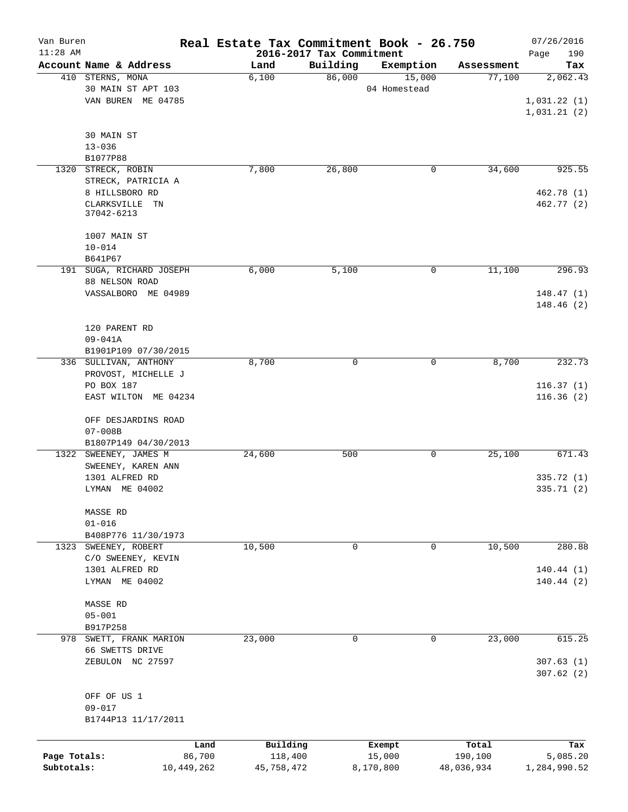| Van Buren<br>$11:28$ AM |                          | Real Estate Tax Commitment Book - 26.750 | 2016-2017 Tax Commitment |              |            | 07/26/2016         |
|-------------------------|--------------------------|------------------------------------------|--------------------------|--------------|------------|--------------------|
|                         | Account Name & Address   | Land                                     | Building                 | Exemption    | Assessment | Page<br>190<br>Tax |
|                         | 410 STERNS, MONA         | 6,100                                    | 86,000                   | 15,000       | 77,100     | 2,062.43           |
|                         | 30 MAIN ST APT 103       |                                          |                          | 04 Homestead |            |                    |
|                         | VAN BUREN ME 04785       |                                          |                          |              |            | 1,031.22(1)        |
|                         |                          |                                          |                          |              |            | 1,031.21(2)        |
|                         |                          |                                          |                          |              |            |                    |
|                         | 30 MAIN ST               |                                          |                          |              |            |                    |
|                         | $13 - 036$               |                                          |                          |              |            |                    |
|                         | B1077P88                 |                                          |                          |              |            |                    |
|                         | 1320 STRECK, ROBIN       | 7,800                                    | 26,800                   | 0            | 34,600     | 925.55             |
|                         | STRECK, PATRICIA A       |                                          |                          |              |            |                    |
|                         | 8 HILLSBORO RD           |                                          |                          |              |            | 462.78 (1)         |
|                         | CLARKSVILLE TN           |                                          |                          |              |            | 462.77 (2)         |
|                         | 37042-6213               |                                          |                          |              |            |                    |
|                         |                          |                                          |                          |              |            |                    |
|                         | 1007 MAIN ST             |                                          |                          |              |            |                    |
|                         | $10 - 014$               |                                          |                          |              |            |                    |
|                         | B641P67                  |                                          |                          |              |            |                    |
|                         | 191 SUGA, RICHARD JOSEPH | 6,000                                    | 5,100                    | 0            | 11,100     | 296.93             |
|                         | 88 NELSON ROAD           |                                          |                          |              |            |                    |
|                         | VASSALBORO ME 04989      |                                          |                          |              |            | 148.47(1)          |
|                         |                          |                                          |                          |              |            | 148.46(2)          |
|                         |                          |                                          |                          |              |            |                    |
|                         | 120 PARENT RD            |                                          |                          |              |            |                    |
|                         | 09-041A                  |                                          |                          |              |            |                    |
|                         | B1901P109 07/30/2015     |                                          |                          |              |            |                    |
|                         | 336 SULLIVAN, ANTHONY    | 8,700                                    | 0                        | 0            | 8,700      | 232.73             |
|                         | PROVOST, MICHELLE J      |                                          |                          |              |            |                    |
|                         | PO BOX 187               |                                          |                          |              |            | 116.37(1)          |
|                         | EAST WILTON ME 04234     |                                          |                          |              |            | 116.36(2)          |
|                         | OFF DESJARDINS ROAD      |                                          |                          |              |            |                    |
|                         | $07 - 008B$              |                                          |                          |              |            |                    |
|                         | B1807P149 04/30/2013     |                                          |                          |              |            |                    |
|                         | 1322 SWEENEY, JAMES M    | 24,600                                   | 500                      | 0            | 25,100     | 671.43             |
|                         | SWEENEY, KAREN ANN       |                                          |                          |              |            |                    |
|                         | 1301 ALFRED RD           |                                          |                          |              |            | 335.72 (1)         |
|                         | LYMAN ME 04002           |                                          |                          |              |            | 335.71 (2)         |
|                         |                          |                                          |                          |              |            |                    |
|                         | MASSE RD                 |                                          |                          |              |            |                    |
|                         | $01 - 016$               |                                          |                          |              |            |                    |
|                         | B408P776 11/30/1973      |                                          |                          |              |            |                    |
|                         | 1323 SWEENEY, ROBERT     | 10,500                                   | 0                        | 0            | 10,500     | 280.88             |
|                         | C/O SWEENEY, KEVIN       |                                          |                          |              |            |                    |
|                         | 1301 ALFRED RD           |                                          |                          |              |            | 140.44(1)          |
|                         | LYMAN ME 04002           |                                          |                          |              |            | 140.44(2)          |
|                         |                          |                                          |                          |              |            |                    |
|                         | <b>MASSE RD</b>          |                                          |                          |              |            |                    |
|                         | $05 - 001$               |                                          |                          |              |            |                    |
|                         | B917P258                 |                                          |                          |              |            |                    |
|                         | 978 SWETT, FRANK MARION  | 23,000                                   | 0                        | 0            | 23,000     | 615.25             |
|                         | 66 SWETTS DRIVE          |                                          |                          |              |            |                    |
|                         | ZEBULON NC 27597         |                                          |                          |              |            | 307.63(1)          |
|                         |                          |                                          |                          |              |            | 307.62(2)          |
|                         |                          |                                          |                          |              |            |                    |
|                         | OFF OF US 1              |                                          |                          |              |            |                    |
|                         | $09 - 017$               |                                          |                          |              |            |                    |
|                         | B1744P13 11/17/2011      |                                          |                          |              |            |                    |
|                         |                          |                                          |                          |              |            |                    |
|                         | Land                     | Building                                 |                          | Exempt       | Total      | Tax                |
| Page Totals:            | 86,700                   | 118,400                                  |                          | 15,000       | 190,100    | 5,085.20           |
| Subtotals:              | 10,449,262               | 45,758,472                               |                          | 8,170,800    | 48,036,934 | 1,284,990.52       |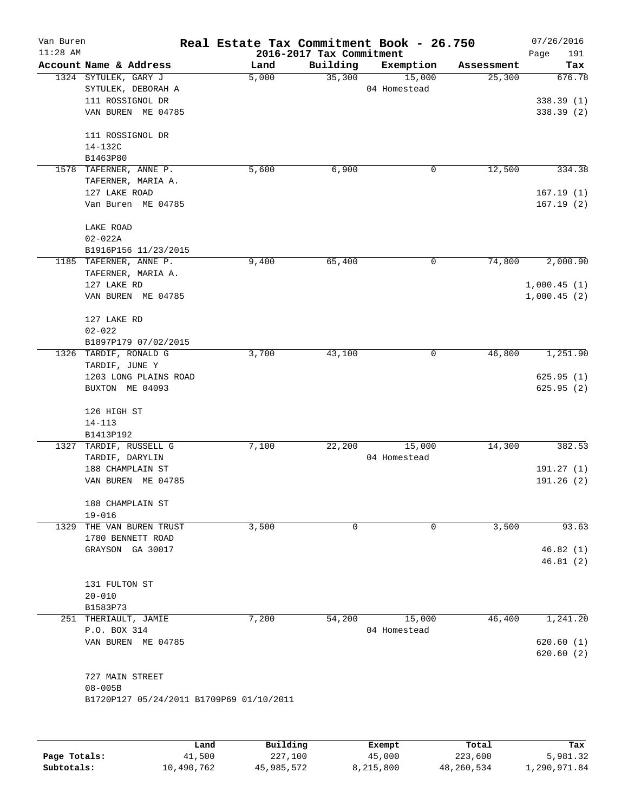| Van Buren<br>$11:28$ AM |                                          | Real Estate Tax Commitment Book - 26.750 | 2016-2017 Tax Commitment |              |            | 07/26/2016             |
|-------------------------|------------------------------------------|------------------------------------------|--------------------------|--------------|------------|------------------------|
|                         | Account Name & Address                   | Land                                     | Building                 | Exemption    | Assessment | Page<br>191<br>Tax     |
|                         | 1324 SYTULEK, GARY J                     | 5,000                                    | 35,300                   | 15,000       | 25,300     | 676.78                 |
|                         | SYTULEK, DEBORAH A                       |                                          |                          | 04 Homestead |            |                        |
|                         | 111 ROSSIGNOL DR                         |                                          |                          |              |            | 338.39(1)              |
|                         | VAN BUREN ME 04785                       |                                          |                          |              |            | 338.39(2)              |
|                         | 111 ROSSIGNOL DR                         |                                          |                          |              |            |                        |
|                         | 14-132C                                  |                                          |                          |              |            |                        |
|                         | B1463P80                                 |                                          |                          |              |            |                        |
|                         | 1578 TAFERNER, ANNE P.                   | 5,600                                    | 6,900                    | 0            | 12,500     | 334.38                 |
|                         | TAFERNER, MARIA A.                       |                                          |                          |              |            |                        |
|                         | 127 LAKE ROAD                            |                                          |                          |              |            | 167.19(1)              |
|                         | Van Buren ME 04785                       |                                          |                          |              |            | 167.19(2)              |
|                         | LAKE ROAD                                |                                          |                          |              |            |                        |
|                         | $02 - 022A$                              |                                          |                          |              |            |                        |
|                         | B1916P156 11/23/2015                     |                                          |                          |              |            |                        |
|                         | 1185 TAFERNER, ANNE P.                   | 9,400                                    | 65,400                   | 0            | 74,800     | 2,000.90               |
|                         | TAFERNER, MARIA A.                       |                                          |                          |              |            |                        |
|                         | 127 LAKE RD                              |                                          |                          |              |            | 1,000.45(1)            |
|                         | VAN BUREN ME 04785                       |                                          |                          |              |            | 1,000.45(2)            |
|                         | 127 LAKE RD                              |                                          |                          |              |            |                        |
|                         | $02 - 022$                               |                                          |                          |              |            |                        |
|                         | B1897P179 07/02/2015                     |                                          |                          |              |            |                        |
|                         | 1326 TARDIF, RONALD G                    | 3,700                                    | 43,100                   | 0            | 46,800     | 1,251.90               |
|                         | TARDIF, JUNE Y                           |                                          |                          |              |            |                        |
|                         | 1203 LONG PLAINS ROAD<br>BUXTON ME 04093 |                                          |                          |              |            | 625.95(1)<br>625.95(2) |
|                         |                                          |                                          |                          |              |            |                        |
|                         | 126 HIGH ST                              |                                          |                          |              |            |                        |
|                         | $14 - 113$                               |                                          |                          |              |            |                        |
|                         | B1413P192                                |                                          |                          |              |            |                        |
|                         | 1327 TARDIF, RUSSELL G                   | 7,100                                    | 22,200                   | 15,000       | 14,300     | 382.53                 |
|                         | TARDIF, DARYLIN                          |                                          |                          | 04 Homestead |            |                        |
|                         | 188 CHAMPLAIN ST                         |                                          |                          |              |            | 191.27(1)              |
|                         | VAN BUREN ME 04785                       |                                          |                          |              |            | 191.26(2)              |
|                         |                                          |                                          |                          |              |            |                        |
|                         | 188 CHAMPLAIN ST<br>$19 - 016$           |                                          |                          |              |            |                        |
| 1329                    | THE VAN BUREN TRUST                      | 3,500                                    | 0                        | 0            | 3,500      | 93.63                  |
|                         | 1780 BENNETT ROAD                        |                                          |                          |              |            |                        |
|                         | GRAYSON GA 30017                         |                                          |                          |              |            | 46.82(1)               |
|                         |                                          |                                          |                          |              |            | 46.81(2)               |
|                         | 131 FULTON ST                            |                                          |                          |              |            |                        |
|                         | $20 - 010$                               |                                          |                          |              |            |                        |
|                         | B1583P73                                 |                                          |                          |              |            |                        |
|                         | 251 THERIAULT, JAMIE                     | 7,200                                    | 54,200                   | 15,000       | 46,400     | 1,241.20               |
|                         | P.O. BOX 314                             |                                          |                          | 04 Homestead |            |                        |
|                         | VAN BUREN ME 04785                       |                                          |                          |              |            | 620.60(1)              |
|                         |                                          |                                          |                          |              |            | 620.60(2)              |
|                         | 727 MAIN STREET                          |                                          |                          |              |            |                        |
|                         | $08 - 005B$                              |                                          |                          |              |            |                        |
|                         | B1720P127 05/24/2011 B1709P69 01/10/2011 |                                          |                          |              |            |                        |
|                         |                                          |                                          |                          |              |            |                        |
|                         |                                          | Building<br>Land                         |                          | Exempt       | Total      | Tax                    |

|              | Land       | Building   | Exempt    | Total      | Tax          |
|--------------|------------|------------|-----------|------------|--------------|
| Page Totals: | 41,500     | 227,100    | 45,000    | 223,600    | 5,981.32     |
| Subtotals:   | 10,490,762 | 45,985,572 | 8,215,800 | 48,260,534 | 1,290,971.84 |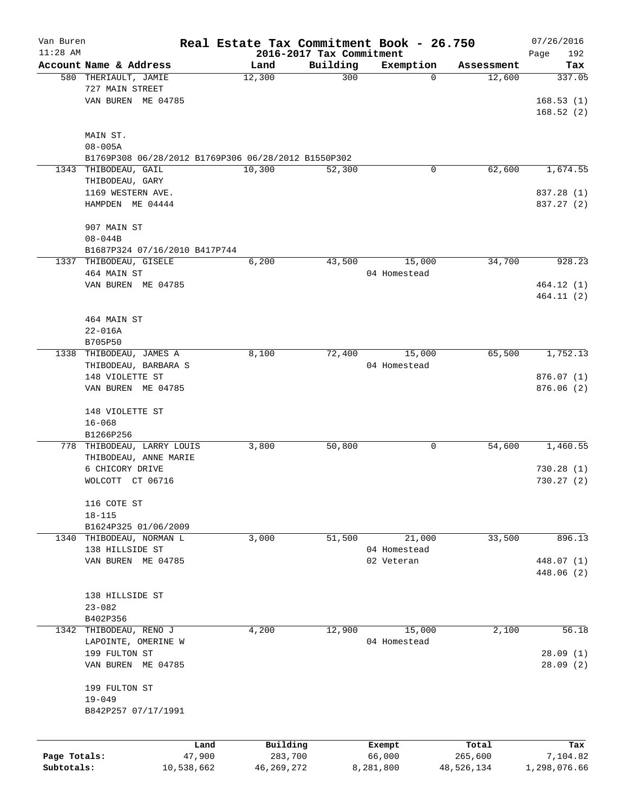| Van Buren<br>$11:28$ AM |                                                     | Real Estate Tax Commitment Book - 26.750 |          |                  |            | 07/26/2016              |
|-------------------------|-----------------------------------------------------|------------------------------------------|----------|------------------|------------|-------------------------|
|                         | Account Name & Address                              | 2016-2017 Tax Commitment<br>Land         | Building | Exemption        | Assessment | Page<br>192             |
|                         | 580 THERIAULT, JAMIE                                | 12,300                                   | 300      | $\mathbf 0$      | 12,600     | Tax<br>337.05           |
|                         | 727 MAIN STREET                                     |                                          |          |                  |            |                         |
|                         | VAN BUREN ME 04785                                  |                                          |          |                  |            | 168.53(1)               |
|                         |                                                     |                                          |          |                  |            | 168.52(2)               |
|                         |                                                     |                                          |          |                  |            |                         |
|                         | MAIN ST.                                            |                                          |          |                  |            |                         |
|                         | $08 - 005A$                                         |                                          |          |                  |            |                         |
|                         | B1769P308 06/28/2012 B1769P306 06/28/2012 B1550P302 |                                          |          |                  |            |                         |
|                         | 1343 THIBODEAU, GAIL                                | 10,300                                   | 52,300   | 0                | 62,600     | 1,674.55                |
|                         | THIBODEAU, GARY                                     |                                          |          |                  |            |                         |
|                         | 1169 WESTERN AVE.                                   |                                          |          |                  |            | 837.28 (1)              |
|                         | HAMPDEN ME 04444                                    |                                          |          |                  |            | 837.27 (2)              |
|                         |                                                     |                                          |          |                  |            |                         |
|                         | 907 MAIN ST                                         |                                          |          |                  |            |                         |
|                         | $08 - 044B$                                         |                                          |          |                  |            |                         |
|                         | B1687P324 07/16/2010 B417P744                       |                                          |          |                  |            |                         |
|                         | 1337 THIBODEAU, GISELE                              | 6,200                                    | 43,500   | 15,000           | 34,700     | 928.23                  |
|                         | 464 MAIN ST                                         |                                          |          | 04 Homestead     |            |                         |
|                         | VAN BUREN ME 04785                                  |                                          |          |                  |            | 464.12(1)<br>464.11 (2) |
|                         |                                                     |                                          |          |                  |            |                         |
|                         | 464 MAIN ST                                         |                                          |          |                  |            |                         |
|                         | $22 - 016A$                                         |                                          |          |                  |            |                         |
|                         | B705P50                                             |                                          |          |                  |            |                         |
|                         | 1338 THIBODEAU, JAMES A                             | 8,100                                    | 72,400   | 15,000           | 65,500     | 1,752.13                |
|                         | THIBODEAU, BARBARA S                                |                                          |          | 04 Homestead     |            |                         |
|                         | 148 VIOLETTE ST                                     |                                          |          |                  |            | 876.07(1)               |
|                         | VAN BUREN ME 04785                                  |                                          |          |                  |            | 876.06(2)               |
|                         |                                                     |                                          |          |                  |            |                         |
|                         | 148 VIOLETTE ST                                     |                                          |          |                  |            |                         |
|                         | $16 - 068$                                          |                                          |          |                  |            |                         |
|                         | B1266P256                                           |                                          |          |                  |            |                         |
|                         | 778 THIBODEAU, LARRY LOUIS                          | 3,800                                    | 50,800   | 0                | 54,600     | 1,460.55                |
|                         | THIBODEAU, ANNE MARIE                               |                                          |          |                  |            |                         |
|                         | 6 CHICORY DRIVE                                     |                                          |          |                  |            | 730.28(1)               |
|                         | WOLCOTT CT 06716                                    |                                          |          |                  |            | 730.27(2)               |
|                         |                                                     |                                          |          |                  |            |                         |
|                         | 116 COTE ST                                         |                                          |          |                  |            |                         |
|                         | $18 - 115$                                          |                                          |          |                  |            |                         |
|                         | B1624P325 01/06/2009                                |                                          |          |                  |            |                         |
|                         | 1340 THIBODEAU, NORMAN L                            | 3,000                                    | 51,500   | 21,000           | 33,500     | 896.13                  |
|                         | 138 HILLSIDE ST                                     |                                          |          | 04 Homestead     |            |                         |
|                         | VAN BUREN ME 04785                                  |                                          |          | 02 Veteran       |            | 448.07 (1)              |
|                         |                                                     |                                          |          |                  |            | 448.06 (2)              |
|                         | 138 HILLSIDE ST                                     |                                          |          |                  |            |                         |
|                         | $23 - 082$                                          |                                          |          |                  |            |                         |
|                         | B402P356                                            |                                          |          |                  |            |                         |
| 1342                    | THIBODEAU, RENO J                                   | 4,200                                    | 12,900   | 15,000           | 2,100      | 56.18                   |
|                         | LAPOINTE, OMERINE W                                 |                                          |          | 04 Homestead     |            |                         |
|                         | 199 FULTON ST                                       |                                          |          |                  |            | 28.09(1)                |
|                         | VAN BUREN ME 04785                                  |                                          |          |                  |            | 28.09 (2)               |
|                         |                                                     |                                          |          |                  |            |                         |
|                         | 199 FULTON ST                                       |                                          |          |                  |            |                         |
|                         | $19 - 049$                                          |                                          |          |                  |            |                         |
|                         | B842P257 07/17/1991                                 |                                          |          |                  |            |                         |
|                         |                                                     |                                          |          |                  |            |                         |
|                         | Land                                                | Building                                 |          |                  | Total      | Tax                     |
| Page Totals:            | 47,900                                              | 283,700                                  |          | Exempt<br>66,000 | 265,600    | 7,104.82                |
| Subtotals:              | 10,538,662                                          | 46, 269, 272                             |          | 8,281,800        | 48,526,134 | 1,298,076.66            |
|                         |                                                     |                                          |          |                  |            |                         |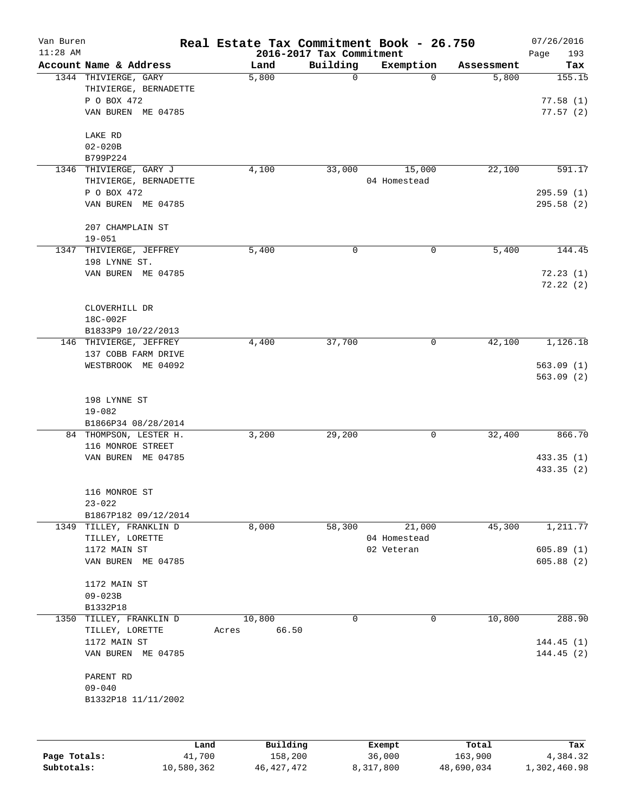| Van Buren<br>$11:28$ AM |                                                                                    | Real Estate Tax Commitment Book - 26.750 | 2016-2017 Tax Commitment |                        |            | 07/26/2016<br>193<br>Page      |
|-------------------------|------------------------------------------------------------------------------------|------------------------------------------|--------------------------|------------------------|------------|--------------------------------|
|                         | Account Name & Address                                                             | Land                                     | Building                 | Exemption              | Assessment | Tax                            |
|                         | 1344 THIVIERGE, GARY<br>THIVIERGE, BERNADETTE<br>P O BOX 472<br>VAN BUREN ME 04785 | 5,800                                    | 0                        | $\Omega$               | 5,800      | 155.15<br>77.58(1)<br>77.57(2) |
|                         | LAKE RD                                                                            |                                          |                          |                        |            |                                |
|                         | $02 - 020B$<br>B799P224                                                            |                                          |                          |                        |            |                                |
|                         | 1346 THIVIERGE, GARY J                                                             | 4,100                                    | 33,000                   | 15,000                 | 22,100     | 591.17                         |
|                         | THIVIERGE, BERNADETTE                                                              |                                          |                          | 04 Homestead           |            |                                |
|                         | P O BOX 472<br>VAN BUREN ME 04785                                                  |                                          |                          |                        |            | 295.59(1)<br>295.58(2)         |
|                         | 207 CHAMPLAIN ST<br>$19 - 051$                                                     |                                          |                          |                        |            |                                |
|                         | 1347 THIVIERGE, JEFFREY                                                            | 5,400                                    | 0                        | 0                      | 5,400      | 144.45                         |
|                         | 198 LYNNE ST.                                                                      |                                          |                          |                        |            |                                |
|                         | VAN BUREN ME 04785                                                                 |                                          |                          |                        |            | 72.23(1)<br>72.22(2)           |
|                         | CLOVERHILL DR                                                                      |                                          |                          |                        |            |                                |
|                         | 18C-002F<br>B1833P9 10/22/2013                                                     |                                          |                          |                        |            |                                |
|                         | 146 THIVIERGE, JEFFREY                                                             | 4,400                                    | 37,700                   | 0                      | 42,100     | 1,126.18                       |
|                         | 137 COBB FARM DRIVE                                                                |                                          |                          |                        |            |                                |
|                         | WESTBROOK ME 04092                                                                 |                                          |                          |                        |            | 563.09(1)<br>563.09(2)         |
|                         | 198 LYNNE ST                                                                       |                                          |                          |                        |            |                                |
|                         | $19 - 082$                                                                         |                                          |                          |                        |            |                                |
|                         | B1866P34 08/28/2014                                                                |                                          |                          |                        |            |                                |
|                         | 84 THOMPSON, LESTER H.<br>116 MONROE STREET                                        | 3,200                                    | 29,200                   | 0                      | 32,400     | 866.70                         |
|                         | VAN BUREN ME 04785                                                                 |                                          |                          |                        |            | 433.35(1)                      |
|                         |                                                                                    |                                          |                          |                        |            | 433.35(2)                      |
|                         | 116 MONROE ST                                                                      |                                          |                          |                        |            |                                |
|                         | $23 - 022$                                                                         |                                          |                          |                        |            |                                |
|                         | B1867P182 09/12/2014                                                               |                                          |                          |                        |            |                                |
|                         | 1349 TILLEY, FRANKLIN D<br>TILLEY, LORETTE                                         | 8,000                                    | 58,300                   | 21,000<br>04 Homestead | 45,300     | 1,211.77                       |
|                         | 1172 MAIN ST                                                                       |                                          |                          | 02 Veteran             |            | 605.89(1)                      |
|                         | VAN BUREN ME 04785                                                                 |                                          |                          |                        |            | 605.88(2)                      |
|                         | 1172 MAIN ST                                                                       |                                          |                          |                        |            |                                |
|                         | $09 - 023B$                                                                        |                                          |                          |                        |            |                                |
|                         | B1332P18                                                                           |                                          |                          |                        |            |                                |
| 1350                    | TILLEY, FRANKLIN D<br>TILLEY, LORETTE<br>1172 MAIN ST                              | 10,800<br>66.50<br>Acres                 | 0                        | $\mathbf 0$            | 10,800     | 288.90<br>144.45(1)            |
|                         | VAN BUREN ME 04785                                                                 |                                          |                          |                        |            | 144.45(2)                      |
|                         | PARENT RD<br>$09 - 040$                                                            |                                          |                          |                        |            |                                |
|                         | B1332P18 11/11/2002                                                                |                                          |                          |                        |            |                                |
|                         |                                                                                    |                                          |                          |                        |            |                                |
|                         |                                                                                    | Building<br>Land                         |                          | Exempt<br>36,000       | Total      | Tax                            |
| Page Totals:            | 41,700                                                                             | 158,200                                  |                          |                        | 163,900    | 4,384.32                       |

**Subtotals:** 10,580,362 46,427,472 8,317,800 48,690,034 1,302,460.98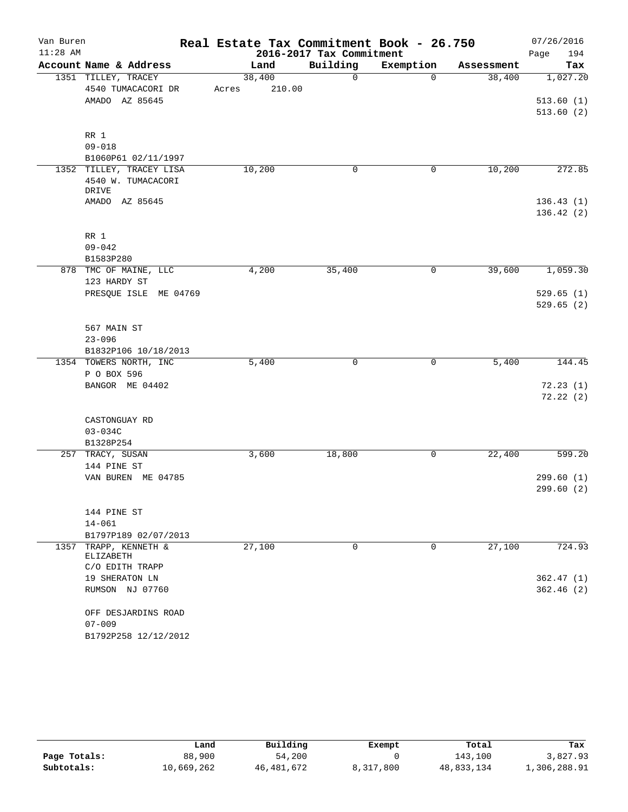| $11:28$ AM | Van Buren                   | Real Estate Tax Commitment Book - 26.750 | 2016-2017 Tax Commitment |             |            | 07/26/2016<br>194<br>Page |
|------------|-----------------------------|------------------------------------------|--------------------------|-------------|------------|---------------------------|
|            | Account Name & Address      | Land                                     | Building                 | Exemption   | Assessment | Tax                       |
|            | 1351 TILLEY, TRACEY         | 38,400                                   | $\Omega$                 | $\Omega$    | 38,400     | 1,027.20                  |
|            | 4540 TUMACACORI DR          | 210.00<br>Acres                          |                          |             |            |                           |
|            | AMADO AZ 85645              |                                          |                          |             |            | 513.60(1)                 |
|            |                             |                                          |                          |             |            | 513.60(2)                 |
|            |                             |                                          |                          |             |            |                           |
|            | RR 1                        |                                          |                          |             |            |                           |
|            | $09 - 018$                  |                                          |                          |             |            |                           |
|            | B1060P61 02/11/1997         |                                          |                          |             |            |                           |
|            | 1352 TILLEY, TRACEY LISA    | 10,200                                   | $\mathbf 0$              | 0           | 10,200     | 272.85                    |
|            | 4540 W. TUMACACORI<br>DRIVE |                                          |                          |             |            |                           |
|            | AMADO AZ 85645              |                                          |                          |             |            | 136.43(1)                 |
|            |                             |                                          |                          |             |            | 136.42(2)                 |
|            |                             |                                          |                          |             |            |                           |
|            | RR 1                        |                                          |                          |             |            |                           |
|            | $09 - 042$                  |                                          |                          |             |            |                           |
|            | B1583P280                   |                                          |                          |             |            |                           |
|            | 878 TMC OF MAINE, LLC       | 4,200                                    | 35,400                   | 0           | 39,600     | 1,059.30                  |
|            | 123 HARDY ST                |                                          |                          |             |            |                           |
|            | PRESQUE ISLE ME 04769       |                                          |                          |             |            | 529.65(1)                 |
|            |                             |                                          |                          |             |            | 529.65(2)                 |
|            |                             |                                          |                          |             |            |                           |
|            | 567 MAIN ST                 |                                          |                          |             |            |                           |
|            | $23 - 096$                  |                                          |                          |             |            |                           |
|            | B1832P106 10/18/2013        |                                          |                          |             |            |                           |
|            | 1354 TOWERS NORTH, INC      | 5,400                                    | 0                        | 0           | 5,400      | 144.45                    |
|            | P O BOX 596                 |                                          |                          |             |            |                           |
|            | BANGOR ME 04402             |                                          |                          |             |            | 72.23(1)<br>72.22(2)      |
|            |                             |                                          |                          |             |            |                           |
|            | CASTONGUAY RD               |                                          |                          |             |            |                           |
|            | $03 - 034C$                 |                                          |                          |             |            |                           |
|            | B1328P254                   |                                          |                          |             |            |                           |
|            | 257 TRACY, SUSAN            | 3,600                                    | 18,800                   | 0           | 22,400     | 599.20                    |
|            | 144 PINE ST                 |                                          |                          |             |            |                           |
|            | VAN BUREN ME 04785          |                                          |                          |             |            | 299.60(1)                 |
|            |                             |                                          |                          |             |            | 299.60 (2)                |
|            |                             |                                          |                          |             |            |                           |
|            | 144 PINE ST                 |                                          |                          |             |            |                           |
|            | $14 - 061$                  |                                          |                          |             |            |                           |
|            | B1797P189 02/07/2013        |                                          |                          |             |            |                           |
|            | 1357 TRAPP, KENNETH &       | 27,100                                   | $\mathbf 0$              | $\mathbf 0$ | 27,100     | 724.93                    |
|            | ELIZABETH                   |                                          |                          |             |            |                           |
|            | C/O EDITH TRAPP             |                                          |                          |             |            |                           |
|            | 19 SHERATON LN              |                                          |                          |             |            | 362.47(1)<br>362.46(2)    |
|            | RUMSON NJ 07760             |                                          |                          |             |            |                           |
|            | OFF DESJARDINS ROAD         |                                          |                          |             |            |                           |
|            | $07 - 009$                  |                                          |                          |             |            |                           |
|            | B1792P258 12/12/2012        |                                          |                          |             |            |                           |

|              | Land       | Building     | Exempt    | Total      | Tax          |
|--------------|------------|--------------|-----------|------------|--------------|
| Page Totals: | 88,900     | 54,200       |           | 143.100    | 3,827.93     |
| Subtotals:   | 10,669,262 | 46, 481, 672 | 8,317,800 | 48,833,134 | 1,306,288.91 |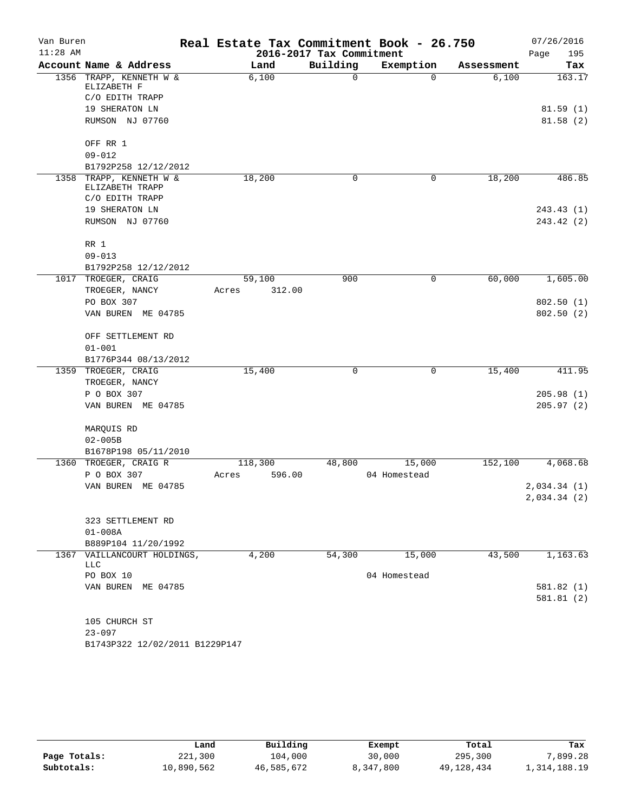| Van Buren  |                                            | Real Estate Tax Commitment Book - 26.750 |                          |              |            | 07/26/2016   |
|------------|--------------------------------------------|------------------------------------------|--------------------------|--------------|------------|--------------|
| $11:28$ AM |                                            |                                          | 2016-2017 Tax Commitment |              |            | 195<br>Page  |
|            | Account Name & Address                     | Land                                     | Building                 | Exemption    | Assessment | Tax          |
|            | 1356 TRAPP, KENNETH W &<br>ELIZABETH F     | 6,100                                    | $\mathbf 0$              | $\Omega$     | 6,100      | 163.17       |
|            | C/O EDITH TRAPP                            |                                          |                          |              |            |              |
|            | 19 SHERATON LN                             |                                          |                          |              |            | 81.59(1)     |
|            | RUMSON NJ 07760                            |                                          |                          |              |            | 81.58(2)     |
|            | OFF RR 1                                   |                                          |                          |              |            |              |
|            | $09 - 012$                                 |                                          |                          |              |            |              |
|            | B1792P258 12/12/2012                       |                                          |                          |              |            |              |
|            | 1358 TRAPP, KENNETH W &<br>ELIZABETH TRAPP | 18,200                                   | 0                        | 0            | 18,200     | 486.85       |
|            | C/O EDITH TRAPP                            |                                          |                          |              |            |              |
|            | 19 SHERATON LN                             |                                          |                          |              |            | 243.43 (1)   |
|            | RUMSON NJ 07760                            |                                          |                          |              |            | 243.42 (2)   |
|            | RR 1                                       |                                          |                          |              |            |              |
|            | $09 - 013$                                 |                                          |                          |              |            |              |
|            | B1792P258 12/12/2012                       |                                          |                          |              |            |              |
|            | 1017 TROEGER, CRAIG                        | 59,100                                   | 900                      | $\mathbf 0$  | 60,000     | 1,605.00     |
|            | TROEGER, NANCY                             | 312.00<br>Acres                          |                          |              |            |              |
|            | PO BOX 307                                 |                                          |                          |              |            | 802.50(1)    |
|            | VAN BUREN ME 04785                         |                                          |                          |              |            | 802.50(2)    |
|            |                                            |                                          |                          |              |            |              |
|            | OFF SETTLEMENT RD                          |                                          |                          |              |            |              |
|            | $01 - 001$                                 |                                          |                          |              |            |              |
|            | B1776P344 08/13/2012                       |                                          |                          |              |            |              |
|            | 1359 TROEGER, CRAIG                        | 15,400                                   | 0                        | 0            | 15,400     | 411.95       |
|            | TROEGER, NANCY                             |                                          |                          |              |            |              |
|            | P O BOX 307                                |                                          |                          |              |            | 205.98(1)    |
|            | VAN BUREN ME 04785                         |                                          |                          |              |            | 205.97(2)    |
|            | MARQUIS RD                                 |                                          |                          |              |            |              |
|            | $02 - 005B$                                |                                          |                          |              |            |              |
|            | B1678P198 05/11/2010                       |                                          |                          |              |            |              |
|            | 1360 TROEGER, CRAIG R                      | 118,300                                  | 48,800                   | 15,000       | 152,100    | 4,068.68     |
|            | P O BOX 307                                | 596.00<br>Acres                          |                          | 04 Homestead |            |              |
|            | VAN BUREN ME 04785                         |                                          |                          |              |            | 2,034.34(1)  |
|            |                                            |                                          |                          |              |            | 2,034.34 (2) |
|            | 323 SETTLEMENT RD                          |                                          |                          |              |            |              |
|            | $01 - 008A$                                |                                          |                          |              |            |              |
|            | B889P104 11/20/1992                        |                                          |                          |              |            |              |
|            | 1367 VAILLANCOURT HOLDINGS,                | 4,200                                    | 54,300                   | 15,000       | 43,500     | 1,163.63     |
|            | LLC                                        |                                          |                          |              |            |              |
|            | PO BOX 10                                  |                                          |                          | 04 Homestead |            |              |
|            | VAN BUREN ME 04785                         |                                          |                          |              |            | 581.82 (1)   |
|            |                                            |                                          |                          |              |            | 581.81(2)    |
|            |                                            |                                          |                          |              |            |              |
|            | 105 CHURCH ST                              |                                          |                          |              |            |              |
|            | $23 - 097$                                 |                                          |                          |              |            |              |
|            | B1743P322 12/02/2011 B1229P147             |                                          |                          |              |            |              |

|              | Land       | Building   | Exempt    | Total      | Tax          |
|--------------|------------|------------|-----------|------------|--------------|
| Page Totals: | 221,300    | 104,000    | 30,000    | 295,300    | 7,899.28     |
| Subtotals:   | 10,890,562 | 46,585,672 | 8,347,800 | 49,128,434 | 1,314,188.19 |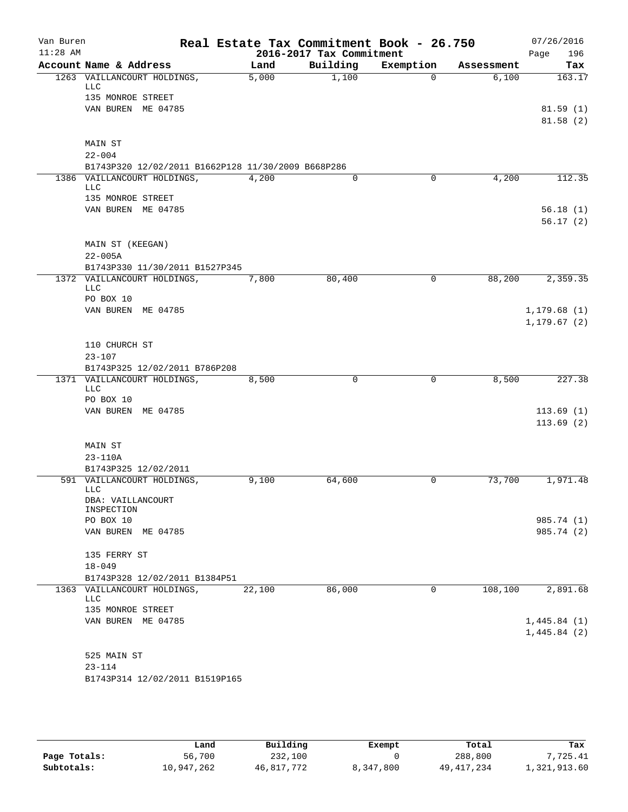| Van Buren<br>$11:28$ AM |                                                                |        | 2016-2017 Tax Commitment | Real Estate Tax Commitment Book - 26.750 |            | 07/26/2016<br>196<br>Page |
|-------------------------|----------------------------------------------------------------|--------|--------------------------|------------------------------------------|------------|---------------------------|
|                         | Account Name & Address                                         | Land   | Building                 | Exemption                                | Assessment | Tax                       |
|                         | 1263 VAILLANCOURT HOLDINGS,<br>LLC                             | 5,000  | 1,100                    | $\Omega$                                 | 6,100      | 163.17                    |
|                         | 135 MONROE STREET                                              |        |                          |                                          |            |                           |
|                         | VAN BUREN ME 04785                                             |        |                          |                                          |            | 81.59(1)<br>81.58(2)      |
|                         | MAIN ST                                                        |        |                          |                                          |            |                           |
|                         | $22 - 004$                                                     |        |                          |                                          |            |                           |
|                         | B1743P320 12/02/2011 B1662P128 11/30/2009 B668P286             |        |                          |                                          |            |                           |
|                         | 1386 VAILLANCOURT HOLDINGS,<br><b>LLC</b><br>135 MONROE STREET | 4,200  | 0                        | $\Omega$                                 | 4,200      | 112.35                    |
|                         | VAN BUREN ME 04785                                             |        |                          |                                          |            | 56.18(1)                  |
|                         |                                                                |        |                          |                                          |            | 56.17(2)                  |
|                         | MAIN ST (KEEGAN)                                               |        |                          |                                          |            |                           |
|                         | $22 - 005A$                                                    |        |                          |                                          |            |                           |
|                         | B1743P330 11/30/2011 B1527P345                                 |        |                          |                                          |            |                           |
|                         | 1372 VAILLANCOURT HOLDINGS,<br><b>LLC</b><br>PO BOX 10         | 7,800  | 80,400                   | 0                                        | 88,200     | 2,359.35                  |
|                         | VAN BUREN ME 04785                                             |        |                          |                                          |            | 1, 179.68(1)              |
|                         |                                                                |        |                          |                                          |            | 1, 179.67(2)              |
|                         | 110 CHURCH ST                                                  |        |                          |                                          |            |                           |
|                         | $23 - 107$<br>B1743P325 12/02/2011 B786P208                    |        |                          |                                          |            |                           |
|                         | 1371 VAILLANCOURT HOLDINGS,                                    | 8,500  | $\mathbf 0$              | 0                                        | 8,500      | 227.38                    |
|                         | <b>LLC</b><br>PO BOX 10                                        |        |                          |                                          |            |                           |
|                         | VAN BUREN ME 04785                                             |        |                          |                                          |            | 113.69(1)                 |
|                         |                                                                |        |                          |                                          |            | 113.69(2)                 |
|                         | MAIN ST<br>$23 - 110A$                                         |        |                          |                                          |            |                           |
|                         | B1743P325 12/02/2011                                           |        |                          |                                          |            |                           |
|                         | 591 VAILLANCOURT HOLDINGS,<br><b>LLC</b>                       | 9,100  | 64,600                   | 0                                        | 73,700     | 1,971.48                  |
|                         | DBA: VAILLANCOURT<br>INSPECTION                                |        |                          |                                          |            |                           |
|                         | PO BOX 10                                                      |        |                          |                                          |            | 985.74 (1)                |
|                         | VAN BUREN ME 04785                                             |        |                          |                                          |            | 985.74 (2)                |
|                         | 135 FERRY ST                                                   |        |                          |                                          |            |                           |
|                         | $18 - 049$                                                     |        |                          |                                          |            |                           |
|                         | B1743P328 12/02/2011 B1384P51                                  |        |                          |                                          |            |                           |
|                         | 1363 VAILLANCOURT HOLDINGS,<br>LLC<br>135 MONROE STREET        | 22,100 | 86,000                   | 0                                        | 108,100    | 2,891.68                  |
|                         | VAN BUREN ME 04785                                             |        |                          |                                          |            | 1,445.84(1)               |
|                         |                                                                |        |                          |                                          |            | 1,445.84(2)               |
|                         | 525 MAIN ST                                                    |        |                          |                                          |            |                           |
|                         | $23 - 114$                                                     |        |                          |                                          |            |                           |
|                         | B1743P314 12/02/2011 B1519P165                                 |        |                          |                                          |            |                           |
|                         |                                                                |        |                          |                                          |            |                           |

|              | Land       | Building   | Exempt    | Total        | Tax          |
|--------------|------------|------------|-----------|--------------|--------------|
| Page Totals: | 56,700     | 232,100    |           | 288,800      | 7.725.41     |
| Subtotals:   | 10,947,262 | 46,817,772 | 8,347,800 | 49, 417, 234 | 1,321,913.60 |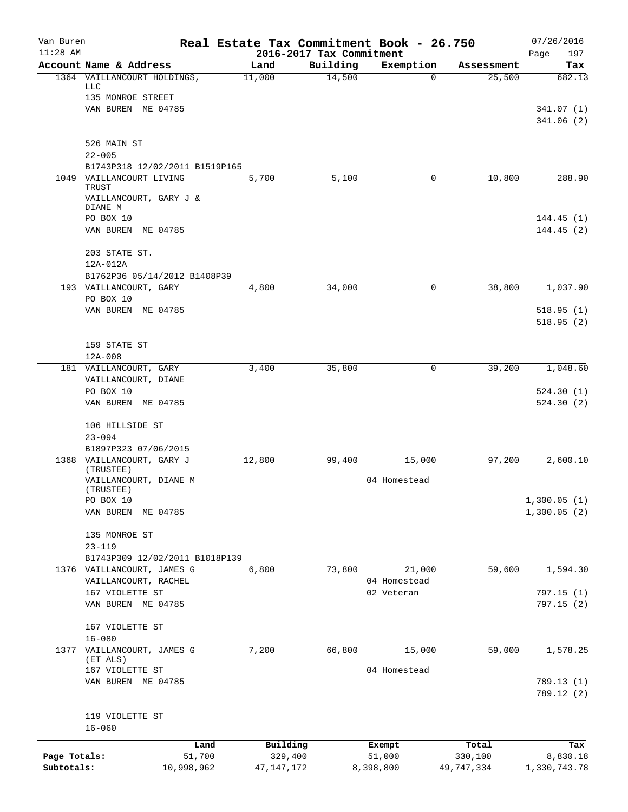| Van Buren<br>$11:28$ AM |                                                              | Real Estate Tax Commitment Book - 26.750 | 2016-2017 Tax Commitment |              |            | 07/26/2016<br>197<br>Page |
|-------------------------|--------------------------------------------------------------|------------------------------------------|--------------------------|--------------|------------|---------------------------|
|                         | Account Name & Address                                       | Land                                     | Building                 | Exemption    | Assessment | Tax                       |
|                         | 1364 VAILLANCOURT HOLDINGS,                                  | 11,000                                   | 14,500                   | $\Omega$     | 25,500     | 682.13                    |
|                         | LLC<br>135 MONROE STREET                                     |                                          |                          |              |            |                           |
|                         | VAN BUREN ME 04785                                           |                                          |                          |              |            | 341.07 (1)                |
|                         |                                                              |                                          |                          |              |            | 341.06(2)                 |
|                         | 526 MAIN ST                                                  |                                          |                          |              |            |                           |
|                         | $22 - 005$                                                   |                                          |                          |              |            |                           |
|                         | B1743P318 12/02/2011 B1519P165                               |                                          |                          |              |            |                           |
|                         | 1049 VAILLANCOURT LIVING<br>TRUST                            | 5,700                                    | 5,100                    | 0            | 10,800     | 288.90                    |
|                         | VAILLANCOURT, GARY J &<br>DIANE M                            |                                          |                          |              |            |                           |
|                         | PO BOX 10                                                    |                                          |                          |              |            | 144.45(1)                 |
|                         | VAN BUREN ME 04785                                           |                                          |                          |              |            | 144.45(2)                 |
|                         | 203 STATE ST.                                                |                                          |                          |              |            |                           |
|                         | 12A-012A                                                     |                                          |                          |              |            |                           |
|                         | B1762P36 05/14/2012 B1408P39                                 |                                          |                          |              |            |                           |
|                         | 193 VAILLANCOURT, GARY<br>PO BOX 10                          | 4,800                                    | 34,000                   | 0            | 38,800     | 1,037.90                  |
|                         | VAN BUREN ME 04785                                           |                                          |                          |              |            | 518.95(1)                 |
|                         |                                                              |                                          |                          |              |            | 518.95(2)                 |
|                         | 159 STATE ST                                                 |                                          |                          |              |            |                           |
|                         | $12A-008$                                                    |                                          |                          |              |            |                           |
|                         | 181 VAILLANCOURT, GARY                                       | 3,400                                    | 35,800                   | 0            | 39,200     | 1,048.60                  |
|                         | VAILLANCOURT, DIANE                                          |                                          |                          |              |            |                           |
|                         | PO BOX 10                                                    |                                          |                          |              |            | 524.30(1)                 |
|                         | VAN BUREN ME 04785                                           |                                          |                          |              |            | 524.30(2)                 |
|                         | 106 HILLSIDE ST                                              |                                          |                          |              |            |                           |
|                         | $23 - 094$                                                   |                                          |                          |              |            |                           |
|                         | B1897P323 07/06/2015                                         |                                          |                          |              |            |                           |
|                         | 1368 VAILLANCOURT, GARY J<br>(TRUSTEE)                       | 12,800                                   | 99,400                   | 15,000       | 97,200     | 2,600.10                  |
|                         | VAILLANCOURT, DIANE M                                        |                                          |                          | 04 Homestead |            |                           |
|                         | (TRUSTEE)                                                    |                                          |                          |              |            |                           |
|                         | PO BOX 10                                                    |                                          |                          |              |            | 1,300.05(1)               |
|                         | VAN BUREN<br>ME 04785                                        |                                          |                          |              |            | 1,300.05(2)               |
|                         | 135 MONROE ST                                                |                                          |                          |              |            |                           |
|                         | $23 - 119$                                                   |                                          |                          |              |            |                           |
|                         | B1743P309 12/02/2011 B1018P139<br>1376 VAILLANCOURT, JAMES G | 6,800                                    | 73,800                   | 21,000       | 59,600     | 1,594.30                  |
|                         | VAILLANCOURT, RACHEL                                         |                                          |                          | 04 Homestead |            |                           |
|                         | 167 VIOLETTE ST                                              |                                          |                          | 02 Veteran   |            | 797.15(1)                 |
|                         | VAN BUREN ME 04785                                           |                                          |                          |              |            | 797.15(2)                 |
|                         | 167 VIOLETTE ST                                              |                                          |                          |              |            |                           |
|                         | $16 - 080$                                                   |                                          |                          |              |            |                           |
| 1377                    | VAILLANCOURT, JAMES G                                        | 7,200                                    | 66,800                   | 15,000       | 59,000     | 1,578.25                  |
|                         | (ET ALS)<br>167 VIOLETTE ST                                  |                                          |                          | 04 Homestead |            |                           |
|                         | VAN BUREN ME 04785                                           |                                          |                          |              |            | 789.13 (1)                |
|                         |                                                              |                                          |                          |              |            | 789.12 (2)                |
|                         | 119 VIOLETTE ST                                              |                                          |                          |              |            |                           |
|                         | $16 - 060$                                                   |                                          |                          |              |            |                           |
|                         | Land                                                         | Building                                 |                          | Exempt       | Total      | Tax                       |
| Page Totals:            | 51,700                                                       | 329,400                                  |                          | 51,000       | 330,100    | 8,830.18                  |
| Subtotals:              | 10,998,962                                                   | 47, 147, 172                             |                          | 8,398,800    | 49,747,334 | 1,330,743.78              |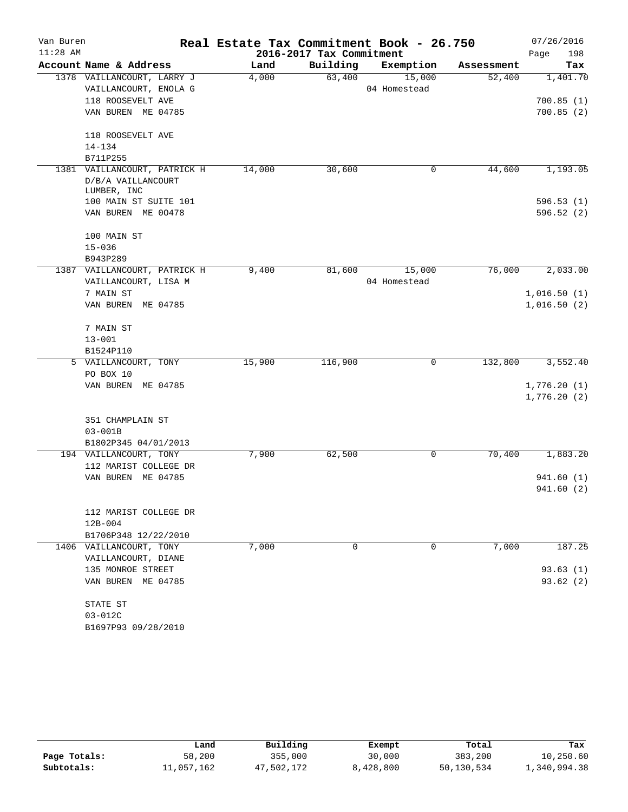| Van Buren<br>$11:28$ AM |                              | Real Estate Tax Commitment Book - 26.750 | 2016-2017 Tax Commitment |              |            | 07/26/2016  |
|-------------------------|------------------------------|------------------------------------------|--------------------------|--------------|------------|-------------|
|                         | Account Name & Address       |                                          |                          |              |            | 198<br>Page |
|                         |                              | Land                                     | Building                 | Exemption    | Assessment | Tax         |
|                         | 1378 VAILLANCOURT, LARRY J   | 4,000                                    | 63,400                   | 15,000       | 52,400     | 1,401.70    |
|                         | VAILLANCOURT, ENOLA G        |                                          |                          | 04 Homestead |            |             |
|                         | 118 ROOSEVELT AVE            |                                          |                          |              |            | 700.85(1)   |
|                         | VAN BUREN ME 04785           |                                          |                          |              |            | 700.85(2)   |
|                         | 118 ROOSEVELT AVE            |                                          |                          |              |            |             |
|                         | $14 - 134$                   |                                          |                          |              |            |             |
|                         | B711P255                     |                                          |                          |              |            |             |
|                         | 1381 VAILLANCOURT, PATRICK H | 14,000                                   | 30,600                   | 0            | 44,600     | 1,193.05    |
|                         | D/B/A VAILLANCOURT           |                                          |                          |              |            |             |
|                         | LUMBER, INC                  |                                          |                          |              |            |             |
|                         | 100 MAIN ST SUITE 101        |                                          |                          |              |            | 596.53(1)   |
|                         | VAN BUREN ME 00478           |                                          |                          |              |            | 596.52(2)   |
|                         | 100 MAIN ST                  |                                          |                          |              |            |             |
|                         | $15 - 036$                   |                                          |                          |              |            |             |
|                         | B943P289                     |                                          |                          |              |            |             |
|                         | 1387 VAILLANCOURT, PATRICK H | 9,400                                    | 81,600                   | 15,000       | 76,000     | 2,033.00    |
|                         | VAILLANCOURT, LISA M         |                                          |                          | 04 Homestead |            |             |
|                         | 7 MAIN ST                    |                                          |                          |              |            | 1,016.50(1) |
|                         | VAN BUREN ME 04785           |                                          |                          |              |            | 1,016.50(2) |
|                         | 7 MAIN ST                    |                                          |                          |              |            |             |
|                         | $13 - 001$                   |                                          |                          |              |            |             |
|                         |                              |                                          |                          |              |            |             |
|                         | B1524P110                    | 15,900                                   |                          | 0            | 132,800    | 3,552.40    |
|                         | 5 VAILLANCOURT, TONY         |                                          | 116,900                  |              |            |             |
|                         | PO BOX 10                    |                                          |                          |              |            |             |
|                         | VAN BUREN ME 04785           |                                          |                          |              |            | 1,776.20(1) |
|                         |                              |                                          |                          |              |            | 1,776.20(2) |
|                         | 351 CHAMPLAIN ST             |                                          |                          |              |            |             |
|                         | $03 - 001B$                  |                                          |                          |              |            |             |
|                         | B1802P345 04/01/2013         |                                          |                          |              |            |             |
|                         | 194 VAILLANCOURT, TONY       | 7,900                                    | 62,500                   | 0            | 70,400     | 1,883.20    |
|                         | 112 MARIST COLLEGE DR        |                                          |                          |              |            |             |
|                         | VAN BUREN ME 04785           |                                          |                          |              |            | 941.60 (1)  |
|                         |                              |                                          |                          |              |            | 941.60 (2)  |
|                         |                              |                                          |                          |              |            |             |
|                         | 112 MARIST COLLEGE DR        |                                          |                          |              |            |             |
|                         | $12B-004$                    |                                          |                          |              |            |             |
|                         | B1706P348 12/22/2010         |                                          |                          |              |            |             |
|                         | 1406 VAILLANCOURT, TONY      | 7,000                                    | $\mathbf 0$              | 0            | 7,000      | 187.25      |
|                         | VAILLANCOURT, DIANE          |                                          |                          |              |            |             |
|                         | 135 MONROE STREET            |                                          |                          |              |            | 93.63(1)    |
|                         | VAN BUREN ME 04785           |                                          |                          |              |            | 93.62 (2)   |
|                         | STATE ST                     |                                          |                          |              |            |             |
|                         | $03 - 012C$                  |                                          |                          |              |            |             |
|                         | B1697P93 09/28/2010          |                                          |                          |              |            |             |

|              | Land       | Building   | Exempt    | Total      | Tax          |
|--------------|------------|------------|-----------|------------|--------------|
| Page Totals: | 58,200     | 355,000    | 30,000    | 383,200    | 10,250.60    |
| Subtotals:   | 11,057,162 | 47,502,172 | 8,428,800 | 50,130,534 | 1,340,994.38 |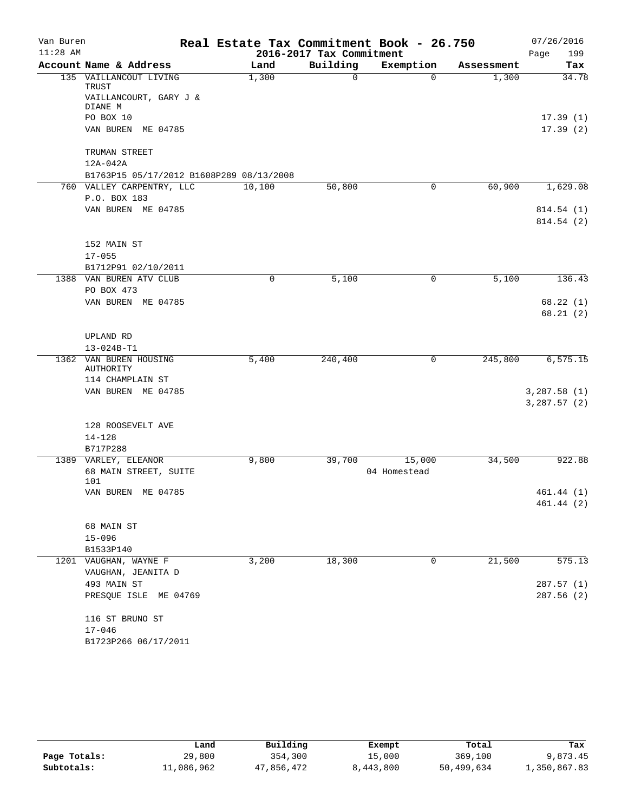| Van Buren<br>$11:28$ AM |                                                           | Real Estate Tax Commitment Book - 26.750 | 2016-2017 Tax Commitment |                        |            | 07/26/2016<br>199<br>Page  |
|-------------------------|-----------------------------------------------------------|------------------------------------------|--------------------------|------------------------|------------|----------------------------|
|                         | Account Name & Address                                    | Land                                     | Building                 | Exemption              | Assessment | Tax                        |
|                         | 135 VAILLANCOUT LIVING<br>TRUST<br>VAILLANCOURT, GARY J & | 1,300                                    | $\mathbf 0$              | $\Omega$               | 1,300      | 34.78                      |
|                         | DIANE M<br>PO BOX 10                                      |                                          |                          |                        |            |                            |
|                         | VAN BUREN ME 04785                                        |                                          |                          |                        |            | 17.39(1)<br>17.39(2)       |
|                         | TRUMAN STREET                                             |                                          |                          |                        |            |                            |
|                         | 12A-042A                                                  |                                          |                          |                        |            |                            |
|                         | B1763P15 05/17/2012 B1608P289 08/13/2008                  |                                          |                          |                        |            |                            |
|                         | 760 VALLEY CARPENTRY, LLC<br>P.O. BOX 183                 | 10,100                                   | 50,800                   | 0                      | 60,900     | 1,629.08                   |
|                         | VAN BUREN ME 04785                                        |                                          |                          |                        |            | 814.54 (1)                 |
|                         |                                                           |                                          |                          |                        |            | 814.54(2)                  |
|                         | 152 MAIN ST                                               |                                          |                          |                        |            |                            |
|                         | $17 - 055$                                                |                                          |                          |                        |            |                            |
|                         | B1712P91 02/10/2011                                       |                                          |                          |                        |            |                            |
|                         | 1388 VAN BUREN ATV CLUB<br>PO BOX 473                     | 0                                        | 5,100                    | 0                      | 5,100      | 136.43                     |
|                         | VAN BUREN ME 04785                                        |                                          |                          |                        |            | 68.22(1)                   |
|                         |                                                           |                                          |                          |                        |            | 68.21(2)                   |
|                         | UPLAND RD                                                 |                                          |                          |                        |            |                            |
|                         | $13 - 024B - T1$                                          |                                          |                          |                        |            |                            |
| 1362                    | VAN BUREN HOUSING<br>AUTHORITY                            | 5,400                                    | 240,400                  | 0                      | 245,800    | 6, 575.15                  |
|                         | 114 CHAMPLAIN ST                                          |                                          |                          |                        |            |                            |
|                         | VAN BUREN ME 04785                                        |                                          |                          |                        |            | 3,287.58(1)<br>3,287.57(2) |
|                         | 128 ROOSEVELT AVE                                         |                                          |                          |                        |            |                            |
|                         | $14 - 128$                                                |                                          |                          |                        |            |                            |
|                         | B717P288                                                  |                                          |                          |                        |            |                            |
|                         | 1389 VARLEY, ELEANOR<br>68 MAIN STREET, SUITE<br>101      | 9,800                                    | 39,700                   | 15,000<br>04 Homestead | 34,500     | 922.88                     |
|                         | VAN BUREN ME 04785                                        |                                          |                          |                        |            | 461.44(1)                  |
|                         |                                                           |                                          |                          |                        |            | 461.44 (2)                 |
|                         | 68 MAIN ST                                                |                                          |                          |                        |            |                            |
|                         | $15 - 096$                                                |                                          |                          |                        |            |                            |
|                         | B1533P140                                                 |                                          |                          |                        |            |                            |
|                         | 1201 VAUGHAN, WAYNE F<br>VAUGHAN, JEANITA D               | 3,200                                    | 18,300                   | 0                      | 21,500     | 575.13                     |
|                         | 493 MAIN ST                                               |                                          |                          |                        |            | 287.57 (1)                 |
|                         | PRESQUE ISLE ME 04769                                     |                                          |                          |                        |            | 287.56(2)                  |
|                         | 116 ST BRUNO ST                                           |                                          |                          |                        |            |                            |
|                         | $17 - 046$                                                |                                          |                          |                        |            |                            |
|                         | B1723P266 06/17/2011                                      |                                          |                          |                        |            |                            |

|              | Land       | Building   | Exempt    | Total      | Tax          |
|--------------|------------|------------|-----------|------------|--------------|
| Page Totals: | 29,800     | 354,300    | 15,000    | 369,100    | 9,873.45     |
| Subtotals:   | 11,086,962 | 47,856,472 | 8,443,800 | 50,499,634 | 1,350,867.83 |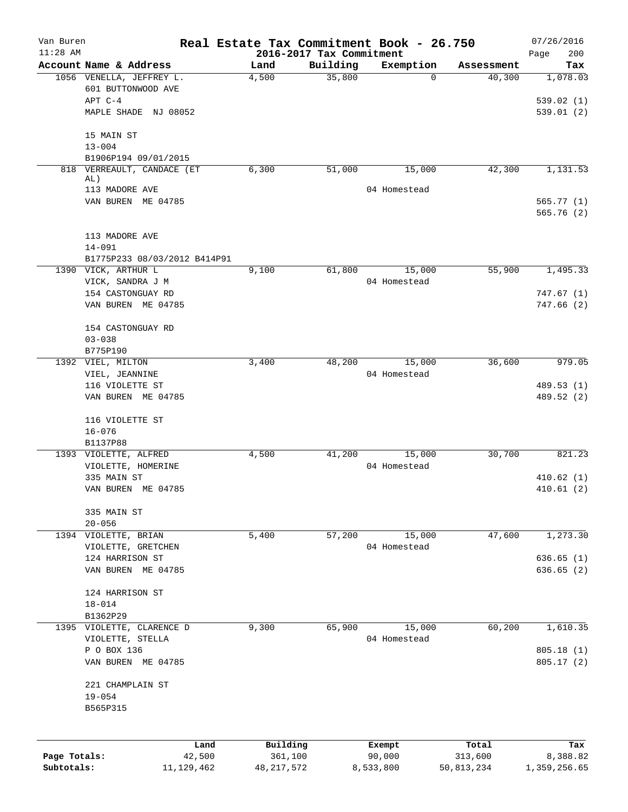| Van Buren<br>$11:28$ AM |                                                | Real Estate Tax Commitment Book - 26.750 |          |                        |                  | 07/26/2016         |
|-------------------------|------------------------------------------------|------------------------------------------|----------|------------------------|------------------|--------------------|
|                         | Account Name & Address                         | 2016-2017 Tax Commitment<br>Land         | Building | Exemption              | Assessment       | 200<br>Page<br>Tax |
|                         | 1056 VENELLA, JEFFREY L.<br>601 BUTTONWOOD AVE | 4,500                                    | 35,800   | $\Omega$               | 40,300           | 1,078.03           |
|                         | APT C-4                                        |                                          |          |                        |                  | 539.02(1)          |
|                         | MAPLE SHADE NJ 08052                           |                                          |          |                        |                  | 539.01(2)          |
|                         | 15 MAIN ST                                     |                                          |          |                        |                  |                    |
|                         | $13 - 004$                                     |                                          |          |                        |                  |                    |
|                         | B1906P194 09/01/2015                           |                                          |          |                        |                  |                    |
|                         | 818 VERREAULT, CANDACE (ET<br>AL)              | 6,300                                    | 51,000   | 15,000                 | 42,300           | 1,131.53           |
|                         | 113 MADORE AVE                                 |                                          |          | 04 Homestead           |                  |                    |
|                         | VAN BUREN ME 04785                             |                                          |          |                        |                  | 565.77(1)          |
|                         |                                                |                                          |          |                        |                  | 565.76(2)          |
|                         | 113 MADORE AVE                                 |                                          |          |                        |                  |                    |
|                         | $14 - 091$                                     |                                          |          |                        |                  |                    |
|                         | B1775P233 08/03/2012 B414P91                   |                                          |          |                        |                  |                    |
|                         | 1390 VICK, ARTHUR L                            | 9,100                                    | 61,800   | 15,000<br>04 Homestead | 55,900           | 1,495.33           |
|                         | VICK, SANDRA J M<br>154 CASTONGUAY RD          |                                          |          |                        |                  | 747.67(1)          |
|                         | VAN BUREN ME 04785                             |                                          |          |                        |                  | 747.66(2)          |
|                         | 154 CASTONGUAY RD                              |                                          |          |                        |                  |                    |
|                         | $03 - 038$                                     |                                          |          |                        |                  |                    |
|                         | B775P190                                       |                                          |          |                        |                  |                    |
|                         | 1392 VIEL, MILTON                              | 3,400                                    | 48,200   | 15,000                 | 36,600           | 979.05             |
|                         | VIEL, JEANNINE<br>116 VIOLETTE ST              |                                          |          | 04 Homestead           |                  | 489.53 (1)         |
|                         | VAN BUREN ME 04785                             |                                          |          |                        |                  | 489.52 (2)         |
|                         | 116 VIOLETTE ST                                |                                          |          |                        |                  |                    |
|                         | $16 - 076$                                     |                                          |          |                        |                  |                    |
|                         | B1137P88                                       |                                          |          |                        |                  |                    |
|                         | 1393 VIOLETTE, ALFRED                          | 4,500                                    | 41,200   | 15,000                 | 30,700           | 821.23             |
|                         | VIOLETTE, HOMERINE<br>335 MAIN ST              |                                          |          | 04 Homestead           |                  | 410.62(1)          |
|                         | VAN BUREN ME 04785                             |                                          |          |                        |                  | 410.61(2)          |
|                         | 335 MAIN ST                                    |                                          |          |                        |                  |                    |
|                         | $20 - 056$                                     |                                          |          |                        |                  |                    |
|                         | 1394 VIOLETTE, BRIAN                           | 5,400                                    | 57,200   | 15,000                 | 47,600           | 1,273.30           |
|                         | VIOLETTE, GRETCHEN                             |                                          |          | 04 Homestead           |                  |                    |
|                         | 124 HARRISON ST                                |                                          |          |                        |                  | 636.65(1)          |
|                         | VAN BUREN ME 04785                             |                                          |          |                        |                  | 636.65(2)          |
|                         | 124 HARRISON ST                                |                                          |          |                        |                  |                    |
|                         | $18 - 014$                                     |                                          |          |                        |                  |                    |
|                         | B1362P29                                       |                                          |          |                        |                  |                    |
|                         | 1395 VIOLETTE, CLARENCE D<br>VIOLETTE, STELLA  | 9,300                                    | 65,900   | 15,000<br>04 Homestead | 60,200           | 1,610.35           |
|                         | P O BOX 136                                    |                                          |          |                        |                  | 805.18(1)          |
|                         | VAN BUREN ME 04785                             |                                          |          |                        |                  | 805.17(2)          |
|                         | 221 CHAMPLAIN ST                               |                                          |          |                        |                  |                    |
|                         | $19 - 054$                                     |                                          |          |                        |                  |                    |
|                         | B565P315                                       |                                          |          |                        |                  |                    |
|                         |                                                |                                          |          |                        |                  |                    |
| Page Totals:            | Land<br>42,500                                 | Building<br>361,100                      |          | Exempt<br>90,000       | Total<br>313,600 | Tax<br>8,388.82    |
| Subtotals:              | 11, 129, 462                                   | 48, 217, 572                             |          | 8,533,800              | 50,813,234       | 1,359,256.65       |
|                         |                                                |                                          |          |                        |                  |                    |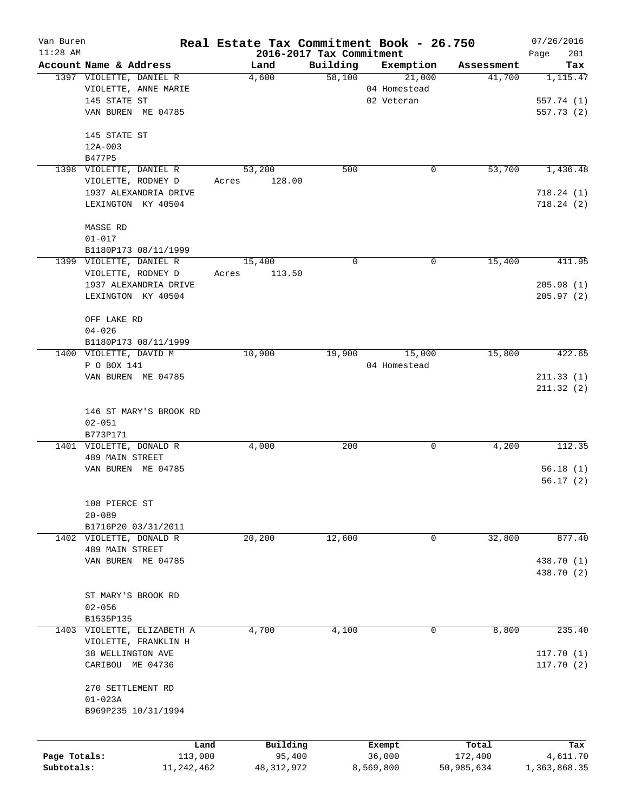| Van Buren    |                           |                            |       |              |                                      | Real Estate Tax Commitment Book - 26.750 |            | 07/26/2016         |
|--------------|---------------------------|----------------------------|-------|--------------|--------------------------------------|------------------------------------------|------------|--------------------|
| $11:28$ AM   | Account Name & Address    |                            |       | Land         | 2016-2017 Tax Commitment<br>Building | Exemption                                | Assessment | 201<br>Page<br>Tax |
|              | 1397 VIOLETTE, DANIEL R   |                            |       | 4,600        | 58,100                               | 21,000                                   | 41,700     | 1,115.47           |
|              |                           | VIOLETTE, ANNE MARIE       |       |              |                                      | 04 Homestead                             |            |                    |
|              | 145 STATE ST              |                            |       |              |                                      | 02 Veteran                               |            | 557.74 (1)         |
|              |                           | VAN BUREN ME 04785         |       |              |                                      |                                          |            | 557.73 (2)         |
|              |                           |                            |       |              |                                      |                                          |            |                    |
|              | 145 STATE ST              |                            |       |              |                                      |                                          |            |                    |
|              | $12A-003$                 |                            |       |              |                                      |                                          |            |                    |
|              | B477P5                    |                            |       |              |                                      |                                          |            |                    |
|              | 1398 VIOLETTE, DANIEL R   |                            |       | 53,200       | 500                                  | 0                                        | 53,700     | 1,436.48           |
|              |                           | VIOLETTE, RODNEY D         | Acres | 128.00       |                                      |                                          |            |                    |
|              |                           | 1937 ALEXANDRIA DRIVE      |       |              |                                      |                                          |            | 718.24(1)          |
|              |                           | LEXINGTON KY 40504         |       |              |                                      |                                          |            | 718.24(2)          |
|              |                           |                            |       |              |                                      |                                          |            |                    |
|              | MASSE RD                  |                            |       |              |                                      |                                          |            |                    |
|              | $01 - 017$                |                            |       |              |                                      |                                          |            |                    |
|              |                           | B1180P173 08/11/1999       |       |              |                                      |                                          |            |                    |
|              | 1399 VIOLETTE, DANIEL R   |                            |       | 15,400       | 0                                    | 0                                        | 15,400     | 411.95             |
|              |                           | VIOLETTE, RODNEY D         | Acres | 113.50       |                                      |                                          |            |                    |
|              |                           | 1937 ALEXANDRIA DRIVE      |       |              |                                      |                                          |            | 205.98(1)          |
|              |                           | LEXINGTON KY 40504         |       |              |                                      |                                          |            | 205.97(2)          |
|              |                           |                            |       |              |                                      |                                          |            |                    |
|              | OFF LAKE RD<br>$04 - 026$ |                            |       |              |                                      |                                          |            |                    |
|              |                           |                            |       |              |                                      |                                          |            |                    |
|              | 1400 VIOLETTE, DAVID M    | B1180P173 08/11/1999       |       | 10,900       | 19,900                               | 15,000                                   | 15,800     | 422.65             |
|              | P O BOX 141               |                            |       |              |                                      | 04 Homestead                             |            |                    |
|              |                           | VAN BUREN ME 04785         |       |              |                                      |                                          |            | 211.33(1)          |
|              |                           |                            |       |              |                                      |                                          |            | 211.32(2)          |
|              |                           |                            |       |              |                                      |                                          |            |                    |
|              |                           | 146 ST MARY'S BROOK RD     |       |              |                                      |                                          |            |                    |
|              | $02 - 051$                |                            |       |              |                                      |                                          |            |                    |
|              | B773P171                  |                            |       |              |                                      |                                          |            |                    |
|              | 1401 VIOLETTE, DONALD R   |                            |       | 4,000        | 200                                  | 0                                        | 4,200      | 112.35             |
|              | 489 MAIN STREET           |                            |       |              |                                      |                                          |            |                    |
|              |                           | VAN BUREN ME 04785         |       |              |                                      |                                          |            | 56.18(1)           |
|              |                           |                            |       |              |                                      |                                          |            | 56.17(2)           |
|              |                           |                            |       |              |                                      |                                          |            |                    |
|              | 108 PIERCE ST             |                            |       |              |                                      |                                          |            |                    |
|              | $20 - 089$                |                            |       |              |                                      |                                          |            |                    |
|              |                           | B1716P20 03/31/2011        |       |              |                                      |                                          |            |                    |
|              | 1402 VIOLETTE, DONALD R   |                            |       | 20,200       | 12,600                               | 0                                        | 32,800     | 877.40             |
|              | 489 MAIN STREET           |                            |       |              |                                      |                                          |            |                    |
|              |                           | VAN BUREN ME 04785         |       |              |                                      |                                          |            | 438.70 (1)         |
|              |                           |                            |       |              |                                      |                                          |            | 438.70 (2)         |
|              |                           |                            |       |              |                                      |                                          |            |                    |
|              |                           | ST MARY'S BROOK RD         |       |              |                                      |                                          |            |                    |
|              | $02 - 056$                |                            |       |              |                                      |                                          |            |                    |
|              | B1535P135                 |                            |       |              |                                      |                                          |            |                    |
|              |                           | 1403 VIOLETTE, ELIZABETH A |       | 4,700        | 4,100                                | 0                                        | 8,800      | 235.40             |
|              |                           | VIOLETTE, FRANKLIN H       |       |              |                                      |                                          |            |                    |
|              | 38 WELLINGTON AVE         |                            |       |              |                                      |                                          |            | 117.70 (1)         |
|              | CARIBOU ME 04736          |                            |       |              |                                      |                                          |            | 117.70 (2)         |
|              |                           |                            |       |              |                                      |                                          |            |                    |
|              | 270 SETTLEMENT RD         |                            |       |              |                                      |                                          |            |                    |
|              | $01 - 023A$               |                            |       |              |                                      |                                          |            |                    |
|              |                           | B969P235 10/31/1994        |       |              |                                      |                                          |            |                    |
|              |                           |                            |       |              |                                      |                                          |            |                    |
|              |                           | Land                       |       | Building     |                                      | Exempt                                   | Total      | Tax                |
| Page Totals: |                           | 113,000                    |       | 95,400       |                                      | 36,000                                   | 172,400    | 4,611.70           |
| Subtotals:   |                           | 11, 242, 462               |       | 48, 312, 972 |                                      | 8,569,800                                | 50,985,634 | 1,363,868.35       |
|              |                           |                            |       |              |                                      |                                          |            |                    |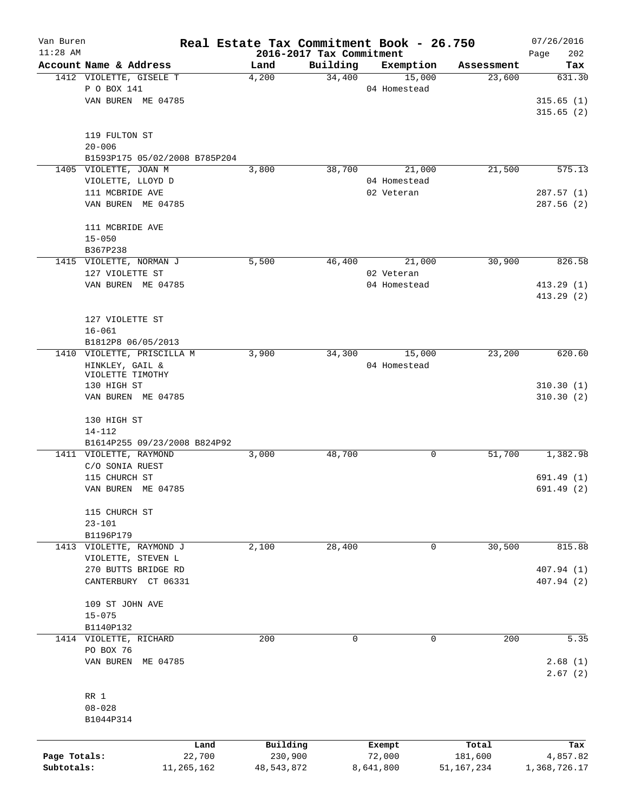| Van Buren    |                                                   |               |          |                          | Real Estate Tax Commitment Book - 26.750 |                      | 07/26/2016               |
|--------------|---------------------------------------------------|---------------|----------|--------------------------|------------------------------------------|----------------------|--------------------------|
| $11:28$ AM   |                                                   |               |          | 2016-2017 Tax Commitment |                                          |                      | 202<br>Page              |
|              | Account Name & Address<br>1412 VIOLETTE, GISELE T | Land<br>4,200 |          | Building<br>34,400       | Exemption<br>15,000                      | Assessment<br>23,600 | Tax<br>631.30            |
|              | P O BOX 141                                       |               |          |                          | 04 Homestead                             |                      |                          |
|              | VAN BUREN ME 04785                                |               |          |                          |                                          |                      | 315.65(1)                |
|              |                                                   |               |          |                          |                                          |                      | 315.65(2)                |
|              |                                                   |               |          |                          |                                          |                      |                          |
|              | 119 FULTON ST                                     |               |          |                          |                                          |                      |                          |
|              | $20 - 006$                                        |               |          |                          |                                          |                      |                          |
|              | B1593P175 05/02/2008 B785P204                     |               |          |                          |                                          |                      |                          |
|              | 1405 VIOLETTE, JOAN M                             | 3,800         |          | 38,700                   | 21,000                                   | 21,500               | 575.13                   |
|              | VIOLETTE, LLOYD D                                 |               |          |                          | 04 Homestead                             |                      |                          |
|              | 111 MCBRIDE AVE                                   |               |          |                          | 02 Veteran                               |                      | 287.57 (1)               |
|              | VAN BUREN ME 04785                                |               |          |                          |                                          |                      | 287.56(2)                |
|              | 111 MCBRIDE AVE                                   |               |          |                          |                                          |                      |                          |
|              | $15 - 050$                                        |               |          |                          |                                          |                      |                          |
|              | B367P238                                          |               |          |                          |                                          |                      |                          |
|              | 1415 VIOLETTE, NORMAN J                           | 5,500         |          | 46,400                   | 21,000                                   | 30,900               | 826.58                   |
|              | 127 VIOLETTE ST                                   |               |          |                          | 02 Veteran                               |                      |                          |
|              | VAN BUREN ME 04785                                |               |          |                          | 04 Homestead                             |                      | 413.29(1)                |
|              |                                                   |               |          |                          |                                          |                      | 413.29(2)                |
|              |                                                   |               |          |                          |                                          |                      |                          |
|              | 127 VIOLETTE ST                                   |               |          |                          |                                          |                      |                          |
|              | $16 - 061$                                        |               |          |                          |                                          |                      |                          |
|              | B1812P8 06/05/2013                                |               |          |                          |                                          |                      |                          |
|              | 1410 VIOLETTE, PRISCILLA M                        | 3,900         |          | 34,300                   | 15,000                                   | 23,200               | 620.60                   |
|              | HINKLEY, GAIL &                                   |               |          |                          | 04 Homestead                             |                      |                          |
|              | VIOLETTE TIMOTHY                                  |               |          |                          |                                          |                      |                          |
|              | 130 HIGH ST                                       |               |          |                          |                                          |                      | 310.30(1)<br>310.30(2)   |
|              | VAN BUREN ME 04785                                |               |          |                          |                                          |                      |                          |
|              | 130 HIGH ST                                       |               |          |                          |                                          |                      |                          |
|              | 14-112                                            |               |          |                          |                                          |                      |                          |
|              | B1614P255 09/23/2008 B824P92                      |               |          |                          |                                          |                      |                          |
|              | 1411 VIOLETTE, RAYMOND                            | 3,000         |          | 48,700                   | 0                                        | 51,700               | 1,382.98                 |
|              | C/O SONIA RUEST                                   |               |          |                          |                                          |                      |                          |
|              | 115 CHURCH ST                                     |               |          |                          |                                          |                      | 691.49 (1)               |
|              | VAN BUREN ME 04785                                |               |          |                          |                                          |                      | 691.49 (2)               |
|              |                                                   |               |          |                          |                                          |                      |                          |
|              | 115 CHURCH ST                                     |               |          |                          |                                          |                      |                          |
|              | $23 - 101$                                        |               |          |                          |                                          |                      |                          |
|              | B1196P179                                         |               |          |                          |                                          |                      |                          |
| 1413         | VIOLETTE, RAYMOND J                               | 2,100         |          | 28,400                   | $\mathbf 0$                              | 30,500               | 815.88                   |
|              | VIOLETTE, STEVEN L<br>270 BUTTS BRIDGE RD         |               |          |                          |                                          |                      |                          |
|              | CANTERBURY CT 06331                               |               |          |                          |                                          |                      | 407.94 (1)<br>407.94 (2) |
|              |                                                   |               |          |                          |                                          |                      |                          |
|              | 109 ST JOHN AVE                                   |               |          |                          |                                          |                      |                          |
|              | $15 - 075$                                        |               |          |                          |                                          |                      |                          |
|              | B1140P132                                         |               |          |                          |                                          |                      |                          |
|              | 1414 VIOLETTE, RICHARD                            |               | 200      | $\mathbf 0$              | $\mathbf 0$                              | 200                  | 5.35                     |
|              | PO BOX 76                                         |               |          |                          |                                          |                      |                          |
|              | VAN BUREN ME 04785                                |               |          |                          |                                          |                      | 2.68(1)                  |
|              |                                                   |               |          |                          |                                          |                      | 2.67(2)                  |
|              | RR 1                                              |               |          |                          |                                          |                      |                          |
|              | $08 - 028$                                        |               |          |                          |                                          |                      |                          |
|              | B1044P314                                         |               |          |                          |                                          |                      |                          |
|              |                                                   |               |          |                          |                                          |                      |                          |
|              |                                                   | Land          | Building |                          | Exempt                                   | Total                | Tax                      |
| Page Totals: |                                                   | 22,700        | 230,900  |                          | 72,000                                   | 181,600              | 4,857.82                 |

**Subtotals:** 11,265,162 48,543,872 8,641,800 51,167,234 1,368,726.17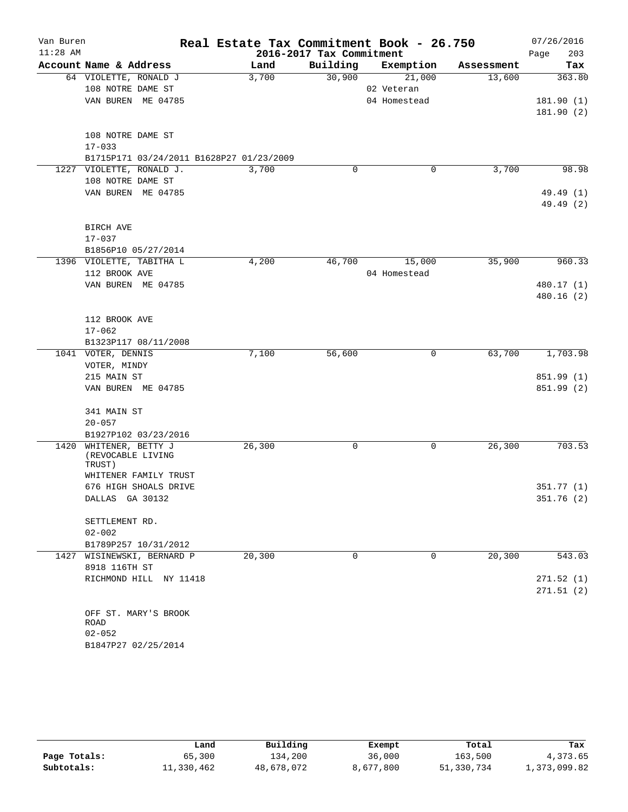| Van Buren  |                                          | Real Estate Tax Commitment Book - 26.750 |                          |              |            | 07/26/2016  |
|------------|------------------------------------------|------------------------------------------|--------------------------|--------------|------------|-------------|
| $11:28$ AM |                                          |                                          | 2016-2017 Tax Commitment |              |            | 203<br>Page |
|            | Account Name & Address                   | Land                                     | Building                 | Exemption    | Assessment | Tax         |
|            | 64 VIOLETTE, RONALD J                    | 3,700                                    | 30,900                   | 21,000       | 13,600     | 363.80      |
|            | 108 NOTRE DAME ST                        |                                          |                          | 02 Veteran   |            |             |
|            | VAN BUREN ME 04785                       |                                          |                          | 04 Homestead |            | 181.90(1)   |
|            |                                          |                                          |                          |              |            | 181.90(2)   |
|            | 108 NOTRE DAME ST                        |                                          |                          |              |            |             |
|            | $17 - 033$                               |                                          |                          |              |            |             |
|            | B1715P171 03/24/2011 B1628P27 01/23/2009 |                                          |                          |              |            |             |
|            | 1227 VIOLETTE, RONALD J.                 | 3,700                                    | $\mathbf 0$              | 0            | 3,700      | 98.98       |
|            | 108 NOTRE DAME ST                        |                                          |                          |              |            |             |
|            | VAN BUREN ME 04785                       |                                          |                          |              |            | 49.49 (1)   |
|            |                                          |                                          |                          |              |            | 49.49 (2)   |
|            |                                          |                                          |                          |              |            |             |
|            | BIRCH AVE                                |                                          |                          |              |            |             |
|            | $17 - 037$                               |                                          |                          |              |            |             |
|            | B1856P10 05/27/2014                      |                                          |                          |              |            |             |
|            | 1396 VIOLETTE, TABITHA L                 | 4,200                                    | 46,700                   | 15,000       | 35,900     | 960.33      |
|            | 112 BROOK AVE                            |                                          |                          | 04 Homestead |            |             |
|            | VAN BUREN ME 04785                       |                                          |                          |              |            | 480.17 (1)  |
|            |                                          |                                          |                          |              |            | 480.16(2)   |
|            |                                          |                                          |                          |              |            |             |
|            | 112 BROOK AVE                            |                                          |                          |              |            |             |
|            | $17 - 062$                               |                                          |                          |              |            |             |
|            | B1323P117 08/11/2008                     |                                          |                          |              |            |             |
|            | 1041 VOTER, DENNIS                       | 7,100                                    | 56,600                   | 0            | 63,700     | 1,703.98    |
|            | VOTER, MINDY                             |                                          |                          |              |            |             |
|            | 215 MAIN ST                              |                                          |                          |              |            | 851.99 (1)  |
|            | VAN BUREN ME 04785                       |                                          |                          |              |            | 851.99 (2)  |
|            |                                          |                                          |                          |              |            |             |
|            | 341 MAIN ST                              |                                          |                          |              |            |             |
|            | $20 - 057$                               |                                          |                          |              |            |             |
|            | B1927P102 03/23/2016                     |                                          |                          |              |            |             |
| 1420       | WHITENER, BETTY J                        | 26,300                                   | 0                        | 0            | 26,300     | 703.53      |
|            | (REVOCABLE LIVING                        |                                          |                          |              |            |             |
|            | TRUST)                                   |                                          |                          |              |            |             |
|            | WHITENER FAMILY TRUST                    |                                          |                          |              |            |             |
|            | 676 HIGH SHOALS DRIVE                    |                                          |                          |              |            | 351.77(1)   |
|            | DALLAS GA 30132                          |                                          |                          |              |            | 351.76 (2)  |
|            |                                          |                                          |                          |              |            |             |
|            | SETTLEMENT RD.<br>$02 - 002$             |                                          |                          |              |            |             |
|            | B1789P257 10/31/2012                     |                                          |                          |              |            |             |
|            | 1427 WISINEWSKI, BERNARD P               | 20, 300                                  | $\Omega$                 | $\Omega$     | 20, 300    | 543.03      |
|            | 8918 116TH ST                            |                                          |                          |              |            |             |
|            | RICHMOND HILL NY 11418                   |                                          |                          |              |            | 271.52(1)   |
|            |                                          |                                          |                          |              |            | 271.51(2)   |
|            |                                          |                                          |                          |              |            |             |
|            | OFF ST. MARY'S BROOK                     |                                          |                          |              |            |             |
|            | ROAD                                     |                                          |                          |              |            |             |
|            | $02 - 052$                               |                                          |                          |              |            |             |
|            | B1847P27 02/25/2014                      |                                          |                          |              |            |             |

|              | Land       | Building   | Exempt    | Total      | Tax          |
|--------------|------------|------------|-----------|------------|--------------|
| Page Totals: | 65,300     | 134,200    | 36,000    | 163,500    | 4,373.65     |
| Subtotals:   | 11,330,462 | 48,678,072 | 8,677,800 | 51,330,734 | 1,373,099.82 |